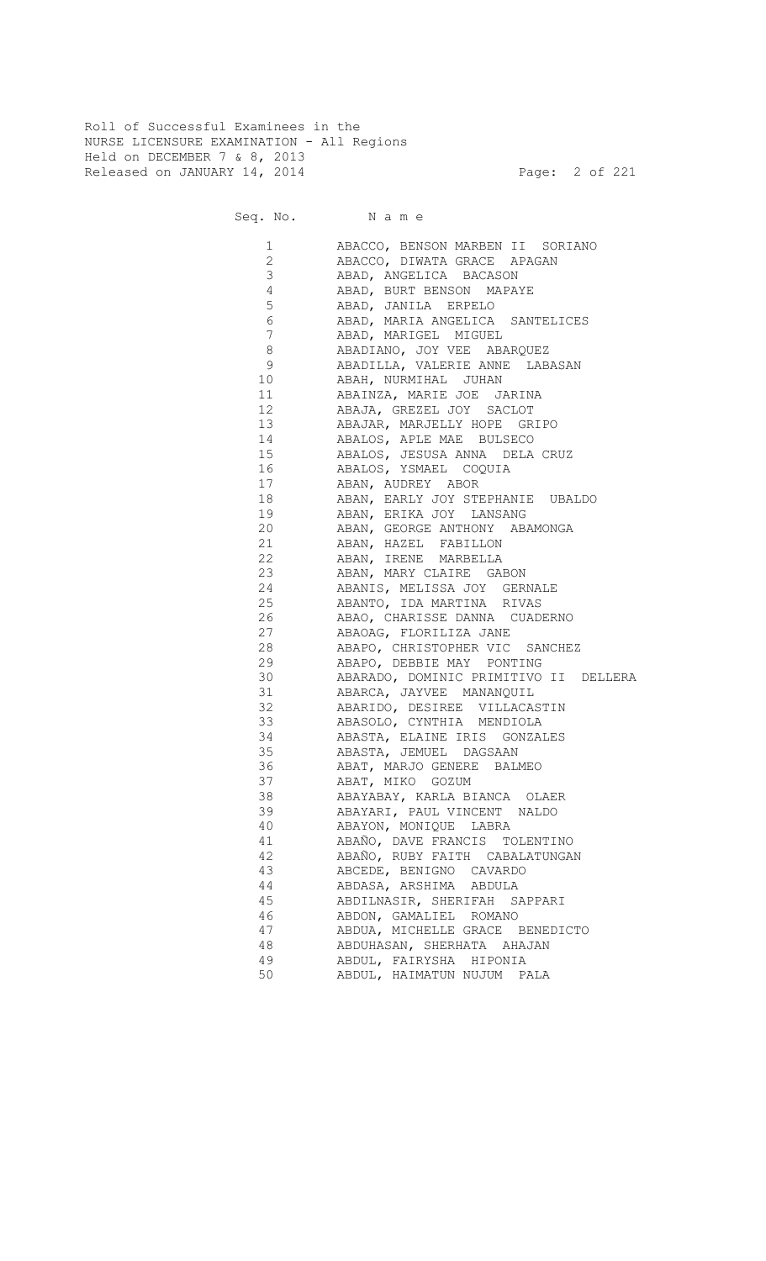Roll of Successful Examinees in the NURSE LICENSURE EXAMINATION - All Regions Held on DECEMBER 7 & 8, 2013 Released on JANUARY 14, 2014 **Page: 2 of 221** 

Seq. No. Name

 1 ABACCO, BENSON MARBEN II SORIANO 2 ABACCO, DIWATA GRACE APAGAN 3 ABAD, ANGELICA BACASON 4 ABAD, BURT BENSON MAPAYE 5 ABAD, JANILA ERPELO<br>6 ABAD, MARIA ANGELICA 6 ABAD, MARIA ANGELICA SANTELICES 7 ABAD, MARIGEL MIGUEL 8 ABADIANO, JOY VEE ABARQUEZ 9 ABADILLA, VALERIE ANNE LABASAN 10 ABAH, NURMIHAL JUHAN 11 ABAINZA, MARIE JOE JARINA 12 ABAJA, GREZEL JOY SACLOT 13 ABAJAR, MARJELLY HOPE GRIPO 14 ABALOS, APLE MAE BULSECO 15 ABALOS, JESUSA ANNA DELA CRUZ 16 ABALOS, YSMAEL COQUIA 17 ABAN, AUDREY ABOR 18 ABAN, EARLY JOY STEPHANIE UBALDO 19 ABAN, ERIKA JOY LANSANG 20 ABAN, GEORGE ANTHONY ABAMONGA 21 ABAN, HAZEL FABILLON 22 ABAN, IRENE MARBELLA<br>23 ABAN, MARY CLAIRE GA ABAN, MARY CLAIRE GABON 24 ABANIS, MELISSA JOY GERNALE 25 ABANTO, IDA MARTINA RIVAS 26 ABAO, CHARISSE DANNA CUADERNO 27 ABAOAG, FLORILIZA JANE 28 ABAPO, CHRISTOPHER VIC SANCHEZ 29 ABAPO, DEBBIE MAY PONTING 30 ABARADO, DOMINIC PRIMITIVO II DELLERA 31 ABARCA, JAYVEE MANANQUIL 32 ABARIDO, DESIREE VILLACASTIN 33 ABASOLO, CYNTHIA MENDIOLA 34 ABASTA, ELAINE IRIS GONZALES 35 ABASTA, JEMUEL DAGSAAN 36 ABAT, MARJO GENERE BALMEO 37 ABAT, MIKO GOZUM 38 ABAYABAY, KARLA BIANCA OLAER 39 ABAYARI, PAUL VINCENT NALDO 40 ABAYON, MONIQUE LABRA 41 ABAÑO, DAVE FRANCIS TOLENTINO 42 ABAÑO, RUBY FAITH CABALATUNGAN 43 ABCEDE, BENIGNO CAVARDO 44 ABDASA, ARSHIMA ABDULA 45 ABDILNASIR, SHERIFAH SAPPARI 46 ABDON, GAMALIEL ROMANO 47 ABDUA, MICHELLE GRACE BENEDICTO 48 ABDUHASAN, SHERHATA AHAJAN 49 ABDUL, FAIRYSHA HIPONIA 50 ABDUL, HAIMATUN NUJUM PALA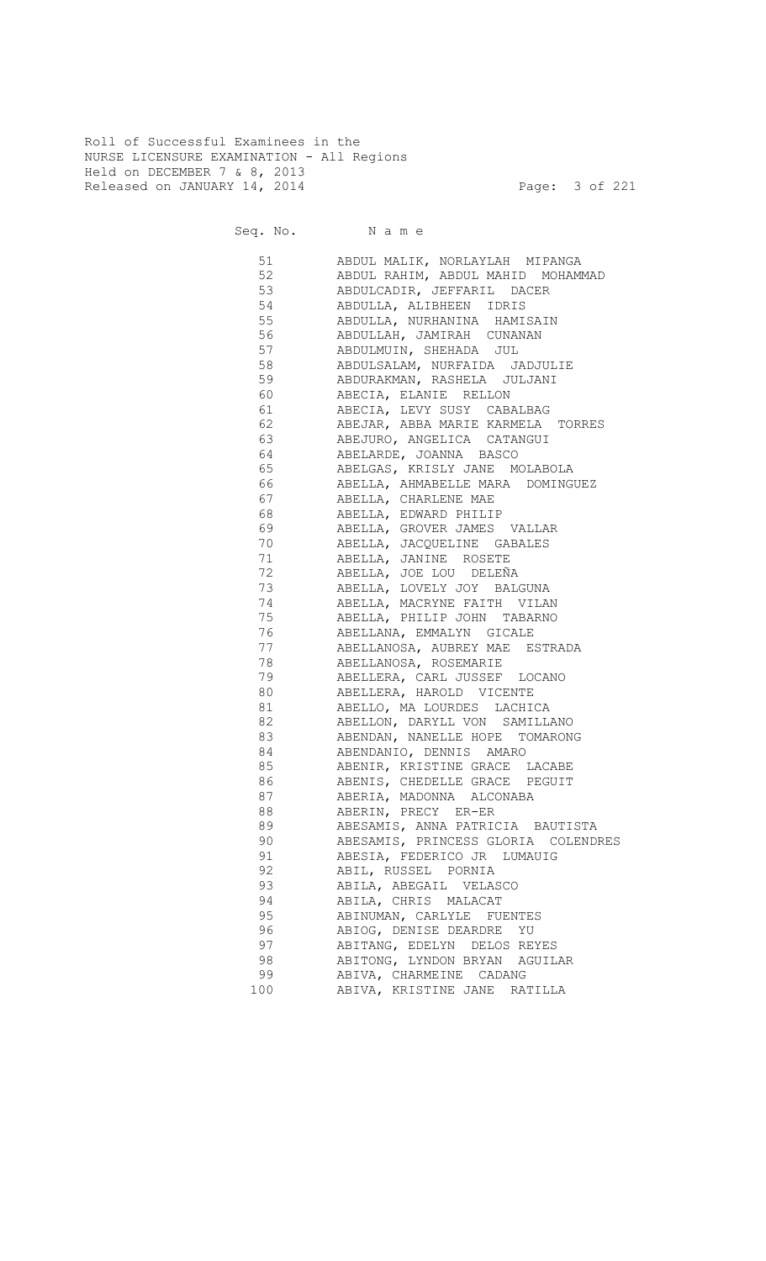Roll of Successful Examinees in the NURSE LICENSURE EXAMINATION - All Regions Held on DECEMBER 7 & 8, 2013 Released on JANUARY 14, 2014 **Page: 3 of 221** 

Seq. No. Name 51 ABDUL MALIK, NORLAYLAH MIPANGA 52 ABDUL RAHIM, ABDUL MAHID MOHAMMAD 53 ABDULCADIR, JEFFARIL DACER 54 ABDULLA, ALIBHEEN IDRIS 55 ABDULLA, NURHANINA HAMISAIN 56 ABDULLAH, JAMIRAH CUNANAN 57 ABDULMUIN, SHEHADA JUL 58 ABDULSALAM, NURFAIDA JADJULIE 59 ABDURAKMAN, RASHELA JULJANI 60 ABECIA, ELANIE RELLON 61 ABECIA, LEVY SUSY CABALBAG 62 ABEJAR, ABBA MARIE KARMELA TORRES 63 ABEJURO, ANGELICA CATANGUI 64 ABELARDE, JOANNA BASCO 65 ABELGAS, KRISLY JANE MOLABOLA 66 ABELLA, AHMABELLE MARA DOMINGUEZ 67 ABELLA, CHARLENE MAE 68 ABELLA, EDWARD PHILIP 69 ABELLA, GROVER JAMES VALLAR ABELLA, JACQUELINE GABALES 71 ABELLA, JANINE ROSETE 72 ABELLA, JOE LOU DELEÑA 73 ABELLA, LOVELY JOY BALGUNA <sup>74</sup> ABELLA, MACRYNE FAITH VILAN<br>75 ABELLA, PHILIP JOHN TABARNO ABELLA, PHILIP JOHN TABARNO 76 ABELLANA, EMMALYN GICALE 77 ABELLANOSA, AUBREY MAE ESTRADA 78 ABELLANOSA, ROSEMARIE 79 ABELLERA, CARL JUSSEF LOCANO 80 ABELLERA, HAROLD VICENTE 81 ABELLO, MA LOURDES LACHICA 82 ABELLON, DARYLL VON SAMILLANO 83 ABENDAN, NANELLE HOPE TOMARONG 84 ABENDANIO, DENNIS AMARO 85 ABENIR, KRISTINE GRACE LACABE **86** ABENIS, CHEDELLE GRACE PEGUIT 87 ABERIA, MADONNA ALCONABA 88 ABERIN, PRECY ER-ER 89 ABESAMIS, ANNA PATRICIA BAUTISTA 90 ABESAMIS, PRINCESS GLORIA COLENDRES 91 ABESIA, FEDERICO JR LUMAUIG 92 ABIL, RUSSEL PORNIA 93 ABILA, ABEGAIL VELASCO 94 ABILA, CHRIS MALACAT 95 ABINUMAN, CARLYLE FUENTES 96 ABIOG, DENISE DEARDRE YU 97 ABITANG, EDELYN DELOS REYES 98 ABITONG, LYNDON BRYAN AGUILAR

 99 ABIVA, CHARMEINE CADANG 100 ABIVA, KRISTINE JANE RATILLA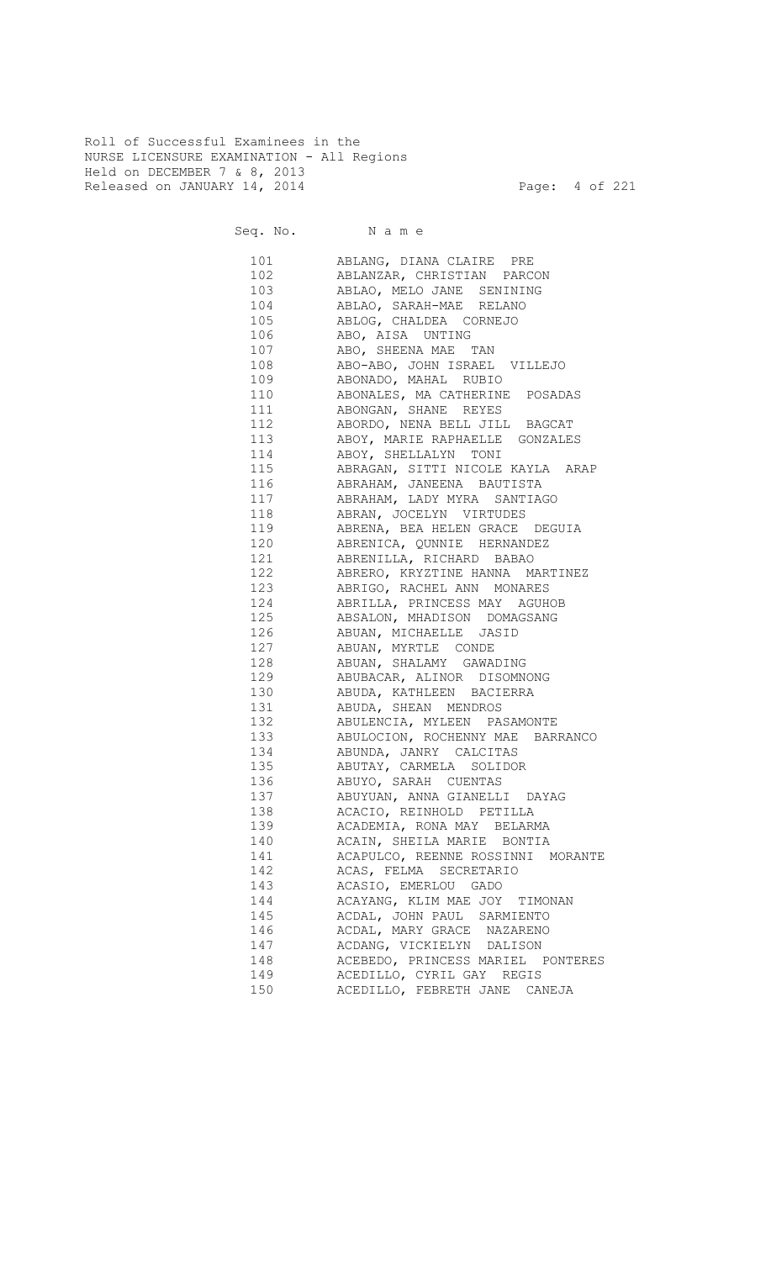Roll of Successful Examinees in the NURSE LICENSURE EXAMINATION - All Regions Held on DECEMBER 7 & 8, 2013 Released on JANUARY 14, 2014 **Page:** 4 of 221

| 101        | ABLANG, DIANA CLAIRE PRE                                           |
|------------|--------------------------------------------------------------------|
| 102        | ABLANZAR, CHRISTIAN PARCON                                         |
| 103        | ABLAO, MELO JANE SENINING                                          |
| 104        | ABLAO, SARAH-MAE RELANO                                            |
| 105        | ABLOG, CHALDEA CORNEJO                                             |
| 106        | ABO, AISA UNTING                                                   |
| 107        | ABO, SHEENA MAE TAN                                                |
| 108        | ABO-ABO, JOHN ISRAEL VILLEJO                                       |
| 109        | ABONADO, MAHAL RUBIO                                               |
| 110        | ABONALES, MA CATHERINE POSADAS                                     |
| 111        | ABONGAN, SHANE REYES                                               |
| 112        | ABORDO, NENA BELL JILL BAGCAT                                      |
| 113        | ABOY, MARIE RAPHAELLE GONZALES                                     |
| 114        | ABOY, SHELLALYN TONI                                               |
| 115        | ABRAGAN, SITTI NICOLE KAYLA ARAP                                   |
| 116        | ABRAHAM, JANEENA BAUTISTA                                          |
| 117        | ABRAHAM, LADY MYRA SANTIAGO                                        |
| 118        |                                                                    |
| 119        | ABRAN, JOCELYN VIRTUDES                                            |
| 120        | ABRENA, BEA HELEN GRACE DEGUIA                                     |
| 121        | ABRENICA, QUNNIE HERNANDEZ                                         |
| 122        | ABRENILLA, RICHARD BABAO                                           |
| 123        | ABRERO, KRYZTINE HANNA MARTINEZ                                    |
| 124        | ABRIGO, RACHEL ANN MONARES<br>ABRILLA, PRINCESS MAY AGUHOB         |
| 125        |                                                                    |
| 126        | ABSALON, MHADISON DOMAGSANG                                        |
| 127        | ABUAN, MICHAELLE JASID                                             |
|            | ABUAN, MYRTLE CONDE                                                |
| 128<br>129 | ABUAN, SHALAMY GAWADING                                            |
| 130        | ABUBACAR, ALINOR DISOMNONG                                         |
| 131        | ABUDA, KATHLEEN BACIERRA                                           |
|            | ABUDA, SHEAN MENDROS                                               |
|            | 132 ABULENCIA, MYLEEN PASAMONTE                                    |
|            | 133 ABULOCION, ROCHENNY MAE BARRANCO<br>134 ABUNDA, JANRY CALCITAS |
|            |                                                                    |
|            | 135 ABUTAY, CARMELA SOLIDOR                                        |
|            | 136 ABUYO, SARAH CUENTAS                                           |
|            | 137 ABUYUAN, ANNA GIANELLI DAYAG                                   |
|            | 138 ACACIO, REINHOLD PETILLA                                       |
| 139        | ACADEMIA, RONA MAY BELARMA                                         |
| 140        | ACAIN, SHEILA MARIE BONTIA                                         |
| 141        | ACAPULCO, REENNE ROSSINNI MORANTE                                  |
| 142        | ACAS, FELMA SECRETARIO                                             |
| 143        | ACASIO, EMERLOU GADO                                               |
| 144        | ACAYANG, KLIM MAE JOY TIMONAN                                      |
| 145        | ACDAL, JOHN PAUL SARMIENTO                                         |
| 146        | ACDAL, MARY GRACE NAZARENO                                         |
| 147        | ACDANG, VICKIELYN DALISON                                          |
| 148        | ACEBEDO, PRINCESS MARIEL PONTERES                                  |
| 149        | ACEDILLO, CYRIL GAY REGIS                                          |
| 150        | ACEDILLO, FEBRETH JANE CANEJA                                      |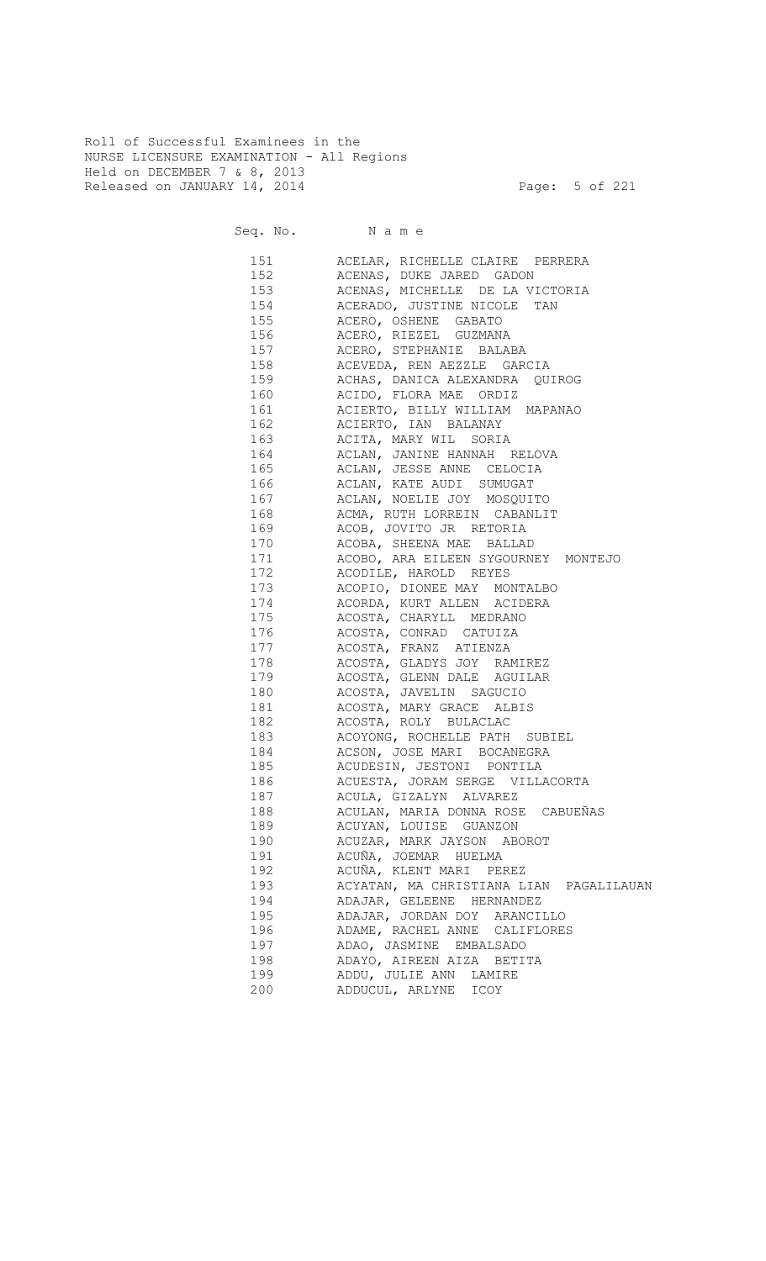Roll of Successful Examinees in the NURSE LICENSURE EXAMINATION - All Regions Held on DECEMBER 7 & 8, 2013 Released on JANUARY 14, 2014 **Page: 5 of 221** 

191 ACUÑA, JOEMAR HUELMA

194 ADAJAR, GELEENE HERNANDEZ 195 ADAJAR, JORDAN DOY ARANCILLO

199 ADDU, JULIE ANN LAMIRE 200 ADDUCUL, ARLYNE ICOY

Seq. No. Name 151 ACELAR, RICHELLE CLAIRE PERRERA 152 ACENAS, DUKE JARED GADON 153 ACENAS, MICHELLE DE LA VICTORIA 154 ACERADO, JUSTINE NICOLE TAN 155 ACERO, OSHENE GABATO 156 ACERO, RIEZEL GUZMANA 157 ACERO, STEPHANIE BALABA 158 ACEVEDA, REN AEZZLE GARCIA 159 ACHAS, DANICA ALEXANDRA QUIROG 160 ACIDO, FLORA MAE ORDIZ 161 ACIERTO, BILLY WILLIAM MAPANAO 162 ACIERTO, IAN BALANAY 163 ACITA, MARY WIL SORIA 164 ACLAN, JANINE HANNAH RELOVA 165 ACLAN, JESSE ANNE CELOCIA 166 ACLAN, KATE AUDI SUMUGAT 167 ACLAN, NOELIE JOY MOSQUITO ACMA, RUTH LORREIN CABANLIT 169 ACOB, JOVITO JR RETORIA ACOBA, SHEENA MAE BALLAD 171 ACOBO, ARA EILEEN SYGOURNEY MONTEJO 172 ACODILE, HAROLD REYES 173 ACOPIO, DIONEE MAY MONTALBO 174 ACORDA, KURT ALLEN ACIDERA ACOSTA, CHARYLL MEDRANO 176 ACOSTA, CONRAD CATUIZA 177 ACOSTA, FRANZ ATIENZA 178 ACOSTA, GLADYS JOY RAMIREZ 179 ACOSTA, GLENN DALE AGUILAR 180 ACOSTA, JAVELIN SAGUCIO 181 ACOSTA, MARY GRACE ALBIS 182 ACOSTA, ROLY BULACLAC 183 ACOYONG, ROCHELLE PATH SUBIEL 184 ACSON, JOSE MARI BOCANEGRA 185 ACUDESIN, JESTONI PONTILA 186 ACUESTA, JORAM SERGE VILLACORTA 187 ACULA, GIZALYN ALVAREZ 188 ACULAN, MARIA DONNA ROSE CABUEÑAS 189 ACUYAN, LOUISE GUANZON 190 ACUZAR, MARK JAYSON ABOROT

192 ACUÑA, KLENT MARI PEREZ

 197 ADAO, JASMINE EMBALSADO 198 ADAYO, AIREEN AIZA BETITA

196 ADAME, RACHEL ANNE CALIFLORES

193 ACYATAN, MA CHRISTIANA LIAN PAGALILAUAN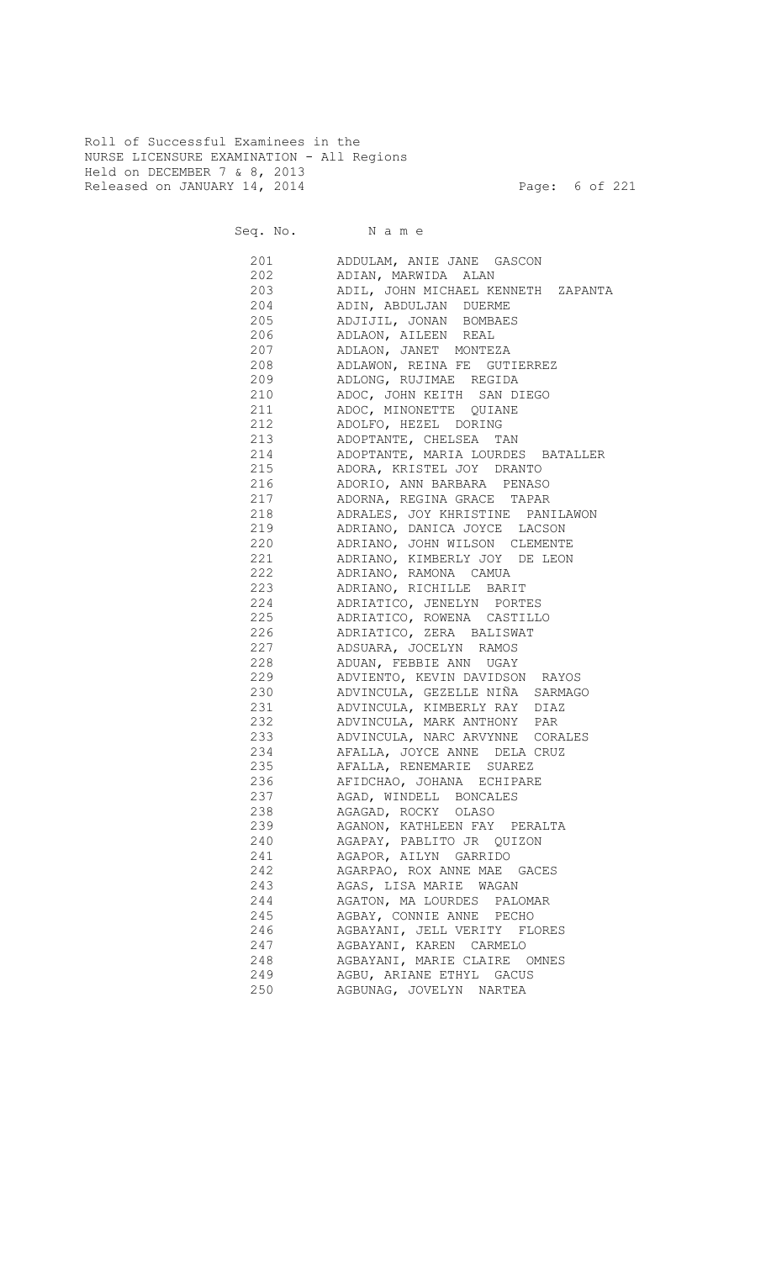Roll of Successful Examinees in the NURSE LICENSURE EXAMINATION - All Regions Held on DECEMBER 7 & 8, 2013 Released on JANUARY 14, 2014 **Page: 6 of 221** 

Seq. No. Name

 201 ADDULAM, ANIE JANE GASCON 202 ADIAN, MARWIDA ALAN 203 ADIL, JOHN MICHAEL KENNETH ZAPANTA 204 ADIN, ABDULJAN DUERME 205 ADJIJIL, JONAN BOMBAES 206 ADLAON, AILEEN REAL 207 ADLAON, JANET MONTEZA 208 ADLAWON, REINA FE GUTIERREZ 209 ADLONG, RUJIMAE REGIDA<br>210 - ADLONG, RUJIMAE REGIDA 210 ADOC, JOHN KEITH SAN DIEGO 211 ADOC, MINONETTE QUIANE 212 ADOLFO, HEZEL DORING 213 ADOPTANTE, CHELSEA TAN 214 ADOPTANTE, MARIA LOURDES BATALLER 215 ADORA, KRISTEL JOY DRANTO 216 ADORIO, ANN BARBARA PENASO 217 ADORNA, REGINA GRACE TAPAR 218 ADRALES, JOY KHRISTINE PANILAWON 219 ADRIANO, DANICA JOYCE LACSON 220 ADRIANO, JOHN WILSON CLEMENTE 221 ADRIANO, KIMBERLY JOY DE LEON 222 ADRIANO, RAMONA CAMUA 223 ADRIANO, RICHILLE BARIT 224 ADRIATICO, JENELYN PORTES<br>225 ADRIATICO, ROWENA CASTILLO ADRIATICO, ROWENA CASTILLO 226 ADRIATICO, ZERA BALISWAT 227 ADSUARA, JOCELYN RAMOS 228 ADUAN, FEBBIE ANN UGAY 229 ADVIENTO, KEVIN DAVIDSON RAYOS 230 ADVINCULA, GEZELLE NIÑA SARMAGO 231 ADVINCULA, KIMBERLY RAY DIAZ 232 ADVINCULA, MARK ANTHONY PAR 233 ADVINCULA, NARC ARVYNNE CORALES 234 AFALLA, JOYCE ANNE DELA CRUZ 235 AFALLA, RENEMARIE SUAREZ 236 AFIDCHAO, JOHANA ECHIPARE 237 AGAD, WINDELL BONCALES AGAGAD, ROCKY OLASO 239 AGANON, KATHLEEN FAY PERALTA 240 AGAPAY, PABLITO JR QUIZON 241 AGAPOR, AILYN GARRIDO 242 AGARPAO, ROX ANNE MAE GACES 243 AGAS, LISA MARIE WAGAN 244 AGATON, MA LOURDES PALOMAR 245 AGBAY, CONNIE ANNE PECHO 246 AGBAYANI, JELL VERITY FLORES 247 AGBAYANI, KAREN CARMELO 248 AGBAYANI, MARIE CLAIRE OMNES 249 AGBU, ARIANE ETHYL GACUS 250 AGBUNAG, JOVELYN NARTEA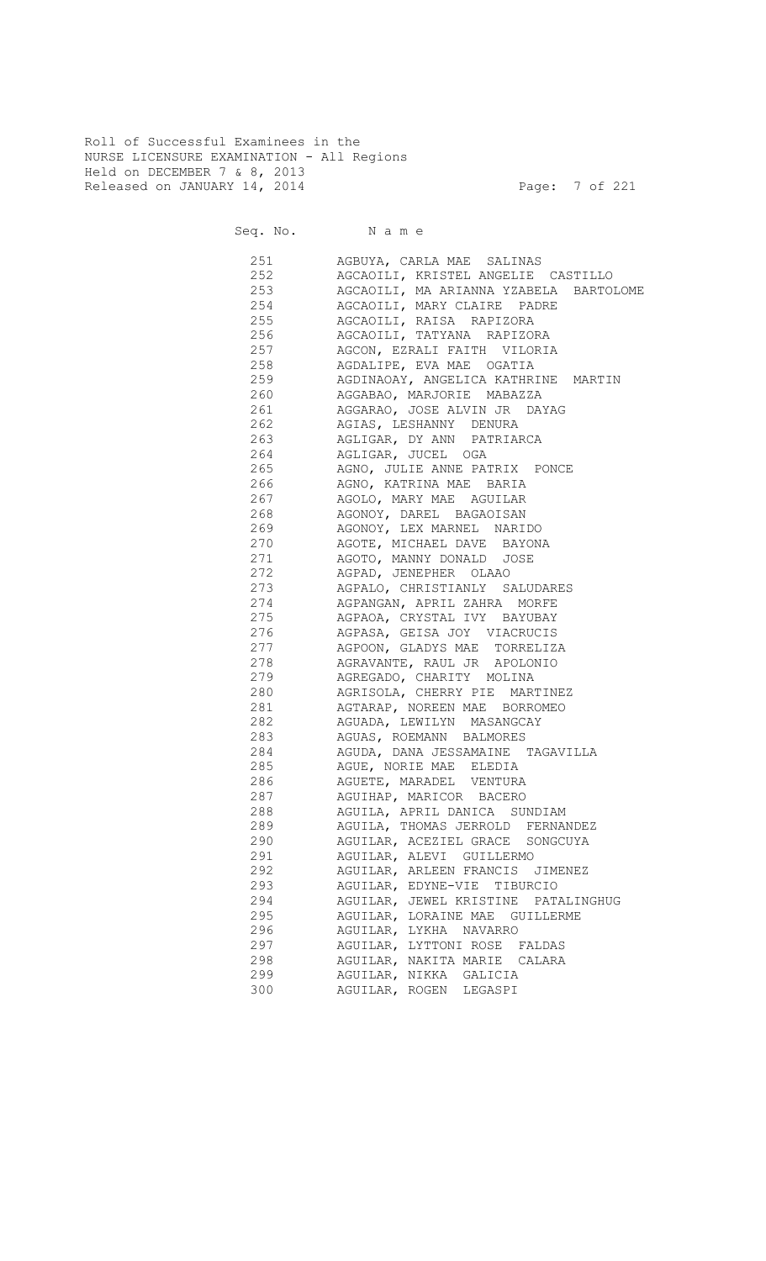Roll of Successful Examinees in the NURSE LICENSURE EXAMINATION - All Regions Held on DECEMBER 7 & 8, 2013 Released on JANUARY 14, 2014 **Page: 7** of 221

| 251 | AGBUYA, CARLA MAE SALINAS              |
|-----|----------------------------------------|
| 252 | AGCAOILI, KRISTEL ANGELIE CASTILLO     |
| 253 | AGCAOILI, MA ARIANNA YZABELA BARTOLOME |
| 254 | AGCAOILI, MARY CLAIRE PADRE            |
| 255 | AGCAOILI, RAISA RAPIZORA               |
| 256 | AGCAOILI, TATYANA RAPIZORA             |
| 257 | AGCON, EZRALI FAITH VILORIA            |
| 258 | AGDALIPE, EVA MAE OGATIA               |
| 259 | AGDINAOAY, ANGELICA KATHRINE MARTIN    |
| 260 | AGGABAO, MARJORIE MABAZZA              |
| 261 | AGGARAO, JOSE ALVIN JR DAYAG           |
| 262 | AGIAS, LESHANNY DENURA                 |
| 263 | AGLIGAR, DY ANN PATRIARCA              |
| 264 | AGLIGAR, JUCEL OGA                     |
| 265 | AGNO, JULIE ANNE PATRIX PONCE          |
| 266 |                                        |
|     | AGNO, KATRINA MAE BARIA                |
| 267 | AGOLO, MARY MAE AGUILAR                |
| 268 | AGONOY, DAREL BAGAOISAN                |
| 269 | AGONOY, LEX MARNEL NARIDO              |
| 270 | AGOTE, MICHAEL DAVE BAYONA             |
| 271 | AGOTO, MANNY DONALD JOSE               |
| 272 | AGPAD, JENEPHER OLAAO                  |
| 273 | AGPALO, CHRISTIANLY SALUDARES          |
| 274 | AGPANGAN, APRIL ZAHRA MORFE            |
| 275 | AGPAOA, CRYSTAL IVY BAYUBAY            |
| 276 | AGPASA, GEISA JOY VIACRUCIS            |
| 277 | AGPOON, GLADYS MAE TORRELIZA           |
| 278 | AGRAVANTE, RAUL JR APOLONIO            |
| 279 | AGREGADO, CHARITY MOLINA               |
| 280 | AGRISOLA, CHERRY PIE MARTINEZ          |
| 281 | AGTARAP, NOREEN MAE BORROMEO           |
| 282 | AGUADA, LEWILYN MASANGCAY              |
| 283 | AGUAS, ROEMANN BALMORES                |
| 284 | AGUDA, DANA JESSAMAINE TAGAVILLA       |
| 285 | AGUE, NORIE MAE ELEDIA                 |
|     | 286 AGUETE, MARADEL VENTURA            |
| 287 | AGUIHAP, MARICOR BACERO                |
| 288 | AGUILA, APRIL DANICA SUNDIAM           |
| 289 | AGUILA, THOMAS JERROLD FERNANDEZ       |
| 290 | AGUILAR, ACEZIEL GRACE SONGCUYA        |
| 291 | AGUILAR, ALEVI GUILLERMO               |
| 292 | AGUILAR, ARLEEN FRANCIS JIMENEZ        |
| 293 | AGUILAR, EDYNE-VIE TIBURCIO            |
| 294 | AGUILAR, JEWEL KRISTINE PATALINGHUG    |
| 295 | AGUILAR, LORAINE MAE GUILLERME         |
| 296 | AGUILAR, LYKHA NAVARRO                 |
| 297 | AGUILAR, LYTTONI ROSE FALDAS           |
| 298 | AGUILAR, NAKITA MARIE CALARA           |
| 299 | AGUILAR, NIKKA GALICIA                 |
| 300 | AGUILAR, ROGEN LEGASPI                 |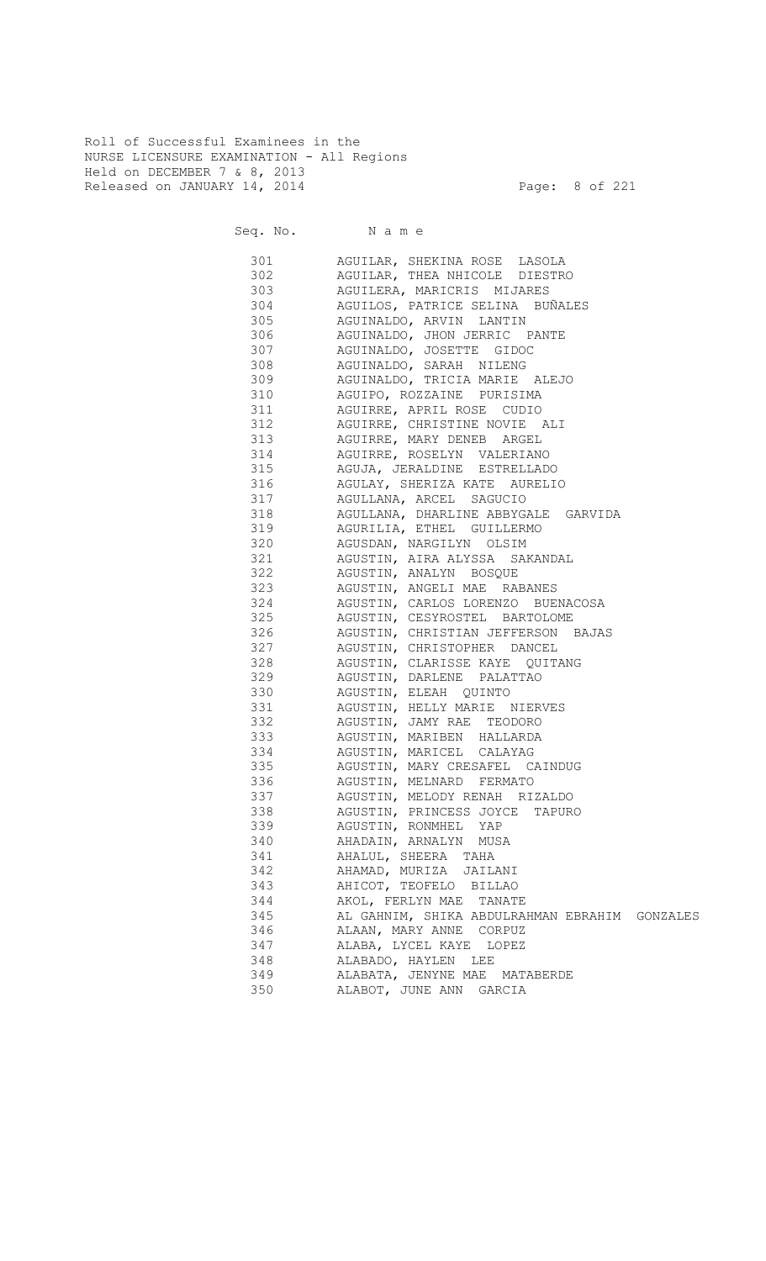Roll of Successful Examinees in the NURSE LICENSURE EXAMINATION - All Regions Held on DECEMBER 7 & 8, 2013 Released on JANUARY 14, 2014 **Page: 8 of 221** 

|     | 301 AGUILAR, SHEKINA ROSE LASOLA              |
|-----|-----------------------------------------------|
|     | 302 AGUILAR, THEA NHICOLE DIESTRO             |
|     | 303 AGUILERA, MARICRIS MIJARES                |
|     | 304 AGUILOS, PATRICE SELINA BUÑALES           |
|     | 305 AGUINALDO, ARVIN LANTIN                   |
|     | 306 AGUINALDO, JHON JERRIC PANTE              |
|     | 307 AGUINALDO, JOSETTE GIDOC                  |
|     | 308 AGUINALDO, SARAH NILENG                   |
|     | 309 AGUINALDO, TRICIA MARIE ALEJO             |
|     | 310 AGUIPO, ROZZAINE PURISIMA                 |
|     | 311 AGUIRRE, APRIL ROSE CUDIO                 |
|     | 312 AGUIRRE, CHRISTINE NOVIE ALI              |
|     | 313 AGUIRRE, MARY DENEB ARGEL                 |
|     | 314 AGUIRRE, ROSELYN VALERIANO                |
|     | 315 AGUJA, JERALDINE ESTRELLADO               |
|     | 316 AGULAY, SHERIZA KATE AURELIO              |
|     | 317 AGULLANA, ARCEL SAGUCIO                   |
|     | 318 AGULLANA, DHARLINE ABBYGALE GARVIDA       |
|     | 319 AGURILIA, ETHEL GUILLERMO                 |
|     | 320 AGUSDAN, NARGILYN OLSIM                   |
|     | 321 AGUSTIN, AIRA ALYSSA SAKANDAL             |
|     | 322 AGUSTIN, ANALYN BOSQUE                    |
|     | 323 AGUSTIN, ANGELI MAE RABANES               |
|     | 324 AGUSTIN, CARLOS LORENZO BUENACOSA         |
|     | 325 AGUSTIN, CESYROSTEL BARTOLOME             |
|     | 326 AGUSTIN, CHRISTIAN JEFFERSON BAJAS        |
|     | 327 AGUSTIN, CHRISTOPHER DANCEL               |
|     | 328 AGUSTIN, CLARISSE KAYE QUITANG            |
| 329 | AGUSTIN, DARLENE PALATTAO                     |
| 330 | AGUSTIN, ELEAH QUINTO                         |
| 331 | AGUSTIN, HELLY MARIE NIERVES                  |
| 332 | AGUSTIN, JAMY RAE TEODORO                     |
| 333 | AGUSTIN, MARIBEN HALLARDA                     |
| 334 | AGUSTIN, MARICEL CALAYAG                      |
| 335 | AGUSTIN, MARY CRESAFEL CAINDUG                |
| 336 | AGUSTIN, MELNARD FERMATO                      |
| 337 | AGUSTIN, MELODY RENAH RIZALDO                 |
| 338 | AGUSTIN, PRINCESS JOYCE<br>TAPURO             |
| 339 | AGUSTIN, RONMHEL YAP                          |
| 340 | AHADAIN, ARNALYN MUSA                         |
| 341 | AHALUL, SHEERA TAHA                           |
| 342 | AHAMAD, MURIZA JAILANI                        |
| 343 | AHICOT, TEOFELO BILLAO                        |
| 344 | AKOL, FERLYN MAE TANATE                       |
| 345 | AL GAHNIM, SHIKA ABDULRAHMAN EBRAHIM GONZALES |
| 346 | ALAAN, MARY ANNE CORPUZ                       |
| 347 | ALABA, LYCEL KAYE LOPEZ                       |
| 348 | ALABADO, HAYLEN LEE                           |
| 349 | ALABATA, JENYNE MAE MATABERDE                 |
| 350 | ALABOT, JUNE ANN GARCIA                       |
|     |                                               |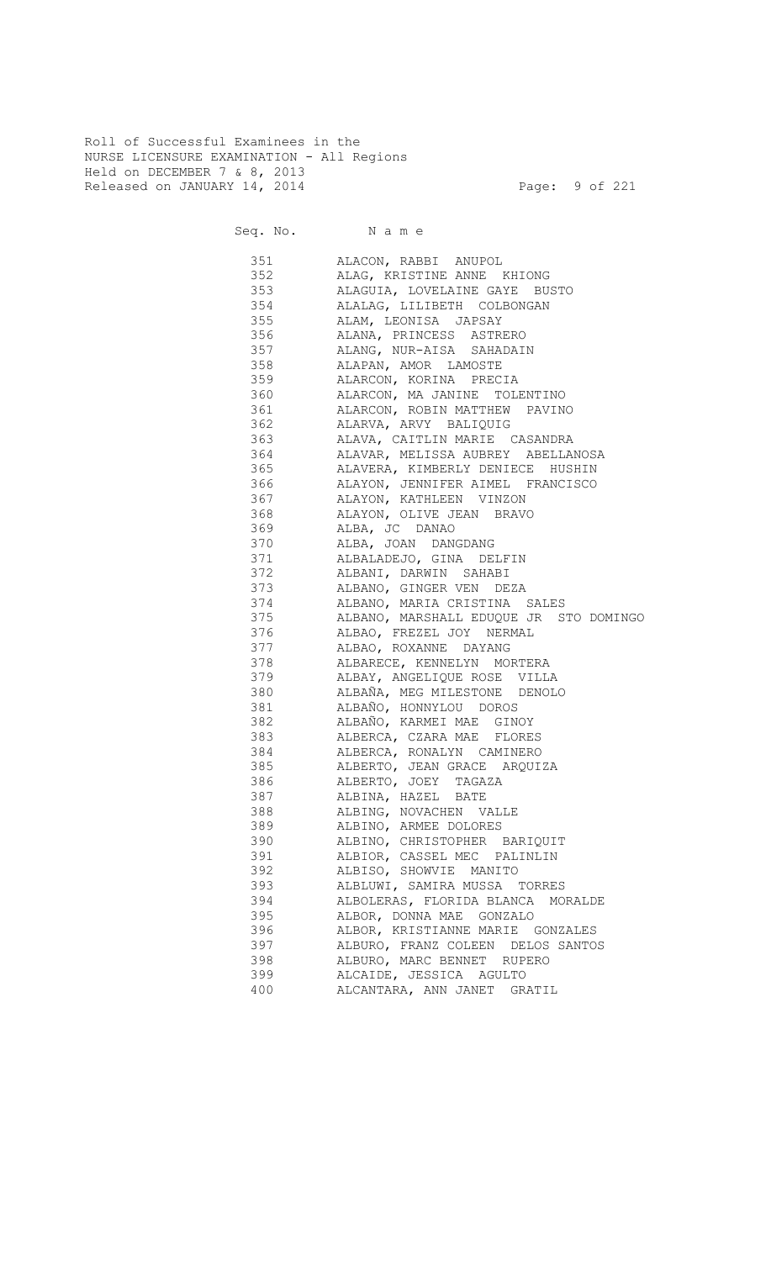Roll of Successful Examinees in the NURSE LICENSURE EXAMINATION - All Regions Held on DECEMBER 7 & 8, 2013 Released on JANUARY 14, 2014 **Page: 9 of 221** 

| 351 | ALACON, RABBI ANUPOL                   |
|-----|----------------------------------------|
| 352 | ALAG, KRISTINE ANNE KHIONG             |
| 353 | ALAGUIA, LOVELAINE GAYE BUSTO          |
| 354 | ALALAG, LILIBETH COLBONGAN             |
| 355 | ALAM, LEONISA JAPSAY                   |
| 356 | ALANA, PRINCESS ASTRERO                |
| 357 | ALANG, NUR-AISA SAHADAIN               |
| 358 | ALAPAN, AMOR LAMOSTE                   |
| 359 | ALARCON, KORINA PRECIA                 |
| 360 | ALARCON, MA JANINE TOLENTINO           |
| 361 | ALARCON, ROBIN MATTHEW PAVINO          |
| 362 | ALARVA, ARVY BALIQUIG                  |
| 363 | ALAVA, CAITLIN MARIE CASANDRA          |
| 364 | ALAVAR, MELISSA AUBREY ABELLANOSA      |
| 365 | ALAVERA, KIMBERLY DENIECE HUSHIN       |
| 366 | ALAYON, JENNIFER AIMEL FRANCISCO       |
| 367 | ALAYON, KATHLEEN VINZON                |
| 368 | ALAYON, OLIVE JEAN BRAVO               |
| 369 | ALBA, JC DANAO                         |
| 370 | ALBA, JOAN DANGDANG                    |
| 371 | ALBALADEJO, GINA DELFIN                |
| 372 | ALBANI, DARWIN SAHABI                  |
| 373 | ALBANO, GINGER VEN DEZA                |
| 374 | ALBANO, MARIA CRISTINA SALES           |
| 375 | ALBANO, MARSHALL EDUQUE JR STO DOMINGO |
| 376 | ALBAO, FREZEL JOY NERMAL               |
| 377 | ALBAO, ROXANNE DAYANG                  |
| 378 | ALBARECE, KENNELYN MORTERA             |
| 379 | ALBAY, ANGELIQUE ROSE VILLA            |
| 380 | ALBAÑA, MEG MILESTONE DENOLO           |
| 381 | ALBAÑO, HONNYLOU DOROS                 |
| 382 | ALBAÑO, KARMEI MAE GINOY               |
| 383 | ALBERCA, CZARA MAE FLORES              |
| 384 | ALBERCA, RONALYN CAMINERO              |
| 385 | ALBERTO, JEAN GRACE ARQUIZA            |
| 386 | ALBERTO, JOEY TAGAZA                   |
| 387 | ALBINA, HAZEL BATE                     |
| 388 | ALBING, NOVACHEN VALLE                 |
| 389 | ALBINO, ARMEE DOLORES                  |
| 390 | ALBINO, CHRISTOPHER BARIQUIT           |
| 391 | ALBIOR, CASSEL MEC PALINLIN            |
| 392 | ALBISO, SHOWVIE MANITO                 |
| 393 | ALBLUWI, SAMIRA MUSSA TORRES           |
| 394 | ALBOLERAS, FLORIDA BLANCA MORALDE      |
| 395 | ALBOR, DONNA MAE GONZALO               |
| 396 | ALBOR, KRISTIANNE MARIE GONZALES       |
| 397 | ALBURO, FRANZ COLEEN DELOS SANTOS      |
| 398 | ALBURO, MARC BENNET RUPERO             |
| 399 |                                        |
|     | ALCAIDE, JESSICA AGULTO                |
| 400 | ALCANTARA, ANN JANET GRATIL            |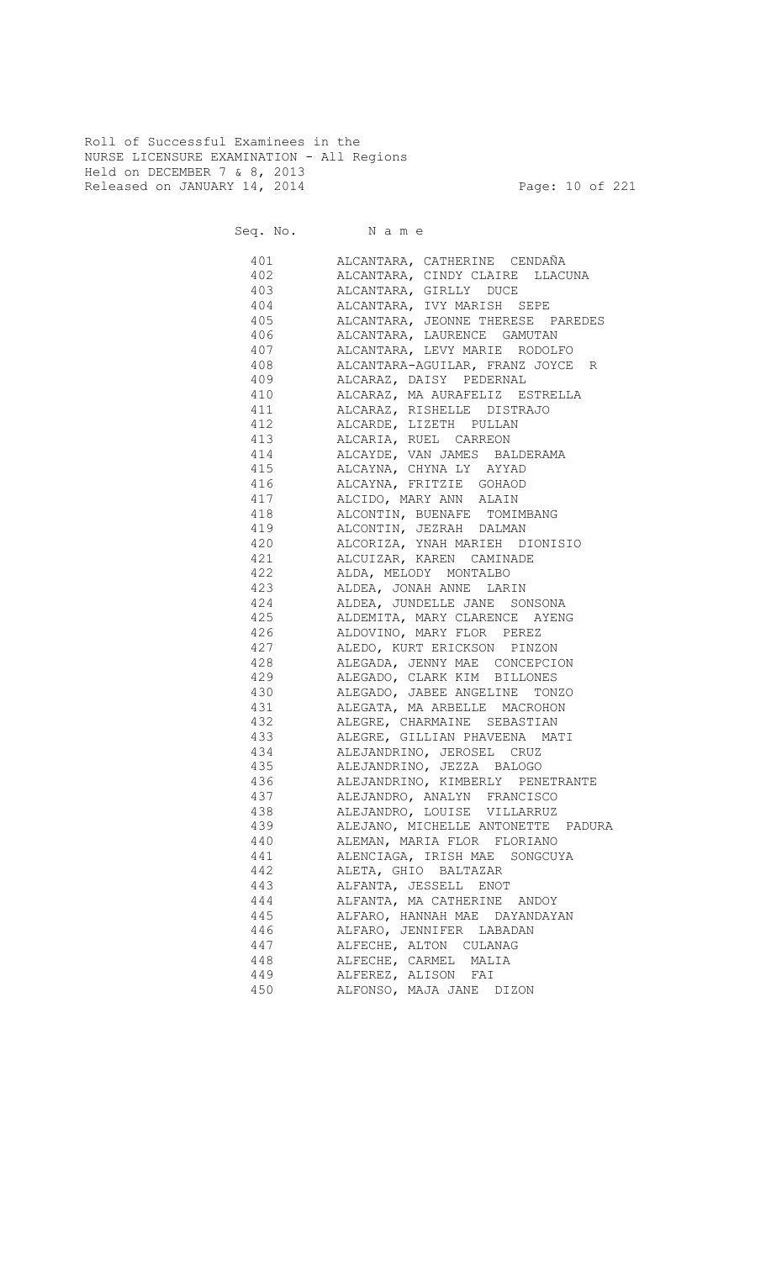Roll of Successful Examinees in the NURSE LICENSURE EXAMINATION - All Regions Held on DECEMBER 7 & 8, 2013 Released on JANUARY 14, 2014 **Page: 10 of 221** 

|     | 401 ALCANTARA, CATHERINE CENDAÑA                        |
|-----|---------------------------------------------------------|
|     | 402 ALCANTARA, CINDY CLAIRE LLACUNA                     |
|     | 403 ALCANTARA, GIRLLY DUCE                              |
|     | 404 ALCANTARA, IVY MARISH SEPE                          |
|     | 405 ALCANTARA, JEONNE THERESE PAREDES                   |
|     | 406 ALCANTARA, LAURENCE GAMUTAN                         |
|     | 407 ALCANTARA, LEVY MARIE RODOLFO                       |
|     | 408 ALCANTARA-AGUILAR, FRANZ JOYCE R                    |
| 409 | ALCARAZ, DAISY PEDERNAL                                 |
|     | 410 ALCARAZ, MA AURAFELIZ ESTRELLA                      |
|     | 411 ALCARAZ, RISHELLE DISTRAJO                          |
|     | 412 ALCARDE, LIZETH PULLAN                              |
|     | 413 ALCARIA, RUEL CARREON                               |
|     | 414 ALCAYDE, VAN JAMES BALDERAMA                        |
|     | 415 ALCAYNA, CHYNA LY AYYAD                             |
| 416 | ALCAYNA, FRITZIE GOHAOD                                 |
| 417 | ALCIDO, MARY ANN ALAIN                                  |
| 418 | ALCONTIN, BUENAFE TOMIMBANG                             |
| 419 | ALCONTIN, JEZRAH DALMAN                                 |
| 420 | ALCORIZA, YNAH MARIEH DIONISIO                          |
| 421 | ALCUIZAR, KAREN CAMINADE                                |
| 422 | ALDA, MELODY MONTALBO                                   |
| 423 |                                                         |
| 424 | ALDEA, JONAH ANNE LARIN<br>ALDEA, JUNDELLE JANE SONSONA |
| 425 | ALDEMITA, MARY CLARENCE AYENG                           |
| 426 | ALDOVINO, MARY FLOR PEREZ                               |
| 427 | ALEDO, KURT ERICKSON PINZON                             |
| 428 | ALEGADA, JENNY MAE CONCEPCION                           |
| 429 | ALEGADO, CLARK KIM BILLONES                             |
| 430 | ALEGADO, JABEE ANGELINE TONZO                           |
| 431 | ALEGATA, MA ARBELLE MACROHON                            |
| 432 | ALEGRE, CHARMAINE SEBASTIAN                             |
| 433 | ALEGRE, GILLIAN PHAVEENA MATI                           |
|     | 434 ALEJANDRINO, JEROSEL CRUZ                           |
|     | 435 ALEJANDRINO, JEZZA BALOGO                           |
|     | 436 ALEJANDRINO, KIMBERLY PENETRANTE                    |
|     | 437 ALEJANDRO, ANALYN FRANCISCO                         |
|     | ALEJANDRO, LOUISE VILLARRUZ                             |
| 438 |                                                         |
| 439 | ALEJANO, MICHELLE ANTONETTE PADURA                      |
| 440 | ALEMAN, MARIA FLOR FLORIANO                             |
| 441 | ALENCIAGA, IRISH MAE SONGCUYA                           |
| 442 | ALETA, GHIO BALTAZAR                                    |
| 443 | ALFANTA, JESSELL ENOT                                   |
| 444 | ALFANTA, MA CATHERINE ANDOY                             |
| 445 | ALFARO, HANNAH MAE DAYANDAYAN                           |
| 446 | ALFARO, JENNIFER LABADAN                                |
| 447 | ALFECHE, ALTON CULANAG                                  |
| 448 | ALFECHE, CARMEL MALIA                                   |
| 449 | ALFEREZ, ALISON FAI                                     |
| 450 | ALFONSO, MAJA JANE<br>DIZON                             |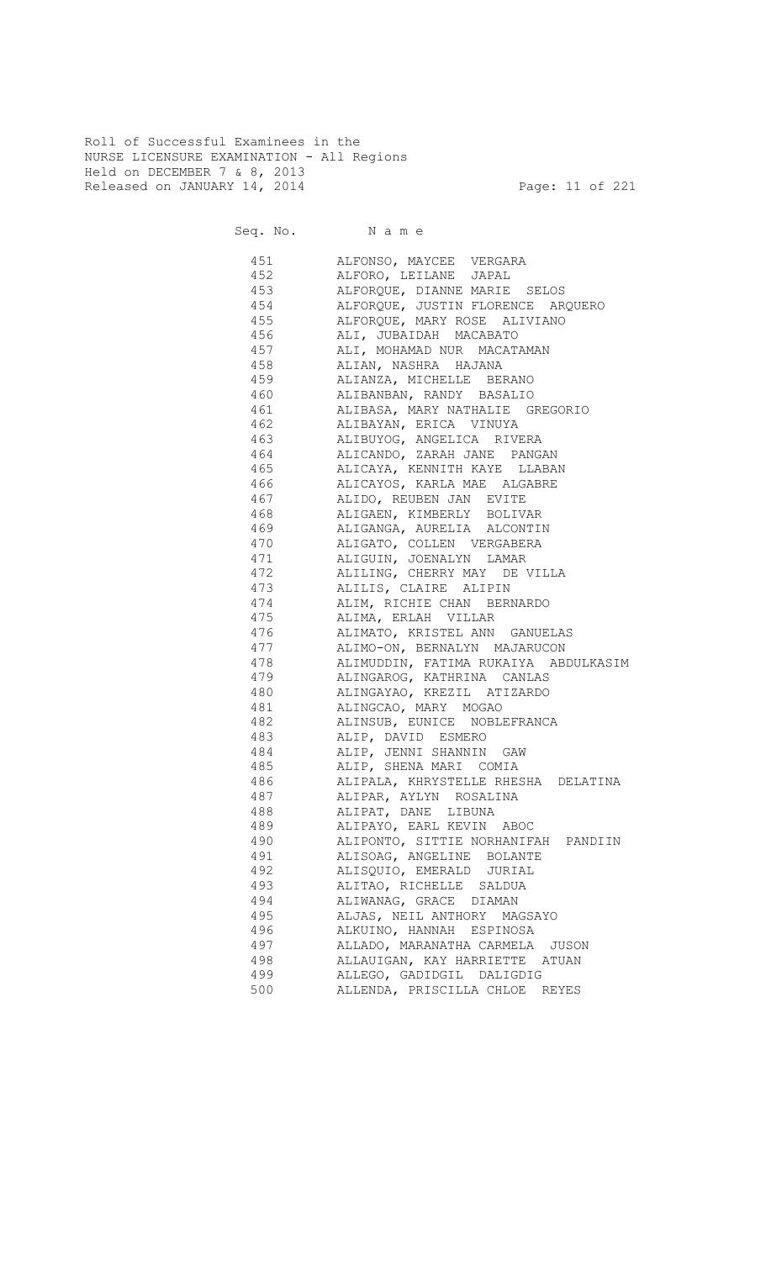Roll of Successful Examinees in the NURSE LICENSURE EXAMINATION - All Regions Held on DECEMBER 7 & 8, 2013 Released on JANUARY 14, 2014 **Page: 11 of 221** 

| 451 | ALFONSO, MAYCEE VERGARA                  |
|-----|------------------------------------------|
| 452 | ALFORO, LEILANE JAPAL                    |
| 453 | ALFORQUE, DIANNE MARIE SELOS             |
| 454 | ALFORQUE, JUSTIN FLORENCE ARQUERO        |
| 455 | ALFORQUE, MARY ROSE ALIVIANO             |
| 456 | ALI, JUBAIDAH MACABATO                   |
| 457 | ALI, MOHAMAD NUR MACATAMAN               |
| 458 | ALIAN, NASHRA HAJANA                     |
| 459 | ALIANZA, MICHELLE BERANO                 |
| 460 | ALIBANBAN, RANDY BASALIO                 |
| 461 | ALIBASA, MARY NATHALIE GREGORIO          |
| 462 | ALIBAYAN, ERICA VINUYA                   |
| 463 | ALIBUYOG, ANGELICA RIVERA                |
| 464 | ALICANDO, ZARAH JANE PANGAN              |
| 465 | ALICAYA, KENNITH KAYE LLABAN             |
|     | 466 ALICAYOS, KARLA MAE ALGABRE          |
|     | 467 ALIDO, REUBEN JAN EVITE              |
|     | 468 ALIGAEN, KIMBERLY BOLIVAR            |
|     | 469 ALIGANGA, AURELIA ALCONTIN           |
|     | 470 ALIGATO, COLLEN VERGABERA            |
|     | 471 ALIGUIN, JOENALYN LAMAR              |
|     | 472 ALILING, CHERRY MAY DE VILLA         |
|     | 473 ALILIS, CLAIRE ALIPIN                |
|     | 474 ALIM, RICHIE CHAN BERNARDO           |
|     | 475 ALIMA, ERLAH VILLAR                  |
|     | 476 ALIMATO, KRISTEL ANN GANUELAS        |
|     | 477 ALIMO-ON, BERNALYN MAJARUCON         |
|     | 478 ALIMUDDIN, FATIMA RUKAIYA ABDULKASIM |
|     | 479 ALINGAROG, KATHRINA CANLAS           |
|     | 480 ALINGAYAO, KREZIL ATIZARDO           |
|     | 481 ALINGCAO, MARY MOGAO                 |
|     |                                          |
|     | 482 ALINSUB, EUNICE NOBLEFRANCA          |
|     | 483 ALIP, DAVID ESMERO                   |
|     | 484 ALIP, JENNI SHANNIN GAW              |
|     | 485 ALIP, SHENA MARI COMIA               |
|     | 486 ALIPALA, KHRYSTELLE RHESHA DELATINA  |
|     | 487 ALIPAR, AYLYN ROSALINA               |
| 488 | ALIPAT, DANE LIBUNA                      |
| 489 | ALIPAYO, EARL KEVIN ABOC                 |
| 490 | ALIPONTO, SITTIE NORHANIFAH PANDIIN      |
| 491 | ALISOAG, ANGELINE BOLANTE                |
| 492 | ALISQUIO, EMERALD JURIAL                 |
| 493 | ALITAO, RICHELLE SALDUA                  |
| 494 | ALIWANAG, GRACE DIAMAN                   |
| 495 | ALJAS, NEIL ANTHORY MAGSAYO              |
| 496 | ALKUINO, HANNAH ESPINOSA                 |
| 497 | ALLADO, MARANATHA CARMELA<br>JUSON       |
| 498 | ALLAUIGAN, KAY HARRIETTE ATUAN           |
| 499 | ALLEGO, GADIDGIL DALIGDIG                |
| 500 | ALLENDA, PRISCILLA CHLOE REYES           |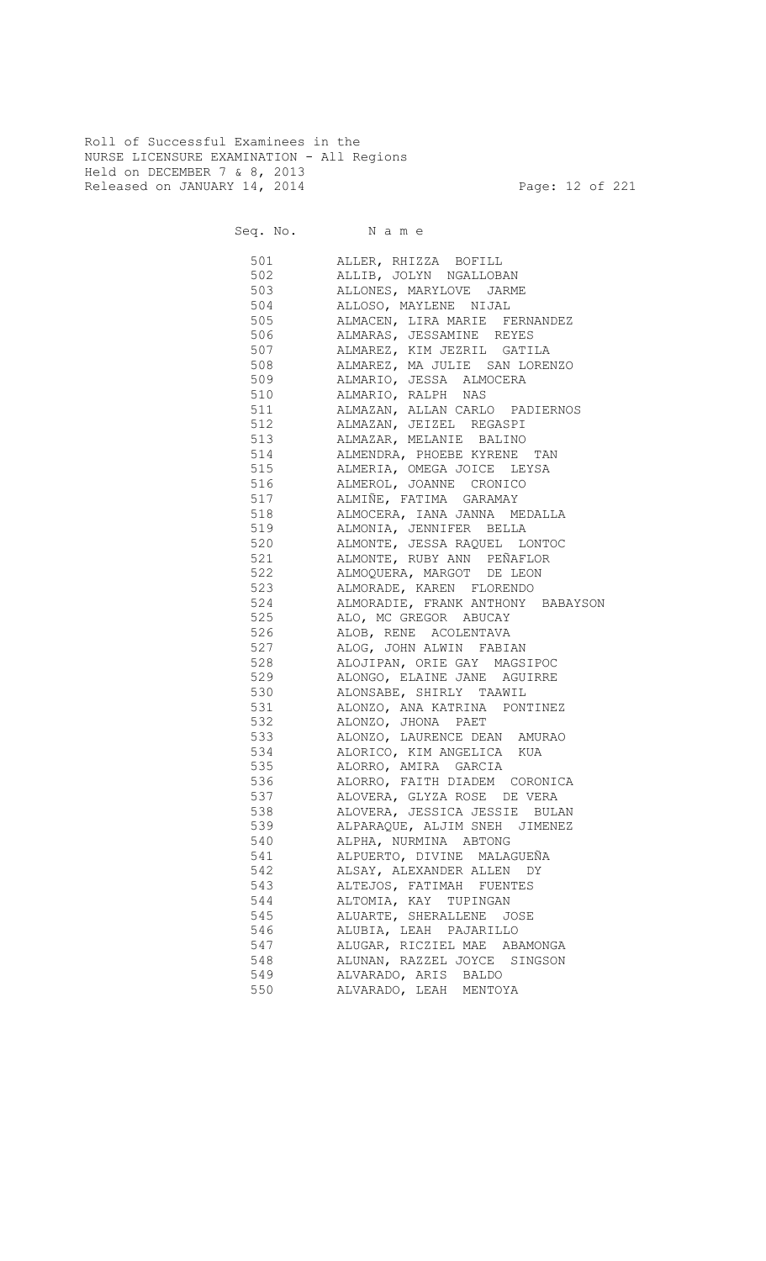Roll of Successful Examinees in the NURSE LICENSURE EXAMINATION - All Regions Held on DECEMBER 7 & 8, 2013 Released on JANUARY 14, 2014 **Page: 12 of 221** 

550 ALVARADO, LEAH MENTOYA

|          | Seq. No. Name                     |
|----------|-----------------------------------|
| 501      | ALLER, RHIZZA BOFILL              |
| 502      | ALLIB, JOLYN NGALLOBAN            |
| 503      | ALLONES, MARYLOVE JARME           |
| 504      | ALLOSO, MAYLENE NIJAL             |
| 505      | ALMACEN, LIRA MARIE FERNANDEZ     |
| 506      | ALMARAS, JESSAMINE REYES          |
| 507      | ALMAREZ, KIM JEZRIL GATILA        |
| 508      | ALMAREZ, MA JULIE SAN LORENZO     |
| 509      | ALMARIO, JESSA ALMOCERA           |
| 510      | ALMARIO, RALPH NAS                |
| 511      |                                   |
| 512      | ALMAZAN, ALLAN CARLO PADIERNOS    |
| 513      | ALMAZAN, JEIZEL REGASPI           |
|          | ALMAZAR, MELANIE BALINO           |
| 514      | ALMENDRA, PHOEBE KYRENE TAN       |
| 515      | ALMERIA, OMEGA JOICE LEYSA        |
| 516 7    | ALMEROL, JOANNE CRONICO           |
| 517      | ALMIÑE, FATIMA GARAMAY            |
| 518 — 10 | ALMOCERA, IANA JANNA MEDALLA      |
| 519      | ALMONIA, JENNIFER BELLA           |
| 520 320  | ALMONTE, JESSA RAQUEL LONTOC      |
| 521 72   | ALMONTE, RUBY ANN PEÑAFLOR        |
| 522      | ALMOQUERA, MARGOT DE LEON         |
| 523      | ALMORADE, KAREN FLORENDO          |
| 524      | ALMORADIE, FRANK ANTHONY BABAYSON |
| 525      | ALO, MC GREGOR ABUCAY             |
| 526      | ALOB, RENE ACOLENTAVA             |
| 527      | ALOG, JOHN ALWIN FABIAN           |
| 528      | ALOJIPAN, ORIE GAY MAGSIPOC       |
| 529      | ALONGO, ELAINE JANE AGUIRRE       |
| 530      | ALONSABE, SHIRLY TAAWIL           |
| 531      | ALONZO, ANA KATRINA PONTINEZ      |
| 532      | ALONZO, JHONA PAET                |
| 533      | ALONZO, LAURENCE DEAN AMURAO      |
| 534      | ALORICO, KIM ANGELICA KUA         |
| 535      | ALORRO, AMIRA<br>GARCIA           |
| 536      | ALORRO, FAITH DIADEM CORONICA     |
| 537      | ALOVERA, GLYZA ROSE DE VERA       |
| 538      | ALOVERA, JESSICA JESSIE BULAN     |
| 539      | ALPARAQUE, ALJIM SNEH JIMENEZ     |
| 540      | ALPHA, NURMINA ABTONG             |
| 541      | ALPUERTO, DIVINE MALAGUEÑA        |
| 542      | ALSAY, ALEXANDER ALLEN DY         |
| 543      |                                   |
|          | ALTEJOS, FATIMAH FUENTES          |
| 544      | ALTOMIA, KAY TUPINGAN             |
| 545      | ALUARTE, SHERALLENE JOSE          |
| 546      | ALUBIA, LEAH PAJARILLO            |
| 547      | ALUGAR, RICZIEL MAE ABAMONGA      |
| 548      | ALUNAN, RAZZEL JOYCE SINGSON      |
| 549      | ALVARADO, ARIS BALDO              |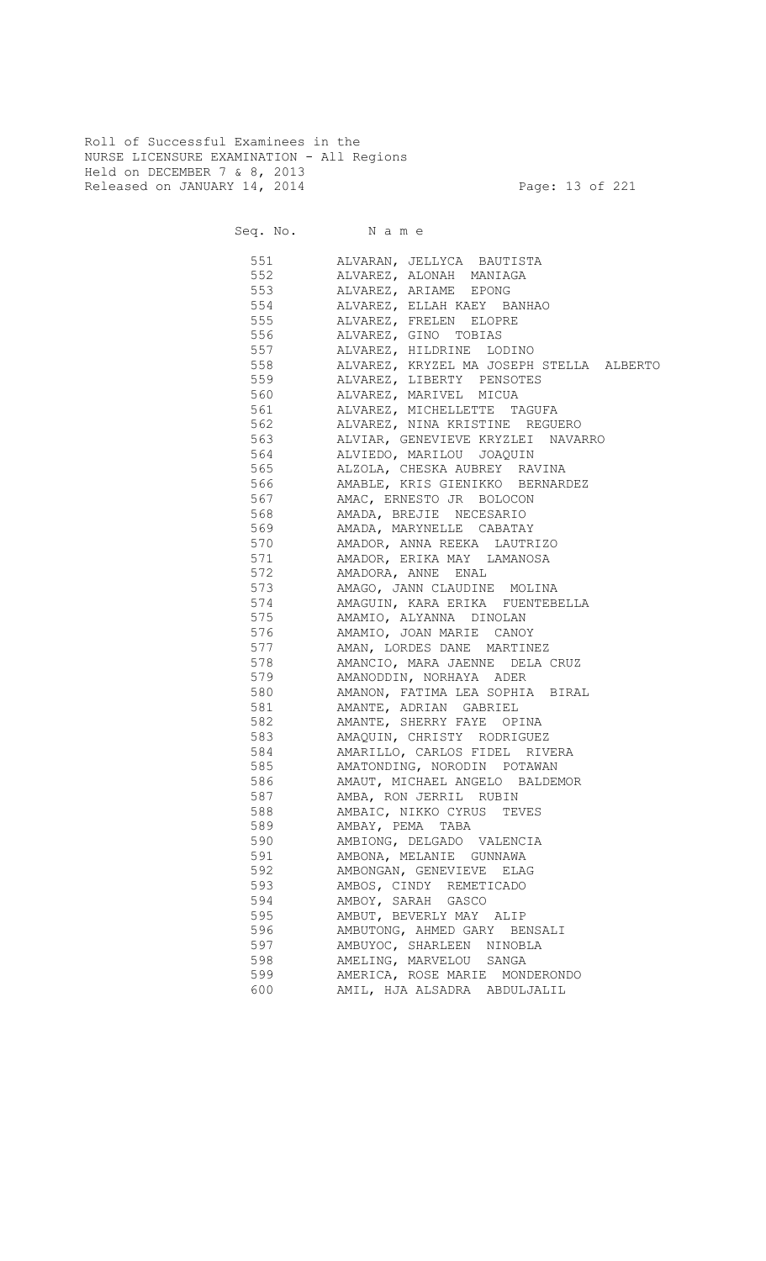Roll of Successful Examinees in the NURSE LICENSURE EXAMINATION - All Regions Held on DECEMBER 7 & 8, 2013 Released on JANUARY 14, 2014 **Page: 13 of 221** 

551 ALVARAN, JELLYCA BAUTISTA 552 ALVAREZ, ALONAH MANIAGA

| ししム | ADVARDA, ADVIVAII PIANIAGA                   |
|-----|----------------------------------------------|
| 553 | ALVAREZ, ARIAME EPONG                        |
| 554 | ALVAREZ, ELLAH KAEY BANHAO                   |
| 555 | ALVAREZ, FRELEN ELOPRE                       |
|     | 556 ALVAREZ, GINO TOBIAS                     |
|     | 557 ALVAREZ, HILDRINE LODINO                 |
|     | 558 ALVAREZ, KRYZEL MA JOSEPH STELLA ALBERTO |
|     | 559 ALVAREZ, LIBERTY PENSOTES                |
|     | 560 ALVAREZ, MARIVEL MICUA                   |
|     | 561 ALVAREZ, MICHELLETTE TAGUFA              |
|     | 562 ALVAREZ, NINA KRISTINE REGUERO           |
|     | 563 ALVIAR, GENEVIEVE KRYZLEI NAVARRO        |
|     | 564 ALVIEDO, MARILOU JOAQUIN                 |
|     | 565 ALZOLA, CHESKA AUBREY RAVINA             |
|     | 566 AMABLE, KRIS GIENIKKO BERNARDEZ          |
|     | 567 AMAC, ERNESTO JR BOLOCON                 |
|     | 568 AMADA, BREJIE NECESARIO                  |
|     | 569 MAADA, MARYNELLE CABATAY                 |
|     | 570 AMADOR, ANNA REEKA LAUTRIZO              |
|     | 571 MAMADOR, ERIKA MAY LAMANOSA              |
|     | 572 AMADORA, ANNE ENAL                       |
|     | 573 AMAGO, JANN CLAUDINE MOLINA              |
|     | 574 MAGUIN, KARA ERIKA FUENTEBELLA           |
|     | 575 AMAMIO, ALYANNA DINOLAN                  |
|     | 576 AMAMIO, JOAN MARIE CANOY                 |
|     | 577 MAMAN, LORDES DANE MARTINEZ              |
|     | 578 MAMANCIO, MARA JAENNE DELA CRUZ          |
|     | 579 MMANODDIN, NORHAYA ADER                  |
|     | 580 AMANON, FATIMA LEA SOPHIA BIRAL          |
|     | 581 AMANTE, ADRIAN GABRIEL                   |
|     | 582 AMANTE, SHERRY FAYE OPINA                |
|     | 583 AMAQUIN, CHRISTY RODRIGUEZ               |
|     | 584 AMARILLO, CARLOS FIDEL RIVERA            |
|     | 585 AMATONDING, NORODIN POTAWAN              |
|     | 586 MMAUT, MICHAEL ANGELO BALDEMOR           |
|     | 587 AMBA, RON JERRIL RUBIN                   |
| 588 | AMBAIC, NIKKO CYRUS TEVES                    |
| 589 | AMBAY, PEMA TABA                             |
| 590 | AMBIONG, DELGADO VALENCIA                    |
| 591 | AMBONA, MELANIE GUNNAWA                      |
| 592 | AMBONGAN, GENEVIEVE ELAG                     |
| 593 | AMBOS, CINDY REMETICADO                      |
| 594 | AMBOY, SARAH GASCO                           |
| 595 | AMBUT, BEVERLY MAY ALIP                      |
| 596 | AMBUTONG, AHMED GARY BENSALI                 |
| 597 | AMBUYOC, SHARLEEN NINOBLA                    |
| 598 | AMELING, MARVELOU<br>SANGA                   |
| 599 | AMERICA, ROSE MARIE MONDERONDO               |
| 600 | AMIL, HJA ALSADRA ABDULJALIL                 |
|     |                                              |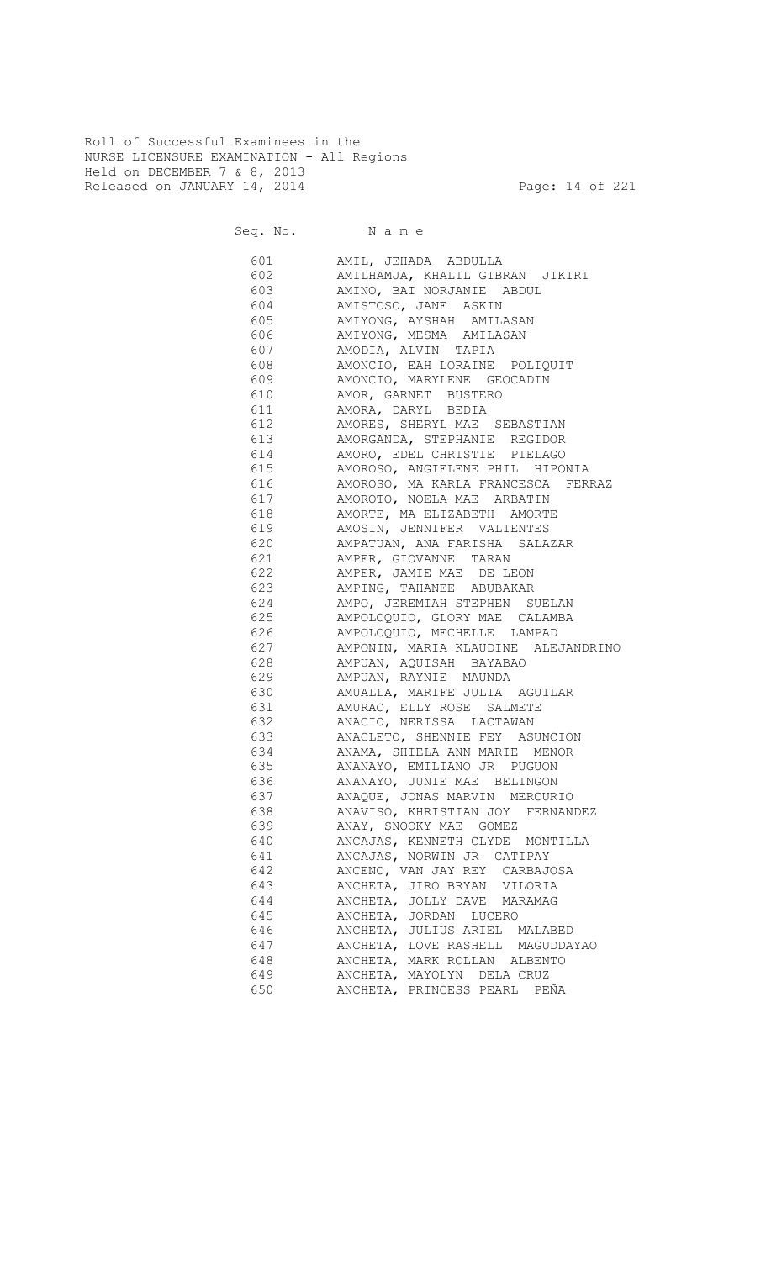Roll of Successful Examinees in the NURSE LICENSURE EXAMINATION - All Regions Held on DECEMBER 7 & 8, 2013 Released on JANUARY 14, 2014 **Page: 14 of 221** 

Seq. No. Name

 601 AMIL, JEHADA ABDULLA 602 AMILHAMJA, KHALIL GIBRAN JIKIRI 603 AMINO, BAI NORJANIE ABDUL 604 AMISTOSO, JANE ASKIN 605 AMIYONG, AYSHAH AMILASAN 606 AMIYONG, MESMA AMILASAN 607 AMODIA, ALVIN TAPIA 608 AMONCIO, EAH LORAINE POLIQUIT ENDED AMONCIO, MARYLENE GEOCADIN 610 AMOR, GARNET BUSTERO 611 AMORA, DARYL BEDIA 612 AMORES, SHERYL MAE SEBASTIAN 613 AMORGANDA, STEPHANIE REGIDOR 614 AMORO, EDEL CHRISTIE PIELAGO 615 AMOROSO, ANGIELENE PHIL HIPONIA 616 AMOROSO, MA KARLA FRANCESCA FERRAZ 617 AMOROTO, NOELA MAE ARBATIN 618 AMORTE, MA ELIZABETH AMORTE 619 AMOSIN, JENNIFER VALIENTES 620 AMPATUAN, ANA FARISHA SALAZAR 621 AMPER, GIOVANNE TARAN 622 AMPER, JAMIE MAE DE LEON 623 AMPING, TAHANEE ABUBAKAR<br>624 AMPO, JEREMIAH STEPHEN SI 624 AMPO, JEREMIAH STEPHEN SUELAN<br>625 AMPOLOQUIO, GLORY MAE CALAMBA AMPOLOQUIO, GLORY MAE CALAMBA 626 AMPOLOQUIO, MECHELLE LAMPAD 627 AMPONIN, MARIA KLAUDINE ALEJANDRINO 628 AMPUAN, AQUISAH BAYABAO 629 AMPUAN, RAYNIE MAUNDA 630 AMUALLA, MARIFE JULIA AGUILAR 631 AMURAO, ELLY ROSE SALMETE 632 ANACIO, NERISSA LACTAWAN ANACLETO, SHENNIE FEY ASUNCION 634 ANAMA, SHIELA ANN MARIE MENOR 635 ANANAYO, EMILIANO JR PUGUON 636 ANANAYO, JUNIE MAE BELINGON 637 ANAQUE, JONAS MARVIN MERCURIO 638 ANAVISO, KHRISTIAN JOY FERNANDEZ 639 ANAY, SNOOKY MAE GOMEZ 640 ANCAJAS, KENNETH CLYDE MONTILLA 641 ANCAJAS, NORWIN JR CATIPAY 642 ANCENO, VAN JAY REY CARBAJOSA 643 ANCHETA, JIRO BRYAN VILORIA 644 ANCHETA, JOLLY DAVE MARAMAG 645 ANCHETA, JORDAN LUCERO 646 ANCHETA, JULIUS ARIEL MALABED 647 ANCHETA, LOVE RASHELL MAGUDDAYAO 648 ANCHETA, MARK ROLLAN ALBENTO 649 ANCHETA, MAYOLYN DELA CRUZ 650 ANCHETA, PRINCESS PEARL PEÑA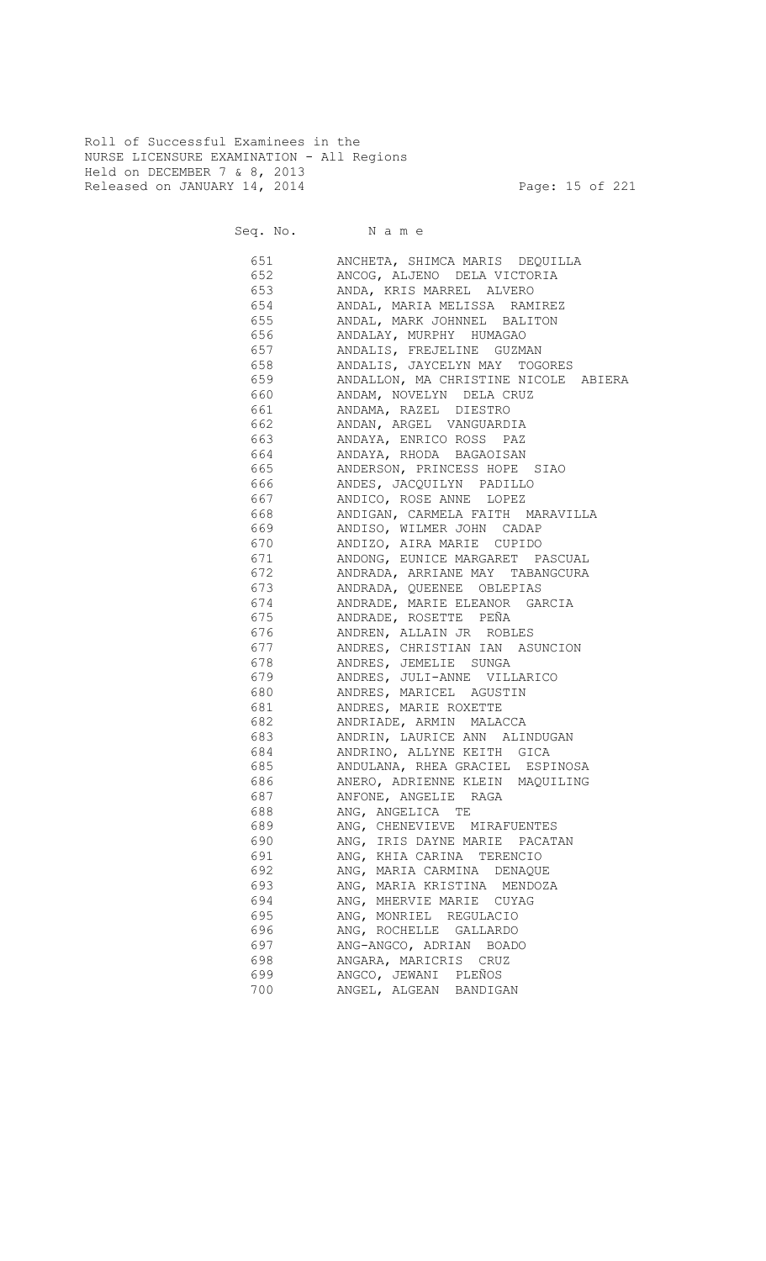Roll of Successful Examinees in the NURSE LICENSURE EXAMINATION - All Regions Held on DECEMBER 7 & 8, 2013 Released on JANUARY 14, 2014 **Page: 15 of 221** 

Seq. No. Name

 651 ANCHETA, SHIMCA MARIS DEQUILLA 652 ANCOG, ALJENO DELA VICTORIA 653 ANDA, KRIS MARREL ALVERO 654 ANDAL, MARIA MELISSA RAMIREZ 655 ANDAL, MARK JOHNNEL BALITON 656 ANDALAY, MURPHY HUMAGAO 657 ANDALIS, FREJELINE GUZMAN 658 ANDALIS, JAYCELYN MAY TOGORES 659 ANDALLON, MA CHRISTINE NICOLE ABIERA 660 ANDAM, NOVELYN DELA CRUZ 661 ANDAMA, RAZEL DIESTRO 662 ANDAN, ARGEL VANGUARDIA 663 ANDAYA, ENRICO ROSS PAZ 664 ANDAYA, RHODA BAGAOISAN 665 ANDERSON, PRINCESS HOPE SIAO 666 ANDES, JACQUILYN PADILLO 667 ANDICO, ROSE ANNE LOPEZ 668 ANDIGAN, CARMELA FAITH MARAVILLA 669 ANDISO, WILMER JOHN CADAP 670 ANDIZO, AIRA MARIE CUPIDO 671 ANDONG, EUNICE MARGARET PASCUAL 672 ANDRADA, ARRIANE MAY TABANGCURA 673 ANDRADA, QUEENEE OBLEPIAS 674 ANDRADE, MARIE ELEANOR GARCIA 675 ANDRADE, ROSETTE PEÑA 676 ANDREN, ALLAIN JR ROBLES 677 ANDRES, CHRISTIAN IAN ASUNCION 678 ANDRES, JEMELIE SUNGA 679 ANDRES, JULI-ANNE VILLARICO 680 ANDRES, MARICEL AGUSTIN 681 ANDRES, MARIE ROXETTE 682 ANDRIADE, ARMIN MALACCA 683 ANDRIN, LAURICE ANN ALINDUGAN 684 ANDRINO, ALLYNE KEITH GICA 685 ANDULANA, RHEA GRACIEL ESPINOSA 686 ANERO, ADRIENNE KLEIN MAQUILING 687 ANFONE, ANGELIE RAGA 688 ANG, ANGELICA TE 689 ANG, CHENEVIEVE MIRAFUENTES 690 ANG, IRIS DAYNE MARIE PACATAN 691 ANG, KHIA CARINA TERENCIO 692 ANG, MARIA CARMINA DENAQUE 693 ANG, MARIA KRISTINA MENDOZA 694 ANG, MHERVIE MARIE CUYAG 695 ANG, MONRIEL REGULACIO 696 ANG, ROCHELLE GALLARDO 697 ANG-ANGCO, ADRIAN BOADO 698 ANGARA, MARICRIS CRUZ 699 ANGCO, JEWANI PLEÑOS 700 ANGEL, ALGEAN BANDIGAN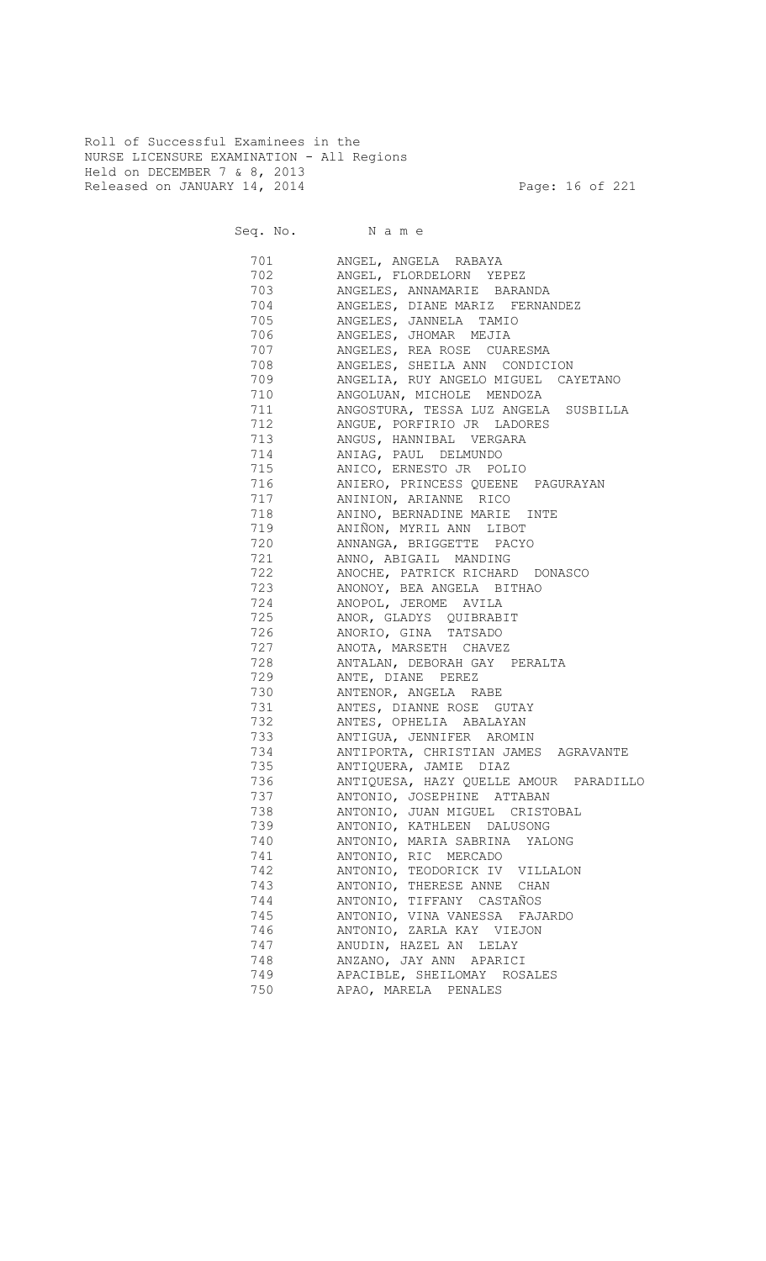Roll of Successful Examinees in the NURSE LICENSURE EXAMINATION - All Regions Held on DECEMBER 7 & 8, 2013 Released on JANUARY 14, 2014 **Page: 16 of 221** 

Seq. No. Name

 701 ANGEL, ANGELA RABAYA 702 ANGEL, FLORDELORN YEPEZ 703 ANGELES, ANNAMARIE BARANDA 704 ANGELES, DIANE MARIZ FERNANDEZ 705 ANGELES, JANNELA TAMIO 706 ANGELES, JHOMAR MEJIA 707 ANGELES, REA ROSE CUARESMA 708 ANGELES, SHEILA ANN CONDICION 709 ANGELIA, RUY ANGELO MIGUEL CAYETANO 710 ANGOLUAN, MICHOLE MENDOZA<br>711 ANGOSTURA, TESSA LUZ ANGELZ ANGOSTURA, TESSA LUZ ANGELA SUSBILLA 712 ANGUE, PORFIRIO JR LADORES<br>713 ANGUS, HANNIBAL VERGARA ANGUS, HANNIBAL VERGARA 714 ANIAG, PAUL DELMUNDO 715 ANICO, ERNESTO JR POLIO 716 ANIERO, PRINCESS QUEENE PAGURAYAN 717 ANINION, ARIANNE RICO ANINO, BERNADINE MARIE INTE 719 ANIÑON, MYRIL ANN LIBOT 720 ANNANGA, BRIGGETTE PACYO 721 ANNO, ABIGAIL MANDING 722 ANOCHE, PATRICK RICHARD DONASCO 723 ANONOY, BEA ANGELA BITHAO 724 ANOPOL, JEROME AVILA<br>725 ANOR, GLADYS QUIBRAB ANOR, GLADYS QUIBRABIT 726 ANORIO, GINA TATSADO 727 ANOTA, MARSETH CHAVEZ 728 ANTALAN, DEBORAH GAY PERALTA 729 ANTE, DIANE PEREZ 730 ANTENOR, ANGELA RABE 731 ANTES, DIANNE ROSE GUTAY 732 ANTES, OPHELIA ABALAYAN 733 ANTIGUA, JENNIFER AROMIN 734 ANTIPORTA, CHRISTIAN JAMES AGRAVANTE 735 ANTIQUERA, JAMIE DIAZ 736 ANTIQUESA, HAZY QUELLE AMOUR PARADILLO 737 ANTONIO, JOSEPHINE ATTABAN ANTONIO, JUAN MIGUEL CRISTOBAL 739 ANTONIO, KATHLEEN DALUSONG 740 ANTONIO, MARIA SABRINA YALONG 741 ANTONIO, RIC MERCADO 742 ANTONIO, TEODORICK IV VILLALON 743 ANTONIO, THERESE ANNE CHAN 744 ANTONIO, TIFFANY CASTAÑOS 745 ANTONIO, VINA VANESSA FAJARDO 746 ANTONIO, ZARLA KAY VIEJON 747 ANUDIN, HAZEL AN LELAY ANZANO, JAY ANN APARICI 749 APACIBLE, SHEILOMAY ROSALES 750 APAO, MARELA PENALES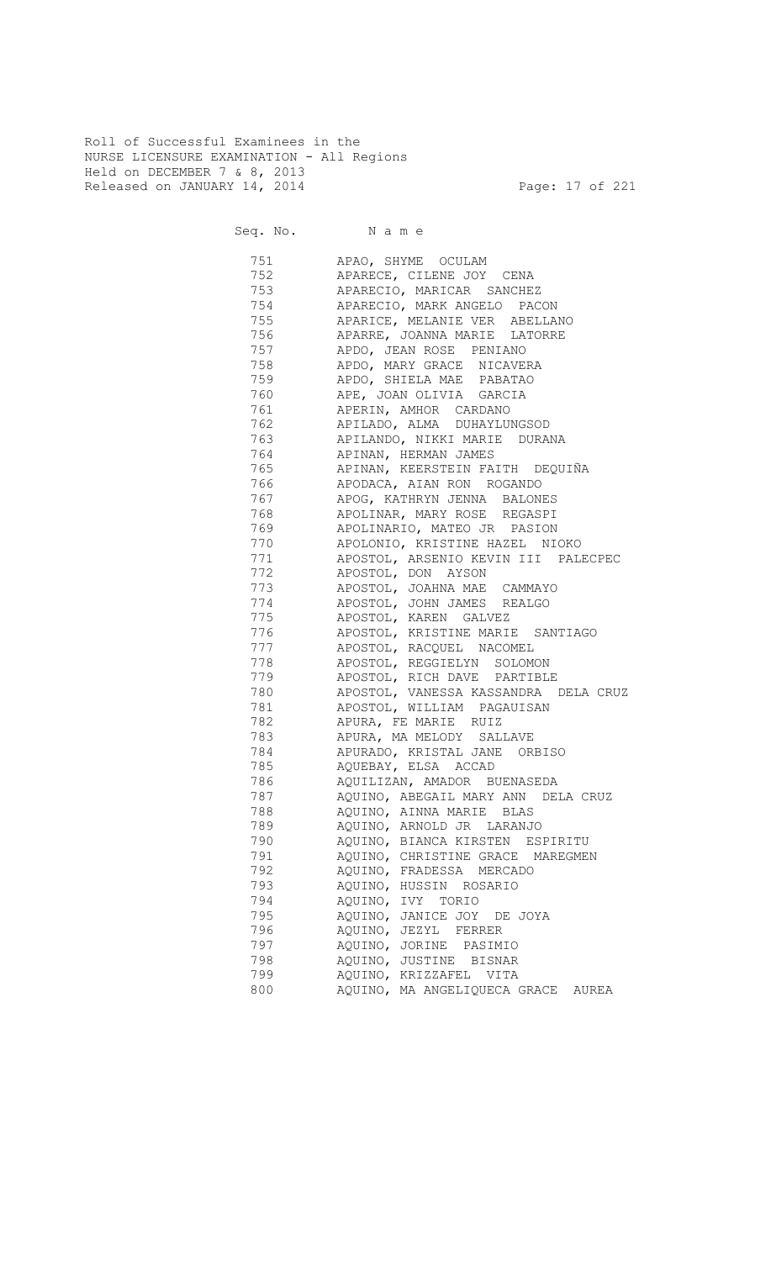Roll of Successful Examinees in the NURSE LICENSURE EXAMINATION - All Regions Held on DECEMBER 7 & 8, 2013 Released on JANUARY 14, 2014 **Page: 17 of 221** 

Seq. No. Name

751 APAO, SHYME OCULAM<br>752 APARECE, CILENE JOY APARECE, CILENE JOY CENA 753 APARECIO, MARICAR SANCHEZ 754 APARECIO, MARK ANGELO PACON APARICE, MELANIE VER ABELLANO<br>PARICE, MELANIE VER ABELLANO 756 APARRE, JOANNA MARIE LATORRE 757 APDO, JEAN ROSE PENIANO 758 APDO, MARY GRACE NICAVERA 759 APDO, SHIELA MAE PABATAO 760 APE, JOAN OLIVIA GARCIA 761 APERIN, AMHOR CARDANO 762 APILADO, ALMA DUHAYLUNGSOD 763 APILANDO, NIKKI MARIE DURANA 764 APINAN, HERMAN JAMES 765 APINAN, KEERSTEIN FAITH DEQUIÑA 766 APODACA, AIAN RON ROGANDO 767 APOG, KATHRYN JENNA BALONES APOLINAR, MARY ROSE REGASPI 769 APOLINARIO, MATEO JR PASION APOLONIO, KRISTINE HAZEL NIOKO 771 APOSTOL, ARSENIO KEVIN III PALECPEC APOSTOL, DON AYSON 773 APOSTOL, JOAHNA MAE CAMMAYO THE STATE AREA AROSTOL, JOHN JAMES REALGO APOSTOL, KAREN GALVEZ 776 APOSTOL, KRISTINE MARIE SANTIAGO 777 APOSTOL, RACQUEL NACOMEL 778 APOSTOL, REGGIELYN SOLOMON 779 APOSTOL, RICH DAVE PARTIBLE 780 APOSTOL, VANESSA KASSANDRA DELA CRUZ 781 APOSTOL, WILLIAM PAGAUISAN 782 APURA, FE MARIE RUIZ APURA, MA MELODY SALLAVE 784 APURADO, KRISTAL JANE ORBISO 785 AQUEBAY, ELSA ACCAD 786 AQUILIZAN, AMADOR BUENASEDA 787 AQUINO, ABEGAIL MARY ANN DELA CRUZ<br>788 AQUINO, AINNA MARIE BLAS AQUINO, AINNA MARIE BLAS 789 AQUINO, ARNOLD JR LARANJO 790 AQUINO, BIANCA KIRSTEN ESPIRITU 791 AQUINO, CHRISTINE GRACE MAREGMEN 792 AQUINO, FRADESSA MERCADO 793 AQUINO, HUSSIN ROSARIO 794 AQUINO, IVY TORIO 795 AQUINO, JANICE JOY DE JOYA AQUINO, JEZYL FERRER 797 AQUINO, JORINE PASIMIO 798 AQUINO, JUSTINE BISNAR 799 AQUINO, KRIZZAFEL VITA 800 AQUINO, MA ANGELIQUECA GRACE AUREA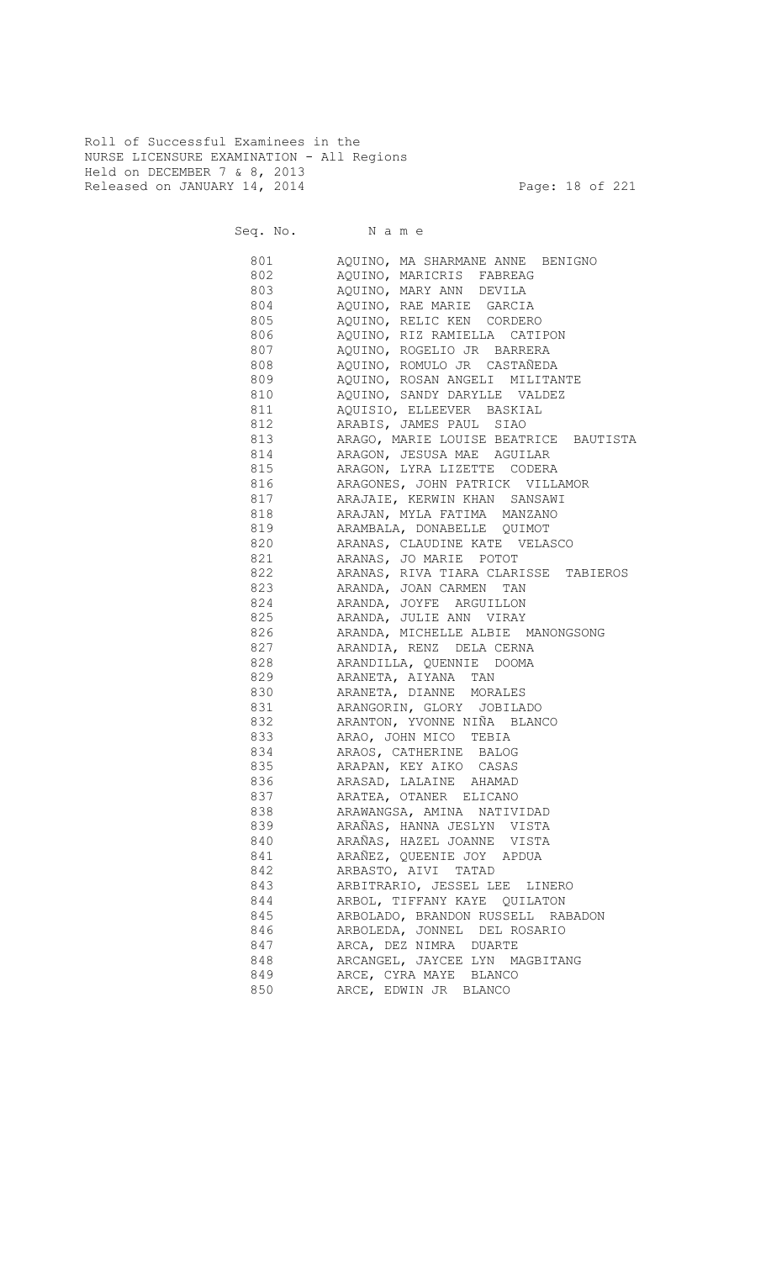Roll of Successful Examinees in the NURSE LICENSURE EXAMINATION - All Regions Held on DECEMBER 7 & 8, 2013 Released on JANUARY 14, 2014 **Page: 18 of 221** 

Seq. No. Name

 801 AQUINO, MA SHARMANE ANNE BENIGNO 802 AQUINO, MARICRIS FABREAG 803 AQUINO, MARY ANN DEVILA 804 AQUINO, RAE MARIE GARCIA 805 AQUINO, RELIC KEN CORDERO 806 AQUINO, RIZ RAMIELLA CATIPON 807 AQUINO, ROGELIO JR BARRERA 808 AQUINO, ROMULO JR CASTAÑEDA 809 AQUINO, ROSAN ANGELI MILITANTE 810 AQUINO, SANDY DARYLLE VALDEZ 811 AQUISIO, ELLEEVER BASKIAL 812 ARABIS, JAMES PAUL SIAO 813 ARAGO, MARIE LOUISE BEATRICE BAUTISTA 814 **ARAGON, JESUSA MAE AGUILAR** 815 ARAGON, LYRA LIZETTE CODERA 816 ARAGONES, JOHN PATRICK VILLAMOR 817 ARAJAIE, KERWIN KHAN SANSAWI 818 ARAJAN, MYLA FATIMA MANZANO 819 ARAMBALA, DONABELLE QUIMOT ARANAS, CLAUDINE KATE VELASCO 821 ARANAS, JO MARIE POTOT 822 ARANAS, RIVA TIARA CLARISSE TABIEROS 823 ARANDA, JOAN CARMEN TAN 824 ARANDA, JOYFE ARGUILLON 825 ARANDA, JULIE ANN VIRAY 826 ARANDA, MICHELLE ALBIE MANONGSONG 827 ARANDIA, RENZ DELA CERNA 828 ARANDILLA, QUENNIE DOOMA 829 ARANETA, AIYANA TAN 830 ARANETA, DIANNE MORALES 831 ARANGORIN, GLORY JOBILADO 832 ARANTON, YVONNE NIÑA BLANCO ARAO, JOHN MICO TEBIA 834 ARAOS, CATHERINE BALOG 835 ARAPAN, KEY AIKO CASAS 836 ARASAD, LALAINE AHAMAD 837 ARATEA, OTANER ELICANO 838 ARAWANGSA, AMINA NATIVIDAD 839 ARAÑAS, HANNA JESLYN VISTA 840 ARAÑAS, HAZEL JOANNE VISTA 841 ARAÑEZ, QUEENIE JOY APDUA 842 ARBASTO, AIVI TATAD 843 ARBITRARIO, JESSEL LEE LINERO 844 ARBOL, TIFFANY KAYE QUILATON 845 ARBOLADO, BRANDON RUSSELL RABADON 846 ARBOLEDA, JONNEL DEL ROSARIO 847 ARCA, DEZ NIMRA DUARTE 848 ARCANGEL, JAYCEE LYN MAGBITANG 849 ARCE, CYRA MAYE BLANCO 850 ARCE, EDWIN JR BLANCO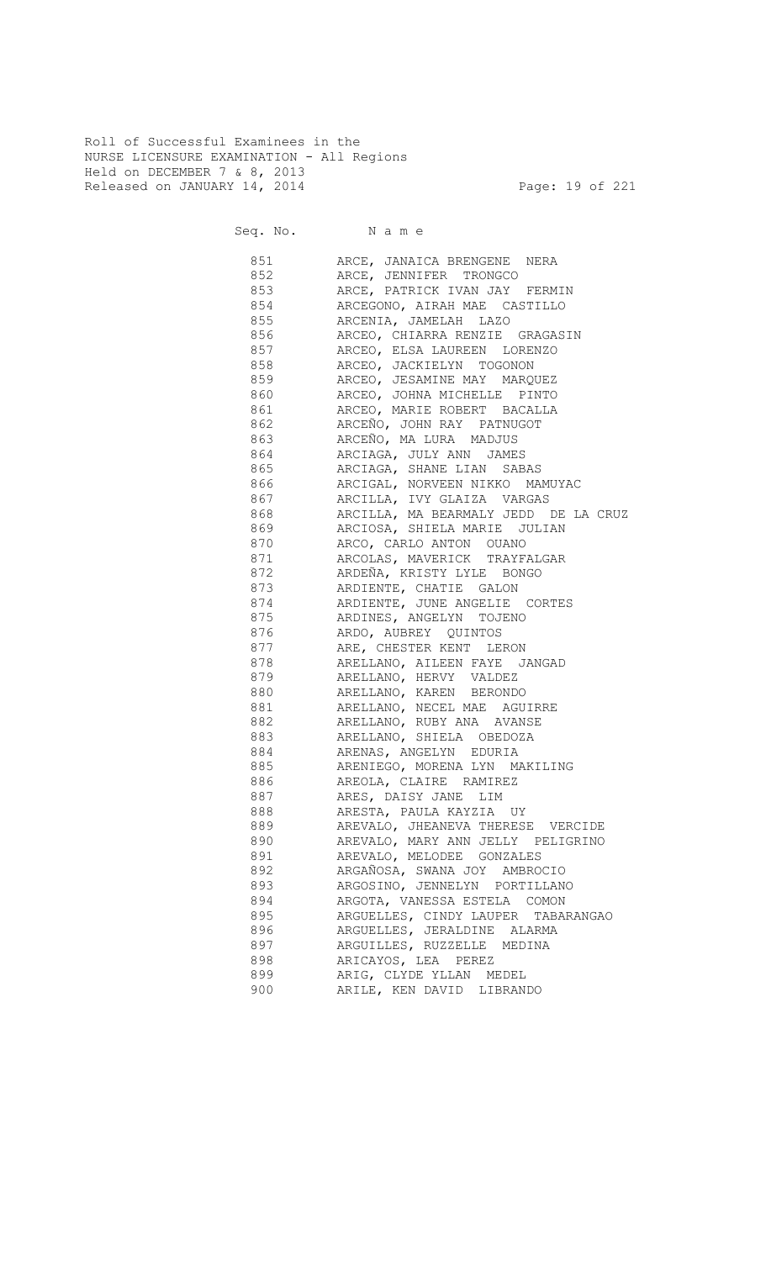Roll of Successful Examinees in the NURSE LICENSURE EXAMINATION - All Regions Held on DECEMBER 7 & 8, 2013 Released on JANUARY 14, 2014 **Page: 19 of 221** 

Seq. No. Name

 851 ARCE, JANAICA BRENGENE NERA 852 ARCE, JENNIFER TRONGCO 853 ARCE, PATRICK IVAN JAY FERMIN 854 ARCEGONO, AIRAH MAE CASTILLO 855 ARCENIA, JAMELAH LAZO 856 ARCEO, CHIARRA RENZIE GRAGASIN 857 ARCEO, ELSA LAUREEN LORENZO 858 ARCEO, JACKIELYN TOGONON 859 ARCEO, JESAMINE MAY MARQUEZ 860 ARCEO, JOHNA MICHELLE PINTO 861 ARCEO, MARIE ROBERT BACALLA 862 ARCEÑO, JOHN RAY PATNUGOT 863 ARCEÑO, MA LURA MADJUS 864 ARCIAGA, JULY ANN JAMES **865** ARCIAGA, SHANE LIAN SABAS 866 ARCIGAL, NORVEEN NIKKO MAMUYAC 867 ARCILLA, IVY GLAIZA VARGAS 868 ARCILLA, MA BEARMALY JEDD DE LA CRUZ 869 ARCIOSA, SHIELA MARIE JULIAN 870 ARCO, CARLO ANTON OUANO 871 ARCOLAS, MAVERICK TRAYFALGAR 872 ARDEÑA, KRISTY LYLE BONGO 873 ARDIENTE, CHATIE GALON 874 ARDIENTE, JUNE ANGELIE CORTES 875 ARDINES, ANGELYN TOJENO 876 ARDO, AUBREY QUINTOS 877 ARE, CHESTER KENT LERON 878 ARELLANO, AILEEN FAYE JANGAD 879 ARELLANO, HERVY VALDEZ 880 ARELLANO, KAREN BERONDO 881 ARELLANO, NECEL MAE AGUIRRE 882 ARELLANO, RUBY ANA AVANSE 883 ARELLANO, SHIELA OBEDOZA 884 ARENAS, ANGELYN EDURIA 885 ARENIEGO, MORENA LYN MAKILING 886 AREOLA, CLAIRE RAMIREZ 887 ARES, DAISY JANE LIM 888 ARESTA, PAULA KAYZIA UY 889 AREVALO, JHEANEVA THERESE VERCIDE 890 AREVALO, MARY ANN JELLY PELIGRINO **891** AREVALO, MELODEE GONZALES 892 ARGAÑOSA, SWANA JOY AMBROCIO 893 ARGOSINO, JENNELYN PORTILLANO 894 ARGOTA, VANESSA ESTELA COMON 895 ARGUELLES, CINDY LAUPER TABARANGAO 896 ARGUELLES, JERALDINE ALARMA 897 ARGUILLES, RUZZELLE MEDINA 898 ARICAYOS, LEA PEREZ 899 ARIG, CLYDE YLLAN MEDEL 900 ARILE, KEN DAVID LIBRANDO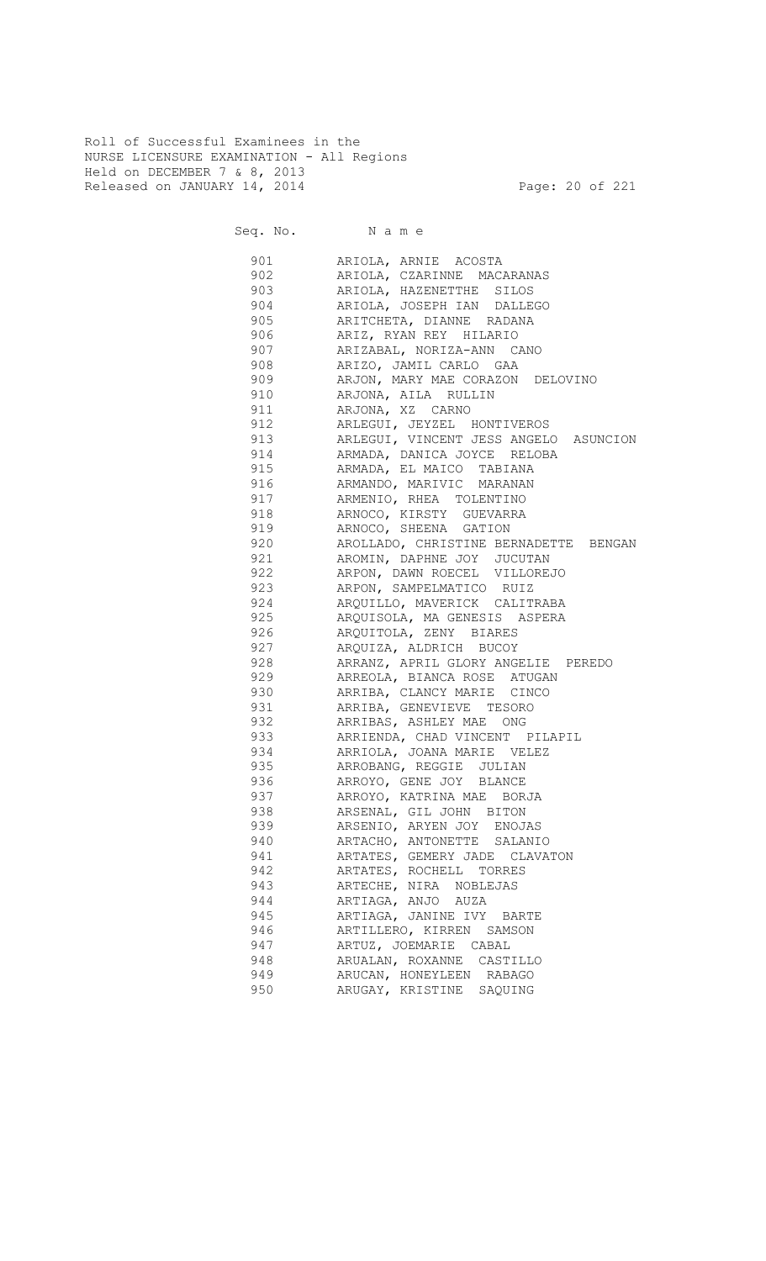Roll of Successful Examinees in the NURSE LICENSURE EXAMINATION - All Regions Held on DECEMBER 7 & 8, 2013 Released on JANUARY 14, 2014 **Page: 20 of 221** 

Seq. No. Name 901 ARIOLA, ARNIE ACOSTA

| YUI | ARIOLA, ARNIE ACOSTA                  |
|-----|---------------------------------------|
| 902 | ARIOLA, CZARINNE MACARANAS            |
| 903 | ARIOLA, HAZENETTHE SILOS              |
| 904 | ARIOLA, JOSEPH IAN DALLEGO            |
| 905 | ARITCHETA, DIANNE RADANA              |
| 906 | ARIZ, RYAN REY HILARIO                |
| 907 | ARIZABAL, NORIZA-ANN CANO             |
| 908 | ARIZO, JAMIL CARLO GAA                |
| 909 |                                       |
|     | ARJON, MARY MAE CORAZON DELOVINO      |
| 910 | ARJONA, AILA RULLIN                   |
| 911 | ARJONA, XZ CARNO                      |
| 912 | ARLEGUI, JEYZEL HONTIVEROS            |
| 913 | ARLEGUI, VINCENT JESS ANGELO ASUNCION |
| 914 | ARMADA, DANICA JOYCE RELOBA           |
| 915 | ARMADA, EL MAICO TABIANA              |
| 916 | ARMANDO, MARIVIC MARANAN              |
| 917 | ARMENIO, RHEA TOLENTINO               |
| 918 | ARNOCO, KIRSTY GUEVARRA               |
| 919 | ARNOCO, SHEENA GATION                 |
| 920 | AROLLADO, CHRISTINE BERNADETTE BENGAN |
| 921 | AROMIN, DAPHNE JOY JUCUTAN            |
| 922 | ARPON, DAWN ROECEL VILLOREJO          |
| 923 | ARPON, SAMPELMATICO RUIZ              |
| 924 | ARQUILLO, MAVERICK CALITRABA          |
| 925 | ARQUISOLA, MA GENESIS ASPERA          |
| 926 | ARQUITOLA, ZENY BIARES                |
| 927 | ARQUIZA, ALDRICH BUCOY                |
| 928 | ARRANZ, APRIL GLORY ANGELIE PEREDO    |
| 929 | ARREOLA, BIANCA ROSE ATUGAN           |
| 930 | ARRIBA, CLANCY MARIE CINCO            |
| 931 | ARRIBA, GENEVIEVE TESORO              |
|     |                                       |
| 932 | ARRIBAS, ASHLEY MAE ONG               |
| 933 | ARRIENDA, CHAD VINCENT PILAPIL        |
| 934 | ARRIOLA, JOANA MARIE VELEZ            |
| 935 | ARROBANG, REGGIE JULIAN               |
| 936 | ARROYO, GENE JOY BLANCE               |
| 937 | ARROYO, KATRINA MAE BORJA             |
| 938 | ARSENAL, GIL JOHN BITON               |
| 939 | ARSENIO, ARYEN JOY ENOJAS             |
| 940 | ARTACHO, ANTONETTE SALANIO            |
| 941 | ARTATES, GEMERY JADE CLAVATON         |
| 942 | ARTATES, ROCHELL TORRES               |
| 943 | ARTECHE, NIRA NOBLEJAS                |
| 944 | ARTIAGA, ANJO AUZA                    |
| 945 | ARTIAGA, JANINE IVY BARTE             |
| 946 | ARTILLERO, KIRREN SAMSON              |
| 947 | ARTUZ, JOEMARIE CABAL                 |
| 948 | ARUALAN, ROXANNE CASTILLO             |
| 949 | ARUCAN, HONEYLEEN RABAGO              |
| 950 | ARUGAY, KRISTINE SAQUING              |
|     |                                       |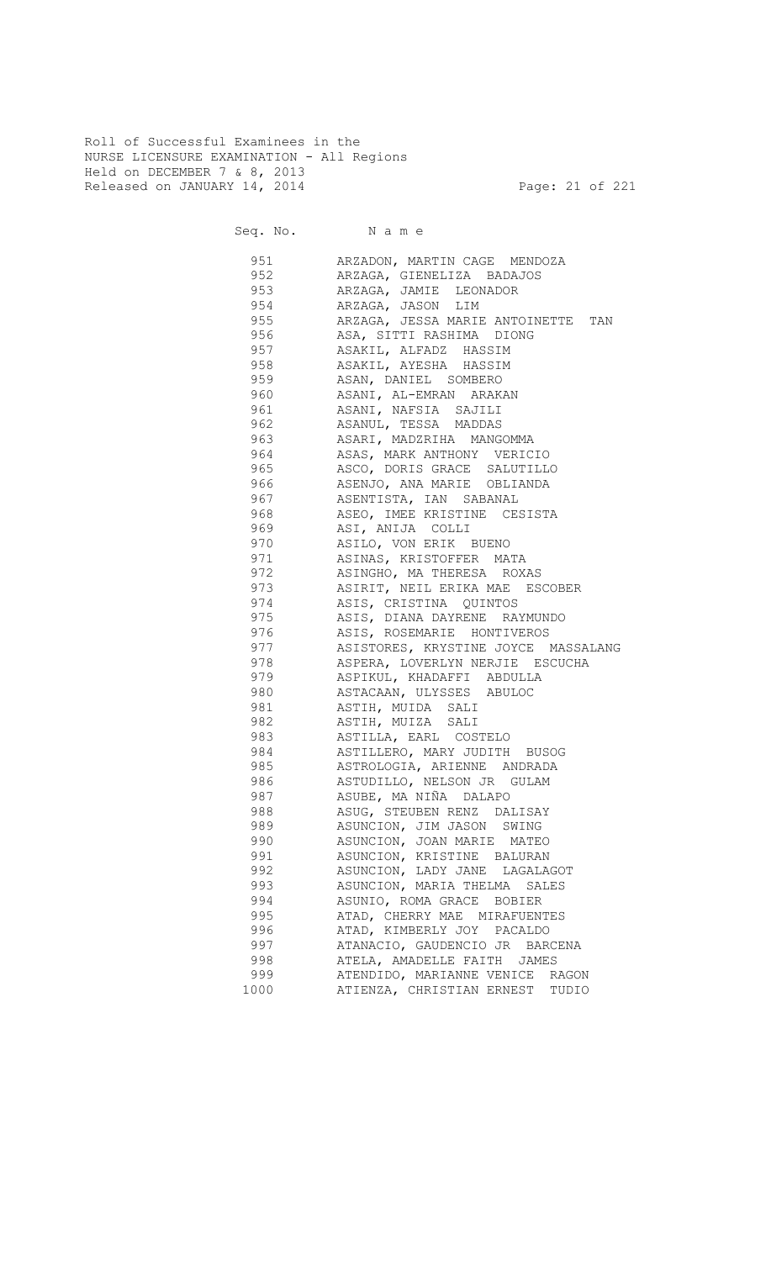Roll of Successful Examinees in the NURSE LICENSURE EXAMINATION - All Regions Held on DECEMBER 7 & 8, 2013 Released on JANUARY 14, 2014 **Page: 21 of 221** 

Seq. No. Name

 951 ARZADON, MARTIN CAGE MENDOZA 952 ARZAGA, GIENELIZA BADAJOS 953 ARZAGA, JAMIE LEONADOR 954 ARZAGA, JASON LIM 955 ARZAGA, JESSA MARIE ANTOINETTE TAN 956 ASA, SITTI RASHIMA DIONG 957 ASAKIL, ALFADZ HASSIM 958 ASAKIL, AYESHA HASSIM ASAN, DANIEL SOMBERO 960 ASANI, AL-EMRAN ARAKAN 961 ASANI, NAFSIA SAJILI 962 ASANUL, TESSA MADDAS 963 ASARI, MADZRIHA MANGOMMA 964 ASAS, MARK ANTHONY VERICIO 965 ASCO, DORIS GRACE SALUTILLO 966 ASENJO, ANA MARIE OBLIANDA 967 ASENTISTA, IAN SABANAL ASEO, IMEE KRISTINE CESISTA 969 ASI, ANIJA COLLI ASILO, VON ERIK BUENO 971 ASINAS, KRISTOFFER MATA ASINGHO, MA THERESA ROXAS 973 ASIRIT, NEIL ERIKA MAE ESCOBER 974 ASIS, CRISTINA QUINTOS<br>975 ASIS, DIANA DAYRENE RA ASIS, DIANA DAYRENE RAYMUNDO 976 ASIS, ROSEMARIE HONTIVEROS 977 ASISTORES, KRYSTINE JOYCE MASSALANG 978 ASPERA, LOVERLYN NERJIE ESCUCHA ASPIKUL, KHADAFFI ABDULLA 980 ASTACAAN, ULYSSES ABULOC 981 ASTIH, MUIDA SALI 982 ASTIH, MUIZA SALI 983 ASTILLA, EARL COSTELO 984 ASTILLERO, MARY JUDITH BUSOG 985 ASTROLOGIA, ARIENNE ANDRADA 986 ASTUDILLO, NELSON JR GULAM 987 ASUBE, MA NIÑA DALAPO 988 ASUG, STEUBEN RENZ DALISAY 989 ASUNCION, JIM JASON SWING 990 ASUNCION, JOAN MARIE MATEO 991 ASUNCION, KRISTINE BALURAN 992 ASUNCION, LADY JANE LAGALAGOT 993 ASUNCION, MARIA THELMA SALES 994 ASUNIO, ROMA GRACE BOBIER 995 ATAD, CHERRY MAE MIRAFUENTES 996 ATAD, KIMBERLY JOY PACALDO 997 ATANACIO, GAUDENCIO JR BARCENA 998 ATELA, AMADELLE FAITH JAMES 999 ATENDIDO, MARIANNE VENICE RAGON 1000 ATIENZA, CHRISTIAN ERNEST TUDIO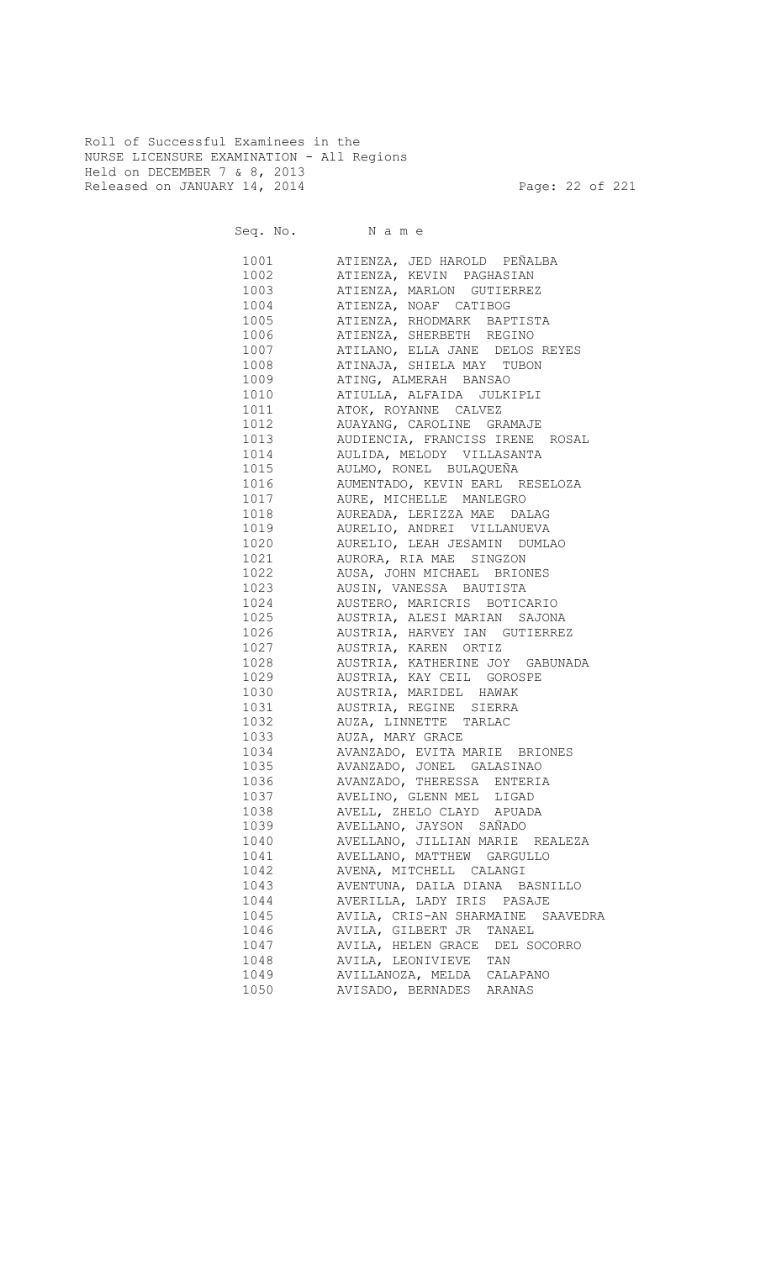Roll of Successful Examinees in the NURSE LICENSURE EXAMINATION - All Regions Held on DECEMBER 7 & 8, 2013 Released on JANUARY 14, 2014 **Page: 22 of 221** 

| 1001 \   | ATIENZA, JED HAROLD PEÑALBA       |
|----------|-----------------------------------|
| 1002     | ATIENZA, KEVIN PAGHASIAN          |
| 1003     | ATIENZA, MARLON GUTIERREZ         |
| 1004     | ATIENZA, NOAF CATIBOG             |
| 1005     | ATIENZA, RHODMARK BAPTISTA        |
| 1006     | ATIENZA, SHERBETH REGINO          |
| 1007     | ATILANO, ELLA JANE DELOS REYES    |
| 1008     | ATINAJA, SHIELA MAY TUBON         |
| 1009 100 | ATING, ALMERAH BANSAO             |
| 1010     | ATIULLA, ALFAIDA JULKIPLI         |
| 1011 \   | ATOK, ROYANNE CALVEZ              |
| 1012     | AUAYANG, CAROLINE GRAMAJE         |
| 1013     | AUDIENCIA, FRANCISS IRENE ROSAL   |
| 1014     | AULIDA, MELODY VILLASANTA         |
| 1015     | AULMO, RONEL BULAQUEÑA            |
| 1016     | AUMENTADO, KEVIN EARL RESELOZA    |
| 1017     | AURE, MICHELLE MANLEGRO           |
| 1018     | AUREADA, LERIZZA MAE DALAG        |
| 1019     | AURELIO, ANDREI VILLANUEVA        |
| 1020     | AURELIO, LEAH JESAMIN DUMLAO      |
| 1021     | AURORA, RIA MAE SINGZON           |
| 1022     | AUSA, JOHN MICHAEL BRIONES        |
| 1023     | AUSIN, VANESSA BAUTISTA           |
| 1024     | AUSTERO, MARICRIS BOTICARIO       |
| 1025     | AUSTRIA, ALESI MARIAN SAJONA      |
| 1026     | AUSTRIA, HARVEY IAN GUTIERREZ     |
| 1027     | AUSTRIA, KAREN ORTIZ              |
| 1028     | AUSTRIA, KATHERINE JOY GABUNADA   |
| 1029     | AUSTRIA, KAY CEIL GOROSPE         |
| 1030     | AUSTRIA, MARIDEL HAWAK            |
| 1031     | AUSTRIA, REGINE SIERRA            |
| 1032     | AUZA, LINNETTE TARLAC             |
| 1033     | AUZA, MARY GRACE                  |
| 1034     | AVANZADO, EVITA MARIE BRIONES     |
| 1035     | AVANZADO, JONEL GALASINAO         |
| 1036     | AVANZADO, THERESSA ENTERIA        |
| 1037     | AVELINO, GLENN MEL LIGAD          |
| 1038     | AVELL, ZHELO CLAYD APUADA         |
| 1039     | AVELLANO, JAYSON SAÑADO           |
| 1040     | AVELLANO, JILLIAN MARIE REALEZA   |
| 1041     | AVELLANO, MATTHEW GARGULLO        |
| 1042     | AVENA, MITCHELL CALANGI           |
| 1043     | AVENTUNA, DAILA DIANA BASNILLO    |
| 1044     | AVERILLA, LADY IRIS PASAJE        |
| 1045     | AVILA, CRIS-AN SHARMAINE SAAVEDRA |
| 1046     | AVILA, GILBERT JR TANAEL          |
| 1047     | AVILA, HELEN GRACE DEL SOCORRO    |
| 1048     | AVILA, LEONIVIEVE TAN             |
| 1049     | AVILLANOZA, MELDA CALAPANO        |
| 1050     | AVISADO, BERNADES ARANAS          |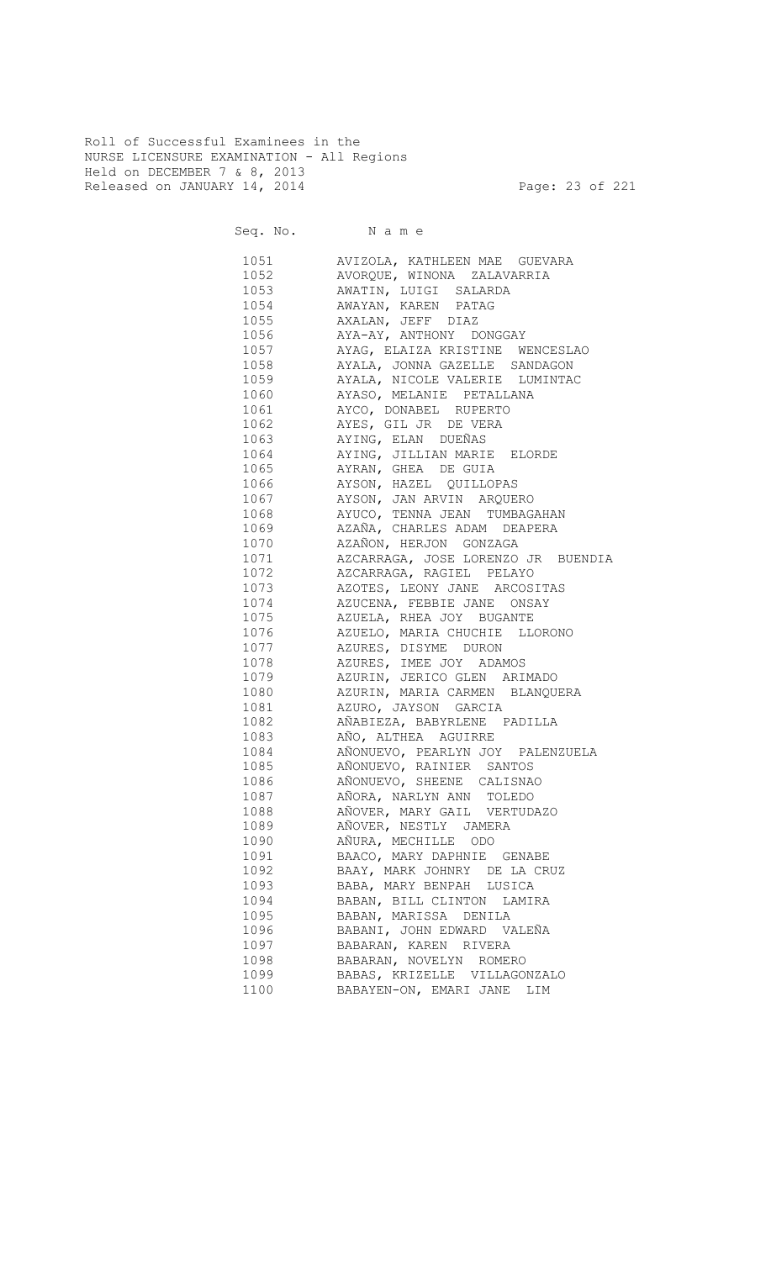Roll of Successful Examinees in the NURSE LICENSURE EXAMINATION - All Regions Held on DECEMBER 7 & 8, 2013 Released on JANUARY 14, 2014 **Page: 23 of 221** 

Seq. No. Name

 1051 AVIZOLA, KATHLEEN MAE GUEVARA 1052 AVORQUE, WINONA ZALAVARRIA 1053 AWATIN, LUIGI SALARDA 1054 AWAYAN, KAREN PATAG 1055 AXALAN, JEFF DIAZ 1056 AYA-AY, ANTHONY DONGGAY 1057 AYAG, ELAIZA KRISTINE WENCESLAO 1058 AYALA, JONNA GAZELLE SANDAGON AYALA, NICOLE VALERIE LUMINTAC 1060 AYASO, MELANIE PETALLANA 1061 AYCO, DONABEL RUPERTO 1062 AYES, GIL JR DE VERA 1063 AYING, ELAN DUEÑAS 1064 AYING, JILLIAN MARIE ELORDE 1065 AYRAN, GHEA DE GUIA 1066 AYSON, HAZEL QUILLOPAS 1067 AYSON, JAN ARVIN ARQUERO AYUCO, TENNA JEAN TUMBAGAHAN 1069 AZAÑA, CHARLES ADAM DEAPERA AZAÑON, HERJON GONZAGA 1071 AZCARRAGA, JOSE LORENZO JR BUENDIA 1072 AZCARRAGA, RAGIEL PELAYO 1073 AZOTES, LEONY JANE ARCOSITAS 1074 AZUCENA, FEBBIE JANE ONSAY<br>1075 AZUELA, RHEA JOY BUGANTE AZUELA, RHEA JOY BUGANTE 1076 AZUELO, MARIA CHUCHIE LLORONO 1077 AZURES, DISYME DURON 1078 AZURES, IMEE JOY ADAMOS 1079 AZURIN, JERICO GLEN ARIMADO 1080 AZURIN, MARIA CARMEN BLANQUERA 1081 AZURO, JAYSON GARCIA 1082 AÑABIEZA, BABYRLENE PADILLA 1083 AÑO, ALTHEA AGUIRRE 1084 AÑONUEVO, PEARLYN JOY PALENZUELA 1085 AÑONUEVO, RAINIER SANTOS 1086 AÑONUEVO, SHEENE CALISNAO 1087 AÑORA, NARLYN ANN TOLEDO 1088 AÑOVER, MARY GAIL VERTUDAZO 1089 AÑOVER, NESTLY JAMERA 1090 AÑURA, MECHILLE ODO 1091 BAACO, MARY DAPHNIE GENABE 1092 BAAY, MARK JOHNRY DE LA CRUZ 1093 BABA, MARY BENPAH LUSICA 1094 BABAN, BILL CLINTON LAMIRA 1095 BABAN, MARISSA DENILA 1096 BABANI, JOHN EDWARD VALEÑA 1097 BABARAN, KAREN RIVERA 1098 BABARAN, NOVELYN ROMERO 1099 BABAS, KRIZELLE VILLAGONZALO 1100 BABAYEN-ON, EMARI JANE LIM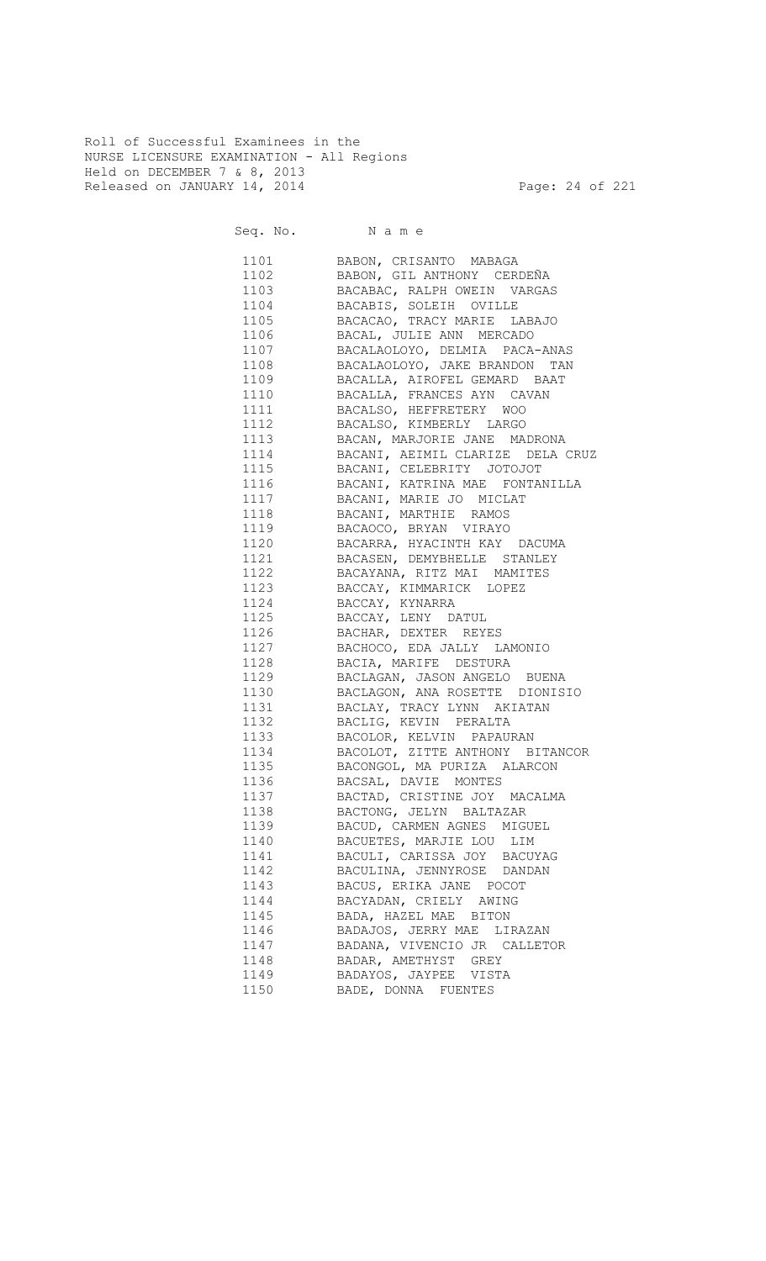Roll of Successful Examinees in the NURSE LICENSURE EXAMINATION - All Regions Held on DECEMBER 7 & 8, 2013 Released on JANUARY 14, 2014 **Page: 24 of 221** 

| 1101 | BABON, CRISANTO MABAGA               |
|------|--------------------------------------|
| 1102 | BABON, GIL ANTHONY CERDEÑA           |
| 1103 | BACABAC, RALPH OWEIN VARGAS          |
| 1104 | BACABIS, SOLEIH OVILLE               |
| 1105 | BACACAO, TRACY MARIE LABAJO          |
| 1106 | BACAL, JULIE ANN MERCADO             |
| 1107 | BACALAOLOYO, DELMIA PACA-ANAS        |
| 1108 | BACALAOLOYO, JAKE BRANDON TAN        |
| 1109 | BACALLA, AIROFEL GEMARD BAAT         |
| 1110 | BACALLA, FRANCES AYN CAVAN           |
| 1111 | BACALSO, HEFFRETERY WOO              |
| 1112 | BACALSO, KIMBERLY LARGO              |
| 1113 | BACAN, MARJORIE JANE MADRONA         |
| 1114 | BACANI, AEIMIL CLARIZE DELA CRUZ     |
| 1115 | BACANI, CELEBRITY JOTOJOT            |
| 1116 | BACANI, KATRINA MAE FONTANILLA       |
|      |                                      |
| 1117 | BACANI, MARIE JO MICLAT              |
| 1118 | BACANI, MARTHIE RAMOS                |
| 1119 | BACAOCO, BRYAN VIRAYO                |
| 1120 | BACARRA, HYACINTH KAY DACUMA         |
| 1121 | BACASEN, DEMYBHELLE STANLEY          |
| 1122 | BACAYANA, RITZ MAI MAMITES           |
| 1123 | BACCAY, KIMMARICK LOPEZ              |
| 1124 | BACCAY, KYNARRA                      |
|      | 1125 BACCAY, LENY DATUL              |
|      | 1126 BACHAR, DEXTER REYES            |
|      | 1127 BACHOCO, EDA JALLY LAMONIO      |
|      | 1128 BACIA, MARIFE DESTURA           |
|      | 1129 BACLAGAN, JASON ANGELO BUENA    |
|      | 1130 BACLAGON, ANA ROSETTE DIONISIO  |
|      | 1131 BACLAY, TRACY LYNN AKIATAN      |
|      | 1132 BACLIG, KEVIN PERALTA           |
|      | 1133 BACOLOR, KELVIN PAPAURAN        |
|      | 1134 BACOLOT, ZITTE ANTHONY BITANCOR |
|      | 1135 BACONGOL, MA PURIZA ALARCON     |
|      | 1136 BACSAL, DAVIE MONTES            |
|      | 1137 BACTAD, CRISTINE JOY MACALMA    |
| 1138 | BACTONG, JELYN BALTAZAR              |
| 1139 | BACUD, CARMEN AGNES MIGUEL           |
| 1140 |                                      |
|      | BACUETES, MARJIE LOU LIM             |
| 1141 | BACULI, CARISSA JOY BACUYAG          |
| 1142 | BACULINA, JENNYROSE DANDAN           |
| 1143 | BACUS, ERIKA JANE POCOT              |
| 1144 | BACYADAN, CRIELY AWING               |
| 1145 | BADA, HAZEL MAE BITON                |
| 1146 | BADAJOS, JERRY MAE LIRAZAN           |
| 1147 | BADANA, VIVENCIO JR CALLETOR         |
| 1148 | BADAR, AMETHYST GREY                 |
| 1149 | BADAYOS, JAYPEE VISTA                |
| 1150 | BADE, DONNA FUENTES                  |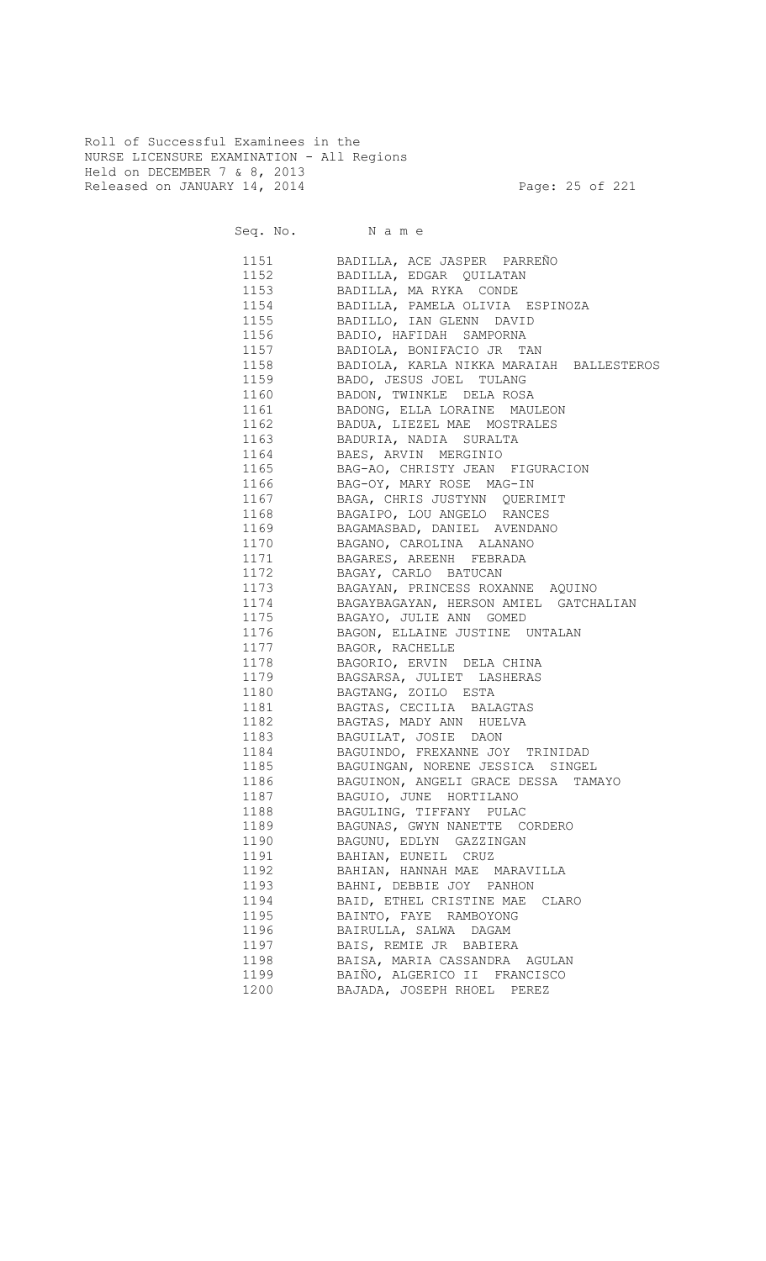Roll of Successful Examinees in the NURSE LICENSURE EXAMINATION - All Regions Held on DECEMBER 7 & 8, 2013 Released on JANUARY 14, 2014 **Page: 25 of 221** 

Seq. No. Name

 1151 BADILLA, ACE JASPER PARREÑO 1152 BADILLA, EDGAR QUILATAN 1153 BADILLA, MA RYKA CONDE 1154 BADILLA, PAMELA OLIVIA ESPINOZA BADILLO, IAN GLENN DAVID 1156 BADIO, HAFIDAH SAMPORNA 1157 BADIOLA, BONIFACIO JR TAN 1158 BADIOLA, KARLA NIKKA MARAIAH BALLESTEROS 1159 BADO, JESUS JOEL TULANG 1160 BADON, TWINKLE DELA ROSA 1161 BADONG, ELLA LORAINE MAULEON 1162 BADUA, LIEZEL MAE MOSTRALES 1163 BADURIA, NADIA SURALTA 1164 BAES, ARVIN MERGINIO 1165 BAG-AO, CHRISTY JEAN FIGURACION 1166 BAG-OY, MARY ROSE MAG-IN 1167 BAGA, CHRIS JUSTYNN QUERIMIT BAGAIPO, LOU ANGELO RANCES 1169 BAGAMASBAD, DANIEL AVENDANO BAGANO, CAROLINA ALANANO 1171 BAGARES, AREENH FEBRADA 1172 BAGAY, CARLO BATUCAN 1173 BAGAYAN, PRINCESS ROXANNE AQUINO 1174 BAGAYBAGAYAN, HERSON AMIEL GATCHALIAN<br>1175 BAGAYO, JULIE ANN GOMED BAGAYO, JULIE ANN GOMED 1176 BAGON, ELLAINE JUSTINE UNTALAN 1177 BAGOR, RACHELLE 1178 BAGORIO, ERVIN DELA CHINA 1179 BAGSARSA, JULIET LASHERAS 1180 BAGTANG, ZOILO ESTA 1181 BAGTAS, CECILIA BALAGTAS 1182 BAGTAS, MADY ANN HUELVA 1183 BAGUILAT, JOSIE DAON 1184 BAGUINDO, FREXANNE JOY TRINIDAD 1185 BAGUINGAN, NORENE JESSICA SINGEL 1186 BAGUINON, ANGELI GRACE DESSA TAMAYO 1187 BAGUIO, JUNE HORTILANO 1188 BAGULING, TIFFANY PULAC 1189 BAGUNAS, GWYN NANETTE CORDERO 1190 BAGUNU, EDLYN GAZZINGAN 1191 BAHIAN, EUNEIL CRUZ 1192 BAHIAN, HANNAH MAE MARAVILLA 1193 BAHNI, DEBBIE JOY PANHON 1194 BAID, ETHEL CRISTINE MAE CLARO 1195 BAINTO, FAYE RAMBOYONG 1196 BAIRULLA, SALWA DAGAM 1197 BAIS, REMIE JR BABIERA 1198 BAISA, MARIA CASSANDRA AGULAN 1199 BAIÑO, ALGERICO II FRANCISCO 1200 BAJADA, JOSEPH RHOEL PEREZ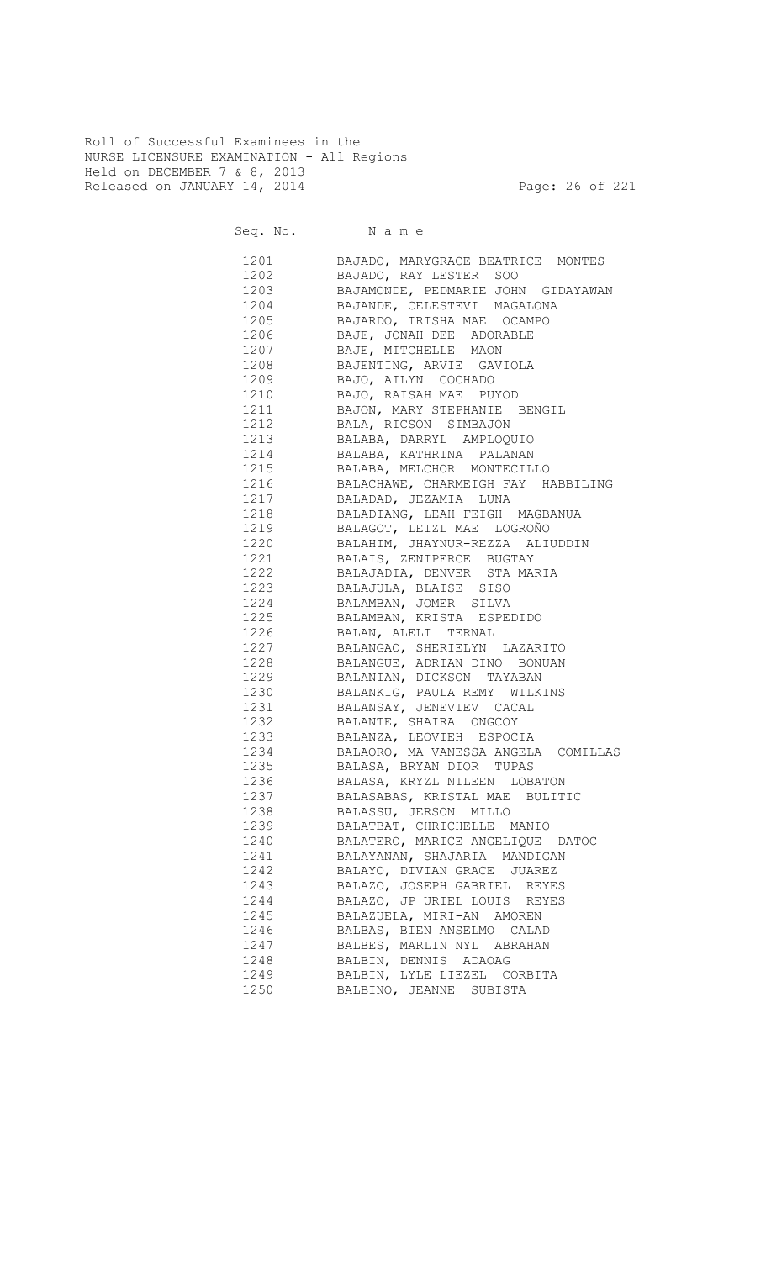Roll of Successful Examinees in the NURSE LICENSURE EXAMINATION - All Regions Held on DECEMBER 7 & 8, 2013 Released on JANUARY 14, 2014 **Page: 26 of 221** 

Seq. No. Name

 1201 BAJADO, MARYGRACE BEATRICE MONTES 1202 BAJADO, RAY LESTER SOO 1203 BAJAMONDE, PEDMARIE JOHN GIDAYAWAN 1204 BAJANDE, CELESTEVI MAGALONA<br>1205 BAJARDO, IRISHA MAE OCAMPO 1205 BAJARDO, IRISHA MAE OCAMPO 1206 BAJE, JONAH DEE ADORABLE 1207 BAJE, MITCHELLE MAON 1208 BAJENTING, ARVIE GAVIOLA 1209 BAJO, AILYN COCHADO 1210 BAJO, RAISAH MAE PUYOD 1211 BAJON, MARY STEPHANIE BENGIL 1212 BALA, RICSON SIMBAJON 1213 BALABA, DARRYL AMPLOQUIO 1214 BALABA, KATHRINA PALANAN 1215 BALABA, MELCHOR MONTECILLO 1216 BALACHAWE, CHARMEIGH FAY HABBILING 1217 BALADAD, JEZAMIA LUNA BALADIANG, LEAH FEIGH MAGBANUA 1219 BALAGOT, LEIZL MAE LOGROÑO 1220 BALAHIM, JHAYNUR-REZZA ALIUDDIN 1221 BALAIS, ZENIPERCE BUGTAY 1222 BALAJADIA, DENVER STA MARIA 1223 BALAJULA, BLAISE SISO 1224 BALAMBAN, JOMER SILVA 1225 BALAMBAN, KRISTA ESPEDIDO 1226 BALAN, ALELI TERNAL 1227 BALANGAO, SHERIELYN LAZARITO 1228 BALANGUE, ADRIAN DINO BONUAN 1229 BALANIAN, DICKSON TAYABAN 1230 BALANKIG, PAULA REMY WILKINS 1231 BALANSAY, JENEVIEV CACAL 1232 BALANTE, SHAIRA ONGCOY 1233 BALANZA, LEOVIEH ESPOCIA 1234 BALAORO, MA VANESSA ANGELA COMILLAS 1235 BALASA, BRYAN DIOR TUPAS 1236 BALASA, KRYZL NILEEN LOBATON 1237 BALASABAS, KRISTAL MAE BULITIC 1238 BALASSU, JERSON MILLO 1239 BALATBAT, CHRICHELLE MANIO 1240 BALATERO, MARICE ANGELIQUE DATOC 1241 BALAYANAN, SHAJARIA MANDIGAN 1242 BALAYO, DIVIAN GRACE JUAREZ 1243 BALAZO, JOSEPH GABRIEL REYES 1244 BALAZO, JP URIEL LOUIS REYES 1245 BALAZUELA, MIRI-AN AMOREN 1246 BALBAS, BIEN ANSELMO CALAD 1247 BALBES, MARLIN NYL ABRAHAN 1248 BALBIN, DENNIS ADAOAG 1249 BALBIN, LYLE LIEZEL CORBITA 1250 BALBINO, JEANNE SUBISTA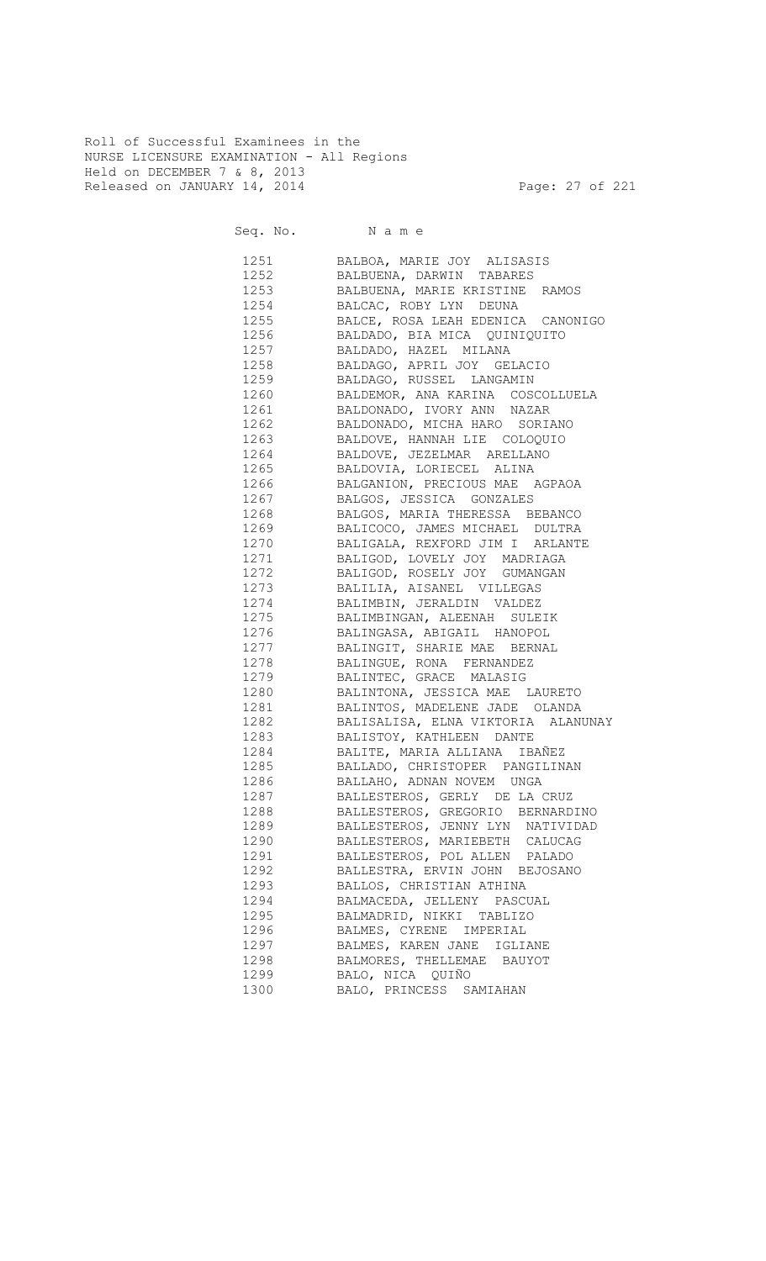Roll of Successful Examinees in the NURSE LICENSURE EXAMINATION - All Regions Held on DECEMBER 7 & 8, 2013 Released on JANUARY 14, 2014 **Page: 27 of 221** 

Seq. No. Name

 1251 BALBOA, MARIE JOY ALISASIS 1252 BALBUENA, DARWIN TABARES 1253 BALBUENA, MARIE KRISTINE RAMOS 1254 BALCAC, ROBY LYN DEUNA<br>1255 BALCE, ROSA LEAH EDENICA BALCE, ROSA LEAH EDENICA CANONIGO 1256 BALDADO, BIA MICA QUINIQUITO 1257 BALDADO, HAZEL MILANA 1258 BALDAGO, APRIL JOY GELACIO 1259 BALDAGO, RUSSEL LANGAMIN 1260 BALDEMOR, ANA KARINA COSCOLLUELA 1261 BALDONADO, IVORY ANN NAZAR 1262 BALDONADO, MICHA HARO SORIANO 1263 BALDOVE, HANNAH LIE COLOQUIO 1264 BALDOVE, JEZELMAR ARELLANO 1265 BALDOVIA, LORIECEL ALINA 1266 BALGANION, PRECIOUS MAE AGPAOA 1267 BALGOS, JESSICA GONZALES BALGOS, MARIA THERESSA BEBANCO 1269 BALICOCO, JAMES MICHAEL DULTRA 1270 BALIGALA, REXFORD JIM I ARLANTE 1271 BALIGOD, LOVELY JOY MADRIAGA<br>1272 BALIGOD, ROSELY JOY GUMANGAN BALIGOD, ROSELY JOY GUMANGAN 1273 BALILIA, AISANEL VILLEGAS 1274 BALIMBIN, JERALDIN VALDEZ<br>1275 BALIMBINGAN, ALEENAH SULE BALIMBINGAN, ALEENAH SULEIK 1276 BALINGASA, ABIGAIL HANOPOL 1277 BALINGIT, SHARIE MAE BERNAL 1278 BALINGUE, RONA FERNANDEZ 1279 BALINTEC, GRACE MALASIG 1280 BALINTONA, JESSICA MAE LAURETO 1281 BALINTOS, MADELENE JADE OLANDA 1282 BALISALISA, ELNA VIKTORIA ALANUNAY 1283 BALISTOY, KATHLEEN DANTE 1284 BALITE, MARIA ALLIANA IBAÑEZ 1285 BALLADO, CHRISTOPER PANGILINAN 1286 BALLAHO, ADNAN NOVEM UNGA 1287 BALLESTEROS, GERLY DE LA CRUZ 1288 BALLESTEROS, GREGORIO BERNARDINO 1289 BALLESTEROS, JENNY LYN NATIVIDAD 1290 BALLESTEROS, MARIEBETH CALUCAG 1291 BALLESTEROS, POL ALLEN PALADO 1292 BALLESTRA, ERVIN JOHN BEJOSANO 1293 BALLOS, CHRISTIAN ATHINA 1294 BALMACEDA, JELLENY PASCUAL 1295 BALMADRID, NIKKI TABLIZO 1296 BALMES, CYRENE IMPERIAL 1297 BALMES, KAREN JANE IGLIANE 1298 BALMORES, THELLEMAE BAUYOT 1299 BALO, NICA QUIÑO 1300 BALO, PRINCESS SAMIAHAN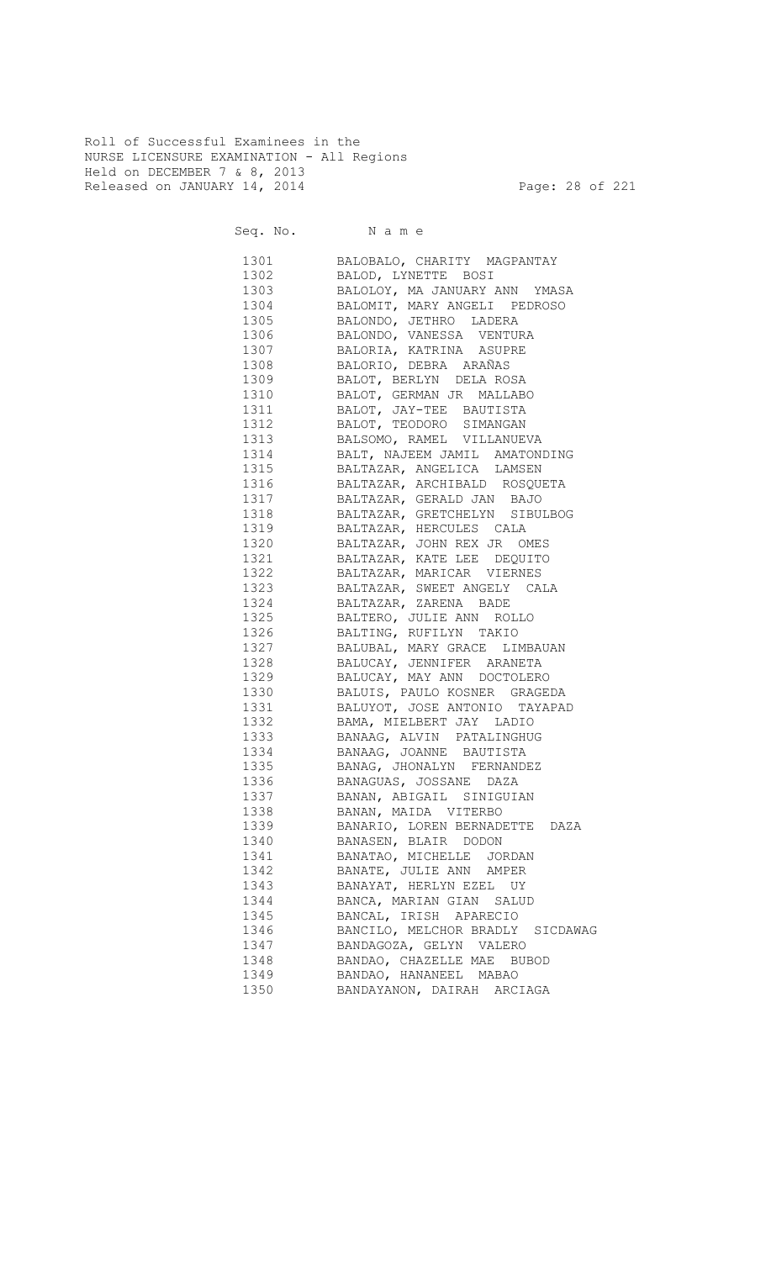Roll of Successful Examinees in the NURSE LICENSURE EXAMINATION - All Regions Held on DECEMBER 7 & 8, 2013 Released on JANUARY 14, 2014 **Page: 28 of 221** 

Seq. No. Name

 1301 BALOBALO, CHARITY MAGPANTAY 1302 BALOD, LYNETTE BOSI 1303 BALOLOY, MA JANUARY ANN YMASA 1304 BALOMIT, MARY ANGELI PEDROSO 1305 BALONDO, JETHRO LADERA 1306 BALONDO, VANESSA VENTURA 1307 BALORIA, KATRINA ASUPRE 1308 BALORIO, DEBRA ARAÑAS 1309 BALOT, BERLYN DELA ROSA 1310 BALOT, GERMAN JR MALLABO 1311 BALOT, JAY-TEE BAUTISTA 1312 BALOT, TEODORO SIMANGAN 1313 BALSOMO, RAMEL VILLANUEVA 1314 BALT, NAJEEM JAMIL AMATONDING 1315 BALTAZAR, ANGELICA LAMSEN 1316 BALTAZAR, ARCHIBALD ROSQUETA 1317 BALTAZAR, GERALD JAN BAJO 1318 BALTAZAR, GRETCHELYN SIBULBOG 1319 BALTAZAR, HERCULES CALA 1320 BALTAZAR, JOHN REX JR OMES 1321 BALTAZAR, KATE LEE DEQUITO 1322 BALTAZAR, MARICAR VIERNES 1323 BALTAZAR, SWEET ANGELY CALA 1324 BALTAZAR, ZARENA BADE 1325 BALTERO, JULIE ANN ROLLO 1326 BALTING, RUFILYN TAKIO 1327 BALUBAL, MARY GRACE LIMBAUAN 1328 BALUCAY, JENNIFER ARANETA 1329 BALUCAY, MAY ANN DOCTOLERO 1330 BALUIS, PAULO KOSNER GRAGEDA 1331 BALUYOT, JOSE ANTONIO TAYAPAD 1332 BAMA, MIELBERT JAY LADIO 1333 BANAAG, ALVIN PATALINGHUG 1334 BANAAG, JOANNE BAUTISTA 1335 BANAG, JHONALYN FERNANDEZ 1336 BANAGUAS, JOSSANE DAZA 1337 BANAN, ABIGAIL SINIGUIAN 1338 BANAN, MAIDA VITERBO 1339 BANARIO, LOREN BERNADETTE DAZA 1340 BANASEN, BLAIR DODON 1341 BANATAO, MICHELLE JORDAN 1342 BANATE, JULIE ANN AMPER 1343 BANAYAT, HERLYN EZEL UY 1344 BANCA, MARIAN GIAN SALUD 1345 BANCAL, IRISH APARECIO 1346 BANCILO, MELCHOR BRADLY SICDAWAG 1347 BANDAGOZA, GELYN VALERO 1348 BANDAO, CHAZELLE MAE BUBOD 1349 BANDAO, HANANEEL MABAO 1350 BANDAYANON, DAIRAH ARCIAGA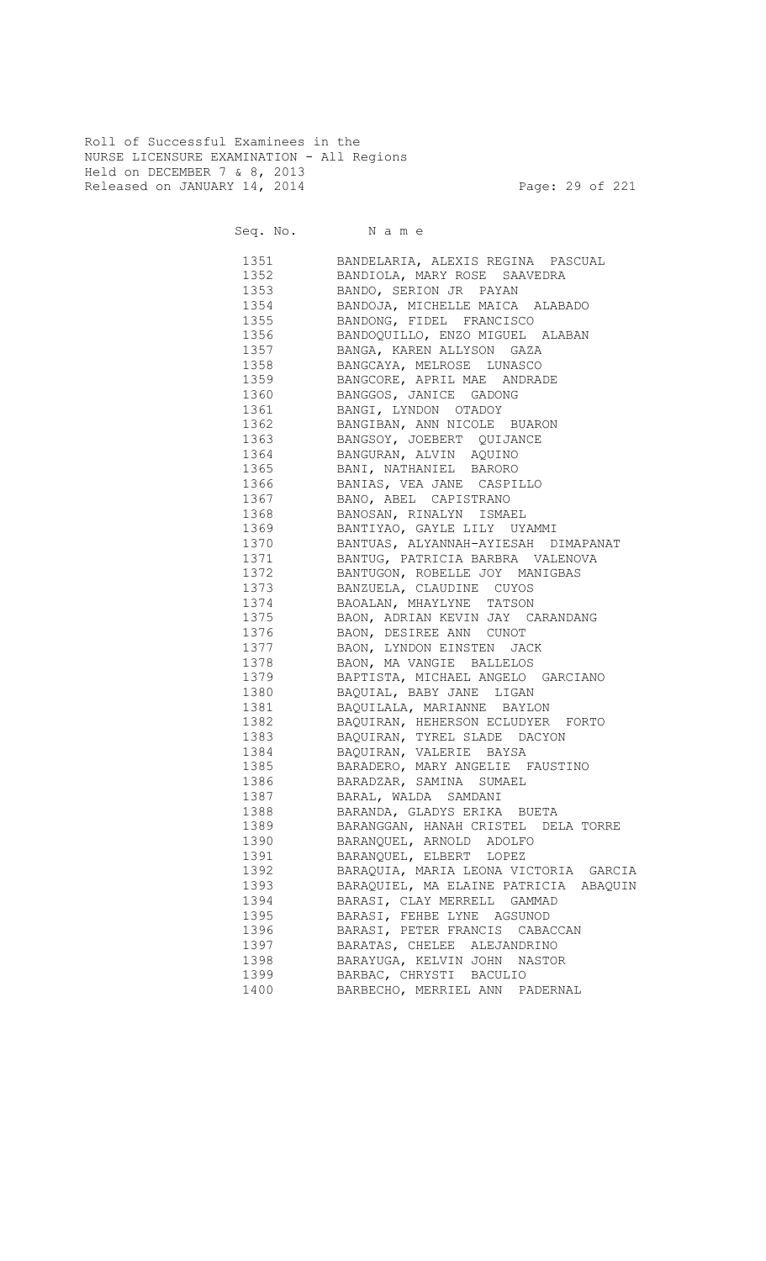Roll of Successful Examinees in the NURSE LICENSURE EXAMINATION - All Regions Held on DECEMBER 7 & 8, 2013 Released on JANUARY 14, 2014 **Page: 29 of 221** 

Seq. No. Name 1351 BANDELARIA, ALEXIS REGINA PASCUAL 1352 BANDIOLA, MARY ROSE SAAVEDRA 1353 BANDO, SERION JR PAYAN 1354 BANDOJA, MICHELLE MAICA ALABADO 1355 BANDONG, FIDEL FRANCISCO 1356 BANDOQUILLO, ENZO MIGUEL ALABAN 1357 BANGA, KAREN ALLYSON GAZA 1358 BANGCAYA, MELROSE LUNASCO 1359 BANGCORE, APRIL MAE ANDRADE 1360 BANGGOS, JANICE GADONG 1361 BANGI, LYNDON OTADOY 1362 BANGIBAN, ANN NICOLE BUARON 1363 BANGSOY, JOEBERT QUIJANCE 1364 BANGURAN, ALVIN AQUINO 1365 BANI, NATHANIEL BARORO 1366 BANIAS, VEA JANE CASPILLO 1367 BANO, ABEL CAPISTRANO 1368 BANOSAN, RINALYN ISMAEL 1369 BANTIYAO, GAYLE LILY UYAMMI 1370 BANTUAS, ALYANNAH-AYIESAH DIMAPANAT 1371 BANTUG, PATRICIA BARBRA VALENOVA 1372 BANTUGON, ROBELLE JOY MANIGBAS 1373 BANZUELA, CLAUDINE CUYOS 1374 BAOALAN, MHAYLYNE TATSON<br>1375 BAON, ADRIAN KEVIN JAY C BAON, ADRIAN KEVIN JAY CARANDANG 1376 BAON, DESIREE ANN CUNOT 1377 BAON, LYNDON EINSTEN JACK 1378 BAON, MA VANGIE BALLELOS 1379 BAPTISTA, MICHAEL ANGELO GARCIANO 1380 BAQUIAL, BABY JANE LIGAN 1381 BAQUILALA, MARIANNE BAYLON 1382 BAQUIRAN, HEHERSON ECLUDYER FORTO 1383 BAQUIRAN, TYREL SLADE DACYON 1384 BAQUIRAN, VALERIE BAYSA 1385 BARADERO, MARY ANGELIE FAUSTINO 1386 BARADZAR, SAMINA SUMAEL 1387 BARAL, WALDA SAMDANI 1388 BARANDA, GLADYS ERIKA BUETA 1389 BARANGGAN, HANAH CRISTEL DELA TORRE 1390 BARANQUEL, ARNOLD ADOLFO 1391 BARANQUEL, ELBERT LOPEZ 1392 BARAQUIA, MARIA LEONA VICTORIA GARCIA 1393 BARAQUIEL, MA ELAINE PATRICIA ABAQUIN 1394 BARASI, CLAY MERRELL GAMMAD 1395 BARASI, FEHBE LYNE AGSUNOD 1396 BARASI, PETER FRANCIS CABACCAN 1397 BARATAS, CHELEE ALEJANDRINO 1398 BARAYUGA, KELVIN JOHN NASTOR

1399 BARBAC, CHRYSTI BACULIO

1400 BARBECHO, MERRIEL ANN PADERNAL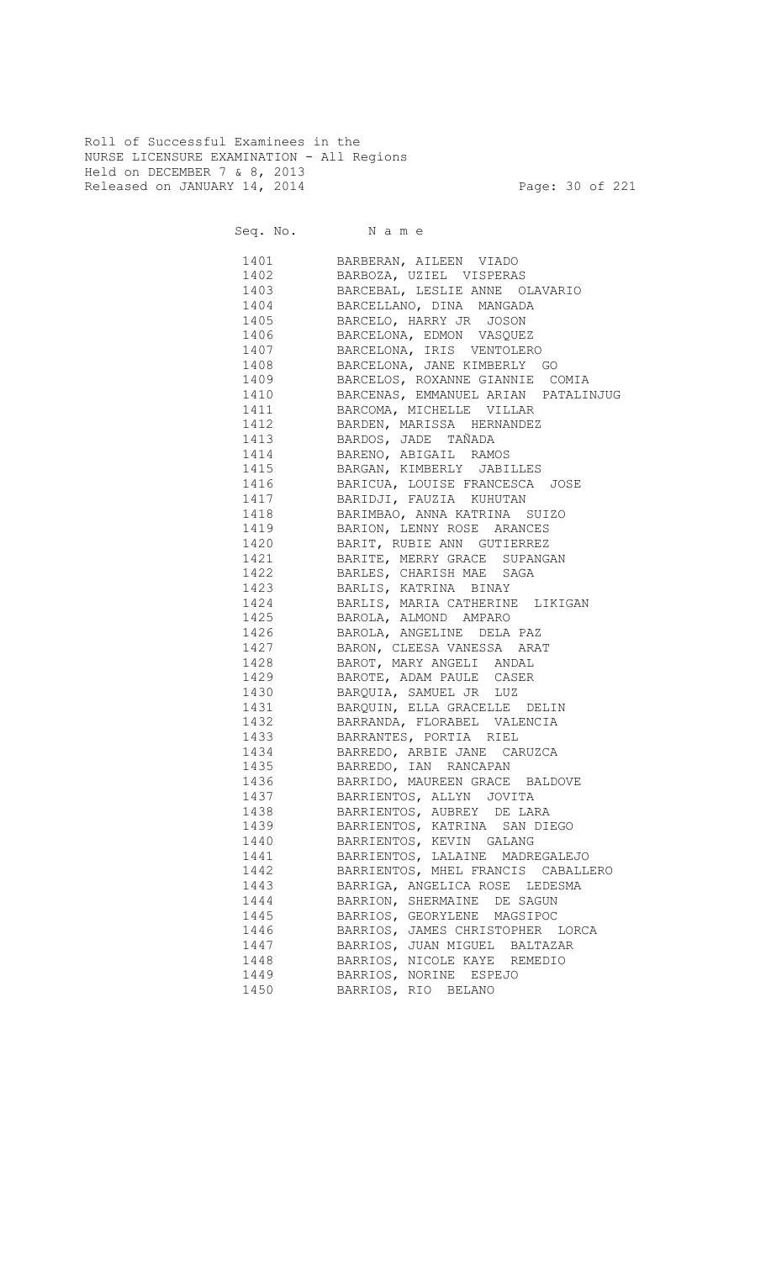Roll of Successful Examinees in the NURSE LICENSURE EXAMINATION - All Regions Held on DECEMBER 7 & 8, 2013 Released on JANUARY 14, 2014 **Page: 30 of 221** 

Seq. No. Name 1401 BARBERAN, AILEEN VIADO 1402 BARBOZA, UZIEL VISPERAS 1403 BARCEBAL, LESLIE ANNE OLAVARIO 1404 BARCELLANO, DINA MANGADA BARCELO, HARRY JR JOSON 1406 BARCELONA, EDMON VASQUEZ 1407 BARCELONA, IRIS VENTOLERO 1408 BARCELONA, JANE KIMBERLY GO 1409 BARCELOS, ROXANNE GIANNIE COMIA 1410 BARCENAS, EMMANUEL ARIAN PATALINJUG 1411 BARCOMA, MICHELLE VILLAR 1412 BARDEN, MARISSA HERNANDEZ 1413 BARDOS, JADE TAÑADA 1414 BARENO, ABIGAIL RAMOS 1415 BARGAN, KIMBERLY JABILLES 1416 BARICUA, LOUISE FRANCESCA JOSE 1417 BARIDJI, FAUZIA KUHUTAN<br>1418 BARIMBAO, ANNA KATRINA ( 1418 BARIMBAO, ANNA KATRINA SUIZO 1419 BARION, LENNY ROSE ARANCES 1420 BARIT, RUBIE ANN GUTIERREZ 1421 BARITE, MERRY GRACE SUPANGAN 1422 BARLES, CHARISH MAE SAGA 1423 BARLIS, KATRINA BINAY 1424 BARLIS, MARIA CATHERINE LIKIGAN 1425 BAROLA, ALMOND AMPARO 1426 BAROLA, ANGELINE DELA PAZ 1427 BARON, CLEESA VANESSA ARAT 1428 BAROT, MARY ANGELI ANDAL 1429 BAROTE, ADAM PAULE CASER 1430 BARQUIA, SAMUEL JR LUZ 1431 BARQUIN, ELLA GRACELLE DELIN 1432 BARRANDA, FLORABEL VALENCIA 1433 BARRANTES, PORTIA RIEL 1434 BARREDO, ARBIE JANE CARUZCA 1435 BARREDO, IAN RANCAPAN 1436 BARRIDO, MAUREEN GRACE BALDOVE 1437 BARRIENTOS, ALLYN JOVITA 1438 BARRIENTOS, AUBREY DE LARA 1439 BARRIENTOS, KATRINA SAN DIEGO 1440 BARRIENTOS, KEVIN GALANG 1441 BARRIENTOS, LALAINE MADREGALEJO 1442 BARRIENTOS, MHEL FRANCIS CABALLERO 1443 BARRIGA, ANGELICA ROSE LEDESMA 1444 BARRION, SHERMAINE DE SAGUN 1445 BARRIOS, GEORYLENE MAGSIPOC 1446 BARRIOS, JAMES CHRISTOPHER LORCA 1447 BARRIOS, JUAN MIGUEL BALTAZAR<br>1448 BARRIOS, NICOLE KAYE REMEDIO

BARRIOS, NICOLE KAYE REMEDIO

 1449 BARRIOS, NORINE ESPEJO 1450 BARRIOS, RIO BELANO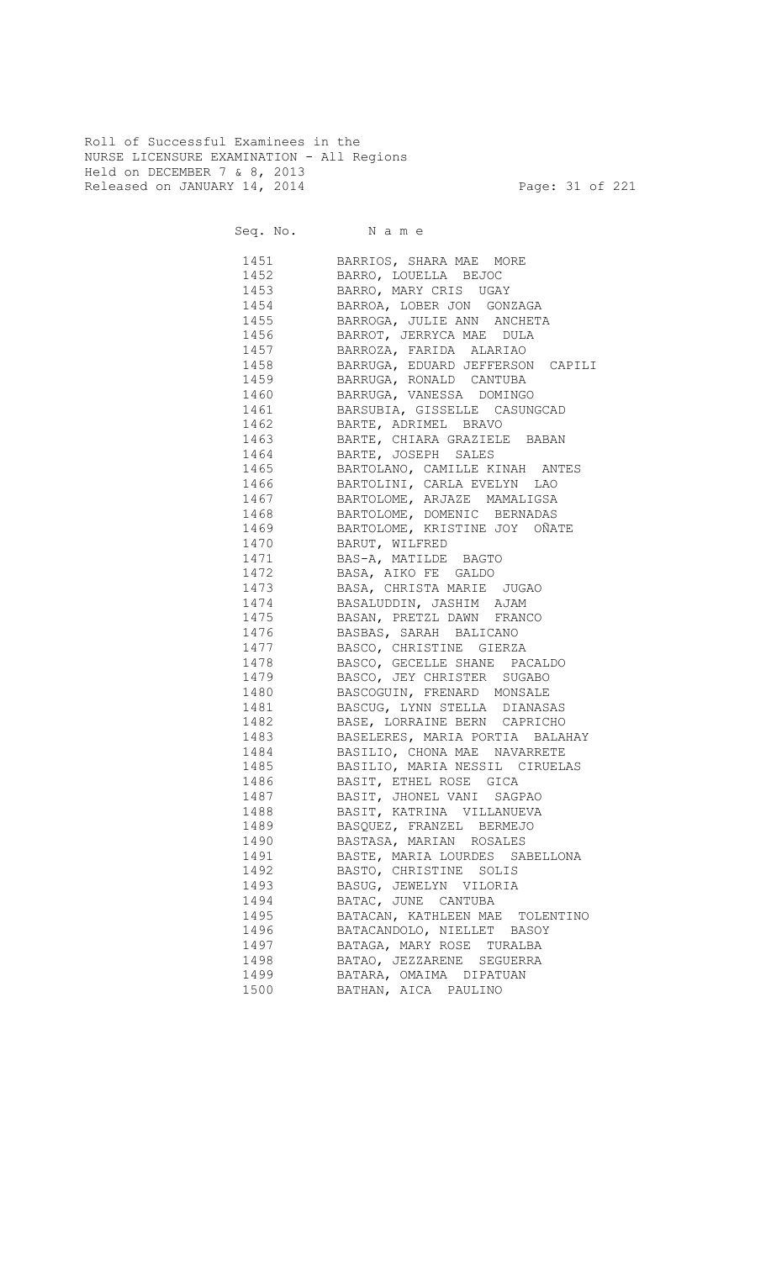Roll of Successful Examinees in the NURSE LICENSURE EXAMINATION - All Regions Held on DECEMBER 7 & 8, 2013 Released on JANUARY 14, 2014 **Page: 31 of 221** 

| 1451 | BARRIOS, SHARA MAE MORE                       |
|------|-----------------------------------------------|
| 1452 | BARRO, LOUELLA BEJOC                          |
| 1453 | BARRO, MARY CRIS UGAY                         |
| 1454 | BARROA, LOBER JON GONZAGA                     |
| 1455 | BARROGA, JULIE ANN ANCHETA                    |
| 1456 | BARROT, JERRYCA MAE DULA                      |
| 1457 | BARROZA, FARIDA ALARIAO                       |
| 1458 | BARRUGA, EDUARD JEFFERSON CAPILI              |
|      | 1459 BARRUGA, RONALD CANTUBA                  |
|      | 1460 BARRUGA, VANESSA DOMINGO                 |
|      | 1461 BARSUBIA, GISSELLE CASUNGCAD             |
|      | 1462 BARTE, ADRIMEL BRAVO                     |
|      | 1463 BARTE, CHIARA GRAZIELE BABAN             |
|      | 1464 BARTE, JOSEPH SALES                      |
|      | 1465 BARTOLANO, CAMILLE KINAH ANTES           |
|      | 1466 BARTOLINI, CARLA EVELYN LAO              |
|      | 1467 BARTOLOME, ARJAZE MAMALIGSA              |
|      | 1468 BARTOLOME, DOMENIC BERNADAS              |
|      | 1469 BARTOLOME, KRISTINE JOY OÑATE            |
|      | 1470 BARUT, WILFRED                           |
|      | 1471 BAS-A, MATILDE BAGTO                     |
|      | 1472 BASA, AIKO FE GALDO                      |
|      | 1473 BASA, CHRISTA MARIE JUGAO                |
|      | 1474 BASALUDDIN, JASHIM AJAM                  |
|      | 1475 BASAN, PRETZL DAWN FRANCO                |
|      | 1476 BASBAS, SARAH BALICANO                   |
|      | 1477 BASCO, CHRISTINE GIERZA                  |
|      | 1478 BASCO, GECELLE SHANE PACALDO             |
|      | 1479 BASCO, JEY CHRISTER SUGABO               |
|      | 1480 BASCOGUIN, FRENARD MONSALE               |
|      | 1481 BASCUG, LYNN STELLA DIANASAS             |
|      | 1482 BASE, LORRAINE BERN CAPRICHO             |
|      | 1483 BASELERES, MARIA PORTIA BALAHAY          |
|      | 1484 BASILIO, CHONA MAE NAVARRETE             |
|      | 1485 BASILIO, MARIA NESSIL CIRUELAS           |
|      | 1486 BASIT, ETHEL ROSE GICA                   |
| 1487 | BASIT, JHONEL VANI SAGPAO                     |
| 1488 | BASIT, KATRINA VILLANUEVA                     |
| 1489 | BASQUEZ, FRANZEL BERMEJO                      |
| 1490 | BASTASA, MARIAN ROSALES                       |
| 1491 | BASTE, MARIA LOURDES SABELLONA                |
| 1492 | BASTO, CHRISTINE SOLIS                        |
| 1493 |                                               |
| 1494 | BASUG, JEWELYN VILORIA<br>BATAC, JUNE CANTUBA |
| 1495 |                                               |
|      | BATACAN, KATHLEEN MAE TOLENTINO               |
| 1496 | BATACANDOLO, NIELLET BASOY                    |
| 1497 | BATAGA, MARY ROSE TURALBA                     |
| 1498 | BATAO, JEZZARENE SEGUERRA                     |
| 1499 | BATARA, OMAIMA DIPATUAN                       |
| 1500 | BATHAN, AICA PAULINO                          |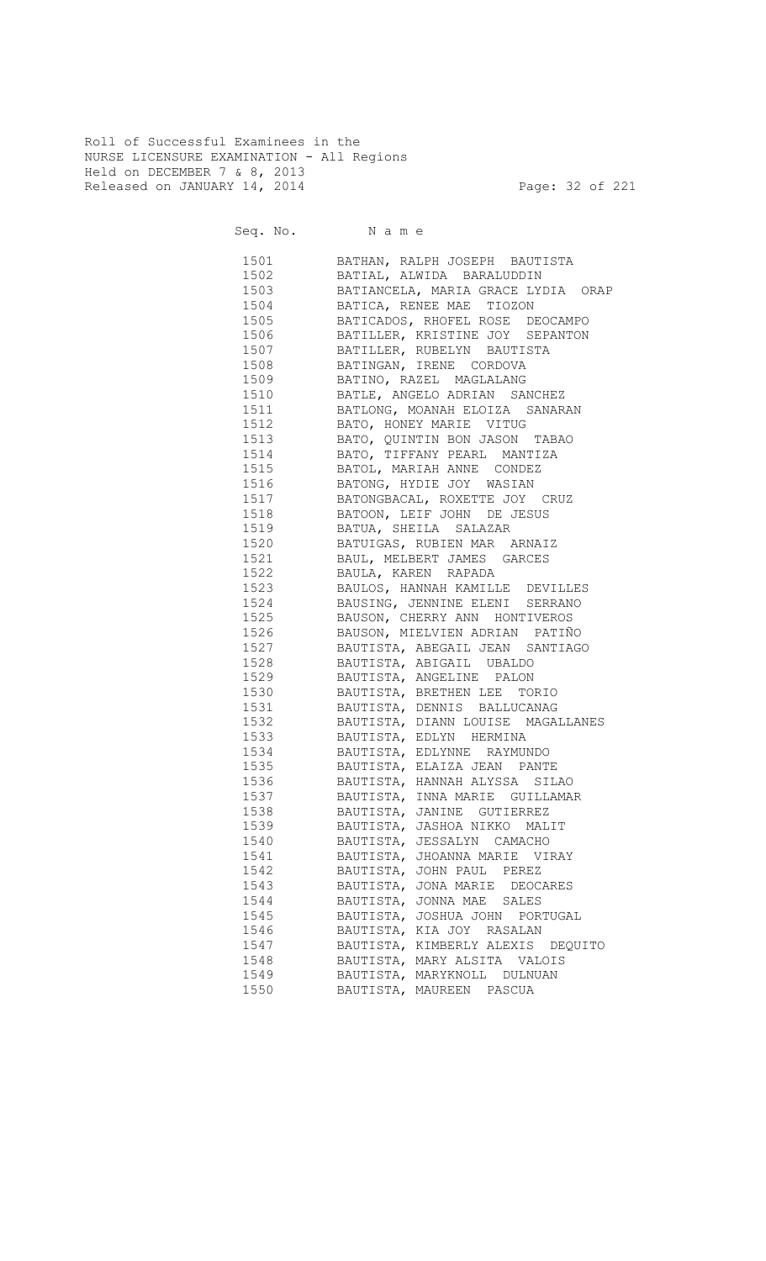Roll of Successful Examinees in the NURSE LICENSURE EXAMINATION - All Regions Held on DECEMBER 7 & 8, 2013 Released on JANUARY 14, 2014 **Page: 32 of 221** 

Seq. No. Name

 1501 BATHAN, RALPH JOSEPH BAUTISTA 1502 BATIAL, ALWIDA BARALUDDIN 1503 BATIANCELA, MARIA GRACE LYDIA ORAP 1504 BATICA, RENEE MAE TIOZON BATICADOS, RHOFEL ROSE DEOCAMPO 1506 BATILLER, KRISTINE JOY SEPANTON 1507 BATILLER, RUBELYN BAUTISTA 1508 BATINGAN, IRENE CORDOVA 1509 BATINO, RAZEL MAGLALANG 1510 BATLE, ANGELO ADRIAN SANCHEZ 1511 BATLONG, MOANAH ELOIZA SANARAN 1512 BATO, HONEY MARIE VITUG 1513 BATO, QUINTIN BON JASON TABAO 1514 BATO, TIFFANY PEARL MANTIZA 1515 BATOL, MARIAH ANNE CONDEZ 1516 BATONG, HYDIE JOY WASIAN 1517 BATONGBACAL, ROXETTE JOY CRUZ 1518 BATOON, LEIF JOHN DE JESUS 1519 BATUA, SHEILA SALAZAR 1520 BATUIGAS, RUBIEN MAR ARNAIZ 1521 BAUL, MELBERT JAMES GARCES 1522 BAULA, KAREN RAPADA 1523 BAULOS, HANNAH KAMILLE DEVILLES 1524 BAUSING, JENNINE ELENI SERRANO 1525 BAUSON, CHERRY ANN HONTIVEROS 1526 BAUSON, MIELVIEN ADRIAN PATIÑO 1527 BAUTISTA, ABEGAIL JEAN SANTIAGO 1528 BAUTISTA, ABIGAIL UBALDO 1529 BAUTISTA, ANGELINE PALON 1530 BAUTISTA, BRETHEN LEE TORIO 1531 BAUTISTA, DENNIS BALLUCANAG 1532 BAUTISTA, DIANN LOUISE MAGALLANES 1533 BAUTISTA, EDLYN HERMINA 1534 BAUTISTA, EDLYNNE RAYMUNDO 1535 BAUTISTA, ELAIZA JEAN PANTE 1536 BAUTISTA, HANNAH ALYSSA SILAO 1537 BAUTISTA, INNA MARIE GUILLAMAR 1538 BAUTISTA, JANINE GUTIERREZ 1539 BAUTISTA, JASHOA NIKKO MALIT 1540 BAUTISTA, JESSALYN CAMACHO 1541 BAUTISTA, JHOANNA MARIE VIRAY 1542 BAUTISTA, JOHN PAUL PEREZ 1543 BAUTISTA, JONA MARIE DEOCARES 1544 BAUTISTA, JONNA MAE SALES 1545 BAUTISTA, JOSHUA JOHN PORTUGAL 1546 BAUTISTA, KIA JOY RASALAN 1547 BAUTISTA, KIMBERLY ALEXIS DEQUITO 1548 BAUTISTA, MARY ALSITA VALOIS 1549 BAUTISTA, MARYKNOLL DULNUAN 1550 BAUTISTA, MAUREEN PASCUA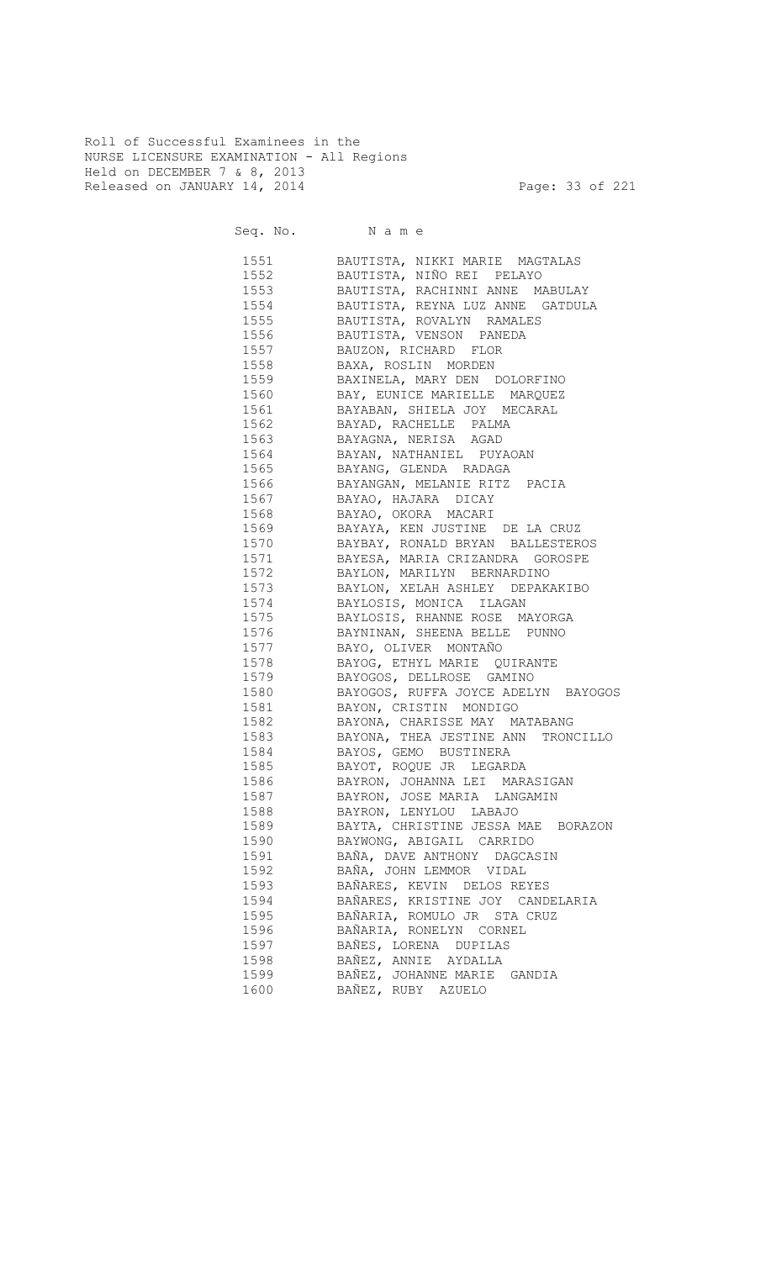Roll of Successful Examinees in the NURSE LICENSURE EXAMINATION - All Regions Held on DECEMBER 7 & 8, 2013 Released on JANUARY 14, 2014 **Page: 33 of 221** 

Seq. No. Name

 1551 BAUTISTA, NIKKI MARIE MAGTALAS 1552 BAUTISTA, NIÑO REI PELAYO 1553 BAUTISTA, RACHINNI ANNE MABULAY 1554 BAUTISTA, REYNA LUZ ANNE GATDULA 1555 BAUTISTA, ROVALYN RAMALES 1556 BAUTISTA, VENSON PANEDA 1557 BAUZON, RICHARD FLOR 1558 BAXA, ROSLIN MORDEN 1559 BAXINELA, MARY DEN DOLORFINO 1560 BAY, EUNICE MARIELLE MARQUEZ 1561 BAYABAN, SHIELA JOY MECARAL 1562 BAYAD, RACHELLE PALMA 1563 BAYAGNA, NERISA AGAD 1564 BAYAN, NATHANIEL PUYAOAN 1565 BAYANG, GLENDA RADAGA 1566 BAYANGAN, MELANIE RITZ PACIA 1567 BAYAO, HAJARA DICAY 1568 BAYAO, OKORA MACARI 1569 BAYAYA, KEN JUSTINE DE LA CRUZ 1570 BAYBAY, RONALD BRYAN BALLESTEROS 1571 BAYESA, MARIA CRIZANDRA GOROSPE 1572 BAYLON, MARILYN BERNARDINO 1573 BAYLON, XELAH ASHLEY DEPAKAKIBO 1574 BAYLOSIS, MONICA ILAGAN<br>1575 BAYLOSIS, RHANNE ROSE MA BAYLOSIS, RHANNE ROSE MAYORGA 1576 BAYNINAN, SHEENA BELLE PUNNO 1577 BAYO, OLIVER MONTAÑO 1578 BAYOG, ETHYL MARIE QUIRANTE 1579 BAYOGOS, DELLROSE GAMINO 1580 BAYOGOS, RUFFA JOYCE ADELYN BAYOGOS 1581 BAYON, CRISTIN MONDIGO 1582 BAYONA, CHARISSE MAY MATABANG 1583 BAYONA, THEA JESTINE ANN TRONCILLO 1584 BAYOS, GEMO BUSTINERA 1585 BAYOT, ROQUE JR LEGARDA 1586 BAYRON, JOHANNA LEI MARASIGAN 1587 BAYRON, JOSE MARIA LANGAMIN 1588 BAYRON, LENYLOU LABAJO 1589 BAYTA, CHRISTINE JESSA MAE BORAZON 1590 BAYWONG, ABIGAIL CARRIDO 1591 BAÑA, DAVE ANTHONY DAGCASIN 1592 BAÑA, JOHN LEMMOR VIDAL 1593 BAÑARES, KEVIN DELOS REYES 1594 BAÑARES, KRISTINE JOY CANDELARIA 1595 BAÑARIA, ROMULO JR STA CRUZ 1596 BAÑARIA, RONELYN CORNEL 1597 BAÑES, LORENA DUPILAS 1598 BAÑEZ, ANNIE AYDALLA 1599 BAÑEZ, JOHANNE MARIE GANDIA 1600 BAÑEZ, RUBY AZUELO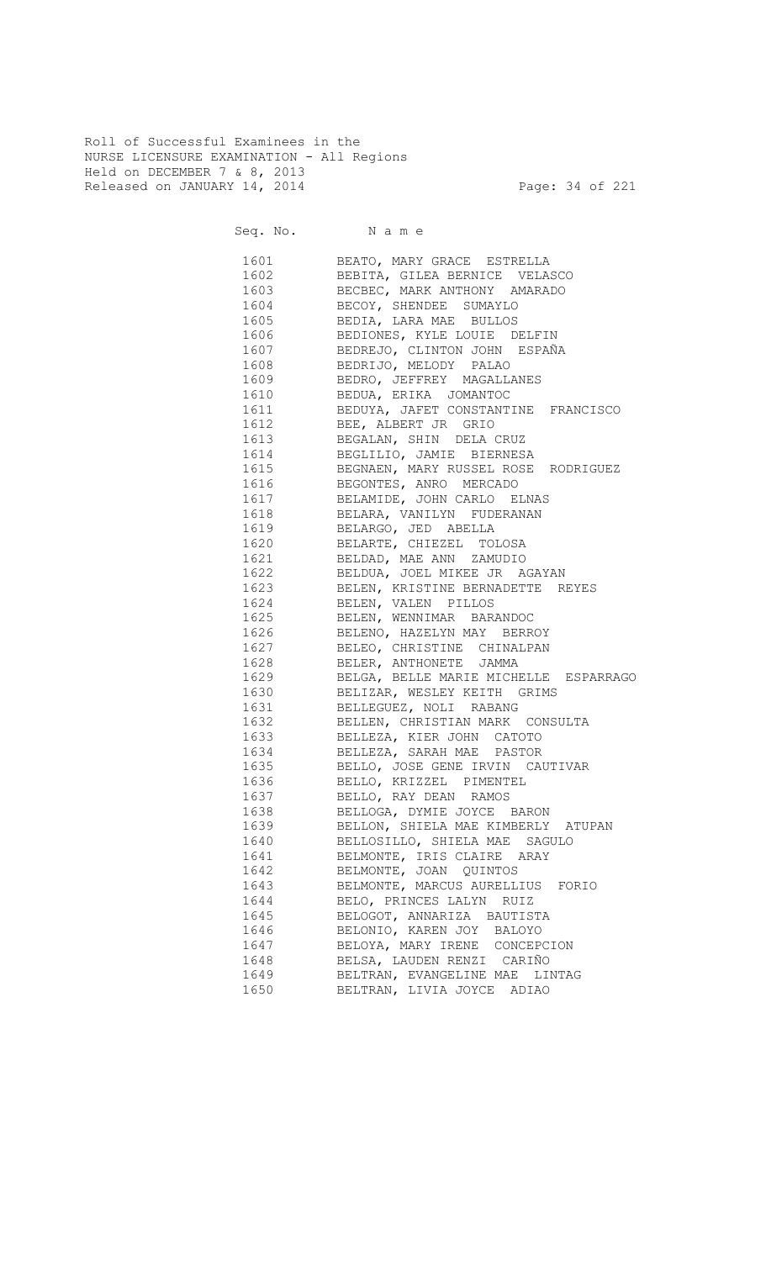Roll of Successful Examinees in the NURSE LICENSURE EXAMINATION - All Regions Held on DECEMBER 7 & 8, 2013 Released on JANUARY 14, 2014 **Page: 34 of 221** 

Seq. No. Name

 1601 BEATO, MARY GRACE ESTRELLA 1602 BEBITA, GILEA BERNICE VELASCO<br>1603 BECBEC, MARK ANTHONY AMARADO BECBEC, MARK ANTHONY AMARADO 1604 BECOY, SHENDEE SUMAYLO 1605 BEDIA, LARA MAE BULLOS 1606 BEDIONES, KYLE LOUIE DELFIN 1607 BEDREJO, CLINTON JOHN ESPAÑA 1608 BEDRIJO, MELODY PALAO<br>1609 BEDRO, JEFFREY MAGALLA<br>1610 BEDUA, ERIKA JOMANTOC 1609 BEDRO, JEFFREY MAGALLANES 1610 BEDUA, ERIKA JOMANTOC

| TPTO | BEDUA, ERIKA JOMANTOC                 |
|------|---------------------------------------|
| 1611 | BEDUYA, JAFET CONSTANTINE FRANCISCO   |
| 1612 | BEE, ALBERT JR GRIO                   |
| 1613 | BEGALAN, SHIN DELA CRUZ               |
| 1614 | BEGLILIO, JAMIE BIERNESA              |
| 1615 | BEGNAEN, MARY RUSSEL ROSE RODRIGUEZ   |
| 1616 | BEGONTES, ANRO MERCADO                |
| 1617 | BELAMIDE, JOHN CARLO ELNAS            |
| 1618 | BELARA, VANILYN FUDERANAN             |
| 1619 | BELARGO, JED ABELLA                   |
| 1620 | BELARTE, CHIEZEL TOLOSA               |
| 1621 | BELDAD, MAE ANN ZAMUDIO               |
| 1622 | BELDUA, JOEL MIKEE JR AGAYAN          |
| 1623 | BELEN, KRISTINE BERNADETTE REYES      |
| 1624 | BELEN, VALEN PILLOS                   |
| 1625 | BELEN, WENNIMAR BARANDOC              |
| 1626 | BELENO, HAZELYN MAY BERROY            |
| 1627 | BELEO, CHRISTINE CHINALPAN            |
| 1628 | BELER, ANTHONETE JAMMA                |
| 1629 | BELGA, BELLE MARIE MICHELLE ESPARRAGO |
| 1630 | BELIZAR, WESLEY KEITH GRIMS           |
| 1631 | BELLEGUEZ, NOLI RABANG                |
| 1632 | BELLEN, CHRISTIAN MARK CONSULTA       |
| 1633 | BELLEZA, KIER JOHN CATOTO             |
| 1634 | BELLEZA, SARAH MAE PASTOR             |
| 1635 | BELLO, JOSE GENE IRVIN CAUTIVAR       |
| 1636 | BELLO, KRIZZEL PIMENTEL               |
| 1637 | BELLO, RAY DEAN RAMOS                 |
| 1638 | BELLOGA, DYMIE JOYCE BARON            |
| 1639 | BELLON, SHIELA MAE KIMBERLY ATUPAN    |
| 1640 | BELLOSILLO, SHIELA MAE SAGULO         |
| 1641 | BELMONTE, IRIS CLAIRE ARAY            |
| 1642 | BELMONTE, JOAN QUINTOS                |
| 1643 | BELMONTE, MARCUS AURELLIUS FORIO      |
| 1644 | BELO, PRINCES LALYN RUIZ              |
| 1645 | BELOGOT, ANNARIZA BAUTISTA            |
| 1646 | BELONIO, KAREN JOY BALOYO             |
| 1647 | BELOYA, MARY IRENE CONCEPCION         |
| 1648 | BELSA, LAUDEN RENZI CARIÑO            |
| 1649 | BELTRAN, EVANGELINE MAE LINTAG        |
| 1650 | BELTRAN, LIVIA JOYCE ADIAO            |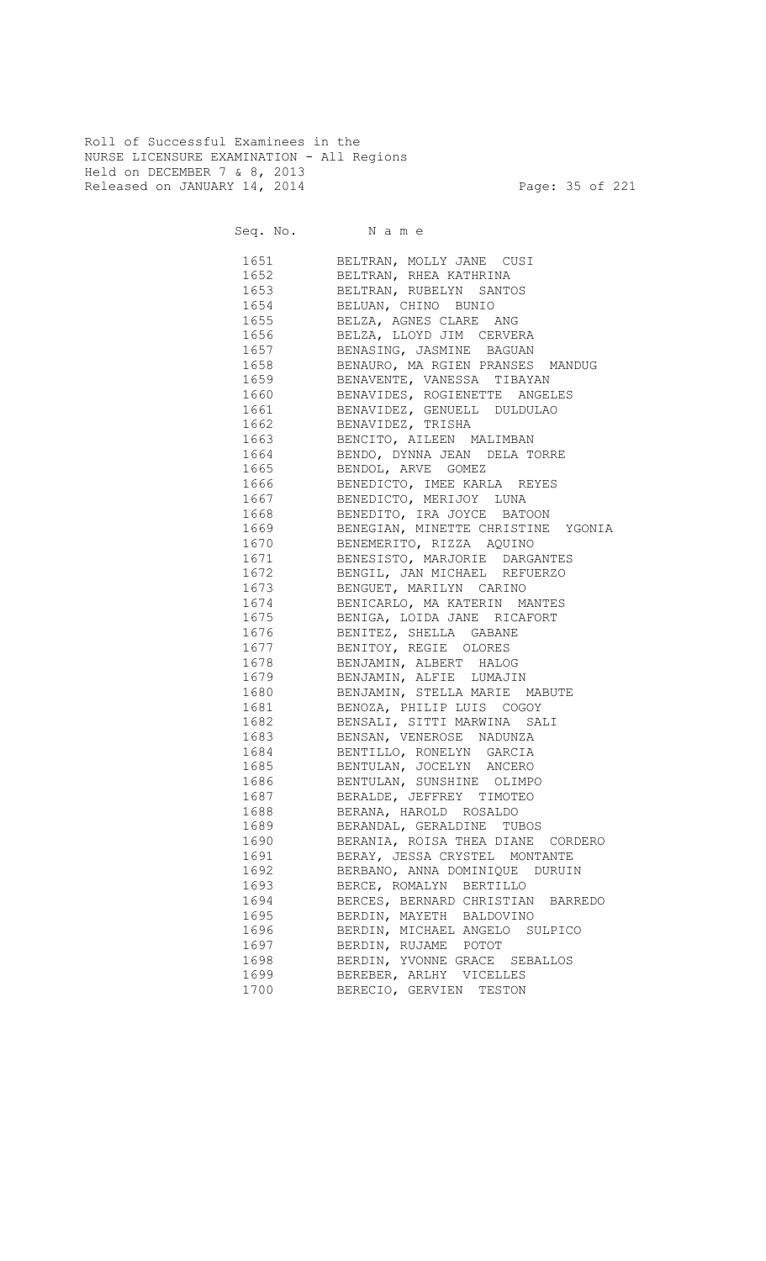Roll of Successful Examinees in the NURSE LICENSURE EXAMINATION - All Regions Held on DECEMBER 7 & 8, 2013 Released on JANUARY 14, 2014 **Page: 35 of 221** 

Seq. No. Name

 1651 BELTRAN, MOLLY JANE CUSI 1652 BELTRAN, RHEA KATHRINA 1653 BELTRAN, RUBELYN SANTOS 1654 BELUAN, CHINO BUNIO<br>1655 BELZA, AGNES CLARE 1655 BELZA, AGNES CLARE ANG 1656 BELZA, LLOYD JIM CERVERA 1657 BENASING, JASMINE BAGUAN 1658 BENAURO, MA RGIEN PRANSES MANDUG 1659 BENAVENTE, VANESSA TIBAYAN 1660 BENAVIDES, ROGIENETTE ANGELES 1661 BENAVIDEZ, GENUELL DULDULAO 1662 BENAVIDEZ, TRISHA 1663 BENCITO, AILEEN MALIMBAN 1664 BENDO, DYNNA JEAN DELA TORRE 1665 BENDOL, ARVE GOMEZ 1666 BENEDICTO, IMEE KARLA REYES 1667 BENEDICTO, MERIJOY LUNA<br>1668 BENEDITO, IRA JOYCE BAT 1668 BENEDITO, IRA JOYCE BATOON 1669 BENEGIAN, MINETTE CHRISTINE YGONIA 1670 BENEMERITO, RIZZA AQUINO 1671 BENESISTO, MARJORIE DARGANTES 1672 BENGIL, JAN MICHAEL REFUERZO 1673 BENGUET, MARILYN CARINO<br>1674 BENICARLO, MARATERIN M 1674 BENICARLO, MA KATERIN MANTES BENIGA, LOIDA JANE RICAFORT 1676 BENITEZ, SHELLA GABANE 1677 BENITOY, REGIE OLORES 1678 BENJAMIN, ALBERT HALOG 1679 BENJAMIN, ALFIE LUMAJIN 1680 BENJAMIN, STELLA MARIE MABUTE 1681 BENOZA, PHILIP LUIS COGOY 1682 BENSALI, SITTI MARWINA SALI 1683 BENSAN, VENEROSE NADUNZA 1684 BENTILLO, RONELYN GARCIA 1685 BENTULAN, JOCELYN ANCERO 1686 BENTULAN, SUNSHINE OLIMPO 1687 BERALDE, JEFFREY TIMOTEO 1688 BERANA, HAROLD ROSALDO 1689 BERANDAL, GERALDINE TUBOS 1690 BERANIA, ROISA THEA DIANE CORDERO 1691 BERAY, JESSA CRYSTEL MONTANTE 1692 BERBANO, ANNA DOMINIQUE DURUIN 1693 BERCE, ROMALYN BERTILLO 1694 BERCES, BERNARD CHRISTIAN BARREDO 1695 BERDIN, MAYETH BALDOVINO 1696 BERDIN, MICHAEL ANGELO SULPICO 1697 BERDIN, RUJAME POTOT 1698 BERDIN, YVONNE GRACE SEBALLOS 1699 BEREBER, ARLHY VICELLES 1700 BERECIO, GERVIEN TESTON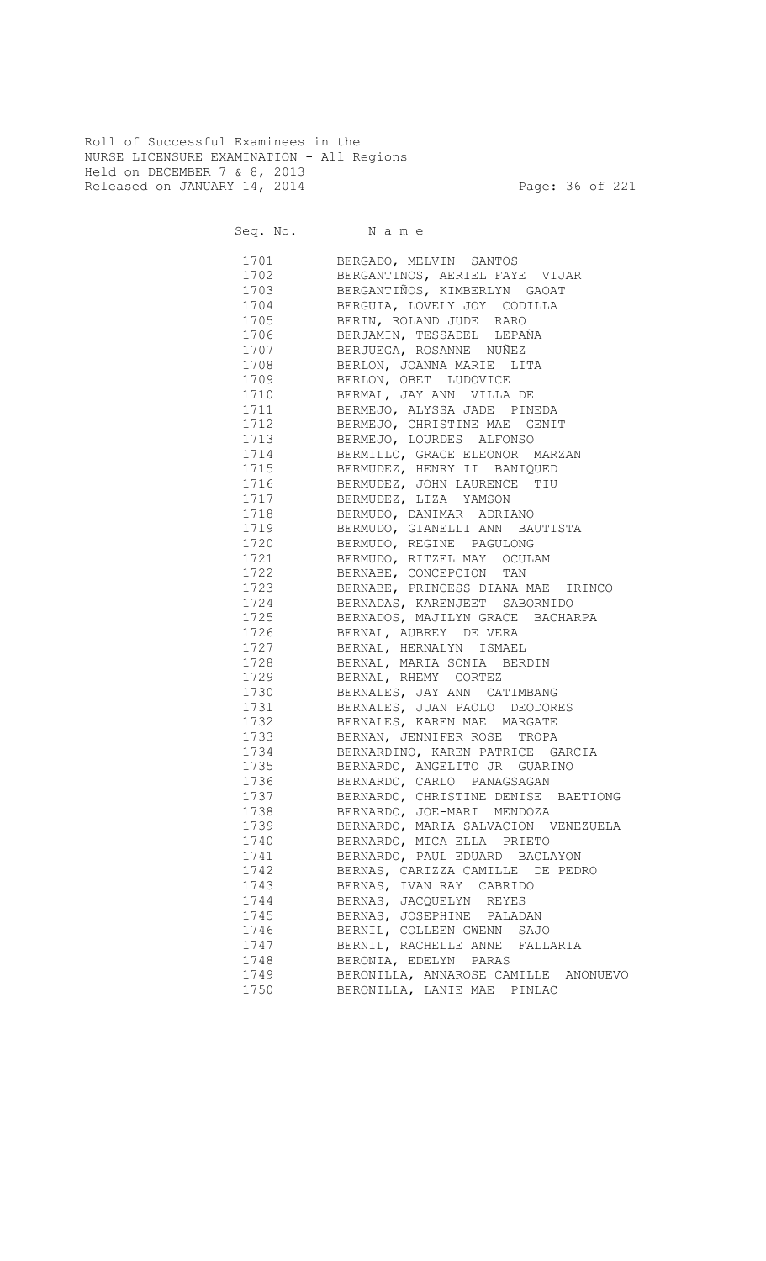Roll of Successful Examinees in the NURSE LICENSURE EXAMINATION - All Regions Held on DECEMBER 7 & 8, 2013 Released on JANUARY 14, 2014 **Page: 36 of 221** 

Seq. No. Name 1701 BERGADO, MELVIN SANTOS 1702 BERGANTINOS, AERIEL FAYE VIJAR 1703 BERGANTIÑOS, KIMBERLYN GAOAT 1704 BERGUIA, LOVELY JOY CODILLA 1705 BERIN, ROLAND JUDE RARO 1706 BERJAMIN, TESSADEL LEPAÑA 1707 BERJUEGA, ROSANNE NUÑEZ 1708 BERLON, JOANNA MARIE LITA 1709 BERLON, OBET LUDOVICE 1710 BERMAL, JAY ANN VILLA DE 1711 BERMEJO, ALYSSA JADE PINEDA<br>1712 BERMEJO, CHRISTINE MAE GENI' BERMEJO, CHRISTINE MAE GENIT 1713 BERMEJO, LOURDES ALFONSO 1714 BERMILLO, GRACE ELEONOR MARZAN 1715 BERMUDEZ, HENRY II BANIQUED 1716 BERMUDEZ, JOHN LAURENCE TIU 1717 BERMUDEZ, LIZA YAMSON BERMUDO, DANIMAR ADRIANO 1719 BERMUDO, GIANELLI ANN BAUTISTA<br>1720 BERMUDO, REGINE PAGULONG BERMUDO, REGINE PAGULONG 1721 BERMUDO, RITZEL MAY OCULAM 1722 BERNABE, CONCEPCION TAN 1723 BERNABE, PRINCESS DIANA MAE IRINCO 1724 BERNADAS, KARENJEET SABORNIDO 1725 BERNADOS, MAJILYN GRACE BACHARPA 1726 BERNAL, AUBREY DE VERA 1727 BERNAL, HERNALYN ISMAEL 1728 BERNAL, MARIA SONIA BERDIN 1729 BERNAL, RHEMY CORTEZ 1730 BERNALES, JAY ANN CATIMBANG 1731 BERNALES, JUAN PAOLO DEODORES 1732 BERNALES, KAREN MAE MARGATE BERNAN, JENNIFER ROSE TROPA 1734 BERNARDINO, KAREN PATRICE GARCIA 1735 BERNARDO, ANGELITO JR GUARINO 1736 BERNARDO, CARLO PANAGSAGAN 1737 BERNARDO, CHRISTINE DENISE BAETIONG 1738 BERNARDO, JOE-MARI MENDOZA 1739 BERNARDO, MARIA SALVACION VENEZUELA 1740 BERNARDO, MICA ELLA PRIETO 1741 BERNARDO, PAUL EDUARD BACLAYON 1742 BERNAS, CARIZZA CAMILLE DE PEDRO 1743 BERNAS, IVAN RAY CABRIDO 1744 BERNAS, JACQUELYN REYES 1745 BERNAS, JOSEPHINE PALADAN 1746 BERNIL, COLLEEN GWENN SAJO 1747 BERNIL, RACHELLE ANNE FALLARIA 1748 BERONIA, EDELYN PARAS 1749 BERONILLA, ANNAROSE CAMILLE ANONUEVO<br>1750 BERONILLA, LANIE MAE PINLAC

BERONILLA, LANIE MAE PINLAC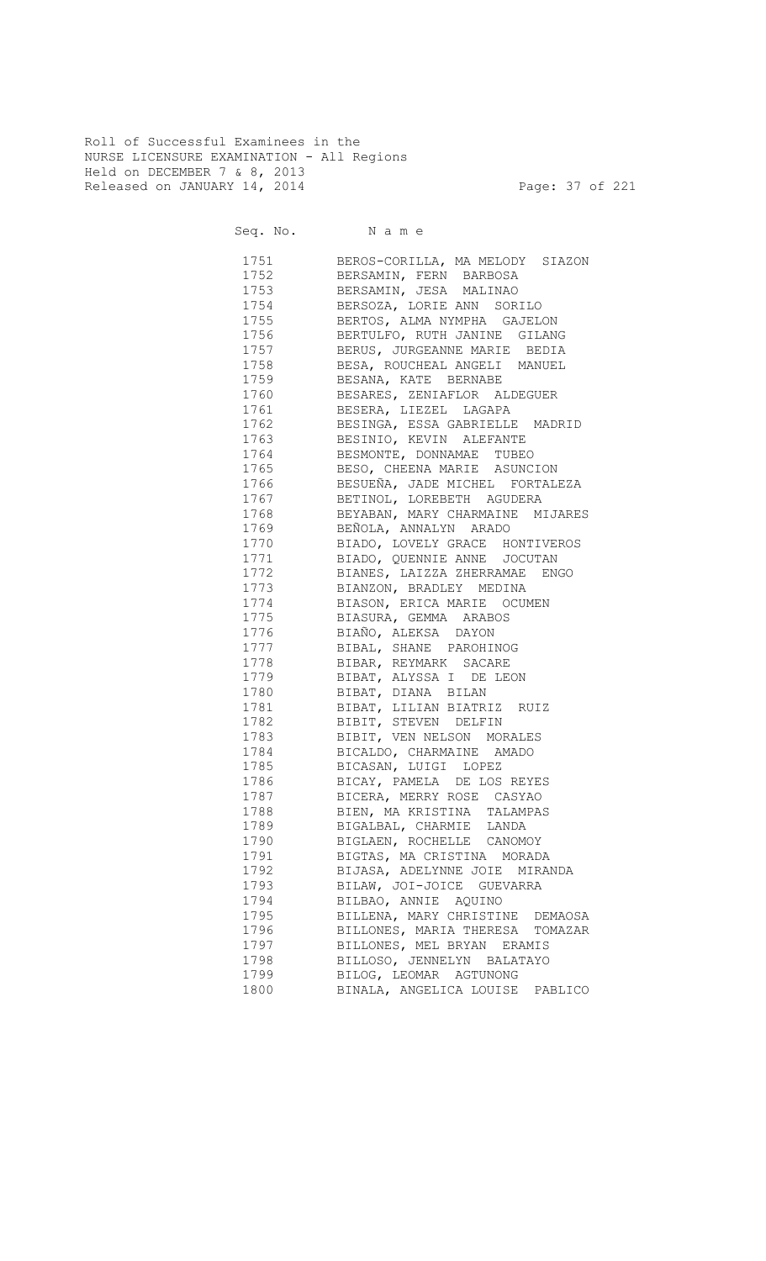Roll of Successful Examinees in the NURSE LICENSURE EXAMINATION - All Regions Held on DECEMBER 7 & 8, 2013 Released on JANUARY 14, 2014 **Page: 37 of 221** 

Seq. No. Name

 1751 BEROS-CORILLA, MA MELODY SIAZON 1752 BERSAMIN, FERN BARBOSA 1753 BERSAMIN, JESA MALINAO 1754 BERSOZA, LORIE ANN SORILO BERTOS, ALMA NYMPHA GAJELON 1756 BERTULFO, RUTH JANINE GILANG 1757 BERUS, JURGEANNE MARIE BEDIA 1758 BESA, ROUCHEAL ANGELI MANUEL 1759 BESANA, KATE BERNABE 1760 BESARES, ZENIAFLOR ALDEGUER 1761 BESERA, LIEZEL LAGAPA<br>1762 BESINGA, ESSA GABRIELLE BESINGA, ESSA GABRIELLE MADRID 1763 BESINIO, KEVIN ALEFANTE 1764 BESMONTE, DONNAMAE TUBEO 1765 BESO, CHEENA MARIE ASUNCION 1766 BESUEÑA, JADE MICHEL FORTALEZA 1767 BETINOL, LOREBETH AGUDERA BEYABAN, MARY CHARMAINE MIJARES 1769 BEÑOLA, ANNALYN ARADO 1770 BIADO, LOVELY GRACE HONTIVEROS 1771 BIADO, QUENNIE ANNE JOCUTAN 1772 BIANES, LAIZZA ZHERRAMAE ENGO 1773 BIANZON, BRADLEY MEDINA<br>1774 BIASON, ERICA MARIE OCU 1774 BIASON, ERICA MARIE OCUMEN<br>1775 BIASURA, GEMMA ARABOS 1775 BIASURA, GEMMA ARABOS 1776 BIAÑO, ALEKSA DAYON 1777 BIBAL, SHANE PAROHINOG 1778 BIBAR, REYMARK SACARE 1779 BIBAT, ALYSSA I DE LEON 1780 BIBAT, DIANA BILAN 1781 BIBAT, LILIAN BIATRIZ RUIZ 1782 BIBIT, STEVEN DELFIN BIBIT, VEN NELSON MORALES 1784 BICALDO, CHARMAINE AMADO 1785 BICASAN, LUIGI LOPEZ 1786 BICAY, PAMELA DE LOS REYES 1787 BICERA, MERRY ROSE CASYAO<br>1788 BIEN, MARISTINA TALAMPAS BIEN, MA KRISTINA TALAMPAS 1789 BIGALBAL, CHARMIE LANDA 1790 BIGLAEN, ROCHELLE CANOMOY 1791 BIGTAS, MA CRISTINA MORADA 1792 BIJASA, ADELYNNE JOIE MIRANDA 1793 BILAW, JOI-JOICE GUEVARRA 1794 BILBAO, ANNIE AQUINO 1795 BILLENA, MARY CHRISTINE DEMAOSA 1796 BILLONES, MARIA THERESA TOMAZAR 1797 BILLONES, MEL BRYAN ERAMIS 1798 BILLOSO, JENNELYN BALATAYO 1799 BILOG, LEOMAR AGTUNONG

1800 BINALA, ANGELICA LOUISE PABLICO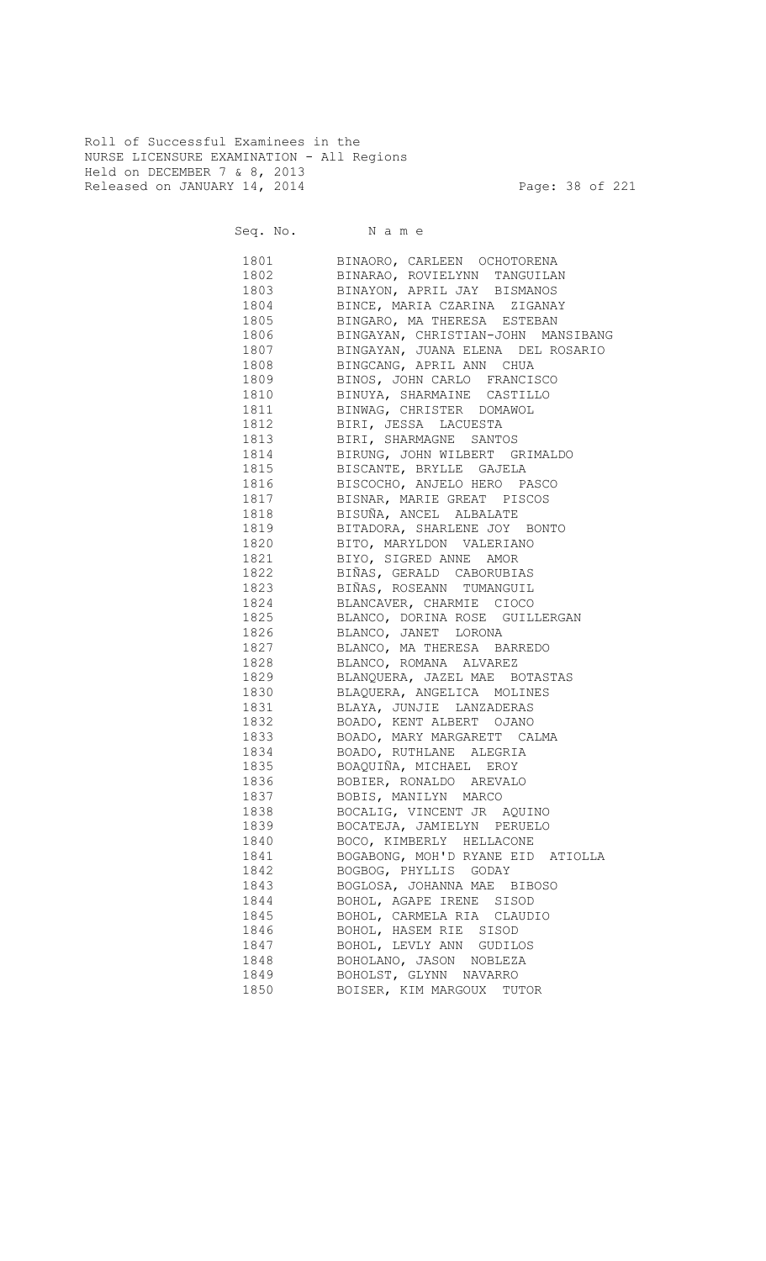Roll of Successful Examinees in the NURSE LICENSURE EXAMINATION - All Regions Held on DECEMBER 7 & 8, 2013 Released on JANUARY 14, 2014 **Page: 38 of 221** 

Seq. No. Name 1801 BINAORO, CARLEEN OCHOTORENA 1802 BINARAO, ROVIELYNN TANGUILAN 1803 BINAYON, APRIL JAY BISMANOS 1804 BINCE, MARIA CZARINA ZIGANAY 1805 BINGARO, MA THERESA ESTEBAN 1806 BINGAYAN, CHRISTIAN-JOHN MANSIBANG 1807 BINGAYAN, JUANA ELENA DEL ROSARIO 1808 BINGCANG, APRIL ANN CHUA 1809 BINOS, JOHN CARLO FRANCISCO 1810 BINUYA, SHARMAINE CASTILLO 1811 BINWAG, CHRISTER DOMAWOL 1812 BIRI, JESSA LACUESTA 1813 BIRI, SHARMAGNE SANTOS 1814 BIRUNG, JOHN WILBERT GRIMALDO 1815 BISCANTE, BRYLLE GAJELA 1816 BISCOCHO, ANJELO HERO PASCO 1817 BISNAR, MARIE GREAT PISCOS<br>1818 BISUÑA, ANCEL ALBALATE 1818 BISUÑA, ANCEL ALBALATE 1819 BITADORA, SHARLENE JOY BONTO 1820 BITO, MARYLDON VALERIANO 1821 BIYO, SIGRED ANNE AMOR 1822 BIÑAS, GERALD CABORUBIAS 1823 BIÑAS, ROSEANN TUMANGUIL 1824 BLANCAVER, CHARMIE CIOCO 1825 BLANCO, DORINA ROSE GUILLERGAN 1826 BLANCO, JANET LORONA 1827 BLANCO, MA THERESA BARREDO 1828 BLANCO, ROMANA ALVAREZ 1829 BLANQUERA, JAZEL MAE BOTASTAS 1830 BLAQUERA, ANGELICA MOLINES 1831 BLAYA, JUNJIE LANZADERAS 1832 BOADO, KENT ALBERT OJANO 1833 BOADO, MARY MARGARETT CALMA 1834 BOADO, RUTHLANE ALEGRIA 1835 BOAQUIÑA, MICHAEL EROY 1836 BOBIER, RONALDO AREVALO 1837 BOBIS, MANILYN MARCO 1838 BOCALIG, VINCENT JR AQUINO 1839 BOCATEJA, JAMIELYN PERUELO 1840 BOCO, KIMBERLY HELLACONE 1841 BOGABONG, MOH'D RYANE EID ATIOLLA 1842 BOGBOG, PHYLLIS GODAY 1843 BOGLOSA, JOHANNA MAE BIBOSO 1844 BOHOL, AGAPE IRENE SISOD

1845 BOHOL, CARMELA RIA CLAUDIO

 1846 BOHOL, HASEM RIE SISOD 1847 BOHOL, LEVLY ANN GUDILOS 1848 BOHOLANO, JASON NOBLEZA 1849 BOHOLST, GLYNN NAVARRO 1850 BOISER, KIM MARGOUX TUTOR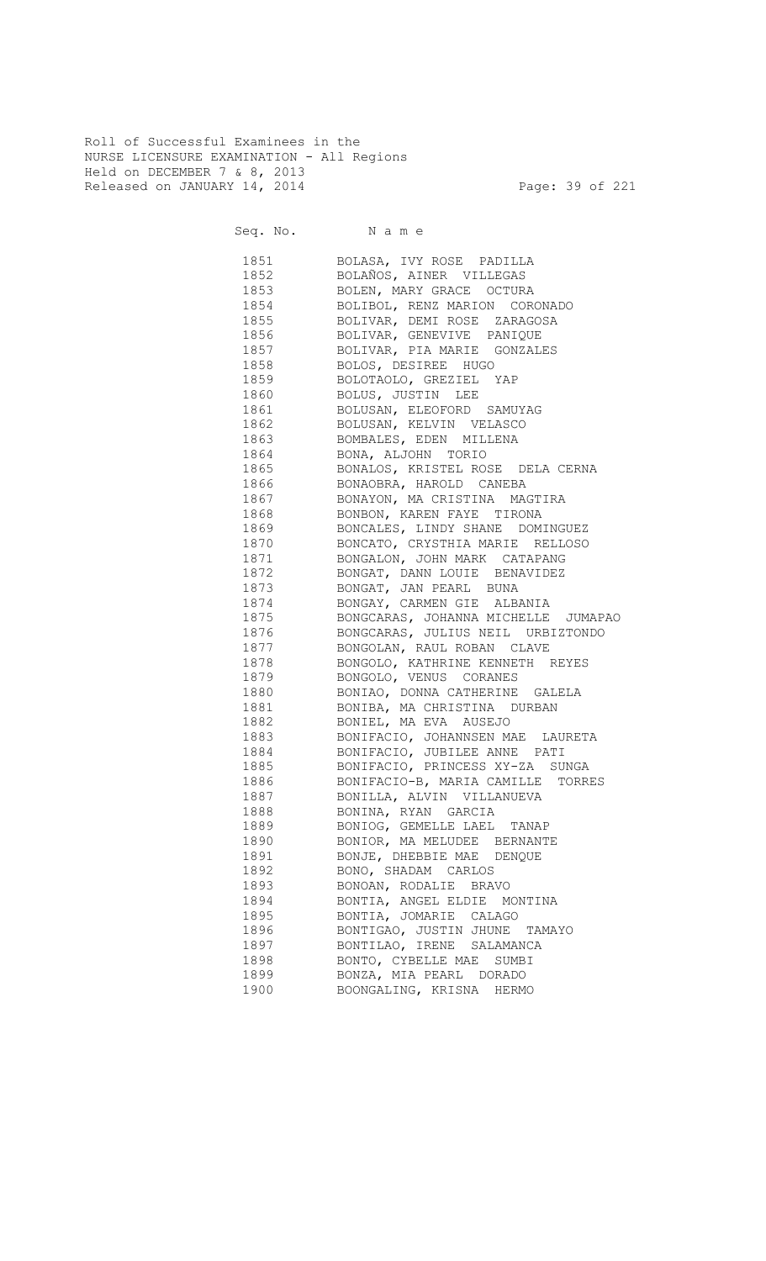Roll of Successful Examinees in the NURSE LICENSURE EXAMINATION - All Regions Held on DECEMBER 7 & 8, 2013 Released on JANUARY 14, 2014 **Page: 39 of 221** 

| 1851 | BOLASA, IVY ROSE PADILLA             |
|------|--------------------------------------|
| 1852 | BOLAÑOS, AINER VILLEGAS              |
| 1853 | BOLEN, MARY GRACE OCTURA             |
| 1854 | BOLIBOL, RENZ MARION CORONADO        |
| 1855 | BOLIVAR, DEMI ROSE ZARAGOSA          |
| 1856 | BOLIVAR, GENEVIVE PANIQUE            |
| 1857 | BOLIVAR, PIA MARIE GONZALES          |
| 1858 | BOLOS, DESIREE HUGO                  |
| 1859 | BOLOTAOLO, GREZIEL YAP               |
| 1860 | BOLUS, JUSTIN LEE                    |
| 1861 | BOLUSAN, ELEOFORD SAMUYAG            |
| 1862 | BOLUSAN, KELVIN VELASCO              |
| 1863 | BOMBALES, EDEN MILLENA               |
| 1864 | BONA, ALJOHN TORIO                   |
| 1865 | BONALOS, KRISTEL ROSE DELA CERNA     |
| 1866 | BONAOBRA, HAROLD CANEBA              |
| 1867 | BONAYON, MA CRISTINA MAGTIRA         |
| 1868 | BONBON, KAREN FAYE TIRONA            |
| 1869 | BONCALES, LINDY SHANE DOMINGUEZ      |
| 1870 | BONCATO, CRYSTHIA MARIE RELLOSO      |
| 1871 | BONGALON, JOHN MARK CATAPANG         |
| 1872 | BONGAT, DANN LOUIE BENAVIDEZ         |
| 1873 | BONGAT, JAN PEARL BUNA               |
| 1874 | BONGAY, CARMEN GIE ALBANIA           |
| 1875 | BONGCARAS, JOHANNA MICHELLE JUMAPAO  |
| 1876 | BONGCARAS, JULIUS NEIL URBIZTONDO    |
| 1877 | BONGOLAN, RAUL ROBAN CLAVE           |
| 1878 | BONGOLO, KATHRINE KENNETH REYES      |
| 1879 | BONGOLO, VENUS CORANES               |
| 1880 | BONIAO, DONNA CATHERINE GALELA       |
| 1881 | BONIBA, MA CHRISTINA DURBAN          |
| 1882 | BONIEL, MA EVA AUSEJO                |
| 1883 | BONIFACIO, JOHANNSEN MAE LAURETA     |
| 1884 | BONIFACIO, JUBILEE ANNE PATI         |
| 1885 | BONIFACIO, PRINCESS XY-ZA SUNGA      |
| 1886 | BONIFACIO-B, MARIA CAMILLE<br>TORRES |
| 1887 | BONILLA, ALVIN VILLANUEVA            |
| 1888 | BONINA, RYAN GARCIA                  |
| 1889 | BONIOG, GEMELLE LAEL TANAP           |
| 1890 | BONIOR, MA MELUDEE BERNANTE          |
| 1891 | BONJE, DHEBBIE MAE DENQUE            |
| 1892 | BONO, SHADAM CARLOS                  |
| 1893 | BONOAN, RODALIE BRAVO                |
| 1894 | BONTIA, ANGEL ELDIE MONTINA          |
| 1895 | BONTIA, JOMARIE CALAGO               |
| 1896 | BONTIGAO, JUSTIN JHUNE<br>TAMAYO     |
| 1897 | BONTILAO, IRENE SALAMANCA            |
| 1898 | BONTO, CYBELLE MAE<br>SUMBI          |
| 1899 | BONZA, MIA PEARL DORADO              |
| 1900 | BOONGALING, KRISNA HERMO             |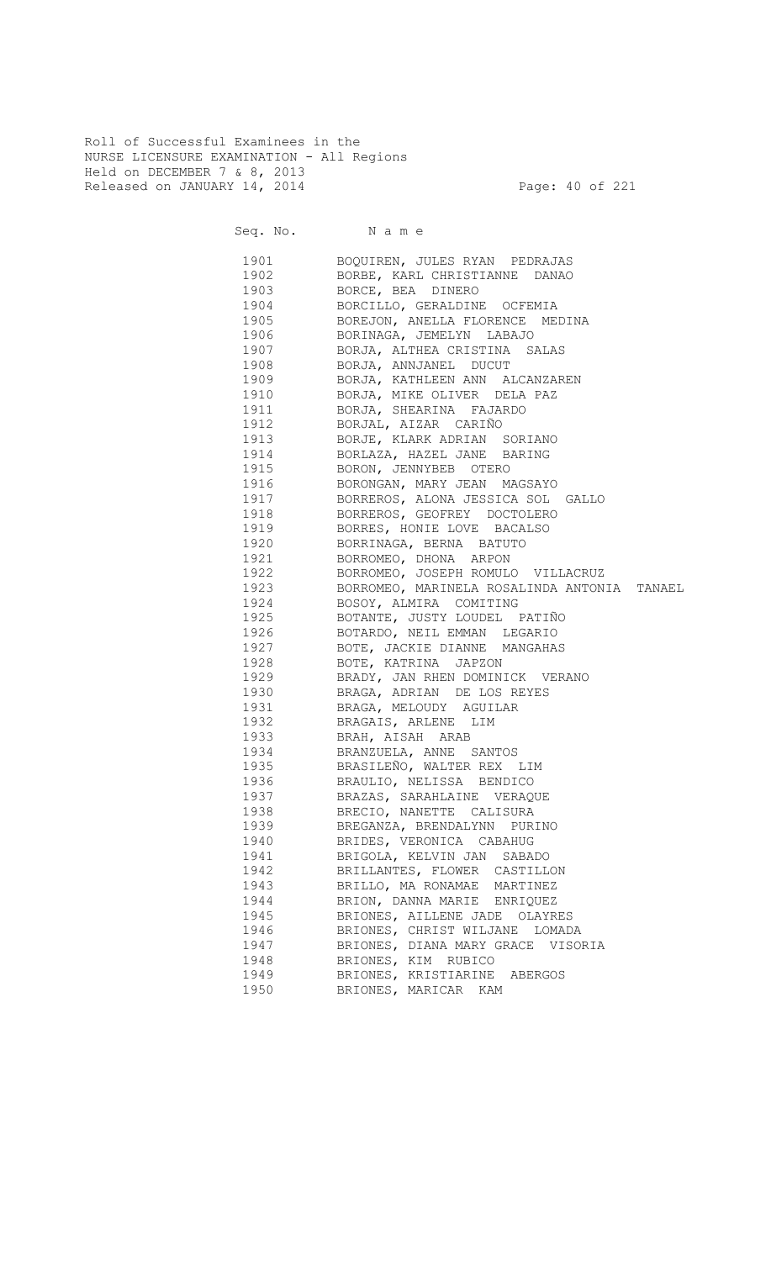Roll of Successful Examinees in the NURSE LICENSURE EXAMINATION - All Regions Held on DECEMBER 7 & 8, 2013 Released on JANUARY 14, 2014 **Page: 40 of 221** 

Seq. No. Name 1901 BOQUIREN, JULES RYAN PEDRAJAS 1902 BORBE, KARL CHRISTIANNE DANAO 1903 BORCE, BEA DINERO 1904 BORCILLO, GERALDINE OCFEMIA<br>1905 BOREJON, ANELLA FLORENCE ME 1905 BOREJON, ANELLA FLORENCE MEDINA 1906 BORINAGA, JEMELYN LABAJO 1907 BORJA, ALTHEA CRISTINA SALAS 1908 BORJA, ANNJANEL DUCUT 1909 BORJA, KATHLEEN ANN ALCANZAREN 1910 BORJA, MIKE OLIVER DELA PAZ 1911 BORJA, SHEARINA FAJARDO 1912 BORJAL, AIZAR CARIÑO 1913 BORJE, KLARK ADRIAN SORIANO 1914 BORLAZA, HAZEL JANE BARING 1915 BORON, JENNYBEB OTERO 1916 BORONGAN, MARY JEAN MAGSAYO 1917 BORREROS, ALONA JESSICA SOL GALLO 1918 BORREROS, GEOFREY DOCTOLERO 1919 BORRES, HONIE LOVE BACALSO 1920 BORRINAGA, BERNA BATUTO 1921 BORROMEO, DHONA ARPON 1922 BORROMEO, JOSEPH ROMULO VILLACRUZ 1923 BORROMEO, MARINELA ROSALINDA ANTONIA TANAEL 1924 BOSOY, ALMIRA COMITING 1925 BOTANTE, JUSTY LOUDEL PATIÑO 1926 BOTARDO, NEIL EMMAN LEGARIO 1927 BOTE, JACKIE DIANNE MANGAHAS 1928 BOTE, KATRINA JAPZON 1929 BRADY, JAN RHEN DOMINICK VERANO 1930 BRAGA, ADRIAN DE LOS REYES 1931 BRAGA, MELOUDY AGUILAR 1932 BRAGAIS, ARLENE LIM 1933 BRAH, AISAH ARAB 1934 BRANZUELA, ANNE SANTOS 1935 BRASILEÑO, WALTER REX LIM 1936 BRAULIO, NELISSA BENDICO 1937 BRAZAS, SARAHLAINE VERAQUE 1938 BRECIO, NANETTE CALISURA 1939 BREGANZA, BRENDALYNN PURINO 1940 BRIDES, VERONICA CABAHUG 1941 BRIGOLA, KELVIN JAN SABADO 1942 BRILLANTES, FLOWER CASTILLON 1943 BRILLO, MA RONAMAE MARTINEZ 1944 BRION, DANNA MARIE ENRIQUEZ 1945 BRIONES, AILLENE JADE OLAYRES 1946 BRIONES, CHRIST WILJANE LOMADA 1947 BRIONES, DIANA MARY GRACE VISORIA 1948 BRIONES, KIM RUBICO 1949 BRIONES, KRISTIARINE ABERGOS 1950 BRIONES, MARICAR KAM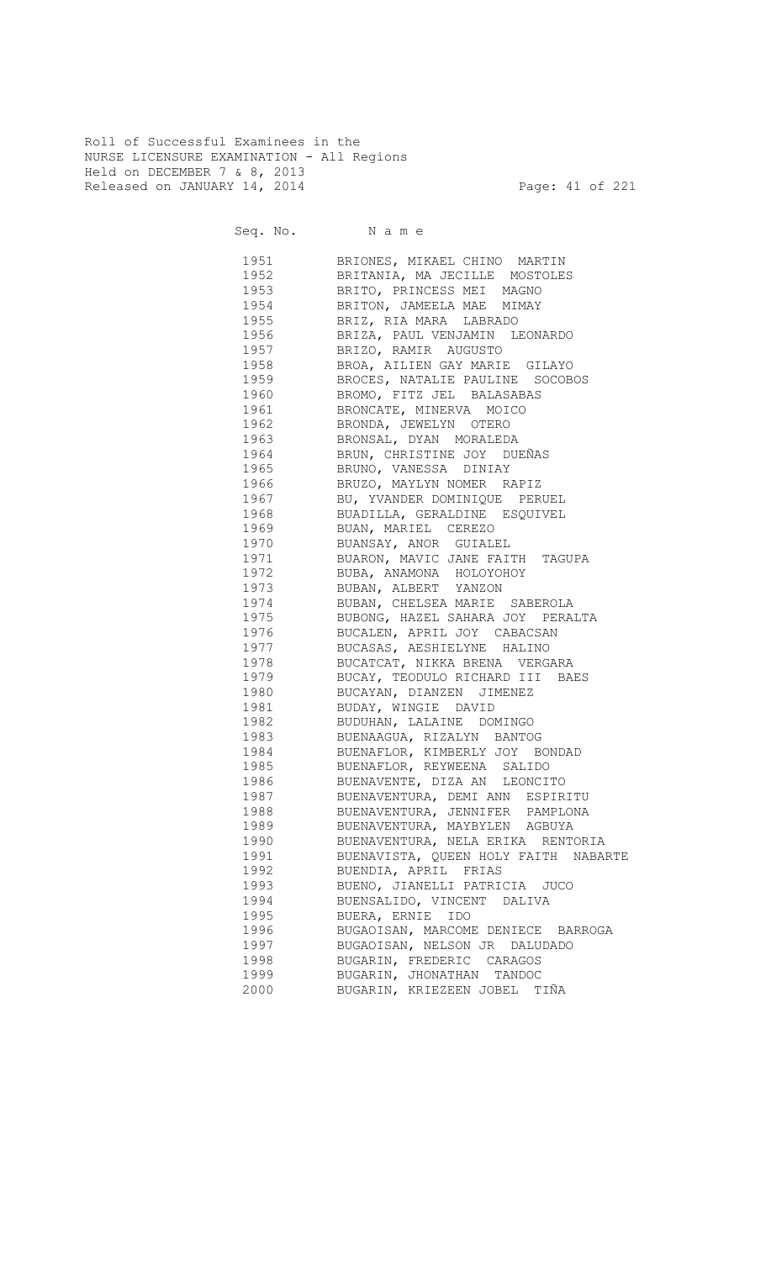Roll of Successful Examinees in the NURSE LICENSURE EXAMINATION - All Regions Held on DECEMBER 7 & 8, 2013 Released on JANUARY 14, 2014 **Page: 41 of 221** 

| 1951 | BRIONES, MIKAEL CHINO MARTIN                                          |
|------|-----------------------------------------------------------------------|
| 1952 | BRITANIA, MA JECILLE MOSTOLES                                         |
| 1953 | BRITO, PRINCESS MEI MAGNO                                             |
| 1954 | BRITON, JAMEELA MAE MIMAY                                             |
| 1955 | BRIZ, RIA MARA LABRADO                                                |
| 1956 | BRIZA, PAUL VENJAMIN LEONARDO                                         |
| 1957 | BRIZO, RAMIR AUGUSTO                                                  |
| 1958 | BROA, AILIEN GAY MARIE GILAYO                                         |
| 1959 | BROCES, NATALIE PAULINE SOCOBOS                                       |
| 1960 | BROMO, FITZ JEL BALASABAS                                             |
| 1961 | BRONCATE, MINERVA MOICO                                               |
| 1962 | BRONDA, JEWELYN OTERO                                                 |
| 1963 | BRONSAL, DYAN MORALEDA                                                |
| 1964 | BRUN, CHRISTINE JOY DUEÑAS                                            |
| 1965 | BRUNO, VANESSA DINIAY                                                 |
| 1966 | BRUZO, MAYLYN NOMER RAPIZ                                             |
| 1967 | BU, YVANDER DOMINIQUE PERUEL                                          |
| 1968 | BUADILLA, GERALDINE ESQUIVEL                                          |
| 1969 | BUAN, MARIEL CEREZO                                                   |
| 1970 | BUANSAY, ANOR GUIALEL                                                 |
| 1971 | BUARON, MAVIC JANE FAITH TAGUPA                                       |
| 1972 | BUBA, ANAMONA HOLOYOHOY                                               |
|      | 1973 BUBAN, ALBERT YANZON                                             |
|      | 1974 BUBAN, CHELSEA MARIE SABEROLA                                    |
|      | 1975 BUBONG, HAZEL SAHARA JOY PERALTA                                 |
|      | 1976 BUCALEN, APRIL JOY CABACSAN                                      |
|      | 1977 BUCASAS, AESHIELYNE HALINO                                       |
|      | 1978 BUCATCAT, NIKKA BRENA VERGARA                                    |
|      | 1979 BUCAY, TEODULO RICHARD III BAES                                  |
|      | 1980 BUCAYAN, DIANZEN JIMENEZ                                         |
|      | 1981 BUDAY, WINGIE DAVID                                              |
|      | 1982 BUDUHAN, LALAINE DOMINGO                                         |
|      |                                                                       |
|      | 1983 BUENAAGUA, RIZALYN BANTOG<br>1984 BUENAFLOR, KIMBERLY JOY BONDAD |
|      |                                                                       |
|      | 1985 BUENAFLOR, REYWEENA SALIDO                                       |
|      | 1986 BUENAVENTE, DIZA AN LEONCITO                                     |
|      | 1987 BUENAVENTURA, DEMI ANN ESPIRITU                                  |
| 1988 | BUENAVENTURA, JENNIFER PAMPLONA                                       |
| 1989 | BUENAVENTURA, MAYBYLEN AGBUYA                                         |
| 1990 | BUENAVENTURA, NELA ERIKA RENTORIA                                     |
| 1991 | BUENAVISTA, QUEEN HOLY FAITH NABARTE                                  |
| 1992 | BUENDIA, APRIL FRIAS                                                  |
| 1993 | BUENO, JIANELLI PATRICIA JUCO                                         |
| 1994 | BUENSALIDO, VINCENT<br>DALIVA                                         |
| 1995 | BUERA, ERNIE IDO                                                      |
| 1996 | BUGAOISAN, MARCOME DENIECE BARROGA                                    |
| 1997 | BUGAOISAN, NELSON JR DALUDADO                                         |
| 1998 | BUGARIN, FREDERIC CARAGOS                                             |
| 1999 | BUGARIN, JHONATHAN TANDOC                                             |
| 2000 | BUGARIN, KRIEZEEN JOBEL TIÑA                                          |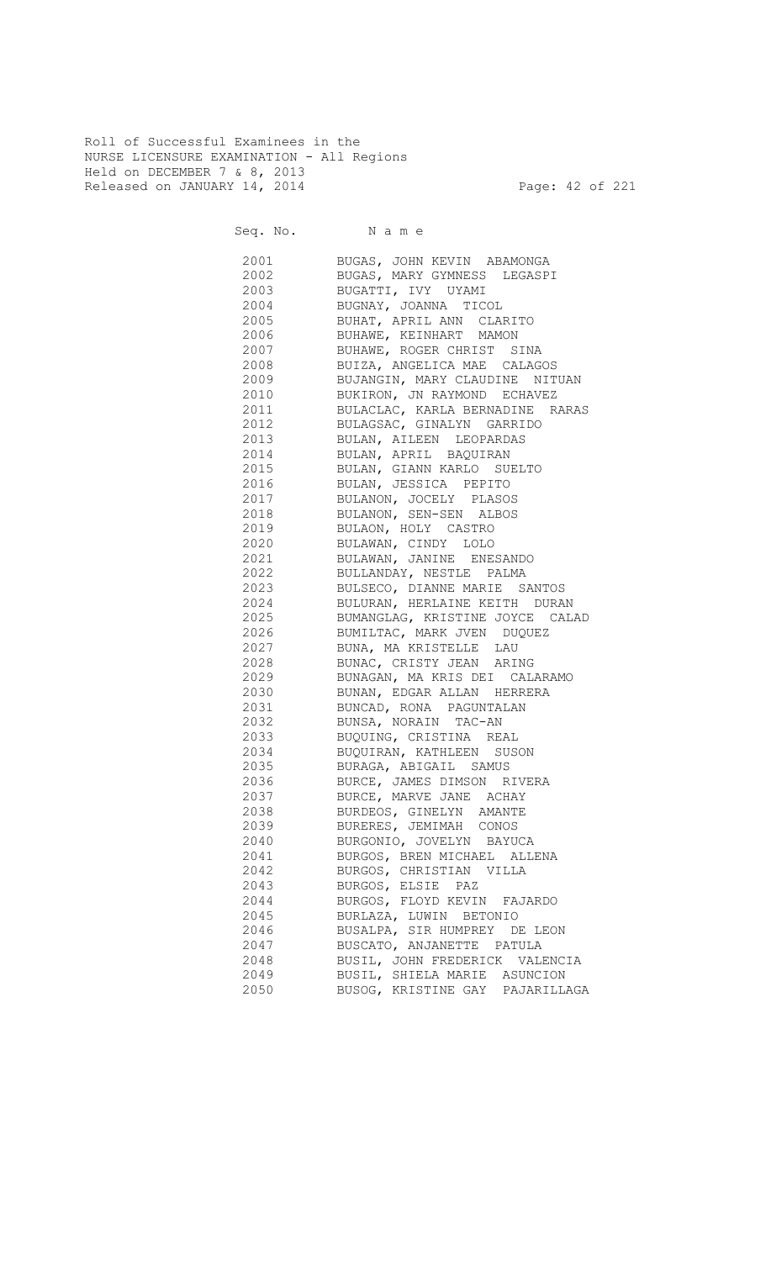Roll of Successful Examinees in the NURSE LICENSURE EXAMINATION - All Regions Held on DECEMBER 7 & 8, 2013 Released on JANUARY 14, 2014 **Page: 42 of 221** 

| 2001 | BUGAS, JOHN KEVIN ABAMONGA      |
|------|---------------------------------|
| 2002 | BUGAS, MARY GYMNESS LEGASPI     |
| 2003 | BUGATTI, IVY UYAMI              |
| 2004 | BUGNAY, JOANNA TICOL            |
| 2005 | BUHAT, APRIL ANN CLARITO        |
| 2006 | BUHAWE, KEINHART MAMON          |
| 2007 | BUHAWE, ROGER CHRIST SINA       |
| 2008 | BUIZA, ANGELICA MAE CALAGOS     |
| 2009 | BUJANGIN, MARY CLAUDINE NITUAN  |
| 2010 | BUKIRON, JN RAYMOND ECHAVEZ     |
| 2011 | BULACLAC, KARLA BERNADINE RARAS |
| 2012 | BULAGSAC, GINALYN GARRIDO       |
| 2013 | BULAN, AILEEN LEOPARDAS         |
| 2014 | BULAN, APRIL BAQUIRAN           |
| 2015 | BULAN, GIANN KARLO SUELTO       |
| 2016 | BULAN, JESSICA PEPITO           |
| 2017 | BULANON, JOCELY PLASOS          |
| 2018 | BULANON, SEN-SEN ALBOS          |
| 2019 | BULAON, HOLY CASTRO             |
| 2020 | BULAWAN, CINDY LOLO             |
| 2021 | BULAWAN, JANINE ENESANDO        |
| 2022 | BULLANDAY, NESTLE PALMA         |
|      | BULSECO, DIANNE MARIE SANTOS    |
| 2023 |                                 |
| 2024 | BULURAN, HERLAINE KEITH DURAN   |
| 2025 | BUMANGLAG, KRISTINE JOYCE CALAD |
| 2026 | BUMILTAC, MARK JVEN DUQUEZ      |
| 2027 | BUNA, MA KRISTELLE LAU          |
| 2028 | BUNAC, CRISTY JEAN ARING        |
| 2029 | BUNAGAN, MA KRIS DEI CALARAMO   |
| 2030 | BUNAN, EDGAR ALLAN HERRERA      |
| 2031 | BUNCAD, RONA PAGUNTALAN         |
| 2032 | BUNSA, NORAIN TAC-AN            |
| 2033 | BUQUING, CRISTINA REAL          |
| 2034 | BUQUIRAN, KATHLEEN SUSON        |
| 2035 | BURAGA, ABIGAIL SAMUS           |
| 2036 | BURCE, JAMES DIMSON RIVERA      |
| 2037 | BURCE, MARVE JANE ACHAY         |
| 2038 | BURDEOS, GINELYN AMANTE         |
| 2039 | BURERES, JEMIMAH CONOS          |
| 2040 | BURGONIO, JOVELYN BAYUCA        |
| 2041 | BURGOS, BREN MICHAEL ALLENA     |
| 2042 | BURGOS, CHRISTIAN VILLA         |
| 2043 | BURGOS, ELSIE PAZ               |
| 2044 | BURGOS, FLOYD KEVIN FAJARDO     |
| 2045 | BURLAZA, LUWIN BETONIO          |
| 2046 | BUSALPA, SIR HUMPREY DE LEON    |
| 2047 | BUSCATO, ANJANETTE PATULA       |
| 2048 | BUSIL, JOHN FREDERICK VALENCIA  |
| 2049 | BUSIL, SHIELA MARIE ASUNCION    |
| 2050 | BUSOG, KRISTINE GAY PAJARILLAGA |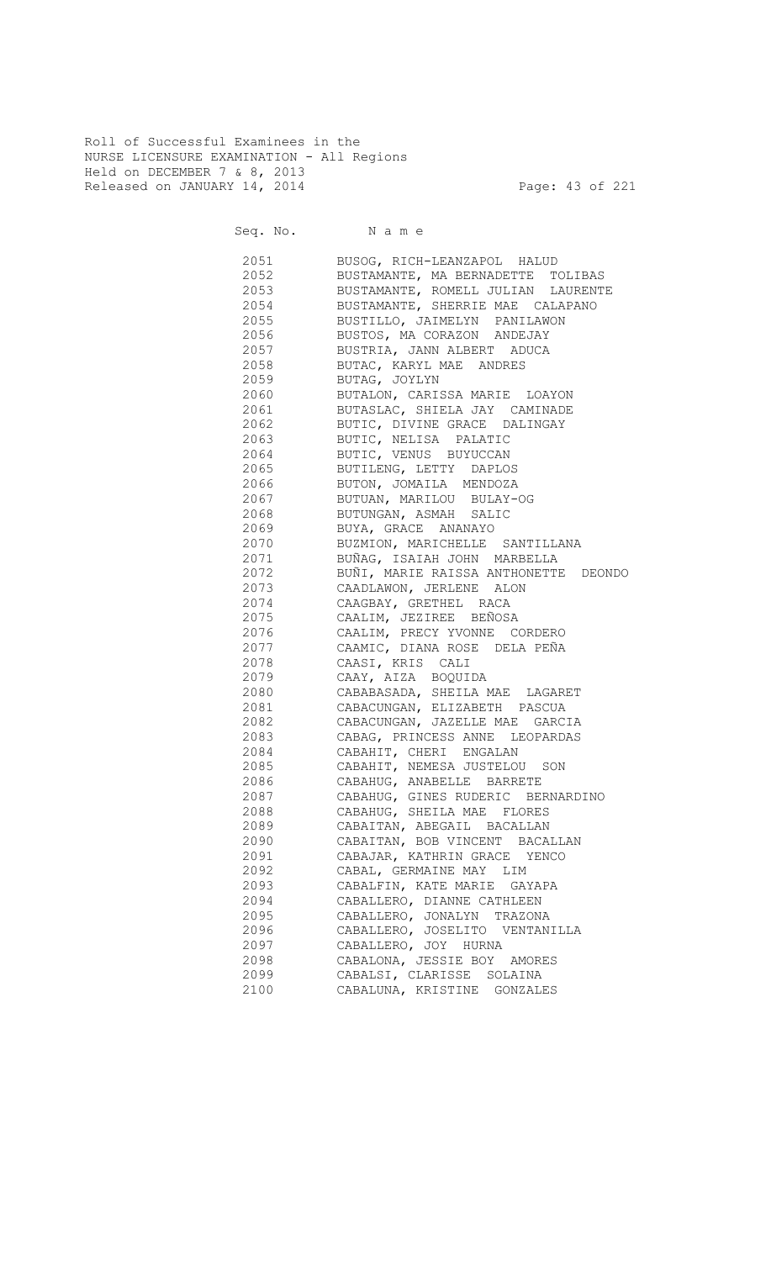Roll of Successful Examinees in the NURSE LICENSURE EXAMINATION - All Regions Held on DECEMBER 7 & 8, 2013 Released on JANUARY 14, 2014 **Page: 43 of 221** 

Seq. No. Name

 2051 BUSOG, RICH-LEANZAPOL HALUD 2052 BUSTAMANTE, MA BERNADETTE TOLIBAS 2053 BUSTAMANTE, ROMELL JULIAN LAURENTE 2054 BUSTAMANTE, SHERRIE MAE CALAPANO<br>2055 BUSTILLO, JAIMELYN PANILAWON 2055 BUSTILLO, JAIMELYN PANILAWON 2056 BUSTOS, MA CORAZON ANDEJAY 2057 BUSTRIA, JANN ALBERT ADUCA 2058 BUTAC, KARYL MAE ANDRES 2059 BUTAG, JOYLYN 2060 BUTALON, CARISSA MARIE LOAYON 2061 BUTASLAC, SHIELA JAY CAMINADE 2062 BUTIC, DIVINE GRACE DALINGAY 2063 BUTIC, NELISA PALATIC 2064 BUTIC, VENUS BUYUCCAN 2065 BUTILENG, LETTY DAPLOS 2066 BUTON, JOMAILA MENDOZA 2067 BUTUAN, MARILOU BULAY-OG<br>2068 BUTUNGAN, ASMAH SALIC 2068 BUTUNGAN, ASMAH SALIC 2069 BUYA, GRACE ANANAYO 2070 BUZMION, MARICHELLE SANTILLANA 2071 BUÑAG, ISAIAH JOHN MARBELLA 2072 BUÑI, MARIE RAISSA ANTHONETTE DEONDO 2073 CAADLAWON, JERLENE ALON<br>2074 CAAGBAY, GRETHEL RACA 2074 CAAGBAY, GRETHEL RACA CAALIM, JEZIREE BEÑOSA 2076 CAALIM, PRECY YVONNE CORDERO 2077 CAAMIC, DIANA ROSE DELA PEÑA 2078 CAASI, KRIS CALI 2079 CAAY, AIZA BOQUIDA 2080 CABABASADA, SHEILA MAE LAGARET 2081 CABACUNGAN, ELIZABETH PASCUA 2082 CABACUNGAN, JAZELLE MAE GARCIA 2083 CABAG, PRINCESS ANNE LEOPARDAS 2084 CABAHIT, CHERI ENGALAN 2085 CABAHIT, NEMESA JUSTELOU SON 2086 CABAHUG, ANABELLE BARRETE 2087 CABAHUG, GINES RUDERIC BERNARDINO 2088 CABAHUG, SHEILA MAE FLORES 2089 CABAITAN, ABEGAIL BACALLAN 2090 CABAITAN, BOB VINCENT BACALLAN 2091 CABAJAR, KATHRIN GRACE YENCO 2092 CABAL, GERMAINE MAY LIM 2093 CABALFIN, KATE MARIE GAYAPA 2094 CABALLERO, DIANNE CATHLEEN 2095 CABALLERO, JONALYN TRAZONA 2096 CABALLERO, JOSELITO VENTANILLA 2097 CABALLERO, JOY HURNA 2098 CABALONA, JESSIE BOY AMORES 2099 CABALSI, CLARISSE SOLAINA 2100 CABALUNA, KRISTINE GONZALES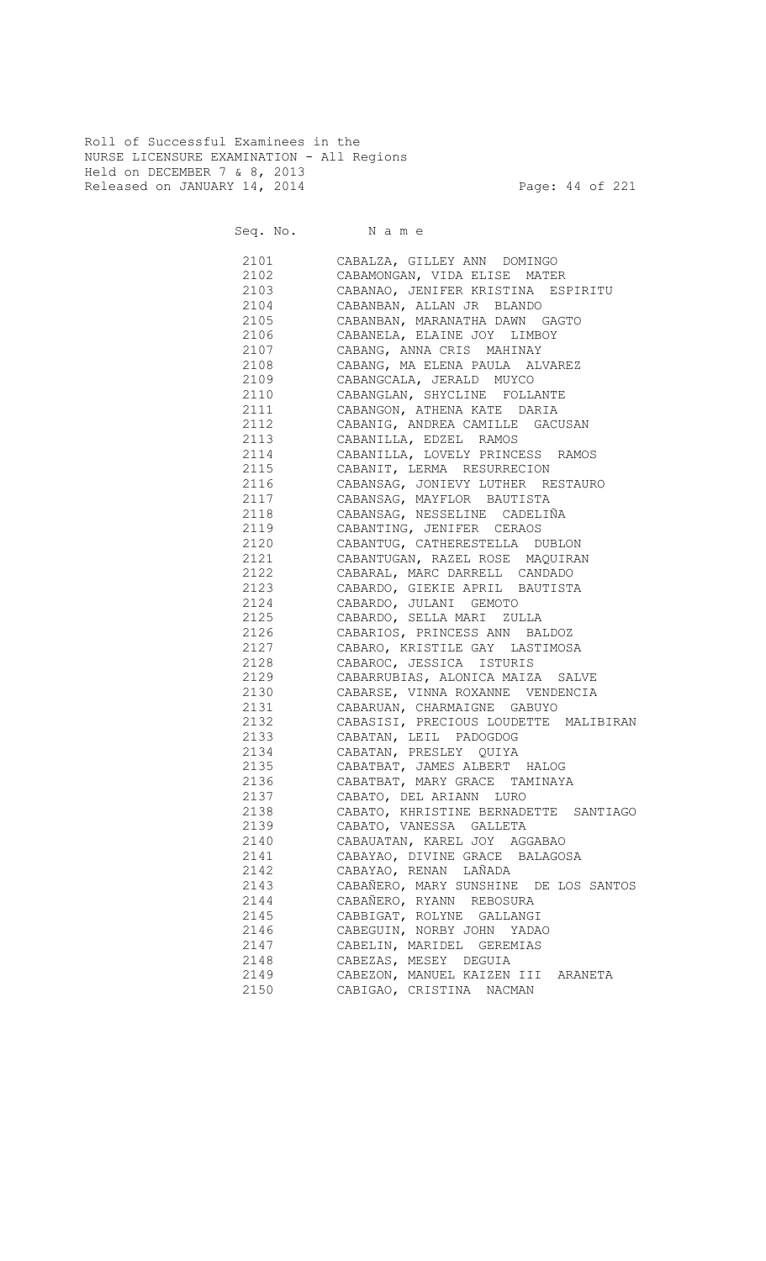Roll of Successful Examinees in the NURSE LICENSURE EXAMINATION - All Regions Held on DECEMBER 7 & 8, 2013 Released on JANUARY 14, 2014 **Page: 44 of 221** 

| 2101         | CABALZA, GILLEY ANN DOMINGO                            |
|--------------|--------------------------------------------------------|
| 2102         | CABAMONGAN, VIDA ELISE MATER                           |
| 2103         | CABANAO, JENIFER KRISTINA ESPIRITU                     |
| 2104         | CABANBAN, ALLAN JR BLANDO                              |
| 2105         | CABANBAN, MARANATHA DAWN GAGTO                         |
| 2106         | CABANELA, ELAINE JOY LIMBOY                            |
| 2107         | CABANG, ANNA CRIS MAHINAY                              |
| 2108         | CABANG, MA ELENA PAULA ALVAREZ                         |
| 2109         | CABANGCALA, JERALD MUYCO                               |
| 2110         | CABANGLAN, SHYCLINE FOLLANTE                           |
| 2111         | CABANGON, ATHENA KATE DARIA                            |
| 2112         | CABANIG, ANDREA CAMILLE GACUSAN                        |
| 2113         | CABANILLA, EDZEL RAMOS                                 |
| 2114         | CABANILLA, LOVELY PRINCESS RAMOS                       |
| 2115         | CABANIT, LERMA RESURRECION                             |
| 2116         | CABANSAG, JONIEVY LUTHER RESTAURO                      |
| 2117         | CABANSAG, MAYFLOR BAUTISTA                             |
| 2118         | CABANSAG, NESSELINE CADELIÑA                           |
| 2119         | CABANTING, JENIFER CERAOS                              |
| 2120         | CABANTUG, CATHERESTELLA DUBLON                         |
| 2121         | CABANTUGAN, RAZEL ROSE MAQUIRAN                        |
| 2122         | CABARAL, MARC DARRELL CANDADO                          |
| 2123         | CABARDO, GIEKIE APRIL BAUTISTA                         |
| 2124         | CABARDO, JULANI GEMOTO                                 |
| 2125         | CABARDO, SELLA MARI ZULLA                              |
| 2126         | CABARIOS, PRINCESS ANN BALDOZ                          |
| 2127         | CABARO, KRISTILE GAY LASTIMOSA                         |
| 2128         | CABAROC, JESSICA ISTURIS                               |
| 2129         | CABARRUBIAS, ALONICA MAIZA SALVE                       |
| 2130         | CABARSE, VINNA ROXANNE VENDENCIA                       |
| 2131         | CABARUAN, CHARMAIGNE GABUYO                            |
| 2132         | CABASISI, PRECIOUS LOUDETTE MALIBIRAN                  |
| 2133         | CABATAN, LEIL PADOGDOG                                 |
| 2134         |                                                        |
|              | CABATAN, PRESLEY QUIYA<br>CABATBAT, JAMES ALBERT HALOG |
| 2135<br>2136 |                                                        |
|              | CABATBAT, MARY GRACE TAMINAYA                          |
| 2137         | CABATO, DEL ARIANN LURO                                |
| 2138         | CABATO, KHRISTINE BERNADETTE SANTIAGO                  |
| 2139         | CABATO, VANESSA GALLETA                                |
| 2140         | CABAUATAN, KAREL JOY AGGABAO                           |
| 2141         | CABAYAO, DIVINE GRACE BALAGOSA                         |
| 2142         | CABAYAO, RENAN LAÑADA                                  |
| 2143         | CABAÑERO, MARY SUNSHINE DE LOS SANTOS                  |
| 2144         | CABAÑERO, RYANN REBOSURA                               |
| 2145         | CABBIGAT, ROLYNE GALLANGI                              |
| 2146         | CABEGUIN, NORBY JOHN YADAO                             |
| 2147         | CABELIN, MARIDEL GEREMIAS                              |
| 2148         | CABEZAS, MESEY DEGUIA                                  |
| 2149         | CABEZON, MANUEL KAIZEN III ARANETA                     |
| 2150         | CABIGAO, CRISTINA NACMAN                               |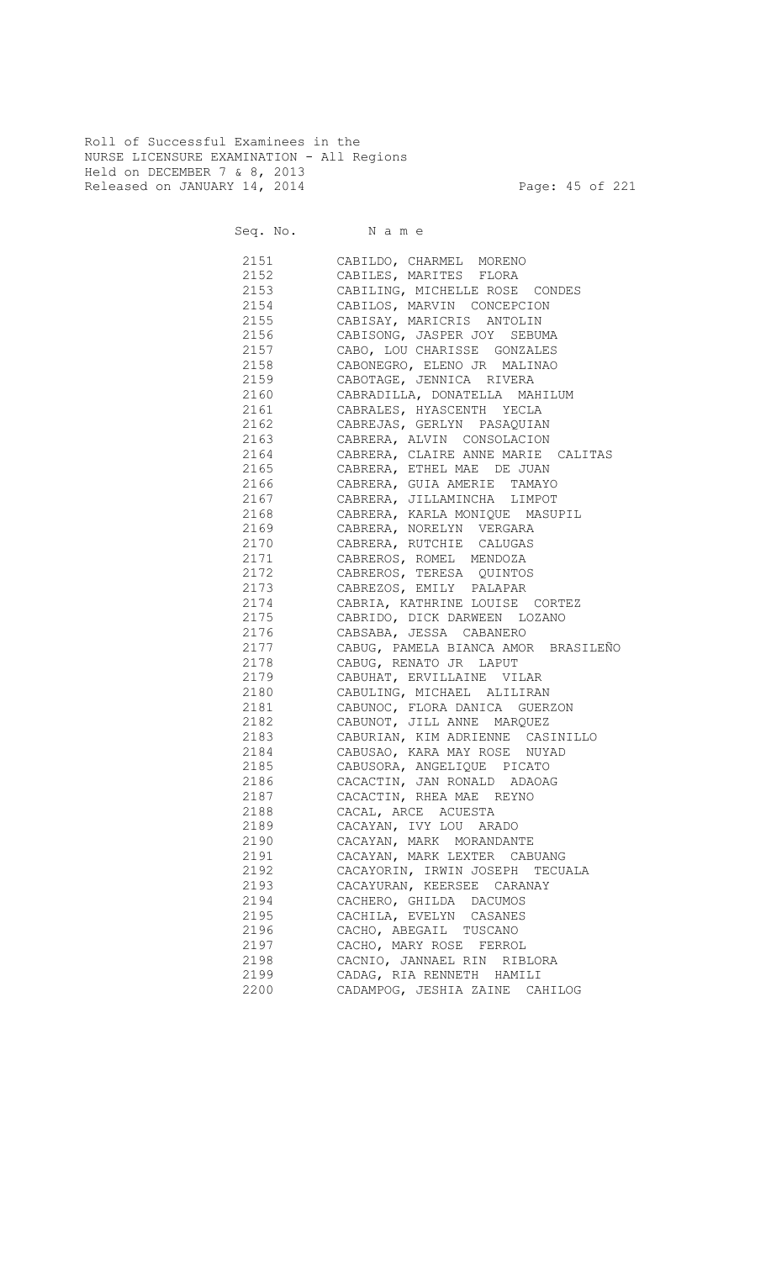Roll of Successful Examinees in the NURSE LICENSURE EXAMINATION - All Regions Held on DECEMBER 7 & 8, 2013 Released on JANUARY 14, 2014 **Page: 45 of 221** 

Seq. No. Name

 2151 CABILDO, CHARMEL MORENO 2152 CABILES, MARITES FLORA 2153 CABILING, MICHELLE ROSE CONDES 2154 CABILOS, MARVIN CONCEPCION CABISAY, MARICRIS ANTOLIN 2156 CABISONG, JASPER JOY SEBUMA 2157 CABO, LOU CHARISSE GONZALES 2158 CABONEGRO, ELENO JR MALINAO 2159 CABOTAGE, JENNICA RIVERA 2160 CABRADILLA, DONATELLA MAHILUM 2161 CABRALES, HYASCENTH YECLA 2162 CABREJAS, GERLYN PASAQUIAN 2163 CABRERA, ALVIN CONSOLACION 2164 CABRERA, CLAIRE ANNE MARIE CALITAS 2165 CABRERA, ETHEL MAE DE JUAN 2166 CABRERA, GUIA AMERIE TAMAYO 2167 CABRERA, JILLAMINCHA LIMPOT 2168 CABRERA, KARLA MONIQUE MASUPIL 2169 CABRERA, NORELYN VERGARA 2170 CABRERA, RUTCHIE CALUGAS 2171 CABREROS, ROMEL MENDOZA 2172 CABREROS, TERESA QUINTOS 2173 CABREZOS, EMILY PALAPAR 2174 CABRIA, KATHRINE LOUISE CORTEZ CABRIDO, DICK DARWEEN LOZANO 2176 CABSABA, JESSA CABANERO 2177 CABUG, PAMELA BIANCA AMOR BRASILEÑO 2178 CABUG, RENATO JR LAPUT 2179 CABUHAT, ERVILLAINE VILAR 2180 CABULING, MICHAEL ALILIRAN 2181 CABUNOC, FLORA DANICA GUERZON 2182 CABUNOT, JILL ANNE MARQUEZ 2183 CABURIAN, KIM ADRIENNE CASINILLO 2184 CABUSAO, KARA MAY ROSE NUYAD 2185 CABUSORA, ANGELIQUE PICATO 2186 CACACTIN, JAN RONALD ADAOAG 2187 CACACTIN, RHEA MAE REYNO 2188 CACAL, ARCE ACUESTA 2189 CACAYAN, IVY LOU ARADO 2190 CACAYAN, MARK MORANDANTE 2191 CACAYAN, MARK LEXTER CABUANG 2192 CACAYORIN, IRWIN JOSEPH TECUALA 2193 CACAYURAN, KEERSEE CARANAY 2194 CACHERO, GHILDA DACUMOS 2195 CACHILA, EVELYN CASANES 2196 CACHO, ABEGAIL TUSCANO 2197 CACHO, MARY ROSE FERROL 2198 CACNIO, JANNAEL RIN RIBLORA 2199 CADAG, RIA RENNETH HAMILI 2200 CADAMPOG, JESHIA ZAINE CAHILOG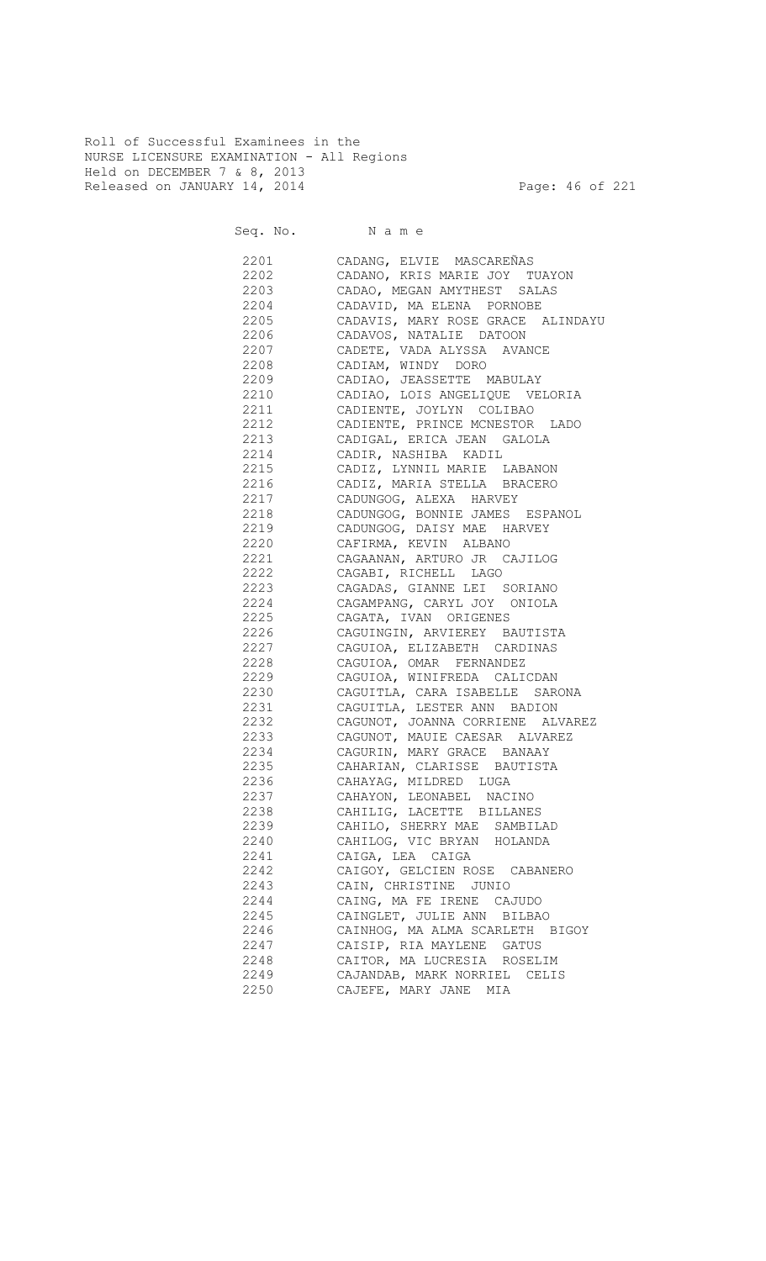Roll of Successful Examinees in the NURSE LICENSURE EXAMINATION - All Regions Held on DECEMBER 7 & 8, 2013 Released on JANUARY 14, 2014 **Page: 46 of 221** 

| 2201 | CADANG, ELVIE MASCAREÑAS            |
|------|-------------------------------------|
| 2202 | CADANO, KRIS MARIE JOY TUAYON       |
| 2203 | CADAO, MEGAN AMYTHEST SALAS         |
| 2204 | CADAVID, MA ELENA PORNOBE           |
| 2205 | CADAVIS, MARY ROSE GRACE ALINDAYU   |
| 2206 | CADAVOS, NATALIE DATOON             |
| 2207 | CADETE, VADA ALYSSA AVANCE          |
| 2208 | CADIAM, WINDY DORO                  |
| 2209 | CADIAO, JEASSETTE MABULAY           |
| 2210 | CADIAO, LOIS ANGELIQUE VELORIA      |
|      | 2211 CADIENTE, JOYLYN COLIBAO       |
|      | 2212 CADIENTE, PRINCE MCNESTOR LADO |
|      | 2213 CADIGAL, ERICA JEAN GALOLA     |
|      | 2214 CADIR, NASHIBA KADIL           |
|      | 2215 CADIZ, LYNNIL MARIE LABANON    |
|      | 2216 CADIZ, MARIA STELLA BRACERO    |
| 2217 | CADUNGOG, ALEXA HARVEY              |
| 2218 | CADUNGOG, BONNIE JAMES ESPANOL      |
|      | 2219 CADUNGOG, DAISY MAE HARVEY     |
| 2220 | CAFIRMA, KEVIN ALBANO               |
| 2221 | CAGAANAN, ARTURO JR CAJILOG         |
|      | 2222 CAGABI, RICHELL LAGO           |
|      | 2223 CAGADAS, GIANNE LEI SORIANO    |
| 2224 | CAGAMPANG, CARYL JOY ONIOLA         |
| 2225 | CAGATA, IVAN ORIGENES               |
| 2226 | CAGUINGIN, ARVIEREY BAUTISTA        |
| 2227 | CAGUIOA, ELIZABETH CARDINAS         |
| 2228 | CAGUIOA, OMAR FERNANDEZ             |
| 2229 | CAGUIOA, WINIFREDA CALICDAN         |
| 2230 | CAGUITLA, CARA ISABELLE SARONA      |
| 2231 | CAGUITLA, LESTER ANN BADION         |
| 2232 | CAGUNOT, JOANNA CORRIENE ALVAREZ    |
| 2233 | CAGUNOT, MAUIE CAESAR ALVAREZ       |
| 2234 | CAGURIN, MARY GRACE BANAAY          |
| 2235 | CAHARIAN, CLARISSE BAUTISTA         |
| 2236 | CAHAYAG, MILDRED LUGA               |
| 2237 | CAHAYON, LEONABEL NACINO            |
| 2238 | CAHILIG, LACETTE BILLANES           |
| 2239 | CAHILO, SHERRY MAE SAMBILAD         |
| 2240 | CAHILOG, VIC BRYAN HOLANDA          |
| 2241 | CAIGA, LEA CAIGA                    |
| 2242 | CAIGOY, GELCIEN ROSE CABANERO       |
| 2243 | CAIN, CHRISTINE JUNIO               |
| 2244 | CAING, MA FE IRENE CAJUDO           |
| 2245 | CAINGLET, JULIE ANN BILBAO          |
| 2246 | CAINHOG, MA ALMA SCARLETH BIGOY     |
| 2247 | CAISIP, RIA MAYLENE GATUS           |
| 2248 | CAITOR, MA LUCRESIA ROSELIM         |
| 2249 | CAJANDAB, MARK NORRIEL CELIS        |
| 2250 | CAJEFE, MARY JANE MIA               |
|      |                                     |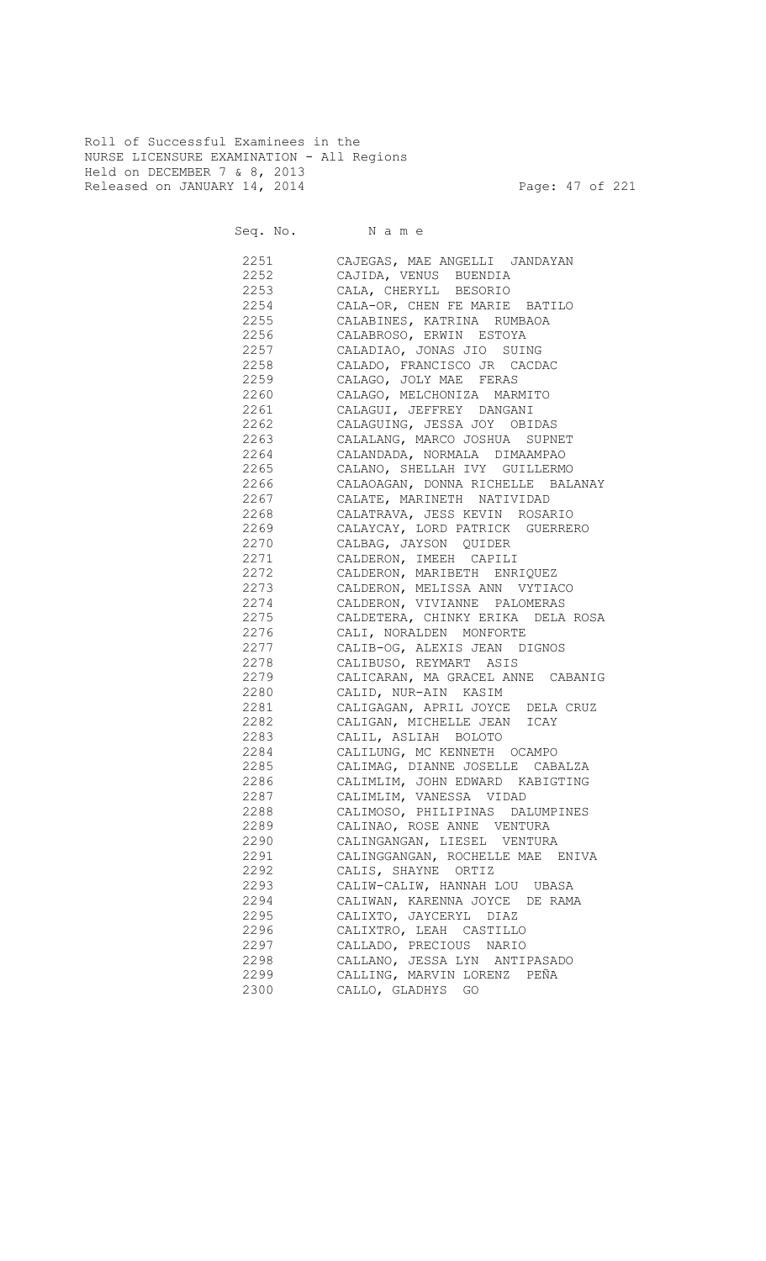Roll of Successful Examinees in the NURSE LICENSURE EXAMINATION - All Regions Held on DECEMBER 7 & 8, 2013 Released on JANUARY 14, 2014 **Page: 47 of 221** 

Seq. No. Name

 2251 CAJEGAS, MAE ANGELLI JANDAYAN 2252 CAJIDA, VENUS BUENDIA 2253 CALA, CHERYLL BESORIO 2254 CALA-OR, CHEN FE MARIE BATILO CALABINES, KATRINA RUMBAOA 2256 CALABROSO, ERWIN ESTOYA 2257 CALADIAO, JONAS JIO SUING 2258 CALADO, FRANCISCO JR CACDAC 2259 CALAGO, JOLY MAE FERAS 2260 CALAGO, MELCHONIZA MARMITO 2261 CALAGUI, JEFFREY DANGANI 2262 CALAGUING, JESSA JOY OBIDAS 2263 CALALANG, MARCO JOSHUA SUPNET 2264 CALANDADA, NORMALA DIMAAMPAO 2265 CALANO, SHELLAH IVY GUILLERMO 2266 CALAOAGAN, DONNA RICHELLE BALANAY 2267 CALATE, MARINETH NATIVIDAD CALATRAVA, JESS KEVIN ROSARIO 2269 CALAYCAY, LORD PATRICK GUERRERO 2270 CALBAG, JAYSON QUIDER 2271 CALDERON, IMEEH CAPILI 2272 CALDERON, MARIBETH ENRIQUEZ 2273 CALDERON, MELISSA ANN VYTIACO 2274 CALDERON, VIVIANNE PALOMERAS<br>2275 CALDETERA, CHINKY ERIKA DELA CALDETERA, CHINKY ERIKA DELA ROSA 2276 CALI, NORALDEN MONFORTE 2277 CALIB-OG, ALEXIS JEAN DIGNOS 2278 CALIBUSO, REYMART ASIS 2279 CALICARAN, MA GRACEL ANNE CABANIG 2280 CALID, NUR-AIN KASIM 2281 CALIGAGAN, APRIL JOYCE DELA CRUZ 2282 CALIGAN, MICHELLE JEAN ICAY 2283 CALIL, ASLIAH BOLOTO 2284 CALILUNG, MC KENNETH OCAMPO 2285 CALIMAG, DIANNE JOSELLE CABALZA 2286 CALIMLIM, JOHN EDWARD KABIGTING 2287 CALIMLIM, VANESSA VIDAD 2288 CALIMOSO, PHILIPINAS DALUMPINES 2289 CALINAO, ROSE ANNE VENTURA 2290 CALINGANGAN, LIESEL VENTURA 2291 CALINGGANGAN, ROCHELLE MAE ENIVA 2292 CALIS, SHAYNE ORTIZ 2293 CALIW-CALIW, HANNAH LOU UBASA 2294 CALIWAN, KARENNA JOYCE DE RAMA 2295 CALIXTO, JAYCERYL DIAZ 2296 CALIXTRO, LEAH CASTILLO 2297 CALLADO, PRECIOUS NARIO 2298 CALLANO, JESSA LYN ANTIPASADO 2299 CALLING, MARVIN LORENZ PEÑA 2300 CALLO, GLADHYS GO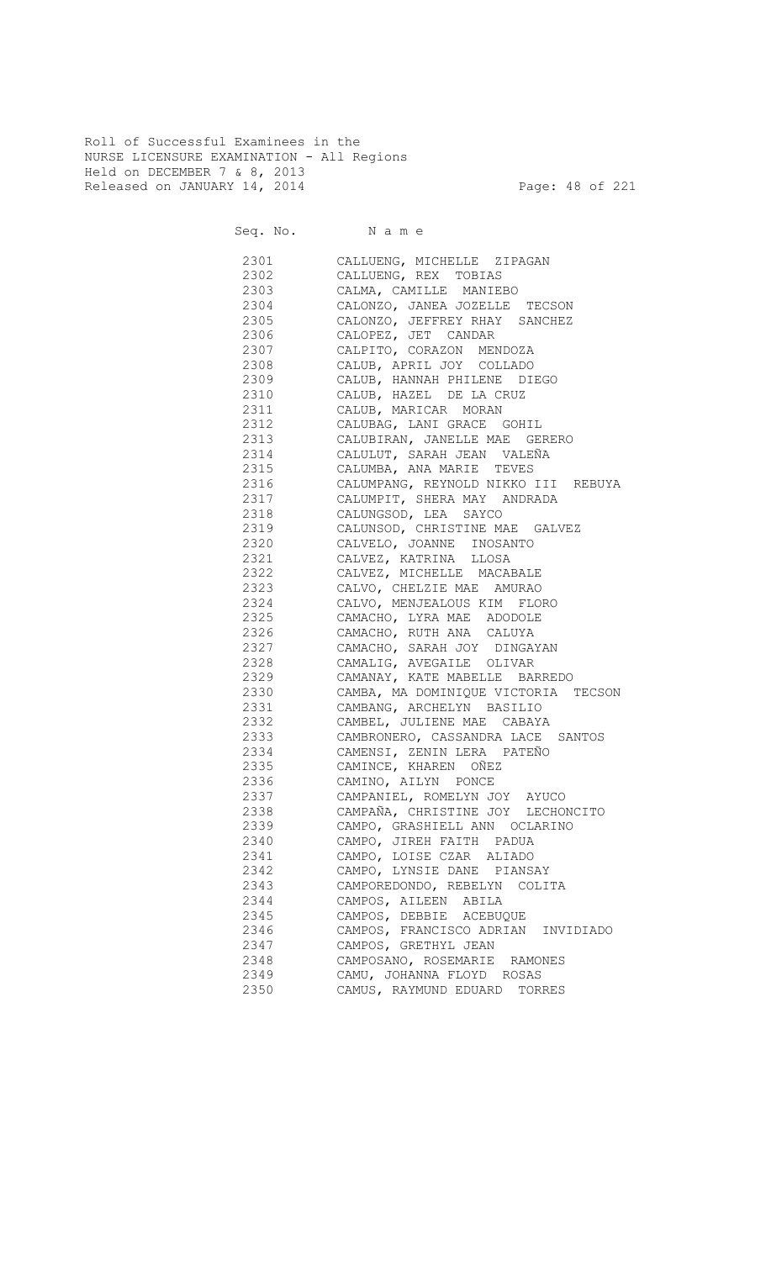Roll of Successful Examinees in the NURSE LICENSURE EXAMINATION - All Regions Held on DECEMBER 7 & 8, 2013 Released on JANUARY 14, 2014 **Page: 48 of 221** 

Seq. No. Name

 2301 CALLUENG, MICHELLE ZIPAGAN 2302 CALLUENG, REX TOBIAS 2303 CALMA, CAMILLE MANIEBO 2304 CALONZO, JANEA JOZELLE TECSON CALONZO, JEFFREY RHAY SANCHEZ 2306 CALOPEZ, JET CANDAR 2307 CALPITO, CORAZON MENDOZA 2308 CALUB, APRIL JOY COLLADO 2309 CALUB, HANNAH PHILENE DIEGO 2310 CALUB, HAZEL DE LA CRUZ 2311 CALUB, MARICAR MORAN 2312 CALUBAG, LANI GRACE GOHIL 2313 CALUBIRAN, JANELLE MAE GERERO 2314 CALULUT, SARAH JEAN VALEÑA 2315 CALUMBA, ANA MARIE TEVES 2316 CALUMPANG, REYNOLD NIKKO III REBUYA 2317 CALUMPIT, SHERA MAY ANDRADA CALUNGSOD, LEA SAYCO 2319 CALUNSOD, CHRISTINE MAE GALVEZ 2320 CALVELO, JOANNE INOSANTO 2321 CALVEZ, KATRINA LLOSA 2322 CALVEZ, MICHELLE MACABALE 2323 CALVO, CHELZIE MAE AMURAO 2324 CALVO, MENJEALOUS KIM FLORO 2325 CAMACHO, LYRA MAE ADODOLE 2326 CAMACHO, RUTH ANA CALUYA 2327 CAMACHO, SARAH JOY DINGAYAN 2328 CAMALIG, AVEGAILE OLIVAR 2329 CAMANAY, KATE MABELLE BARREDO 2330 CAMBA, MA DOMINIQUE VICTORIA TECSON 2331 CAMBANG, ARCHELYN BASILIO 2332 CAMBEL, JULIENE MAE CABAYA 2333 CAMBRONERO, CASSANDRA LACE SANTOS 2334 CAMENSI, ZENIN LERA PATEÑO 2335 CAMINCE, KHAREN OÑEZ 2336 CAMINO, AILYN PONCE 2337 CAMPANIEL, ROMELYN JOY AYUCO 2338 CAMPAÑA, CHRISTINE JOY LECHONCITO 2339 CAMPO, GRASHIELL ANN OCLARINO 2340 CAMPO, JIREH FAITH PADUA 2341 CAMPO, LOISE CZAR ALIADO 2342 CAMPO, LYNSIE DANE PIANSAY 2343 CAMPOREDONDO, REBELYN COLITA 2344 CAMPOS, AILEEN ABILA 2345 CAMPOS, DEBBIE ACEBUQUE 2346 CAMPOS, FRANCISCO ADRIAN INVIDIADO 2347 CAMPOS, GRETHYL JEAN 2348 CAMPOSANO, ROSEMARIE RAMONES 2349 CAMU, JOHANNA FLOYD ROSAS 2350 CAMUS, RAYMUND EDUARD TORRES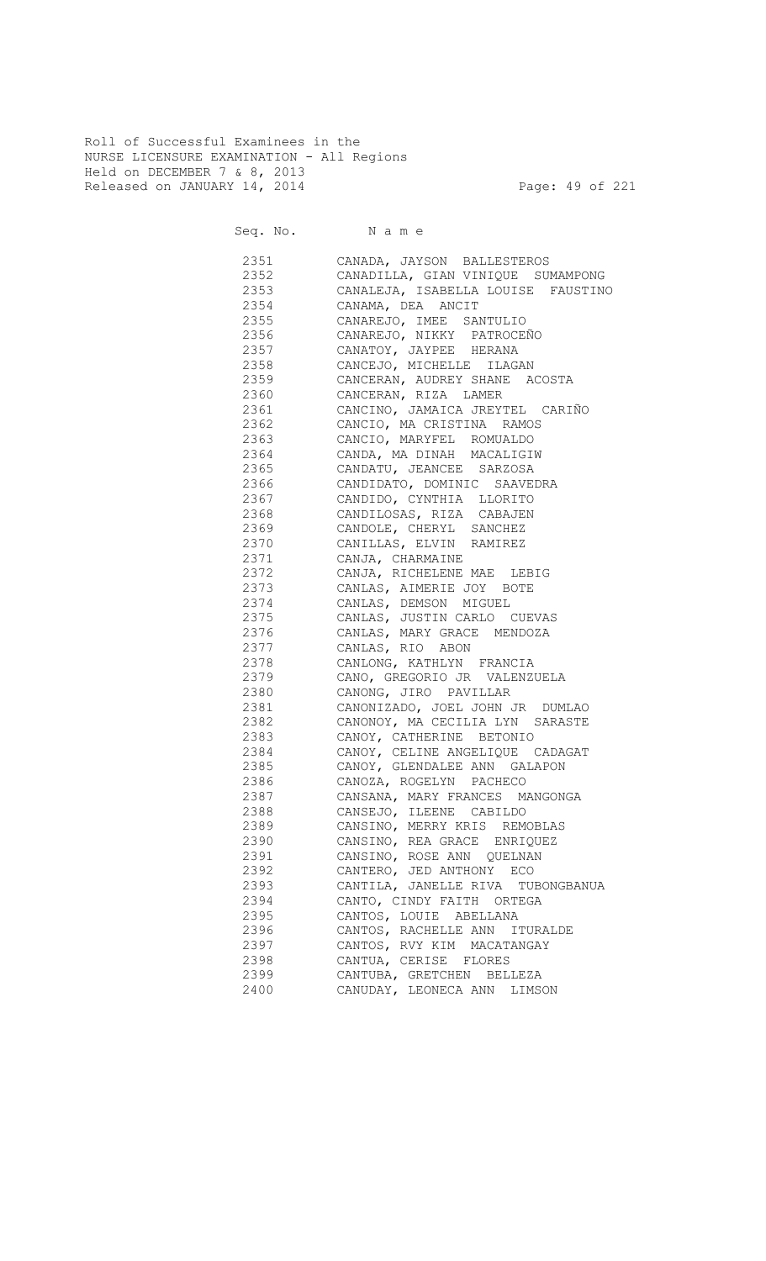Roll of Successful Examinees in the NURSE LICENSURE EXAMINATION - All Regions Held on DECEMBER 7 & 8, 2013 Released on JANUARY 14, 2014 **Page: 49 of 221** 

| 2351     | CANADA, JAYSON BALLESTEROS                     |
|----------|------------------------------------------------|
| 2352     | CANADILLA, GIAN VINIQUE SUMAMPONG              |
| 2353     | CANALEJA, ISABELLA LOUISE FAUSTINO             |
| 2354     | CANAMA, DEA ANCIT                              |
| 2355     | CANAREJO, IMEE SANTULIO                        |
| 2356     | CANAREJO, NIKKY PATROCEÑO                      |
| 2357     | CANATOY, JAYPEE HERANA                         |
| 2358     | CANCEJO, MICHELLE ILAGAN                       |
| 2359     | CANCERAN, AUDREY SHANE ACOSTA                  |
| 2360     | CANCERAN, RIZA LAMER                           |
| 2361     | CANCINO, JAMAICA JREYTEL CARIÑO                |
| 2362     | CANCIO, MA CRISTINA RAMOS                      |
| 2363     | CANCIO, MARYFEL ROMUALDO                       |
| 2364     | CANDA, MA DINAH MACALIGIW                      |
| 2365     | CANDATU, JEANCEE SARZOSA                       |
| 2366     | CANDIDATO, DOMINIC SAAVEDRA                    |
| 2367     | CANDIDO, CYNTHIA LLORITO                       |
| 2368     | CANDILOSAS, RIZA CABAJEN                       |
| 2369     | CANDOLE, CHERYL SANCHEZ                        |
| 2370     | CANILLAS, ELVIN RAMIREZ                        |
| 2371     |                                                |
| 2372     | CANJA, CHARMAINE<br>CANJA, RICHELENE MAE LEBIG |
| 2373     | CANLAS, AIMERIE JOY BOTE                       |
| 2374     |                                                |
| 2375     | CANLAS, DEMSON MIGUEL                          |
|          | CANLAS, JUSTIN CARLO CUEVAS                    |
| 2376     | CANLAS, MARY GRACE MENDOZA                     |
| 2377     | CANLAS, RIO ABON                               |
| 2378     | CANLONG, KATHLYN FRANCIA                       |
| 2379     | CANO, GREGORIO JR VALENZUELA                   |
| 2380     | CANONG, JIRO PAVILLAR                          |
| 2381 238 | CANONIZADO, JOEL JOHN JR DUMLAO                |
| 2382     | CANONOY, MA CECILIA LYN SARASTE                |
| 2383 238 | CANOY, CATHERINE BETONIO                       |
| 2384     | CANOY, CELINE ANGELIQUE CADAGAT                |
| 2385     | CANOY, GLENDALEE ANN GALAPON                   |
| 2386     | CANOZA, ROGELYN PACHECO                        |
| 2387     | CANSANA, MARY FRANCES MANGONGA                 |
| 2388     | CANSEJO, ILEENE CABILDO                        |
| 2389     | CANSINO, MERRY KRIS REMOBLAS                   |
| 2390     | CANSINO, REA GRACE ENRIQUEZ                    |
| 2391     | CANSINO, ROSE ANN QUELNAN                      |
| 2392     | CANTERO, JED ANTHONY ECO                       |
| 2393     | CANTILA, JANELLE RIVA TUBONGBANUA              |
| 2394     | CANTO, CINDY FAITH ORTEGA                      |
| 2395     | CANTOS, LOUIE ABELLANA                         |
| 2396     | CANTOS, RACHELLE ANN ITURALDE                  |
| 2397     | CANTOS, RVY KIM MACATANGAY                     |
| 2398     | CANTUA, CERISE FLORES                          |
| 2399     | CANTUBA, GRETCHEN BELLEZA                      |
| 2400     | CANUDAY, LEONECA ANN LIMSON                    |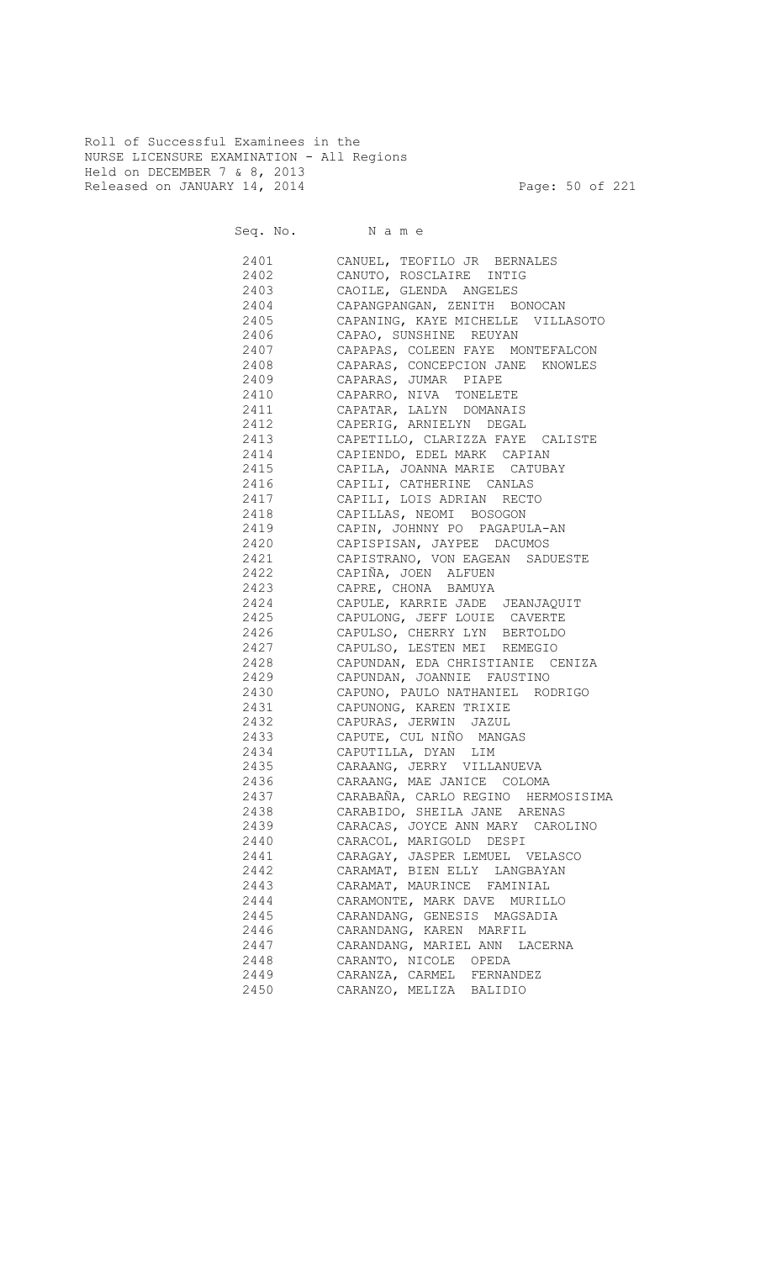Roll of Successful Examinees in the NURSE LICENSURE EXAMINATION - All Regions Held on DECEMBER 7 & 8, 2013 Released on JANUARY 14, 2014 **Page: 50 of 221** 

Seq. No. Name

 2401 CANUEL, TEOFILO JR BERNALES 2402 CANUTO, ROSCLAIRE INTIG 2403 CAOILE, GLENDA ANGELES 2404 CAPANGPANGAN, ZENITH BONOCAN CAPANING, KAYE MICHELLE VILLASOTO 2406 CAPAO, SUNSHINE REUYAN 2407 CAPAPAS, COLEEN FAYE MONTEFALCON 2408 CAPARAS, CONCEPCION JANE KNOWLES 2409 CAPARAS, JUMAR PIAPE 2410 CAPARRO, NIVA TONELETE 2411 CAPATAR, LALYN DOMANAIS 2412 CAPERIG, ARNIELYN DEGAL 2413 CAPETILLO, CLARIZZA FAYE CALISTE 2414 CAPIENDO, EDEL MARK CAPIAN 2415 CAPILA, JOANNA MARIE CATUBAY 2416 CAPILI, CATHERINE CANLAS 2417 CAPILI, LOIS ADRIAN RECTO CAPILLAS, NEOMI BOSOGON 2419 CAPIN, JOHNNY PO PAGAPULA-AN 2420 CAPISPISAN, JAYPEE DACUMOS 2421 CAPISTRANO, VON EAGEAN SADUESTE 2422 CAPIÑA, JOEN ALFUEN 2423 CAPRE, CHONA BAMUYA 2424 CAPULE, KARRIE JADE JEANJAQUIT 2425 CAPULONG, JEFF LOUIE CAVERTE 2426 CAPULSO, CHERRY LYN BERTOLDO 2427 CAPULSO, LESTEN MEI REMEGIO 2428 CAPUNDAN, EDA CHRISTIANIE CENIZA 2429 CAPUNDAN, JOANNIE FAUSTINO 2430 CAPUNO, PAULO NATHANIEL RODRIGO 2431 CAPUNONG, KAREN TRIXIE 2432 CAPURAS, JERWIN JAZUL 2433 CAPUTE, CUL NIÑO MANGAS 2434 CAPUTILLA, DYAN LIM 2435 CARAANG, JERRY VILLANUEVA 2436 CARAANG, MAE JANICE COLOMA 2437 CARABAÑA, CARLO REGINO HERMOSISIMA 2438 CARABIDO, SHEILA JANE ARENAS 2439 CARACAS, JOYCE ANN MARY CAROLINO 2440 CARACOL, MARIGOLD DESPI 2441 CARAGAY, JASPER LEMUEL VELASCO 2442 CARAMAT, BIEN ELLY LANGBAYAN 2443 CARAMAT, MAURINCE FAMINIAL 2444 CARAMONTE, MARK DAVE MURILLO 2445 CARANDANG, GENESIS MAGSADIA 2446 CARANDANG, KAREN MARFIL 2447 CARANDANG, MARIEL ANN LACERNA<br>2448 CARANTO. NICOLE OPEDA CARANTO, NICOLE OPEDA 2449 CARANZA, CARMEL FERNANDEZ 2450 CARANZO, MELIZA BALIDIO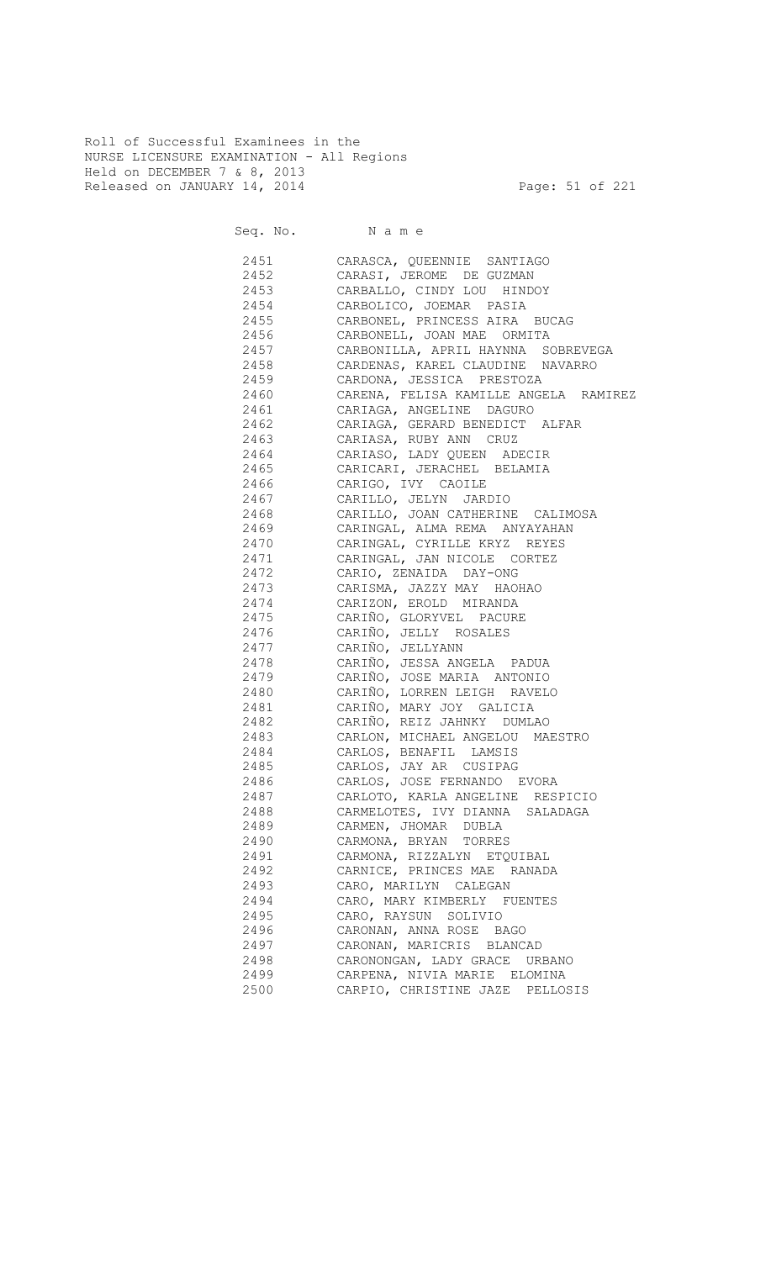Roll of Successful Examinees in the NURSE LICENSURE EXAMINATION - All Regions Held on DECEMBER 7 & 8, 2013 Released on JANUARY 14, 2014 **Page: 51 of 221** 

Seq. No. Name

2451 CARASCA, QUEENNIE SANTIAGO<br>2452 CARASI, JEROME DE GUZMAN CARASI, JEROME DE GUZMAN 2453 CARBALLO, CINDY LOU HINDOY 2454 CARBOLICO, JOEMAR PASIA CARBONEL, PRINCESS AIRA BUCAG 2456 CARBONELL, JOAN MAE ORMITA 2457 CARBONILLA, APRIL HAYNNA SOBREVEGA 2458 CARDENAS, KAREL CLAUDINE NAVARRO 2459 CARDONA, JESSICA PRESTOZA 2460 CARENA, FELISA KAMILLE ANGELA RAMIREZ 2461 CARIAGA, ANGELINE DAGURO 2462 CARIAGA, GERARD BENEDICT ALFAR 2463 CARIASA, RUBY ANN CRUZ 2464 CARIASO, LADY QUEEN ADECIR 2465 CARICARI, JERACHEL BELAMIA 2466 CARIGO, IVY CAOILE 2467 CARILLO, JELYN JARDIO CARILLO, JOAN CATHERINE CALIMOSA 2469 CARINGAL, ALMA REMA ANYAYAHAN 2470 CARINGAL, CYRILLE KRYZ REYES 2471 CARINGAL, JAN NICOLE CORTEZ 2472 CARIO, ZENAIDA DAY-ONG 2473 CARISMA, JAZZY MAY HAOHAO 2474 CARIZON, EROLD MIRANDA CARIÑO, GLORYVEL PACURE 2476 CARIÑO, JELLY ROSALES 2477 CARIÑO, JELLYANN 2478 CARIÑO, JESSA ANGELA PADUA 2479 CARIÑO, JOSE MARIA ANTONIO 2480 CARIÑO, LORREN LEIGH RAVELO 2481 CARIÑO, MARY JOY GALICIA 2482 CARIÑO, REIZ JAHNKY DUMLAO 2483 CARLON, MICHAEL ANGELOU MAESTRO 2484 CARLOS, BENAFIL LAMSIS 2485 CARLOS, JAY AR CUSIPAG 2486 CARLOS, JOSE FERNANDO EVORA 2487 CARLOTO, KARLA ANGELINE RESPICIO 2488 CARMELOTES, IVY DIANNA SALADAGA 2489 CARMEN, JHOMAR DUBLA 2490 CARMONA, BRYAN TORRES 2491 CARMONA, RIZZALYN ETQUIBAL 2492 CARNICE, PRINCES MAE RANADA 2493 CARO, MARILYN CALEGAN 2494 CARO, MARY KIMBERLY FUENTES 2495 CARO, RAYSUN SOLIVIO 2496 CARONAN, ANNA ROSE BAGO 2497 CARONAN, MARICRIS BLANCAD 2498 CARONONGAN, LADY GRACE URBANO 2499 CARPENA, NIVIA MARIE ELOMINA 2500 CARPIO, CHRISTINE JAZE PELLOSIS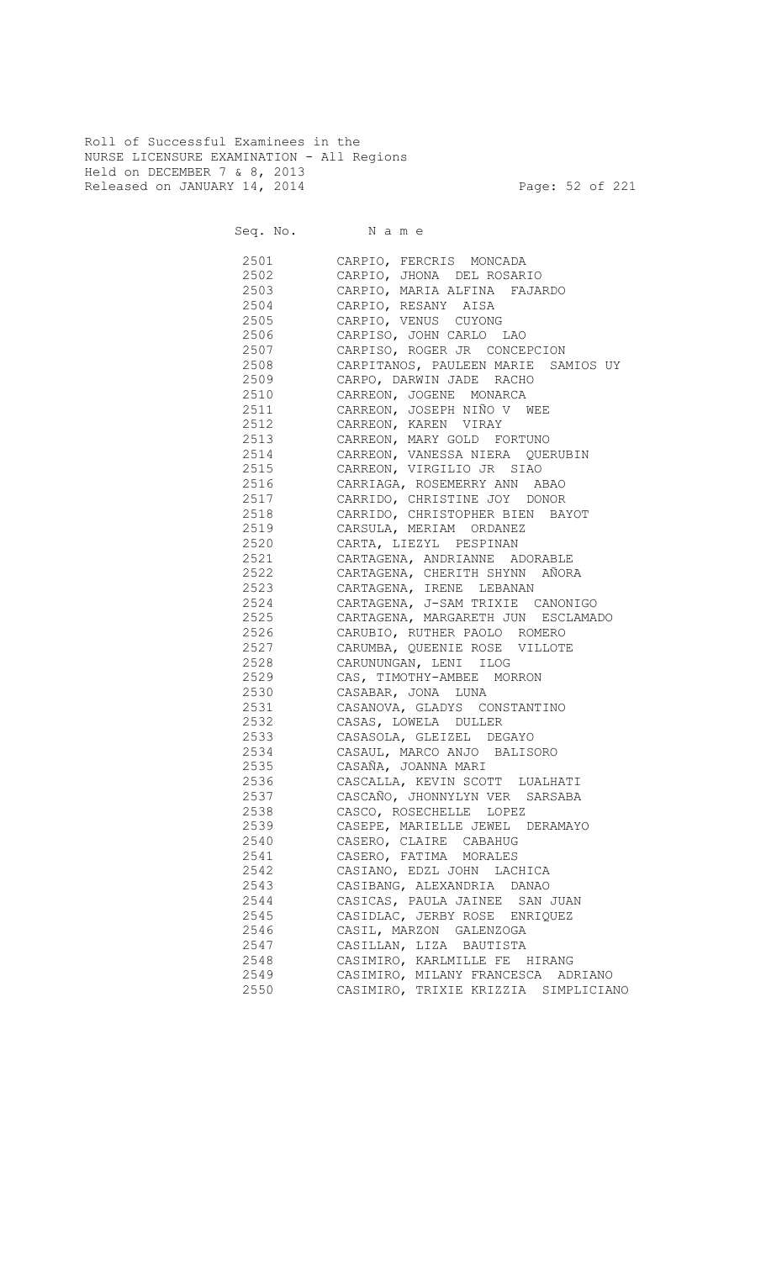Roll of Successful Examinees in the NURSE LICENSURE EXAMINATION - All Regions Held on DECEMBER 7 & 8, 2013 Released on JANUARY 14, 2014 **Page: 52 of 221** 

Seq. No. Name

 2501 CARPIO, FERCRIS MONCADA 2502 CARPIO, JHONA DEL ROSARIO 2503 CARPIO, MARIA ALFINA FAJARDO 2504 CARPIO, RESANY AISA CARPIO, VENUS CUYONG 2506 CARPISO, JOHN CARLO LAO 2507 CARPISO, ROGER JR CONCEPCION 2508 CARPITANOS, PAULEEN MARIE SAMIOS UY 2509 CARPO, DARWIN JADE RACHO 2510 CARREON, JOGENE MONARCA 2511 CARREON, JOSEPH NIÑO V WEE 2512 CARREON, KAREN VIRAY 2513 CARREON, MARY GOLD FORTUNO 2514 CARREON, VANESSA NIERA QUERUBIN 2515 CARREON, VIRGILIO JR SIAO 2516 CARRIAGA, ROSEMERRY ANN ABAO 2517 CARRIDO, CHRISTINE JOY DONOR 2518 CARRIDO, CHRISTOPHER BIEN BAYOT 2519 CARSULA, MERIAM ORDANEZ 2520 CARTA, LIEZYL PESPINAN 2521 CARTAGENA, ANDRIANNE ADORABLE 2522 CARTAGENA, CHERITH SHYNN AÑORA 2523 CARTAGENA, IRENE LEBANAN 2524 CARTAGENA, J-SAM TRIXIE CANONIGO 2525 CARTAGENA, MARGARETH JUN ESCLAMADO 2526 CARUBIO, RUTHER PAOLO ROMERO 2527 CARUMBA, QUEENIE ROSE VILLOTE 2528 CARUNUNGAN, LENI ILOG 2529 CAS, TIMOTHY-AMBEE MORRON 2530 CASABAR, JONA LUNA 2531 CASANOVA, GLADYS CONSTANTINO 2532 CASAS, LOWELA DULLER 2533 CASASOLA, GLEIZEL DEGAYO 2534 CASAUL, MARCO ANJO BALISORO 2535 CASAÑA, JOANNA MARI 2536 CASCALLA, KEVIN SCOTT LUALHATI 2537 CASCAÑO, JHONNYLYN VER SARSABA 2538 CASCO, ROSECHELLE LOPEZ 2539 CASEPE, MARIELLE JEWEL DERAMAYO 2540 CASERO, CLAIRE CABAHUG 2541 CASERO, FATIMA MORALES 2542 CASIANO, EDZL JOHN LACHICA 2543 CASIBANG, ALEXANDRIA DANAO 2544 CASICAS, PAULA JAINEE SAN JUAN 2545 CASIDLAC, JERBY ROSE ENRIQUEZ<br>2546 CASIL, MARZON GALENZOGA CASIL, MARZON GALENZOGA 2547 CASILLAN, LIZA BAUTISTA 2548 CASIMIRO, KARLMILLE FE HIRANG 2549 CASIMIRO, MILANY FRANCESCA ADRIANO 2550 CASIMIRO, TRIXIE KRIZZIA SIMPLICIANO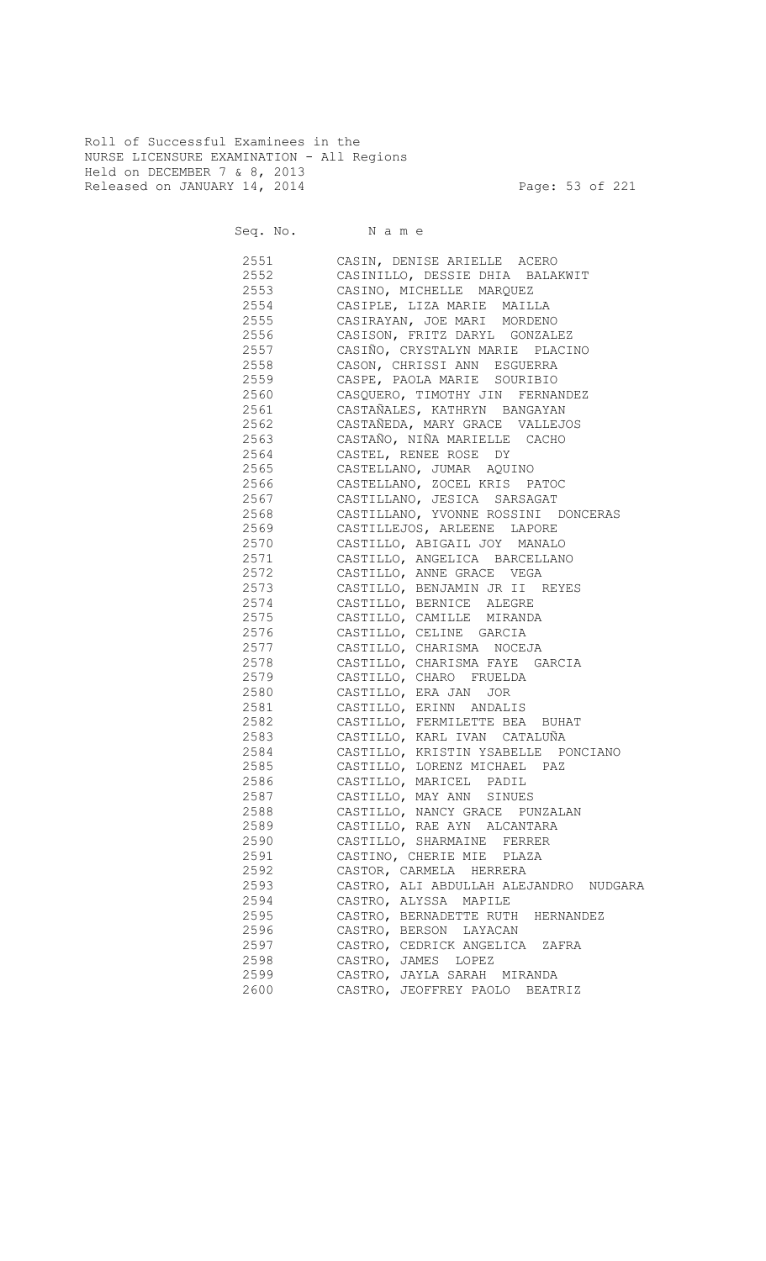Roll of Successful Examinees in the NURSE LICENSURE EXAMINATION - All Regions Held on DECEMBER 7 & 8, 2013 Released on JANUARY 14, 2014 **Page: 53 of 221** 

Seq. No. Name

 2551 CASIN, DENISE ARIELLE ACERO 2552 CASINILLO, DESSIE DHIA BALAKWIT 2553 CASINO, MICHELLE MARQUEZ 2554 CASIPLE, LIZA MARIE MAILLA 2555 CASIRAYAN, JOE MARI MORDENO 2556 CASISON, FRITZ DARYL GONZALEZ 2557 CASIÑO, CRYSTALYN MARIE PLACINO 2558 CASON, CHRISSI ANN ESGUERRA 2559 CASPE, PAOLA MARIE SOURIBIO 2560 CASQUERO, TIMOTHY JIN FERNANDEZ 2561 CASTAÑALES, KATHRYN BANGAYAN 2562 CASTAÑEDA, MARY GRACE VALLEJOS 2563 CASTAÑO, NIÑA MARIELLE CACHO 2564 CASTEL, RENEE ROSE DY 2565 CASTELLANO, JUMAR AQUINO 2566 CASTELLANO, ZOCEL KRIS PATOC 2567 CASTILLANO, JESICA SARSAGAT CASTILLANO, YVONNE ROSSINI DONCERAS 2569 CASTILLEJOS, ARLEENE LAPORE<br>2570 CASTILLO, ABIGAIL JOY MANALO CASTILLO, ABIGAIL JOY MANALO 2571 CASTILLO, ANGELICA BARCELLANO 2572 CASTILLO, ANNE GRACE VEGA 2573 CASTILLO, BENJAMIN JR II REYES 2574 CASTILLO, BERNICE ALEGRE 2575 CASTILLO, CAMILLE MIRANDA 2576 CASTILLO, CELINE GARCIA 2577 CASTILLO, CHARISMA NOCEJA 2578 CASTILLO, CHARISMA FAYE GARCIA CASTILLO, CHARO FRUELDA 2580 CASTILLO, ERA JAN JOR 2581 CASTILLO, ERINN ANDALIS 2582 CASTILLO, FERMILETTE BEA BUHAT 2583 CASTILLO, KARL IVAN CATALUÑA 2584 CASTILLO, KRISTIN YSABELLE PONCIANO 2585 CASTILLO, LORENZ MICHAEL PAZ 2586 CASTILLO, MARICEL PADIL 2587 CASTILLO, MAY ANN SINUES 2588 CASTILLO, NANCY GRACE PUNZALAN 2589 CASTILLO, RAE AYN ALCANTARA 2590 CASTILLO, SHARMAINE FERRER 2591 CASTINO, CHERIE MIE PLAZA 2592 CASTOR, CARMELA HERRERA 2593 CASTRO, ALI ABDULLAH ALEJANDRO NUDGARA 2594 CASTRO, ALYSSA MAPILE 2595 CASTRO, BERNADETTE RUTH HERNANDEZ 2596 CASTRO, BERSON LAYACAN 2597 CASTRO, CEDRICK ANGELICA ZAFRA 2598 CASTRO, JAMES LOPEZ 2599 CASTRO, JAYLA SARAH MIRANDA 2600 CASTRO, JEOFFREY PAOLO BEATRIZ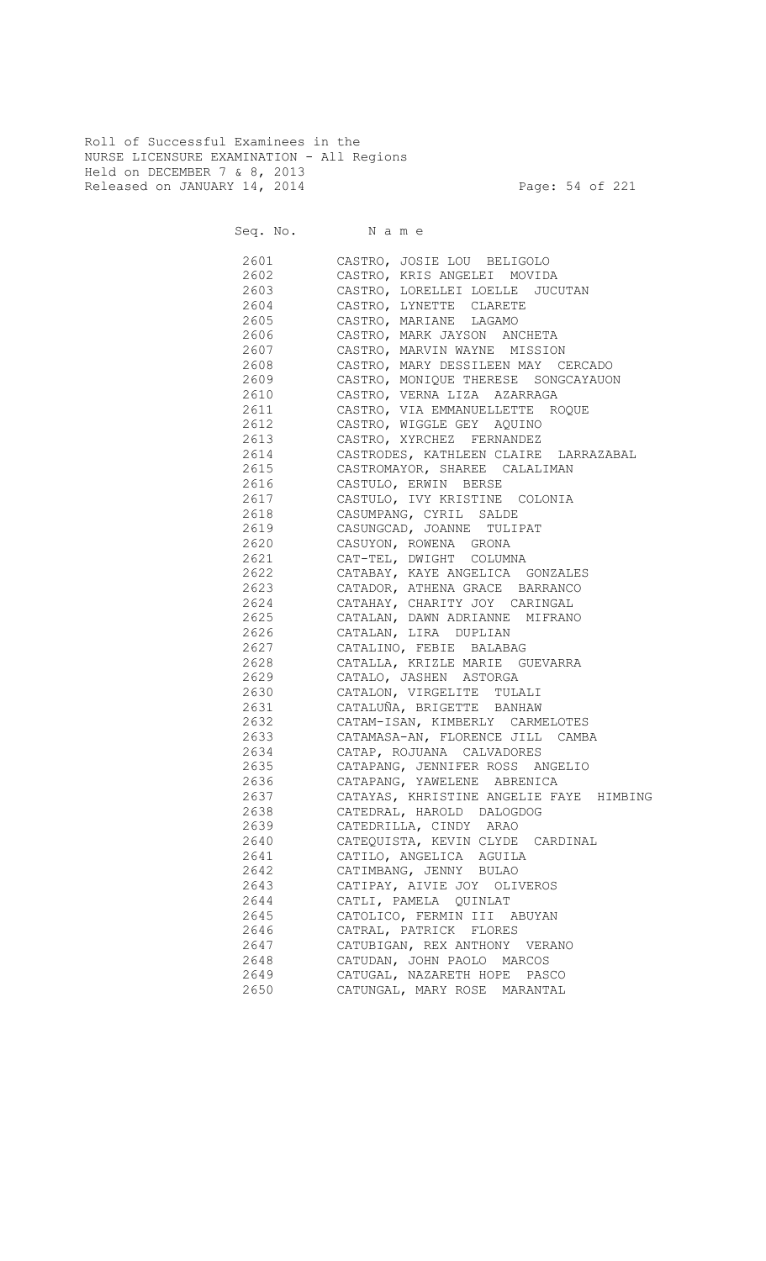Roll of Successful Examinees in the NURSE LICENSURE EXAMINATION - All Regions Held on DECEMBER 7 & 8, 2013 Released on JANUARY 14, 2014 **Page: 54 of 221** 

| 2601 | CASTRO, JOSIE LOU BELIGOLO                 |
|------|--------------------------------------------|
| 2602 | CASTRO, KRIS ANGELEI MOVIDA                |
| 2603 | CASTRO, LORELLEI LOELLE JUCUTAN            |
| 2604 | CASTRO, LYNETTE CLARETE                    |
| 2605 | CASTRO, MARIANE LAGAMO                     |
| 2606 | CASTRO, MARK JAYSON ANCHETA                |
|      | 2607 CASTRO, MARVIN WAYNE MISSION          |
|      | 2608 CASTRO, MARY DESSILEEN MAY CERCADO    |
|      | 2609 CASTRO, MONIQUE THERESE SONGCAYAUON   |
|      | 2610 CASTRO, VERNA LIZA AZARRAGA           |
|      | 2611 CASTRO, VIA EMMANUELLETTE ROQUE       |
|      | 2612 CASTRO, WIGGLE GEY AQUINO             |
| 2613 | CASTRO, XYRCHEZ FERNANDEZ                  |
|      | 2614 CASTRODES, KATHLEEN CLAIRE LARRAZABAL |
|      | 2615 CASTROMAYOR, SHAREE CALALIMAN         |
| 2616 | CASTULO, ERWIN BERSE                       |
|      | 2617 CASTULO, IVY KRISTINE COLONIA         |
|      | 2618 CASUMPANG, CYRIL SALDE                |
|      | 2619 CASUNGCAD, JOANNE TULIPAT             |
|      | 2620 CASUYON, ROWENA GRONA                 |
|      | 2621 CAT-TEL, DWIGHT COLUMNA               |
|      | 2622 CATABAY, KAYE ANGELICA GONZALES       |
|      | 2623 CATADOR, ATHENA GRACE BARRANCO        |
|      | 2624 CATAHAY, CHARITY JOY CARINGAL         |
| 2625 | CATALAN, DAWN ADRIANNE MIFRANO             |
| 2626 | CATALAN, LIRA DUPLIAN                      |
| 2627 | CATALINO, FEBIE BALABAG                    |
| 2628 | CATALLA, KRIZLE MARIE GUEVARRA             |
| 2629 | CATALO, JASHEN ASTORGA                     |
| 2630 | CATALON, VIRGELITE TULALI                  |
| 2631 | CATALUÑA, BRIGETTE BANHAW                  |
| 2632 | CATAM-ISAN, KIMBERLY CARMELOTES            |
| 2633 | CATAMASA-AN, FLORENCE JILL CAMBA           |
| 2634 | CATAP, ROJUANA CALVADORES                  |
| 2635 | CATAPANG, JENNIFER ROSS ANGELIO            |
| 2636 | CATAPANG, YAWELENE ABRENICA                |
| 2637 | CATAYAS, KHRISTINE ANGELIE FAYE HIMBING    |
| 2638 | CATEDRAL, HAROLD DALOGDOG                  |
| 2639 | CATEDRILLA, CINDY ARAO                     |
| 2640 | CATEQUISTA, KEVIN CLYDE CARDINAL           |
| 2641 | CATILO, ANGELICA AGUILA                    |
| 2642 | CATIMBANG, JENNY BULAO                     |
| 2643 | CATIPAY, AIVIE JOY OLIVEROS                |
| 2644 | CATLI, PAMELA QUINLAT                      |
| 2645 | CATOLICO, FERMIN III ABUYAN                |
| 2646 | CATRAL, PATRICK FLORES                     |
| 2647 | CATUBIGAN, REX ANTHONY VERANO              |
| 2648 | CATUDAN, JOHN PAOLO MARCOS                 |
| 2649 | CATUGAL, NAZARETH HOPE PASCO               |
|      | CATUNGAL, MARY ROSE MARANTAL               |
| 2650 |                                            |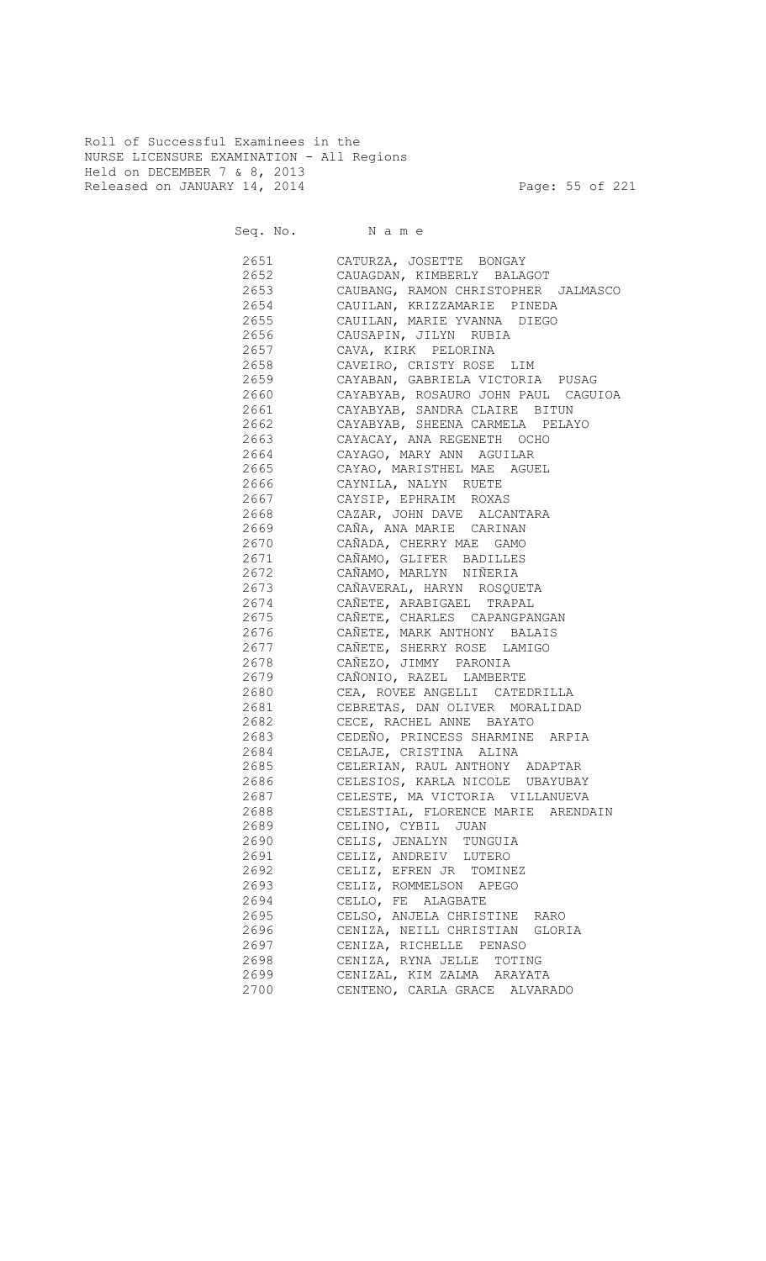Roll of Successful Examinees in the NURSE LICENSURE EXAMINATION - All Regions Held on DECEMBER 7 & 8, 2013 Released on JANUARY 14, 2014 **Page: 55 of 221** 

Seq. No. Name

 2651 CATURZA, JOSETTE BONGAY 2652 CAUAGDAN, KIMBERLY BALAGOT 2653 CAUBANG, RAMON CHRISTOPHER JALMASCO 2654 CAUILAN, KRIZZAMARIE PINEDA CAUILAN, MARIE YVANNA DIEGO 2656 CAUSAPIN, JILYN RUBIA 2657 CAVA, KIRK PELORINA 2658 CAVEIRO, CRISTY ROSE LIM 2659 CAYABAN, GABRIELA VICTORIA PUSAG 2660 CAYABYAB, ROSAURO JOHN PAUL CAGUIOA 2661 CAYABYAB, SANDRA CLAIRE BITUN 2662 CAYABYAB, SHEENA CARMELA PELAYO 2663 CAYACAY, ANA REGENETH OCHO 2664 CAYAGO, MARY ANN AGUILAR 2665 CAYAO, MARISTHEL MAE AGUEL 2666 CAYNILA, NALYN RUETE 2667 CAYSIP, EPHRAIM ROXAS CAZAR, JOHN DAVE ALCANTARA 2669 CAÑA, ANA MARIE CARINAN 2670 CAÑADA, CHERRY MAE GAMO 2671 CAÑAMO, GLIFER BADILLES 2672 CAÑAMO, MARLYN NIÑERIA 2673 CAÑAVERAL, HARYN ROSQUETA 2674 CAÑETE, ARABIGAEL TRAPAL CAÑETE, CHARLES CAPANGPANGAN 2676 CAÑETE, MARK ANTHONY BALAIS 2677 CAÑETE, SHERRY ROSE LAMIGO 2678 CAÑEZO, JIMMY PARONIA 2679 CAÑONIO, RAZEL LAMBERTE 2680 CEA, ROVEE ANGELLI CATEDRILLA 2681 CEBRETAS, DAN OLIVER MORALIDAD 2682 CECE, RACHEL ANNE BAYATO 2683 CEDEÑO, PRINCESS SHARMINE ARPIA 2684 CELAJE, CRISTINA ALINA 2685 CELERIAN, RAUL ANTHONY ADAPTAR 2686 CELESIOS, KARLA NICOLE UBAYUBAY 2687 CELESTE, MA VICTORIA VILLANUEVA 2688 CELESTIAL, FLORENCE MARIE ARENDAIN 2689 CELINO, CYBIL JUAN 2690 CELIS, JENALYN TUNGUIA 2691 CELIZ, ANDREIV LUTERO 2692 CELIZ, EFREN JR TOMINEZ 2693 CELIZ, ROMMELSON APEGO 2694 CELLO, FE ALAGBATE 2695 CELSO, ANJELA CHRISTINE RARO 2696 CENIZA, NEILL CHRISTIAN GLORIA 2697 CENIZA, RICHELLE PENASO 2698 CENIZA, RYNA JELLE TOTING 2699 CENIZAL, KIM ZALMA ARAYATA 2700 CENTENO, CARLA GRACE ALVARADO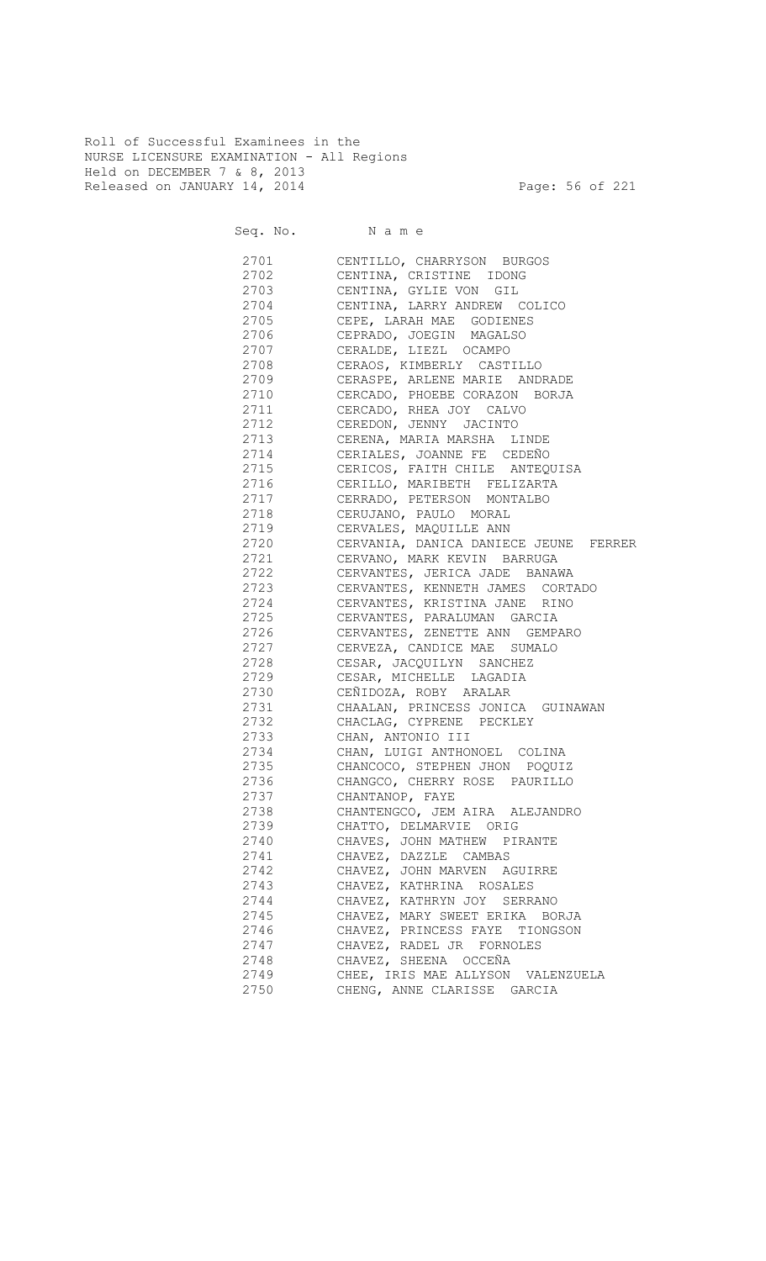Roll of Successful Examinees in the NURSE LICENSURE EXAMINATION - All Regions Held on DECEMBER 7 & 8, 2013 Released on JANUARY 14, 2014 **Page: 56 of 221** 

Seq. No. Name

 2701 CENTILLO, CHARRYSON BURGOS 2702 CENTINA, CRISTINE IDONG 2703 CENTINA, GYLIE VON GIL 2704 CENTINA, LARRY ANDREW COLICO 2705 CEPE, LARAH MAE GODIENES 2706 CEPRADO, JOEGIN MAGALSO 2707 CERALDE, LIEZL OCAMPO 2708 CERAOS, KIMBERLY CASTILLO<br>2709 CERASPE, ARLENE MARIE ANDI 2709 CERASPE, ARLENE MARIE ANDRADE 2710 CERCADO, PHOEBE CORAZON BORJA 2711 CERCADO, RHEA JOY CALVO<br>2712 CEREDON, JENNY JACINTO CEREDON, JENNY JACINTO 2713 CERENA, MARIA MARSHA LINDE 2714 CERIALES, JOANNE FE CEDEÑO 2715 CERICOS, FAITH CHILE ANTEQUISA 2716 CERILLO, MARIBETH FELIZARTA 2717 CERRADO, PETERSON MONTALBO<br>2718 CERUJANO, PAULO MORAL 2718 CERUJANO, PAULO MORAL 2719 CERVALES, MAQUILLE ANN 2720 CERVANIA, DANICA DANIECE JEUNE FERRER 2721 CERVANO, MARK KEVIN BARRUGA 2722 CERVANTES, JERICA JADE BANAWA 2723 CERVANTES, KENNETH JAMES CORTADO 2724 CERVANTES, KRISTINA JANE RINO<br>2725 CERVANTES, PARALUMAN GARCIA CERVANTES, PARALUMAN GARCIA 2726 CERVANTES, ZENETTE ANN GEMPARO 2727 CERVEZA, CANDICE MAE SUMALO 2728 CESAR, JACQUILYN SANCHEZ 2729 CESAR, MICHELLE LAGADIA 2730 CEÑIDOZA, ROBY ARALAR 2731 CHAALAN, PRINCESS JONICA GUINAWAN 2732 CHACLAG, CYPRENE PECKLEY<br>2733 CHAN, ANTONIO III CHAN, ANTONIO III 2734 CHAN, LUIGI ANTHONOEL COLINA 2735 CHANCOCO, STEPHEN JHON POQUIZ 2736 CHANGCO, CHERRY ROSE PAURILLO 2737 CHANTANOP, FAYE<br>2738 CHANTENGCO, JEM 2738 CHANTENGCO, JEM AIRA ALEJANDRO 2739 CHATTO, DELMARVIE ORIG 2740 CHAVES, JOHN MATHEW PIRANTE 2741 CHAVEZ, DAZZLE CAMBAS 2742 CHAVEZ, JOHN MARVEN AGUIRRE 2743 CHAVEZ, KATHRINA ROSALES 2744 CHAVEZ, KATHRYN JOY SERRANO 2745 CHAVEZ, MARY SWEET ERIKA BORJA 2746 CHAVEZ, PRINCESS FAYE TIONGSON 2747 CHAVEZ, RADEL JR FORNOLES 2748 CHAVEZ, SHEENA OCCEÑA 2749 CHEE, IRIS MAE ALLYSON VALENZUELA 2750 CHENG, ANNE CLARISSE GARCIA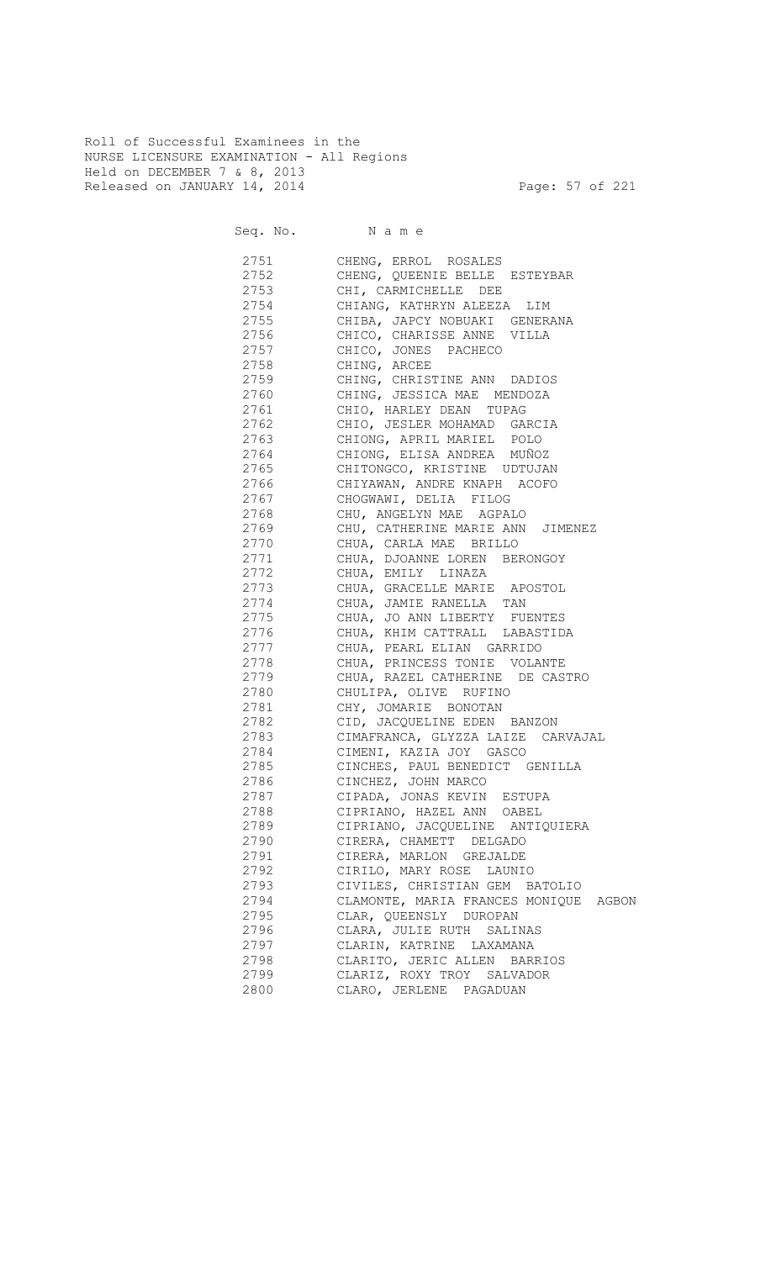Roll of Successful Examinees in the NURSE LICENSURE EXAMINATION - All Regions Held on DECEMBER 7 & 8, 2013 Released on JANUARY 14, 2014 **Page: 57 of 221** 

| 2751 | CHENG, ERROL ROSALES                     |
|------|------------------------------------------|
| 2752 | CHENG, QUEENIE BELLE ESTEYBAR            |
| 2753 | CHI, CARMICHELLE DEE                     |
| 2754 | CHIANG, KATHRYN ALEEZA LIM               |
| 2755 | CHIBA, JAPCY NOBUAKI GENERANA            |
| 2756 | CHICO, CHARISSE ANNE VILLA               |
| 2757 | CHICO, JONES PACHECO                     |
| 2758 | CHING, ARCEE                             |
| 2759 | CHING, CHRISTINE ANN DADIOS              |
| 2760 | CHING, JESSICA MAE MENDOZA               |
| 2761 | CHIO, HARLEY DEAN TUPAG                  |
| 2762 | CHIO, JESLER MOHAMAD GARCIA              |
| 2763 | CHIONG, APRIL MARIEL POLO                |
| 2764 | CHIONG, ELISA ANDREA MUÑOZ               |
| 2765 | CHITONGCO, KRISTINE UDTUJAN              |
| 2766 | CHIYAWAN, ANDRE KNAPH ACOFO              |
| 2767 | CHOGWAWI, DELIA FILOG                    |
| 2768 | CHU, ANGELYN MAE AGPALO                  |
| 2769 | CHU, CATHERINE MARIE ANN JIMENEZ         |
| 2770 | CHUA, CARLA MAE BRILLO                   |
| 2771 | CHUA, DJOANNE LOREN BERONGOY             |
| 2772 | CHUA, EMILY LINAZA                       |
| 2773 | CHUA, GRACELLE MARIE APOSTOL             |
| 2774 | CHUA, JAMIE RANELLA TAN                  |
| 2775 | CHUA, JO ANN LIBERTY FUENTES             |
| 2776 | CHUA, KHIM CATTRALL LABASTIDA            |
| 2777 | CHUA, PEARL ELIAN GARRIDO                |
| 2778 | CHUA, PRINCESS TONIE VOLANTE             |
| 2779 | CHUA, RAZEL CATHERINE DE CASTRO          |
| 2780 | CHULIPA, OLIVE RUFINO                    |
| 2781 | CHY, JOMARIE BONOTAN                     |
| 2782 | CID, JACQUELINE EDEN BANZON              |
| 2783 | CIMAFRANCA, GLYZZA LAIZE CARVAJAL        |
| 2784 | CIMENI, KAZIA JOY GASCO                  |
| 2785 | CINCHES, PAUL BENEDICT GENILLA           |
| 2786 | CINCHEZ, JOHN MARCO                      |
| 2787 | CIPADA, JONAS KEVIN ESTUPA               |
| 2788 | CIPRIANO, HAZEL ANN OABEL                |
| 2789 | CIPRIANO, JACQUELINE ANTIQUIERA          |
| 2790 | CIRERA, CHAMETT DELGADO                  |
| 2791 | CIRERA, MARLON GREJALDE                  |
| 2792 | CIRILO, MARY ROSE LAUNIO                 |
| 2793 | CIVILES, CHRISTIAN GEM BATOLIO           |
| 2794 | CLAMONTE, MARIA FRANCES MONIQUE<br>AGBON |
| 2795 | CLAR, QUEENSLY DUROPAN                   |
|      |                                          |
| 2796 | CLARA, JULIE RUTH SALINAS                |
| 2797 | CLARIN, KATRINE LAXAMANA                 |
| 2798 | CLARITO, JERIC ALLEN BARRIOS             |
| 2799 | CLARIZ, ROXY TROY SALVADOR               |
| 2800 | CLARO, JERLENE PAGADUAN                  |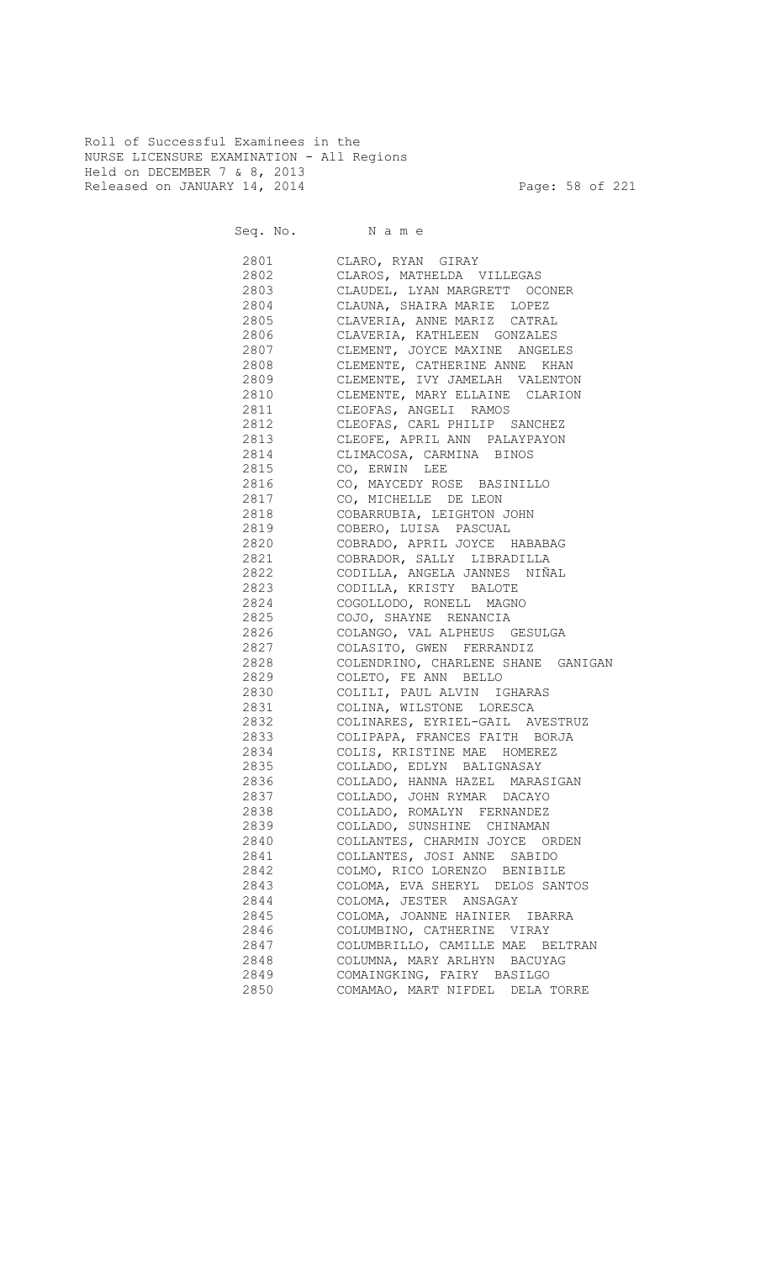Roll of Successful Examinees in the NURSE LICENSURE EXAMINATION - All Regions Held on DECEMBER 7 & 8, 2013 Released on JANUARY 14, 2014 **Page: 58 of 221** 

Seq. No. Name

 2801 CLARO, RYAN GIRAY 2802 CLAROS, MATHELDA VILLEGAS 2803 CLAUDEL, LYAN MARGRETT OCONER 2804 CLAUNA, SHAIRA MARIE LOPEZ CLAVERIA, ANNE MARIZ CATRAL 2806 CLAVERIA, KATHLEEN GONZALES 2807 CLEMENT, JOYCE MAXINE ANGELES 2808 CLEMENTE, CATHERINE ANNE KHAN 2809 CLEMENTE, IVY JAMELAH VALENTON 2810 CLEMENTE, MARY ELLAINE CLARION 2811 CLEOFAS, ANGELI RAMOS 2812 CLEOFAS, CARL PHILIP SANCHEZ 2813 CLEOFE, APRIL ANN PALAYPAYON 2814 CLIMACOSA, CARMINA BINOS 2815 CO, ERWIN LEE 2816 CO, MAYCEDY ROSE BASINILLO 2817 CO, MICHELLE DE LEON<br>2818 COBARRUBIA, LEIGHTON COBARRUBIA, LEIGHTON JOHN 2819 COBERO, LUISA PASCUAL 2820 COBRADO, APRIL JOYCE HABABAG 2821 COBRADOR, SALLY LIBRADILLA 2822 CODILLA, ANGELA JANNES NIÑAL 2823 CODILLA, KRISTY BALOTE 2824 COGOLLODO, RONELL MAGNO 2825 COJO, SHAYNE RENANCIA 2826 COLANGO, VAL ALPHEUS GESULGA 2827 COLASITO, GWEN FERRANDIZ 2828 COLENDRINO, CHARLENE SHANE GANIGAN 2829 COLETO, FE ANN BELLO 2830 COLILI, PAUL ALVIN IGHARAS 2831 COLINA, WILSTONE LORESCA 2832 COLINARES, EYRIEL-GAIL AVESTRUZ 2833 COLIPAPA, FRANCES FAITH BORJA 2834 COLIS, KRISTINE MAE HOMEREZ 2835 COLLADO, EDLYN BALIGNASAY 2836 COLLADO, HANNA HAZEL MARASIGAN 2837 COLLADO, JOHN RYMAR DACAYO 2838 COLLADO, ROMALYN FERNANDEZ 2839 COLLADO, SUNSHINE CHINAMAN 2840 COLLANTES, CHARMIN JOYCE ORDEN 2841 COLLANTES, JOSI ANNE SABIDO 2842 COLMO, RICO LORENZO BENIBILE 2843 COLOMA, EVA SHERYL DELOS SANTOS 2844 COLOMA, JESTER ANSAGAY 2845 COLOMA, JOANNE HAINIER IBARRA 2846 COLUMBINO, CATHERINE VIRAY 2847 COLUMBRILLO, CAMILLE MAE BELTRAN 2848 COLUMNA, MARY ARLHYN BACUYAG 2849 COMAINGKING, FAIRY BASILGO 2850 COMAMAO, MART NIFDEL DELA TORRE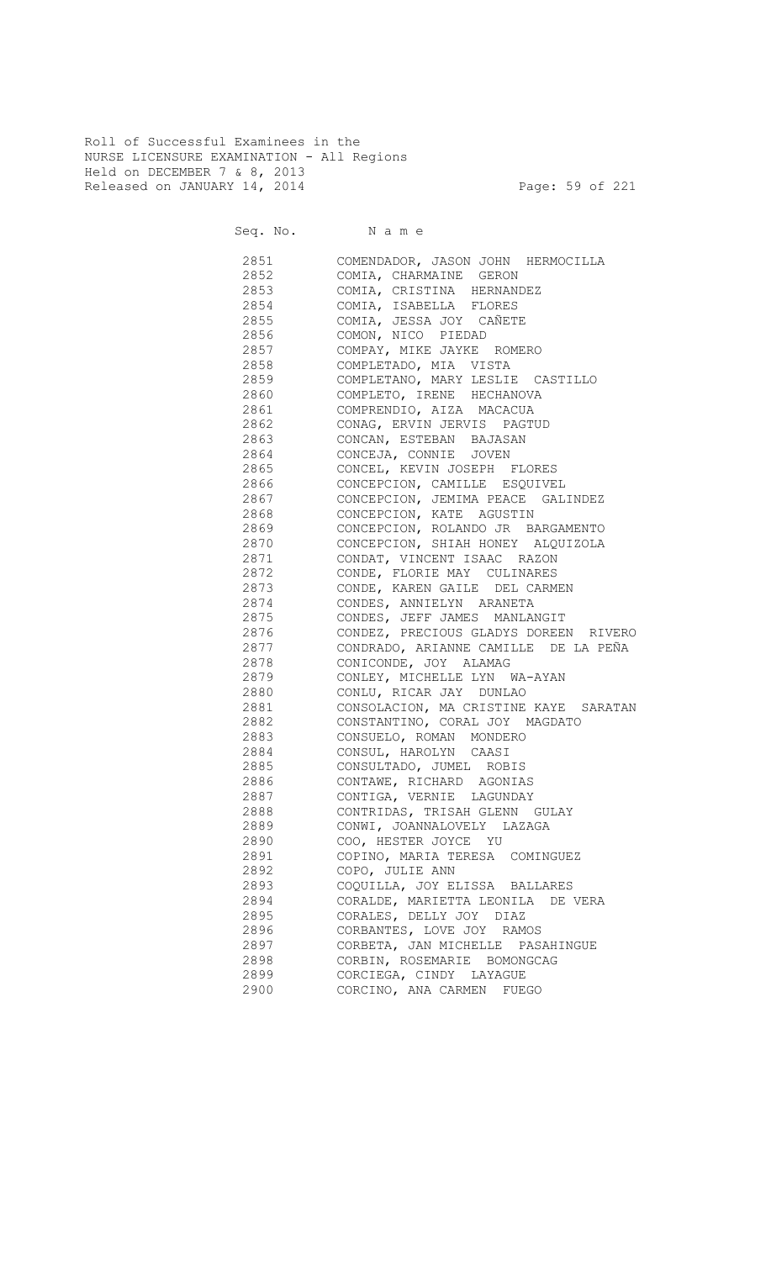Roll of Successful Examinees in the NURSE LICENSURE EXAMINATION - All Regions Held on DECEMBER 7 & 8, 2013 Released on JANUARY 14, 2014 **Page: 59 of 221** 

Seq. No. Name

 2851 COMENDADOR, JASON JOHN HERMOCILLA 2852 COMIA, CHARMAINE GERON 2853 COMIA, CRISTINA HERNANDEZ 2854 COMIA, ISABELLA FLORES 2855 COMIA, JESSA JOY CAÑETE 2856 COMON, NICO PIEDAD 2857 COMPAY, MIKE JAYKE ROMERO 2858 COMPLETADO, MIA VISTA 2859 COMPLETANO, MARY LESLIE CASTILLO 2860 COMPLETO, IRENE HECHANOVA 2861 COMPRENDIO, AIZA MACACUA 2862 CONAG, ERVIN JERVIS PAGTUD 2863 CONCAN, ESTEBAN BAJASAN 2864 CONCEJA, CONNIE JOVEN 2865 CONCEL, KEVIN JOSEPH FLORES 2866 CONCEPCION, CAMILLE ESQUIVEL 2867 CONCEPCION, JEMIMA PEACE GALINDEZ<br>2868 CONCEPCION, KATE AGUSTIN CONCEPCION, KATE AGUSTIN 2869 CONCEPCION, ROLANDO JR BARGAMENTO 2870 CONCEPCION, SHIAH HONEY ALQUIZOLA 2871 CONDAT, VINCENT ISAAC RAZON 2872 CONDE, FLORIE MAY CULINARES 2873 CONDE, KAREN GAILE DEL CARMEN 2874 CONDES, ANNIELYN ARANETA<br>2875 CONDES, JEFF JAMES MANLAI CONDES, JEFF JAMES MANLANGIT 2876 CONDEZ, PRECIOUS GLADYS DOREEN RIVERO 2877 CONDRADO, ARIANNE CAMILLE DE LA PEÑA 2878 CONICONDE, JOY ALAMAG 2879 CONLEY, MICHELLE LYN WA-AYAN 2880 CONLU, RICAR JAY DUNLAO 2881 CONSOLACION, MA CRISTINE KAYE SARATAN 2882 CONSTANTINO, CORAL JOY MAGDATO 2883 CONSUELO, ROMAN MONDERO 2884 CONSUL, HAROLYN CAASI 2885 CONSULTADO, JUMEL ROBIS 2886 CONTAWE, RICHARD AGONIAS 2887 CONTIGA, VERNIE LAGUNDAY 2888 CONTRIDAS, TRISAH GLENN GULAY 2889 CONWI, JOANNALOVELY LAZAGA 2890 COO, HESTER JOYCE YU 2891 COPINO, MARIA TERESA COMINGUEZ 2892 COPO, JULIE ANN 2893 COQUILLA, JOY ELISSA BALLARES 2894 CORALDE, MARIETTA LEONILA DE VERA 2895 CORALES, DELLY JOY DIAZ 2896 CORBANTES, LOVE JOY RAMOS 2897 CORBETA, JAN MICHELLE PASAHINGUE 2898 CORBIN, ROSEMARIE BOMONGCAG 2899 CORCIEGA, CINDY LAYAGUE 2900 CORCINO, ANA CARMEN FUEGO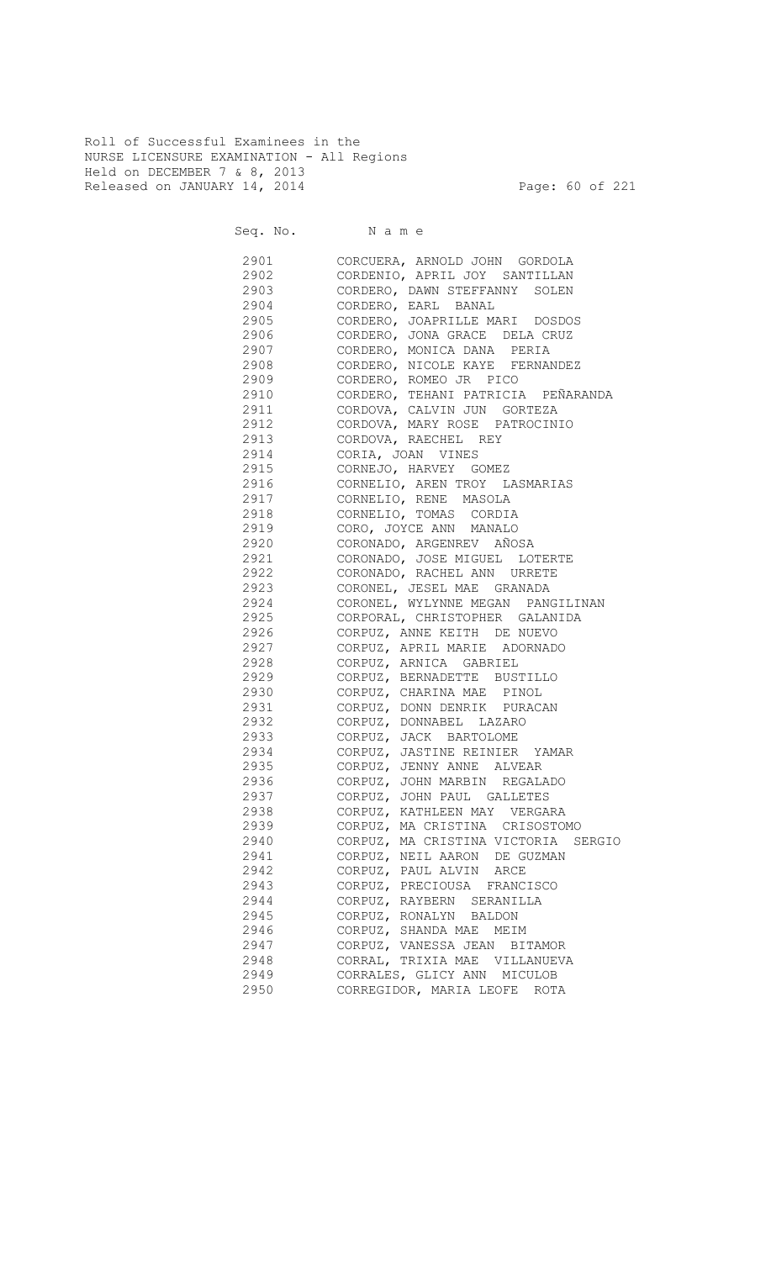Roll of Successful Examinees in the NURSE LICENSURE EXAMINATION - All Regions Held on DECEMBER 7 & 8, 2013 Released on JANUARY 14, 2014 **Page: 60 of 221** 

Seq. No. Name 2901 CORCUERA, ARNOLD JOHN GORDOLA 2902 CORDENIO, APRIL JOY SANTILLAN 2903 CORDERO, DAWN STEFFANNY SOLEN 2904 CORDERO, EARL BANAL<br>2905 CORDERO, JOAPRILLE MA CORDERO, JOAPRILLE MARI DOSDOS 2906 CORDERO, JONA GRACE DELA CRUZ 2907 CORDERO, MONICA DANA PERIA 2908 CORDERO, NICOLE KAYE FERNANDEZ 2909 CORDERO, ROMEO JR PICO 2910 CORDERO, TEHANI PATRICIA PEÑARANDA 2911 CORDOVA, CALVIN JUN GORTEZA 2912 CORDOVA, MARY ROSE PATROCINIO 2913 CORDOVA, RAECHEL REY 2914 CORIA, JOAN VINES 2915 CORNEJO, HARVEY GOMEZ 2916 CORNELIO, AREN TROY LASMARIAS 2917 CORNELIO, RENE MASOLA 2918 CORNELIO, TOMAS CORDIA 2919 CORO, JOYCE ANN MANALO 2920 CORONADO, ARGENREV AÑOSA 2921 CORONADO, JOSE MIGUEL LOTERTE 2922 CORONADO, RACHEL ANN URRETE 2923 CORONEL, JESEL MAE GRANADA 2924 CORONEL, WYLYNNE MEGAN PANGILINAN 2925 CORPORAL, CHRISTOPHER GALANIDA 2926 CORPUZ, ANNE KEITH DE NUEVO 2927 CORPUZ, APRIL MARIE ADORNADO 2928 CORPUZ, ARNICA GABRIEL 2929 CORPUZ, BERNADETTE BUSTILLO 2930 CORPUZ, CHARINA MAE PINOL 2931 CORPUZ, DONN DENRIK PURACAN 2932 CORPUZ, DONNABEL LAZARO 2933 CORPUZ, JACK BARTOLOME 2934 CORPUZ, JASTINE REINIER YAMAR 2935 CORPUZ, JENNY ANNE ALVEAR 2936 CORPUZ, JOHN MARBIN REGALADO 2937 CORPUZ, JOHN PAUL GALLETES 2938 CORPUZ, KATHLEEN MAY VERGARA 2939 CORPUZ, MA CRISTINA CRISOSTOMO 2940 CORPUZ, MA CRISTINA VICTORIA SERGIO 2941 CORPUZ, NEIL AARON DE GUZMAN 2942 CORPUZ, PAUL ALVIN ARCE 2943 CORPUZ, PRECIOUSA FRANCISCO 2944 CORPUZ, RAYBERN SERANILLA 2945 CORPUZ, RONALYN BALDON 2946 CORPUZ, SHANDA MAE MEIM 2947 CORPUZ, VANESSA JEAN BITAMOR 2948 CORRAL, TRIXIA MAE VILLANUEVA<br>2949 CORRALES, GLICY ANN MICULOB CORRALES, GLICY ANN MICULOB 2950 CORREGIDOR, MARIA LEOFE ROTA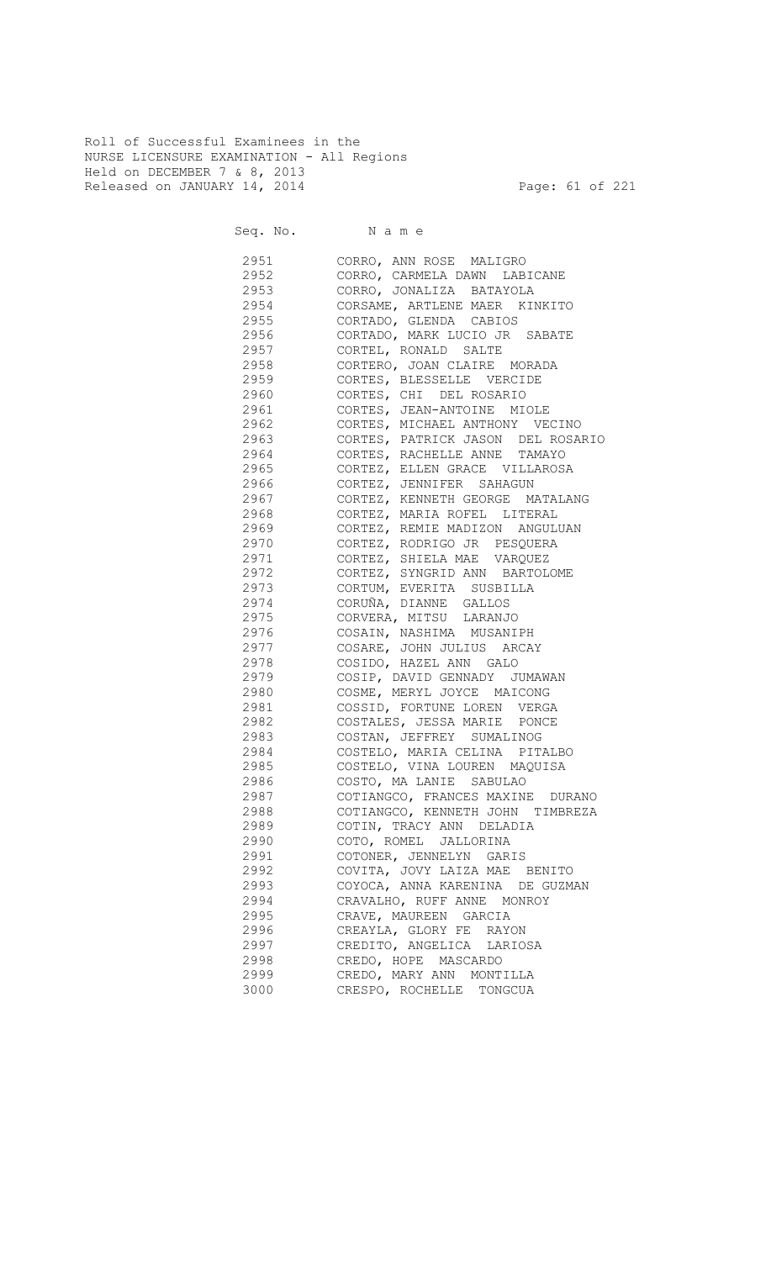Roll of Successful Examinees in the NURSE LICENSURE EXAMINATION - All Regions Held on DECEMBER 7 & 8, 2013 Released on JANUARY 14, 2014 **Page: 61 of 221** 

Seq. No. Name

 2951 CORRO, ANN ROSE MALIGRO 2952 CORRO, CARMELA DAWN LABICANE 2953 CORRO, JONALIZA BATAYOLA 2954 CORSAME, ARTLENE MAER KINKITO 2955 CORTADO, GLENDA CABIOS 2956 CORTADO, MARK LUCIO JR SABATE 2957 CORTEL, RONALD SALTE 2958 CORTERO, JOAN CLAIRE MORADA 2959 CORTES, BLESSELLE VERCIDE 2960 CORTES, CHI DEL ROSARIO 2961 CORTES, JEAN-ANTOINE MIOLE 2962 CORTES, MICHAEL ANTHONY VECINO 2963 CORTES, PATRICK JASON DEL ROSARIO 2964 CORTES, RACHELLE ANNE TAMAYO 2965 CORTEZ, ELLEN GRACE VILLAROSA 2966 CORTEZ, JENNIFER SAHAGUN 2967 CORTEZ, KENNETH GEORGE MATALANG 2968 CORTEZ, MARIA ROFEL LITERAL 2969 CORTEZ, REMIE MADIZON ANGULUAN 2970 CORTEZ, RODRIGO JR PESQUERA 2971 CORTEZ, SHIELA MAE VARQUEZ 2972 CORTEZ, SYNGRID ANN BARTOLOME 2973 CORTUM, EVERITA SUSBILLA 2974 CORUÑA, DIANNE GALLOS<br>2975 CORVERA, MITSU LARANJO CORVERA, MITSU LARANJO 2976 COSAIN, NASHIMA MUSANIPH 2977 COSARE, JOHN JULIUS ARCAY 2978 COSIDO, HAZEL ANN GALO 2979 COSIP, DAVID GENNADY JUMAWAN 2980 COSME, MERYL JOYCE MAICONG 2981 COSSID, FORTUNE LOREN VERGA 2982 COSTALES, JESSA MARIE PONCE 2983 COSTAN, JEFFREY SUMALINOG 2984 COSTELO, MARIA CELINA PITALBO 2985 COSTELO, VINA LOUREN MAQUISA 2986 COSTO, MA LANIE SABULAO 2987 COTIANGCO, FRANCES MAXINE DURANO 2988 COTIANGCO, KENNETH JOHN TIMBREZA 2989 COTIN, TRACY ANN DELADIA 2990 COTO, ROMEL JALLORINA 2991 COTONER, JENNELYN GARIS 2992 COVITA, JOVY LAIZA MAE BENITO 2993 COYOCA, ANNA KARENINA DE GUZMAN 2994 CRAVALHO, RUFF ANNE MONROY 2995 CRAVE, MAUREEN GARCIA 2996 CREAYLA, GLORY FE RAYON 2997 CREDITO, ANGELICA LARIOSA 2998 CREDO, HOPE MASCARDO 2999 CREDO, MARY ANN MONTILLA 3000 CRESPO, ROCHELLE TONGCUA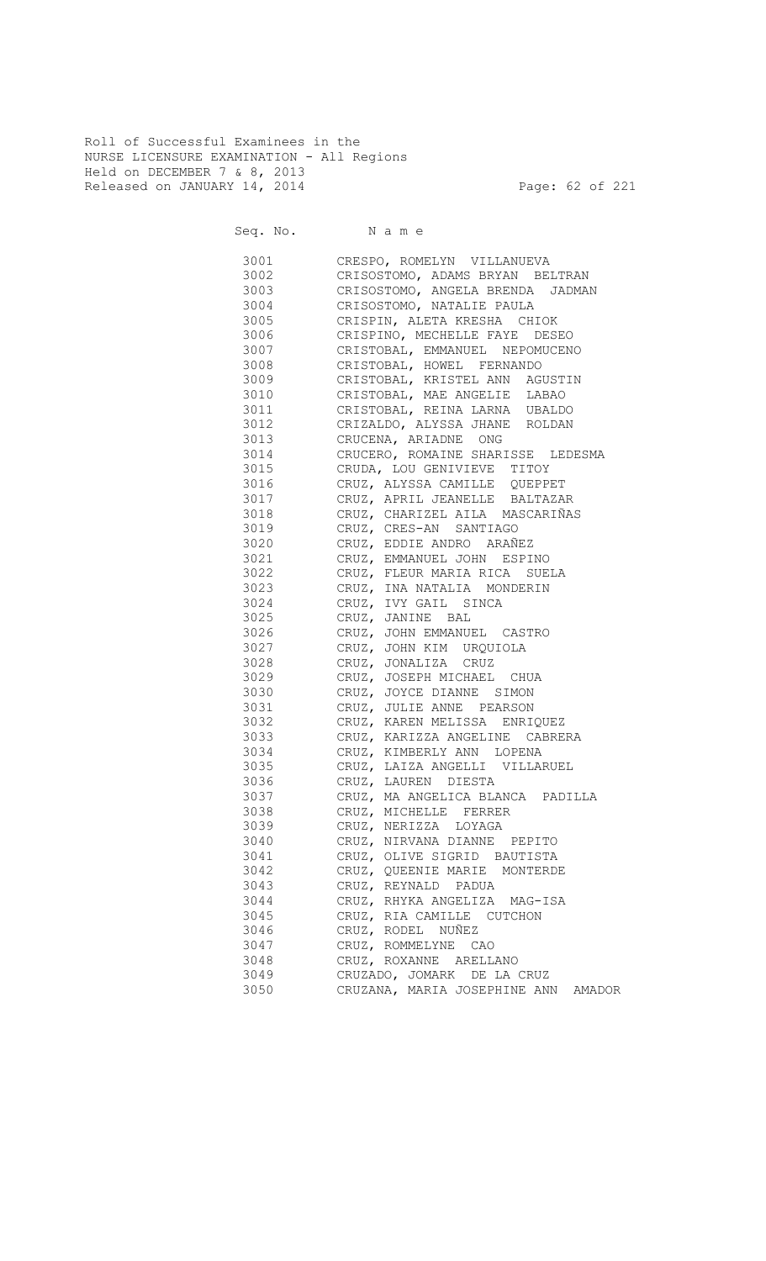Roll of Successful Examinees in the NURSE LICENSURE EXAMINATION - All Regions Held on DECEMBER 7 & 8, 2013 Released on JANUARY 14, 2014 **Page: 62 of 221** 

Seq. No. Name

 3001 CRESPO, ROMELYN VILLANUEVA 3002 CRISOSTOMO, ADAMS BRYAN BELTRAN 3003 CRISOSTOMO, ANGELA BRENDA JADMAN 3004 CRISOSTOMO, NATALIE PAULA CRISPIN, ALETA KRESHA CHIOK 3006 CRISPINO, MECHELLE FAYE DESEO 3007 CRISTOBAL, EMMANUEL NEPOMUCENO 3008 CRISTOBAL, HOWEL FERNANDO CRISTOBAL, KRISTEL ANN AGUSTIN 3010 CRISTOBAL, MAE ANGELIE LABAO 3011 CRISTOBAL, REINA LARNA UBALDO 3012 CRIZALDO, ALYSSA JHANE ROLDAN 3013 CRUCENA, ARIADNE ONG 3014 CRUCERO, ROMAINE SHARISSE LEDESMA 3015 CRUDA, LOU GENIVIEVE TITOY 3016 CRUZ, ALYSSA CAMILLE QUEPPET 3017 CRUZ, APRIL JEANELLE BALTAZAR 3018 CRUZ, CHARIZEL AILA MASCARIÑAS 3019 CRUZ, CRES-AN SANTIAGO 3020 CRUZ, EDDIE ANDRO ARAÑEZ 3021 CRUZ, EMMANUEL JOHN ESPINO 3022 CRUZ, FLEUR MARIA RICA SUELA 3023 CRUZ, INA NATALIA MONDERIN 3024 CRUZ, IVY GAIL SINCA 3025 CRUZ, JANINE BAL 3026 CRUZ, JOHN EMMANUEL CASTRO 3027 CRUZ, JOHN KIM URQUIOLA 3028 CRUZ, JONALIZA CRUZ 3029 CRUZ, JOSEPH MICHAEL CHUA 3030 CRUZ, JOYCE DIANNE SIMON 3031 CRUZ, JULIE ANNE PEARSON 3032 CRUZ, KAREN MELISSA ENRIQUEZ 3033 CRUZ, KARIZZA ANGELINE CABRERA 3034 CRUZ, KIMBERLY ANN LOPENA 3035 CRUZ, LAIZA ANGELLI VILLARUEL 3036 CRUZ, LAUREN DIESTA 3037 CRUZ, MA ANGELICA BLANCA PADILLA 3038 CRUZ, MICHELLE FERRER 3039 CRUZ, NERIZZA LOYAGA 3040 CRUZ, NIRVANA DIANNE PEPITO 3041 CRUZ, OLIVE SIGRID BAUTISTA 3042 CRUZ, QUEENIE MARIE MONTERDE 3043 CRUZ, REYNALD PADUA 3044 CRUZ, RHYKA ANGELIZA MAG-ISA 3045 CRUZ, RIA CAMILLE CUTCHON 3046 CRUZ, RODEL NUÑEZ 3047 CRUZ, ROMMELYNE CAO 3048 CRUZ, ROXANNE ARELLANO 3049 CRUZADO, JOMARK DE LA CRUZ 3050 CRUZANA, MARIA JOSEPHINE ANN AMADOR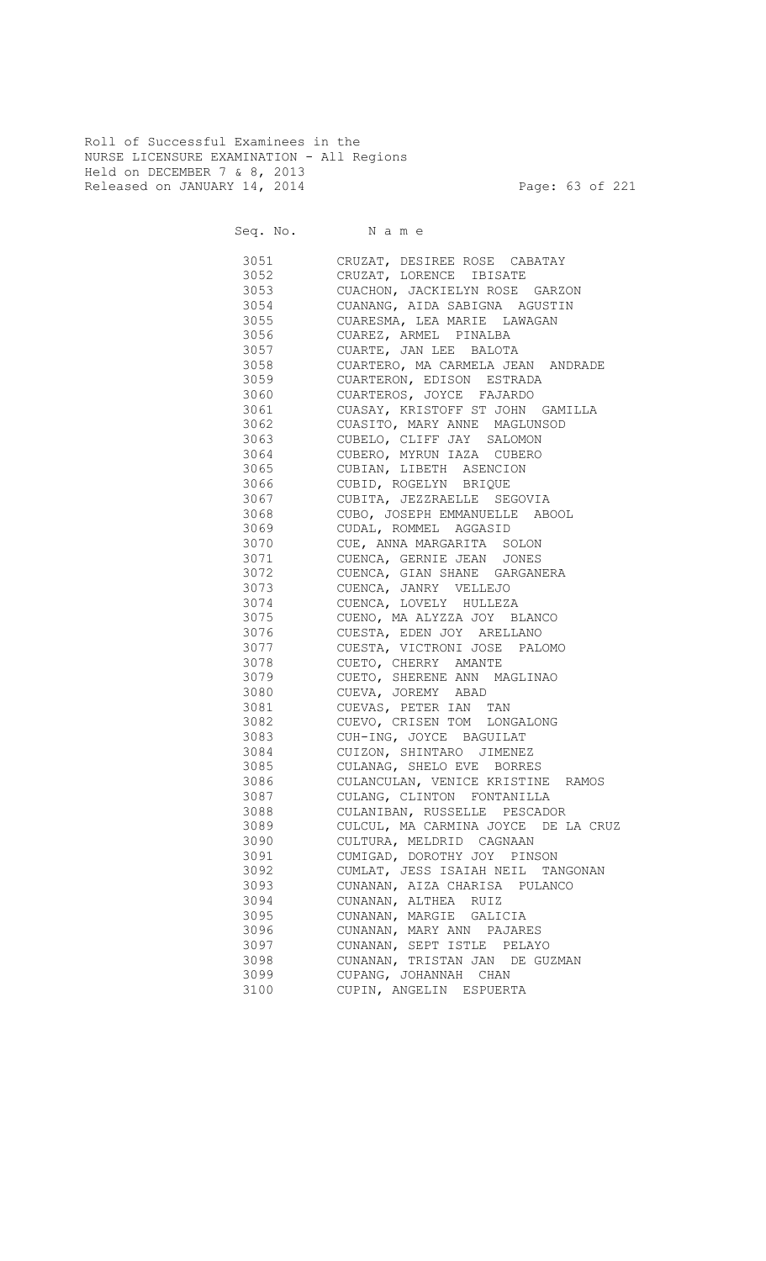Roll of Successful Examinees in the NURSE LICENSURE EXAMINATION - All Regions Held on DECEMBER 7 & 8, 2013 Released on JANUARY 14, 2014 **Page: 63 of 221** 

Seq. No. Name

 3051 CRUZAT, DESIREE ROSE CABATAY 3052 CRUZAT, LORENCE IBISATE 3053 CUACHON, JACKIELYN ROSE GARZON 3054 CUANANG, AIDA SABIGNA AGUSTIN CUARESMA, LEA MARIE LAWAGAN 3056 CUAREZ, ARMEL PINALBA 3057 CUARTE, JAN LEE BALOTA 3058 CUARTERO, MA CARMELA JEAN ANDRADE<br>3059 CUARTERON, EDISON ESTRADA CUARTERON, EDISON ESTRADA 3060 CUARTEROS, JOYCE FAJARDO 3061 CUASAY, KRISTOFF ST JOHN GAMILLA 3062 CUASITO, MARY ANNE MAGLUNSOD 3063 CUBELO, CLIFF JAY SALOMON 3064 CUBERO, MYRUN IAZA CUBERO 3065 CUBIAN, LIBETH ASENCION 3066 CUBID, ROGELYN BRIQUE 3067 CUBITA, JEZZRAELLE SEGOVIA CUBO, JOSEPH EMMANUELLE ABOOL 3069 CUDAL, ROMMEL AGGASID 3070 CUE, ANNA MARGARITA SOLON 3071 CUENCA, GERNIE JEAN JONES 3072 CUENCA, GIAN SHANE GARGANERA 3073 CUENCA, JANRY VELLEJO 3074 CUENCA, LOVELY HULLEZA<br>3075 CUENO, MA ALYZZA JOY B CUENO, MA ALYZZA JOY BLANCO 3076 CUESTA, EDEN JOY ARELLANO 3077 CUESTA, VICTRONI JOSE PALOMO 3078 CUETO, CHERRY AMANTE 3079 CUETO, SHERENE ANN MAGLINAO 3080 CUEVA, JOREMY ABAD 3081 CUEVAS, PETER IAN TAN 3082 CUEVO, CRISEN TOM LONGALONG 3083 CUH-ING, JOYCE BAGUILAT 3084 CUIZON, SHINTARO JIMENEZ 3085 CULANAG, SHELO EVE BORRES 3086 CULANCULAN, VENICE KRISTINE RAMOS 3087 CULANG, CLINTON FONTANILLA 3088 CULANIBAN, RUSSELLE PESCADOR 3089 CULCUL, MA CARMINA JOYCE DE LA CRUZ 3090 CULTURA, MELDRID CAGNAAN 3091 CUMIGAD, DOROTHY JOY PINSON 3092 CUMLAT, JESS ISAIAH NEIL TANGONAN 3093 CUNANAN, AIZA CHARISA PULANCO 3094 CUNANAN, ALTHEA RUIZ 3095 CUNANAN, MARGIE GALICIA 3096 CUNANAN, MARY ANN PAJARES 3097 CUNANAN, SEPT ISTLE PELAYO 3098 CUNANAN, TRISTAN JAN DE GUZMAN 3099 CUPANG, JOHANNAH CHAN 3100 CUPIN, ANGELIN ESPUERTA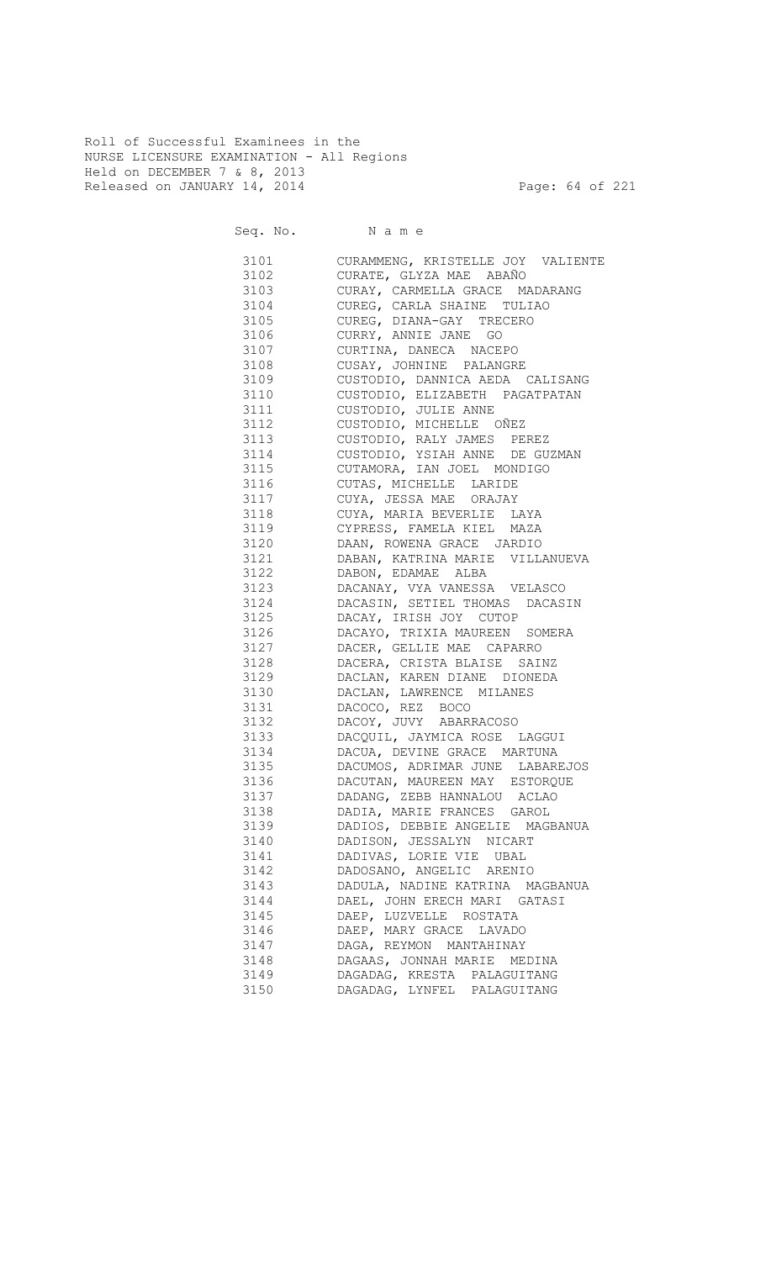Roll of Successful Examinees in the NURSE LICENSURE EXAMINATION - All Regions Held on DECEMBER 7 & 8, 2013 Released on JANUARY 14, 2014 **Page: 64 of 221** 

Seq. No. Name

 3101 CURAMMENG, KRISTELLE JOY VALIENTE 3102 CURATE, GLYZA MAE ABAÑO 3103 CURAY, CARMELLA GRACE MADARANG 3104 CUREG, CARLA SHAINE TULIAO CUREG, DIANA-GAY TRECERO 3106 CURRY, ANNIE JANE GO 3107 CURTINA, DANECA NACEPO 3108 CUSAY, JOHNINE PALANGRE 3109 CUSTODIO, DANNICA AEDA CALISANG 3110 CUSTODIO, ELIZABETH PAGATPATAN 3111 CUSTODIO, JULIE ANNE 3112 CUSTODIO, MICHELLE OÑEZ 3113 CUSTODIO, RALY JAMES PEREZ 3114 CUSTODIO, YSIAH ANNE DE GUZMAN 3115 CUTAMORA, IAN JOEL MONDIGO 3116 CUTAS, MICHELLE LARIDE 3117 CUYA, JESSA MAE ORAJAY 3118 CUYA, MARIA BEVERLIE LAYA 3119 CYPRESS, FAMELA KIEL MAZA 3120 DAAN, ROWENA GRACE JARDIO 3121 DABAN, KATRINA MARIE VILLANUEVA 3122 DABON, EDAMAE ALBA 3123 DACANAY, VYA VANESSA VELASCO 3124 DACASIN, SETIEL THOMAS DACASIN 3125 DACAY, IRISH JOY CUTOP 3126 DACAYO, TRIXIA MAUREEN SOMERA 3127 DACER, GELLIE MAE CAPARRO 3128 DACERA, CRISTA BLAISE SAINZ 3129 DACLAN, KAREN DIANE DIONEDA 3130 DACLAN, LAWRENCE MILANES 3131 DACOCO, REZ BOCO 3132 DACOY, JUVY ABARRACOSO 3133 DACQUIL, JAYMICA ROSE LAGGUI 3134 DACUA, DEVINE GRACE MARTUNA 3135 DACUMOS, ADRIMAR JUNE LABAREJOS 3136 DACUTAN, MAUREEN MAY ESTORQUE 3137 DADANG, ZEBB HANNALOU ACLAO 3138 DADIA, MARIE FRANCES GAROL 3139 DADIOS, DEBBIE ANGELIE MAGBANUA 3140 DADISON, JESSALYN NICART 3141 DADIVAS, LORIE VIE UBAL 3142 DADOSANO, ANGELIC ARENIO 3143 DADULA, NADINE KATRINA MAGBANUA 3144 DAEL, JOHN ERECH MARI GATASI 3145 DAEP, LUZVELLE ROSTATA 3146 DAEP, MARY GRACE LAVADO 3147 DAGA, REYMON MANTAHINAY<br>3148 DAGAAS, JONNAH MARIE ME DAGAAS, JONNAH MARIE MEDINA 3149 DAGADAG, KRESTA PALAGUITANG 3150 DAGADAG, LYNFEL PALAGUITANG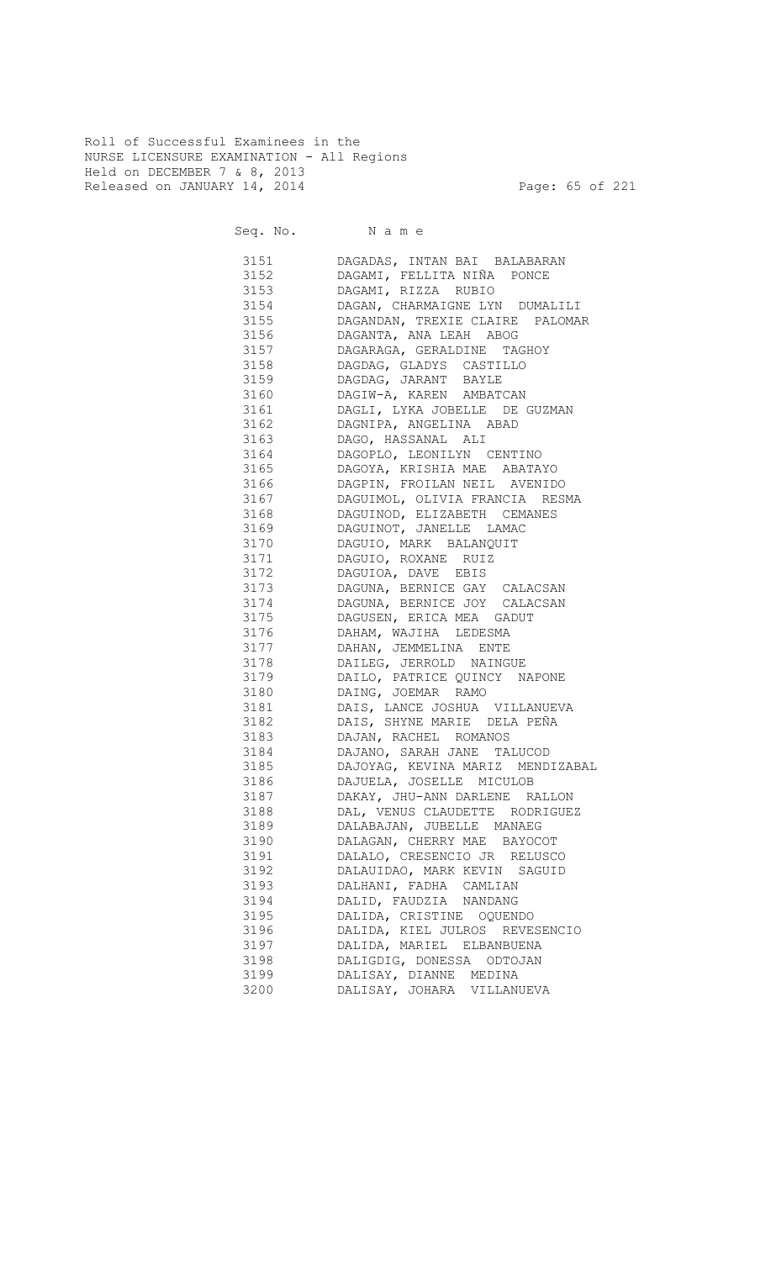Roll of Successful Examinees in the NURSE LICENSURE EXAMINATION - All Regions Held on DECEMBER 7 & 8, 2013 Released on JANUARY 14, 2014 **Page: 65 of 221** 

Seq. No. Name 3151 DAGADAS, INTAN BAI BALABARAN 3152 DAGAMI, FELLITA NIÑA PONCE 3153 DAGAMI, RIZZA RUBIO 3154 DAGAN, CHARMAIGNE LYN DUMALILI DAGANDAN, TREXIE CLAIRE PALOMAR 3156 DAGANTA, ANA LEAH ABOG 3157 DAGARAGA, GERALDINE TAGHOY 3158 DAGDAG, GLADYS CASTILLO 3159 DAGDAG, JARANT BAYLE 3160 DAGIW-A, KAREN AMBATCAN 3161 DAGLI, LYKA JOBELLE DE GUZMAN 3162 DAGNIPA, ANGELINA ABAD 3163 DAGO, HASSANAL ALI 3164 DAGOPLO, LEONILYN CENTINO 3165 DAGOYA, KRISHIA MAE ABATAYO 3166 DAGPIN, FROILAN NEIL AVENIDO 3167 DAGUIMOL, OLIVIA FRANCIA RESMA DAGUINOD, ELIZABETH CEMANES 3169 DAGUINOT, JANELLE LAMAC 3170 DAGUIO, MARK BALANQUIT 3171 DAGUIO, ROXANE RUIZ 3172 DAGUIOA, DAVE EBIS 3173 DAGUNA, BERNICE GAY CALACSAN 3174 DAGUNA, BERNICE JOY CALACSAN<br>3175 DAGUSEN, ERICA MEA GADUT DAGUSEN, ERICA MEA GADUT 3176 DAHAM, WAJIHA LEDESMA 3177 DAHAN, JEMMELINA ENTE 3178 DAILEG, JERROLD NAINGUE<br>3179 DAILO, PATRICE QUINCY N. DAILO, PATRICE QUINCY NAPONE 3180 DAING, JOEMAR RAMO 3181 DAIS, LANCE JOSHUA VILLANUEVA 3182 DAIS, SHYNE MARIE DELA PEÑA 3183 DAJAN, RACHEL ROMANOS 3184 DAJANO, SARAH JANE TALUCOD 3185 DAJOYAG, KEVINA MARIZ MENDIZABAL

 3186 DAJUELA, JOSELLE MICULOB 3187 DAKAY, JHU-ANN DARLENE RALLON 3188 DAL, VENUS CLAUDETTE RODRIGUEZ 3189 DALABAJAN, JUBELLE MANAEG 3190 DALAGAN, CHERRY MAE BAYOCOT 3191 DALALO, CRESENCIO JR RELUSCO 3192 DALAUIDAO, MARK KEVIN SAGUID 3193 DALHANI, FADHA CAMLIAN 3194 DALID, FAUDZIA NANDANG 3195 DALIDA, CRISTINE OQUENDO 3196 DALIDA, KIEL JULROS REVESENCIO 3197 DALIDA, MARIEL ELBANBUENA

3198 DALIGDIG, DONESSA ODTOJAN

 3199 DALISAY, DIANNE MEDINA 3200 DALISAY, JOHARA VILLANUEVA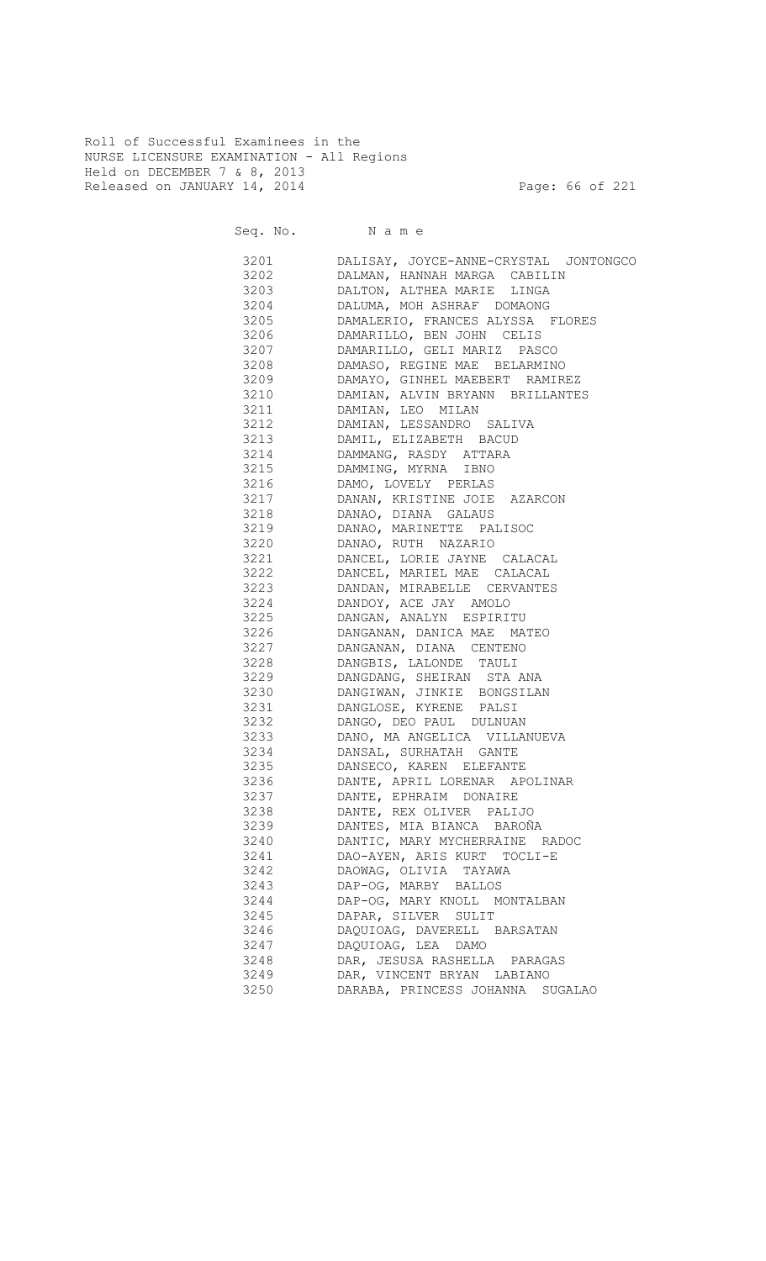Roll of Successful Examinees in the NURSE LICENSURE EXAMINATION - All Regions Held on DECEMBER 7 & 8, 2013 Released on JANUARY 14, 2014 **Page: 66 of 221** 

Seq. No. Name

 3201 DALISAY, JOYCE-ANNE-CRYSTAL JONTONGCO 3202 DALMAN, HANNAH MARGA CABILIN 3203 DALTON, ALTHEA MARIE LINGA 3204 DALUMA, MOH ASHRAF DOMAONG DAMALERIO, FRANCES ALYSSA FLORES 3206 DAMARILLO, BEN JOHN CELIS 3207 DAMARILLO, GELI MARIZ PASCO 3208 DAMASO, REGINE MAE BELARMINO 3209 DAMAYO, GINHEL MAEBERT RAMIREZ 3210 DAMIAN, ALVIN BRYANN BRILLANTES 3211 DAMIAN, LEO MILAN 3212 DAMIAN, LESSANDRO SALIVA 3213 DAMIL, ELIZABETH BACUD 3214 DAMMANG, RASDY ATTARA 3215 DAMMING, MYRNA IBNO 3216 DAMO, LOVELY PERLAS 3217 DANAN, KRISTINE JOIE AZARCON 3218 DANAO, DIANA GALAUS 3219 DANAO, MARINETTE PALISOC 3220 DANAO, RUTH NAZARIO 3221 DANCEL, LORIE JAYNE CALACAL 3222 DANCEL, MARIEL MAE CALACAL 3223 DANDAN, MIRABELLE CERVANTES 3224 DANDOY, ACE JAY AMOLO 3225 DANGAN, ANALYN ESPIRITU 3226 DANGANAN, DANICA MAE MATEO 3227 DANGANAN, DIANA CENTENO 3228 DANGBIS, LALONDE TAULI 3229 DANGDANG, SHEIRAN STA ANA 3230 DANGIWAN, JINKIE BONGSILAN 3231 DANGLOSE, KYRENE PALSI 3232 DANGO, DEO PAUL DULNUAN 3233 DANO, MA ANGELICA VILLANUEVA 3234 DANSAL, SURHATAH GANTE 3235 DANSECO, KAREN ELEFANTE 3236 DANTE, APRIL LORENAR APOLINAR 3237 DANTE, EPHRAIM DONAIRE 3238 DANTE, REX OLIVER PALIJO 3239 DANTES, MIA BIANCA BAROÑA 3240 DANTIC, MARY MYCHERRAINE RADOC 3241 DAO-AYEN, ARIS KURT TOCLI-E 3242 DAOWAG, OLIVIA TAYAWA 3243 DAP-OG, MARBY BALLOS 3244 DAP-OG, MARY KNOLL MONTALBAN 3245 DAPAR, SILVER SULIT 3246 DAQUIOAG, DAVERELL BARSATAN 3247 DAQUIOAG, LEA DAMO 3248 DAR, JESUSA RASHELLA PARAGAS 3249 DAR, VINCENT BRYAN LABIANO 3250 DARABA, PRINCESS JOHANNA SUGALAO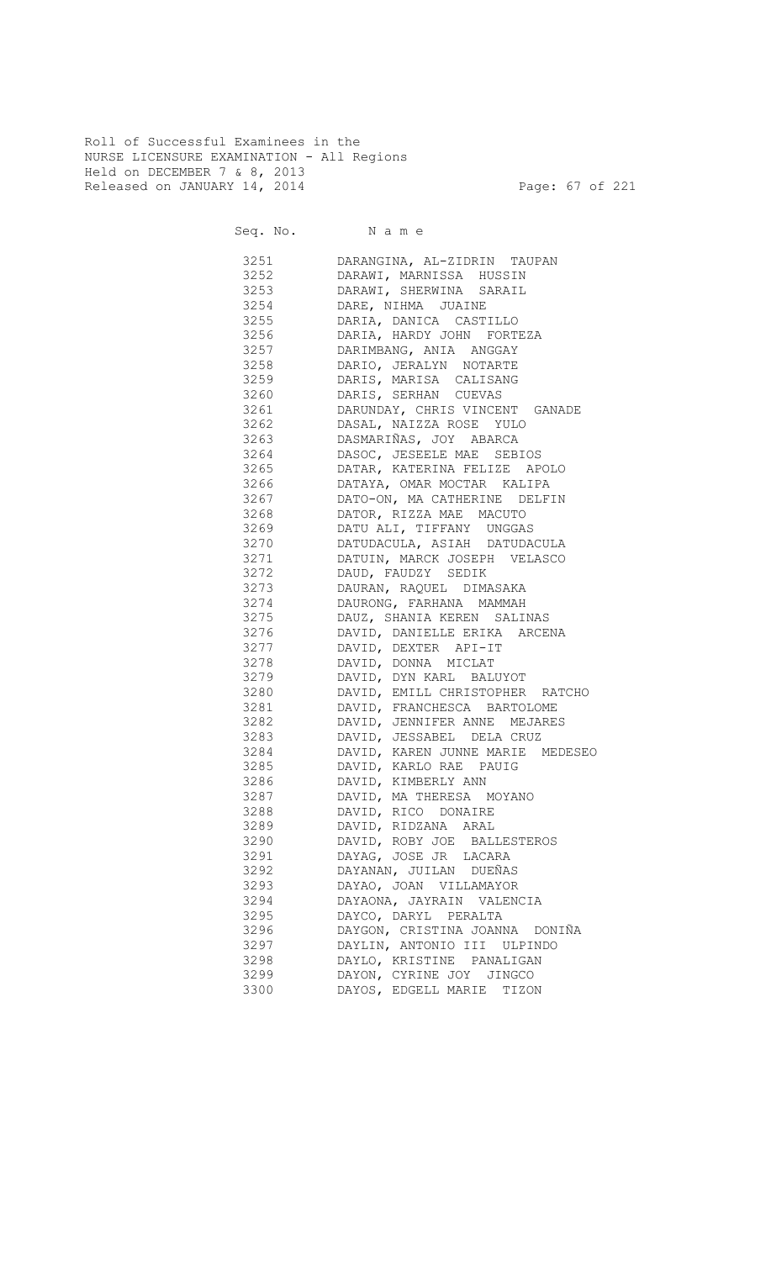Roll of Successful Examinees in the NURSE LICENSURE EXAMINATION - All Regions Held on DECEMBER 7 & 8, 2013 Released on JANUARY 14, 2014 **Page: 67 of 221** 

| 3252<br>DARAWI, MARNISSA HUSSIN<br>3253<br>DARAWI, SHERWINA SARAIL<br>3254<br>DARE, NIHMA JUAINE<br>3255<br>DARIA, DANICA CASTILLO<br>3256<br>DARIA, HARDY JOHN FORTEZA<br>3257<br>DARIMBANG, ANIA ANGGAY<br>3258<br>DARIO, JERALYN NOTARTE<br>3259<br>DARIS, MARISA CALISANG<br>3260<br>DARIS, SERHAN CUEVAS<br>3261<br>DARUNDAY, CHRIS VINCENT GANADE<br>DASAL, NAIZZA ROSE YULO<br>3262<br>DASMARIÑAS, JOY ABARCA<br>3263<br>DASOC, JESEELE MAE SEBIOS<br>3264<br>3265<br>DATAR, KATERINA FELIZE APOLO<br>DATAYA, OMAR MOCTAR KALIPA<br>3266<br>DATO-ON, MA CATHERINE DELFIN<br>3267<br>DATOR, RIZZA MAE MACUTO<br>3268<br>DATU ALI, TIFFANY UNGGAS<br>3269<br>DATUDACULA, ASIAH DATUDACULA<br>3270<br>DATUIN, MARCK JOSEPH VELASCO<br>3271<br>3272<br>DAUD, FAUDZY SEDIK<br>3273<br>DAURAN, RAQUEL DIMASAKA<br>3274 DAURONG, FARHANA MAMMAH<br>3275 DAUZ, SHANIA KEREN SALINAS<br>3276<br>DAVID, DANIELLE ERIKA ARCENA<br>3277 32<br>DAVID, DEXTER API-IT<br>3278 DAVID, DONNA MICLAT<br>3279 DAVID, DYN KARL BALUYOT<br>3280 DAVID, EMILL CHRISTOPHER RATCHO<br>3281 DAVID, FRANCHESCA BARTOLOME<br>3282 DAVID, JENNIFER ANNE MEJARES<br>3283 DAVID, JESSABEL DELA CRUZ<br>3284 DAVID, KAREN JUNNE MARIE MEDESEO<br>3285 DAVID, KARLO RAE PAUIG<br>3286 DAVID, KIMBERLY ANN<br>3287 DAVID, MA THERESA MOYANO<br>3288<br>DAVID, RICO DONAIRE<br>3289<br>DAVID, RIDZANA ARAL<br>3290<br>DAVID, ROBY JOE BALLESTEROS<br>3291<br>DAYAG, JOSE JR LACARA<br>3292<br>DAYANAN, JUILAN DUEÑAS<br>3293<br>DAYAO, JOAN VILLAMAYOR<br>3294<br>DAYAONA, JAYRAIN VALENCIA<br>3295<br>DAYCO, DARYL PERALTA<br>3296<br>DAYGON, CRISTINA JOANNA DONIÑA<br>3297<br>DAYLIN, ANTONIO III ULPINDO<br>3298<br>DAYLO, KRISTINE PANALIGAN<br>3299<br>DAYON, CYRINE JOY JINGCO | 3251 | DARANGINA, AL-ZIDRIN TAUPAN |
|------------------------------------------------------------------------------------------------------------------------------------------------------------------------------------------------------------------------------------------------------------------------------------------------------------------------------------------------------------------------------------------------------------------------------------------------------------------------------------------------------------------------------------------------------------------------------------------------------------------------------------------------------------------------------------------------------------------------------------------------------------------------------------------------------------------------------------------------------------------------------------------------------------------------------------------------------------------------------------------------------------------------------------------------------------------------------------------------------------------------------------------------------------------------------------------------------------------------------------------------------------------------------------------------------------------------------------------------------------------------------------------------------------------------------------------------------------------------------------------------------------------------------------------------------------------------------------------------------------------------------------------------------------------------------------------------------------------------------------------------------------|------|-----------------------------|
|                                                                                                                                                                                                                                                                                                                                                                                                                                                                                                                                                                                                                                                                                                                                                                                                                                                                                                                                                                                                                                                                                                                                                                                                                                                                                                                                                                                                                                                                                                                                                                                                                                                                                                                                                            |      |                             |
|                                                                                                                                                                                                                                                                                                                                                                                                                                                                                                                                                                                                                                                                                                                                                                                                                                                                                                                                                                                                                                                                                                                                                                                                                                                                                                                                                                                                                                                                                                                                                                                                                                                                                                                                                            |      |                             |
|                                                                                                                                                                                                                                                                                                                                                                                                                                                                                                                                                                                                                                                                                                                                                                                                                                                                                                                                                                                                                                                                                                                                                                                                                                                                                                                                                                                                                                                                                                                                                                                                                                                                                                                                                            |      |                             |
|                                                                                                                                                                                                                                                                                                                                                                                                                                                                                                                                                                                                                                                                                                                                                                                                                                                                                                                                                                                                                                                                                                                                                                                                                                                                                                                                                                                                                                                                                                                                                                                                                                                                                                                                                            |      |                             |
|                                                                                                                                                                                                                                                                                                                                                                                                                                                                                                                                                                                                                                                                                                                                                                                                                                                                                                                                                                                                                                                                                                                                                                                                                                                                                                                                                                                                                                                                                                                                                                                                                                                                                                                                                            |      |                             |
|                                                                                                                                                                                                                                                                                                                                                                                                                                                                                                                                                                                                                                                                                                                                                                                                                                                                                                                                                                                                                                                                                                                                                                                                                                                                                                                                                                                                                                                                                                                                                                                                                                                                                                                                                            |      |                             |
|                                                                                                                                                                                                                                                                                                                                                                                                                                                                                                                                                                                                                                                                                                                                                                                                                                                                                                                                                                                                                                                                                                                                                                                                                                                                                                                                                                                                                                                                                                                                                                                                                                                                                                                                                            |      |                             |
|                                                                                                                                                                                                                                                                                                                                                                                                                                                                                                                                                                                                                                                                                                                                                                                                                                                                                                                                                                                                                                                                                                                                                                                                                                                                                                                                                                                                                                                                                                                                                                                                                                                                                                                                                            |      |                             |
|                                                                                                                                                                                                                                                                                                                                                                                                                                                                                                                                                                                                                                                                                                                                                                                                                                                                                                                                                                                                                                                                                                                                                                                                                                                                                                                                                                                                                                                                                                                                                                                                                                                                                                                                                            |      |                             |
|                                                                                                                                                                                                                                                                                                                                                                                                                                                                                                                                                                                                                                                                                                                                                                                                                                                                                                                                                                                                                                                                                                                                                                                                                                                                                                                                                                                                                                                                                                                                                                                                                                                                                                                                                            |      |                             |
|                                                                                                                                                                                                                                                                                                                                                                                                                                                                                                                                                                                                                                                                                                                                                                                                                                                                                                                                                                                                                                                                                                                                                                                                                                                                                                                                                                                                                                                                                                                                                                                                                                                                                                                                                            |      |                             |
|                                                                                                                                                                                                                                                                                                                                                                                                                                                                                                                                                                                                                                                                                                                                                                                                                                                                                                                                                                                                                                                                                                                                                                                                                                                                                                                                                                                                                                                                                                                                                                                                                                                                                                                                                            |      |                             |
|                                                                                                                                                                                                                                                                                                                                                                                                                                                                                                                                                                                                                                                                                                                                                                                                                                                                                                                                                                                                                                                                                                                                                                                                                                                                                                                                                                                                                                                                                                                                                                                                                                                                                                                                                            |      |                             |
|                                                                                                                                                                                                                                                                                                                                                                                                                                                                                                                                                                                                                                                                                                                                                                                                                                                                                                                                                                                                                                                                                                                                                                                                                                                                                                                                                                                                                                                                                                                                                                                                                                                                                                                                                            |      |                             |
|                                                                                                                                                                                                                                                                                                                                                                                                                                                                                                                                                                                                                                                                                                                                                                                                                                                                                                                                                                                                                                                                                                                                                                                                                                                                                                                                                                                                                                                                                                                                                                                                                                                                                                                                                            |      |                             |
|                                                                                                                                                                                                                                                                                                                                                                                                                                                                                                                                                                                                                                                                                                                                                                                                                                                                                                                                                                                                                                                                                                                                                                                                                                                                                                                                                                                                                                                                                                                                                                                                                                                                                                                                                            |      |                             |
|                                                                                                                                                                                                                                                                                                                                                                                                                                                                                                                                                                                                                                                                                                                                                                                                                                                                                                                                                                                                                                                                                                                                                                                                                                                                                                                                                                                                                                                                                                                                                                                                                                                                                                                                                            |      |                             |
|                                                                                                                                                                                                                                                                                                                                                                                                                                                                                                                                                                                                                                                                                                                                                                                                                                                                                                                                                                                                                                                                                                                                                                                                                                                                                                                                                                                                                                                                                                                                                                                                                                                                                                                                                            |      |                             |
|                                                                                                                                                                                                                                                                                                                                                                                                                                                                                                                                                                                                                                                                                                                                                                                                                                                                                                                                                                                                                                                                                                                                                                                                                                                                                                                                                                                                                                                                                                                                                                                                                                                                                                                                                            |      |                             |
|                                                                                                                                                                                                                                                                                                                                                                                                                                                                                                                                                                                                                                                                                                                                                                                                                                                                                                                                                                                                                                                                                                                                                                                                                                                                                                                                                                                                                                                                                                                                                                                                                                                                                                                                                            |      |                             |
|                                                                                                                                                                                                                                                                                                                                                                                                                                                                                                                                                                                                                                                                                                                                                                                                                                                                                                                                                                                                                                                                                                                                                                                                                                                                                                                                                                                                                                                                                                                                                                                                                                                                                                                                                            |      |                             |
|                                                                                                                                                                                                                                                                                                                                                                                                                                                                                                                                                                                                                                                                                                                                                                                                                                                                                                                                                                                                                                                                                                                                                                                                                                                                                                                                                                                                                                                                                                                                                                                                                                                                                                                                                            |      |                             |
|                                                                                                                                                                                                                                                                                                                                                                                                                                                                                                                                                                                                                                                                                                                                                                                                                                                                                                                                                                                                                                                                                                                                                                                                                                                                                                                                                                                                                                                                                                                                                                                                                                                                                                                                                            |      |                             |
|                                                                                                                                                                                                                                                                                                                                                                                                                                                                                                                                                                                                                                                                                                                                                                                                                                                                                                                                                                                                                                                                                                                                                                                                                                                                                                                                                                                                                                                                                                                                                                                                                                                                                                                                                            |      |                             |
|                                                                                                                                                                                                                                                                                                                                                                                                                                                                                                                                                                                                                                                                                                                                                                                                                                                                                                                                                                                                                                                                                                                                                                                                                                                                                                                                                                                                                                                                                                                                                                                                                                                                                                                                                            |      |                             |
|                                                                                                                                                                                                                                                                                                                                                                                                                                                                                                                                                                                                                                                                                                                                                                                                                                                                                                                                                                                                                                                                                                                                                                                                                                                                                                                                                                                                                                                                                                                                                                                                                                                                                                                                                            |      |                             |
|                                                                                                                                                                                                                                                                                                                                                                                                                                                                                                                                                                                                                                                                                                                                                                                                                                                                                                                                                                                                                                                                                                                                                                                                                                                                                                                                                                                                                                                                                                                                                                                                                                                                                                                                                            |      |                             |
|                                                                                                                                                                                                                                                                                                                                                                                                                                                                                                                                                                                                                                                                                                                                                                                                                                                                                                                                                                                                                                                                                                                                                                                                                                                                                                                                                                                                                                                                                                                                                                                                                                                                                                                                                            |      |                             |
|                                                                                                                                                                                                                                                                                                                                                                                                                                                                                                                                                                                                                                                                                                                                                                                                                                                                                                                                                                                                                                                                                                                                                                                                                                                                                                                                                                                                                                                                                                                                                                                                                                                                                                                                                            |      |                             |
|                                                                                                                                                                                                                                                                                                                                                                                                                                                                                                                                                                                                                                                                                                                                                                                                                                                                                                                                                                                                                                                                                                                                                                                                                                                                                                                                                                                                                                                                                                                                                                                                                                                                                                                                                            |      |                             |
|                                                                                                                                                                                                                                                                                                                                                                                                                                                                                                                                                                                                                                                                                                                                                                                                                                                                                                                                                                                                                                                                                                                                                                                                                                                                                                                                                                                                                                                                                                                                                                                                                                                                                                                                                            |      |                             |
|                                                                                                                                                                                                                                                                                                                                                                                                                                                                                                                                                                                                                                                                                                                                                                                                                                                                                                                                                                                                                                                                                                                                                                                                                                                                                                                                                                                                                                                                                                                                                                                                                                                                                                                                                            |      |                             |
|                                                                                                                                                                                                                                                                                                                                                                                                                                                                                                                                                                                                                                                                                                                                                                                                                                                                                                                                                                                                                                                                                                                                                                                                                                                                                                                                                                                                                                                                                                                                                                                                                                                                                                                                                            |      |                             |
|                                                                                                                                                                                                                                                                                                                                                                                                                                                                                                                                                                                                                                                                                                                                                                                                                                                                                                                                                                                                                                                                                                                                                                                                                                                                                                                                                                                                                                                                                                                                                                                                                                                                                                                                                            |      |                             |
|                                                                                                                                                                                                                                                                                                                                                                                                                                                                                                                                                                                                                                                                                                                                                                                                                                                                                                                                                                                                                                                                                                                                                                                                                                                                                                                                                                                                                                                                                                                                                                                                                                                                                                                                                            |      |                             |
|                                                                                                                                                                                                                                                                                                                                                                                                                                                                                                                                                                                                                                                                                                                                                                                                                                                                                                                                                                                                                                                                                                                                                                                                                                                                                                                                                                                                                                                                                                                                                                                                                                                                                                                                                            |      |                             |
|                                                                                                                                                                                                                                                                                                                                                                                                                                                                                                                                                                                                                                                                                                                                                                                                                                                                                                                                                                                                                                                                                                                                                                                                                                                                                                                                                                                                                                                                                                                                                                                                                                                                                                                                                            |      |                             |
|                                                                                                                                                                                                                                                                                                                                                                                                                                                                                                                                                                                                                                                                                                                                                                                                                                                                                                                                                                                                                                                                                                                                                                                                                                                                                                                                                                                                                                                                                                                                                                                                                                                                                                                                                            |      |                             |
|                                                                                                                                                                                                                                                                                                                                                                                                                                                                                                                                                                                                                                                                                                                                                                                                                                                                                                                                                                                                                                                                                                                                                                                                                                                                                                                                                                                                                                                                                                                                                                                                                                                                                                                                                            |      |                             |
|                                                                                                                                                                                                                                                                                                                                                                                                                                                                                                                                                                                                                                                                                                                                                                                                                                                                                                                                                                                                                                                                                                                                                                                                                                                                                                                                                                                                                                                                                                                                                                                                                                                                                                                                                            |      |                             |
|                                                                                                                                                                                                                                                                                                                                                                                                                                                                                                                                                                                                                                                                                                                                                                                                                                                                                                                                                                                                                                                                                                                                                                                                                                                                                                                                                                                                                                                                                                                                                                                                                                                                                                                                                            |      |                             |
|                                                                                                                                                                                                                                                                                                                                                                                                                                                                                                                                                                                                                                                                                                                                                                                                                                                                                                                                                                                                                                                                                                                                                                                                                                                                                                                                                                                                                                                                                                                                                                                                                                                                                                                                                            |      |                             |
|                                                                                                                                                                                                                                                                                                                                                                                                                                                                                                                                                                                                                                                                                                                                                                                                                                                                                                                                                                                                                                                                                                                                                                                                                                                                                                                                                                                                                                                                                                                                                                                                                                                                                                                                                            |      |                             |
|                                                                                                                                                                                                                                                                                                                                                                                                                                                                                                                                                                                                                                                                                                                                                                                                                                                                                                                                                                                                                                                                                                                                                                                                                                                                                                                                                                                                                                                                                                                                                                                                                                                                                                                                                            |      |                             |
|                                                                                                                                                                                                                                                                                                                                                                                                                                                                                                                                                                                                                                                                                                                                                                                                                                                                                                                                                                                                                                                                                                                                                                                                                                                                                                                                                                                                                                                                                                                                                                                                                                                                                                                                                            |      |                             |
|                                                                                                                                                                                                                                                                                                                                                                                                                                                                                                                                                                                                                                                                                                                                                                                                                                                                                                                                                                                                                                                                                                                                                                                                                                                                                                                                                                                                                                                                                                                                                                                                                                                                                                                                                            |      |                             |
|                                                                                                                                                                                                                                                                                                                                                                                                                                                                                                                                                                                                                                                                                                                                                                                                                                                                                                                                                                                                                                                                                                                                                                                                                                                                                                                                                                                                                                                                                                                                                                                                                                                                                                                                                            |      |                             |
|                                                                                                                                                                                                                                                                                                                                                                                                                                                                                                                                                                                                                                                                                                                                                                                                                                                                                                                                                                                                                                                                                                                                                                                                                                                                                                                                                                                                                                                                                                                                                                                                                                                                                                                                                            |      |                             |
|                                                                                                                                                                                                                                                                                                                                                                                                                                                                                                                                                                                                                                                                                                                                                                                                                                                                                                                                                                                                                                                                                                                                                                                                                                                                                                                                                                                                                                                                                                                                                                                                                                                                                                                                                            |      |                             |
|                                                                                                                                                                                                                                                                                                                                                                                                                                                                                                                                                                                                                                                                                                                                                                                                                                                                                                                                                                                                                                                                                                                                                                                                                                                                                                                                                                                                                                                                                                                                                                                                                                                                                                                                                            |      |                             |
|                                                                                                                                                                                                                                                                                                                                                                                                                                                                                                                                                                                                                                                                                                                                                                                                                                                                                                                                                                                                                                                                                                                                                                                                                                                                                                                                                                                                                                                                                                                                                                                                                                                                                                                                                            |      |                             |
|                                                                                                                                                                                                                                                                                                                                                                                                                                                                                                                                                                                                                                                                                                                                                                                                                                                                                                                                                                                                                                                                                                                                                                                                                                                                                                                                                                                                                                                                                                                                                                                                                                                                                                                                                            | 3300 | DAYOS, EDGELL MARIE TIZON   |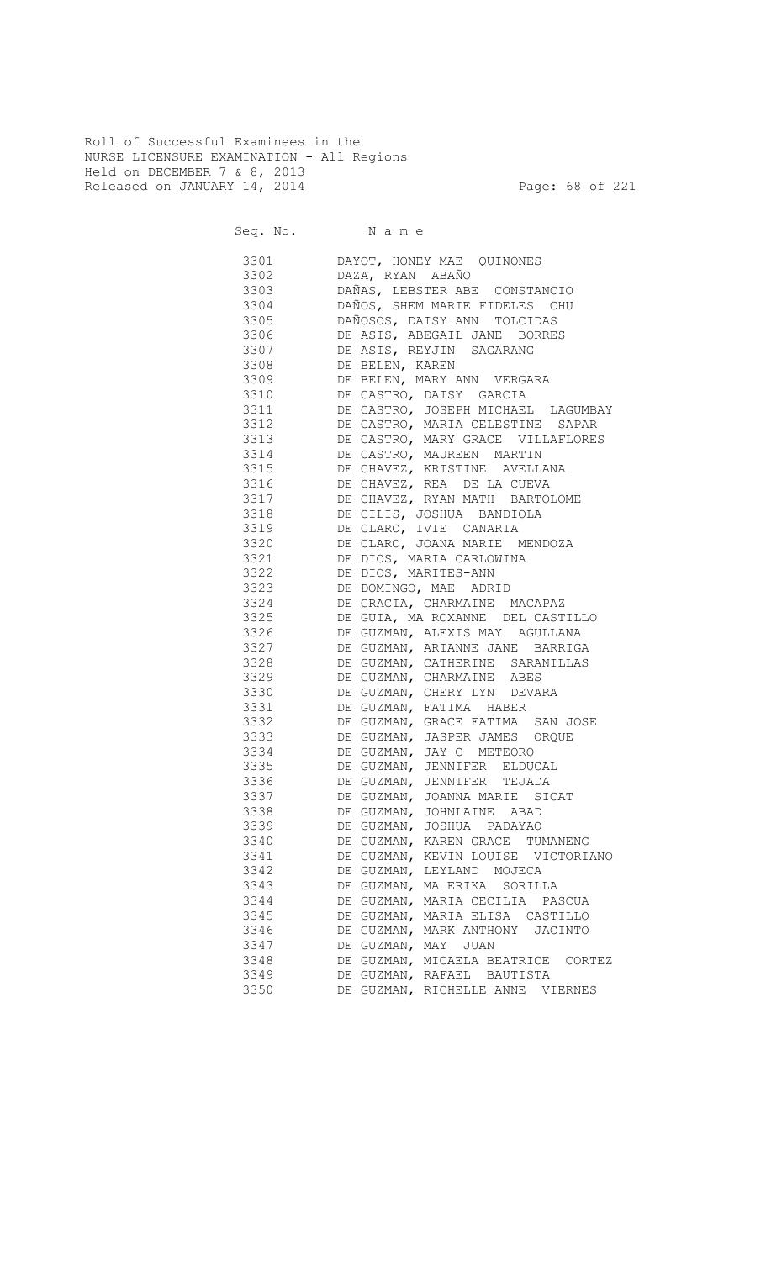Roll of Successful Examinees in the NURSE LICENSURE EXAMINATION - All Regions Held on DECEMBER 7 & 8, 2013 Released on JANUARY 14, 2014 **Page: 68 of 221** 

Seq. No. Name

 3301 DAYOT, HONEY MAE QUINONES 3302 DAZA, RYAN ABAÑO 3303 DAÑAS, LEBSTER ABE CONSTANCIO 3304 DAÑOS, SHEM MARIE FIDELES CHU 3305 DAÑOSOS, DAISY ANN TOLCIDAS 3306 DE ASIS, ABEGAIL JANE BORRES 3307 DE ASIS, REYJIN SAGARANG 3308 DE BELEN, KAREN 3309 DE BELEN, MARY ANN VERGARA 3310 DE CASTRO, DAISY GARCIA 3311 DE CASTRO, JOSEPH MICHAEL LAGUMBAY 3312 DE CASTRO, MARIA CELESTINE SAPAR 3313 DE CASTRO, MARY GRACE VILLAFLORES 3314 DE CASTRO, MAUREEN MARTIN 3315 DE CHAVEZ, KRISTINE AVELLANA 3316 DE CHAVEZ, REA DE LA CUEVA 3317 DE CHAVEZ, RYAN MATH BARTOLOME<br>3318 DE CILIS, JOSHUA BANDIOLA DE CILIS, JOSHUA BANDIOLA 3319 DE CLARO, IVIE CANARIA 3320 DE CLARO, JOANA MARIE MENDOZA 3321 DE DIOS, MARIA CARLOWINA 3322 DE DIOS, MARITES-ANN 3323 DE DOMINGO, MAE ADRID 3324 DE GRACIA, CHARMAINE MACAPAZ 3325 DE GUIA, MA ROXANNE DEL CASTILLO 3326 DE GUZMAN, ALEXIS MAY AGULLANA 3327 DE GUZMAN, ARIANNE JANE BARRIGA 3328 DE GUZMAN, CATHERINE SARANILLAS 3329 DE GUZMAN, CHARMAINE ABES 3330 DE GUZMAN, CHERY LYN DEVARA 3331 DE GUZMAN, FATIMA HABER 3332 DE GUZMAN, GRACE FATIMA SAN JOSE 3333 DE GUZMAN, JASPER JAMES ORQUE 3334 DE GUZMAN, JAY C METEORO 3335 DE GUZMAN, JENNIFER ELDUCAL 3336 DE GUZMAN, JENNIFER TEJADA 3337 DE GUZMAN, JOANNA MARIE SICAT 3338 DE GUZMAN, JOHNLAINE ABAD 3339 DE GUZMAN, JOSHUA PADAYAO 3340 DE GUZMAN, KAREN GRACE TUMANENG 3341 DE GUZMAN, KEVIN LOUISE VICTORIANO 3342 DE GUZMAN, LEYLAND MOJECA 3343 DE GUZMAN, MA ERIKA SORILLA 3344 DE GUZMAN, MARIA CECILIA PASCUA 3345 DE GUZMAN, MARIA ELISA CASTILLO 3346 DE GUZMAN, MARK ANTHONY JACINTO 3347 DE GUZMAN, MAY JUAN 3348 DE GUZMAN, MICAELA BEATRICE CORTEZ 3349 DE GUZMAN, RAFAEL BAUTISTA 3350 DE GUZMAN, RICHELLE ANNE VIERNES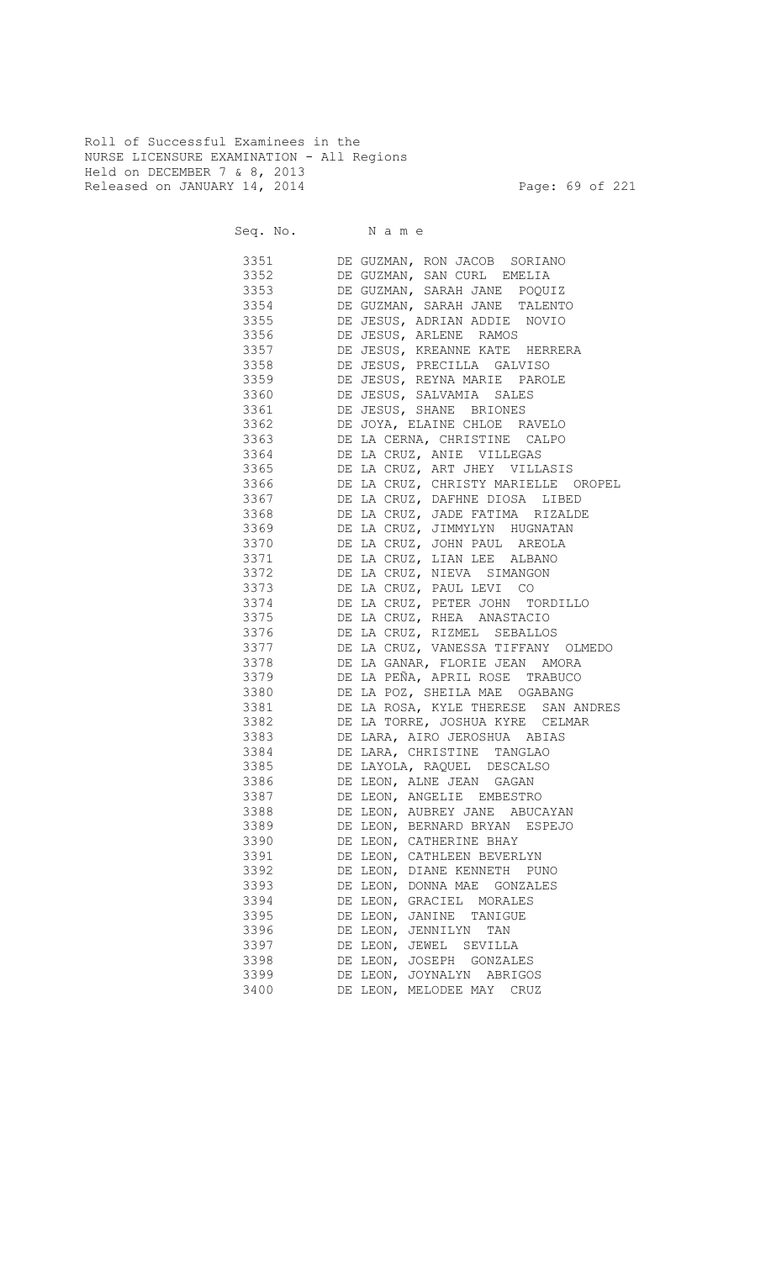Roll of Successful Examinees in the NURSE LICENSURE EXAMINATION - All Regions Held on DECEMBER 7 & 8, 2013 Released on JANUARY 14, 2014 **Page: 69 of 221** 

| 3351      | DE GUZMAN, RON JACOB SORIANO             |
|-----------|------------------------------------------|
| 3352      | DE GUZMAN, SAN CURL EMELIA               |
| 3353      | DE GUZMAN, SARAH JANE POQUIZ             |
| 3354      | DE GUZMAN, SARAH JANE TALENTO            |
| 3355      | DE JESUS, ADRIAN ADDIE NOVIO             |
| 3356      | DE JESUS, ARLENE RAMOS                   |
| 3357      | DE JESUS, KREANNE KATE HERRERA           |
| 3358      | DE JESUS, PRECILLA GALVISO               |
| 3359      | DE JESUS, REYNA MARIE PAROLE             |
| 3360 3360 | DE JESUS, SALVAMIA SALES                 |
| 3361 336  | DE JESUS, SHANE BRIONES                  |
| 3362      | DE JOYA, ELAINE CHLOE RAVELO             |
| 3363 336  | DE LA CERNA, CHRISTINE CALPO             |
| 3364      | DE LA CRUZ, ANIE VILLEGAS                |
| 3365 336  | DE LA CRUZ, ART JHEY VILLASIS            |
|           | 3366 DE LA CRUZ, CHRISTY MARIELLE OROPEL |
|           | 3367 DE LA CRUZ, DAFHNE DIOSA LIBED      |
|           | 3368 DE LA CRUZ, JADE FATIMA RIZALDE     |
|           | 3369 DE LA CRUZ, JIMMYLYN HUGNATAN       |
|           | 3370 DE LA CRUZ, JOHN PAUL AREOLA        |
| 3371      | DE LA CRUZ, LIAN LEE ALBANO              |
| 3372      | DE LA CRUZ, NIEVA SIMANGON               |
| 3373      | DE LA CRUZ, PAUL LEVI CO                 |
| 3374      | DE LA CRUZ, PETER JOHN TORDILLO          |
|           | 3375 DE LA CRUZ, RHEA ANASTACIO          |
| 3376      | DE LA CRUZ, RIZMEL SEBALLOS              |
| 3377      | DE LA CRUZ, VANESSA TIFFANY OLMEDO       |
| 3378      | DE LA GANAR, FLORIE JEAN AMORA           |
| 3379      | DE LA PEÑA, APRIL ROSE TRABUCO           |
| 3380      | DE LA POZ, SHEILA MAE OGABANG            |
| 3381      | DE LA ROSA, KYLE THERESE SAN ANDRES      |
| 3382      | DE LA TORRE, JOSHUA KYRE CELMAR          |
| 3383      | DE LARA, AIRO JEROSHUA ABIAS             |
| 3384      | DE LARA, CHRISTINE TANGLAO               |
| 3385      | DE LAYOLA, RAQUEL DESCALSO               |
| 3386      | DE LEON, ALNE JEAN GAGAN                 |
| 3387      | DE LEON, ANGELIE EMBESTRO                |
| 3388      | DE LEON, AUBREY JANE<br>ABUCAYAN         |
| 3389      | DE LEON, BERNARD BRYAN ESPEJO            |
| 3390      | DE LEON, CATHERINE BHAY                  |
| 3391      | DE LEON, CATHLEEN BEVERLYN               |
| 3392      | DE LEON, DIANE KENNETH<br>PUNO           |
| 3393      | DE LEON, DONNA MAE<br>GONZALES           |
| 3394      | DE LEON, GRACIEL<br>MORALES              |
| 3395      | DE LEON, JANINE<br>TANIGUE               |
| 3396      | DE LEON, JENNILYN<br>TAN                 |
| 3397      | DE LEON, JEWEL<br>SEVILLA                |
| 3398      | DE LEON, JOSEPH GONZALES                 |
| 3399      | DE LEON, JOYNALYN ABRIGOS                |
| 3400      | DE LEON, MELODEE MAY<br>CRUZ             |
|           |                                          |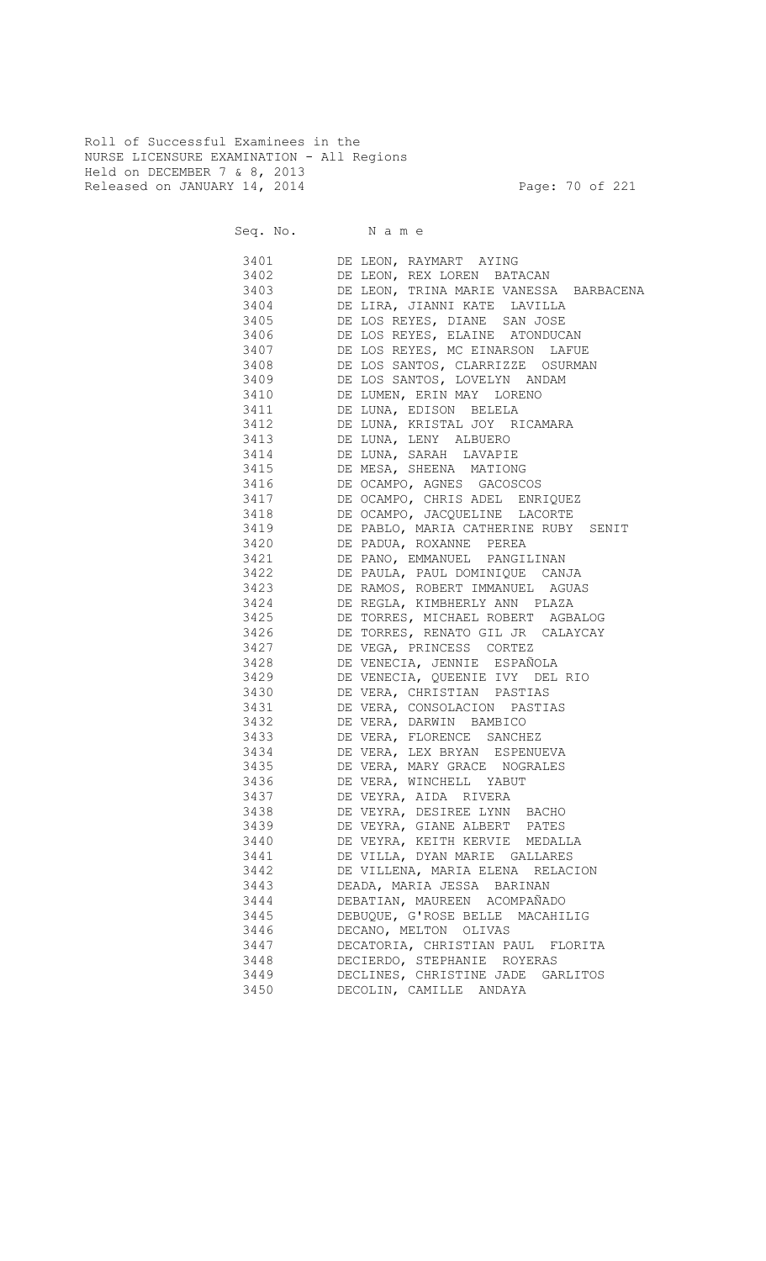Roll of Successful Examinees in the NURSE LICENSURE EXAMINATION - All Regions Held on DECEMBER 7 & 8, 2013 Released on JANUARY 14, 2014 **Page: 70 of 221** 

|              | DE LEON, RAYMART AYING                                  |
|--------------|---------------------------------------------------------|
| 3402         | DE LEON, REX LOREN BATACAN                              |
| 3403 340     | DE LEON, TRINA MARIE VANESSA BARBACENA                  |
| 3404         | DE LIRA, JIANNI KATE LAVILLA                            |
| 3405         | DE LOS REYES, DIANE SAN JOSE                            |
| 3406 340     | DE LOS REYES, ELAINE ATONDUCAN                          |
| 3407         | DE LOS REYES, MC EINARSON LAFUE                         |
| 3408         | DE LOS SANTOS, CLARRIZZE OSURMAN                        |
| 3409         | DE LOS SANTOS, LOVELYN ANDAM                            |
| 3410         | DE LUMEN, ERIN MAY LORENO                               |
| 3411         | DE LUNA, EDISON BELELA                                  |
| 3412         | DE LUNA, KRISTAL JOY RICAMARA                           |
| 3413         | DE LUNA, LENY ALBUERO                                   |
| 3414         | DE LUNA, SARAH LAVAPIE                                  |
| 3415         | DE MESA, SHEENA MATIONG                                 |
| 3416         | DE OCAMPO, AGNES GACOSCOS                               |
| 3417         | DE OCAMPO, CHRIS ADEL ENRIQUEZ                          |
| 3418         | DE OCAMPO, JACQUELINE LACORTE                           |
| 3419         | DE PABLO, MARIA CATHERINE RUBY SENIT                    |
| 3420         | DE PADUA, ROXANNE PEREA                                 |
| 3421         | DE PANO, EMMANUEL PANGILINAN                            |
| 3422         | DE PAULA, PAUL DOMINIQUE CANJA                          |
| 3423         | DE RAMOS, ROBERT IMMANUEL AGUAS                         |
|              | DE REGLA, KIMBHERLY ANN PLAZA                           |
| 3424<br>3425 | DE TORRES, MICHAEL ROBERT AGBALOG                       |
|              | DE TORRES, RENATO GIL JR CALAYCAY                       |
| 3426<br>3427 |                                                         |
|              | DE VEGA, PRINCESS CORTEZ<br>DE VENECIA, JENNIE ESPAÑOLA |
| 3428         |                                                         |
| 3429         | DE VENECIA, QUEENIE IVY DEL RIO                         |
| 3430         | DE VERA, CHRISTIAN PASTIAS                              |
| 3431         | DE VERA, CONSOLACION PASTIAS                            |
| 3432         | DE VERA, DARWIN BAMBICO                                 |
| 3433         | DE VERA, FLORENCE SANCHEZ                               |
| 3434         | DE VERA, LEX BRYAN ESPENUEVA                            |
| 3435         | DE VERA, MARY GRACE NOGRALES                            |
| 3436         | DE VERA, WINCHELL YABUT                                 |
| 3437         | DE VEYRA, AIDA RIVERA                                   |
| 3438         | DE VEYRA, DESIREE LYNN BACHO                            |
| 3439         | DE VEYRA, GIANE ALBERT PATES                            |
| 3440         | DE VEYRA, KEITH KERVIE MEDALLA                          |
| 3441         | DE VILLA, DYAN MARIE GALLARES                           |
| 3442         | DE VILLENA, MARIA ELENA RELACION                        |
| 3443         | DEADA, MARIA JESSA BARINAN                              |
| 3444         | DEBATIAN, MAUREEN ACOMPAÑADO                            |
| 3445         | DEBUQUE, G'ROSE BELLE MACAHILIG                         |
| 3446         | DECANO, MELTON OLIVAS                                   |
| 3447         | DECATORIA, CHRISTIAN PAUL FLORITA                       |
| 3448         | DECIERDO, STEPHANIE ROYERAS                             |
| 3449         | DECLINES, CHRISTINE JADE GARLITOS                       |
| 3450         | DECOLIN, CAMILLE ANDAYA                                 |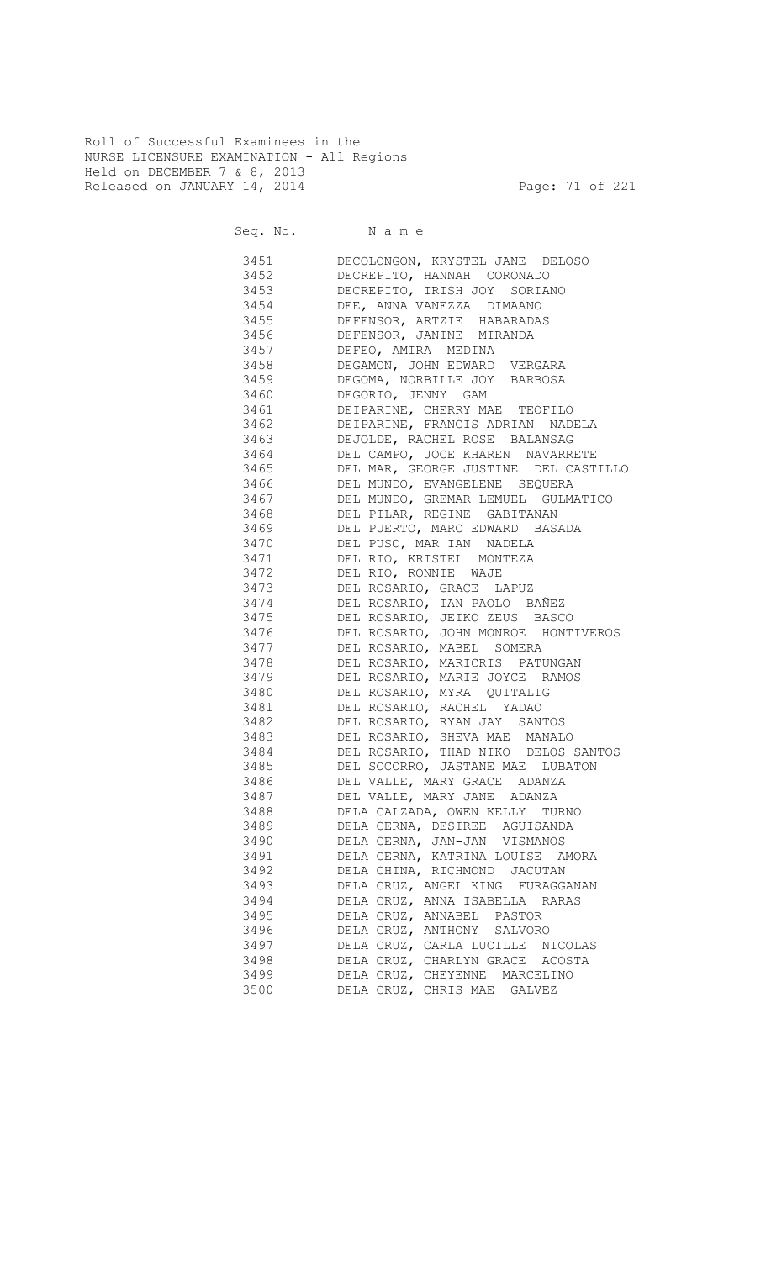Roll of Successful Examinees in the NURSE LICENSURE EXAMINATION - All Regions Held on DECEMBER 7 & 8, 2013 Released on JANUARY 14, 2014 **Page: 71 of 221** 

Seq. No. Name

 3451 DECOLONGON, KRYSTEL JANE DELOSO 3452 DECREPITO, HANNAH CORONADO 3453 DECREPITO, IRISH JOY SORIANO 3454 DEE, ANNA VANEZZA DIMAANO 3455 DEFENSOR, ARTZIE HABARADAS 3456 DEFENSOR, JANINE MIRANDA 3457 DEFEO, AMIRA MEDINA 3458 DEGAMON, JOHN EDWARD VERGARA 3459 DEGOMA, NORBILLE JOY BARBOSA 3460 DEGORIO, JENNY GAM 3461 DEIPARINE, CHERRY MAE TEOFILO 3462 DEIPARINE, FRANCIS ADRIAN NADELA 3463 DEJOLDE, RACHEL ROSE BALANSAG 3464 DEL CAMPO, JOCE KHAREN NAVARRETE 3465 DEL MAR, GEORGE JUSTINE DEL CASTILLO 3466 DEL MUNDO, EVANGELENE SEQUERA 3467 DEL MUNDO, GREMAR LEMUEL GULMATICO<br>3468 DEL PILAR, REGINE GABITANAN DEL PILAR, REGINE GABITANAN 3469 DEL PUERTO, MARC EDWARD BASADA 3470 DEL PUSO, MAR IAN NADELA 3471 DEL RIO, KRISTEL MONTEZA 3472 DEL RIO, RONNIE WAJE 3473 DEL ROSARIO, GRACE LAPUZ 3474 DEL ROSARIO, IAN PAOLO BAÑEZ<br>3475 DEL ROSARIO, JEIKO ZEUS BASC DEL ROSARIO, JEIKO ZEUS BASCO 3476 DEL ROSARIO, JOHN MONROE HONTIVEROS 3477 DEL ROSARIO, MABEL SOMERA 3478 DEL ROSARIO, MARICRIS PATUNGAN 3479 DEL ROSARIO, MARIE JOYCE RAMOS 3480 DEL ROSARIO, MYRA QUITALIG 3481 DEL ROSARIO, RACHEL YADAO 3482 DEL ROSARIO, RYAN JAY SANTOS 3483 DEL ROSARIO, SHEVA MAE MANALO 3484 DEL ROSARIO, THAD NIKO DELOS SANTOS 3485 DEL SOCORRO, JASTANE MAE LUBATON 3486 DEL VALLE, MARY GRACE ADANZA 3487 DEL VALLE, MARY JANE ADANZA 3488 DELA CALZADA, OWEN KELLY TURNO 3489 DELA CERNA, DESIREE AGUISANDA 3490 DELA CERNA, JAN-JAN VISMANOS 3491 DELA CERNA, KATRINA LOUISE AMORA 3492 DELA CHINA, RICHMOND JACUTAN 3493 DELA CRUZ, ANGEL KING FURAGGANAN 3494 DELA CRUZ, ANNA ISABELLA RARAS 3495 DELA CRUZ, ANNABEL PASTOR 3496 DELA CRUZ, ANTHONY SALVORO 3497 DELA CRUZ, CARLA LUCILLE NICOLAS 3498 DELA CRUZ, CHARLYN GRACE ACOSTA 3499 DELA CRUZ, CHEYENNE MARCELINO 3500 DELA CRUZ, CHRIS MAE GALVEZ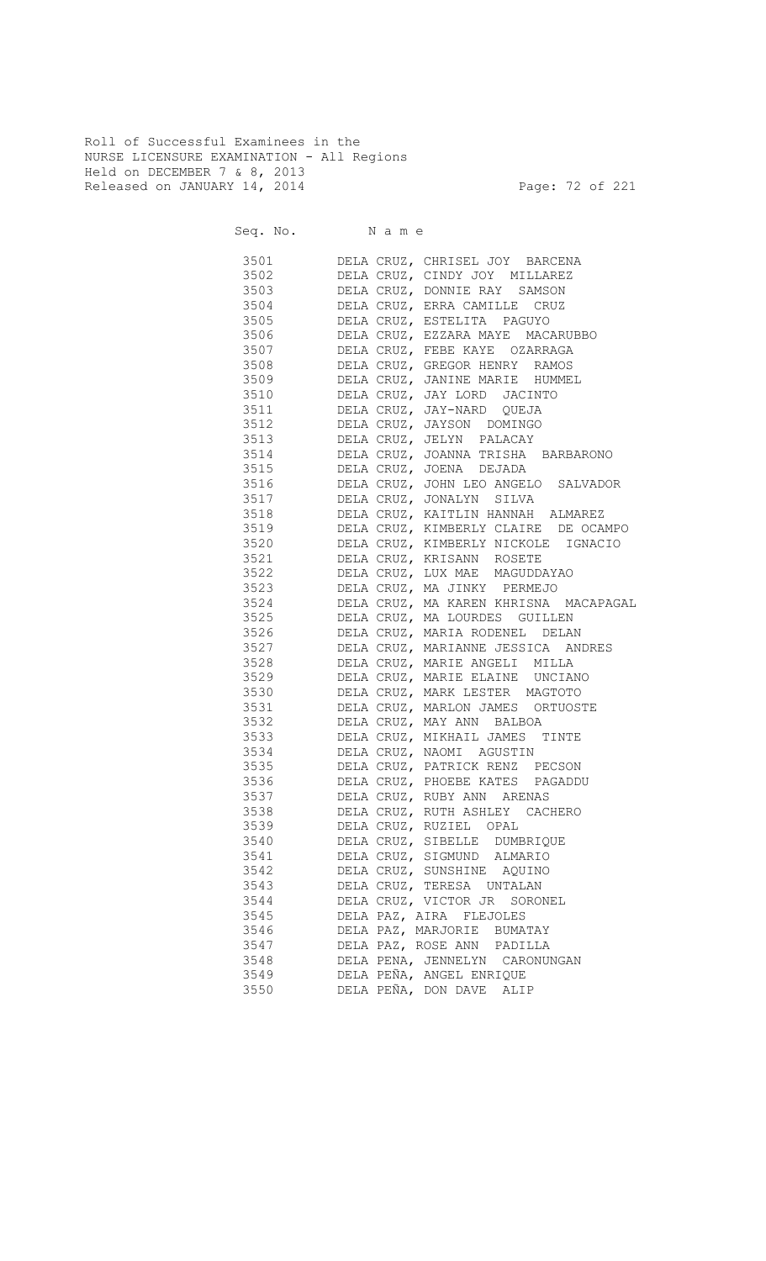Roll of Successful Examinees in the NURSE LICENSURE EXAMINATION - All Regions Held on DECEMBER 7 & 8, 2013 Released on JANUARY 14, 2014 **Page: 72 of 221** 

|      | Seq. No. Name |                                       |
|------|---------------|---------------------------------------|
| 3501 |               | DELA CRUZ, CHRISEL JOY BARCENA        |
| 3502 |               | DELA CRUZ, CINDY JOY MILLAREZ         |
| 3503 |               | DELA CRUZ, DONNIE RAY SAMSON          |
| 3504 |               | DELA CRUZ, ERRA CAMILLE CRUZ          |
| 3505 |               | DELA CRUZ, ESTELITA PAGUYO            |
| 3506 |               | DELA CRUZ, EZZARA MAYE MACARUBBO      |
| 3507 |               | DELA CRUZ, FEBE KAYE OZARRAGA         |
| 3508 |               | DELA CRUZ, GREGOR HENRY RAMOS         |
| 3509 |               | DELA CRUZ, JANINE MARIE HUMMEL        |
| 3510 |               | DELA CRUZ, JAY LORD JACINTO           |
| 3511 |               | DELA CRUZ, JAY-NARD QUEJA             |
| 3512 |               | DELA CRUZ, JAYSON DOMINGO             |
| 3513 |               | DELA CRUZ, JELYN PALACAY              |
| 3514 |               | DELA CRUZ, JOANNA TRISHA BARBARONO    |
| 3515 |               | DELA CRUZ, JOENA DEJADA               |
| 3516 |               | DELA CRUZ, JOHN LEO ANGELO SALVADOR   |
| 3517 |               | DELA CRUZ, JONALYN SILVA              |
| 3518 |               | DELA CRUZ, KAITLIN HANNAH ALMAREZ     |
| 3519 |               | DELA CRUZ, KIMBERLY CLAIRE DE OCAMPO  |
| 3520 |               | DELA CRUZ, KIMBERLY NICKOLE IGNACIO   |
| 3521 |               | DELA CRUZ, KRISANN ROSETE             |
| 3522 |               | DELA CRUZ, LUX MAE MAGUDDAYAO         |
| 3523 |               | DELA CRUZ, MA JINKY PERMEJO           |
| 3524 |               | DELA CRUZ, MA KAREN KHRISNA MACAPAGAL |
|      | 3525          | DELA CRUZ, MA LOURDES GUILLEN         |
| 3526 |               | DELA CRUZ, MARIA RODENEL DELAN        |
| 3527 |               | DELA CRUZ, MARIANNE JESSICA ANDRES    |
|      | 3528          |                                       |
|      |               | DELA CRUZ, MARIE ANGELI MILLA         |
|      | 3529          | DELA CRUZ, MARIE ELAINE UNCIANO       |
|      | 3530          | DELA CRUZ, MARK LESTER MAGTOTO        |
|      | 3531          | DELA CRUZ, MARLON JAMES ORTUOSTE      |
|      | 3532          | DELA CRUZ, MAY ANN BALBOA             |
|      | 3533 3        | DELA CRUZ, MIKHAIL JAMES TINTE        |
|      |               | 3534 DELA CRUZ, NAOMI AGUSTIN         |
| 3535 |               | DELA CRUZ, PATRICK RENZ PECSON        |
|      | 3536          | DELA CRUZ, PHOEBE KATES PAGADDU       |
| 3537 |               | DELA CRUZ, RUBY ANN ARENAS            |
| 3538 |               | DELA CRUZ, RUTH ASHLEY CACHERO        |
| 3539 |               | DELA CRUZ, RUZIEL OPAL                |
| 3540 |               | DELA CRUZ, SIBELLE DUMBRIQUE          |
| 3541 |               | DELA CRUZ, SIGMUND ALMARIO            |
| 3542 |               | DELA CRUZ, SUNSHINE AQUINO            |
| 3543 |               | DELA CRUZ, TERESA UNTALAN             |
| 3544 |               | DELA CRUZ, VICTOR JR SORONEL          |
| 3545 |               | DELA PAZ, AIRA FLEJOLES               |
| 3546 |               | DELA PAZ, MARJORIE BUMATAY            |
| 3547 |               | DELA PAZ, ROSE ANN PADILLA            |
| 3548 |               | DELA PENA, JENNELYN CARONUNGAN        |
| 3549 |               | DELA PEÑA, ANGEL ENRIQUE              |
| 3550 |               | DELA PEÑA, DON DAVE ALIP              |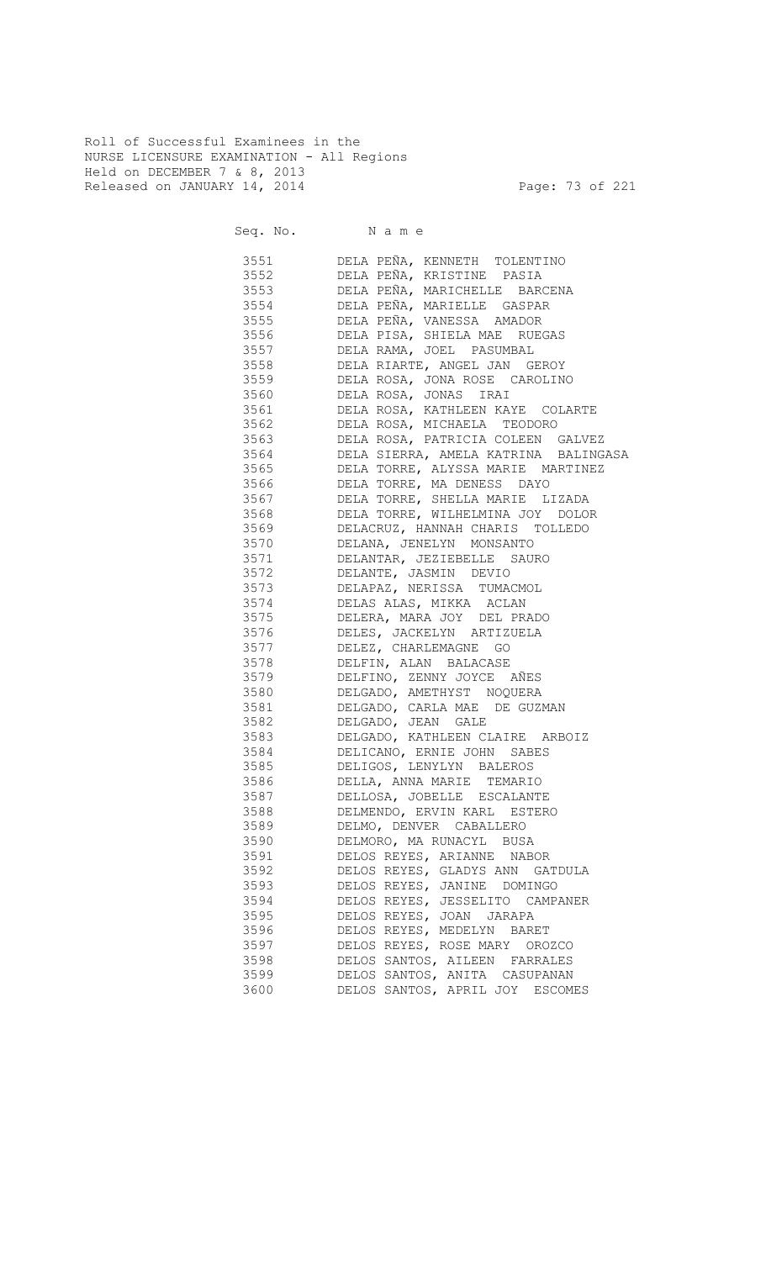Roll of Successful Examinees in the NURSE LICENSURE EXAMINATION - All Regions Held on DECEMBER 7 & 8, 2013 Released on JANUARY 14, 2014 **Page: 73 of 221** 

|      | Seq. No. Name                                                                                                                                                                                                                                       |
|------|-----------------------------------------------------------------------------------------------------------------------------------------------------------------------------------------------------------------------------------------------------|
|      | 3551 DELA PEÑA, KENNETH TOLENTINO                                                                                                                                                                                                                   |
| 3552 | DELA PEÑA, KRISTINE PASIA                                                                                                                                                                                                                           |
| 3553 | DELA PEÑA, MARICHELLE BARCENA                                                                                                                                                                                                                       |
| 3554 | DELA PEÑA, MARIELLE GASPAR                                                                                                                                                                                                                          |
| 3555 | DELA PEÑA, VANESSA AMADOR                                                                                                                                                                                                                           |
| 3556 | DELA PISA, SHIELA MAE RUEGAS                                                                                                                                                                                                                        |
| 3557 | DELA RAMA, JOEL PASUMBAL                                                                                                                                                                                                                            |
| 3558 |                                                                                                                                                                                                                                                     |
| 3559 |                                                                                                                                                                                                                                                     |
| 3560 |                                                                                                                                                                                                                                                     |
| 3561 | DELA RIARTE, ANGEL JAN GEROY<br>DELA ROSA, JONA ROSE CAROLINO<br>DELA ROSA, JONAS IRAI<br>DELA ROSA, KATHLEEN KAYE COLARTE<br>DELA ROSA, MICHAELA TEODORO<br>DELA ROSA, PATRICIA COLEEN GALVEZ<br>DELA ROSA, PATRICIA COLEEN GALVEZ<br>DELA SIERRA, |
| 3562 |                                                                                                                                                                                                                                                     |
| 3563 |                                                                                                                                                                                                                                                     |
| 3564 |                                                                                                                                                                                                                                                     |
| 3565 | --<br>DELA TORRE, ALYSSA MARIE MARTINEZ                                                                                                                                                                                                             |
| 3566 | ---<br>DELA TORRE, MA DENESS DAYO                                                                                                                                                                                                                   |
| 3567 | DELA TORRE, SHELLA MARIE LIZADA                                                                                                                                                                                                                     |
| 3568 | DELA TORRE, WILHELMINA JOY DOLOR                                                                                                                                                                                                                    |
| 3569 | DELACRUZ, HANNAH CHARIS TOLLEDO                                                                                                                                                                                                                     |
| 3570 | DELANA, JENELYN MONSANTO                                                                                                                                                                                                                            |
| 3571 | DELANTAR, JEZIEBELLE SAURO                                                                                                                                                                                                                          |
| 3572 | DELANTE, JASMIN DEVIO                                                                                                                                                                                                                               |
|      | 3573 DELAPAZ, NERISSA TUMACMOL                                                                                                                                                                                                                      |
|      | 3574 DELAS ALAS, MIKKA ACLAN                                                                                                                                                                                                                        |
|      | 3575 DELERA, MARA JOY DEL PRADO                                                                                                                                                                                                                     |
| 3576 | DELES, JACKELYN ARTIZUELA                                                                                                                                                                                                                           |
|      | 3577 DELEZ, CHARLEMAGNE GO                                                                                                                                                                                                                          |
|      | 3578 DELFIN, ALAN BALACASE                                                                                                                                                                                                                          |
|      | 3579 DELFINO, ZENNY JOYCE AÑES                                                                                                                                                                                                                      |
|      | 3580 DELGADO, AMETHYST NOQUERA                                                                                                                                                                                                                      |
|      | 3581 DELGADO, CARLA MAE DE GUZMAN                                                                                                                                                                                                                   |
|      | 3582 DELGADO, JEAN GALE                                                                                                                                                                                                                             |
|      | 3583 DELGADO, KATHLEEN CLAIRE ARBOIZ                                                                                                                                                                                                                |
|      | 3584 DELICANO, ERNIE JOHN SABES                                                                                                                                                                                                                     |
|      | 3585 DELIGOS, LENYLYN BALEROS                                                                                                                                                                                                                       |
|      | 3586 DELLA, ANNA MARIE TEMARIO                                                                                                                                                                                                                      |
| 3587 | DELLOSA, JOBELLE ESCALANTE                                                                                                                                                                                                                          |
| 3588 | DELMENDO, ERVIN KARL ESTERO                                                                                                                                                                                                                         |
| 3589 | DELMO, DENVER CABALLERO                                                                                                                                                                                                                             |
| 3590 | DELMORO, MA RUNACYL BUSA                                                                                                                                                                                                                            |
| 3591 | DELOS REYES, ARIANNE NABOR                                                                                                                                                                                                                          |
| 3592 | DELOS REYES, GLADYS ANN GATDULA                                                                                                                                                                                                                     |
| 3593 | DELOS REYES, JANINE DOMINGO                                                                                                                                                                                                                         |
| 3594 | DELOS REYES, JESSELITO CAMPANER                                                                                                                                                                                                                     |
| 3595 | DELOS REYES, JOAN JARAPA                                                                                                                                                                                                                            |
| 3596 | DELOS REYES, MEDELYN BARET                                                                                                                                                                                                                          |
| 3597 | DELOS REYES, ROSE MARY OROZCO                                                                                                                                                                                                                       |
| 3598 | DELOS SANTOS, AILEEN FARRALES                                                                                                                                                                                                                       |
| 3599 | DELOS SANTOS, ANITA CASUPANAN                                                                                                                                                                                                                       |
| 3600 | DELOS SANTOS, APRIL JOY ESCOMES                                                                                                                                                                                                                     |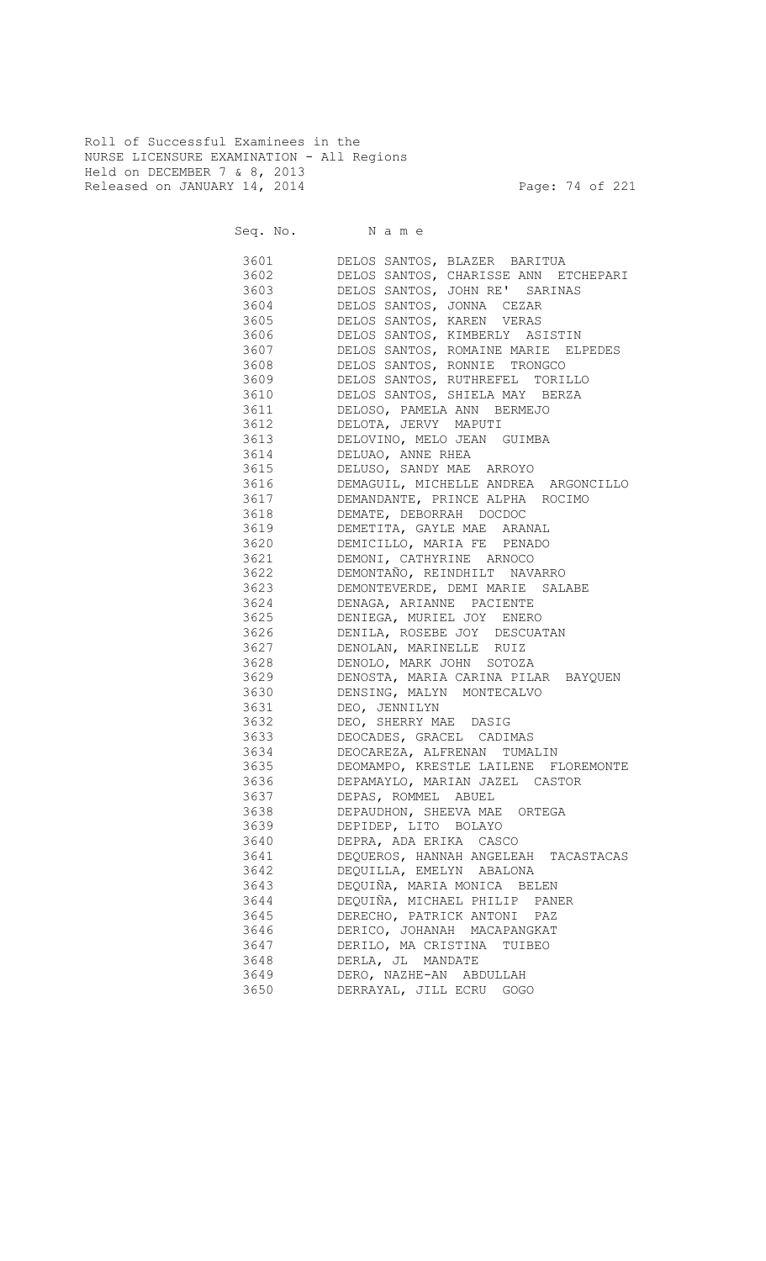Roll of Successful Examinees in the NURSE LICENSURE EXAMINATION - All Regions Held on DECEMBER 7 & 8, 2013 Released on JANUARY 14, 2014 **Page: 74 of 221** 

|           | 3601 DELOS SANTOS, BLAZER BARITUA         |
|-----------|-------------------------------------------|
| 3602      | DELOS SANTOS, CHARISSE ANN ETCHEPARI      |
|           | 3603 DELOS SANTOS, JOHN RE' SARINAS       |
| 3604      | DELOS SANTOS, JONNA CEZAR                 |
|           | 3605 DELOS SANTOS, KAREN VERAS            |
|           | 3606 DELOS SANTOS, KIMBERLY ASISTIN       |
|           | 3607 DELOS SANTOS, ROMAINE MARIE ELPEDES  |
|           | 3608 DELOS SANTOS, RONNIE TRONGCO         |
|           | 3609 DELOS SANTOS, RUTHREFEL TORILLO      |
|           | 3610 DELOS SANTOS, SHIELA MAY BERZA       |
|           | 3611 DELOSO, PAMELA ANN BERMEJO           |
|           | 3612 DELOTA, JERVY MAPUTI                 |
|           | 3613 DELOVINO, MELO JEAN GUIMBA           |
|           | 3614 DELUAO, ANNE RHEA                    |
|           | 3615 DELUSO, SANDY MAE ARROYO             |
|           | 3616 DEMAGUIL, MICHELLE ANDREA ARGONCILLO |
|           | 3617 DEMANDANTE, PRINCE ALPHA ROCIMO      |
|           | 3618 DEMATE, DEBORRAH DOCDOC              |
|           | 3619 DEMETITA, GAYLE MAE ARANAL           |
|           | 3620 DEMICILLO, MARIA FE PENADO           |
|           | 3621 DEMONI, CATHYRINE ARNOCO             |
| 3622 360  | DEMONTAÑO, REINDHILT NAVARRO              |
| 3623 3623 | DEMONTEVERDE, DEMI MARIE SALABE           |
|           | 3624 DENAGA, ARIANNE PACIENTE             |
|           | 3625 DENIEGA, MURIEL JOY ENERO            |
|           | 3626 DENILA, ROSEBE JOY DESCUATAN         |
|           | 3627 DENOLAN, MARINELLE RUIZ              |
|           | 3628 DENOLO, MARK JOHN SOTOZA             |
|           | 3629 DENOSTA, MARIA CARINA PILAR BAYQUEN  |
|           | 3630 DENSING, MALYN MONTECALVO            |
|           | 3631 DEO, JENNILYN                        |
|           | 3632 DEO, SHERRY MAE DASIG                |
|           | 3633 DEOCADES, GRACEL CADIMAS             |
|           | 3634 DEOCAREZA, ALFRENAN TUMALIN          |
|           | 3635 DEOMAMPO, KRESTLE LAILENE FLOREMONTE |
| 3636      | DEPAMAYLO, MARIAN JAZEL CASTOR            |
| 3637      | DEPAS, ROMMEL ABUEL                       |
| 3638      | DEPAUDHON, SHEEVA MAE ORTEGA              |
| 3639      | DEPIDEP, LITO BOLAYO                      |
| 3640      | DEPRA, ADA ERIKA CASCO                    |
| 3641      | DEQUEROS, HANNAH ANGELEAH<br>TACASTACAS   |
| 3642      | DEQUILLA, EMELYN ABALONA                  |
| 3643      | DEQUIÑA, MARIA MONICA BELEN               |
| 3644      | DEQUIÑA, MICHAEL PHILIP PANER             |
| 3645      | DERECHO, PATRICK ANTONI PAZ               |
| 3646      | DERICO, JOHANAH MACAPANGKAT               |
| 3647      | DERILO, MA CRISTINA TUIBEO                |
| 3648      | DERLA, JL MANDATE                         |
| 3649      | DERO, NAZHE-AN ABDULLAH                   |
|           |                                           |
| 3650      | DERRAYAL, JILL ECRU GOGO                  |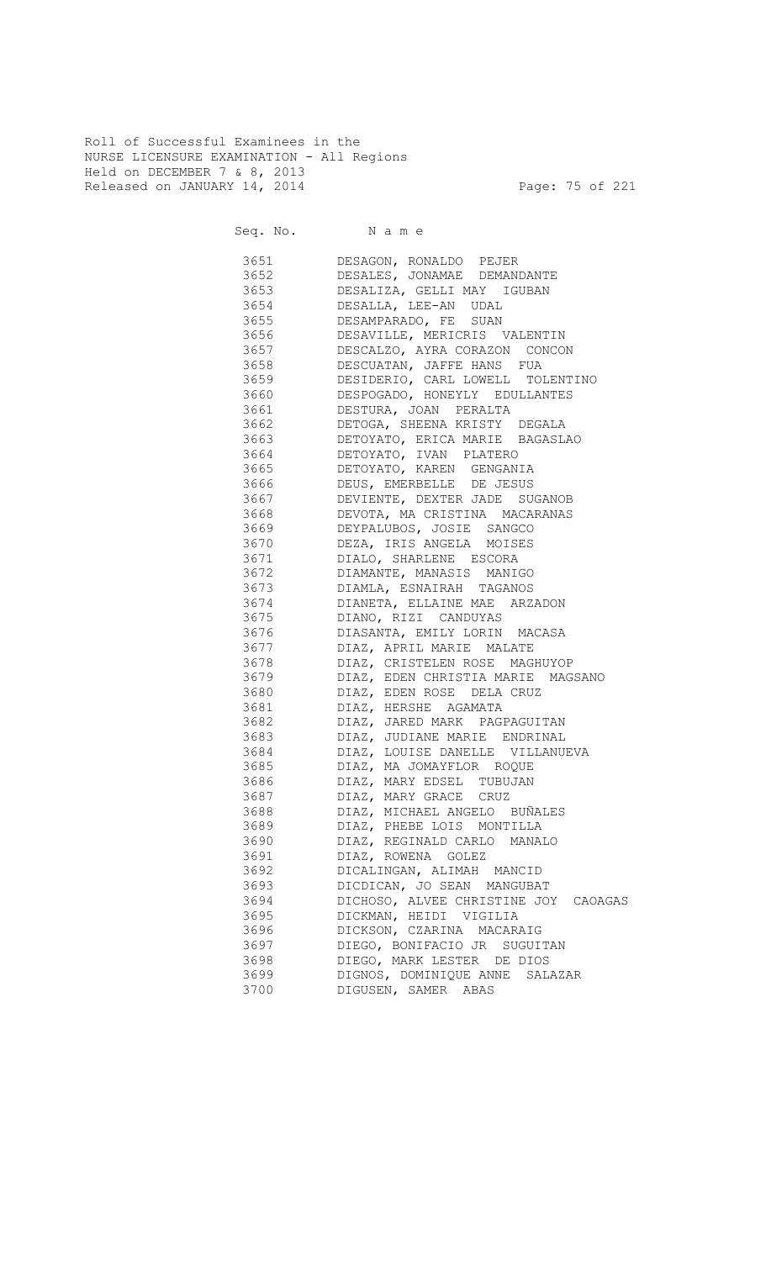Roll of Successful Examinees in the NURSE LICENSURE EXAMINATION - All Regions Held on DECEMBER 7 & 8, 2013 Released on JANUARY 14, 2014 **Page: 75 of 221** 

|      | 3651 DESAGON, RONALDO PEJER                                                                                                                                                                                         |
|------|---------------------------------------------------------------------------------------------------------------------------------------------------------------------------------------------------------------------|
|      | 3652 DESALES, JONAMAE DEMANDANTE                                                                                                                                                                                    |
| 3653 | DESALIZA, GELLI MAY IGUBAN                                                                                                                                                                                          |
| 3654 | DESALLA, LEE-AN UDAL                                                                                                                                                                                                |
| 3655 | DESAMPARADO, FE SUAN                                                                                                                                                                                                |
| 3656 | DESAVILLE, MERICRIS VALENTIN                                                                                                                                                                                        |
| 3657 | DESCALZO, AYRA CORAZON CONCON                                                                                                                                                                                       |
| 3658 |                                                                                                                                                                                                                     |
| 3659 |                                                                                                                                                                                                                     |
| 3660 |                                                                                                                                                                                                                     |
| 3661 |                                                                                                                                                                                                                     |
| 3662 |                                                                                                                                                                                                                     |
| 3663 | DESCUATAN, JAFFE HANS FUA<br>DESIDERIO, CARL LOWELL TOLENTINO<br>DESPOGADO, HONEYLY EDULLANTES<br>DESTURA, JOAN PERALTA<br>DETOGA, SHEENA KRISTY DEGALA<br>DETOYATO, ERICA MARIE BAGASLAO<br>DETOYATO, IVAN PLATERO |
| 3664 |                                                                                                                                                                                                                     |
| 3665 | DETOYATO, KAREN GENGANIA                                                                                                                                                                                            |
| 3666 | DEUS, EMERBELLE DE JESUS                                                                                                                                                                                            |
| 3667 | DEVIENTE, DEXTER JADE SUGANOB                                                                                                                                                                                       |
| 3668 | DEVOTA, MA CRISTINA MACARANAS                                                                                                                                                                                       |
| 3669 | DEYPALUBOS, JOSIE SANGCO                                                                                                                                                                                            |
| 3670 | DEZA, IRIS ANGELA MOISES                                                                                                                                                                                            |
| 3671 | DIALO, SHARLENE ESCORA                                                                                                                                                                                              |
|      | 3672 DIAMANTE, MANASIS MANIGO                                                                                                                                                                                       |
|      | 3673 DIAMLA, ESNAIRAH TAGANOS                                                                                                                                                                                       |
|      | 3674 DIANETA, ELLAINE MAE ARZADON                                                                                                                                                                                   |
|      | 3675 DIANO, RIZI CANDUYAS                                                                                                                                                                                           |
|      | 3676 DIASANTA, EMILY LORIN MACASA                                                                                                                                                                                   |
|      | 3677 DIAZ, APRIL MARIE MALATE                                                                                                                                                                                       |
|      | 3678 DIAZ, CRISTELEN ROSE MAGHUYOP                                                                                                                                                                                  |
|      | 3679 DIAZ, EDEN CHRISTIA MARIE MAGSANO                                                                                                                                                                              |
|      | 3680 DIAZ, EDEN ROSE DELA CRUZ                                                                                                                                                                                      |
|      | 3681 DIAZ, HERSHE AGAMATA                                                                                                                                                                                           |
|      | 3682 DIAZ, JARED MARK PAGPAGUITAN                                                                                                                                                                                   |
|      | 3683 DIAZ, JUDIANE MARIE ENDRINAL                                                                                                                                                                                   |
|      | 3684 DIAZ, LOUISE DANELLE VILLANUEVA                                                                                                                                                                                |
|      | 3685 DIAZ, MA JOMAYFLOR ROQUE                                                                                                                                                                                       |
|      | 3686 DIAZ, MARY EDSEL TUBUJAN                                                                                                                                                                                       |
|      | 3687 DIAZ, MARY GRACE CRUZ                                                                                                                                                                                          |
| 3688 | DIAZ, MICHAEL ANGELO BUÑALES                                                                                                                                                                                        |
| 3689 | DIAZ, PHEBE LOIS MONTILLA                                                                                                                                                                                           |
| 3690 | DIAZ, REGINALD CARLO MANALO                                                                                                                                                                                         |
| 3691 | DIAZ, ROWENA GOLEZ                                                                                                                                                                                                  |
| 3692 | DICALINGAN, ALIMAH MANCID                                                                                                                                                                                           |
| 3693 | DICDICAN, JO SEAN MANGUBAT                                                                                                                                                                                          |
| 3694 | DICHOSO, ALVEE CHRISTINE JOY<br>CAOAGAS                                                                                                                                                                             |
| 3695 | DICKMAN, HEIDI VIGILIA                                                                                                                                                                                              |
| 3696 | DICKSON, CZARINA MACARAIG                                                                                                                                                                                           |
| 3697 | DIEGO, BONIFACIO JR SUGUITAN                                                                                                                                                                                        |
| 3698 | DIEGO, MARK LESTER DE DIOS                                                                                                                                                                                          |
| 3699 | DIGNOS, DOMINIQUE ANNE<br>SALAZAR                                                                                                                                                                                   |
| 3700 | DIGUSEN, SAMER ABAS                                                                                                                                                                                                 |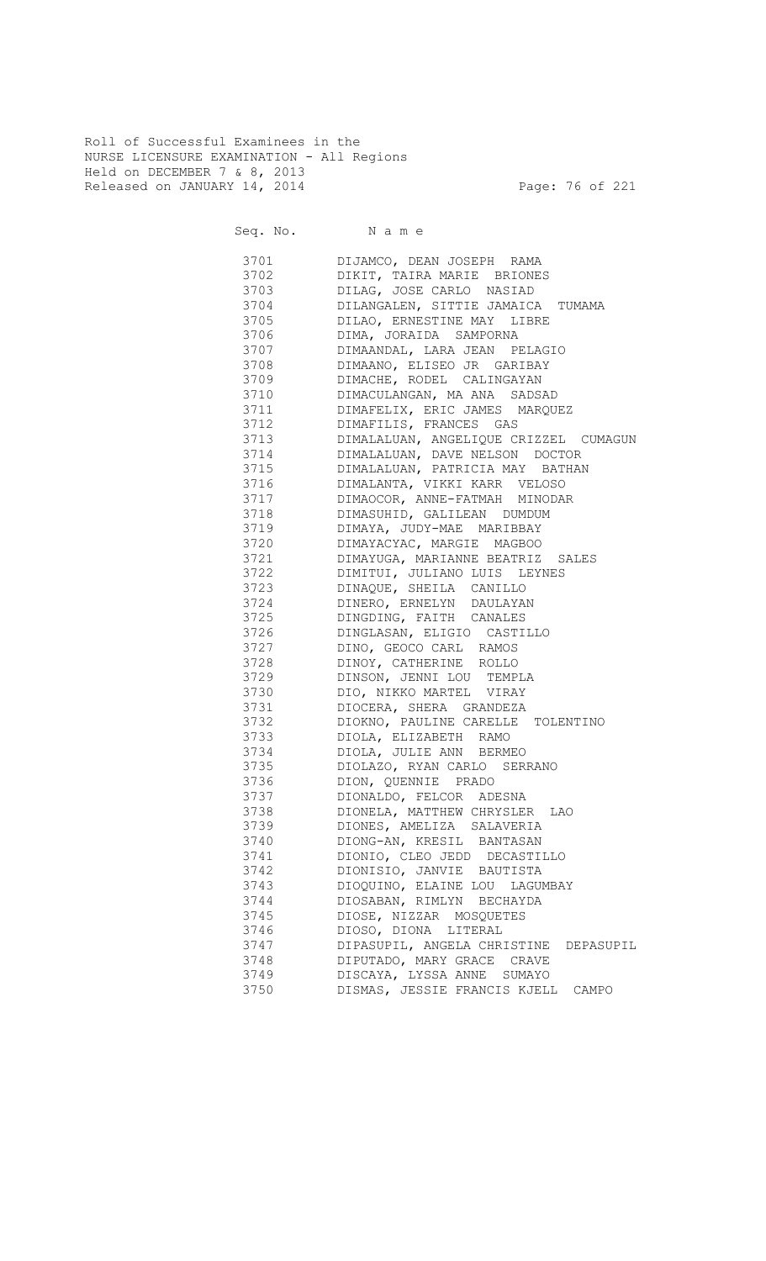Roll of Successful Examinees in the NURSE LICENSURE EXAMINATION - All Regions Held on DECEMBER 7 & 8, 2013 Released on JANUARY 14, 2014 **Page: 76 of 221** 

Seq. No. Name

 3701 DIJAMCO, DEAN JOSEPH RAMA 3702 DIKIT, TAIRA MARIE BRIONES 3703 DILAG, JOSE CARLO NASIAD 3704 DILANGALEN, SITTIE JAMAICA TUMAMA DILAO, ERNESTINE MAY LIBRE 3706 DIMA, JORAIDA SAMPORNA 3707 DIMAANDAL, LARA JEAN PELAGIO 3708 DIMAANO, ELISEO JR GARIBAY 3709 DIMACHE, RODEL CALINGAYAN 3710 DIMACULANGAN, MA ANA SADSAD 3711 DIMAFELIX, ERIC JAMES MARQUEZ 3712 DIMAFILIS, FRANCES GAS 3713 DIMALALUAN, ANGELIQUE CRIZZEL CUMAGUN 3714 DIMALALUAN, DAVE NELSON DOCTOR 3715 DIMALALUAN, PATRICIA MAY BATHAN 3716 DIMALANTA, VIKKI KARR VELOSO 3717 DIMAOCOR, ANNE-FATMAH MINODAR 3718 DIMASUHID, GALILEAN DUMDUM 3719 DIMAYA, JUDY-MAE MARIBBAY 3720 DIMAYACYAC, MARGIE MAGBOO 3721 DIMAYUGA, MARIANNE BEATRIZ SALES 3722 DIMITUI, JULIANO LUIS LEYNES 3723 DINAQUE, SHEILA CANILLO 3724 DINERO, ERNELYN DAULAYAN<br>3725 DINGDING, FAITH CANALES DINGDING, FAITH CANALES 3726 DINGLASAN, ELIGIO CASTILLO 3727 DINO, GEOCO CARL RAMOS 3728 DINOY, CATHERINE ROLLO 3729 DINSON, JENNI LOU TEMPLA 3730 DIO, NIKKO MARTEL VIRAY 3731 DIOCERA, SHERA GRANDEZA 3732 DIOKNO, PAULINE CARELLE TOLENTINO<br>3733 DIOLA, ELIZABETH RAMO 3733 DIOLA, ELIZABETH RAMO 3734 DIOLA, JULIE ANN BERMEO 3735 DIOLAZO, RYAN CARLO SERRANO 3736 DION, QUENNIE PRADO 3737 DIONALDO, FELCOR ADESNA<br>3738 DIONELA, MATTHEW CHRYSLEI DIONELA, MATTHEW CHRYSLER LAO 3739 DIONES, AMELIZA SALAVERIA 3740 DIONG-AN, KRESIL BANTASAN 3741 DIONIO, CLEO JEDD DECASTILLO 3742 DIONISIO, JANVIE BAUTISTA 3743 DIOQUINO, ELAINE LOU LAGUMBAY 3744 DIOSABAN, RIMLYN BECHAYDA 3745 DIOSE, NIZZAR MOSQUETES<br>3746 DIOSO, DIONA LITERAL 3746 DIOSO, DIONA LITERAL 3747 DIPASUPIL, ANGELA CHRISTINE DEPASUPIL 3748 DIPUTADO, MARY GRACE CRAVE 3749 DISCAYA, LYSSA ANNE SUMAYO 3750 DISMAS, JESSIE FRANCIS KJELL CAMPO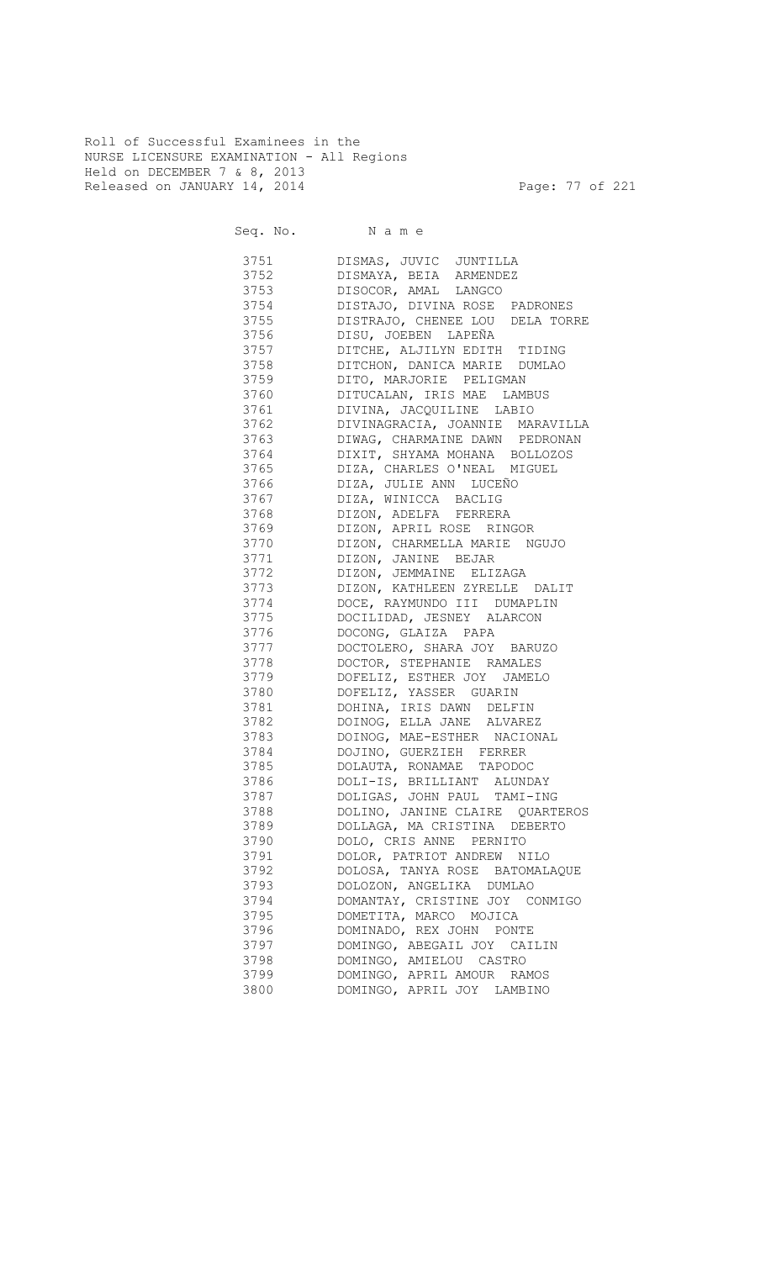Roll of Successful Examinees in the NURSE LICENSURE EXAMINATION - All Regions Held on DECEMBER 7 & 8, 2013 Released on JANUARY 14, 2014 **Page: 77 of 221** 

| 3751     | DISMAS, JUVIC JUNTILLA          |
|----------|---------------------------------|
| 3752     | DISMAYA, BEIA ARMENDEZ          |
| 3753     | DISOCOR, AMAL LANGCO            |
| 3754     | DISTAJO, DIVINA ROSE PADRONES   |
| 3755     | DISTRAJO, CHENEE LOU DELA TORRE |
| 3756     | DISU, JOEBEN LAPEÑA             |
| 3757     | DITCHE, ALJILYN EDITH TIDING    |
| 3758     | DITCHON, DANICA MARIE DUMLAO    |
| 3759     | DITO, MARJORIE PELIGMAN         |
| 3760     | DITUCALAN, IRIS MAE LAMBUS      |
| 3761     | DIVINA, JACQUILINE LABIO        |
| 3762     | DIVINAGRACIA, JOANNIE MARAVILLA |
| 3763     | DIWAG, CHARMAINE DAWN PEDRONAN  |
| 3764     | DIXIT, SHYAMA MOHANA BOLLOZOS   |
| 3765     | DIZA, CHARLES O'NEAL MIGUEL     |
| 3766     | DIZA, JULIE ANN LUCEÑO          |
| 3767     | DIZA, WINICCA BACLIG            |
| 3768     | DIZON, ADELFA FERRERA           |
| 3769     | DIZON, APRIL ROSE RINGOR        |
| 3770     | DIZON, CHARMELLA MARIE NGUJO    |
| 3771     | DIZON, JANINE BEJAR             |
| 3772     | DIZON, JEMMAINE ELIZAGA         |
| 3773     | DIZON, KATHLEEN ZYRELLE DALIT   |
| 3774     | DOCE, RAYMUNDO III DUMAPLIN     |
| 3775     | DOCILIDAD, JESNEY ALARCON       |
| 3776     | DOCONG, GLAIZA PAPA             |
| 3777     | DOCTOLERO, SHARA JOY BARUZO     |
| 3778     | DOCTOR, STEPHANIE RAMALES       |
| 3779     | DOFELIZ, ESTHER JOY JAMELO      |
| 3780     | DOFELIZ, YASSER GUARIN          |
| 3781 378 | DOHINA, IRIS DAWN DELFIN        |
| 3782     | DOINOG, ELLA JANE ALVAREZ       |
| 3783     | DOINOG, MAE-ESTHER NACIONAL     |
| 3784     | DOJINO, GUERZIEH FERRER         |
| 3785     | DOLAUTA, RONAMAE TAPODOC        |
| 3786 378 | DOLI-IS, BRILLIANT ALUNDAY      |
| 3787     | DOLIGAS, JOHN PAUL TAMI-ING     |
| 3788     | DOLINO, JANINE CLAIRE QUARTEROS |
| 3789     | DOLLAGA, MA CRISTINA DEBERTO    |
| 3790     | DOLO, CRIS ANNE PERNITO         |
| 3791     | DOLOR, PATRIOT ANDREW NILO      |
| 3792     | DOLOSA, TANYA ROSE BATOMALAQUE  |
| 3793     | DOLOZON, ANGELIKA DUMLAO        |
| 3794     | DOMANTAY, CRISTINE JOY CONMIGO  |
| 3795     | DOMETITA, MARCO MOJICA          |
| 3796     | DOMINADO, REX JOHN PONTE        |
| 3797     | DOMINGO, ABEGAIL JOY CAILIN     |
| 3798     | DOMINGO, AMIELOU CASTRO         |
| 3799     | DOMINGO, APRIL AMOUR RAMOS      |
| 3800     | DOMINGO, APRIL JOY LAMBINO      |
|          |                                 |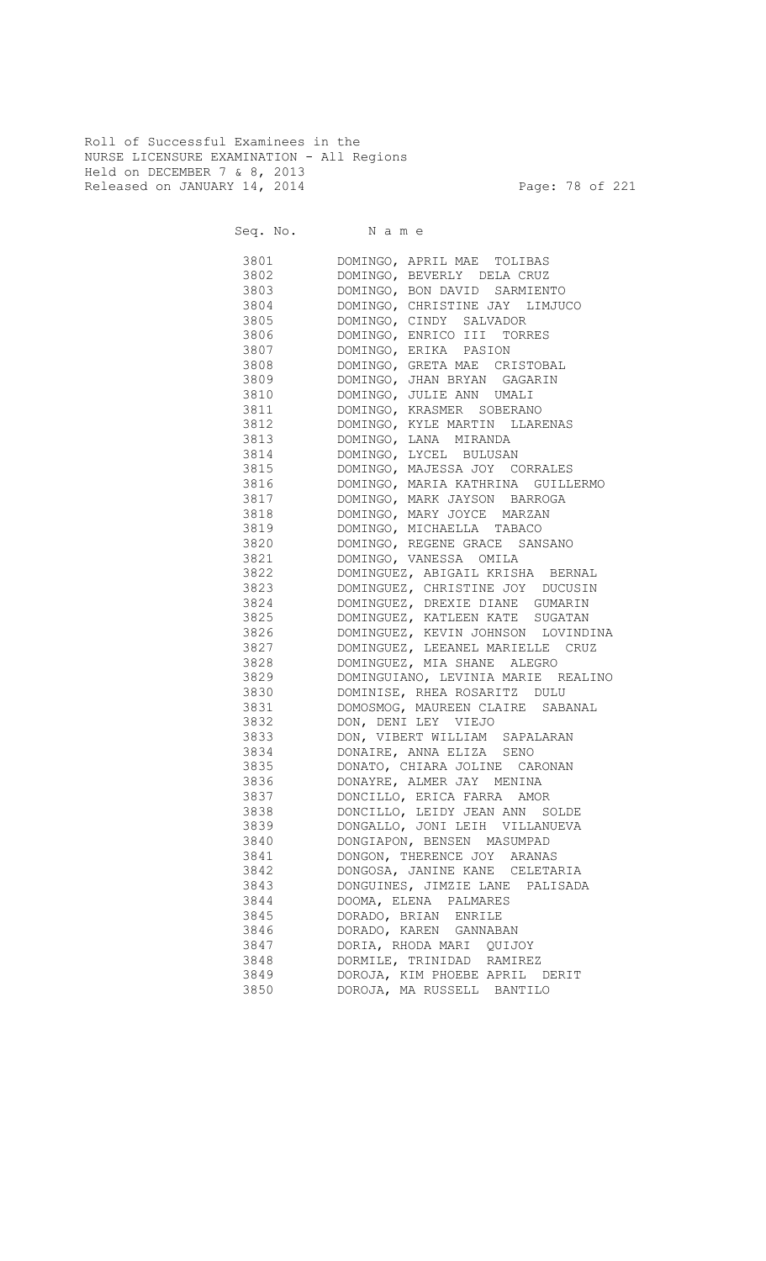Roll of Successful Examinees in the NURSE LICENSURE EXAMINATION - All Regions Held on DECEMBER 7 & 8, 2013 Released on JANUARY 14, 2014 **Page: 78 of 221** 

Seq. No. Name

 3801 DOMINGO, APRIL MAE TOLIBAS 3802 DOMINGO, BEVERLY DELA CRUZ 3803 DOMINGO, BON DAVID SARMIENTO 3804 DOMINGO, CHRISTINE JAY LIMJUCO 3805 DOMINGO, CINDY SALVADOR 3806 DOMINGO, ENRICO III TORRES 3807 DOMINGO, ERIKA PASION 3808 DOMINGO, GRETA MAE CRISTOBAL 3809 DOMINGO, JHAN BRYAN GAGARIN 3810 DOMINGO, JULIE ANN UMALI 3811 DOMINGO, KRASMER SOBERANO 3812 DOMINGO, KYLE MARTIN LLARENAS 3813 DOMINGO, LANA MIRANDA 3814 DOMINGO, LYCEL BULUSAN 3815 DOMINGO, MAJESSA JOY CORRALES 3816 DOMINGO, MARIA KATHRINA GUILLERMO 3817 DOMINGO, MARK JAYSON BARROGA 3818 DOMINGO, MARY JOYCE MARZAN 3819 DOMINGO, MICHAELLA TABACO 3820 DOMINGO, REGENE GRACE SANSANO 3821 DOMINGO, VANESSA OMILA 3822 DOMINGUEZ, ABIGAIL KRISHA BERNAL 3823 DOMINGUEZ, CHRISTINE JOY DUCUSIN 3824 DOMINGUEZ, DREXIE DIANE GUMARIN 3825 DOMINGUEZ, KATLEEN KATE SUGATAN 3826 DOMINGUEZ, KEVIN JOHNSON LOVINDINA 3827 DOMINGUEZ, LEEANEL MARIELLE CRUZ 3828 DOMINGUEZ, MIA SHANE ALEGRO 3829 DOMINGUIANO, LEVINIA MARIE REALINO 3830 DOMINISE, RHEA ROSARITZ DULU 3831 DOMOSMOG, MAUREEN CLAIRE SABANAL 3832 DON, DENI LEY VIEJO 3833 DON, VIBERT WILLIAM SAPALARAN 3834 DONAIRE, ANNA ELIZA SENO 3835 DONATO, CHIARA JOLINE CARONAN 3836 DONAYRE, ALMER JAY MENINA 3837 DONCILLO, ERICA FARRA AMOR 3838 DONCILLO, LEIDY JEAN ANN SOLDE 3839 DONGALLO, JONI LEIH VILLANUEVA 3840 DONGIAPON, BENSEN MASUMPAD 3841 DONGON, THERENCE JOY ARANAS 3842 DONGOSA, JANINE KANE CELETARIA 3843 DONGUINES, JIMZIE LANE PALISADA 3844 DOOMA, ELENA PALMARES 3845 DORADO, BRIAN ENRILE 3846 DORADO, KAREN GANNABAN 3847 DORIA, RHODA MARI QUIJOY 3848 DORMILE, TRINIDAD RAMIREZ 3849 DOROJA, KIM PHOEBE APRIL DERIT 3850 DOROJA, MA RUSSELL BANTILO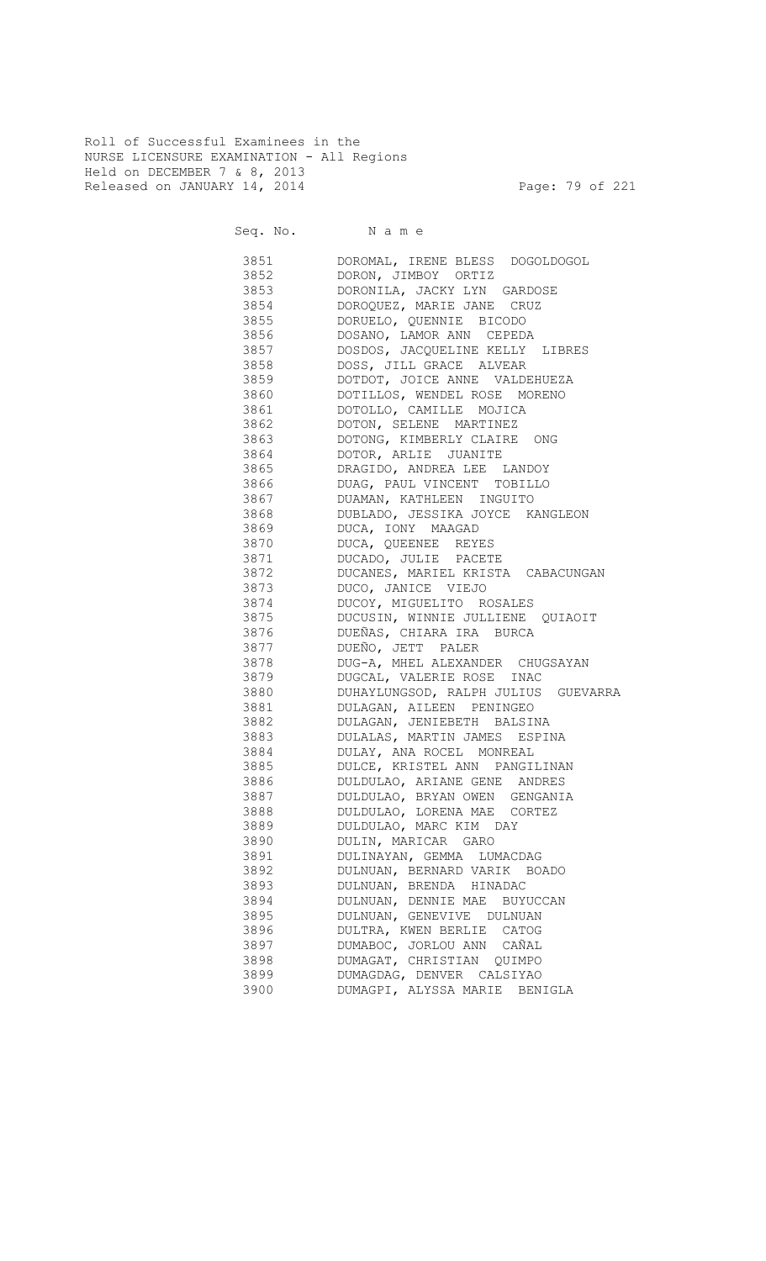Roll of Successful Examinees in the NURSE LICENSURE EXAMINATION - All Regions Held on DECEMBER 7 & 8, 2013 Released on JANUARY 14, 2014 **Page: 79 of 221** 

Seq. No. Name

 3851 DOROMAL, IRENE BLESS DOGOLDOGOL 3852 DORON, JIMBOY ORTIZ 3853 DORONILA, JACKY LYN GARDOSE 3854 DOROQUEZ, MARIE JANE CRUZ<br>3855 DORUELO, QUENNIE BICODO 3855 DORUELO, QUENNIE BICODO 3856 DOSANO, LAMOR ANN CEPEDA 3857 DOSDOS, JACQUELINE KELLY LIBRES 3858 DOSS, JILL GRACE ALVEAR 3859 DOTDOT, JOICE ANNE VALDEHUEZA 3860 DOTILLOS, WENDEL ROSE MORENO 3861 DOTOLLO, CAMILLE MOJICA 3862 DOTON, SELENE MARTINEZ 3863 DOTONG, KIMBERLY CLAIRE ONG 3864 DOTOR, ARLIE JUANITE 3865 DRAGIDO, ANDREA LEE LANDOY 3866 DUAG, PAUL VINCENT TOBILLO 3867 DUAMAN, KATHLEEN INGUITO<br>3868 DUBLADO, JESSIKA JOYCE K 3868 DUBLADO, JESSIKA JOYCE KANGLEON 3869 DUCA, IONY MAAGAD 3870 DUCA, QUEENEE REYES 3871 DUCADO, JULIE PACETE 3872 DUCANES, MARIEL KRISTA CABACUNGAN 3873 DUCO, JANICE VIEJO 3874 DUCOY, MIGUELITO ROSALES<br>3875 DUCUSIN, WINNIE JULLIENE 3875 DUCUSIN, WINNIE JULLIENE QUIAOIT 3876 DUEÑAS, CHIARA IRA BURCA 3877 DUEÑO, JETT PALER 3878 DUG-A, MHEL ALEXANDER CHUGSAYAN 3879 DUGCAL, VALERIE ROSE INAC 3880 DUHAYLUNGSOD, RALPH JULIUS GUEVARRA 3881 DULAGAN, AILEEN PENINGEO 3882 DULAGAN, JENIEBETH BALSINA 3883 DULALAS, MARTIN JAMES ESPINA 3884 DULAY, ANA ROCEL MONREAL 3885 DULCE, KRISTEL ANN PANGILINAN 3886 DULDULAO, ARIANE GENE ANDRES 3887 DULDULAO, BRYAN OWEN GENGANIA 3888 DULDULAO, LORENA MAE CORTEZ 3889 DULDULAO, MARC KIM DAY 3890 DULIN, MARICAR GARO 3891 DULINAYAN, GEMMA LUMACDAG 3892 DULNUAN, BERNARD VARIK BOADO 3893 DULNUAN, BRENDA HINADAC 3894 DULNUAN, DENNIE MAE BUYUCCAN 3895 DULNUAN, GENEVIVE DULNUAN 3896 DULTRA, KWEN BERLIE CATOG 3897 DUMABOC, JORLOU ANN CAÑAL 3898 DUMAGAT, CHRISTIAN QUIMPO 3899 DUMAGDAG, DENVER CALSIYAO<br>3900 DUMAGPI, ALYSSA MARIE BEN DUMAGPI, ALYSSA MARIE BENIGLA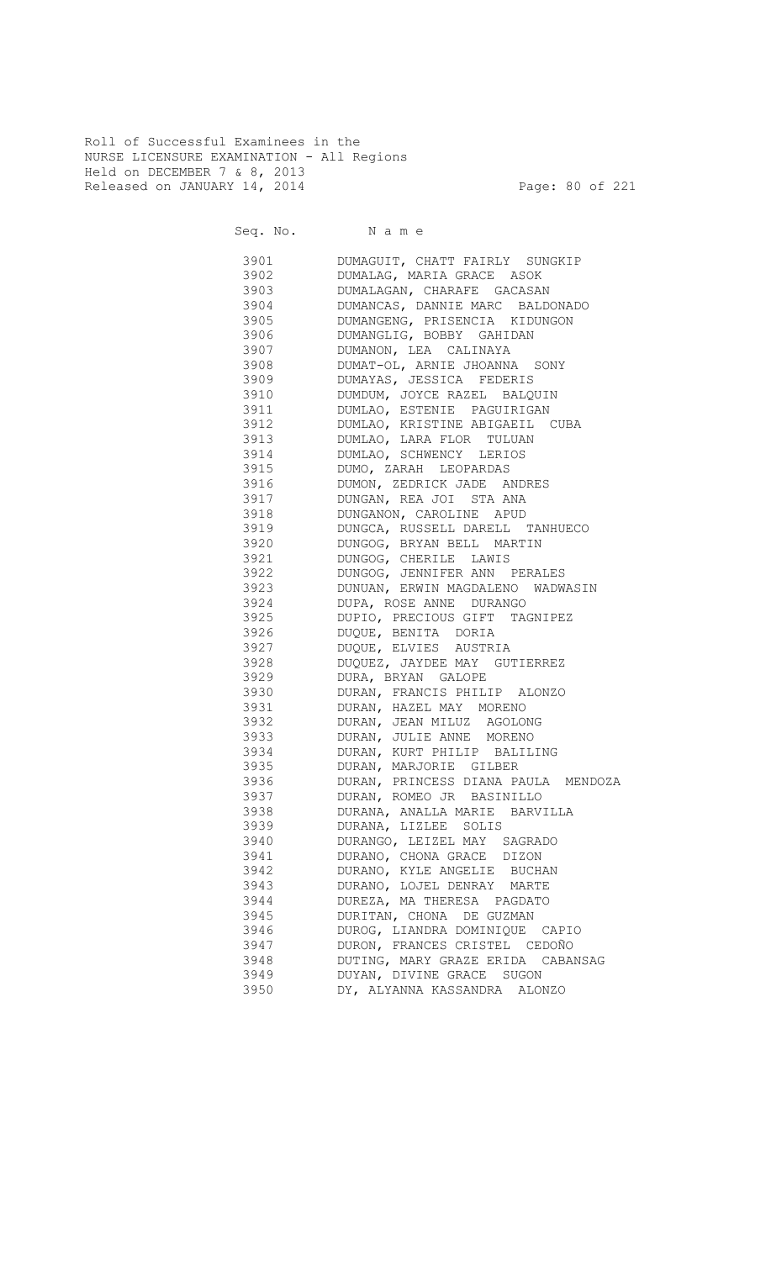Roll of Successful Examinees in the NURSE LICENSURE EXAMINATION - All Regions Held on DECEMBER 7 & 8, 2013 Released on JANUARY 14, 2014 **Page: 80 of 221** 

Seq. No. Name

 3901 DUMAGUIT, CHATT FAIRLY SUNGKIP 3902 DUMALAG, MARIA GRACE ASOK 3903 DUMALAGAN, CHARAFE GACASAN 3904 DUMANCAS, DANNIE MARC BALDONADO DUMANGENG, PRISENCIA KIDUNGON 3906 DUMANGLIG, BOBBY GAHIDAN 3907 DUMANON, LEA CALINAYA 3908 DUMAT-OL, ARNIE JHOANNA SONY 3909 DUMAYAS, JESSICA FEDERIS 3910 DUMDUM, JOYCE RAZEL BALQUIN 3911 DUMLAO, ESTENIE PAGUIRIGAN 3912 DUMLAO, KRISTINE ABIGAEIL CUBA 3913 DUMLAO, LARA FLOR TULUAN 3914 DUMLAO, SCHWENCY LERIOS 3915 DUMO, ZARAH LEOPARDAS 3916 DUMON, ZEDRICK JADE ANDRES 3917 DUNGAN, REA JOI STA ANA 3918 DUNGANON, CAROLINE APUD 3919 DUNGCA, RUSSELL DARELL TANHUECO 3920 DUNGOG, BRYAN BELL MARTIN 3921 DUNGOG, CHERILE LAWIS 3922 DUNGOG, JENNIFER ANN PERALES 3923 DUNUAN, ERWIN MAGDALENO WADWASIN 3924 DUPA, ROSE ANNE DURANGO 3925 DUPIO, PRECIOUS GIFT TAGNIPEZ 3926 DUQUE, BENITA DORIA 3927 DUQUE, ELVIES AUSTRIA 3928 DUQUEZ, JAYDEE MAY GUTIERREZ 3929 DURA, BRYAN GALOPE 3930 DURAN, FRANCIS PHILIP ALONZO 3931 DURAN, HAZEL MAY MORENO 3932 DURAN, JEAN MILUZ AGOLONG 3933 DURAN, JULIE ANNE MORENO 3934 DURAN, KURT PHILIP BALILING 3935 DURAN, MARJORIE GILBER 3936 DURAN, PRINCESS DIANA PAULA MENDOZA 3937 DURAN, ROMEO JR BASINILLO 3938 DURANA, ANALLA MARIE BARVILLA 3939 DURANA, LIZLEE SOLIS 3940 DURANGO, LEIZEL MAY SAGRADO 3941 DURANO, CHONA GRACE DIZON 3942 DURANO, KYLE ANGELIE BUCHAN 3943 DURANO, LOJEL DENRAY MARTE 3944 DUREZA, MA THERESA PAGDATO 3945 DURITAN, CHONA DE GUZMAN 3946 DUROG, LIANDRA DOMINIQUE CAPIO 3947 DURON, FRANCES CRISTEL CEDOÑO 3948 DUTING, MARY GRAZE ERIDA CABANSAG<br>3949 DUYAN, DIVINE GRACE SUGON 3949 DUYAN, DIVINE GRACE SUGON<br>3950 DY, ALYANNA KASSANDRA ALOI DY, ALYANNA KASSANDRA ALONZO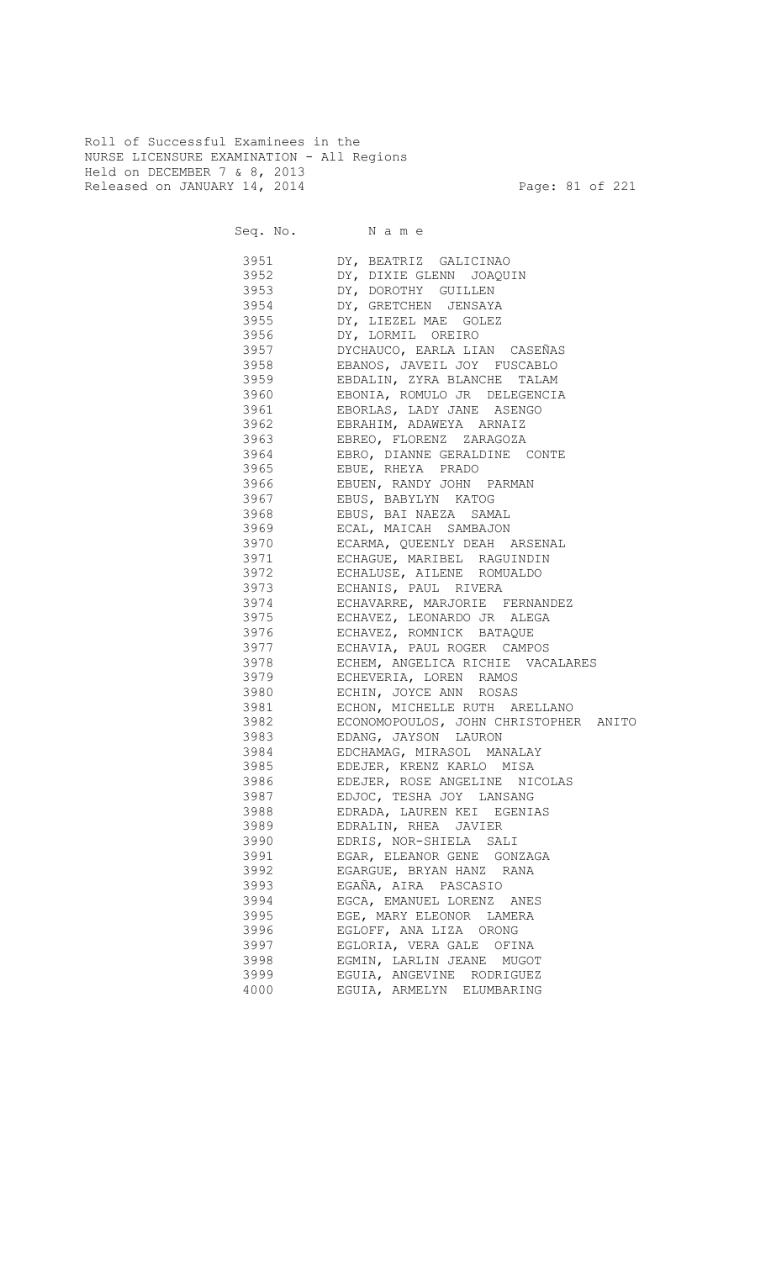Roll of Successful Examinees in the NURSE LICENSURE EXAMINATION - All Regions Held on DECEMBER 7 & 8, 2013 Released on JANUARY 14, 2014 **Page: 81 of 221** 

| 3951     | DY, BEATRIZ GALICINAO                 |
|----------|---------------------------------------|
| 3952     | DY, DIXIE GLENN JOAQUIN               |
| 3953     | DY, DOROTHY GUILLEN                   |
| 3954     | DY, GRETCHEN JENSAYA                  |
| 3955     | DY, LIEZEL MAE GOLEZ                  |
| 3956     | DY, LORMIL OREIRO                     |
| 3957     | DYCHAUCO, EARLA LIAN CASEÑAS          |
| 3958     | EBANOS, JAVEIL JOY FUSCABLO           |
| 3959     | EBDALIN, ZYRA BLANCHE TALAM           |
| 3960     | EBONIA, ROMULO JR DELEGENCIA          |
| 3961     | EBORLAS, LADY JANE ASENGO             |
| 3962     | EBRAHIM, ADAWEYA ARNAIZ               |
| 3963     | EBREO, FLORENZ ZARAGOZA               |
| 3964     | EBRO, DIANNE GERALDINE CONTE          |
| 3965     | EBUE, RHEYA PRADO                     |
| 3966     | EBUEN, RANDY JOHN PARMAN              |
| 3967     | EBUS, BABYLYN KATOG                   |
| 3968     | EBUS, BAI NAEZA SAMAL                 |
| 3969     | ECAL, MAICAH SAMBAJON                 |
| 3970     | ECARMA, QUEENLY DEAH ARSENAL          |
| 3971     | ECHAGUE, MARIBEL RAGUINDIN            |
| 3972     | ECHALUSE, AILENE ROMUALDO             |
| 3973     | ECHANIS, PAUL RIVERA                  |
| 3974     | ECHAVARRE, MARJORIE FERNANDEZ         |
| 3975     | ECHAVEZ, LEONARDO JR ALEGA            |
| 3976     | ECHAVEZ, ROMNICK BATAQUE              |
| 3977     | ECHAVIA, PAUL ROGER CAMPOS            |
| 3978     | ECHEM, ANGELICA RICHIE VACALARES      |
| 3979     | ECHEVERIA, LOREN RAMOS                |
| 3980     | ECHIN, JOYCE ANN ROSAS                |
| 3981     | ECHON, MICHELLE RUTH ARELLANO         |
| 3982     | ECONOMOPOULOS, JOHN CHRISTOPHER ANITO |
| 3983     | EDANG, JAYSON LAURON                  |
| 3984     | EDCHAMAG, MIRASOL MANALAY             |
| 3985     | EDEJER, KRENZ KARLO MISA              |
| 3986 398 | EDEJER, ROSE ANGELINE NICOLAS         |
| 3987     | EDJOC, TESHA JOY LANSANG              |
| 3988     | EDRADA, LAUREN KEI EGENIAS            |
| 3989     | EDRALIN, RHEA JAVIER                  |
| 3990     | EDRIS, NOR-SHIELA SALI                |
| 3991     | EGAR, ELEANOR GENE GONZAGA            |
| 3992     | EGARGUE, BRYAN HANZ RANA              |
| 3993     | EGAÑA, AIRA PASCASIO                  |
| 3994     | EGCA, EMANUEL LORENZ ANES             |
| 3995     | EGE, MARY ELEONOR LAMERA              |
| 3996     | EGLOFF, ANA LIZA ORONG                |
| 3997     | EGLORIA, VERA GALE OFINA              |
| 3998     | EGMIN, LARLIN JEANE MUGOT             |
| 3999     | EGUIA, ANGEVINE RODRIGUEZ             |
| 4000     | EGUIA, ARMELYN ELUMBARING             |
|          |                                       |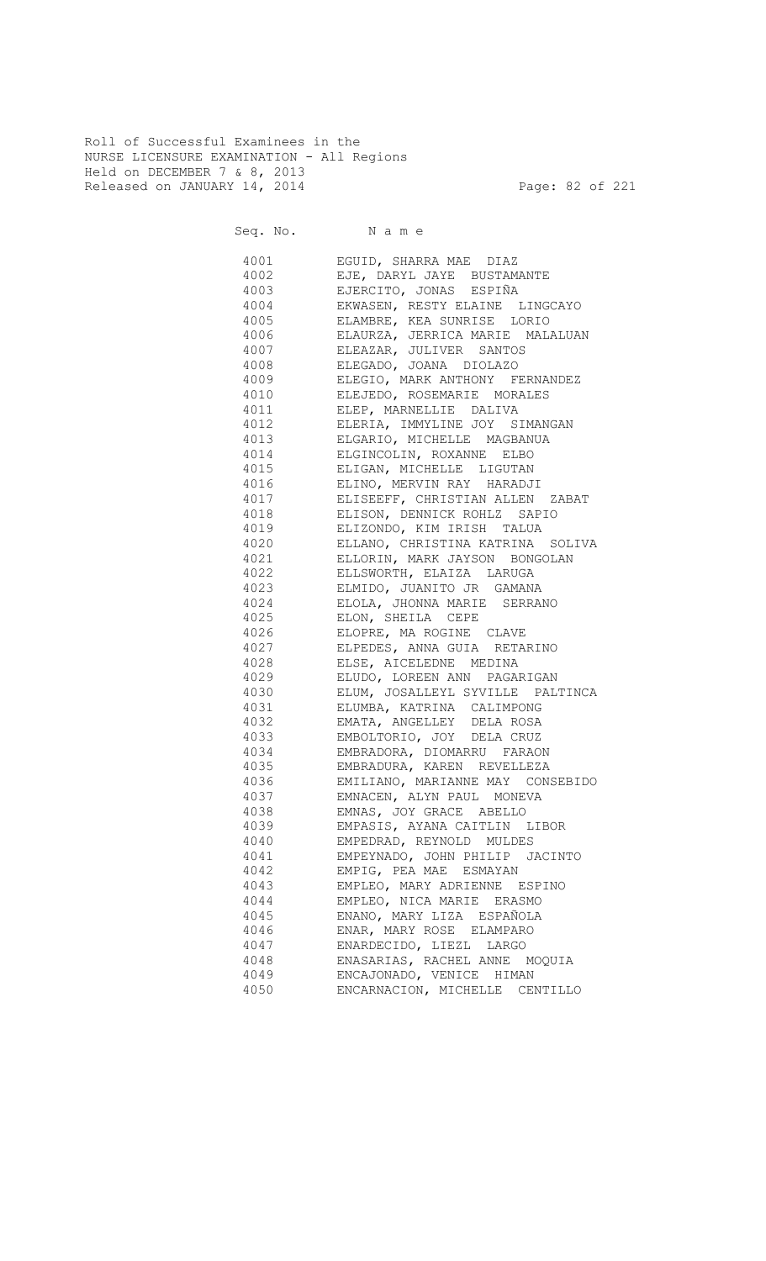Roll of Successful Examinees in the NURSE LICENSURE EXAMINATION - All Regions Held on DECEMBER 7 & 8, 2013 Released on JANUARY 14, 2014 **Page: 82 of 221** 

| 4001         | EGUID, SHARRA MAE DIAZ                |
|--------------|---------------------------------------|
| 4002         | EJE, DARYL JAYE BUSTAMANTE            |
| 4003         | EJERCITO, JONAS ESPIÑA                |
| 4004         | EKWASEN, RESTY ELAINE LINGCAYO        |
| 4005         | ELAMBRE, KEA SUNRISE LORIO            |
| 4006         | ELAURZA, JERRICA MARIE MALALUAN       |
| 4007         | ELEAZAR, JULIVER SANTOS               |
| 4008         | ELEGADO, JOANA DIOLAZO                |
| 4009         | ELEGIO, MARK ANTHONY FERNANDEZ        |
| 4010         | ELEJEDO, ROSEMARIE MORALES            |
| 4011         | ELEP, MARNELLIE DALIVA                |
| 4012         | ELERIA, IMMYLINE JOY SIMANGAN         |
|              | 4013 ELGARIO, MICHELLE MAGBANUA       |
|              | 4014 ELGINCOLIN, ROXANNE ELBO         |
|              | 4015 ELIGAN, MICHELLE LIGUTAN         |
| 4016         | ELINO, MERVIN RAY HARADJI             |
|              | 4017 ELISEEFF, CHRISTIAN ALLEN ZABAT  |
| 4018         | ELISON, DENNICK ROHLZ SAPIO           |
|              | 4019 ELIZONDO, KIM IRISH TALUA        |
|              | 4020 ELLANO, CHRISTINA KATRINA SOLIVA |
| 4021         | ELLORIN, MARK JAYSON BONGOLAN         |
|              | 4022 ELLSWORTH, ELAIZA LARUGA         |
| 4023         | ELMIDO, JUANITO JR GAMANA             |
|              | 4024 ELOLA, JHONNA MARIE SERRANO      |
|              | 4025 ELON, SHEILA CEPE                |
|              | 4026 ELOPRE, MA ROGINE CLAVE          |
|              | 4027 ELPEDES, ANNA GUIA RETARINO      |
|              | 4028 ELSE, AICELEDNE MEDINA           |
|              | 4029 ELUDO, LOREEN ANN PAGARIGAN      |
|              | 4030 ELUM, JOSALLEYL SYVILLE PALTINCA |
|              | 4031 ELUMBA, KATRINA CALIMPONG        |
| 4032         | EMATA, ANGELLEY DELA ROSA             |
| 4033         | EMBOLTORIO, JOY DELA CRUZ             |
| 4034         | EMBRADORA, DIOMARRU FARAON            |
| 4035         | EMBRADURA, KAREN REVELLEZA            |
| 4036         | EMILIANO, MARIANNE MAY CONSEBIDO      |
|              |                                       |
| 4037<br>4038 | EMNACEN, ALYN PAUL MONEVA             |
|              | EMNAS, JOY GRACE ABELLO               |
| 4039         | EMPASIS, AYANA CAITLIN LIBOR          |
| 4040         | EMPEDRAD, REYNOLD MULDES              |
| 4041         | EMPEYNADO, JOHN PHILIP JACINTO        |
| 4042         | EMPIG, PEA MAE ESMAYAN                |
| 4043         | EMPLEO, MARY ADRIENNE ESPINO          |
| 4044         | EMPLEO, NICA MARIE ERASMO             |
| 4045         | ENANO, MARY LIZA ESPAÑOLA             |
| 4046         | ENAR, MARY ROSE ELAMPARO              |
| 4047         | ENARDECIDO, LIEZL LARGO               |
| 4048         | ENASARIAS, RACHEL ANNE MOQUIA         |
| 4049         | ENCAJONADO, VENICE HIMAN              |
| 4050         | ENCARNACION, MICHELLE CENTILLO        |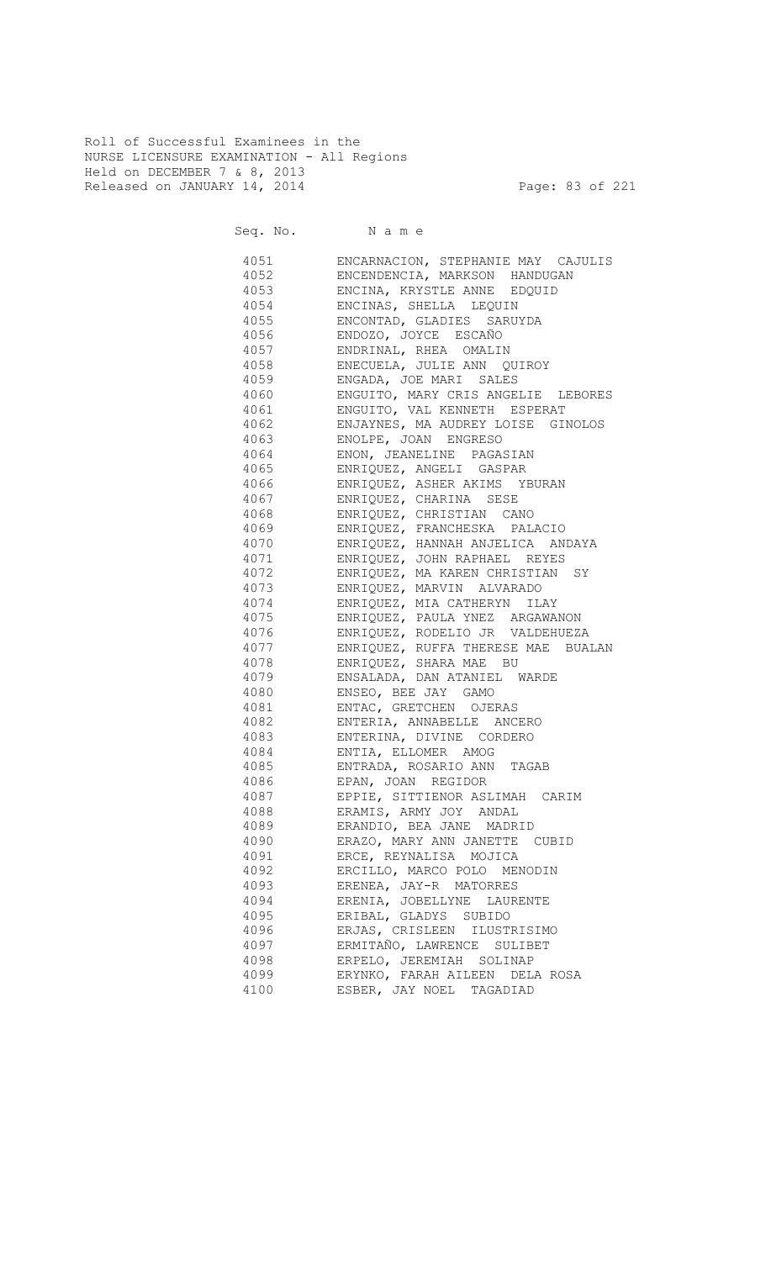Roll of Successful Examinees in the NURSE LICENSURE EXAMINATION - All Regions Held on DECEMBER 7 & 8, 2013 Released on JANUARY 14, 2014 **Page: 83 of 221** 

Seq. No. Name

 4051 ENCARNACION, STEPHANIE MAY CAJULIS 4052 ENCENDENCIA, MARKSON HANDUGAN 4053 ENCINA, KRYSTLE ANNE EDQUID 4054 ENCINAS, SHELLA LEQUIN 4055 ENCONTAD, GLADIES SARUYDA 4056 ENDOZO, JOYCE ESCAÑO 4057 ENDRINAL, RHEA OMALIN 4058 ENECUELA, JULIE ANN QUIROY ENGADA, JOE MARI SALES 4060 ENGUITO, MARY CRIS ANGELIE LEBORES 4061 ENGUITO, VAL KENNETH ESPERAT 4062 ENJAYNES, MA AUDREY LOISE GINOLOS 4063 ENOLPE, JOAN ENGRESO 4064 ENON, JEANELINE PAGASIAN 4065 ENRIQUEZ, ANGELI GASPAR 4066 ENRIQUEZ, ASHER AKIMS YBURAN 4067 ENRIQUEZ, CHARINA SESE 4068 ENRIQUEZ, CHRISTIAN CANO 4069 ENRIQUEZ, FRANCHESKA PALACIO 4070 ENRIQUEZ, HANNAH ANJELICA ANDAYA 4071 ENRIQUEZ, JOHN RAPHAEL REYES 4072 ENRIQUEZ, MA KAREN CHRISTIAN SY 4073 ENRIQUEZ, MARVIN ALVARADO 4074 ENRIQUEZ, MIA CATHERYN ILAY<br>4075 ENRIQUEZ, PAULA YNEZ ARGAWAI 4075 ENRIQUEZ, PAULA YNEZ ARGAWANON 4076 ENRIQUEZ, RODELIO JR VALDEHUEZA 4077 ENRIQUEZ, RUFFA THERESE MAE BUALAN 4078 ENRIQUEZ, SHARA MAE BU 4079 ENSALADA, DAN ATANIEL WARDE 4080 ENSEO, BEE JAY GAMO 4081 ENTAC, GRETCHEN OJERAS 4082 ENTERIA, ANNABELLE ANCERO 4083 ENTERINA, DIVINE CORDERO 4084 ENTIA, ELLOMER AMOG 4085 ENTRADA, ROSARIO ANN TAGAB 4086 EPAN, JOAN REGIDOR 4087 EPPIE, SITTIENOR ASLIMAH CARIM 4088 ERAMIS, ARMY JOY ANDAL 4089 ERANDIO, BEA JANE MADRID 4090 ERAZO, MARY ANN JANETTE CUBID 4091 ERCE, REYNALISA MOJICA 4092 ERCILLO, MARCO POLO MENODIN 4093 ERENEA, JAY-R MATORRES 4094 ERENIA, JOBELLYNE LAURENTE 4095 ERIBAL, GLADYS SUBIDO 4096 ERJAS, CRISLEEN ILUSTRISIMO 4097 ERMITAÑO, LAWRENCE SULIBET 4098 ERPELO, JEREMIAH SOLINAP 4099 ERYNKO, FARAH AILEEN DELA ROSA 4100 ESBER, JAY NOEL TAGADIAD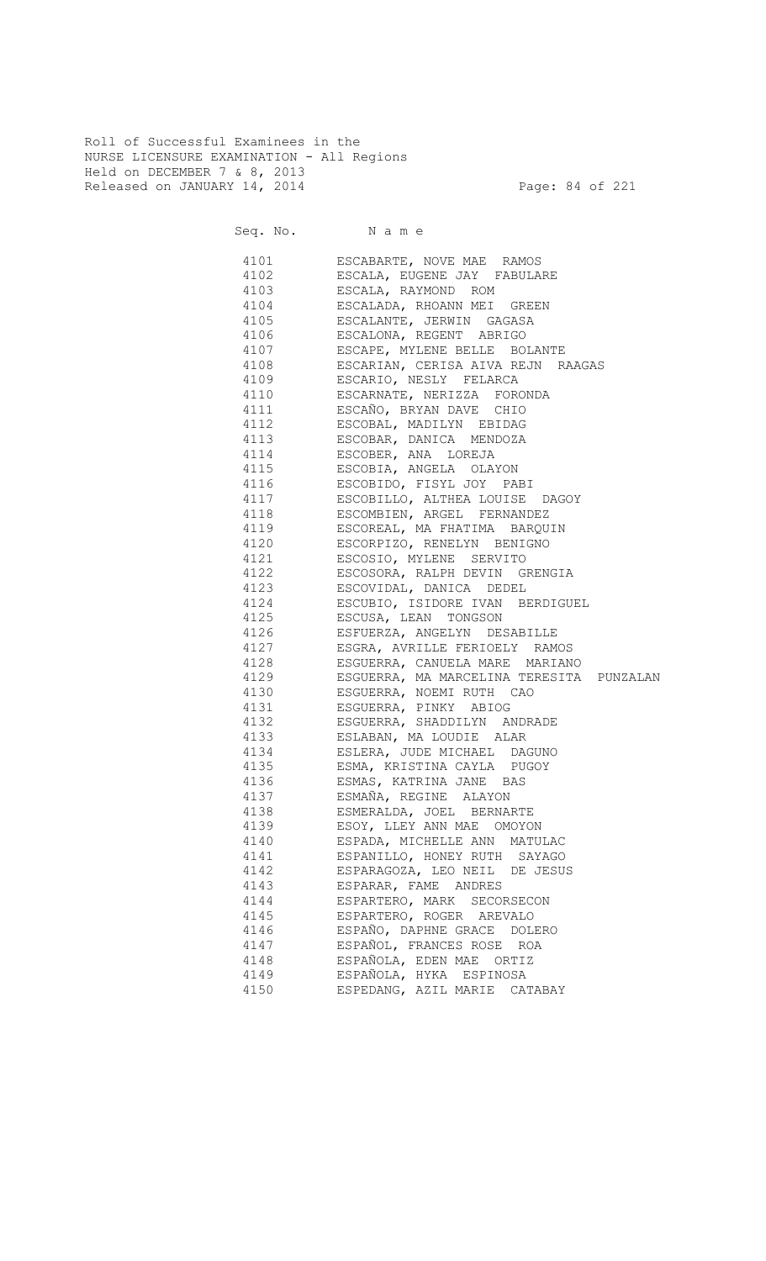Roll of Successful Examinees in the NURSE LICENSURE EXAMINATION - All Regions Held on DECEMBER 7 & 8, 2013 Released on JANUARY 14, 2014 **Page: 84 of 221** 

|      | 4101 ESCABARTE, NOVE MAE RAMOS                                                                                                          |
|------|-----------------------------------------------------------------------------------------------------------------------------------------|
|      | 4102 ESCALA, EUGENE JAY FABULARE                                                                                                        |
|      | 4103 ESCALA, RAYMOND ROM                                                                                                                |
|      | 4104 ESCALADA, RHOANN MEI GREEN                                                                                                         |
|      | 4105 ESCALANTE, JERWIN GAGASA                                                                                                           |
|      | 4106 ESCALONA, REGENT ABRIGO                                                                                                            |
|      | 4107 ESCAPE, MYLENE BELLE BOLANTE                                                                                                       |
|      | 4108 ESCARIAN, CERISA AIVA REJN RAAGAS                                                                                                  |
|      | 4109 ESCARIO, NESLY FELARCA                                                                                                             |
|      | 4110 ESCARNATE, NERIZZA FORONDA                                                                                                         |
|      | 4111 ESCAÑO, BRYAN DAVE CHIO                                                                                                            |
|      | 4112 ESCOBAL, MADILYN EBIDAG                                                                                                            |
|      | 4113 ESCOBAR, DANICA MENDOZA                                                                                                            |
|      | 4114 ESCOBER, ANA LOREJA                                                                                                                |
|      | 4115 ESCOBIA, ANGELA OLAYON                                                                                                             |
|      | 4116 ESCOBIDO, FISYL JOY PABI                                                                                                           |
|      | 4117 ESCOBILLO, ALTHEA LOUISE DAGOY                                                                                                     |
|      | 4118 ESCOMBIEN, ARGEL FERNANDEZ                                                                                                         |
|      | 4119 ESCOREAL, MA FHATIMA BARQUIN                                                                                                       |
|      | 4120 ESCORPIZO, RENELYN BENIGNO                                                                                                         |
|      | 4121 ESCOSIO, MYLENE SERVITO                                                                                                            |
|      | 4122 ESCOSORA, RALPH DEVIN GRENGIA                                                                                                      |
|      | 4123 ESCOVIDAL, DANICA DEDEL                                                                                                            |
|      | 4124 ESCUBIO, ISIDORE IVAN BERDIGUEL                                                                                                    |
|      | 4125 ESCUSA, LEAN TONGSON                                                                                                               |
|      | 4126 ESFUERZA, ANGELYN DESABILLE                                                                                                        |
| 4127 | ESGRA, AVRILLE FERIOELY RAMOS                                                                                                           |
|      | 4128 ESGUERRA, CANUELA MARE MARIANO                                                                                                     |
| 4129 | ESGUERRA, MA MARCELINA TERESITA PUNZALAN                                                                                                |
| 4130 | ESGUERRA, NOEMI RUTH CAO                                                                                                                |
| 4131 | ESGUERRA, PINKY ABIOG                                                                                                                   |
|      |                                                                                                                                         |
|      |                                                                                                                                         |
|      |                                                                                                                                         |
|      | 4132 ESGUERRA, SHADDILYN ANDRADE<br>4133 ESLABAN, MA LOUDIE ALAR<br>4134 ESLERA, JUDE MICHAEL DAGUNO<br>4135 ESMA, KRISTINA CAYLA PUGOY |
| 4136 | 1136 – ESMAS, KATRINA JANE BAS<br>4136 – ESMAS, KATRINA JANE BAS<br>4137 – ESMAÑA, REGINE ALAYON                                        |
|      |                                                                                                                                         |
| 4138 | ESMERALDA, JOEL BERNARTE                                                                                                                |
| 4139 | ESOY, LLEY ANN MAE OMOYON                                                                                                               |
| 4140 | ESPADA, MICHELLE ANN MATULAC                                                                                                            |
| 4141 | ESPANILLO, HONEY RUTH SAYAGO                                                                                                            |
| 4142 | ESPARAGOZA, LEO NEIL DE JESUS                                                                                                           |
| 4143 | ESPARAR, FAME ANDRES                                                                                                                    |
| 4144 | ESPARTERO, MARK SECORSECON                                                                                                              |
| 4145 | ESPARTERO, ROGER AREVALO                                                                                                                |
| 4146 | ESPAÑO, DAPHNE GRACE DOLERO                                                                                                             |
| 4147 | ESPAÑOL, FRANCES ROSE ROA                                                                                                               |
| 4148 | ESPAÑOLA, EDEN MAE ORTIZ                                                                                                                |
| 4149 | ESPAÑOLA, HYKA ESPINOSA                                                                                                                 |
| 4150 | ESPEDANG, AZIL MARIE CATABAY                                                                                                            |
|      |                                                                                                                                         |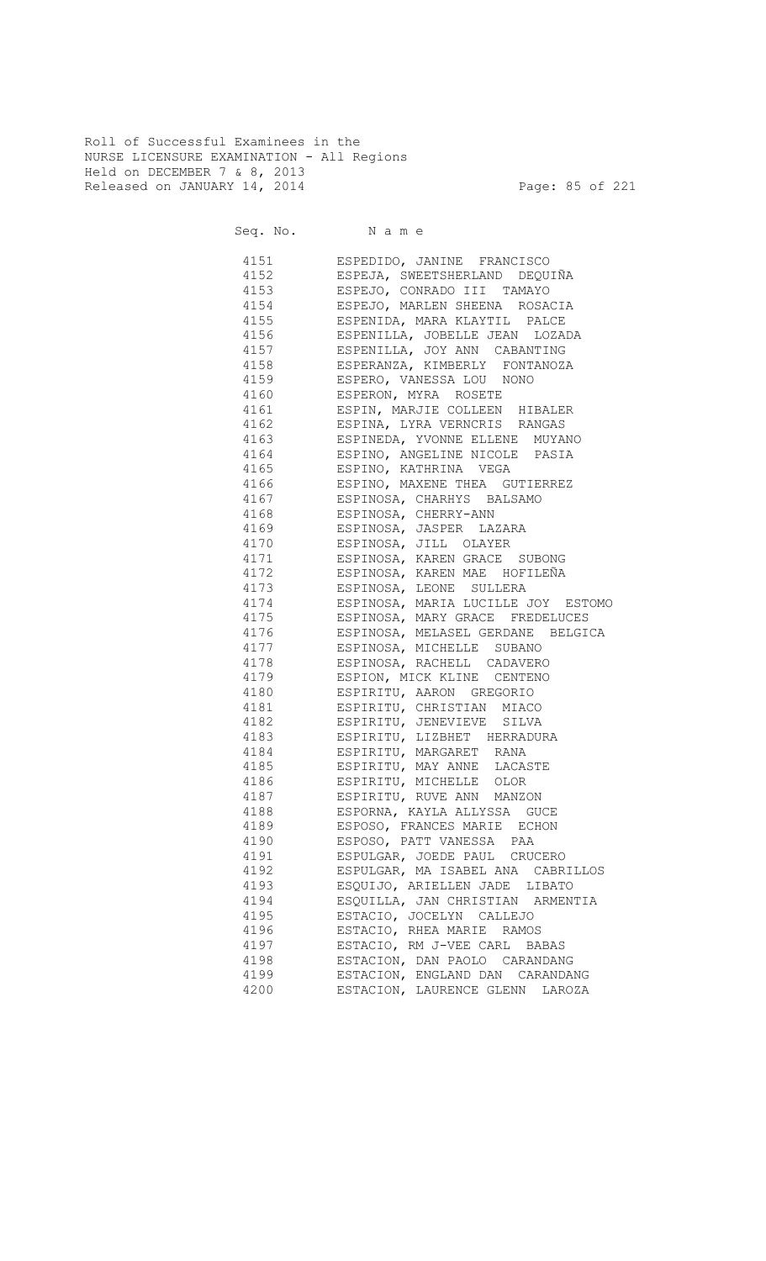Roll of Successful Examinees in the NURSE LICENSURE EXAMINATION - All Regions Held on DECEMBER 7 & 8, 2013 Released on JANUARY 14, 2014 **Page: 85 of 221** 

Seq. No. Name

 4151 ESPEDIDO, JANINE FRANCISCO 4152 ESPEJA, SWEETSHERLAND DEQUIÑA 4153 ESPEJO, CONRADO III TAMAYO 4154 ESPEJO, MARLEN SHEENA ROSACIA ESPENIDA, MARA KLAYTIL PALCE 4156 ESPENILLA, JOBELLE JEAN LOZADA 4157 ESPENILLA, JOY ANN CABANTING 4158 ESPERANZA, KIMBERLY FONTANOZA 4159 ESPERO, VANESSA LOU NONO 4160 ESPERON, MYRA ROSETE 4161 ESPIN, MARJIE COLLEEN HIBALER 4162 ESPINA, LYRA VERNCRIS RANGAS 4163 ESPINEDA, YVONNE ELLENE MUYANO 4164 ESPINO, ANGELINE NICOLE PASIA 4165 ESPINO, KATHRINA VEGA 4166 ESPINO, MAXENE THEA GUTIERREZ 4167 ESPINOSA, CHARHYS BALSAMO ESPINOSA, CHERRY-ANN 4169 ESPINOSA, JASPER LAZARA 4170 ESPINOSA, JILL OLAYER 4171 ESPINOSA, KAREN GRACE SUBONG 4172 ESPINOSA, KAREN MAE HOFILEÑA 4173 ESPINOSA, LEONE SULLERA 4174 ESPINOSA, MARIA LUCILLE JOY ESTOMO 4175 ESPINOSA, MARY GRACE FREDELUCES 4176 ESPINOSA, MELASEL GERDANE BELGICA 4177 ESPINOSA, MICHELLE SUBANO 4178 ESPINOSA, RACHELL CADAVERO 4179 ESPION, MICK KLINE CENTENO 4180 ESPIRITU, AARON GREGORIO 4181 ESPIRITU, CHRISTIAN MIACO 4182 ESPIRITU, JENEVIEVE SILVA 4183 ESPIRITU, LIZBHET HERRADURA 4184 ESPIRITU, MARGARET RANA 4185 ESPIRITU, MAY ANNE LACASTE 4186 ESPIRITU, MICHELLE OLOR 4187 ESPIRITU, RUVE ANN MANZON 4188 ESPORNA, KAYLA ALLYSSA GUCE 4189 ESPOSO, FRANCES MARIE ECHON 4190 ESPOSO, PATT VANESSA PAA 4191 ESPULGAR, JOEDE PAUL CRUCERO 4192 ESPULGAR, MA ISABEL ANA CABRILLOS 4193 ESQUIJO, ARIELLEN JADE LIBATO 4194 ESQUILLA, JAN CHRISTIAN ARMENTIA 4195 ESTACIO, JOCELYN CALLEJO 4196 ESTACIO, RHEA MARIE RAMOS 4197 ESTACIO, RM J-VEE CARL BABAS 4198 ESTACION, DAN PAOLO CARANDANG 4199 ESTACION, ENGLAND DAN CARANDANG 4200 ESTACION, LAURENCE GLENN LAROZA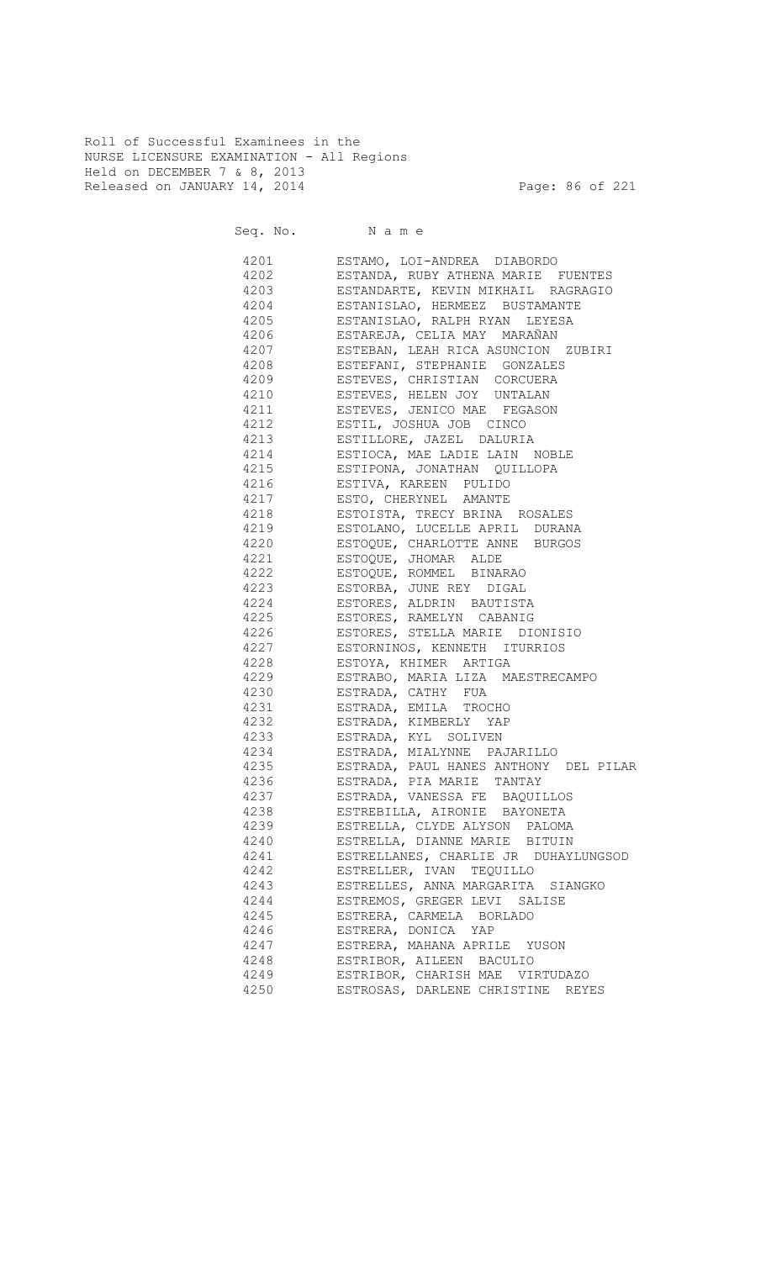Roll of Successful Examinees in the NURSE LICENSURE EXAMINATION - All Regions Held on DECEMBER 7 & 8, 2013 Released on JANUARY 14, 2014 **Page: 86 of 221** 

Seq. No. Name

 4201 ESTAMO, LOI-ANDREA DIABORDO 4202 ESTANDA, RUBY ATHENA MARIE FUENTES 4203 ESTANDARTE, KEVIN MIKHAIL RAGRAGIO 4204 ESTANISLAO, HERMEEZ BUSTAMANTE ESTANISLAO, RALPH RYAN LEYESA 4206 ESTAREJA, CELIA MAY MARAÑAN 4207 ESTEBAN, LEAH RICA ASUNCION ZUBIRI 4208 ESTEFANI, STEPHANIE GONZALES 4209 ESTEVES, CHRISTIAN CORCUERA 4210 ESTEVES, HELEN JOY UNTALAN 4211 ESTEVES, JENICO MAE FEGASON 4212 ESTIL, JOSHUA JOB CINCO 4213 ESTILLORE, JAZEL DALURIA 4214 ESTIOCA, MAE LADIE LAIN NOBLE 4215 ESTIPONA, JONATHAN QUILLOPA 4216 ESTIVA, KAREEN PULIDO 4217 ESTO, CHERYNEL AMANTE ESTOISTA, TRECY BRINA ROSALES 4219 ESTOLANO, LUCELLE APRIL DURANA 4220 ESTOQUE, CHARLOTTE ANNE BURGOS 4221 ESTOQUE, JHOMAR ALDE 4222 ESTOQUE, ROMMEL BINARAO 4223 ESTORBA, JUNE REY DIGAL 4224 ESTORES, ALDRIN BAUTISTA 4225 ESTORES, RAMELYN CABANIG 4226 ESTORES, STELLA MARIE DIONISIO 4227 ESTORNINOS, KENNETH ITURRIOS 4228 ESTOYA, KHIMER ARTIGA 4229 ESTRABO, MARIA LIZA MAESTRECAMPO 4230 ESTRADA, CATHY FUA 4231 ESTRADA, EMILA TROCHO 4232 ESTRADA, KIMBERLY YAP 4233 ESTRADA, KYL SOLIVEN 4234 ESTRADA, MIALYNNE PAJARILLO 4235 ESTRADA, PAUL HANES ANTHONY DEL PILAR 4236 ESTRADA, PIA MARIE TANTAY 4237 ESTRADA, VANESSA FE BAQUILLOS 4238 ESTREBILLA, AIRONIE BAYONETA 4239 ESTRELLA, CLYDE ALYSON PALOMA 4240 ESTRELLA, DIANNE MARIE BITUIN 4241 ESTRELLANES, CHARLIE JR DUHAYLUNGSOD 4242 ESTRELLER, IVAN TEQUILLO 4243 ESTRELLES, ANNA MARGARITA SIANGKO 4244 ESTREMOS, GREGER LEVI SALISE 4245 ESTRERA, CARMELA BORLADO 4246 ESTRERA, DONICA YAP 4247 ESTRERA, MAHANA APRILE YUSON 4248 ESTRIBOR, AILEEN BACULIO 4249 ESTRIBOR, CHARISH MAE VIRTUDAZO 4250 ESTROSAS, DARLENE CHRISTINE REYES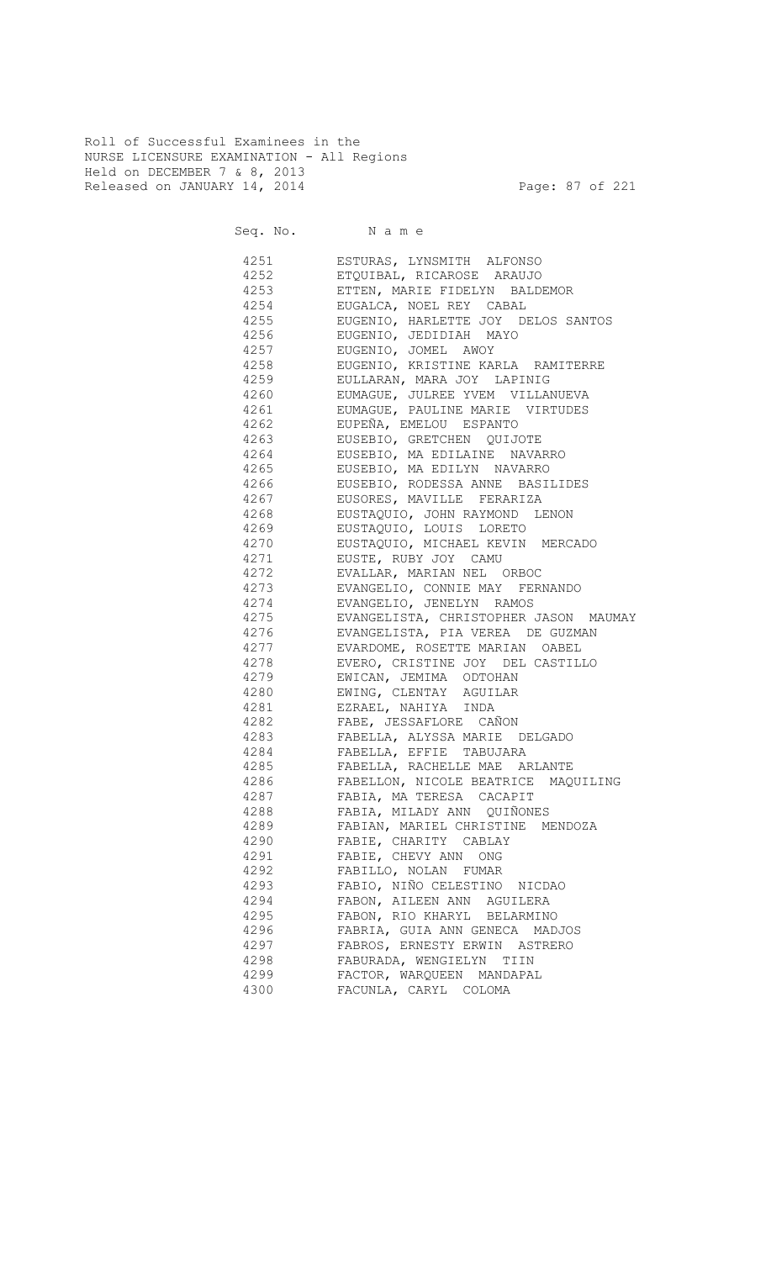Roll of Successful Examinees in the NURSE LICENSURE EXAMINATION - All Regions Held on DECEMBER 7 & 8, 2013 Released on JANUARY 14, 2014 **Page: 87 of 221** 

Seq. No. Name

 4251 ESTURAS, LYNSMITH ALFONSO 4252 ETQUIBAL, RICAROSE ARAUJO 4253 ETTEN, MARIE FIDELYN BALDEMOR 4254 EUGALCA, NOEL REY CABAL 4255 EUGENIO, HARLETTE JOY DELOS SANTOS 4256 EUGENIO, JEDIDIAH MAYO 4257 EUGENIO, JOMEL AWOY 4258 EUGENIO, KRISTINE KARLA RAMITERRE 4259 EULLARAN, MARA JOY LAPINIG 4260 EUMAGUE, JULREE YVEM VILLANUEVA 4261 EUMAGUE, PAULINE MARIE VIRTUDES 4262 EUPEÑA, EMELOU ESPANTO 4263 EUSEBIO, GRETCHEN QUIJOTE 4264 EUSEBIO, MA EDILAINE NAVARRO 4265 EUSEBIO, MA EDILYN NAVARRO 4266 EUSEBIO, RODESSA ANNE BASILIDES 4267 EUSORES, MAVILLE FERARIZA 4268 EUSTAQUIO, JOHN RAYMOND LENON 4269 EUSTAQUIO, LOUIS LORETO 4270 EUSTAQUIO, MICHAEL KEVIN MERCADO 4271 EUSTE, RUBY JOY CAMU 4272 EVALLAR, MARIAN NEL ORBOC 4273 EVANGELIO, CONNIE MAY FERNANDO 4274 EVANGELIO, JENELYN RAMOS<br>4275 EVANGELISTA, CHRISTOPHER 4275 EVANGELISTA, CHRISTOPHER JASON MAUMAY 4276 EVANGELISTA, PIA VEREA DE GUZMAN 4277 EVARDOME, ROSETTE MARIAN OABEL 4278 EVERO, CRISTINE JOY DEL CASTILLO 4279 EWICAN, JEMIMA ODTOHAN 4280 EWING, CLENTAY AGUILAR 4281 EZRAEL, NAHIYA INDA 4282 FABE, JESSAFLORE CAÑON 4283 FABELLA, ALYSSA MARIE DELGADO 4284 FABELLA, EFFIE TABUJARA 4285 FABELLA, RACHELLE MAE ARLANTE 4286 FABELLON, NICOLE BEATRICE MAQUILING 4287 FABIA, MA TERESA CACAPIT 4288 FABIA, MILADY ANN QUIÑONES 4289 FABIAN, MARIEL CHRISTINE MENDOZA 4290 FABIE, CHARITY CABLAY 4291 FABIE, CHEVY ANN ONG 4292 FABILLO, NOLAN FUMAR 4293 FABIO, NIÑO CELESTINO NICDAO 4294 FABON, AILEEN ANN AGUILERA 4295 FABON, RIO KHARYL BELARMINO 4296 FABRIA, GUIA ANN GENECA MADJOS 4297 FABROS, ERNESTY ERWIN ASTRERO 4298 FABURADA, WENGIELYN TIIN 4299 FACTOR, WARQUEEN MANDAPAL 4300 FACUNLA, CARYL COLOMA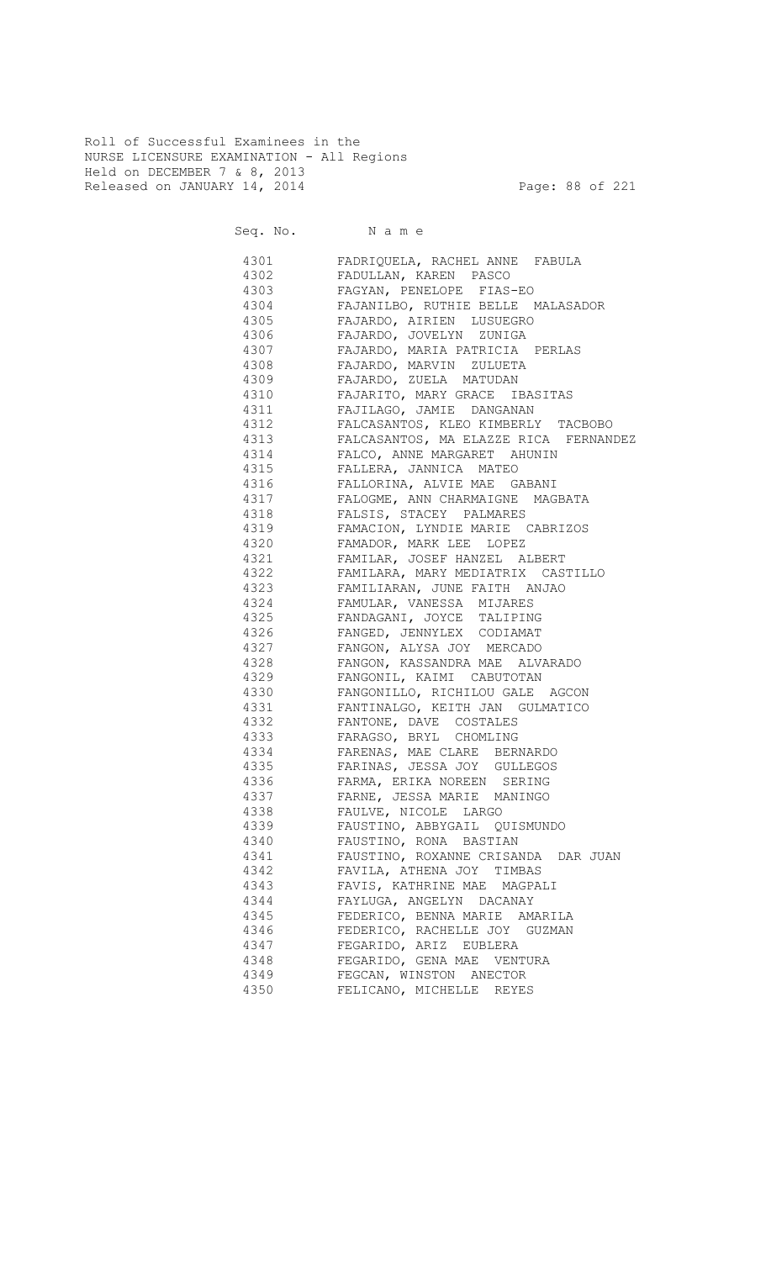Roll of Successful Examinees in the NURSE LICENSURE EXAMINATION - All Regions Held on DECEMBER 7 & 8, 2013 Released on JANUARY 14, 2014 **Page: 88 of 221** 

| 4301 7       | FADRIQUELA, RACHEL ANNE FABULA                            |
|--------------|-----------------------------------------------------------|
| 4302         | FADULLAN, KAREN PASCO                                     |
| 4303         | FAGYAN, PENELOPE FIAS-EO                                  |
| 4304         | FAJANILBO, RUTHIE BELLE MALASADOR                         |
| 4305         | FAJARDO, AIRIEN LUSUEGRO                                  |
| 4306         | FAJARDO, JOVELYN ZUNIGA                                   |
| 4307         | FAJARDO, MARIA PATRICIA PERLAS                            |
| 4308         | FAJARDO, MARVIN ZULUETA                                   |
| 4309         | FAJARDO, ZUELA MATUDAN                                    |
| 4310         | FAJARITO, MARY GRACE IBASITAS                             |
| 4311         | FAJILAGO, JAMIE DANGANAN                                  |
| 4312         | FALCASANTOS, KLEO KIMBERLY TACBOBO                        |
| 4313         | FALCASANTOS, MA ELAZZE RICA FERNANDEZ                     |
| 4314         | FALCO, ANNE MARGARET AHUNIN                               |
| 4315         | FALLERA, JANNICA MATEO                                    |
| 4316         | FALLORINA, ALVIE MAE GABANI                               |
| 4317         | FALOGME, ANN CHARMAIGNE MAGBATA                           |
| 4318         | FALSIS, STACEY PALMARES                                   |
| 4319         | FAMACION, LYNDIE MARIE CABRIZOS                           |
| 4320 320     | FAMADOR, MARK LEE LOPEZ                                   |
| 4321         | FAMILAR, JOSEF HANZEL ALBERT                              |
| 4322         | FAMILARA, MARY MEDIATRIX CASTILLO                         |
| 4323         | FAMILIARAN, JUNE FAITH ANJAO                              |
| 4324         | FAMULAR, VANESSA MIJARES                                  |
| 4325         | FANDAGANI, JOYCE TALIPING                                 |
| 4326         | FANGED, JENNYLEX CODIAMAT                                 |
| 4327         | FANGON, ALYSA JOY MERCADO                                 |
| 4328         | FANGON, KASSANDRA MAE ALVARADO                            |
| 4329         | FANGONIL, KAIMI CABUTOTAN                                 |
|              |                                                           |
| 4330<br>4331 | FANGONILLO, RICHILOU GALE AGCON                           |
|              | FANTINALGO, KEITH JAN GULMATICO                           |
| 4332         | FANTONE, DAVE COSTALES                                    |
| 4333         | FARAGSO, BRYL CHOMLING                                    |
| 4334         | FARENAS, MAE CLARE BERNARDO                               |
| 4335<br>4336 | FARINAS, JESSA JOY GULLEGOS<br>FARMA, ERIKA NOREEN SERING |
| 4337         | FARNE, JESSA MARIE MANINGO                                |
| 4338         | FAULVE, NICOLE LARGO                                      |
|              |                                                           |
| 4339         | FAUSTINO, ABBYGAIL QUISMUNDO                              |
| 4340         | FAUSTINO, RONA BASTIAN                                    |
| 4341         | FAUSTINO, ROXANNE CRISANDA DAR JUAN                       |
| 4342         | FAVILA, ATHENA JOY TIMBAS                                 |
| 4343         | FAVIS, KATHRINE MAE MAGPALI                               |
| 4344         | FAYLUGA, ANGELYN DACANAY                                  |
| 4345         | FEDERICO, BENNA MARIE AMARILA                             |
| 4346         | FEDERICO, RACHELLE JOY GUZMAN                             |
| 4347         | FEGARIDO, ARIZ EUBLERA                                    |
| 4348         | FEGARIDO, GENA MAE VENTURA                                |
| 4349         | FEGCAN, WINSTON ANECTOR                                   |
| 4350         | FELICANO, MICHELLE REYES                                  |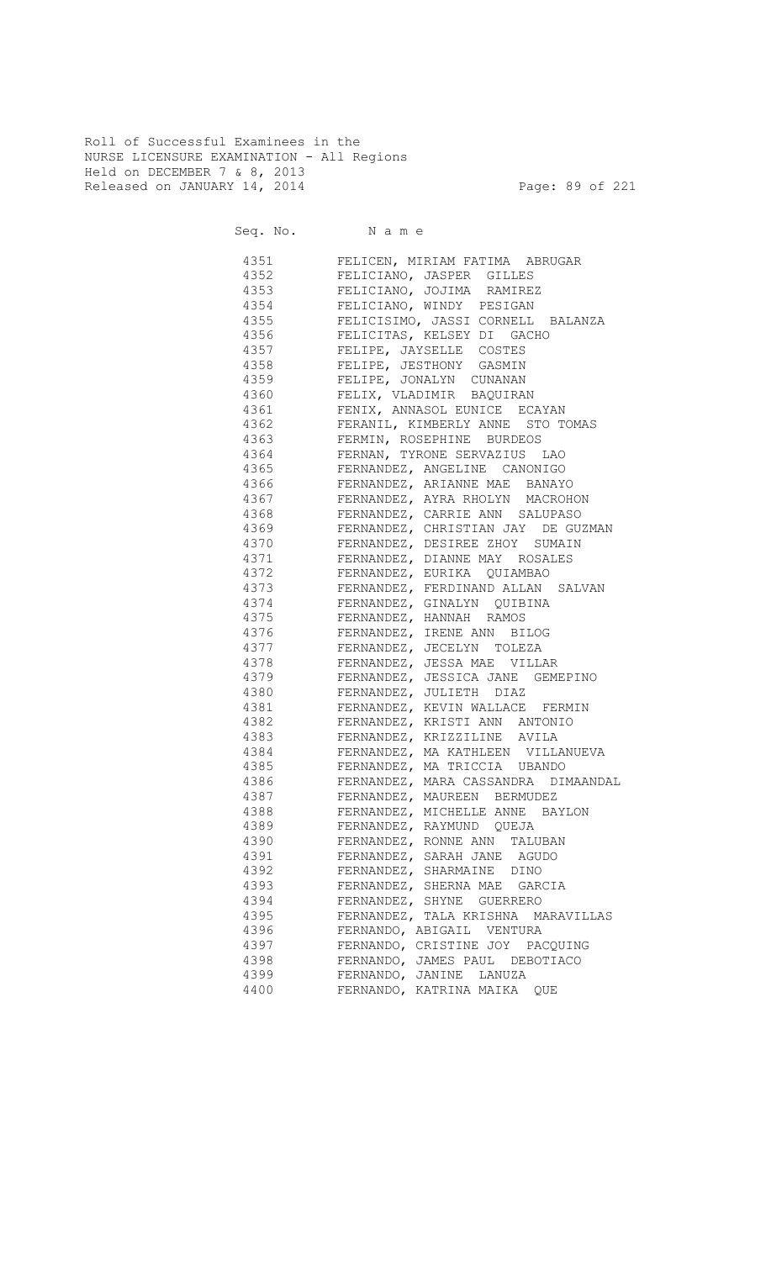Roll of Successful Examinees in the NURSE LICENSURE EXAMINATION - All Regions Held on DECEMBER 7 & 8, 2013 Released on JANUARY 14, 2014 **Page: 89 of 221** 

| Seq. No. Name |                                                                                                                                                                                                                   |
|---------------|-------------------------------------------------------------------------------------------------------------------------------------------------------------------------------------------------------------------|
|               | 4351 FELICEN, MIRIAM FATIMA ABRUGAR                                                                                                                                                                               |
|               | 4352 FELICIANO, JASPER GILLES                                                                                                                                                                                     |
| 4353          | FELICIANO, JOJIMA RAMIREZ                                                                                                                                                                                         |
| 4354          | FELICIANO, WINDY PESIGAN                                                                                                                                                                                          |
| 4355          | FELICISIMO, JASSI CORNELL BALANZA                                                                                                                                                                                 |
| 4356          | FELICITAS, KELSEY DI GACHO                                                                                                                                                                                        |
| 4357          | FELIPE, JAYSELLE COSTES                                                                                                                                                                                           |
| 4358          | FELIPE, JESTHONY GASMIN                                                                                                                                                                                           |
| 4359          |                                                                                                                                                                                                                   |
| 4360          | FELIPE, JONALYN CUNANAN<br>FELIR, VLADIMIR BAQUIRAN<br>FENIX, ANNASOL EUNICE ECAYAN<br>FERANIL, KIMBERLY ANNE STO TOMAS<br>FERMIN, ROSEPHINE BURDEOS<br>FERMIN, ROSEPHINE BURDEOS<br>FERMAN, TYRONE SERVAZIUS LAO |
| 4361          |                                                                                                                                                                                                                   |
| 4362          |                                                                                                                                                                                                                   |
| 4363          |                                                                                                                                                                                                                   |
| 4364          |                                                                                                                                                                                                                   |
| 4365          |                                                                                                                                                                                                                   |
| 4366          | FERNANDEZ, ANGELINE CANONIGO<br>FERNANDEZ, ARIANNE MAE BANAYO                                                                                                                                                     |
|               | 4367 FERNANDEZ, AYRA RHOLYN MACROHON                                                                                                                                                                              |
| 4368          | FERNANDEZ, CARRIE ANN SALUPASO                                                                                                                                                                                    |
| 4369          | FERNANDEZ, CHRISTIAN JAY DE GUZMAN                                                                                                                                                                                |
| 4370          | FERNANDEZ, DESIREE ZHOY SUMAIN                                                                                                                                                                                    |
|               | 4371 FERNANDEZ, DIANNE MAY ROSALES                                                                                                                                                                                |
|               | 4372 FERNANDEZ, EURIKA QUIAMBAO                                                                                                                                                                                   |
|               | 4373 FERNANDEZ, FERDINAND ALLAN SALVAN                                                                                                                                                                            |
|               | 4374 FERNANDEZ, GINALYN QUIBINA                                                                                                                                                                                   |
|               | 4375 FERNANDEZ, HANNAH RAMOS                                                                                                                                                                                      |
|               | 4376 FERNANDEZ, IRENE ANN BILOG                                                                                                                                                                                   |
|               | 4377 FERNANDEZ, JECELYN TOLEZA                                                                                                                                                                                    |
|               | 4378 FERNANDEZ, JESSA MAE VILLAR                                                                                                                                                                                  |
|               | 4379 FERNANDEZ, JESSICA JANE GEMEPINO                                                                                                                                                                             |
|               | 4380 FERNANDEZ, JULIETH DIAZ                                                                                                                                                                                      |
|               | 4381 FERNANDEZ, KEVIN WALLACE FERMIN                                                                                                                                                                              |
|               | 4382 FERNANDEZ, KRISTI ANN ANTONIO                                                                                                                                                                                |
|               | 4383 FERNANDEZ, KRIZZILINE AVILA                                                                                                                                                                                  |
|               | 4384 FERNANDEZ, MA KATHLEEN VILLANUEVA                                                                                                                                                                            |
|               | 4385 FERNANDEZ, MA TRICCIA UBANDO                                                                                                                                                                                 |
|               | FERNANDEZ, MARA CASSANDRA DIMAANDAL                                                                                                                                                                               |
| 4387          | FERNANDEZ, MAUREEN BERMUDEZ                                                                                                                                                                                       |
| 4388          | FERNANDEZ, MICHELLE ANNE BAYLON                                                                                                                                                                                   |
| 4389          | FERNANDEZ, RAYMUND QUEJA                                                                                                                                                                                          |
| 4390          | FERNANDEZ, RONNE ANN TALUBAN                                                                                                                                                                                      |
| 4391          | FERNANDEZ, SARAH JANE AGUDO                                                                                                                                                                                       |
| 4392          | FERNANDEZ, SHARMAINE DINO                                                                                                                                                                                         |
| 4393          | FERNANDEZ, SHERNA MAE GARCIA                                                                                                                                                                                      |
| 4394          | FERNANDEZ, SHYNE GUERRERO                                                                                                                                                                                         |
| 4395          | FERNANDEZ, TALA KRISHNA MARAVILLAS                                                                                                                                                                                |
| 4396          | FERNANDO, ABIGAIL VENTURA                                                                                                                                                                                         |
| 4397          | FERNANDO, CRISTINE JOY PACQUING                                                                                                                                                                                   |
| 4398          | FERNANDO, JAMES PAUL DEBOTIACO                                                                                                                                                                                    |
| 4399          | FERNANDO, JANINE LANUZA                                                                                                                                                                                           |
| 4400          | FERNANDO, KATRINA MAIKA QUE                                                                                                                                                                                       |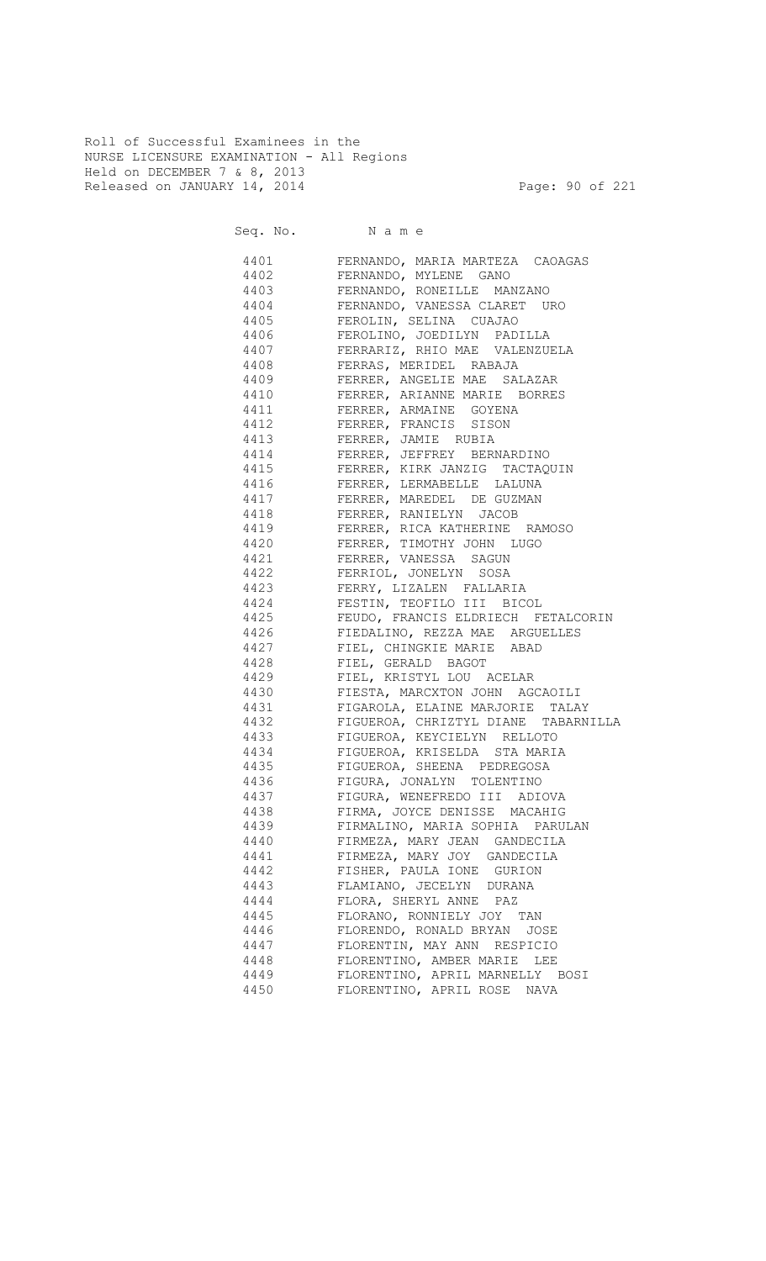Roll of Successful Examinees in the NURSE LICENSURE EXAMINATION - All Regions Held on DECEMBER 7 & 8, 2013 Released on JANUARY 14, 2014 **Page: 90 of 221** 

|              | Seq. No. Name                                               |
|--------------|-------------------------------------------------------------|
|              | 4401 FERNANDO, MARIA MARTEZA CAOAGAS                        |
|              | 4402 FERNANDO, MYLENE GANO                                  |
|              | 4403 FERNANDO, RONEILLE MANZANO                             |
|              | 4404 FERNANDO, VANESSA CLARET URO                           |
|              | 4405 FEROLIN, SELINA CUAJAO                                 |
| 4406         | FEROLINO, JOEDILYN PADILLA                                  |
| 4407         | FERRARIZ, RHIO MAE VALENZUELA                               |
| 4408         | FERRAS, MERIDEL RABAJA                                      |
| 4409         | FERRER, ANGELIE MAE SALAZAR                                 |
| 4410         | FERRER, ARIANNE MAE SALAZAR<br>FERRER, ARIANNE MARIE BORRES |
| 4411         | FERRER, ARMAINE GOYENA                                      |
| 4412         | FERRER, FRANCIS SISON                                       |
| 4413         |                                                             |
| 4414         | FERRER, JAMIE RUBIA<br>FERRER, JEFFREY BERNARDINO           |
| 4415         |                                                             |
| 4416         | FERRER, KIRK JANZIG TACTAQUIN<br>FERRER, LERMABELLE LALUNA  |
| 4417         | FERRER, MAREDEL DE GUZMAN                                   |
| 4418         | FERRER, RANIELYN JACOB                                      |
|              | 4419 FERRER, RICA KATHERINE RAMOSO                          |
| 4420         | FERRER, TIMOTHY JOHN LUGO                                   |
|              | 4421 FERRER, VANESSA SAGUN                                  |
|              | 4422 FERRIOL, JONELYN SOSA                                  |
|              | 4423 FERRY, LIZALEN FALLARIA                                |
|              | 4424 FESTIN, TEOFILO III BICOL                              |
|              | 4425 FEUDO, FRANCIS ELDRIECH FETALCORIN                     |
|              | 4426 FIEDALINO, REZZA MAE ARGUELLES                         |
|              | 4427 FIEL, CHINGKIE MARIE ABAD                              |
|              | 4428 FIEL, GERALD BAGOT                                     |
|              | 4429 FIEL, KRISTYL LOU ACELAR                               |
|              | 4430 FIESTA, MARCXTON JOHN AGCAOILI                         |
|              | 4431 FIGAROLA, ELAINE MARJORIE TALAY                        |
|              | 4432 FIGUEROA, CHRIZTYL DIANE TABARNILLA                    |
|              | 4433 FIGUEROA, KEYCIELYN RELLOTO                            |
|              | 4434 FIGUEROA, KRISELDA STA MARIA                           |
|              | 4435 FIGUEROA, SHEENA PEDREGOSA                             |
|              | FIGURA, JONALYN TOLENTINO                                   |
| 4437<br>4438 | FIGURA, WENEFREDO III ADIOVA                                |
|              | FIRMA, JOYCE DENISSE MACAHIG                                |
| 4439<br>4440 | FIRMALINO, MARIA SOPHIA PARULAN                             |
|              | FIRMEZA, MARY JEAN GANDECILA                                |
| 4441         | FIRMEZA, MARY JOY GANDECILA                                 |
| 4442<br>4443 | FISHER, PAULA IONE GURION                                   |
| 4444         | FLAMIANO, JECELYN DURANA<br>FLORA, SHERYL ANNE PAZ          |
| 4445         | FLORANO, RONNIELY JOY TAN                                   |
| 4446         | FLORENDO, RONALD BRYAN JOSE                                 |
| 4447         | FLORENTIN, MAY ANN RESPICIO                                 |
| 4448         | FLORENTINO, AMBER MARIE LEE                                 |
| 4449         | FLORENTINO, APRIL MARNELLY BOSI                             |
| 4450         | FLORENTINO, APRIL ROSE NAVA                                 |
|              |                                                             |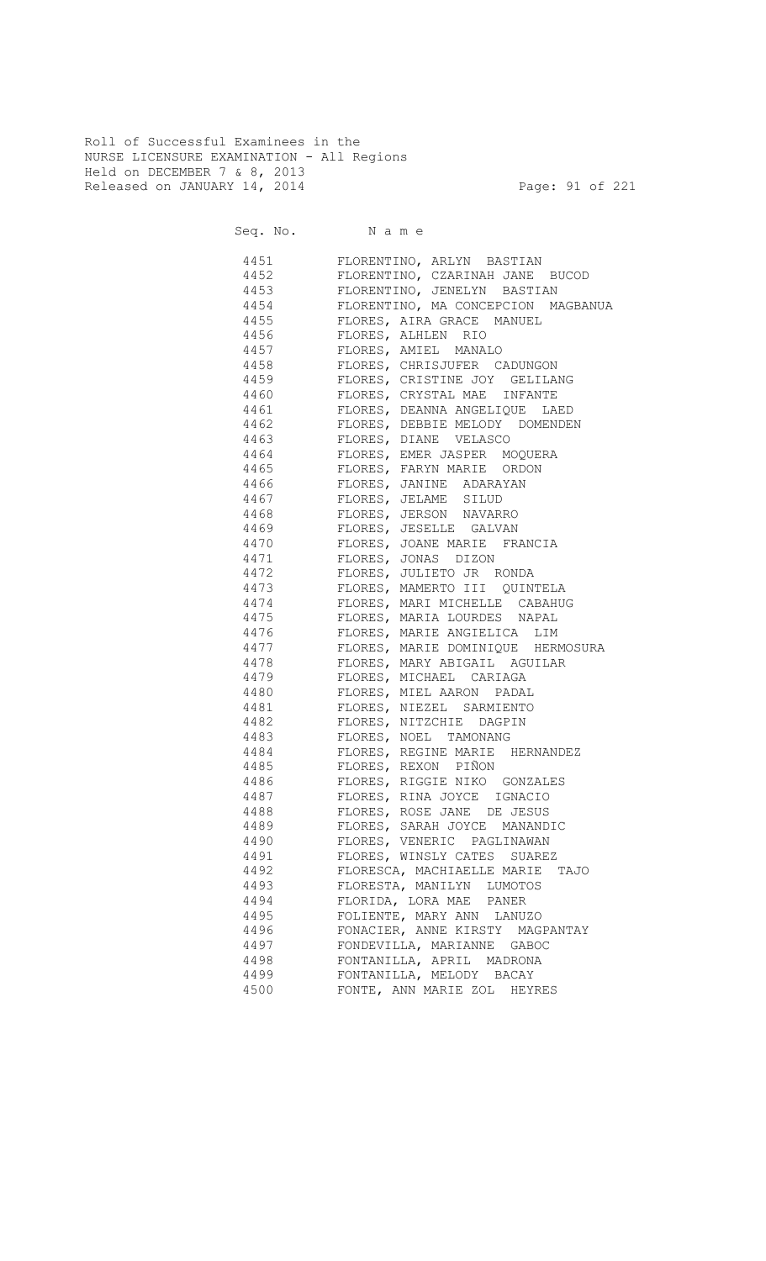Roll of Successful Examinees in the NURSE LICENSURE EXAMINATION - All Regions Held on DECEMBER 7 & 8, 2013 Released on JANUARY 14, 2014 **Page: 91 of 221** 

| Seq. No. Name |                                                                                                                                                                                                                                                       |
|---------------|-------------------------------------------------------------------------------------------------------------------------------------------------------------------------------------------------------------------------------------------------------|
|               | 4451 FLORENTINO, ARLYN BASTIAN                                                                                                                                                                                                                        |
|               | 4452 FLORENTINO, CZARINAH JANE BUCOD                                                                                                                                                                                                                  |
| 4453          | FLORENTINO, JENELYN BASTIAN                                                                                                                                                                                                                           |
|               | 4454 FLORENTINO, MA CONCEPCION MAGBANUA                                                                                                                                                                                                               |
|               | 4455 FLORES, AIRA GRACE MANUEL                                                                                                                                                                                                                        |
| 4456          | FLORES, ALHLEN RIO                                                                                                                                                                                                                                    |
| 4457          |                                                                                                                                                                                                                                                       |
| 4458          |                                                                                                                                                                                                                                                       |
| 4459          |                                                                                                                                                                                                                                                       |
| 4460          | FLORES, ALHLEN KIO<br>FLORES, AMIEL MANALO<br>FLORES, CHRISJUFER CADUNGON<br>FLORES, CRISTINE JOY GELILANG<br>FLORES, CRYSTAL MAE INFANTE<br>FLORES, DEANNA ANGELIQUE LAED<br>FLORES, DEBBIE MELODY DOMENDEN<br>FLORES, DIANE VELASCO<br>FLORES, EMER |
| 4461          |                                                                                                                                                                                                                                                       |
| 4462          |                                                                                                                                                                                                                                                       |
| 4463          |                                                                                                                                                                                                                                                       |
| 4464          |                                                                                                                                                                                                                                                       |
| 4465          |                                                                                                                                                                                                                                                       |
| 4466          |                                                                                                                                                                                                                                                       |
| 4467          | -<br>FLORES, JELAME SILUD                                                                                                                                                                                                                             |
| 4468          | FLORES, JERSON NAVARRO                                                                                                                                                                                                                                |
| 4469          | FLORES, JESELLE GALVAN                                                                                                                                                                                                                                |
| 4470          | FLORES, JOANE MARIE FRANCIA                                                                                                                                                                                                                           |
| 4471          | FLORES, JONAS DIZON                                                                                                                                                                                                                                   |
|               | 4472 FLORES, JULIETO JR RONDA                                                                                                                                                                                                                         |
|               | 4473 FLORES, MAMERTO III QUINTELA                                                                                                                                                                                                                     |
|               | 4474 FLORES, MARI MICHELLE CABAHUG                                                                                                                                                                                                                    |
|               | 4475 FLORES, MARIA LOURDES NAPAL                                                                                                                                                                                                                      |
|               | 4476 FLORES, MARIE ANGIELICA LIM                                                                                                                                                                                                                      |
|               | 4477 FLORES, MARIE DOMINIQUE HERMOSURA                                                                                                                                                                                                                |
|               | 4478 FLORES, MARY ABIGAIL AGUILAR                                                                                                                                                                                                                     |
|               | 4479 FLORES, MICHAEL CARIAGA                                                                                                                                                                                                                          |
|               | 4480 FLORES, MIEL AARON PADAL                                                                                                                                                                                                                         |
|               | 4481 FLORES, NIEZEL SARMIENTO                                                                                                                                                                                                                         |
|               | 4482 FLORES, NITZCHIE DAGPIN                                                                                                                                                                                                                          |
|               | 4483 FLORES, NOEL TAMONANG                                                                                                                                                                                                                            |
|               | 4484 FLORES, REGINE MARIE HERNANDEZ                                                                                                                                                                                                                   |
|               | 4485 FLORES, REXON PIÑON                                                                                                                                                                                                                              |
|               | FLORES, RIGGIE NIKO GONZALES                                                                                                                                                                                                                          |
| 4487          | FLORES, RINA JOYCE IGNACIO                                                                                                                                                                                                                            |
| 4488          | FLORES, ROSE JANE DE JESUS                                                                                                                                                                                                                            |
| 4489          | FLORES, SARAH JOYCE MANANDIC                                                                                                                                                                                                                          |
| 4490<br>4491  | FLORES, VENERIC PAGLINAWAN<br>FLORES, WINSLY CATES SUAREZ                                                                                                                                                                                             |
| 4492          |                                                                                                                                                                                                                                                       |
| 4493          | FLORESCA, MACHIAELLE MARIE<br>TAJO<br>FLORESTA, MANILYN LUMOTOS                                                                                                                                                                                       |
| 4494          | FLORIDA, LORA MAE PANER                                                                                                                                                                                                                               |
| 4495          | FOLIENTE, MARY ANN LANUZO                                                                                                                                                                                                                             |
| 4496          | FONACIER, ANNE KIRSTY MAGPANTAY                                                                                                                                                                                                                       |
| 4497          | FONDEVILLA, MARIANNE GABOC                                                                                                                                                                                                                            |
| 4498          | FONTANILLA, APRIL MADRONA                                                                                                                                                                                                                             |
| 4499          | FONTANILLA, MELODY BACAY                                                                                                                                                                                                                              |
| 4500          | FONTE, ANN MARIE ZOL HEYRES                                                                                                                                                                                                                           |
|               |                                                                                                                                                                                                                                                       |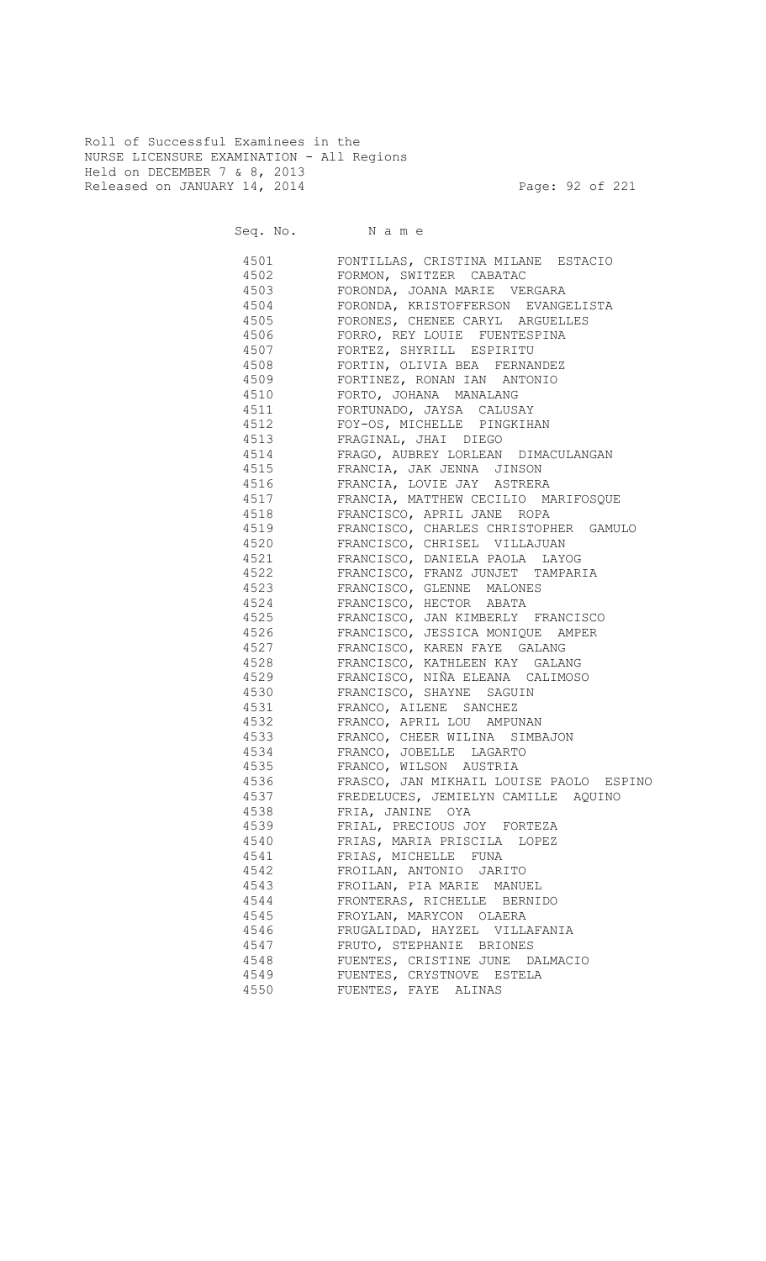Roll of Successful Examinees in the NURSE LICENSURE EXAMINATION - All Regions Held on DECEMBER 7 & 8, 2013 Released on JANUARY 14, 2014 **Page: 92 of 221** 

Seq. No. Name

 4501 FONTILLAS, CRISTINA MILANE ESTACIO 4502 FORMON, SWITZER CABATAC 4503 FORONDA, JOANA MARIE VERGARA 4504 FORONDA, KRISTOFFERSON EVANGELISTA 4505 FORONES, CHENEE CARYL ARGUELLES 4506 FORRO, REY LOUIE FUENTESPINA 4507 FORTEZ, SHYRILL ESPIRITU 4508 FORTIN, OLIVIA BEA FERNANDEZ 4509 FORTINEZ, RONAN IAN ANTONIO 4510 FORTO, JOHANA MANALANG 4511 FORTUNADO, JAYSA CALUSAY 4512 FOY-OS, MICHELLE PINGKIHAN 4513 FRAGINAL, JHAI DIEGO 4514 FRAGO, AUBREY LORLEAN DIMACULANGAN 4515 FRANCIA, JAK JENNA JINSON 4516 FRANCIA, LOVIE JAY ASTRERA 4517 FRANCIA, MATTHEW CECILIO MARIFOSQUE 4518 FRANCISCO, APRIL JANE ROPA 4519 FRANCISCO, CHARLES CHRISTOPHER GAMULO 4520 FRANCISCO, CHRISEL VILLAJUAN 4521 FRANCISCO, DANIELA PAOLA LAYOG 4522 FRANCISCO, FRANZ JUNJET TAMPARIA 4523 FRANCISCO, GLENNE MALONES 4524 FRANCISCO, HECTOR ABATA 4525 FRANCISCO, JAN KIMBERLY FRANCISCO 4526 FRANCISCO, JESSICA MONIQUE AMPER 4527 FRANCISCO, KAREN FAYE GALANG 4528 FRANCISCO, KATHLEEN KAY GALANG 4529 FRANCISCO, NIÑA ELEANA CALIMOSO 4530 FRANCISCO, SHAYNE SAGUIN 4531 FRANCO, AILENE SANCHEZ 4532 FRANCO, APRIL LOU AMPUNAN 4533 FRANCO, CHEER WILINA SIMBAJON 4534 FRANCO, JOBELLE LAGARTO 4535 FRANCO, WILSON AUSTRIA 4536 FRASCO, JAN MIKHAIL LOUISE PAOLO ESPINO 4537 FREDELUCES, JEMIELYN CAMILLE AQUINO 4538 FRIA, JANINE OYA 4539 FRIAL, PRECIOUS JOY FORTEZA 4540 FRIAS, MARIA PRISCILA LOPEZ 4541 FRIAS, MICHELLE FUNA 4542 FROILAN, ANTONIO JARITO 4543 FROILAN, PIA MARIE MANUEL 4544 FRONTERAS, RICHELLE BERNIDO 4545 FROYLAN, MARYCON OLAERA 4546 FRUGALIDAD, HAYZEL VILLAFANIA 4547 FRUTO, STEPHANIE BRIONES 4548 FUENTES, CRISTINE JUNE DALMACIO 4549 FUENTES, CRYSTNOVE ESTELA 4550 FUENTES, FAYE ALINAS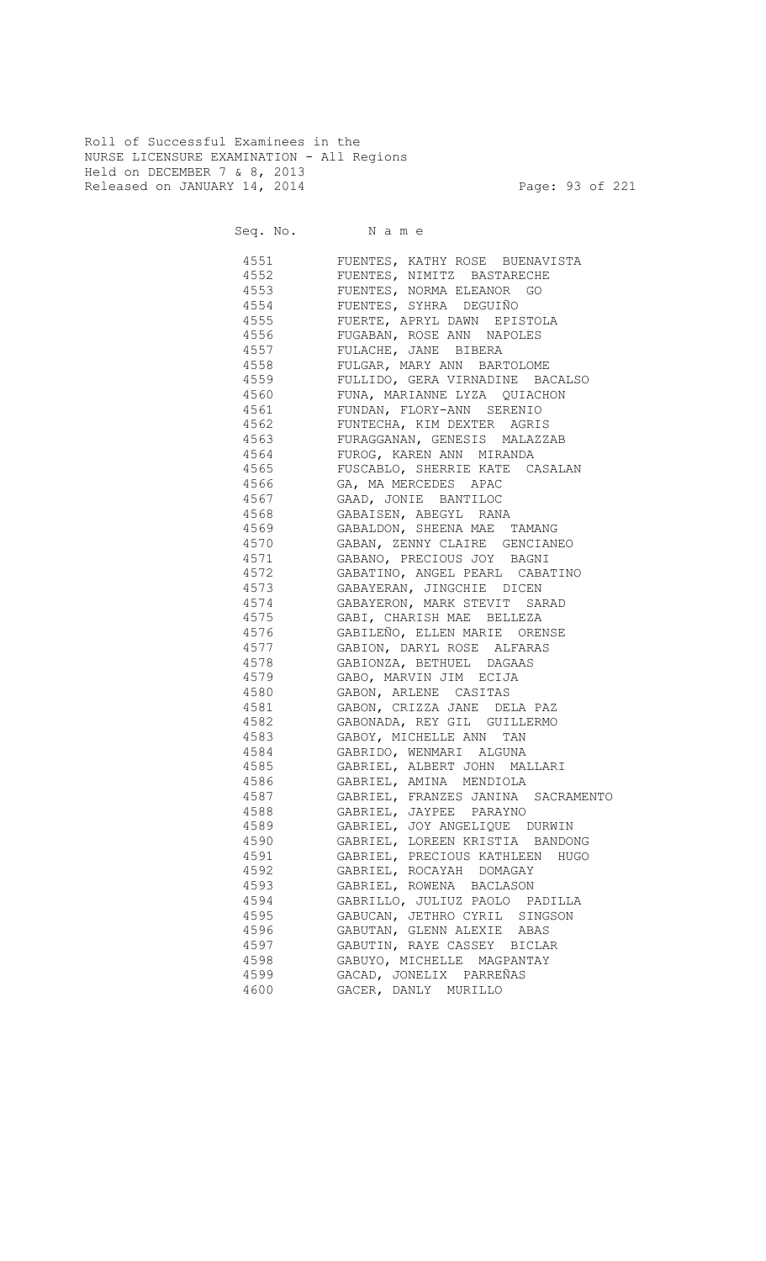Roll of Successful Examinees in the NURSE LICENSURE EXAMINATION - All Regions Held on DECEMBER 7 & 8, 2013 Released on JANUARY 14, 2014 **Page: 93 of 221** 

Seq. No. Name

 4551 FUENTES, KATHY ROSE BUENAVISTA 4552 FUENTES, NIMITZ BASTARECHE 4553 FUENTES, NORMA ELEANOR GO 4554 FUENTES, SYHRA DEGUIÑO 4555 FUERTE, APRYL DAWN EPISTOLA 4556 FUGABAN, ROSE ANN NAPOLES 4557 FULACHE, JANE BIBERA 4558 FULGAR, MARY ANN BARTOLOME 4559 FULLIDO, GERA VIRNADINE BACALSO 4560 FUNA, MARIANNE LYZA QUIACHON 4561 FUNDAN, FLORY-ANN SERENIO 4562 FUNTECHA, KIM DEXTER AGRIS 4563 FURAGGANAN, GENESIS MALAZZAB 4564 FUROG, KAREN ANN MIRANDA 4565 FUSCABLO, SHERRIE KATE CASALAN 4566 GA, MA MERCEDES APAC 4567 GAAD, JONIE BANTILOC 4568 GABAISEN, ABEGYL RANA 4569 GABALDON, SHEENA MAE TAMANG 4570 GABAN, ZENNY CLAIRE GENCIANEO 4571 GABANO, PRECIOUS JOY BAGNI 4572 GABATINO, ANGEL PEARL CABATINO 4573 GABAYERAN, JINGCHIE DICEN 4574 GABAYERON, MARK STEVIT SARAD 4575 GABI, CHARISH MAE BELLEZA 4576 GABILEÑO, ELLEN MARIE ORENSE 4577 GABION, DARYL ROSE ALFARAS 4578 GABIONZA, BETHUEL DAGAAS 4579 GABO, MARVIN JIM ECIJA 4580 GABON, ARLENE CASITAS 4581 GABON, CRIZZA JANE DELA PAZ 4582 GABONADA, REY GIL GUILLERMO 4583 GABOY, MICHELLE ANN TAN 4584 GABRIDO, WENMARI ALGUNA 4585 GABRIEL, ALBERT JOHN MALLARI 4586 GABRIEL, AMINA MENDIOLA 4587 GABRIEL, FRANZES JANINA SACRAMENTO 4588 GABRIEL, JAYPEE PARAYNO 4589 GABRIEL, JOY ANGELIQUE DURWIN 4590 GABRIEL, LOREEN KRISTIA BANDONG 4591 GABRIEL, PRECIOUS KATHLEEN HUGO 4592 GABRIEL, ROCAYAH DOMAGAY 4593 GABRIEL, ROWENA BACLASON 4594 GABRILLO, JULIUZ PAOLO PADILLA 4595 GABUCAN, JETHRO CYRIL SINGSON 4596 GABUTAN, GLENN ALEXIE ABAS 4597 GABUTIN, RAYE CASSEY BICLAR 4598 GABUYO, MICHELLE MAGPANTAY 4599 GACAD, JONELIX PARREÑAS 4600 GACER, DANLY MURILLO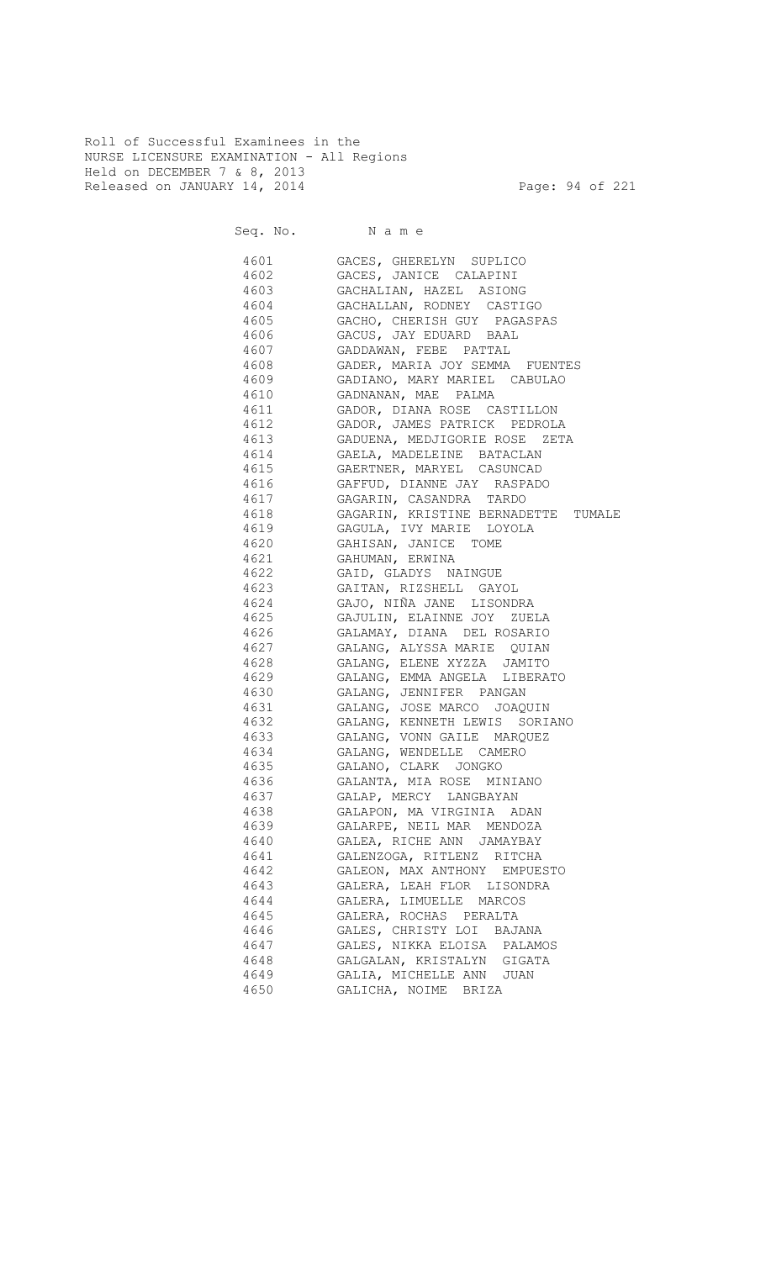Roll of Successful Examinees in the NURSE LICENSURE EXAMINATION - All Regions Held on DECEMBER 7 & 8, 2013 Released on JANUARY 14, 2014 **Page: 94 of 221** 

Seq. No. Name 4601 GACES, GHERELYN SUPLICO 4602 GACES, JANICE CALAPINI 4603 GACHALIAN, HAZEL ASIONG 4604 GACHALLAN, RODNEY CASTIGO<br>4605 GACHO, CHERISH GUY PAGASP. GACHO, CHERISH GUY PAGASPAS 4606 GACUS, JAY EDUARD BAAL 4607 GADDAWAN, FEBE PATTAL 4608 GADER, MARIA JOY SEMMA FUENTES 4609 GADIANO, MARY MARIEL CABULAO 4610 GADNANAN, MAE PALMA 4611 GADOR, DIANA ROSE CASTILLON 4612 GADOR, JAMES PATRICK PEDROLA 4613 GADUENA, MEDJIGORIE ROSE ZETA 4614 GAELA, MADELEINE BATACLAN 4615 GAERTNER, MARYEL CASUNCAD 4616 GAFFUD, DIANNE JAY RASPADO 4617 GAGARIN, CASANDRA TARDO 4618 GAGARIN, KRISTINE BERNADETTE TUMALE 4619 GAGULA, IVY MARIE LOYOLA 4620 GAHISAN, JANICE TOME 4621 GAHUMAN, ERWINA 4622 GAID, GLADYS NAINGUE 4623 GAITAN, RIZSHELL GAYOL 4624 GAJO, NIÑA JANE LISONDRA 4625 GAJULIN, ELAINNE JOY ZUELA 4626 GALAMAY, DIANA DEL ROSARIO 4627 GALANG, ALYSSA MARIE QUIAN 4628 GALANG, ELENE XYZZA JAMITO 4629 GALANG, EMMA ANGELA LIBERATO 4630 GALANG, JENNIFER PANGAN 4631 GALANG, JOSE MARCO JOAQUIN 4632 GALANG, KENNETH LEWIS SORIANO 4633 GALANG, VONN GAILE MARQUEZ 4634 GALANG, WENDELLE CAMERO 4635 GALANO, CLARK JONGKO

> 4636 GALANTA, MIA ROSE MINIANO 4637 GALAP, MERCY LANGBAYAN 4638 GALAPON, MA VIRGINIA ADAN 4639 GALARPE, NEIL MAR MENDOZA 4640 GALEA, RICHE ANN JAMAYBAY 4641 GALENZOGA, RITLENZ RITCHA 4642 GALEON, MAX ANTHONY EMPUESTO 4643 GALERA, LEAH FLOR LISONDRA 4644 GALERA, LIMUELLE MARCOS 4645 GALERA, ROCHAS PERALTA 4646 GALES, CHRISTY LOI BAJANA 4647 GALES, NIKKA ELOISA PALAMOS 4648 GALGALAN, KRISTALYN GIGATA 4649 GALIA, MICHELLE ANN JUAN 4650 GALICHA, NOIME BRIZA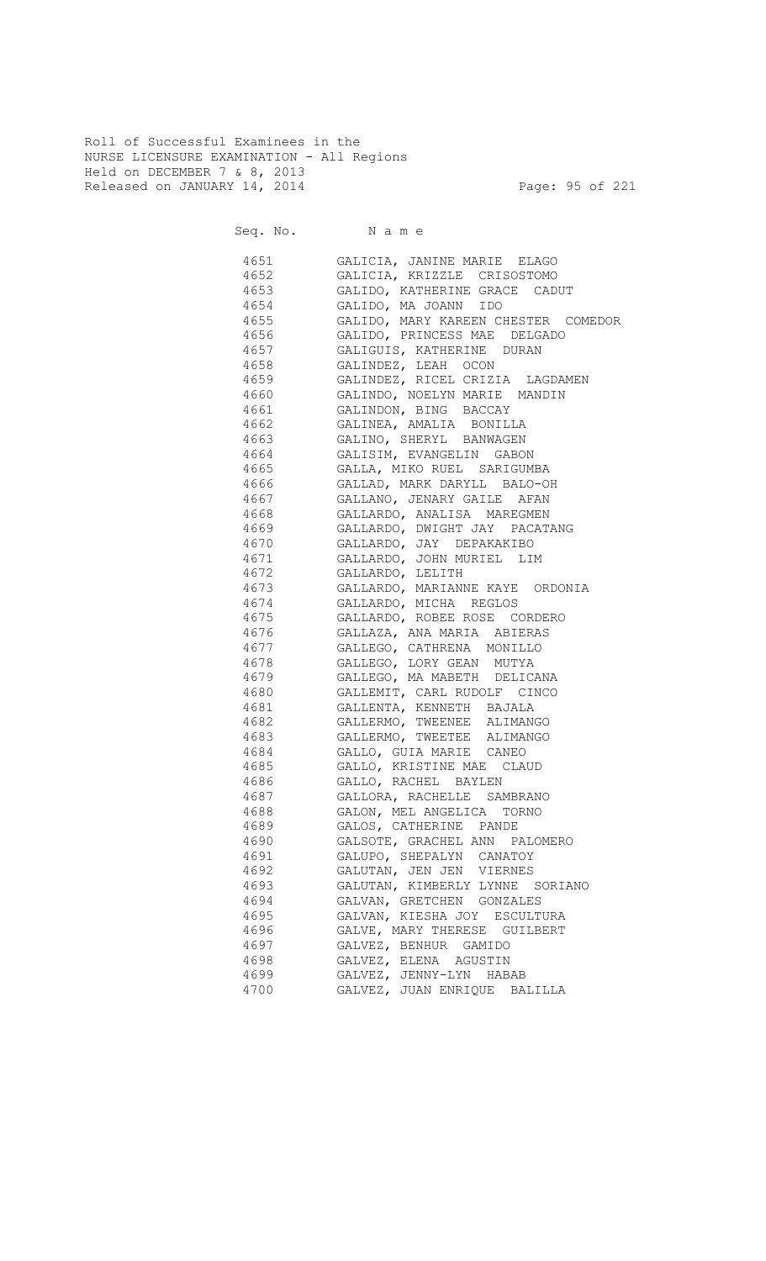Roll of Successful Examinees in the NURSE LICENSURE EXAMINATION - All Regions Held on DECEMBER 7 & 8, 2013 Released on JANUARY 14, 2014 **Page: 95 of 221** 

|      | 4651 GALICIA, JANINE MARIE ELAGO          |
|------|-------------------------------------------|
|      | 4652 GALICIA, KRIZZLE CRISOSTOMO          |
|      | 4653 GALIDO, KATHERINE GRACE CADUT        |
|      | 4654 GALIDO, MA JOANN IDO                 |
|      | 4655 GALIDO, MARY KAREEN CHESTER COMEDOR  |
|      | 4656 GALIDO, PRINCESS MAE DELGADO         |
|      | 4657 GALIGUIS, KATHERINE DURAN            |
|      | 4658 GALINDEZ, LEAH OCON                  |
|      | 4659      GALINDEZ, RICEL CRIZIA LAGDAMEN |
|      |                                           |
|      | 4661 GALINDON, BING BACCAY                |
|      |                                           |
|      | 4663 GALINO, SHERYL BANWAGEN              |
|      | 4664 GALISIM, EVANGELIN GABON             |
|      | 4665      GALLA, MIKO RUEL  SARIGUMBA     |
|      |                                           |
|      |                                           |
|      | 4668 GALLARDO, ANALISA MAREGMEN           |
|      |                                           |
|      | 4670 GALLARDO, JAY DEPAKAKIBO             |
|      | 4671      GALLARDO, JOHN MURIEL   LIM     |
|      | 4672 GALLARDO, LELITH                     |
|      | 4673 GALLARDO, MARIANNE KAYE ORDONIA      |
|      | 4674 GALLARDO, MICHA REGLOS               |
|      |                                           |
|      | 4675 GALLARDO, ROBEE ROSE CORDERO         |
|      | 4676      GALLAZA, ANA MARIA ABIERAS      |
|      | 4677 GALLEGO, CATHRENA MONILLO            |
|      | 4678 GALLEGO, LORY GEAN MUTYA             |
|      | 4679 GALLEGO, MA MABETH DELICANA          |
|      | 4680 GALLEMIT, CARL RUDOLF CINCO          |
| 4681 | GALLENTA, KENNETH BAJALA                  |
|      | 4682 GALLERMO, TWEENEE ALIMANGO           |
|      | 4683 GALLERMO, TWEETEE ALIMANGO           |
| 4684 | GALLO, GUIA MARIE CANEO                   |
| 4685 | GALLO, KRISTINE MAE CLAUD                 |
| 4686 | GALLO, RACHEL BAYLEN                      |
| 4687 | GALLORA, RACHELLE SAMBRANO                |
| 4688 | GALON, MEL ANGELICA TORNO                 |
| 4689 | GALOS, CATHERINE PANDE                    |
| 4690 | GALSOTE, GRACHEL ANN PALOMERO             |
| 4691 | GALUPO, SHEPALYN CANATOY                  |
| 4692 | GALUTAN, JEN JEN VIERNES                  |
| 4693 | GALUTAN, KIMBERLY LYNNE SORIANO           |
| 4694 | GALVAN, GRETCHEN GONZALES                 |
| 4695 | GALVAN, KIESHA JOY ESCULTURA              |
| 4696 | GALVE, MARY THERESE GUILBERT              |
| 4697 | GALVEZ, BENHUR GAMIDO                     |
| 4698 | GALVEZ, ELENA AGUSTIN                     |
| 4699 | GALVEZ, JENNY-LYN HABAB                   |
| 4700 | GALVEZ, JUAN ENRIQUE BALILLA              |
|      |                                           |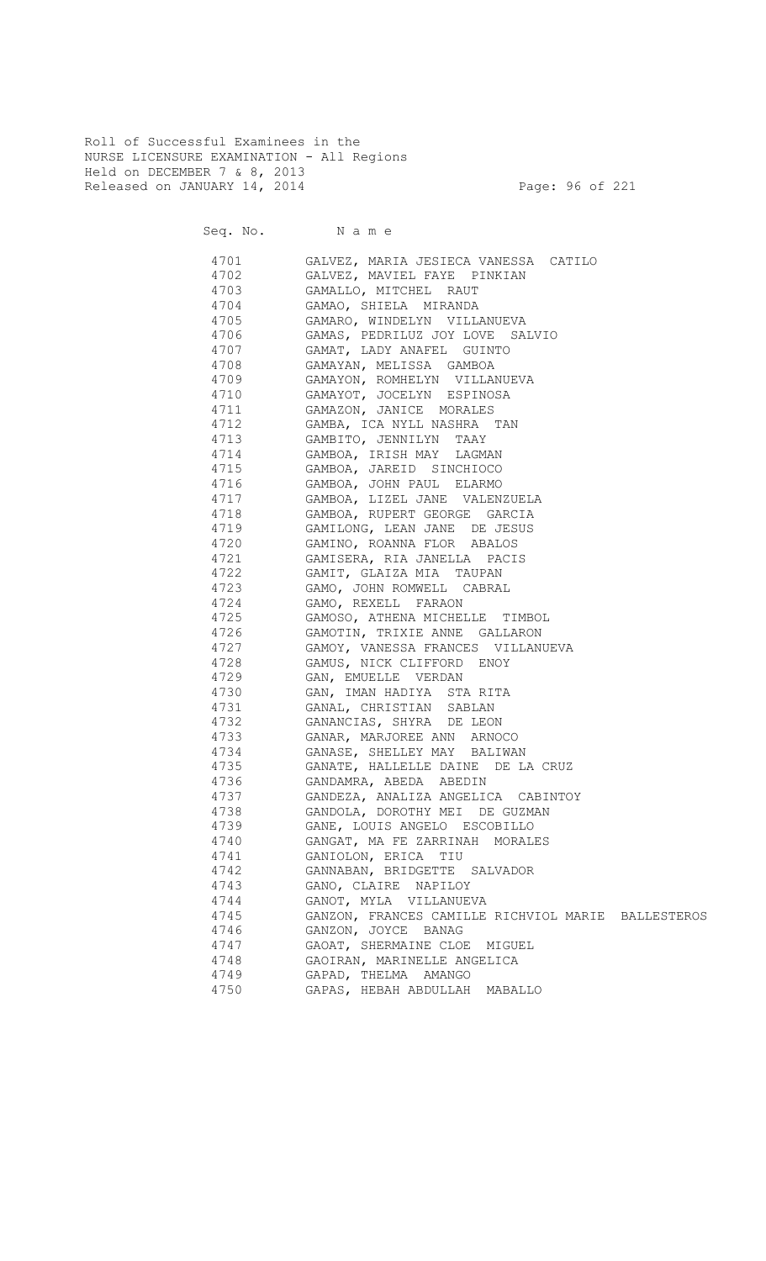Roll of Successful Examinees in the NURSE LICENSURE EXAMINATION - All Regions Held on DECEMBER 7 & 8, 2013 Released on JANUARY 14, 2014 **Page: 96 of 221** 

Seq. No. Name

 4701 GALVEZ, MARIA JESIECA VANESSA CATILO 4702 GALVEZ, MAVIEL FAYE PINKIAN 4703 GAMALLO, MITCHEL RAUT 4704 GAMAO, SHIELA MIRANDA GAMARO, WINDELYN VILLANUEVA 4706 GAMAS, PEDRILUZ JOY LOVE SALVIO 4707 GAMAT, LADY ANAFEL GUINTO 4708 GAMAYAN, MELISSA GAMBOA GAMAYON, ROMHELYN VILLANUEVA 4710 GAMAYOT, JOCELYN ESPINOSA 4711 GAMAZON, JANICE MORALES 4712 GAMBA, ICA NYLL NASHRA TAN 4713 GAMBITO, JENNILYN TAAY 4714 GAMBOA, IRISH MAY LAGMAN 4715 GAMBOA, JAREID SINCHIOCO 4716 GAMBOA, JOHN PAUL ELARMO 4717 GAMBOA, LIZEL JANE VALENZUELA GAMBOA, RUPERT GEORGE GARCIA 4719 GAMILONG, LEAN JANE DE JESUS GAMINO, ROANNA FLOR ABALOS 4721 GAMISERA, RIA JANELLA PACIS 4722 GAMIT, GLAIZA MIA TAUPAN 4723 GAMO, JOHN ROMWELL CABRAL 4724 GAMO, REXELL FARAON<br>4725 GAMOSO, ATHENA MICHEL GAMOSO, ATHENA MICHELLE TIMBOL 4726 GAMOTIN, TRIXIE ANNE GALLARON 4727 GAMOY, VANESSA FRANCES VILLANUEVA 4728 GAMUS, NICK CLIFFORD ENOY 4729 GAN, EMUELLE VERDAN 4730 GAN, IMAN HADIYA STA RITA 4731 GANAL, CHRISTIAN SABLAN 4732 GANANCIAS, SHYRA DE LEON 4733 GANAR, MARJOREE ANN ARNOCO 4734 GANASE, SHELLEY MAY BALIWAN 4735 GANATE, HALLELLE DAINE DE LA CRUZ 4736 GANDAMRA, ABEDA ABEDIN 4737 GANDEZA, ANALIZA ANGELICA CABINTOY 4738 GANDOLA, DOROTHY MEI DE GUZMAN 4739 GANE, LOUIS ANGELO ESCOBILLO 4740 GANGAT, MA FE ZARRINAH MORALES 4741 GANIOLON, ERICA TIU 4742 GANNABAN, BRIDGETTE SALVADOR 4743 GANO, CLAIRE NAPILOY 4744 GANOT, MYLA VILLANUEVA 4745 GANZON, FRANCES CAMILLE RICHVIOL MARIE BALLESTEROS GANZON, JOYCE BANAG 4747 GAOAT, SHERMAINE CLOE MIGUEL 4748 GAOIRAN, MARINELLE ANGELICA 4749 GAPAD, THELMA AMANGO 4750 GAPAS, HEBAH ABDULLAH MABALLO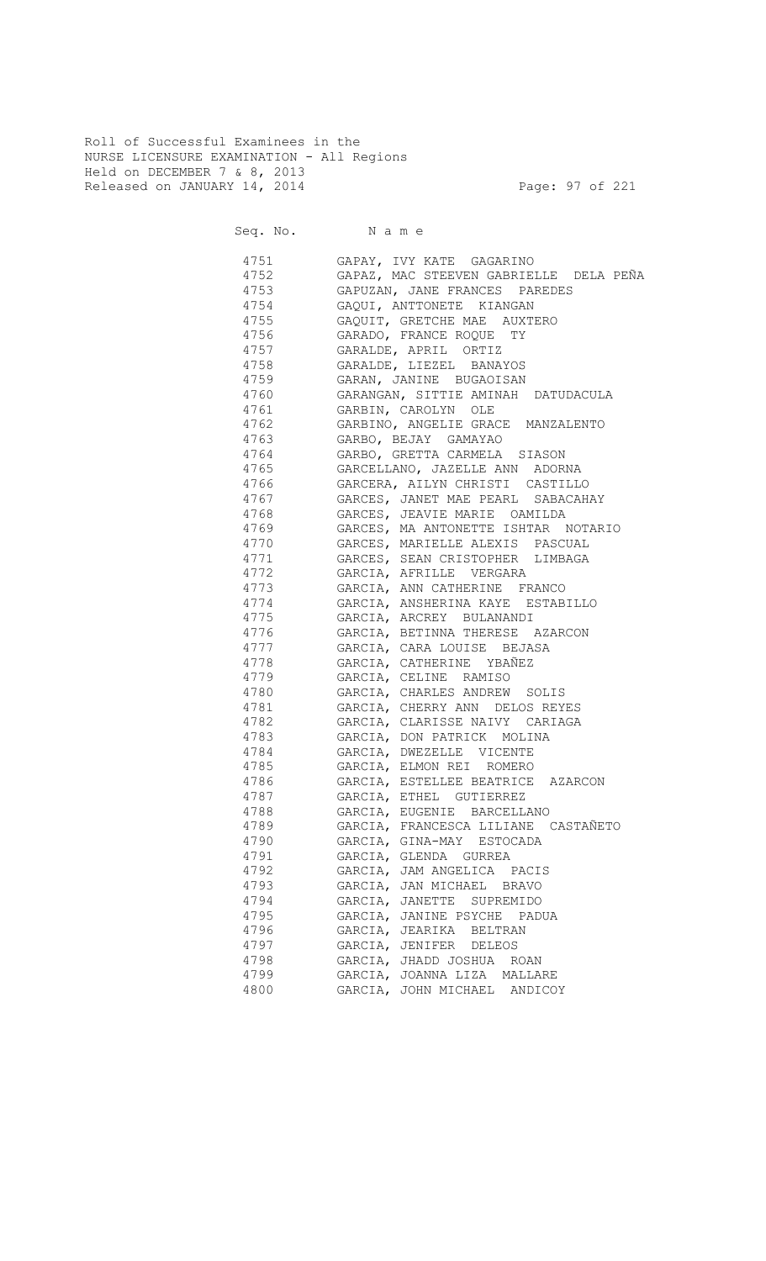Roll of Successful Examinees in the NURSE LICENSURE EXAMINATION - All Regions Held on DECEMBER 7 & 8, 2013 Released on JANUARY 14, 2014 **Page: 97 of 221** 

| 4751     | GAPAY, IVY KATE GAGARINO                                      |
|----------|---------------------------------------------------------------|
| 4752     | GAPAZ, MAC STEEVEN GABRIELLE DELA PEÑA                        |
| 4753     | GAPUZAN, JANE FRANCES PAREDES                                 |
| 4754     | GAQUI, ANTTONETE KIANGAN                                      |
| 4755 300 | GAQUIT, GRETCHE MAE AUXTERO                                   |
| 4756 300 | GARADO, FRANCE ROQUE TY                                       |
| 4757     | GARALDE, APRIL ORTIZ                                          |
| 4758 30  | GARALDE, LIEZEL BANAYOS                                       |
| 4759     | GARAN, JANINE BUGAOISAN                                       |
| 4760 300 | GARANGAN, SITTIE AMINAH DATUDACULA                            |
| 4761     | GARBIN, CAROLYN OLE                                           |
| 4762     | GARBINO, ANGELIE GRACE MANZALENTO                             |
| 4763     | GARBO, BEJAY GAMAYAO                                          |
| 4764     | GARBO, GRETTA CARMELA SIASON                                  |
| 4765     | GARCELLANO, JAZELLE ANN ADORNA                                |
| 4766     | GARCERA, AILYN CHRISTI CASTILLO                               |
| 4767     | GARCES, JANET MAE PEARL SABACAHAY                             |
| 4768     | GARCES, JEAVIE MARIE OAMILDA                                  |
| 4769     | GARCES, MA ANTONETTE ISHTAR NOTARIO                           |
| 4770     | GARCES, MARIELLE ALEXIS PASCUAL                               |
| 4771     | GARCES, SEAN CRISTOPHER LIMBAGA                               |
| 4772     | GARCIA, AFRILLE VERGARA                                       |
| 4773     | GARCIA, ANN CATHERINE FRANCO                                  |
| 4774     | GARCIA, ANSHERINA KAYE ESTABILLO                              |
|          | GARCIA, ARCREY BULANANDI                                      |
| 4775     |                                                               |
| 4776     | GARCIA, BETINNA THERESE AZARCON<br>GARCIA, CARA LOUISE BEJASA |
| 4777     | GARCIA, CATHERINE YBAÑEZ                                      |
| 4778     |                                                               |
|          | 4779 GARCIA, CELINE RAMISO                                    |
| 4780     | GARCIA, CHARLES ANDREW SOLIS                                  |
| 4781     | GARCIA, CHERRY ANN DELOS REYES                                |
| 4782     | GARCIA, CLARISSE NAIVY CARIAGA                                |
| 4783     | GARCIA, DON PATRICK MOLINA                                    |
| 4784     | GARCIA, DWEZELLE VICENTE                                      |
| 4785     | GARCIA, ELMON REI ROMERO                                      |
| 4786     | GARCIA, ESTELLEE BEATRICE AZARCON                             |
| 4787     | GARCIA, ETHEL GUTIERREZ                                       |
| 4788     | GARCIA, EUGENIE BARCELLANO                                    |
| 4789     | GARCIA, FRANCESCA LILIANE CASTAÑETO                           |
| 4790     | GARCIA, GINA-MAY ESTOCADA                                     |
| 4791     | GARCIA, GLENDA GURREA                                         |
| 4792     | GARCIA, JAM ANGELICA PACIS                                    |
| 4793     | GARCIA, JAN MICHAEL BRAVO                                     |
| 4794     | GARCIA, JANETTE SUPREMIDO                                     |
| 4795     | GARCIA, JANINE PSYCHE PADUA                                   |
| 4796     | GARCIA, JEARIKA BELTRAN                                       |
| 4797     | GARCIA, JENIFER DELEOS                                        |
| 4798     | GARCIA, JHADD JOSHUA ROAN                                     |
| 4799     | GARCIA, JOANNA LIZA MALLARE                                   |
| 4800     | GARCIA, JOHN MICHAEL ANDICOY                                  |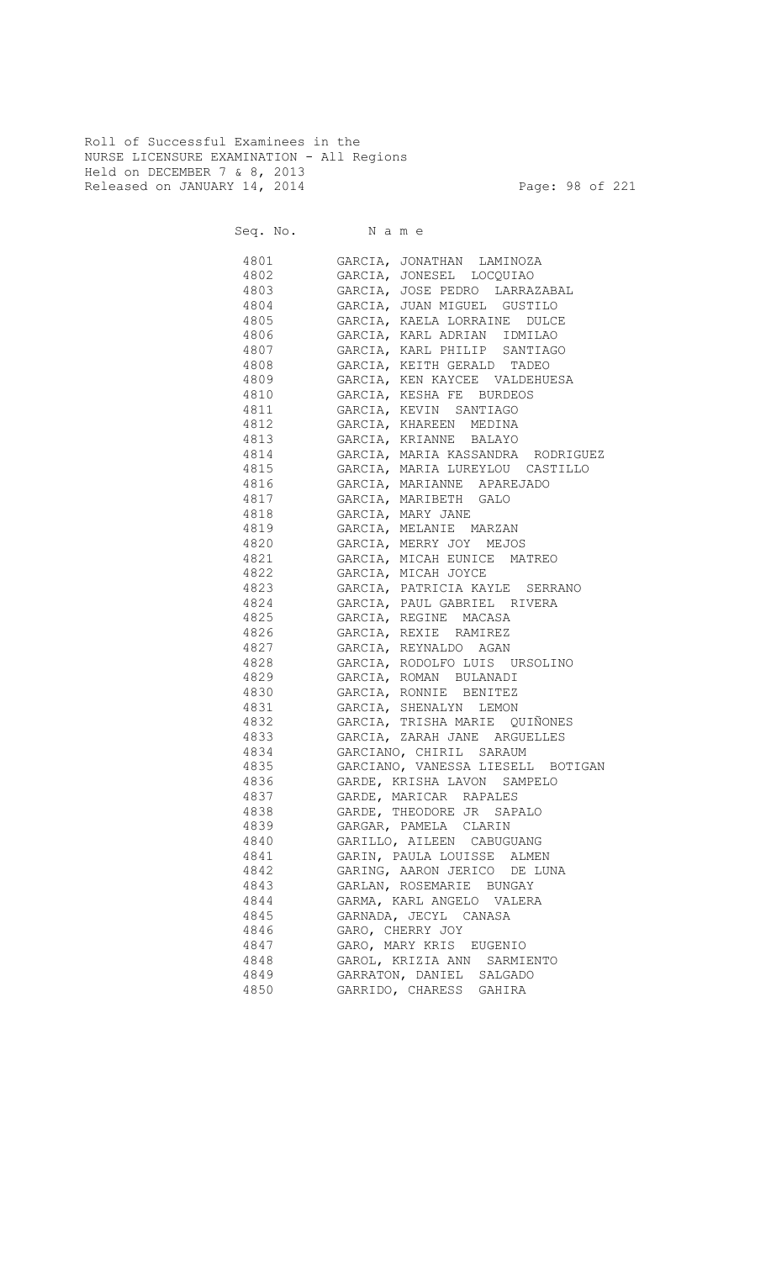Roll of Successful Examinees in the NURSE LICENSURE EXAMINATION - All Regions Held on DECEMBER 7 & 8, 2013 Released on JANUARY 14, 2014 **Page: 98 of 221** 

|      | 4801 GARCIA, JONATHAN LAMINOZA         |
|------|----------------------------------------|
|      | 4802 GARCIA, JONESEL LOCQUIAO          |
|      | 4803 GARCIA, JOSE PEDRO LARRAZABAL     |
|      | 4804 GARCIA, JUAN MIGUEL GUSTILO       |
|      | 4805 GARCIA, KAELA LORRAINE DULCE      |
|      | 4806 GARCIA, KARL ADRIAN IDMILAO       |
|      | 4807 GARCIA, KARL PHILIP SANTIAGO      |
|      | 4808 GARCIA, KEITH GERALD TADEO        |
|      | 4809 GARCIA, KEN KAYCEE VALDEHUESA     |
|      | 4810 GARCIA, KESHA FE BURDEOS          |
|      | 4811 GARCIA, KEVIN SANTIAGO            |
|      | 4812 GARCIA, KHAREEN MEDINA            |
|      | 4813 GARCIA, KRIANNE BALAYO            |
|      | 4814 GARCIA, MARIA KASSANDRA RODRIGUEZ |
|      | 4815 GARCIA, MARIA LUREYLOU CASTILLO   |
|      | 4816 GARCIA, MARIANNE APAREJADO        |
|      | 4817 GARCIA, MARIBETH GALO             |
|      | 4818 GARCIA, MARY JANE                 |
|      | 4819 GARCIA, MELANIE MARZAN            |
|      | 4820 GARCIA, MERRY JOY MEJOS           |
|      | 4821 GARCIA, MICAH EUNICE MATREO       |
|      | 4822 GARCIA, MICAH JOYCE               |
|      | 4823 GARCIA, PATRICIA KAYLE SERRANO    |
|      | 4824 GARCIA, PAUL GABRIEL RIVERA       |
|      | 4825 GARCIA, REGINE MACASA             |
|      | 4826 GARCIA, REXIE RAMIREZ             |
|      | 4827 GARCIA, REYNALDO AGAN             |
|      | 4828 GARCIA, RODOLFO LUIS URSOLINO     |
|      | 4829 GARCIA, ROMAN BULANADI            |
|      | 4830 GARCIA, RONNIE BENITEZ            |
| 4831 | GARCIA, SHENALYN LEMON                 |
|      | 4832 GARCIA, TRISHA MARIE QUIÑONES     |
| 4833 | GARCIA, ZARAH JANE ARGUELLES           |
| 4834 | GARCIANO, CHIRIL SARAUM                |
| 4835 | GARCIANO, VANESSA LIESELL BOTIGAN      |
| 4836 | GARDE, KRISHA LAVON SAMPELO            |
| 4837 | GARDE, MARICAR RAPALES                 |
| 4838 | GARDE, THEODORE JR SAPALO              |
| 4839 | GARGAR, PAMELA CLARIN                  |
| 4840 | GARILLO, AILEEN CABUGUANG              |
| 4841 | GARIN, PAULA LOUISSE ALMEN             |
| 4842 | GARING, AARON JERICO DE LUNA           |
| 4843 | GARLAN, ROSEMARIE BUNGAY               |
| 4844 | GARMA, KARL ANGELO VALERA              |
| 4845 | GARNADA, JECYL CANASA                  |
| 4846 | GARO, CHERRY JOY                       |
| 4847 | GARO, MARY KRIS EUGENIO                |
| 4848 | GAROL, KRIZIA ANN SARMIENTO            |
| 4849 | GARRATON, DANIEL SALGADO               |
| 4850 | GARRIDO, CHARESS GAHIRA                |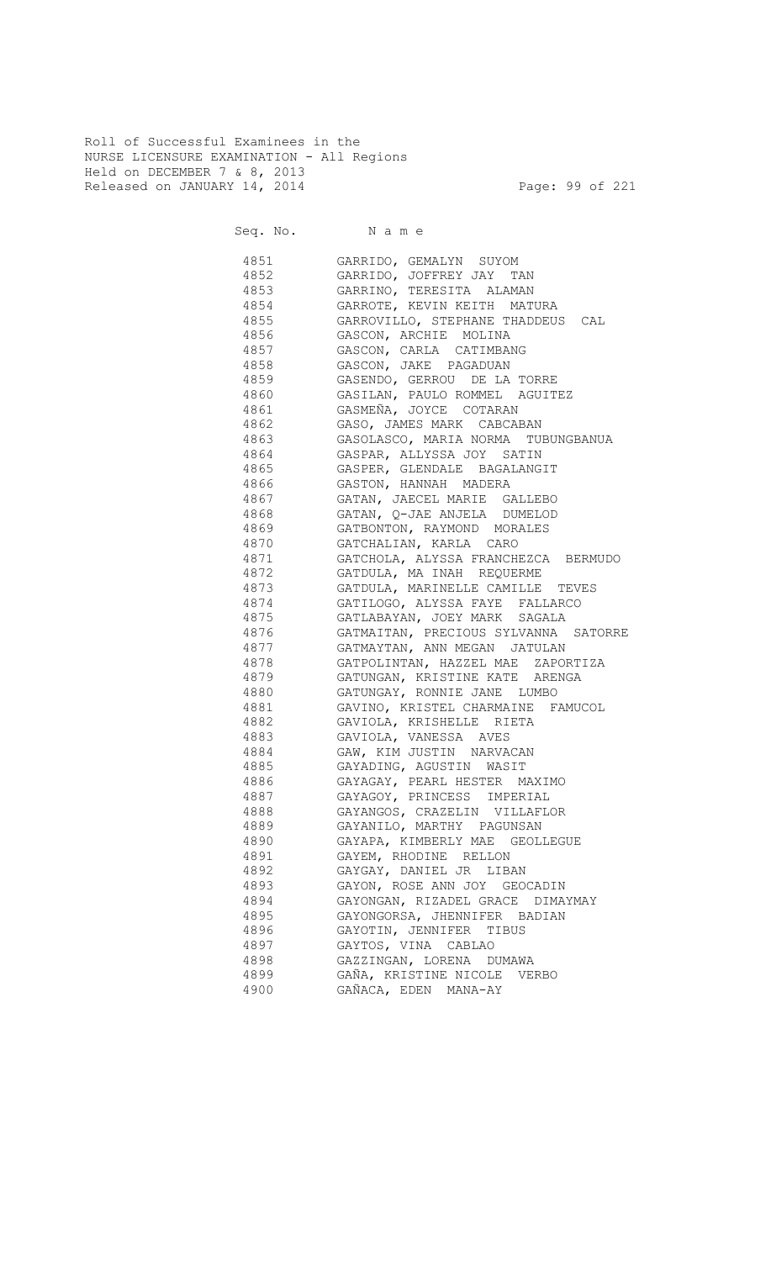Roll of Successful Examinees in the NURSE LICENSURE EXAMINATION - All Regions Held on DECEMBER 7 & 8, 2013 Released on JANUARY 14, 2014 **Page: 99 of 221** 

Seq. No. Name

 4851 GARRIDO, GEMALYN SUYOM 4852 GARRIDO, JOFFREY JAY TAN 4853 GARRINO, TERESITA ALAMAN 4854 GARROTE, KEVIN KEITH MATURA 4855 GARROVILLO, STEPHANE THADDEUS CAL 4856 GASCON, ARCHIE MOLINA 4857 GASCON, CARLA CATIMBANG 4858 GASCON, JAKE PAGADUAN 4859 GASENDO, GERROU DE LA TORRE 4860 GASILAN, PAULO ROMMEL AGUITEZ 4861 GASMEÑA, JOYCE COTARAN 4862 GASO, JAMES MARK CABCABAN 4863 GASOLASCO, MARIA NORMA TUBUNGBANUA 4864 GASPAR, ALLYSSA JOY SATIN 4865 GASPER, GLENDALE BAGALANGIT 4866 GASTON, HANNAH MADERA 4867 GATAN, JAECEL MARIE GALLEBO 4868 GATAN, Q-JAE ANJELA DUMELOD 4869 GATBONTON, RAYMOND MORALES 4870 GATCHALIAN, KARLA CARO 4871 GATCHOLA, ALYSSA FRANCHEZCA BERMUDO 4872 GATDULA, MA INAH REQUERME 4873 GATDULA, MARINELLE CAMILLE TEVES 4874 GATILOGO, ALYSSA FAYE FALLARCO 4875 GATLABAYAN, JOEY MARK SAGALA 4876 GATMAITAN, PRECIOUS SYLVANNA SATORRE 4877 GATMAYTAN, ANN MEGAN JATULAN 4878 GATPOLINTAN, HAZZEL MAE ZAPORTIZA 4879 GATUNGAN, KRISTINE KATE ARENGA 4880 GATUNGAY, RONNIE JANE LUMBO 4881 GAVINO, KRISTEL CHARMAINE FAMUCOL 4882 GAVIOLA, KRISHELLE RIETA 4883 GAVIOLA, VANESSA AVES 4884 GAW, KIM JUSTIN NARVACAN 4885 GAYADING, AGUSTIN WASIT 4886 GAYAGAY, PEARL HESTER MAXIMO 4887 GAYAGOY, PRINCESS IMPERIAL 4888 GAYANGOS, CRAZELIN VILLAFLOR 4889 GAYANILO, MARTHY PAGUNSAN 4890 GAYAPA, KIMBERLY MAE GEOLLEGUE 4891 GAYEM, RHODINE RELLON 4892 GAYGAY, DANIEL JR LIBAN 4893 GAYON, ROSE ANN JOY GEOCADIN 4894 GAYONGAN, RIZADEL GRACE DIMAYMAY 4895 GAYONGORSA, JHENNIFER BADIAN 4896 GAYOTIN, JENNIFER TIBUS 4897 GAYTOS, VINA CABLAO 4898 GAZZINGAN, LORENA DUMAWA 4899 GAÑA, KRISTINE NICOLE VERBO 4900 GAÑACA, EDEN MANA-AY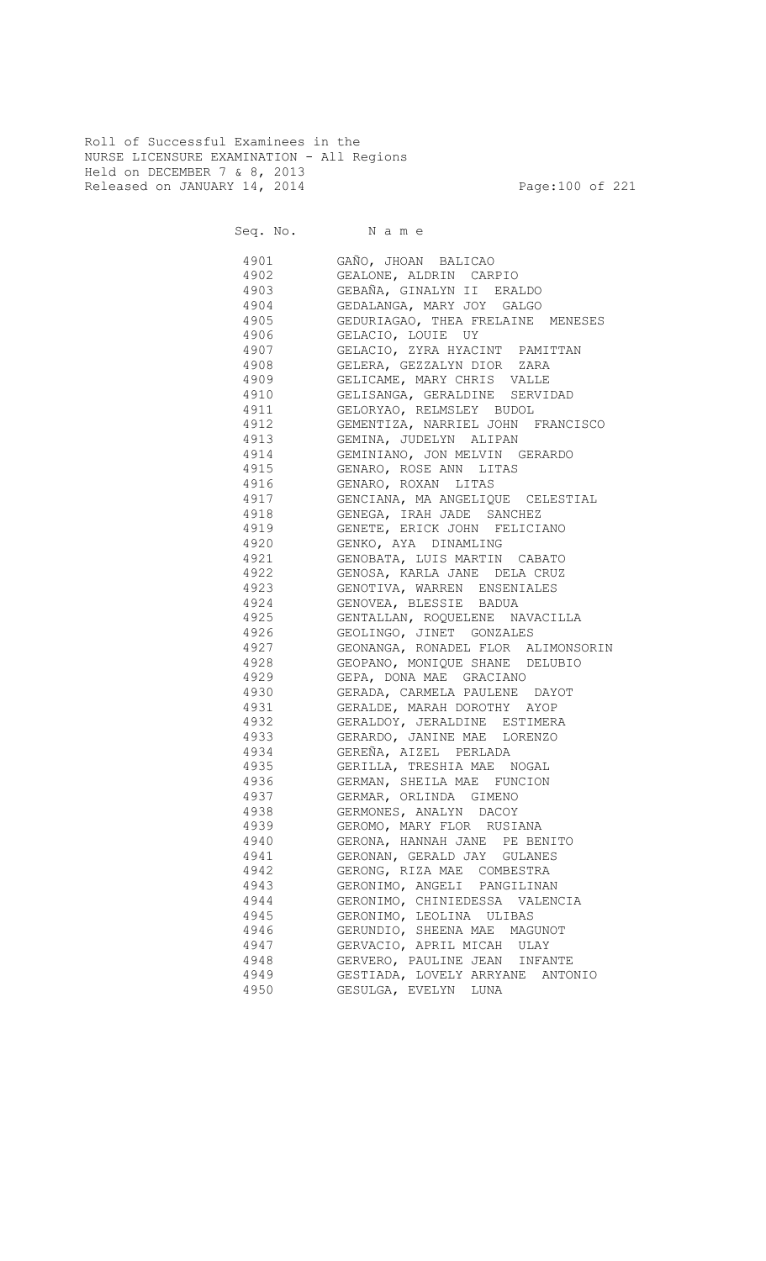Roll of Successful Examinees in the NURSE LICENSURE EXAMINATION - All Regions Held on DECEMBER 7 & 8, 2013 Released on JANUARY 14, 2014 **Page:100 of 221** 

Seq. No. Name 4901 GAÑO, JHOAN BALICAO 4902 GEALONE, ALDRIN CARPIO 4903 GEBAÑA, GINALYN II ERALDO 4904 GEDALANGA, MARY JOY GALGO GEDURIAGAO, THEA FRELAINE MENESES 4906 GELACIO, LOUIE UY 4907 GELACIO, ZYRA HYACINT PAMITTAN 4908 GELERA, GEZZALYN DIOR ZARA 4909 GELICAME, MARY CHRIS VALLE 4910 GELISANGA, GERALDINE SERVIDAD 4911 GELORYAO, RELMSLEY BUDOL 4912 GEMENTIZA, NARRIEL JOHN FRANCISCO 4913 GEMINA, JUDELYN ALIPAN 4914 GEMINIANO, JON MELVIN GERARDO 4915 GENARO, ROSE ANN LITAS 4916 GENARO, ROXAN LITAS 4917 GENCIANA, MA ANGELIQUE CELESTIAL 4918 GENEGA, IRAH JADE SANCHEZ 4919 GENETE, ERICK JOHN FELICIANO 4920 GENKO, AYA DINAMLING 4921 GENOBATA, LUIS MARTIN CABATO 4922 GENOSA, KARLA JANE DELA CRUZ 4923 GENOTIVA, WARREN ENSENIALES 4924 GENOVEA, BLESSIE BADUA 4925 GENTALLAN, ROQUELENE NAVACILLA 4926 GEOLINGO, JINET GONZALES 4927 GEONANGA, RONADEL FLOR ALIMONSORIN 4928 GEOPANO, MONIQUE SHANE DELUBIO 4929 GEPA, DONA MAE GRACIANO 4930 GERADA, CARMELA PAULENE DAYOT 4931 GERALDE, MARAH DOROTHY AYOP 4932 GERALDOY, JERALDINE ESTIMERA 4933 GERARDO, JANINE MAE LORENZO 4934 GEREÑA, AIZEL PERLADA 4935 GERILLA, TRESHIA MAE NOGAL 4936 GERMAN, SHEILA MAE FUNCION 4937 GERMAR, ORLINDA GIMENO 4938 GERMONES, ANALYN DACOY 4939 GEROMO, MARY FLOR RUSIANA 4940 GERONA, HANNAH JANE PE BENITO 4941 GERONAN, GERALD JAY GULANES 4942 GERONG, RIZA MAE COMBESTRA 4943 GERONIMO, ANGELI PANGILINAN 4944 GERONIMO, CHINIEDESSA VALENCIA

 4945 GERONIMO, LEOLINA ULIBAS 4946 GERUNDIO, SHEENA MAE MAGUNOT 4947 GERVACIO, APRIL MICAH ULAY 4948 GERVERO, PAULINE JEAN INFANTE 4949 GESTIADA, LOVELY ARRYANE ANTONIO

4950 GESULGA, EVELYN LUNA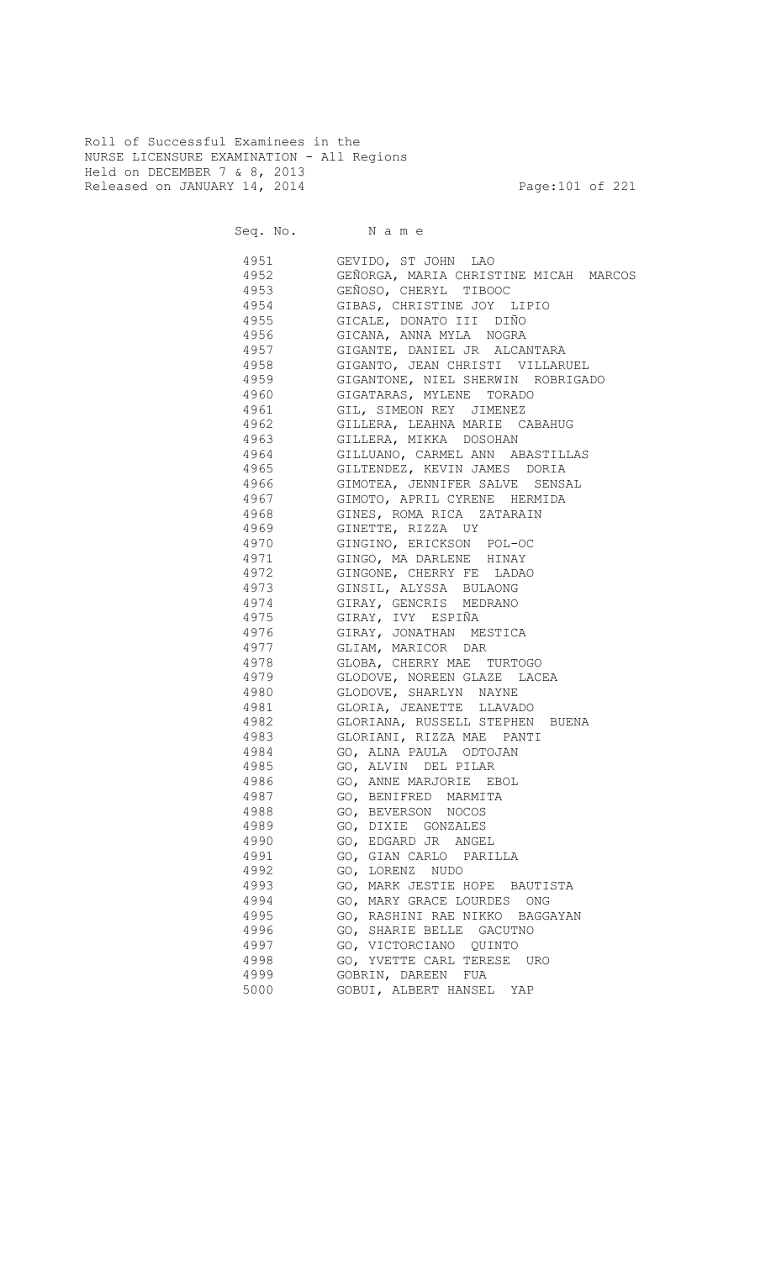Roll of Successful Examinees in the NURSE LICENSURE EXAMINATION - All Regions Held on DECEMBER 7 & 8, 2013 Released on JANUARY 14, 2014 **Page:101 of 221** 

Seq. No. Name

1951 GEVIDO, ST JOHN LAO<br>1952 GEÑORGA, MARTA CHRIS GEÑORGA, MARIA CHRISTINE MICAH MARCOS 4953 GEÑOSO, CHERYL TIBOOC 4954 GIBAS, CHRISTINE JOY LIPIO<br>4955 GICALE, DONATO III DIÑO 4955 GICALE, DONATO III DIÑO 4956 GICANA, ANNA MYLA NOGRA 4957 GIGANTE, DANIEL JR ALCANTARA 4958 GIGANTO, JEAN CHRISTI VILLARUEL 4959 GIGANTONE, NIEL SHERWIN ROBRIGADO 4960 GIGATARAS, MYLENE TORADO 4961 GIL, SIMEON REY JIMENEZ 4962 GILLERA, LEAHNA MARIE CABAHUG 4963 GILLERA, MIKKA DOSOHAN 4964 GILLUANO, CARMEL ANN ABASTILLAS 4965 GILTENDEZ, KEVIN JAMES DORIA 4966 GIMOTEA, JENNIFER SALVE SENSAL 4967 GIMOTO, APRIL CYRENE HERMIDA 4968 GINES, ROMA RICA ZATARAIN 4969 GINETTE, RIZZA UY 4970 GINGINO, ERICKSON POL-OC 4971 GINGO, MA DARLENE HINAY 4972 GINGONE, CHERRY FE LADAO 4973 GINSIL, ALYSSA BULAONG 4974 GIRAY, GENCRIS MEDRANO 4975 GIRAY, IVY ESPIÑA 4976 GIRAY, JONATHAN MESTICA 4977 GLIAM, MARICOR DAR 4978 GLOBA, CHERRY MAE TURTOGO 4979 GLODOVE, NOREEN GLAZE LACEA 4980 GLODOVE, SHARLYN NAYNE 4981 GLORIA, JEANETTE LLAVADO 4982 GLORIANA, RUSSELL STEPHEN BUENA 4983 GLORIANI, RIZZA MAE PANTI 4984 GO, ALNA PAULA ODTOJAN 4985 GO, ALVIN DEL PILAR 4986 GO, ANNE MARJORIE EBOL 4987 GO, BENIFRED MARMITA 4988 GO, BEVERSON NOCOS 4989 GO, DIXIE GONZALES 4990 GO, EDGARD JR ANGEL 4991 GO, GIAN CARLO PARILLA 4992 GO, LORENZ NUDO 4993 GO, MARK JESTIE HOPE BAUTISTA 4994 GO, MARY GRACE LOURDES ONG 4995 GO, RASHINI RAE NIKKO BAGGAYAN 4996 GO, SHARIE BELLE GACUTNO 4997 GO, VICTORCIANO QUINTO 4998 GO, YVETTE CARL TERESE URO 4999 GOBRIN, DAREEN FUA 5000 GOBUI, ALBERT HANSEL YAP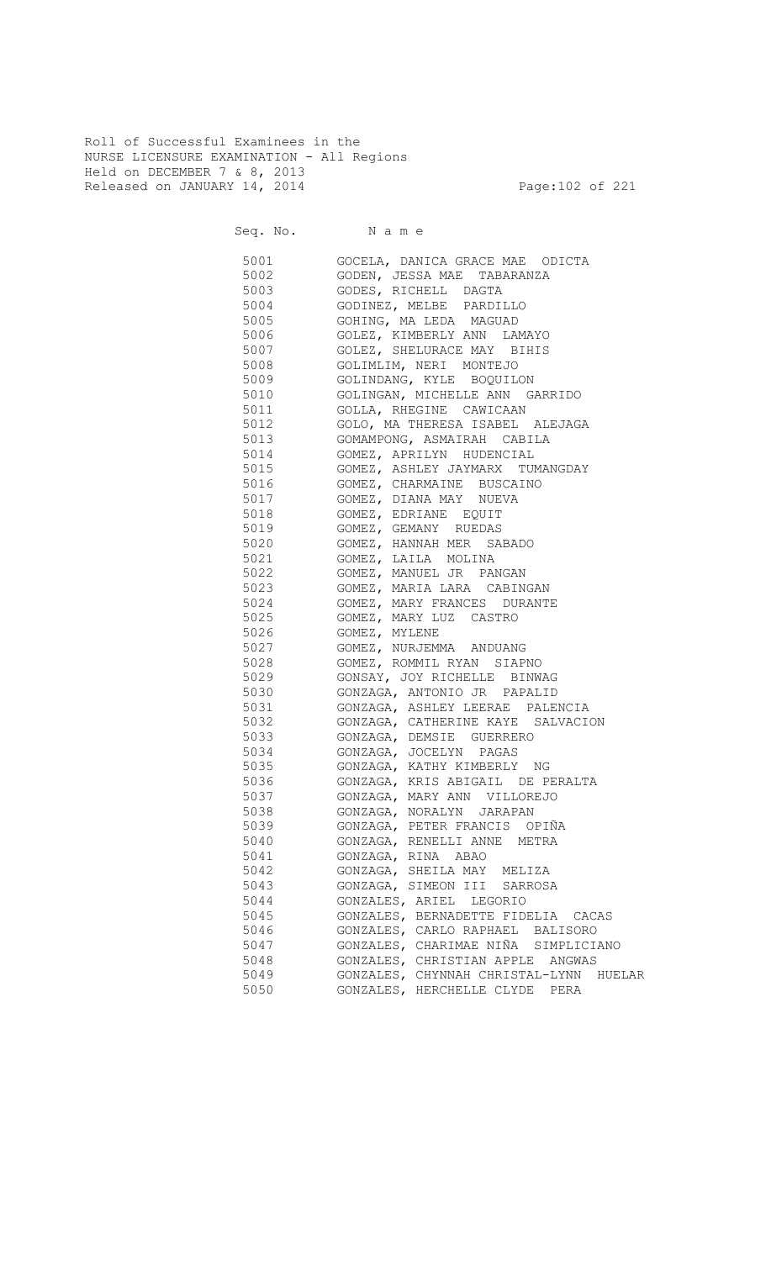Roll of Successful Examinees in the NURSE LICENSURE EXAMINATION - All Regions Held on DECEMBER 7 & 8, 2013 Released on JANUARY 14, 2014 **Page:102 of 221** 

Seq. No. Name

 5001 GOCELA, DANICA GRACE MAE ODICTA 5002 GODEN, JESSA MAE TABARANZA 5003 GODES, RICHELL DAGTA 5004 GODINEZ, MELBE PARDILLO GOHING, MA LEDA MAGUAD 5006 GOLEZ, KIMBERLY ANN LAMAYO 5007 GOLEZ, SHELURACE MAY BIHIS 5008 GOLIMLIM, NERI MONTEJO 5009 GOLINDANG, KYLE BOQUILON 5010 GOLINGAN, MICHELLE ANN GARRIDO 5011 GOLLA, RHEGINE CAWICAAN 5012 GOLO, MA THERESA ISABEL ALEJAGA 5013 GOMAMPONG, ASMAIRAH CABILA 5014 GOMEZ, APRILYN HUDENCIAL 5015 GOMEZ, ASHLEY JAYMARX TUMANGDAY 5016 GOMEZ, CHARMAINE BUSCAINO 5017 GOMEZ, DIANA MAY NUEVA 5018 GOMEZ, EDRIANE EQUIT 5019 GOMEZ, GEMANY RUEDAS 5020 GOMEZ, HANNAH MER SABADO 5021 GOMEZ, LAILA MOLINA 5022 GOMEZ, MANUEL JR PANGAN 5023 GOMEZ, MARIA LARA CABINGAN 5024 GOMEZ, MARY FRANCES DURANTE<br>5025 GOMEZ, MARY LUZ CASTRO 5025 GOMEZ, MARY LUZ CASTRO 5026 GOMEZ, MYLENE 5027 GOMEZ, NURJEMMA ANDUANG 5028 GOMEZ, ROMMIL RYAN SIAPNO 5029 GONSAY, JOY RICHELLE BINWAG 5030 GONZAGA, ANTONIO JR PAPALID 5031 GONZAGA, ASHLEY LEERAE PALENCIA 5032 GONZAGA, CATHERINE KAYE SALVACION 5033 GONZAGA, DEMSIE GUERRERO 5034 GONZAGA, JOCELYN PAGAS 5035 GONZAGA, KATHY KIMBERLY NG 5036 GONZAGA, KRIS ABIGAIL DE PERALTA 5037 GONZAGA, MARY ANN VILLOREJO 5038 GONZAGA, NORALYN JARAPAN 5039 GONZAGA, PETER FRANCIS OPIÑA 5040 GONZAGA, RENELLI ANNE METRA 5041 GONZAGA, RINA ABAO 5042 GONZAGA, SHEILA MAY MELIZA 5043 GONZAGA, SIMEON III SARROSA 5044 GONZALES, ARIEL LEGORIO 5045 GONZALES, BERNADETTE FIDELIA CACAS 5046 GONZALES, CARLO RAPHAEL BALISORO 5047 GONZALES, CHARIMAE NIÑA SIMPLICIANO 5048 GONZALES, CHRISTIAN APPLE ANGWAS 5049 GONZALES, CHYNNAH CHRISTAL-LYNN HUELAR 5050 GONZALES, HERCHELLE CLYDE PERA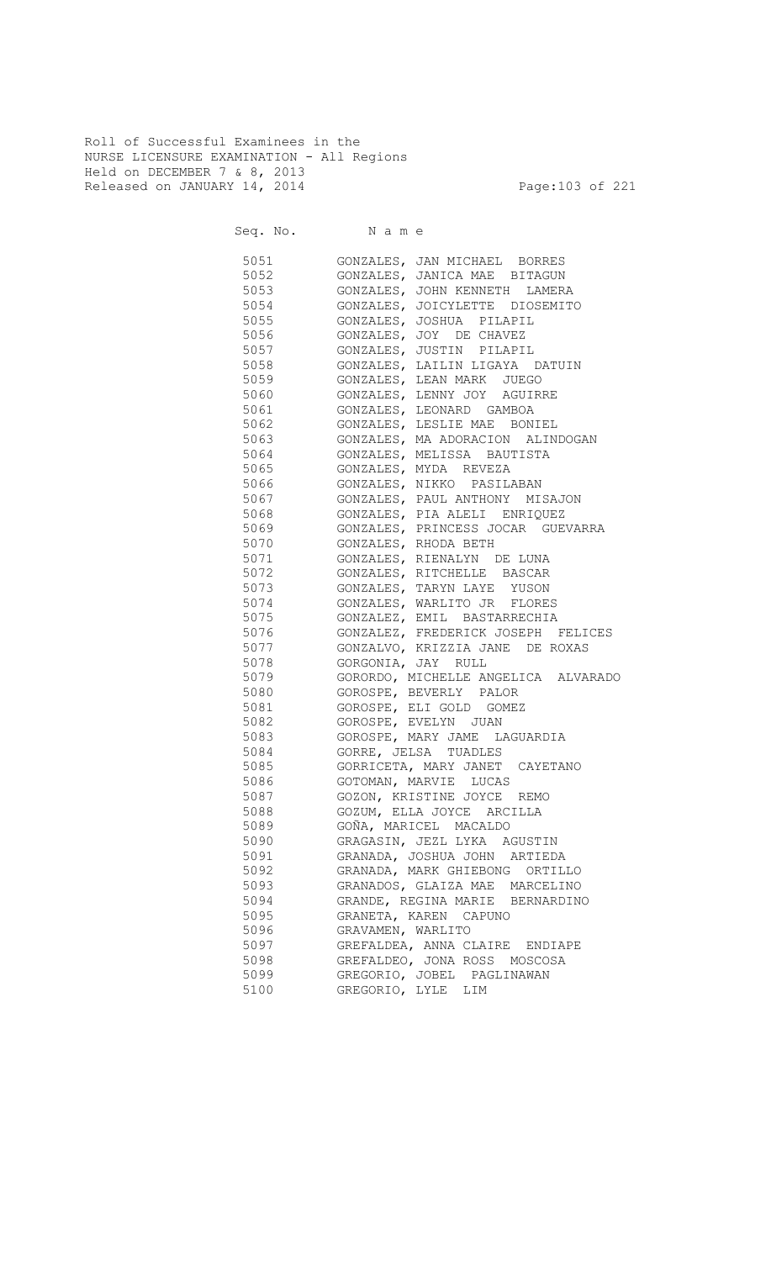Roll of Successful Examinees in the NURSE LICENSURE EXAMINATION - All Regions Held on DECEMBER 7 & 8, 2013 Released on JANUARY 14, 2014 **Page:103 of 221** 

| 5051 700 | GONZALES, JAN MICHAEL BORRES        |
|----------|-------------------------------------|
| 5052     | GONZALES, JANICA MAE BITAGUN        |
| 5053 300 | GONZALES, JOHN KENNETH LAMERA       |
| 5054     | GONZALES, JOICYLETTE DIOSEMITO      |
| 5055     | GONZALES, JOSHUA PILAPIL            |
| 5056     | GONZALES, JOY DE CHAVEZ             |
| 5057     | GONZALES, JUSTIN PILAPIL            |
| 5058     | GONZALES, LAILIN LIGAYA DATUIN      |
| 5059     | GONZALES, LEAN MARK JUEGO           |
| 5060     | GONZALES, LENNY JOY AGUIRRE         |
| 5061     | GONZALES, LEONARD GAMBOA            |
| 5062     | GONZALES, LESLIE MAE BONIEL         |
| 5063     | GONZALES, MA ADORACION ALINDOGAN    |
| 5064     | GONZALES, MELISSA BAUTISTA          |
| 5065     | GONZALES, MYDA REVEZA               |
| 5066     | GONZALES, NIKKO PASILABAN           |
| 5067     | GONZALES, PAUL ANTHONY MISAJON      |
| 5068     | GONZALES, PIA ALELI ENRIQUEZ        |
| 5069     | GONZALES, PRINCESS JOCAR GUEVARRA   |
| 5070     | GONZALES, RHODA BETH                |
| 5071     | GONZALES, RIENALYN DE LUNA          |
| 5072     | GONZALES, RITCHELLE BASCAR          |
| 5073     | GONZALES, TARYN LAYE YUSON          |
| 5074     | GONZALES, WARLITO JR FLORES         |
| 5075     | GONZALEZ, EMIL BASTARRECHIA         |
| 5076     | GONZALEZ, FREDERICK JOSEPH FELICES  |
| 5077     | GONZALVO, KRIZZIA JANE DE ROXAS     |
| 5078     | GORGONIA, JAY RULL                  |
| 5079     | GORORDO, MICHELLE ANGELICA ALVARADO |
| 5080     | GOROSPE, BEVERLY PALOR              |
| 5081     | GOROSPE, ELI GOLD GOMEZ             |
| 5082     | GOROSPE, EVELYN JUAN                |
| 5083     | GOROSPE, MARY JAME LAGUARDIA        |
| 5084     | GORRE, JELSA TUADLES                |
| 5085     | GORRICETA, MARY JANET CAYETANO      |
| 5086     | GOTOMAN, MARVIE LUCAS               |
| 5087     | GOZON, KRISTINE JOYCE REMO          |
| 5088     | GOZUM, ELLA JOYCE ARCILLA           |
| 5089     | GOÑA, MARICEL MACALDO               |
| 5090     | GRAGASIN, JEZL LYKA AGUSTIN         |
| 5091     | GRANADA, JOSHUA JOHN ARTIEDA        |
| 5092     | GRANADA, MARK GHIEBONG ORTILLO      |
| 5093     | GRANADOS, GLAIZA MAE MARCELINO      |
| 5094     | GRANDE, REGINA MARIE BERNARDINO     |
| 5095     | GRANETA, KAREN CAPUNO               |
| 5096     | GRAVAMEN, WARLITO                   |
| 5097     | GREFALDEA, ANNA CLAIRE ENDIAPE      |
| 5098     | GREFALDEO, JONA ROSS MOSCOSA        |
| 5099     | GREGORIO, JOBEL PAGLINAWAN          |
| 5100     | GREGORIO, LYLE LIM                  |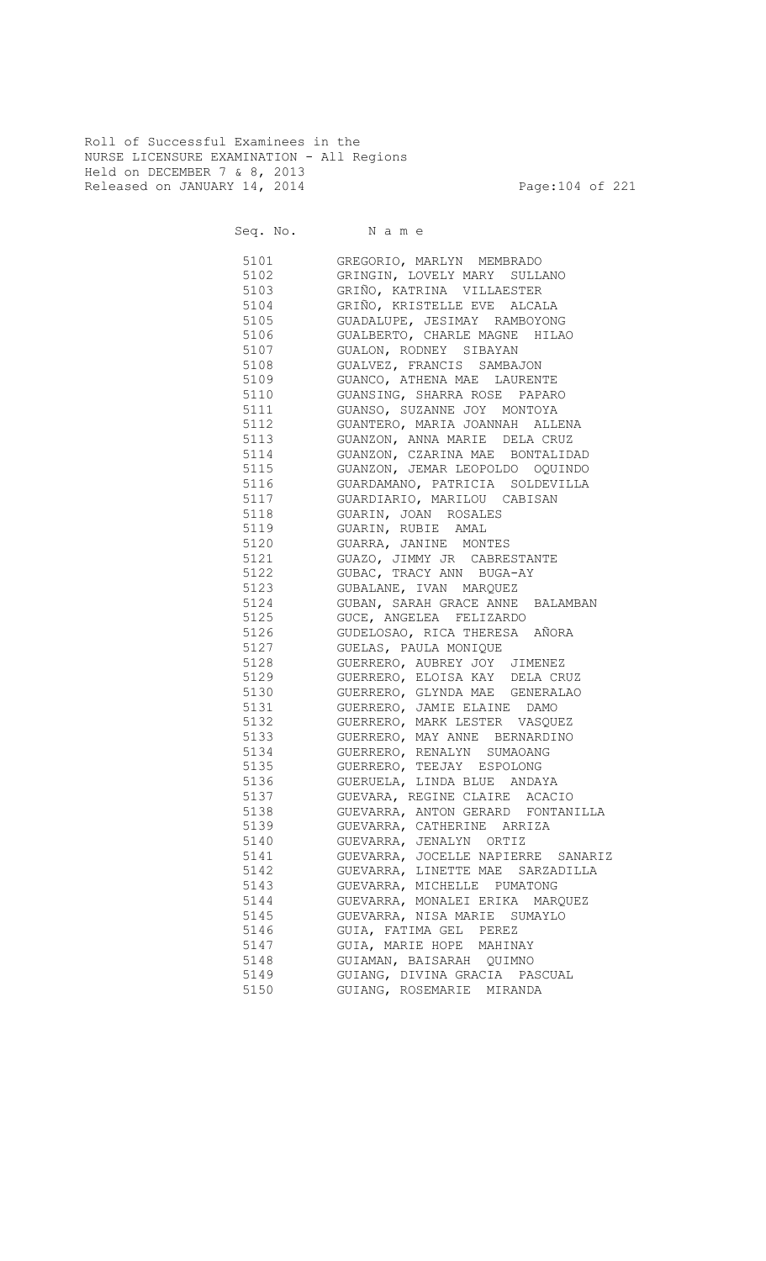Roll of Successful Examinees in the NURSE LICENSURE EXAMINATION - All Regions Held on DECEMBER 7 & 8, 2013 Released on JANUARY 14, 2014 **Page:104 of 221** 

| 5101     | GREGORIO, MARLYN MEMBRADO             |
|----------|---------------------------------------|
| 5102     | GRINGIN, LOVELY MARY SULLANO          |
| 5103     | GRIÑO, KATRINA VILLAESTER             |
| 5104     | GRIÑO, KRISTELLE EVE ALCALA           |
| 5105 7   | GUADALUPE, JESIMAY RAMBOYONG          |
| 5106 700 | GUALBERTO, CHARLE MAGNE HILAO         |
| 5107     | GUALON, RODNEY SIBAYAN                |
| 5108     | GUALVEZ, FRANCIS SAMBAJON             |
| 5109     | GUANCO, ATHENA MAE LAURENTE           |
| 5110     | GUANSING, SHARRA ROSE PAPARO          |
| 5111     | GUANSO, SUZANNE JOY MONTOYA           |
| 5112     | GUANTERO, MARIA JOANNAH ALLENA        |
| 5113     | GUANZON, ANNA MARIE DELA CRUZ         |
| 5114     | GUANZON, CZARINA MAE BONTALIDAD       |
| 5115     | GUANZON, JEMAR LEOPOLDO OQUINDO       |
| 5116     | GUARDAMANO, PATRICIA SOLDEVILLA       |
| 5117     | GUARDIARIO, MARILOU CABISAN           |
| 5118     | GUARIN, JOAN ROSALES                  |
| 5119     | GUARIN, RUBIE AMAL                    |
| 5120     | GUARRA, JANINE MONTES                 |
| 5121     | GUAZO, JIMMY JR CABRESTANTE           |
| 5122     | GUBAC, TRACY ANN BUGA-AY              |
| 5123     | GUBALANE, IVAN MARQUEZ                |
| 5124     | GUBAN, SARAH GRACE ANNE BALAMBAN      |
| 5125     | GUCE, ANGELEA FELIZARDO               |
| 5126     | GUDELOSAO, RICA THERESA AÑORA         |
| 5127     | GUELAS, PAULA MONIQUE                 |
| 5128     | GUERRERO, AUBREY JOY JIMENEZ          |
| 5129     | GUERRERO, ELOISA KAY DELA CRUZ        |
| 5130     | GUERRERO, GLYNDA MAE GENERALAO        |
| 5131     | GUERRERO, JAMIE ELAINE DAMO           |
| 5132     | GUERRERO, MARK LESTER VASQUEZ         |
| 5133     | GUERRERO, MAY ANNE BERNARDINO         |
| 5134     | GUERRERO, RENALYN SUMAOANG            |
| 5135     | GUERRERO, TEEJAY ESPOLONG             |
| 5136     | GUERUELA, LINDA BLUE ANDAYA           |
| 5137     | GUEVARA, REGINE CLAIRE ACACIO         |
| 5138     | GUEVARRA, ANTON GERARD FONTANILLA     |
| 5139     | GUEVARRA, CATHERINE ARRIZA            |
| 5140     | GUEVARRA, JENALYN ORTIZ               |
| 5141     | GUEVARRA, JOCELLE NAPIERRE<br>SANARIZ |
| 5142     | GUEVARRA, LINETTE MAE SARZADILLA      |
| 5143     | GUEVARRA, MICHELLE PUMATONG           |
| 5144     | GUEVARRA, MONALEI ERIKA MARQUEZ       |
| 5145     | GUEVARRA, NISA MARIE SUMAYLO          |
| 5146     | GUIA, FATIMA GEL PEREZ                |
| 5147     | GUIA, MARIE HOPE MAHINAY              |
| 5148     | GUIAMAN, BAISARAH QUIMNO              |
| 5149     | GUIANG, DIVINA GRACIA PASCUAL         |
| 5150     | GUIANG, ROSEMARIE MIRANDA             |
|          |                                       |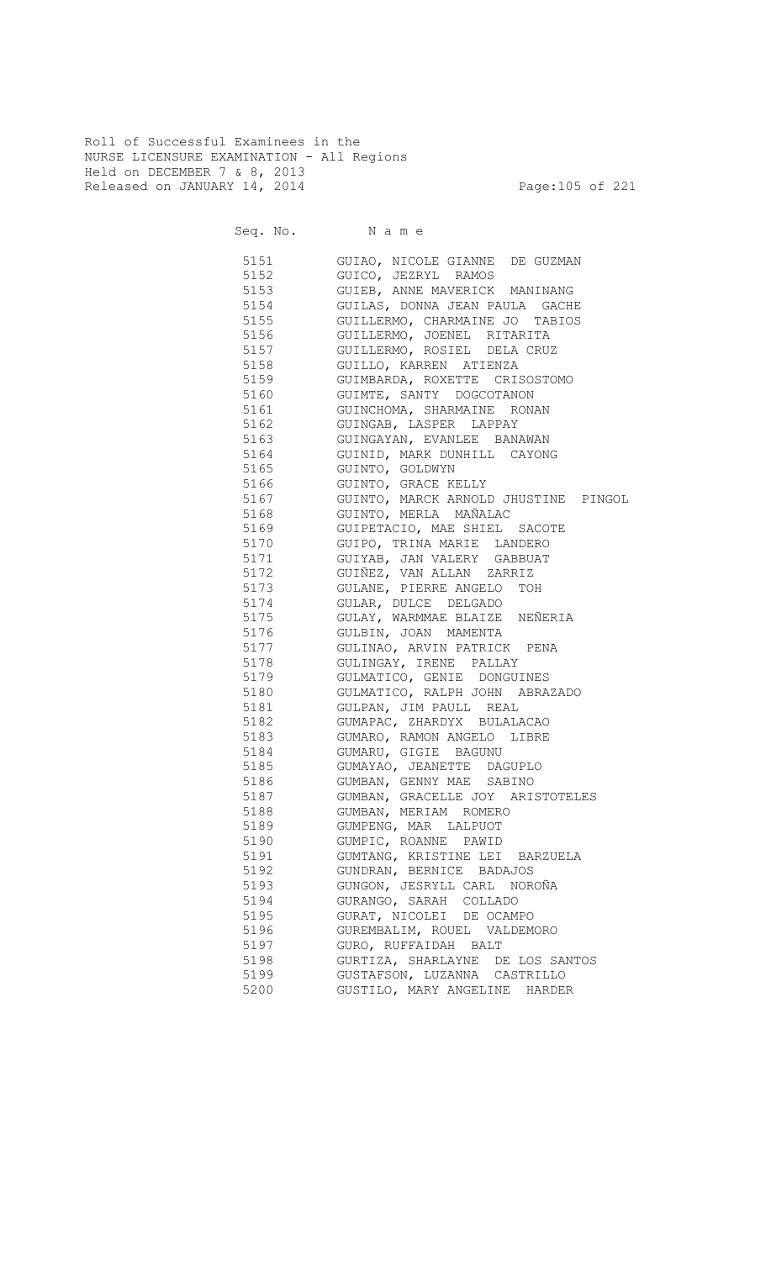Roll of Successful Examinees in the NURSE LICENSURE EXAMINATION - All Regions Held on DECEMBER 7 & 8, 2013 Released on JANUARY 14, 2014 **Page:105 of 221** 

Seq. No. Name

 5151 GUIAO, NICOLE GIANNE DE GUZMAN 5152 GUICO, JEZRYL RAMOS 5153 GUIEB, ANNE MAVERICK MANINANG 5154 GUILAS, DONNA JEAN PAULA GACHE 5155 GUILLERMO, CHARMAINE JO TABIOS 5156 GUILLERMO, JOENEL RITARITA 5157 GUILLERMO, ROSIEL DELA CRUZ 5158 GUILLO, KARREN ATIENZA 5159 GUIMBARDA, ROXETTE CRISOSTOMO 5160 GUIMTE, SANTY DOGCOTANON 5161 GUINCHOMA, SHARMAINE RONAN 5162 GUINGAB, LASPER LAPPAY 5163 GUINGAYAN, EVANLEE BANAWAN 5164 GUINID, MARK DUNHILL CAYONG 5165 GUINTO, GOLDWYN 5166 GUINTO, GRACE KELLY 5167 GUINTO, MARCK ARNOLD JHUSTINE PINGOL 5168 GUINTO, MERLA MAÑALAC 5169 GUIPETACIO, MAE SHIEL SACOTE 5170 GUIPO, TRINA MARIE LANDERO 5171 GUIYAB, JAN VALERY GABBUAT 5172 GUIÑEZ, VAN ALLAN ZARRIZ 5173 GULANE, PIERRE ANGELO TOH 5174 GULAR, DULCE DELGADO<br>5175 GULAY, WARMMAE BLAIZE 5175 GULAY, WARMMAE BLAIZE NEÑERIA 5176 GULBIN, JOAN MAMENTA 5177 GULINAO, ARVIN PATRICK PENA 5178 GULINGAY, IRENE PALLAY<br>5179 GULMATICO, GENIE DONGUI 5179 GULMATICO, GENIE DONGUINES 5180 GULMATICO, RALPH JOHN ABRAZADO 5181 GULPAN, JIM PAULL REAL 5182 GUMAPAC, ZHARDYX BULALACAO 5183 GUMARO, RAMON ANGELO LIBRE 5184 GUMARU, GIGIE BAGUNU 5185 GUMAYAO, JEANETTE DAGUPLO 5186 GUMBAN, GENNY MAE SABINO 5187 GUMBAN, GRACELLE JOY ARISTOTELES 5188 GUMBAN, MERIAM ROMERO 5189 GUMPENG, MAR LALPUOT 5190 GUMPIC, ROANNE PAWID 5191 GUMTANG, KRISTINE LEI BARZUELA 5192 GUNDRAN, BERNICE BADAJOS 5193 GUNGON, JESRYLL CARL NOROÑA 5194 GURANGO, SARAH COLLADO 5195 GURAT, NICOLEI DE OCAMPO 5196 GUREMBALIM, ROUEL VALDEMORO 5197 GURO, RUFFAIDAH BALT 5198 GURTIZA, SHARLAYNE DE LOS SANTOS 5199 GUSTAFSON, LUZANNA CASTRILLO 5200 GUSTILO, MARY ANGELINE HARDER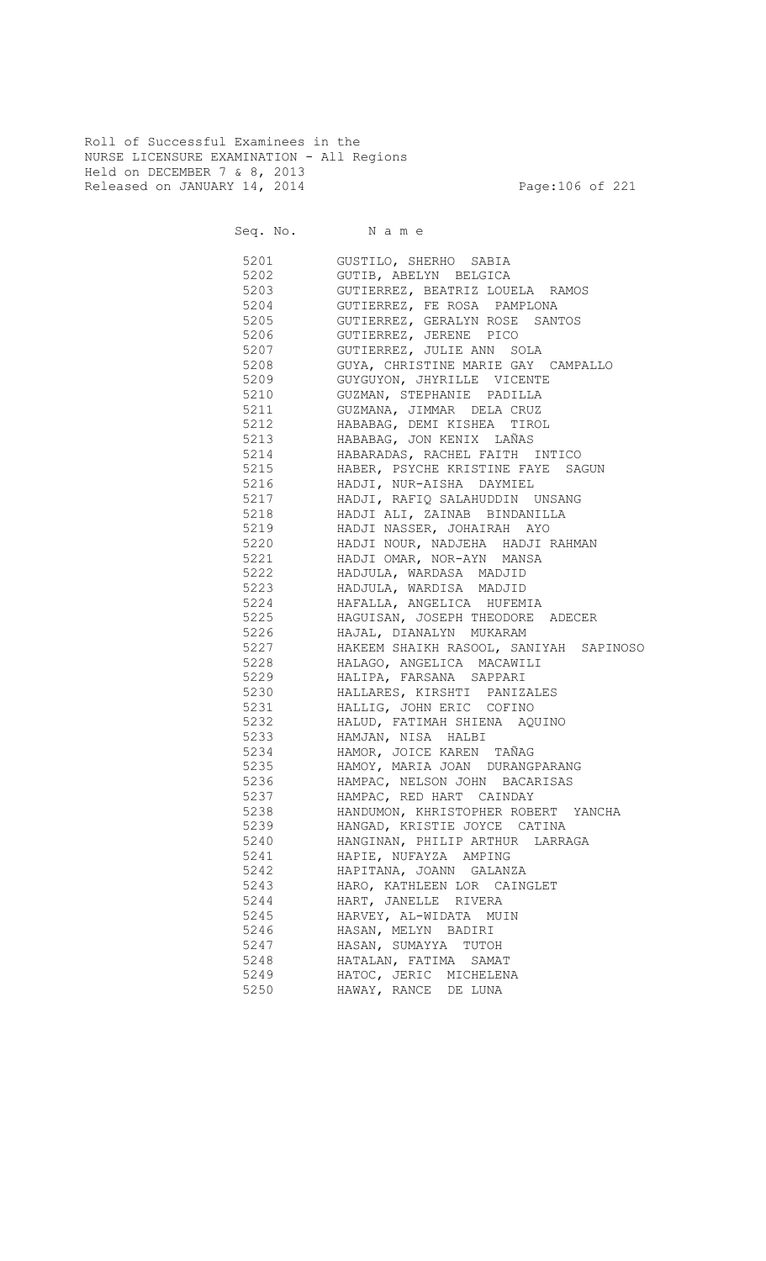Roll of Successful Examinees in the NURSE LICENSURE EXAMINATION - All Regions Held on DECEMBER 7 & 8, 2013 Released on JANUARY 14, 2014 **Page:106 of 221** 

Seq. No. Name

 5201 GUSTILO, SHERHO SABIA 5202 GUTIB, ABELYN BELGICA 5203 GUTIERREZ, BEATRIZ LOUELA RAMOS 5204 GUTIERREZ, FE ROSA PAMPLONA 5205 GUTIERREZ, GERALYN ROSE SANTOS 5206 GUTIERREZ, JERENE PICO 5207 GUTIERREZ, JULIE ANN SOLA 5208 GUYA, CHRISTINE MARIE GAY CAMPALLO 5209 GUYGUYON, JHYRILLE VICENTE 5210 GUZMAN, STEPHANIE PADILLA 5211 GUZMANA, JIMMAR DELA CRUZ 5212 HABABAG, DEMI KISHEA TIROL 5213 HABABAG, JON KENIX LAÑAS 5214 HABARADAS, RACHEL FAITH INTICO 5215 HABER, PSYCHE KRISTINE FAYE SAGUN 5216 HADJI, NUR-AISHA DAYMIEL 5217 HADJI, RAFIQ SALAHUDDIN UNSANG 5218 HADJI ALI, ZAINAB BINDANILLA 5219 HADJI NASSER, JOHAIRAH AYO 5220 HADJI NOUR, NADJEHA HADJI RAHMAN 5221 HADJI OMAR, NOR-AYN MANSA 5222 HADJULA, WARDASA MADJID 5223 HADJULA, WARDISA MADJID 5224 HAFALLA, ANGELICA HUFEMIA 5225 HAGUISAN, JOSEPH THEODORE ADECER 5226 HAJAL, DIANALYN MUKARAM 5227 HAKEEM SHAIKH RASOOL, SANIYAH SAPINOSO 5228 HALAGO, ANGELICA MACAWILI 5229 HALIPA, FARSANA SAPPARI 5230 HALLARES, KIRSHTI PANIZALES 5231 HALLIG, JOHN ERIC COFINO 5232 HALUD, FATIMAH SHIENA AQUINO 5233 HAMJAN, NISA HALBI 5234 HAMOR, JOICE KAREN TAÑAG 5235 HAMOY, MARIA JOAN DURANGPARANG 5236 HAMPAC, NELSON JOHN BACARISAS 5237 HAMPAC, RED HART CAINDAY 5238 HANDUMON, KHRISTOPHER ROBERT YANCHA 5239 HANGAD, KRISTIE JOYCE CATINA 5240 HANGINAN, PHILIP ARTHUR LARRAGA 5241 HAPIE, NUFAYZA AMPING 5242 HAPITANA, JOANN GALANZA 5243 HARO, KATHLEEN LOR CAINGLET 5244 HART, JANELLE RIVERA 5245 HARVEY, AL-WIDATA MUIN 5246 HASAN, MELYN BADIRI 5247 HASAN, SUMAYYA TUTOH 5248 HATALAN, FATIMA SAMAT 5249 HATOC, JERIC MICHELENA 5250 HAWAY, RANCE DE LUNA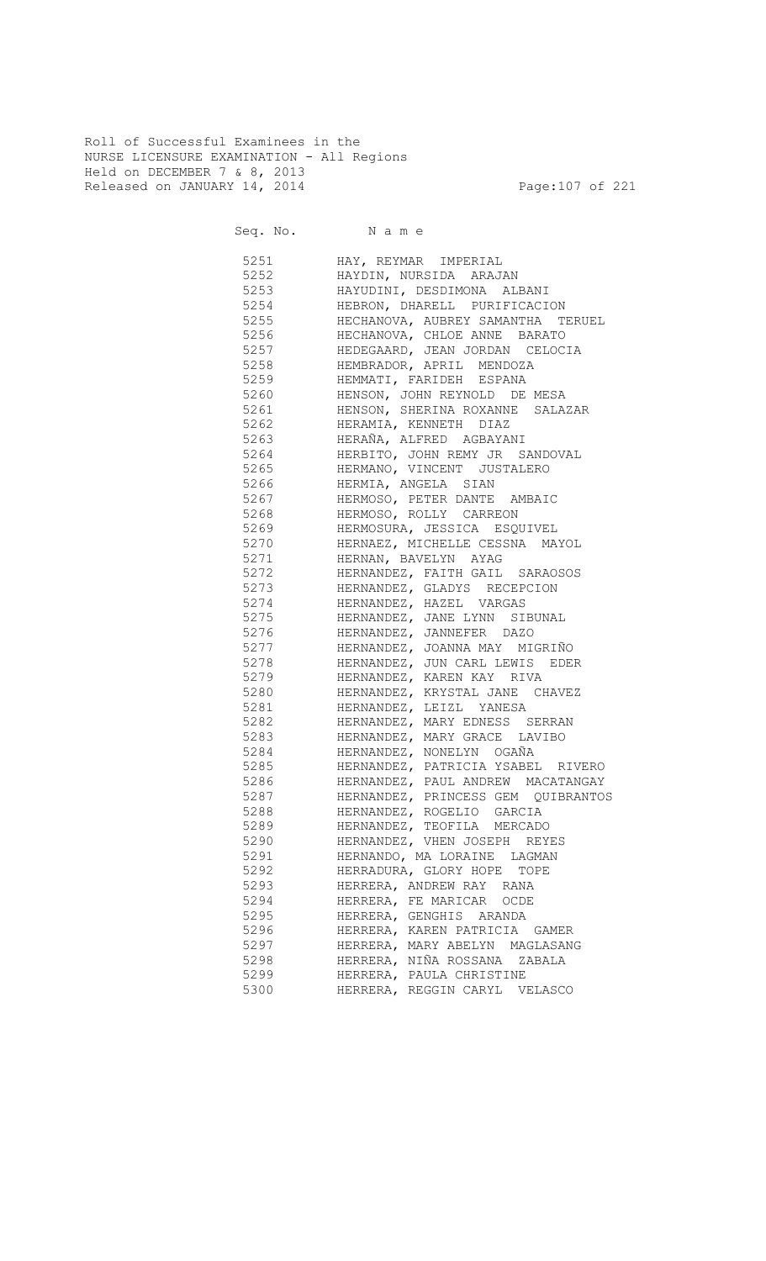Roll of Successful Examinees in the NURSE LICENSURE EXAMINATION - All Regions Held on DECEMBER 7 & 8, 2013 Released on JANUARY 14, 2014 **Page:107** of 221

| 5251            | HAY, REYMAR IMPERIAL                               |
|-----------------|----------------------------------------------------|
| 5252            | HAYDIN, NURSIDA ARAJAN                             |
| 5253 and $\sim$ | HAYUDINI, DESDIMONA ALBANI                         |
| 5254            | HEBRON, DHARELL PURIFICACION                       |
| 5255 32         | HECHANOVA, AUBREY SAMANTHA TERUEL                  |
| 5256 100        | HECHANOVA, CHLOE ANNE BARATO                       |
| 5257            | HEDEGAARD, JEAN JORDAN CELOCIA                     |
| 5258 325        | HEMBRADOR, APRIL MENDOZA                           |
| 5259 325        | HEMMATI, FARIDEH ESPANA                            |
| 5260 32         | HENSON, JOHN REYNOLD DE MESA                       |
| 5261            | HENSON, SHERINA ROXANNE SALAZAR                    |
| 5262            | HERAMIA, KENNETH DIAZ                              |
| 5263            | HERAÑA, ALFRED AGBAYANI                            |
| 5264            | HERBITO, JOHN REMY JR SANDOVAL                     |
| 5265            | HERMANO, VINCENT JUSTALERO                         |
| 5266            |                                                    |
| 5267            | HERMIA, ANGELA SIAN<br>HERMOSO, PETER DANTE AMBAIC |
|                 |                                                    |
| 5268            | HERMOSO, ROLLY CARREON                             |
| 5269            | HERMOSURA, JESSICA ESQUIVEL                        |
| 5270            | HERNAEZ, MICHELLE CESSNA MAYOL                     |
| 5271            | HERNAN, BAVELYN AYAG                               |
| 5272            | HERNANDEZ, FAITH GAIL SARAOSOS                     |
| 5273            | HERNANDEZ, GLADYS RECEPCION                        |
| 5274            | HERNANDEZ, HAZEL VARGAS                            |
| 5275            | HERNANDEZ, JANE LYNN SIBUNAL                       |
| 5276            | HERNANDEZ, JANNEFER DAZO                           |
| 5277            | HERNANDEZ, JOANNA MAY MIGRIÑO                      |
| 5278            | HERNANDEZ, JUN CARL LEWIS EDER                     |
| 5279            | HERNANDEZ, KAREN KAY RIVA                          |
| 5280            | HERNANDEZ, KRYSTAL JANE CHAVEZ                     |
| 5281            | HERNANDEZ, LEIZL YANESA                            |
| 5282            | HERNANDEZ, MARY EDNESS SERRAN                      |
| 5283            | HERNANDEZ, MARY GRACE LAVIBO                       |
| 5284            | HERNANDEZ, NONELYN OGAÑA                           |
| 5285            | HERNANDEZ, PATRICIA YSABEL RIVERO                  |
| 5286            | HERNANDEZ, PAUL ANDREW MACATANGAY                  |
| 5287            | HERNANDEZ, PRINCESS GEM QUIBRANTOS                 |
| 5288            | HERNANDEZ, ROGELIO GARCIA                          |
| 5289            | HERNANDEZ, TEOFILA MERCADO                         |
| 5290            | HERNANDEZ, VHEN JOSEPH REYES                       |
| 5291            | HERNANDO, MA LORAINE LAGMAN                        |
| 5292            | HERRADURA, GLORY HOPE TOPE                         |
| 5293            | HERRERA, ANDREW RAY RANA                           |
| 5294            | HERRERA, FE MARICAR<br>OCDE                        |
| 5295            | HERRERA, GENGHIS ARANDA                            |
| 5296            | HERRERA, KAREN PATRICIA GAMER                      |
| 5297            | HERRERA, MARY ABELYN MAGLASANG                     |
| 5298            | HERRERA, NIÑA ROSSANA ZABALA                       |
| 5299            | HERRERA, PAULA CHRISTINE                           |
| 5300            | HERRERA, REGGIN CARYL VELASCO                      |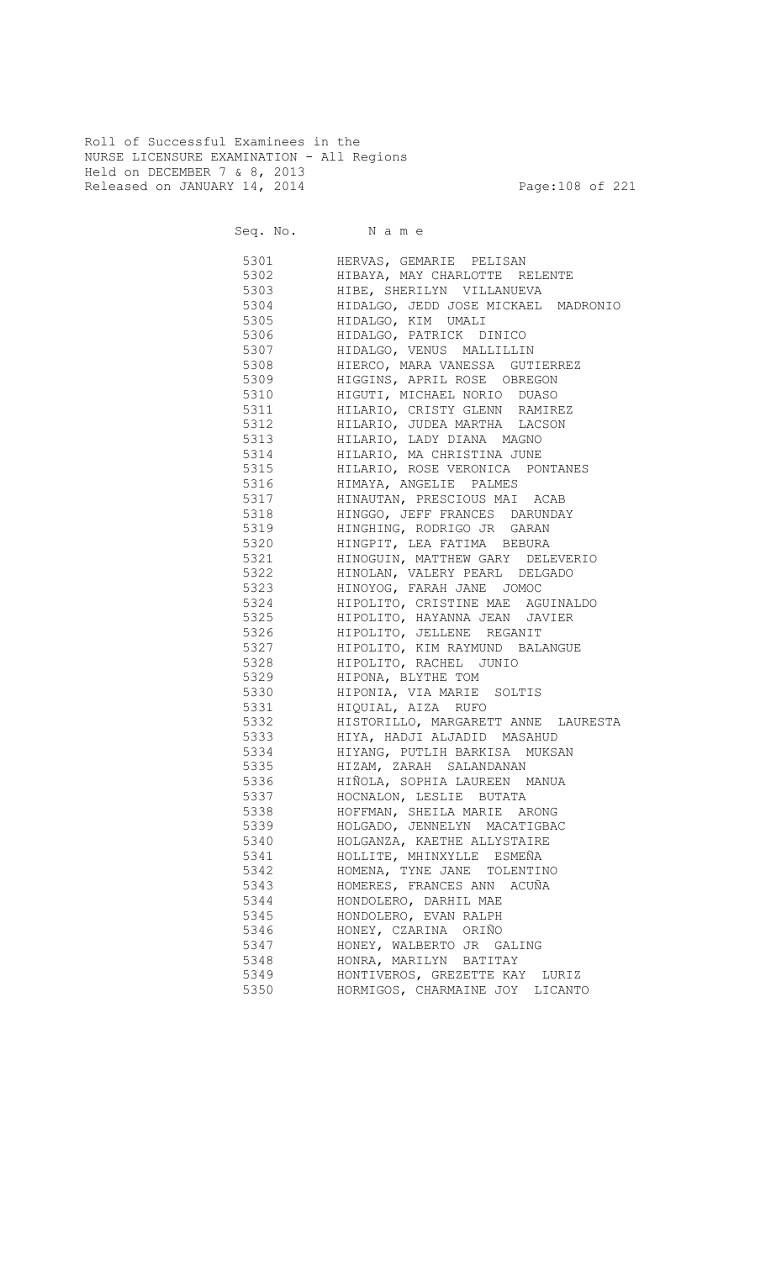Roll of Successful Examinees in the NURSE LICENSURE EXAMINATION - All Regions Held on DECEMBER 7 & 8, 2013 Released on JANUARY 14, 2014 **Page:108 of 221** 

Seq. No. Name

 5301 HERVAS, GEMARIE PELISAN 5302 HIBAYA, MAY CHARLOTTE RELENTE 5303 HIBE, SHERILYN VILLANUEVA 5304 HIDALGO, JEDD JOSE MICKAEL MADRONIO 5305 HIDALGO, KIM UMALI 5306 HIDALGO, PATRICK DINICO 5307 HIDALGO, VENUS MALLILLIN 5308 HIERCO, MARA VANESSA GUTIERREZ 5309 HIGGINS, APRIL ROSE OBREGON 5310 HIGUTI, MICHAEL NORIO DUASO 5311 HILARIO, CRISTY GLENN RAMIREZ 5312 HILARIO, JUDEA MARTHA LACSON 5313 HILARIO, LADY DIANA MAGNO 5314 HILARIO, MA CHRISTINA JUNE 5315 HILARIO, ROSE VERONICA PONTANES 5316 HIMAYA, ANGELIE PALMES 5317 HINAUTAN, PRESCIOUS MAI ACAB 5318 HINGGO, JEFF FRANCES DARUNDAY 5319 HINGHING, RODRIGO JR GARAN 5320 HINGPIT, LEA FATIMA BEBURA 5321 HINOGUIN, MATTHEW GARY DELEVERIO 5322 HINOLAN, VALERY PEARL DELGADO 5323 HINOYOG, FARAH JANE JOMOC 5324 HIPOLITO, CRISTINE MAE AGUINALDO 5325 HIPOLITO, HAYANNA JEAN JAVIER 5326 HIPOLITO, JELLENE REGANIT 5327 HIPOLITO, KIM RAYMUND BALANGUE 5328 HIPOLITO, RACHEL JUNIO 5329 HIPONA, BLYTHE TOM 5330 HIPONIA, VIA MARIE SOLTIS 5331 HIQUIAL, AIZA RUFO 5332 HISTORILLO, MARGARETT ANNE LAURESTA 5333 HIYA, HADJI ALJADID MASAHUD 5334 HIYANG, PUTLIH BARKISA MUKSAN 5335 HIZAM, ZARAH SALANDANAN 5336 HIÑOLA, SOPHIA LAUREEN MANUA 5337 HOCNALON, LESLIE BUTATA 5338 HOFFMAN, SHEILA MARIE ARONG 5339 HOLGADO, JENNELYN MACATIGBAC 5340 HOLGANZA, KAETHE ALLYSTAIRE 5341 HOLLITE, MHINXYLLE ESMEÑA 5342 HOMENA, TYNE JANE TOLENTINO 5343 HOMERES, FRANCES ANN ACUÑA 5344 HONDOLERO, DARHIL MAE 5345 HONDOLERO, EVAN RALPH 5346 HONEY, CZARINA ORIÑO 5347 HONEY, WALBERTO JR GALING 5348 HONRA, MARILYN BATITAY 5349 HONTIVEROS, GREZETTE KAY LURIZ 5350 HORMIGOS, CHARMAINE JOY LICANTO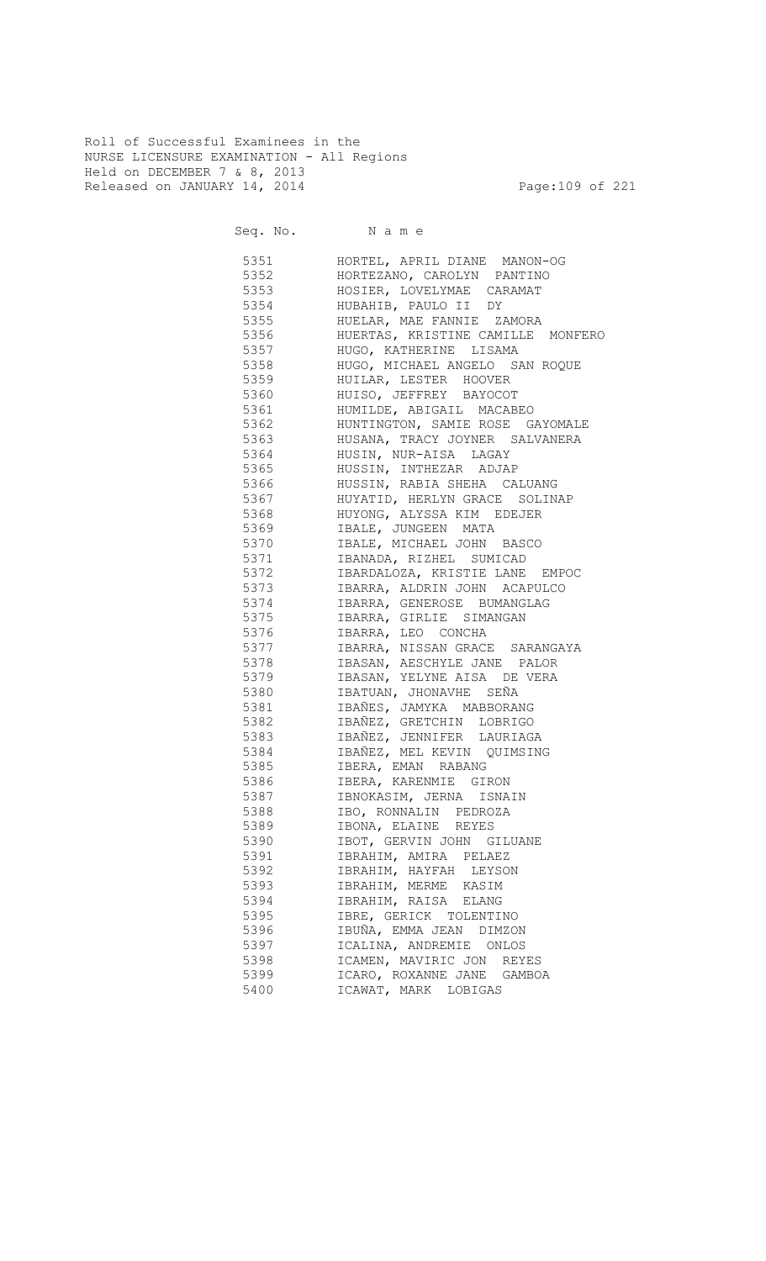Roll of Successful Examinees in the NURSE LICENSURE EXAMINATION - All Regions Held on DECEMBER 7 & 8, 2013 Released on JANUARY 14, 2014 **Page:109 of 221** 

Seq. No. Name

 5351 HORTEL, APRIL DIANE MANON-OG 5352 HORTEZANO, CAROLYN PANTINO 5353 HOSIER, LOVELYMAE CARAMAT 5354 HUBAHIB, PAULO II DY<br>5355 HUELAR, MAE FANNIE ZA 5355 HUELAR, MAE FANNIE ZAMORA 5356 HUERTAS, KRISTINE CAMILLE MONFERO 5357 HUGO, KATHERINE LISAMA 5358 HUGO, MICHAEL ANGELO SAN ROQUE 5359 HUILAR, LESTER HOOVER 5360 HUISO, JEFFREY BAYOCOT 5361 HUMILDE, ABIGAIL MACABEO 5362 HUNTINGTON, SAMIE ROSE GAYOMALE 5363 HUSANA, TRACY JOYNER SALVANERA 5364 HUSIN, NUR-AISA LAGAY 5365 HUSSIN, INTHEZAR ADJAP 5366 HUSSIN, RABIA SHEHA CALUANG 5367 HUYATID, HERLYN GRACE SOLINAP 5368 HUYONG, ALYSSA KIM EDEJER 5369 IBALE, JUNGEEN MATA 5370 IBALE, MICHAEL JOHN BASCO 5371 IBANADA, RIZHEL SUMICAD 5372 IBARDALOZA, KRISTIE LANE EMPOC 5373 IBARRA, ALDRIN JOHN ACAPULCO 5374 IBARRA, GENEROSE BUMANGLAG<br>5375 IBARRA, GIRLIE SIMANGAN 5375 IBARRA, GIRLIE SIMANGAN 5376 IBARRA, LEO CONCHA 5377 IBARRA, NISSAN GRACE SARANGAYA 5378 IBASAN, AESCHYLE JANE PALOR 5379 IBASAN, YELYNE AISA DE VERA 5380 IBATUAN, JHONAVHE SEÑA 5381 IBAÑES, JAMYKA MABBORANG 5382 IBAÑEZ, GRETCHIN LOBRIGO 5383 IBAÑEZ, JENNIFER LAURIAGA 5384 IBAÑEZ, MEL KEVIN QUIMSING 5385 IBERA, EMAN RABANG 5386 IBERA, KARENMIE GIRON 5387 IBNOKASIM, JERNA ISNAIN 5388 IBO, RONNALIN PEDROZA 5389 IBONA, ELAINE REYES 5390 IBOT, GERVIN JOHN GILUANE 5391 IBRAHIM, AMIRA PELAEZ 5392 IBRAHIM, HAYFAH LEYSON 5393 IBRAHIM, MERME KASIM 5394 IBRAHIM, RAISA ELANG 5395 IBRE, GERICK TOLENTINO 5396 IBUÑA, EMMA JEAN DIMZON 5397 ICALINA, ANDREMIE ONLOS 5398 ICAMEN, MAVIRIC JON REYES 5399 ICARO, ROXANNE JANE GAMBOA 5400 ICAWAT, MARK LOBIGAS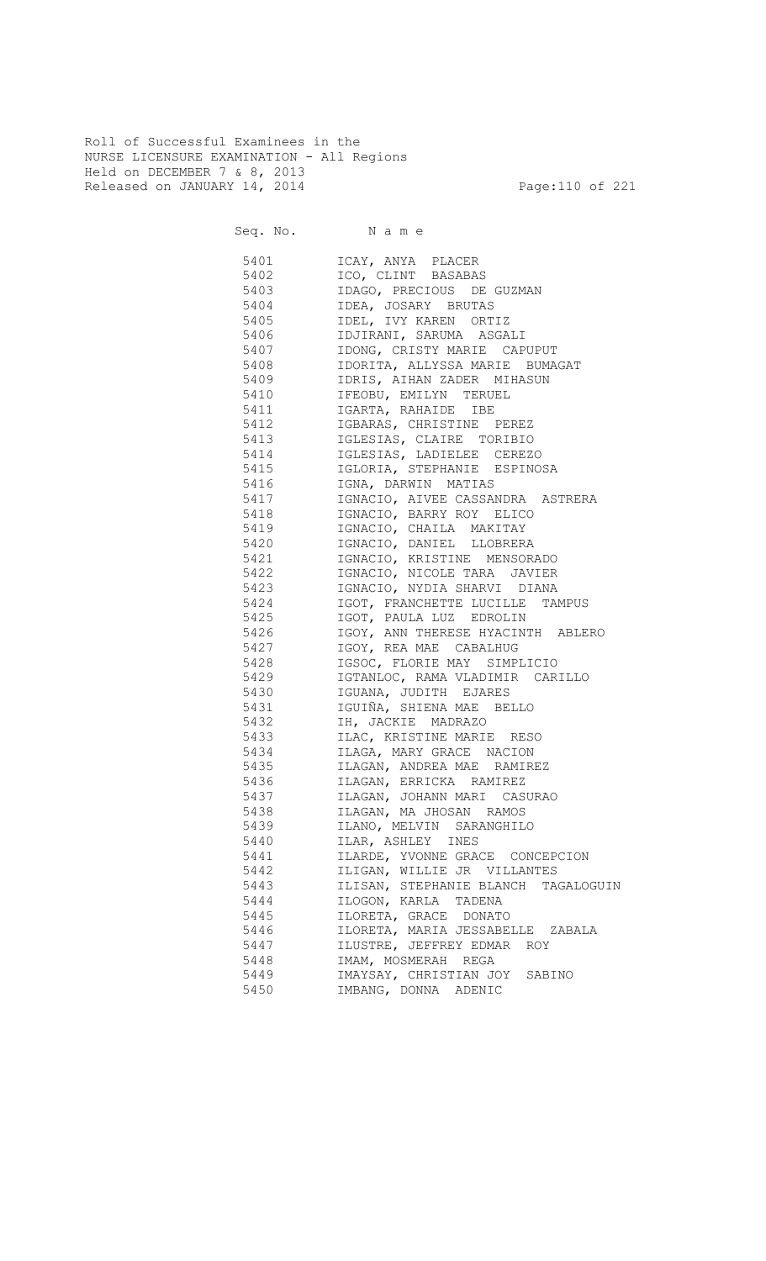Roll of Successful Examinees in the NURSE LICENSURE EXAMINATION - All Regions Held on DECEMBER 7 & 8, 2013 Released on JANUARY 14, 2014 **Page:110 of 221** 

Seq. No. Name

 5401 ICAY, ANYA PLACER 5402 ICO, CLINT BASABAS 5403 IDAGO, PRECIOUS DE GUZMAN 5404 IDEA, JOSARY BRUTAS 5405 IDEL, IVY KAREN ORTIZ 5406 IDJIRANI, SARUMA ASGALI 5407 IDONG, CRISTY MARIE CAPUPUT 5408 IDORITA, ALLYSSA MARIE BUMAGAT 5409 IDRIS, AIHAN ZADER MIHASUN 5410 IFEOBU, EMILYN TERUEL 5411 **IGARTA, RAHAIDE IBE**  5412 IGBARAS, CHRISTINE PEREZ IGLESIAS, CLAIRE TORIBIO 5414 IGLESIAS, LADIELEE CEREZO 5415 IGLORIA, STEPHANIE ESPINOSA 5416 IGNA, DARWIN MATIAS 5417 IGNACIO, AIVEE CASSANDRA ASTRERA 5418 IGNACIO, BARRY ROY ELICO 5419 IGNACIO, CHAILA MAKITAY 5420 IGNACIO, DANIEL LLOBRERA 5421 IGNACIO, KRISTINE MENSORADO 5422 IGNACIO, NICOLE TARA JAVIER 5423 IGNACIO, NYDIA SHARVI DIANA 5424 IGOT, FRANCHETTE LUCILLE TAMPUS 5425 IGOT, PAULA LUZ EDROLIN 5426 IGOY, ANN THERESE HYACINTH ABLERO 5427 IGOY, REA MAE CABALHUG 5428 IGSOC, FLORIE MAY SIMPLICIO 5429 IGTANLOC, RAMA VLADIMIR CARILLO 5430 IGUANA, JUDITH EJARES 5431 IGUIÑA, SHIENA MAE BELLO 5432 IH, JACKIE MADRAZO 5433 ILAC, KRISTINE MARIE RESO 5434 ILAGA, MARY GRACE NACION 5435 ILAGAN, ANDREA MAE RAMIREZ 5436 ILAGAN, ERRICKA RAMIREZ 5437 ILAGAN, JOHANN MARI CASURAO 5438 ILAGAN, MA JHOSAN RAMOS 5439 ILANO, MELVIN SARANGHILO 5440 ILAR, ASHLEY INES 5441 ILARDE, YVONNE GRACE CONCEPCION 5442 ILIGAN, WILLIE JR VILLANTES 5443 ILISAN, STEPHANIE BLANCH TAGALOGUIN 5444 ILOGON, KARLA TADENA 5445 ILORETA, GRACE DONATO 5446 ILORETA, MARIA JESSABELLE ZABALA 5447 ILUSTRE, JEFFREY EDMAR ROY 5448 IMAM, MOSMERAH REGA<br>5449 IMAYSAY, CHRISTIAN JO 5449 IMAYSAY, CHRISTIAN JOY SABINO 5450 IMBANG, DONNA ADENIC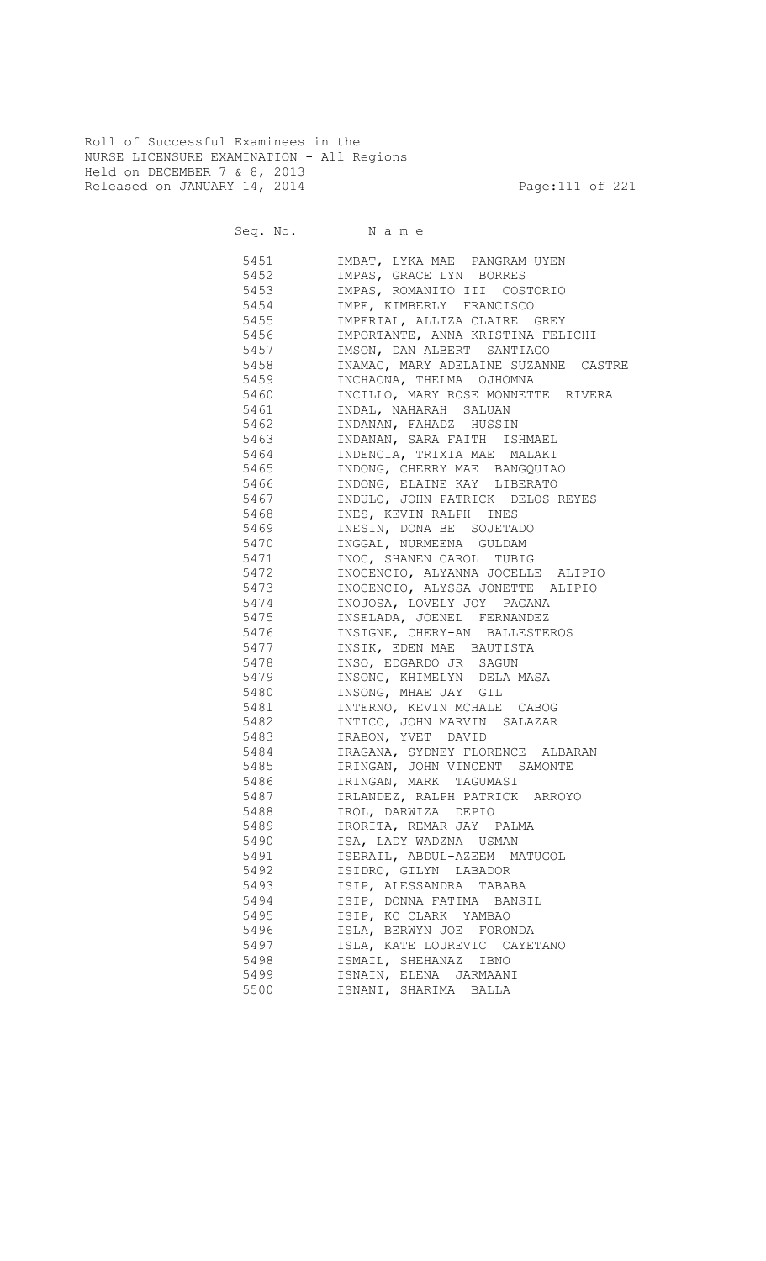Roll of Successful Examinees in the NURSE LICENSURE EXAMINATION - All Regions Held on DECEMBER 7 & 8, 2013 Released on JANUARY 14, 2014 **Page:111 of 221** 

Seq. No. Name

 5451 IMBAT, LYKA MAE PANGRAM-UYEN 5452 IMPAS, GRACE LYN BORRES 5453 IMPAS, ROMANITO III COSTORIO 5454 IMPE, KIMBERLY FRANCISCO<br>5455 IMPERIAL, ALLIZA CLAIRE ( 5455 IMPERIAL, ALLIZA CLAIRE GREY 5456 IMPORTANTE, ANNA KRISTINA FELICHI 5457 IMSON, DAN ALBERT SANTIAGO 5458 INAMAC, MARY ADELAINE SUZANNE CASTRE 5459 INCHAONA, THELMA OJHOMNA 5460 INCILLO, MARY ROSE MONNETTE RIVERA 5461 INDAL, NAHARAH SALUAN 5462 INDANAN, FAHADZ HUSSIN 5463 INDANAN, SARA FAITH ISHMAEL 5464 INDENCIA, TRIXIA MAE MALAKI 5465 INDONG, CHERRY MAE BANGQUIAO 5466 INDONG, ELAINE KAY LIBERATO 5467 INDULO, JOHN PATRICK DELOS REYES<br>5468 INES, KEVIN RALPH INES INES, KEVIN RALPH INES 5469 INESIN, DONA BE SOJETADO 5470 INGGAL, NURMEENA GULDAM 5471 INOC, SHANEN CAROL TUBIG 5472 INOCENCIO, ALYANNA JOCELLE ALIPIO 5473 INOCENCIO, ALYSSA JONETTE ALIPIO 5474 INOJOSA, LOVELY JOY PAGANA<br>5475 INSELADA, JOENEL FERNANDEZ 5475 INSELADA, JOENEL FERNANDEZ 5476 INSIGNE, CHERY-AN BALLESTEROS 5477 INSIK, EDEN MAE BAUTISTA 5478 INSO, EDGARDO JR SAGUN 5479 INSONG, KHIMELYN DELA MASA 5480 INSONG, MHAE JAY GIL 5481 INTERNO, KEVIN MCHALE CABOG 5482 INTICO, JOHN MARVIN SALAZAR 5483 IRABON, YVET DAVID 5484 IRAGANA, SYDNEY FLORENCE ALBARAN 5485 IRINGAN, JOHN VINCENT SAMONTE 5486 IRINGAN, MARK TAGUMASI 5487 IRLANDEZ, RALPH PATRICK ARROYO 5488 IROL, DARWIZA DEPIO 5489 IRORITA, REMAR JAY PALMA 5490 ISA, LADY WADZNA USMAN 5491 ISERAIL, ABDUL-AZEEM MATUGOL 5492 ISIDRO, GILYN LABADOR 5493 ISIP, ALESSANDRA TABABA 5494 ISIP, DONNA FATIMA BANSIL 5495 ISIP, KC CLARK YAMBAO 5496 ISLA, BERWYN JOE FORONDA 5497 ISLA, KATE LOUREVIC CAYETANO 5498 ISMAIL, SHEHANAZ IBNO 5499 ISNAIN, ELENA JARMAANI 5500 ISNANI, SHARIMA BALLA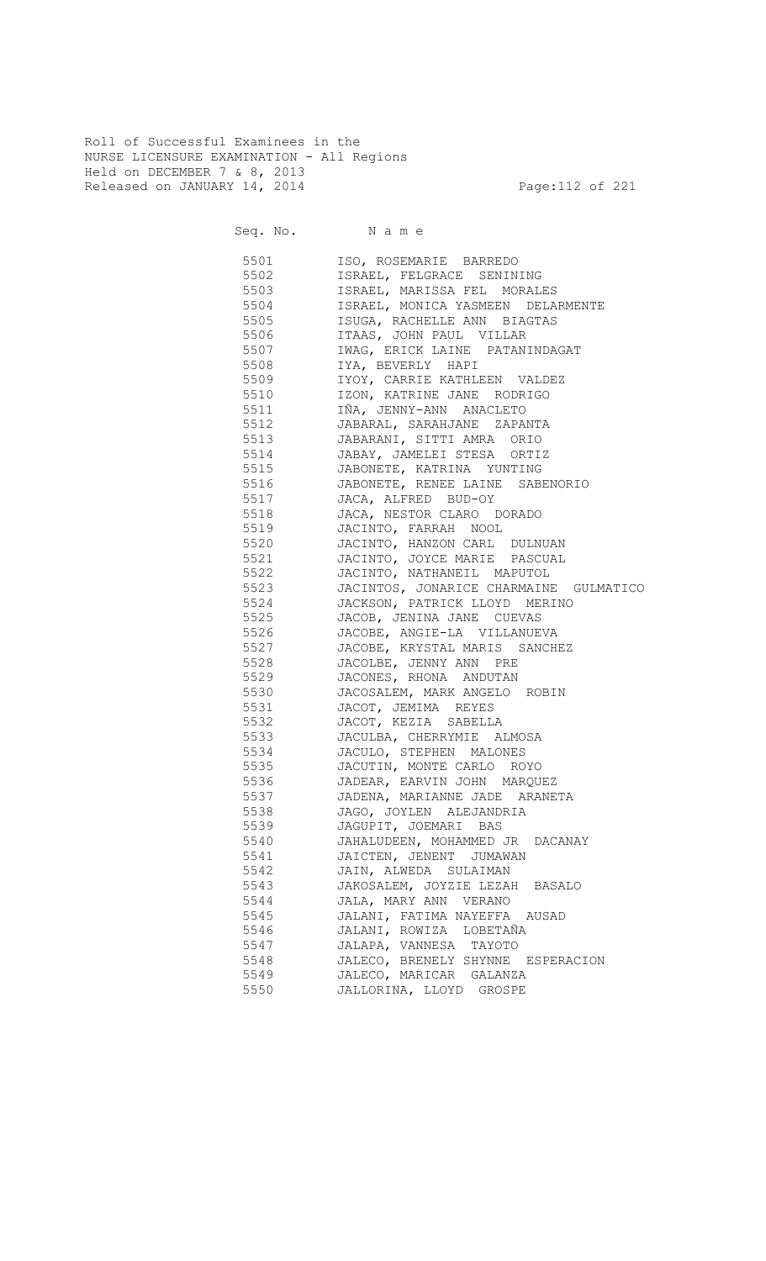Roll of Successful Examinees in the NURSE LICENSURE EXAMINATION - All Regions Held on DECEMBER 7 & 8, 2013 Released on JANUARY 14, 2014 **Page:112 of 221** 

Seq. No. Name

 5501 ISO, ROSEMARIE BARREDO 5502 ISRAEL, FELGRACE SENINING 5503 ISRAEL, MARISSA FEL MORALES 5504 ISRAEL, MONICA YASMEEN DELARMENTE<br>5505 ISUGA, RACHELLE ANN BIAGTAS 5505 ISUGA, RACHELLE ANN BIAGTAS 5506 ITAAS, JOHN PAUL VILLAR 5507 IWAG, ERICK LAINE PATANINDAGAT 5508 IYA, BEVERLY HAPI 5509 IYOY, CARRIE KATHLEEN VALDEZ 5510 IZON, KATRINE JANE RODRIGO 5511 IÑA, JENNY-ANN ANACLETO 5512 JABARAL, SARAHJANE ZAPANTA 5513 JABARANI, SITTI AMRA ORIO 5514 JABAY, JAMELEI STESA ORTIZ 5515 JABONETE, KATRINA YUNTING 5516 JABONETE, RENEE LAINE SABENORIO 5517 JACA, ALFRED BUD-OY<br>5518 JACA, NESTOR CLARO I 5518 JACA, NESTOR CLARO DORADO 5519 JACINTO, FARRAH NOOL 5520 JACINTO, HANZON CARL DULNUAN 5521 JACINTO, JOYCE MARIE PASCUAL 5522 JACINTO, NATHANEIL MAPUTOL 5523 JACINTOS, JONARICE CHARMAINE GULMATICO 5524 JACKSON, PATRICK LLOYD MERINO 5525 JACOB, JENINA JANE CUEVAS 5526 JACOBE, ANGIE-LA VILLANUEVA 5527 JACOBE, KRYSTAL MARIS SANCHEZ 5528 JACOLBE, JENNY ANN PRE 5529 JACONES, RHONA ANDUTAN 5530 JACOSALEM, MARK ANGELO ROBIN 5531 JACOT, JEMIMA REYES 5532 JACOT, KEZIA SABELLA 5533 JACULBA, CHERRYMIE ALMOSA 5534 JACULO, STEPHEN MALONES 5535 JACUTIN, MONTE CARLO ROYO 5536 JADEAR, EARVIN JOHN MARQUEZ 5537 JADENA, MARIANNE JADE ARANETA 5538 JAGO, JOYLEN ALEJANDRIA 5539 JAGUPIT, JOEMARI BAS 5540 JAHALUDEEN, MOHAMMED JR DACANAY 5541 JAICTEN, JENENT JUMAWAN 5542 JAIN, ALWEDA SULAIMAN 5543 JAKOSALEM, JOYZIE LEZAH BASALO 5544 JALA, MARY ANN VERANO 5545 JALANI, FATIMA NAYEFFA AUSAD<br>5546 JALANI, ROWIZA LOBETAÑA 5546 JALANI, ROWIZA LOBETAÑA 5547 JALAPA, VANNESA TAYOTO 5548 JALECO, BRENELY SHYNNE ESPERACION 5549 JALECO, MARICAR GALANZA 5550 JALLORINA, LLOYD GROSPE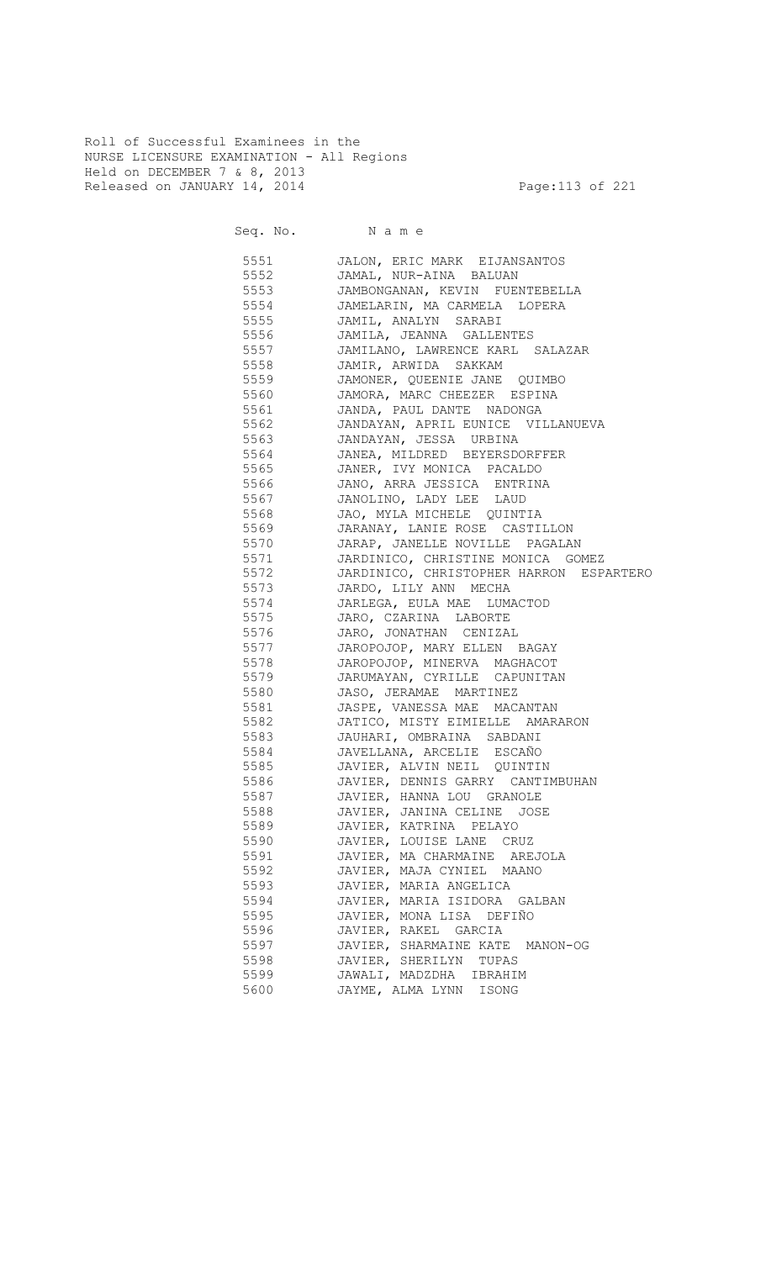Roll of Successful Examinees in the NURSE LICENSURE EXAMINATION - All Regions Held on DECEMBER 7 & 8, 2013 Released on JANUARY 14, 2014 **Page:113 of 221** 

Seq. No. Name 5551 JALON, ERIC MARK EIJANSANTOS 5552 JAMAL, NUR-AINA BALUAN 5553 JAMBONGANAN, KEVIN FUENTEBELLA 5554 JAMELARIN, MA CARMELA LOPERA 5555 JAMIL, ANALYN SARABI 5556 JAMILA, JEANNA GALLENTES 5557 JAMILANO, LAWRENCE KARL SALAZAR 5558 JAMIR, ARWIDA SAKKAM 5559 JAMONER, QUEENIE JANE QUIMBO 5560 JAMORA, MARC CHEEZER ESPINA 5561 JANDA, PAUL DANTE NADONGA 5562 JANDAYAN, APRIL EUNICE VILLANUEVA 5563 JANDAYAN, JESSA URBINA 5564 JANEA, MILDRED BEYERSDORFFER 5565 JANER, IVY MONICA PACALDO 5566 JANO, ARRA JESSICA ENTRINA 5567 JANOLINO, LADY LEE LAUD<br>5568 JAO, MYLA MICHELE QUINT 5568 JAO, MYLA MICHELE QUINTIA 5569 JARANAY, LANIE ROSE CASTILLON 5570 JARAP, JANELLE NOVILLE PAGALAN 5571 JARDINICO, CHRISTINE MONICA GOMEZ 5572 JARDINICO, CHRISTOPHER HARRON ESPARTERO 5573 JARDO, LILY ANN MECHA 5574 JARLEGA, EULA MAE LUMACTOD<br>5575 JARO, CZARINA LABORTE 5575 JARO, CZARINA LABORTE 5576 JARO, JONATHAN CENIZAL 5577 JAROPOJOP, MARY ELLEN BAGAY 5578 JAROPOJOP, MINERVA MAGHACOT 5579 JARUMAYAN, CYRILLE CAPUNITAN 5580 JASO, JERAMAE MARTINEZ 5581 JASPE, VANESSA MAE MACANTAN 5582 JATICO, MISTY EIMIELLE AMARARON 5583 JAUHARI, OMBRAINA SABDANI 5584 JAVELLANA, ARCELIE ESCAÑO 5585 JAVIER, ALVIN NEIL QUINTIN 5586 JAVIER, DENNIS GARRY CANTIMBUHAN 5587 JAVIER, HANNA LOU GRANOLE 5588 JAVIER, JANINA CELINE JOSE 5589 JAVIER, KATRINA PELAYO 5590 JAVIER, LOUISE LANE CRUZ 5591 JAVIER, MA CHARMAINE AREJOLA 5592 JAVIER, MAJA CYNIEL MAANO 5593 JAVIER, MARIA ANGELICA 5594 JAVIER, MARIA ISIDORA GALBAN 5595 JAVIER, MONA LISA DEFIÑO 5596 JAVIER, RAKEL GARCIA 5597 JAVIER, SHARMAINE KATE MANON-OG 5598 JAVIER, SHERILYN TUPAS 5599 JAWALI, MADZDHA IBRAHIM 5600 JAYME, ALMA LYNN ISONG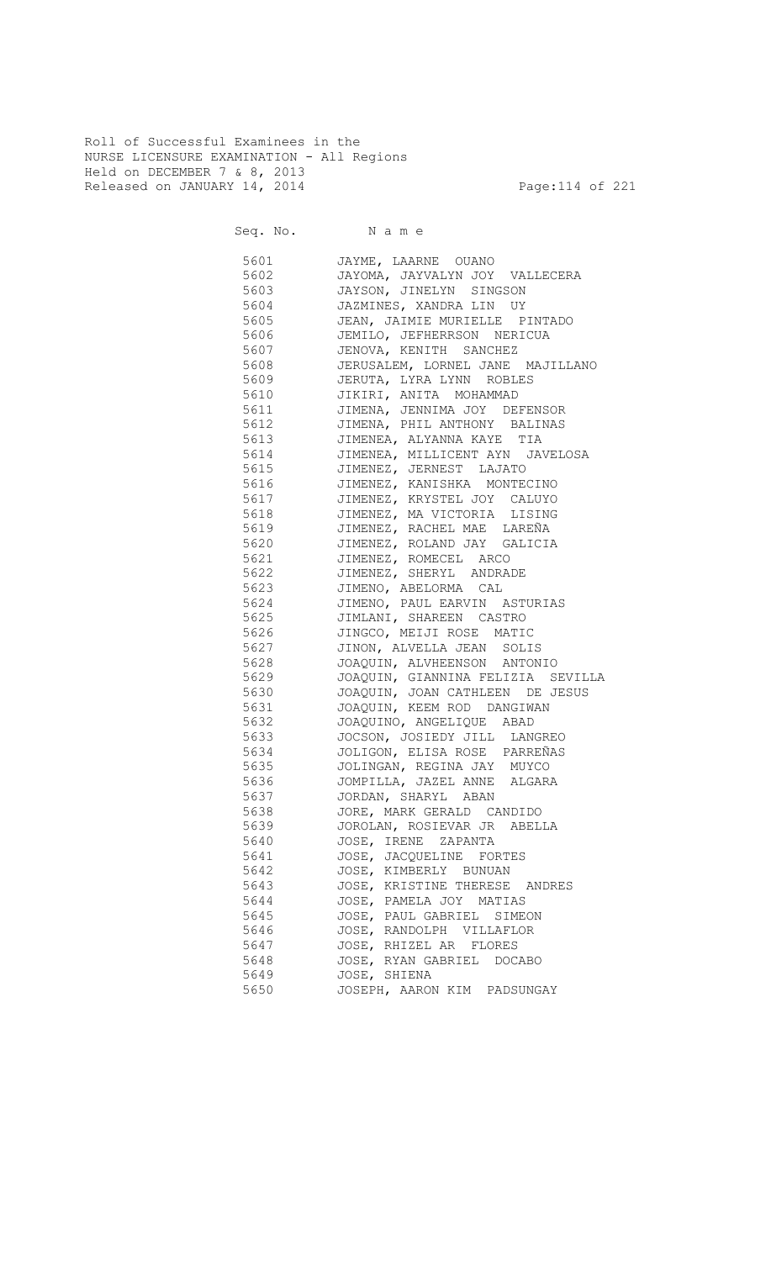Roll of Successful Examinees in the NURSE LICENSURE EXAMINATION - All Regions Held on DECEMBER 7 & 8, 2013 Released on JANUARY 14, 2014 **Page:114 of 221** 

Seq. No. Name

 5601 JAYME, LAARNE OUANO 5602 JAYOMA, JAYVALYN JOY VALLECERA 5603 JAYSON, JINELYN SINGSON 5604 JAZMINES, XANDRA LIN UY<br>5605 JEAN, JAIMIE MURIELLE P 5605 JEAN, JAIMIE MURIELLE PINTADO 5606 JEMILO, JEFHERRSON NERICUA 5607 JENOVA, KENITH SANCHEZ 5608 JERUSALEM, LORNEL JANE MAJILLANO 5609 JERUTA, LYRA LYNN ROBLES 5610 JIKIRI, ANITA MOHAMMAD 5611 JIMENA, JENNIMA JOY DEFENSOR 5612 JIMENA, PHIL ANTHONY BALINAS 5613 JIMENEA, ALYANNA KAYE TIA 5614 JIMENEA, MILLICENT AYN JAVELOSA 5615 JIMENEZ, JERNEST LAJATO 5616 JIMENEZ, KANISHKA MONTECINO 5617 JIMENEZ, KRYSTEL JOY CALUYO<br>5618 JIMENEZ, MA VICTORIA LISING 5618 JIMENEZ, MA VICTORIA LISING 5619 JIMENEZ, RACHEL MAE LAREÑA 5620 JIMENEZ, ROLAND JAY GALICIA 5621 JIMENEZ, ROMECEL ARCO 5622 JIMENEZ, SHERYL ANDRADE 5623 JIMENO, ABELORMA CAL 5624 JIMENO, PAUL EARVIN ASTURIAS<br>5625 JIMLANI, SHAREEN CASTRO 5625 JIMLANI, SHAREEN CASTRO 5626 JINGCO, MEIJI ROSE MATIC 5627 JINON, ALVELLA JEAN SOLIS 5628 JOAQUIN, ALVHEENSON ANTONIO 5629 JOAQUIN, GIANNINA FELIZIA SEVILLA 5630 JOAQUIN, JOAN CATHLEEN DE JESUS 5631 JOAQUIN, KEEM ROD DANGIWAN 5632 JOAQUINO, ANGELIQUE ABAD 5633 JOCSON, JOSIEDY JILL LANGREO 5634 JOLIGON, ELISA ROSE PARREÑAS 5635 JOLINGAN, REGINA JAY MUYCO 5636 JOMPILLA, JAZEL ANNE ALGARA 5637 JORDAN, SHARYL ABAN 5638 JORE, MARK GERALD CANDIDO 5639 JOROLAN, ROSIEVAR JR ABELLA 5640 JOSE, IRENE ZAPANTA 5641 JOSE, JACQUELINE FORTES 5642 JOSE, KIMBERLY BUNUAN 5643 JOSE, KRISTINE THERESE ANDRES 5644 JOSE, PAMELA JOY MATIAS 5645 JOSE, PAUL GABRIEL SIMEON 5646 JOSE, RANDOLPH VILLAFLOR 5647 JOSE, RHIZEL AR FLORES 5648 JOSE, RYAN GABRIEL DOCABO 5649 JOSE, SHIENA 5650 JOSEPH, AARON KIM PADSUNGAY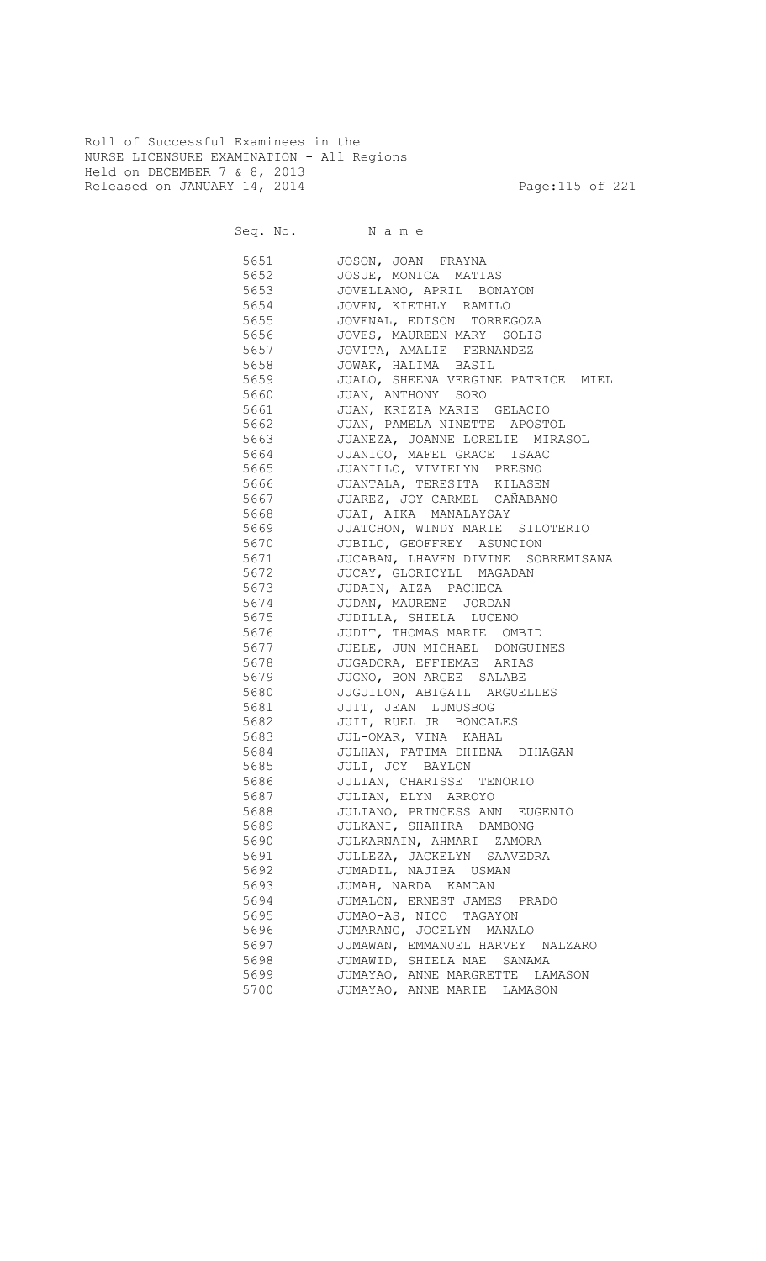Roll of Successful Examinees in the NURSE LICENSURE EXAMINATION - All Regions Held on DECEMBER 7 & 8, 2013 Released on JANUARY 14, 2014 **Page:115 of 221** 

Seq. No. Name

 5651 JOSON, JOAN FRAYNA 5652 JOSUE, MONICA MATIAS 5653 JOVELLANO, APRIL BONAYON 5654 JOVEN, KIETHLY RAMILO 5655 JOVENAL, EDISON TORREGOZA 5656 JOVES, MAUREEN MARY SOLIS 5657 JOVITA, AMALIE FERNANDEZ 5658 JOWAK, HALIMA BASIL 5659 JUALO, SHEENA VERGINE PATRICE MIEL 5660 JUAN, ANTHONY SORO 5661 JUAN, KRIZIA MARIE GELACIO 5662 JUAN, PAMELA NINETTE APOSTOL 5663 JUANEZA, JOANNE LORELIE MIRASOL 5664 JUANICO, MAFEL GRACE ISAAC 5665 JUANILLO, VIVIELYN PRESNO 5666 JUANTALA, TERESITA KILASEN 5667 JUAREZ, JOY CARMEL CAÑABANO<br>5668 JUAT, AIKA MANALAYSAY 5668 JUAT, AIKA MANALAYSAY 5669 JUATCHON, WINDY MARIE SILOTERIO<br>5670 JUBILO, GEOFFREY ASUNCION JUBILO, GEOFFREY ASUNCION 5671 JUCABAN, LHAVEN DIVINE SOBREMISANA 5672 JUCAY, GLORICYLL MAGADAN 5673 JUDAIN, AIZA PACHECA 5674 JUDAN, MAURENE JORDAN<br>5675 JUDILLA, SHIELA LUCEN 5675 JUDILLA, SHIELA LUCENO 5676 JUDIT, THOMAS MARIE OMBID 5677 JUELE, JUN MICHAEL DONGUINES 5678 JUGADORA, EFFIEMAE ARIAS 5679 JUGNO, BON ARGEE SALABE 5680 JUGUILON, ABIGAIL ARGUELLES 5681 JUIT, JEAN LUMUSBOG 5682 JUIT, RUEL JR BONCALES 5683 JUL-OMAR, VINA KAHAL 5684 JULHAN, FATIMA DHIENA DIHAGAN 5685 JULI, JOY BAYLON 5686 JULIAN, CHARISSE TENORIO 5687 JULIAN, ELYN ARROYO 5688 JULIANO, PRINCESS ANN EUGENIO 5689 JULKANI, SHAHIRA DAMBONG 5690 JULKARNAIN, AHMARI ZAMORA 5691 JULLEZA, JACKELYN SAAVEDRA 5692 JUMADIL, NAJIBA USMAN 5693 JUMAH, NARDA KAMDAN 5694 JUMALON, ERNEST JAMES PRADO 5695 JUMAO-AS, NICO TAGAYON 5696 JUMARANG, JOCELYN MANALO 5697 JUMAWAN, EMMANUEL HARVEY NALZARO 5698 JUMAWID, SHIELA MAE SANAMA 5699 JUMAYAO, ANNE MARGRETTE LAMASON 5700 JUMAYAO, ANNE MARIE LAMASON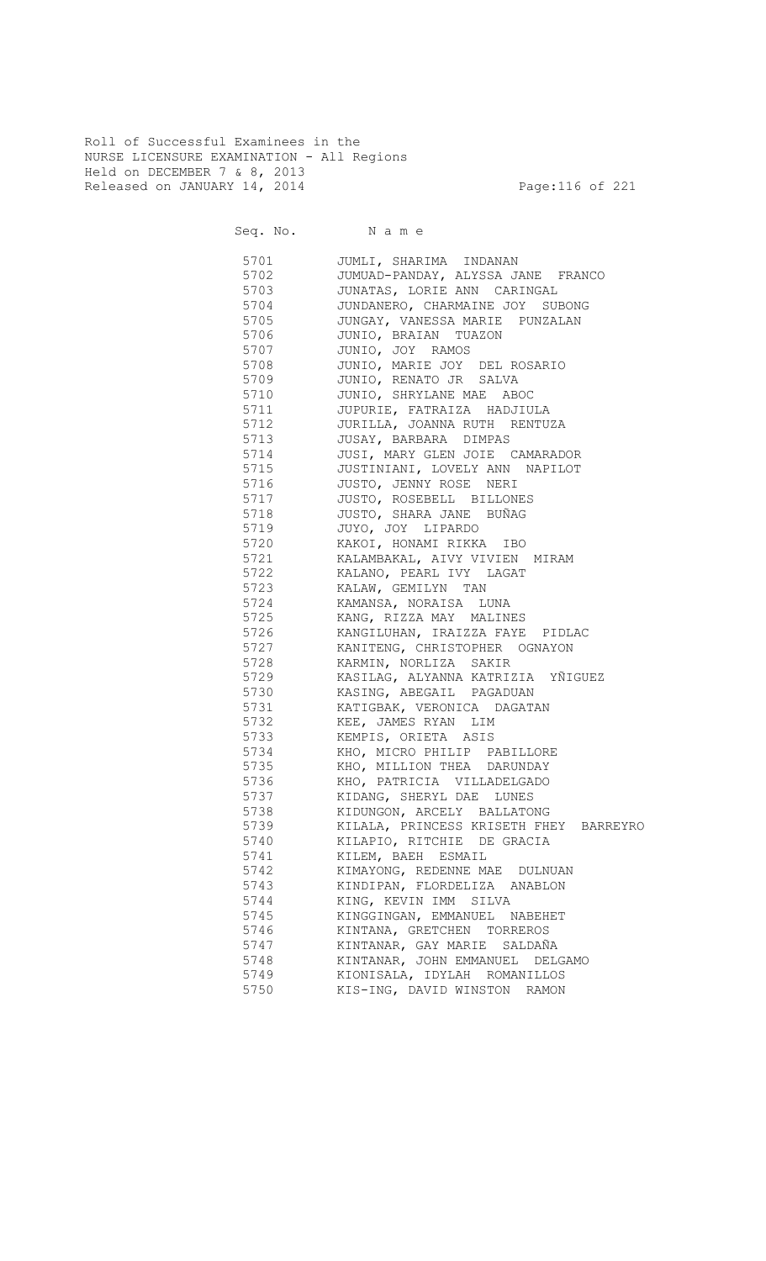Roll of Successful Examinees in the NURSE LICENSURE EXAMINATION - All Regions Held on DECEMBER 7 & 8, 2013 Released on JANUARY 14, 2014 **Page:116 of 221** 

Seq. No. Name

 5701 JUMLI, SHARIMA INDANAN 5702 JUMUAD-PANDAY, ALYSSA JANE FRANCO 5703 JUNATAS, LORIE ANN CARINGAL 5704 JUNDANERO, CHARMAINE JOY SUBONG<br>5705 JUNGAY, VANESSA MARIE PUNZALAN 5705 JUNGAY, VANESSA MARIE PUNZALAN 5706 JUNIO, BRAIAN TUAZON 5707 JUNIO, JOY RAMOS 5708 JUNIO, MARIE JOY DEL ROSARIO 5709 JUNIO, RENATO JR SALVA 5710 JUNIO, SHRYLANE MAE ABOC 5711 JUPURIE, FATRAIZA HADJIULA 5712 JURILLA, JOANNA RUTH RENTUZA 5713 JUSAY, BARBARA DIMPAS 5714 JUSI, MARY GLEN JOIE CAMARADOR 5715 JUSTINIANI, LOVELY ANN NAPILOT 5716 JUSTO, JENNY ROSE NERI 5717 JUSTO, ROSEBELL BILLONES 5718 JUSTO, SHARA JANE BUÑAG 5719 JUYO, JOY LIPARDO KAKOI, HONAMI RIKKA IBO 5721 KALAMBAKAL, AIVY VIVIEN MIRAM 5722 KALANO, PEARL IVY LAGAT 5723 KALAW, GEMILYN TAN 5724 KAMANSA, NORAISA LUNA KANG, RIZZA MAY MALINES 5726 KANGILUHAN, IRAIZZA FAYE PIDLAC 5727 KANITENG, CHRISTOPHER OGNAYON 5728 KARMIN, NORLIZA SAKIR 5729 KASILAG, ALYANNA KATRIZIA YÑIGUEZ 5730 KASING, ABEGAIL PAGADUAN 5731 KATIGBAK, VERONICA DAGATAN 5732 KEE, JAMES RYAN LIM KEMPIS, ORIETA ASIS 5734 KHO, MICRO PHILIP PABILLORE 5735 KHO, MILLION THEA DARUNDAY 5736 KHO, PATRICIA VILLADELGADO 5737 KIDANG, SHERYL DAE LUNES 5738 KIDUNGON, ARCELY BALLATONG 5739 KILALA, PRINCESS KRISETH FHEY BARREYRO 5740 KILAPIO, RITCHIE DE GRACIA 5741 KILEM, BAEH ESMAIL 5742 KIMAYONG, REDENNE MAE DULNUAN 5743 KINDIPAN, FLORDELIZA ANABLON 5744 KING, KEVIN IMM SILVA 5745 KINGGINGAN, EMMANUEL NABEHET 5746 KINTANA, GRETCHEN TORREROS 5747 KINTANAR, GAY MARIE SALDAÑA 5748 KINTANAR, JOHN EMMANUEL DELGAMO 5749 KIONISALA, IDYLAH ROMANILLOS 5750 KIS-ING, DAVID WINSTON RAMON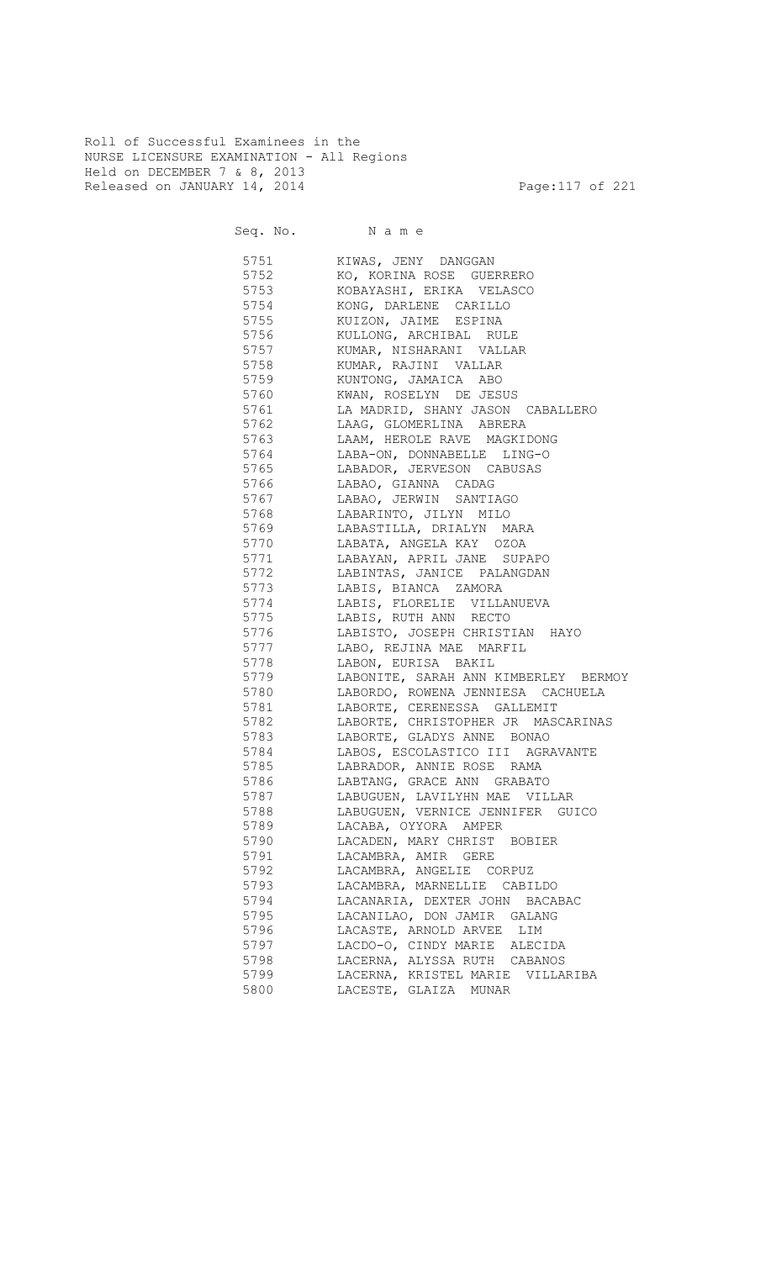Roll of Successful Examinees in the NURSE LICENSURE EXAMINATION - All Regions Held on DECEMBER 7 & 8, 2013 Released on JANUARY 14, 2014 **Page:117** of 221

Seq. No. Name

| 5751     | KIWAS, JENY DANGGAN                       |
|----------|-------------------------------------------|
| 5752     |                                           |
|          | KO, KORINA ROSE GUERRERO                  |
| 5753     | KOBAYASHI, ERIKA VELASCO                  |
| 5754     | KONG, DARLENE CARILLO                     |
| 5755     | KUIZON, JAIME ESPINA                      |
| 5756     | KULLONG, ARCHIBAL RULE                    |
| 5757     | KUMAR, NISHARANI VALLAR                   |
| 5758     | KUMAR, RAJINI VALLAR                      |
| 5759     | KUNTONG, JAMAICA ABO                      |
| 5760     | KWAN, ROSELYN DE JESUS                    |
| 5761     | LA MADRID, SHANY JASON CABALLERO          |
| 5762     | LAAG, GLOMERLINA ABRERA                   |
| 5763     | LAAM, HEROLE RAVE MAGKIDONG               |
| 5764     | LABA-ON, DONNABELLE LING-O                |
| 5765     | LABADOR, JERVESON CABUSAS                 |
| 5766     | LABAO, GIANNA CADAG                       |
| 5767     | LABAO, JERWIN SANTIAGO                    |
| 5768     | LABARINTO, JILYN MILO                     |
| 5769     | LABASTILLA, DRIALYN MARA                  |
| 5770     | LABATA, ANGELA KAY 0ZOA                   |
| 5771     | LABAYAN, APRIL JANE SUPAPO                |
| 5772     | LABINTAS, JANICE PALANGDAN                |
| 5773     | LABIS, BIANCA ZAMORA                      |
| 5774     | LABIS, FLORELIE VILLANUEVA                |
|          | LABIS, RUTH ANN RECTO                     |
| 5775     |                                           |
| 5776     | LABISTO, JOSEPH CHRISTIAN HAYO            |
| 5777     | LABO, REJINA MAE MARFIL                   |
| 5778     | LABON, EURISA BAKIL                       |
|          | 5779 LABONITE, SARAH ANN KIMBERLEY BERMOY |
|          | 5780 LABORDO, ROWENA JENNIESA CACHUELA    |
|          | 5781 LABORTE, CERENESSA GALLEMIT          |
|          | 5782 LABORTE, CHRISTOPHER JR MASCARINAS   |
|          | 5783 LABORTE, GLADYS ANNE BONAO           |
|          | 5784 LABOS, ESCOLASTICO III AGRAVANTE     |
|          | 5785 LABRADOR, ANNIE ROSE RAMA            |
|          | 5786 LABTANG, GRACE ANN GRABATO           |
|          | 5787 LABUGUEN, LAVILYHN MAE VILLAR        |
| 5788 300 | LABUGUEN, VERNICE JENNIFER GUICO          |
| 5789     | LACABA, OYYORA AMPER                      |
| 5790     | LACADEN, MARY CHRIST BOBIER               |
| 5791     | LACAMBRA, AMIR GERE                       |
| 5792     | LACAMBRA, ANGELIE CORPUZ                  |
| 5793     | LACAMBRA, MARNELLIE CABILDO               |
| 5794     | LACANARIA, DEXTER JOHN BACABAC            |
| 5795     | LACANILAO, DON JAMIR GALANG               |
| 5796     | LACASTE, ARNOLD ARVEE LIM                 |
| 5797     | LACDO-O, CINDY MARIE ALECIDA              |
| 5798     | LACERNA, ALYSSA RUTH CABANOS              |
| 5799     | LACERNA, KRISTEL MARIE VILLARIBA          |
| 5800     | LACESTE, GLAIZA MUNAR                     |
|          |                                           |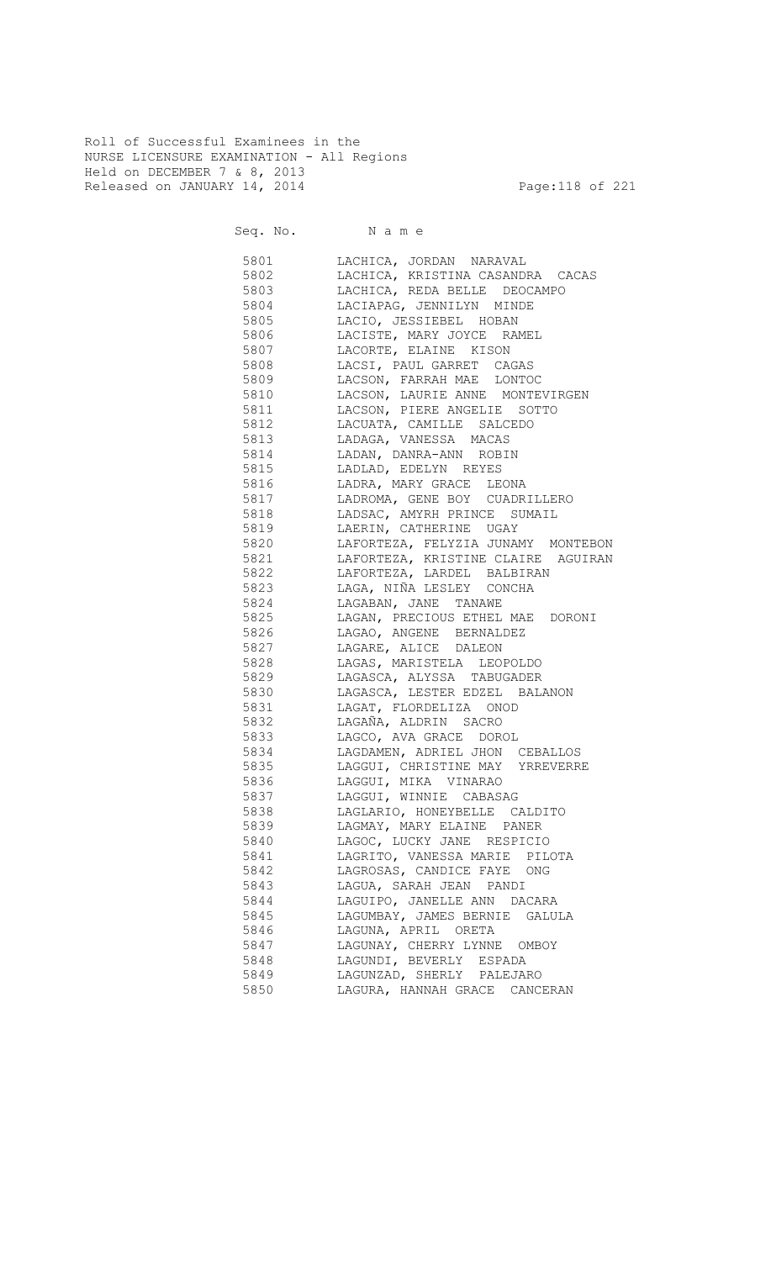Roll of Successful Examinees in the NURSE LICENSURE EXAMINATION - All Regions Held on DECEMBER 7 & 8, 2013 Released on JANUARY 14, 2014 **Page:118 of 221** 

Seq. No. Name

 5801 LACHICA, JORDAN NARAVAL 5802 LACHICA, KRISTINA CASANDRA CACAS 5803 LACHICA, REDA BELLE DEOCAMPO 5804 LACIAPAG, JENNILYN MINDE LACIO, JESSIEBEL HOBAN 5806 LACISTE, MARY JOYCE RAMEL 5807 LACORTE, ELAINE KISON 5808 LACSI, PAUL GARRET CAGAS 5809 LACSON, FARRAH MAE LONTOC 5810 LACSON, LAURIE ANNE MONTEVIRGEN 5811 LACSON, PIERE ANGELIE SOTTO 5812 LACUATA, CAMILLE SALCEDO 5813 LADAGA, VANESSA MACAS 5814 LADAN, DANRA-ANN ROBIN 5815 LADLAD, EDELYN REYES 5816 LADRA, MARY GRACE LEONA 5817 LADROMA, GENE BOY CUADRILLERO 5818 LADSAC, AMYRH PRINCE SUMAIL 5819 LAERIN, CATHERINE UGAY 5820 LAFORTEZA, FELYZIA JUNAMY MONTEBON 5821 LAFORTEZA, KRISTINE CLAIRE AGUIRAN 5822 LAFORTEZA, LARDEL BALBIRAN 5823 LAGA, NIÑA LESLEY CONCHA<br>5824 LAGABAN, JANE TANAWE LAGABAN, JANE TANAWE 5825 LAGAN, PRECIOUS ETHEL MAE DORONI 5826 LAGAO, ANGENE BERNALDEZ 5827 LAGARE, ALICE DALEON 5828 LAGAS, MARISTELA LEOPOLDO 5829 LAGASCA, ALYSSA TABUGADER 5830 LAGASCA, LESTER EDZEL BALANON 5831 LAGAT, FLORDELIZA ONOD 5832 LAGAÑA, ALDRIN SACRO 5833 LAGCO, AVA GRACE DOROL 5834 LAGDAMEN, ADRIEL JHON CEBALLOS 5835 LAGGUI, CHRISTINE MAY YRREVERRE 5836 LAGGUI, MIKA VINARAO 5837 LAGGUI, WINNIE CABASAG 5838 LAGLARIO, HONEYBELLE CALDITO 5839 LAGMAY, MARY ELAINE PANER 5840 LAGOC, LUCKY JANE RESPICIO 5841 LAGRITO, VANESSA MARIE PILOTA 5842 LAGROSAS, CANDICE FAYE ONG 5843 LAGUA, SARAH JEAN PANDI 5844 LAGUIPO, JANELLE ANN DACARA 5845 LAGUMBAY, JAMES BERNIE GALULA 5846 LAGUNA, APRIL ORETA 5847 LAGUNAY, CHERRY LYNNE OMBOY 5848 LAGUNDI, BEVERLY ESPADA 5849 LAGUNZAD, SHERLY PALEJARO 5850 LAGURA, HANNAH GRACE CANCERAN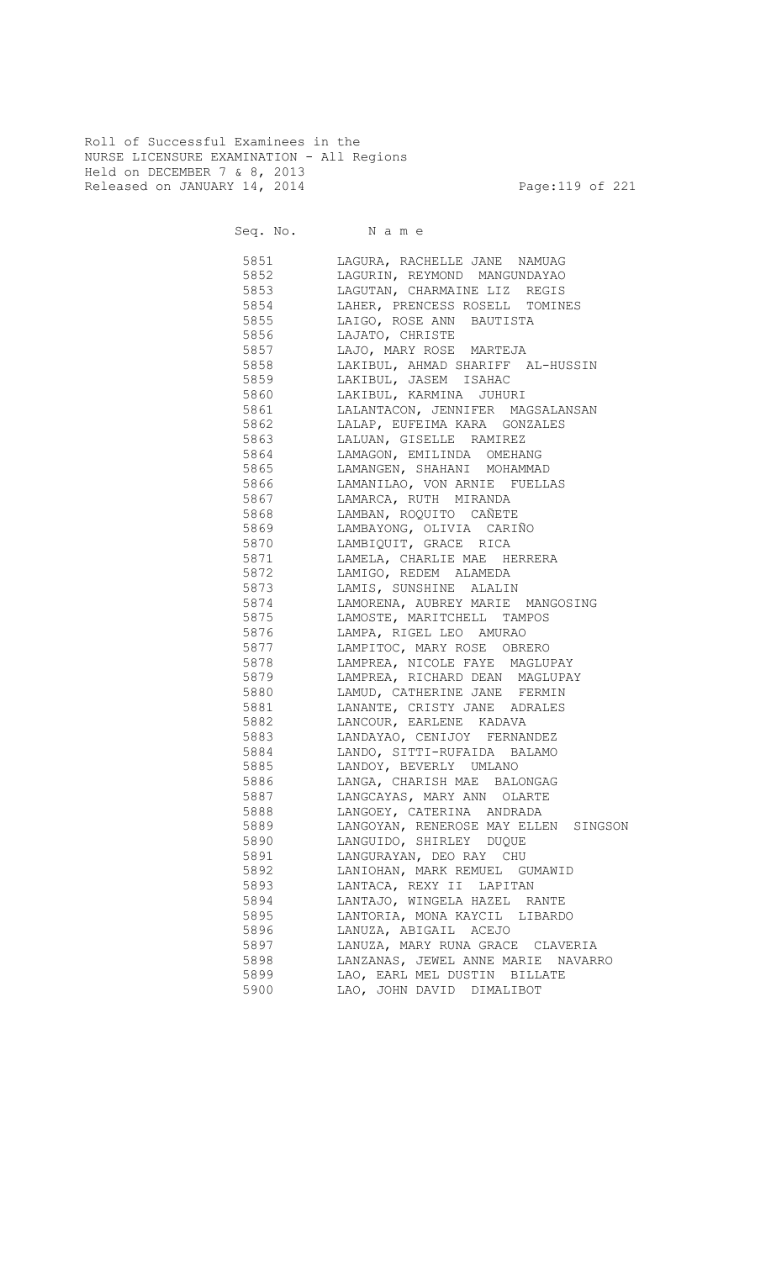Roll of Successful Examinees in the NURSE LICENSURE EXAMINATION - All Regions Held on DECEMBER 7 & 8, 2013 Released on JANUARY 14, 2014 **Page:119 of 221** 

Seq. No. Name

| 5851 | LAGURA, RACHELLE JANE NAMUAG                 |
|------|----------------------------------------------|
| 5852 | LAGURIN, REYMOND MANGUNDAYAO                 |
| 5853 | LAGUTAN, CHARMAINE LIZ REGIS                 |
| 5854 | LAHER, PRENCESS ROSELL TOMINES               |
| 5855 | LAIGO, ROSE ANN BAUTISTA                     |
| 5856 | LAJATO, CHRISTE                              |
| 5857 | LAJO, MARY ROSE MARTEJA                      |
| 5858 | LAKIBUL, AHMAD SHARIFF AL-HUSSIN             |
|      | 5859 LAKIBUL, JASEM ISAHAC                   |
|      | 5860 LAKIBUL, KARMINA JUHURI                 |
|      | 5861 LALANTACON, JENNIFER MAGSALANSAN        |
|      | 5862 LALAP, EUFEIMA KARA GONZALES            |
|      | 5863 LALUAN, GISELLE RAMIREZ                 |
|      | 5864 LAMAGON, EMILINDA OMEHANG               |
|      | 5865 LAMANGEN, SHAHANI MOHAMMAD              |
|      | 5866 LAMANILAO, VON ARNIE FUELLAS            |
|      | 5867 LAMARCA, RUTH MIRANDA                   |
|      |                                              |
|      | 5869             LAMBAYONG,  OLIVIA   CARIÑO |
|      | 5870 LAMBIQUIT, GRACE RICA                   |
|      | 5871 LAMELA, CHARLIE MAE HERRERA             |
|      | 5872 LAMIGO, REDEM ALAMEDA                   |
|      | 5873 LAMIS, SUNSHINE ALALIN                  |
|      | 5874 LAMORENA, AUBREY MARIE MANGOSING        |
|      | 5875 LAMOSTE, MARITCHELL TAMPOS              |
|      | 5876 LAMPA, RIGEL LEO AMURAO                 |
| 5877 | LAMPITOC, MARY ROSE OBRERO                   |
| 5878 | LAMPREA, NICOLE FAYE MAGLUPAY                |
|      | 5879 LAMPREA, RICHARD DEAN MAGLUPAY          |
|      | 5880 LAMUD, CATHERINE JANE FERMIN            |
| 5881 | LANANTE, CRISTY JANE ADRALES                 |
| 5882 | LANCOUR, EARLENE KADAVA                      |
| 5883 | LANDAYAO, CENIJOY FERNANDEZ                  |
| 5884 | LANDO, SITTI-RUFAIDA BALAMO                  |
| 5885 | LANDOY, BEVERLY UMLANO                       |
| 5886 | LANGA, CHARISH MAE BALONGAG                  |
| 5887 | LANGCAYAS, MARY ANN OLARTE                   |
| 5888 | LANGOEY, CATERINA ANDRADA                    |
| 5889 | LANGOYAN, RENEROSE MAY ELLEN SINGSON         |
| 5890 | LANGUIDO, SHIRLEY DUQUE                      |
| 5891 | LANGURAYAN, DEO RAY CHU                      |
| 5892 | LANIOHAN, MARK REMUEL GUMAWID                |
| 5893 | LANTACA, REXY II LAPITAN                     |
| 5894 | LANTAJO, WINGELA HAZEL RANTE                 |
| 5895 | LANTORIA, MONA KAYCIL LIBARDO                |
| 5896 | LANUZA, ABIGAIL ACEJO                        |
| 5897 | LANUZA, MARY RUNA GRACE CLAVERIA             |
| 5898 | LANZANAS, JEWEL ANNE MARIE NAVARRO           |
| 5899 | LAO, EARL MEL DUSTIN BILLATE                 |
| 5900 | LAO, JOHN DAVID DIMALIBOT                    |
|      |                                              |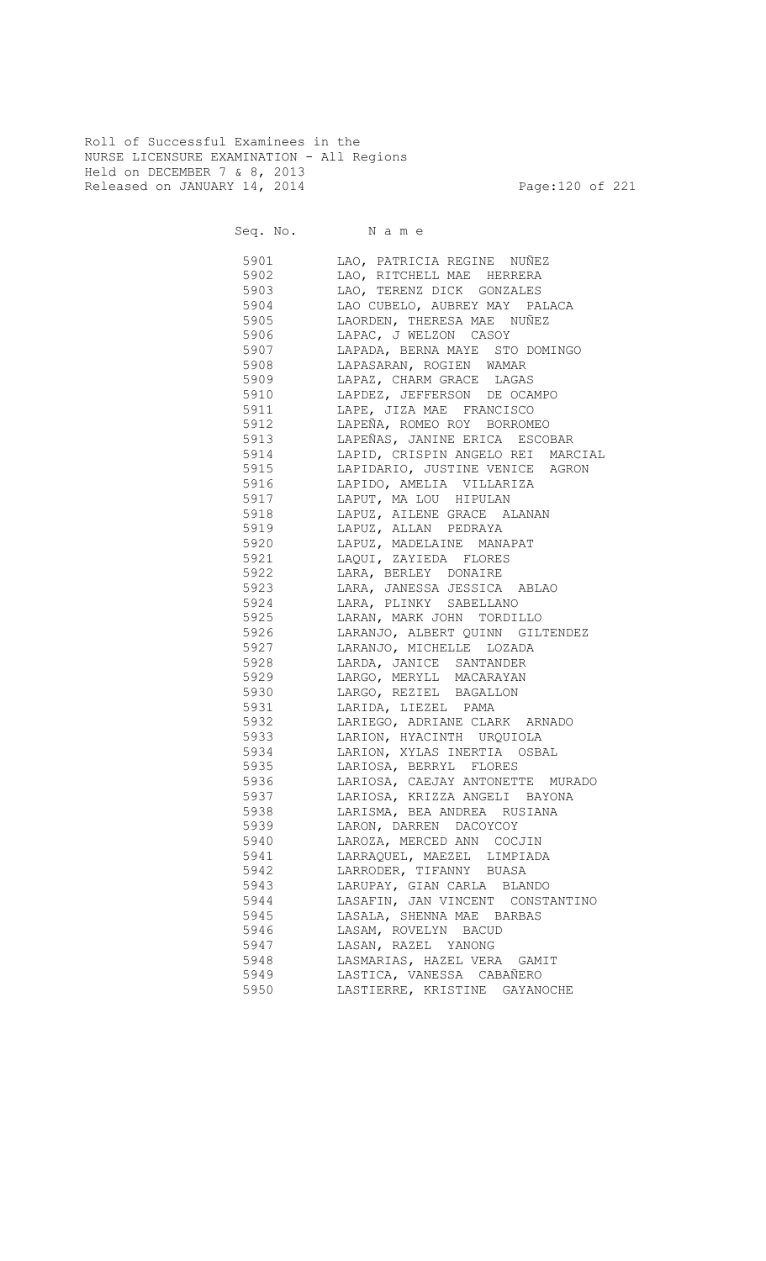Roll of Successful Examinees in the NURSE LICENSURE EXAMINATION - All Regions Held on DECEMBER 7 & 8, 2013 Released on JANUARY 14, 2014 **Page:120 of 221** 

Seq. No. Name

 5901 LAO, PATRICIA REGINE NUÑEZ 5902 LAO, RITCHELL MAE HERRERA 5903 LAO, TERENZ DICK GONZALES 5904 LAO CUBELO, AUBREY MAY PALACA LAORDEN, THERESA MAE NUÑEZ 5906 LAPAC, J WELZON CASOY 5907 LAPADA, BERNA MAYE STO DOMINGO 5908 LAPASARAN, ROGIEN WAMAR 5909 LAPAZ, CHARM GRACE LAGAS 5910 LAPDEZ, JEFFERSON DE OCAMPO 5911 LAPE, JIZA MAE FRANCISCO 5912 LAPEÑA, ROMEO ROY BORROMEO 5913 LAPEÑAS, JANINE ERICA ESCOBAR 5914 LAPID, CRISPIN ANGELO REI MARCIAL 5915 LAPIDARIO, JUSTINE VENICE AGRON 5916 LAPIDO, AMELIA VILLARIZA 5917 LAPUT, MA LOU HIPULAN 5918 LAPUZ, AILENE GRACE ALANAN 5919 LAPUZ, ALLAN PEDRAYA 5920 LAPUZ, MADELAINE MANAPAT 5921 LAQUI, ZAYIEDA FLORES 5922 LARA, BERLEY DONAIRE 5923 LARA, JANESSA JESSICA ABLAO 5924 LARA, PLINKY SABELLANO 5925 LARAN, MARK JOHN TORDILLO 5926 LARANJO, ALBERT QUINN GILTENDEZ 5927 LARANJO, MICHELLE LOZADA 5928 LARDA, JANICE SANTANDER 5929 LARGO, MERYLL MACARAYAN 5930 LARGO, REZIEL BAGALLON 5931 LARIDA, LIEZEL PAMA 5932 LARIEGO, ADRIANE CLARK ARNADO 5933 LARION, HYACINTH URQUIOLA 5934 LARION, XYLAS INERTIA OSBAL 5935 LARIOSA, BERRYL FLORES 5936 LARIOSA, CAEJAY ANTONETTE MURADO 5937 LARIOSA, KRIZZA ANGELI BAYONA 5938 LARISMA, BEA ANDREA RUSIANA 5939 LARON, DARREN DACOYCOY 5940 LAROZA, MERCED ANN COCJIN 5941 LARRAQUEL, MAEZEL LIMPIADA 5942 LARRODER, TIFANNY BUASA 5943 LARUPAY, GIAN CARLA BLANDO 5944 LASAFIN, JAN VINCENT CONSTANTINO 5945 LASALA, SHENNA MAE BARBAS 5946 LASAM, ROVELYN BACUD 5947 LASAN, RAZEL YANONG 5948 LASMARIAS, HAZEL VERA GAMIT 5949 LASTICA, VANESSA CABAÑERO<br>5950 LASTIERRE, KRISTINE GAYAN LASTIERRE, KRISTINE GAYANOCHE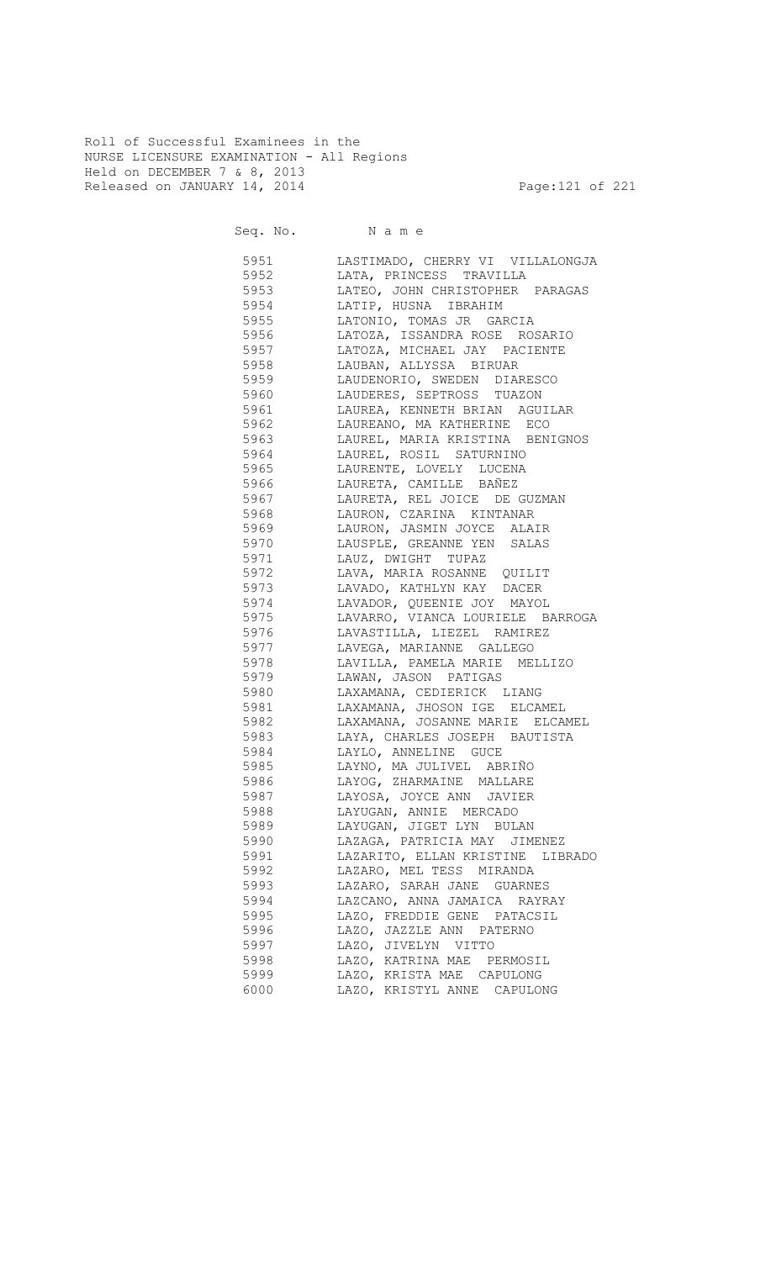Roll of Successful Examinees in the NURSE LICENSURE EXAMINATION - All Regions Held on DECEMBER 7 & 8, 2013 Released on JANUARY 14, 2014 **Page:121 of 221** 

Seq. No. Name

 5951 LASTIMADO, CHERRY VI VILLALONGJA 5952 LATA, PRINCESS TRAVILLA 5953 LATEO, JOHN CHRISTOPHER PARAGAS 5954 LATIP, HUSNA IBRAHIM LATONIO, TOMAS JR GARCIA 5956 LATOZA, ISSANDRA ROSE ROSARIO 5957 LATOZA, MICHAEL JAY PACIENTE 5958 LAUBAN, ALLYSSA BIRUAR 5959 LAUDENORIO, SWEDEN DIARESCO 5960 LAUDERES, SEPTROSS TUAZON 5961 LAUREA, KENNETH BRIAN AGUILAR 5962 LAUREANO, MA KATHERINE ECO 5963 LAUREL, MARIA KRISTINA BENIGNOS 5964 LAUREL, ROSIL SATURNINO 5965 LAURENTE, LOVELY LUCENA 5966 LAURETA, CAMILLE BAÑEZ 5967 LAURETA, REL JOICE DE GUZMAN LAURON, CZARINA KINTANAR 5969 LAURON, JASMIN JOYCE ALAIR<br>5970 LAUSPLE, GREANNE YEN SALAS LAUSPLE, GREANNE YEN SALAS 5971 LAUZ, DWIGHT TUPAZ 5972 LAVA, MARIA ROSANNE QUILIT 5973 LAVADO, KATHLYN KAY DACER 5974 LAVADOR, QUEENIE JOY MAYOL 5975 LAVARRO, VIANCA LOURIELE BARROGA 5976 LAVASTILLA, LIEZEL RAMIREZ 5977 LAVEGA, MARIANNE GALLEGO 5978 LAVILLA, PAMELA MARIE MELLIZO 5979 LAWAN, JASON PATIGAS 5980 LAXAMANA, CEDIERICK LIANG 5981 LAXAMANA, JHOSON IGE ELCAMEL 5982 LAXAMANA, JOSANNE MARIE ELCAMEL 5983 LAYA, CHARLES JOSEPH BAUTISTA 5984 LAYLO, ANNELINE GUCE 5985 LAYNO, MA JULIVEL ABRIÑO 5986 LAYOG, ZHARMAINE MALLARE 5987 LAYOSA, JOYCE ANN JAVIER 5988 LAYUGAN, ANNIE MERCADO 5989 LAYUGAN, JIGET LYN BULAN 5990 LAZAGA, PATRICIA MAY JIMENEZ 5991 LAZARITO, ELLAN KRISTINE LIBRADO 5992 LAZARO, MEL TESS MIRANDA 5993 LAZARO, SARAH JANE GUARNES 5994 LAZCANO, ANNA JAMAICA RAYRAY 5995 LAZO, FREDDIE GENE PATACSIL 5996 LAZO, JAZZLE ANN PATERNO 5997 LAZO, JIVELYN VITTO 5998 LAZO, KATRINA MAE PERMOSIL 5999 LAZO, KRISTA MAE CAPULONG 6000 LAZO, KRISTYL ANNE CAPULONG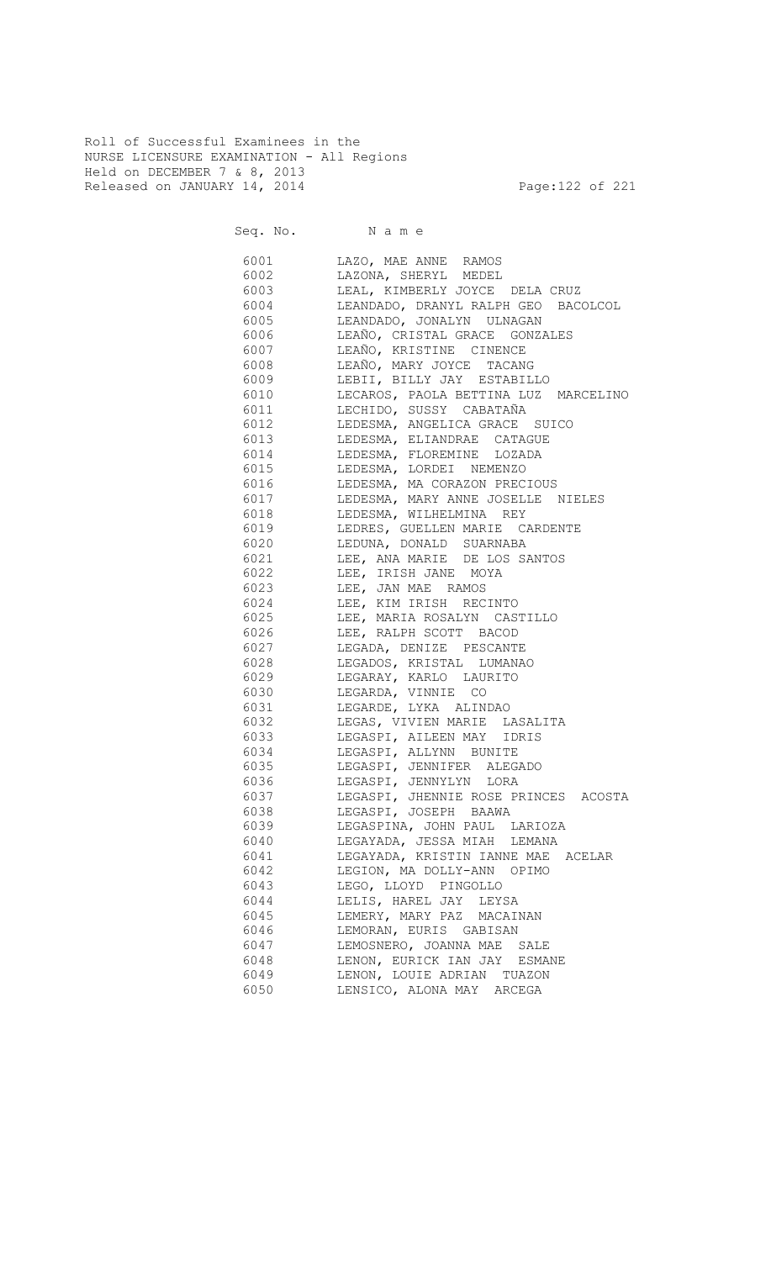Roll of Successful Examinees in the NURSE LICENSURE EXAMINATION - All Regions Held on DECEMBER 7 & 8, 2013 Released on JANUARY 14, 2014 **Page:122 of 221** 

Seq. No. Name

 6001 LAZO, MAE ANNE RAMOS 6002 LAZONA, SHERYL MEDEL 6003 LEAL, KIMBERLY JOYCE DELA CRUZ 6004 LEANDADO, DRANYL RALPH GEO BACOLCOL LEANDADO, JONALYN ULNAGAN 6006 LEAÑO, CRISTAL GRACE GONZALES 6007 LEAÑO, KRISTINE CINENCE 6008 LEAÑO, MARY JOYCE TACANG 6009 LEBII, BILLY JAY ESTABILLO 6010 LECAROS, PAOLA BETTINA LUZ MARCELINO 6011 LECHIDO, SUSSY CABATAÑA 6012 LEDESMA, ANGELICA GRACE SUICO 6013 LEDESMA, ELIANDRAE CATAGUE 6014 LEDESMA, FLOREMINE LOZADA 6015 LEDESMA, LORDEI NEMENZO 6016 LEDESMA, MA CORAZON PRECIOUS 6017 LEDESMA, MARY ANNE JOSELLE NIELES LEDESMA, WILHELMINA REY 6019 LEDRES, GUELLEN MARIE CARDENTE 6020 LEDUNA, DONALD SUARNABA 6021 LEE, ANA MARIE DE LOS SANTOS 6022 LEE, IRISH JANE MOYA 6023 LEE, JAN MAE RAMOS 6024 LEE, KIM IRISH RECINTO 6025 LEE, MARIA ROSALYN CASTILLO 6026 LEE, RALPH SCOTT BACOD 6027 LEGADA, DENIZE PESCANTE 6028 LEGADOS, KRISTAL LUMANAO 6029 LEGARAY, KARLO LAURITO 6030 LEGARDA, VINNIE CO 6031 LEGARDE, LYKA ALINDAO 6032 LEGAS, VIVIEN MARIE LASALITA 6033 LEGASPI, AILEEN MAY IDRIS 6034 LEGASPI, ALLYNN BUNITE 6035 LEGASPI, JENNIFER ALEGADO 6036 LEGASPI, JENNYLYN LORA 6037 LEGASPI, JHENNIE ROSE PRINCES ACOSTA 6038 LEGASPI, JOSEPH BAAWA 6039 LEGASPINA, JOHN PAUL LARIOZA 6040 LEGAYADA, JESSA MIAH LEMANA 6041 LEGAYADA, KRISTIN IANNE MAE ACELAR 6042 LEGION, MA DOLLY-ANN OPIMO 6043 LEGO, LLOYD PINGOLLO 6044 LELIS, HAREL JAY LEYSA 6045 LEMERY, MARY PAZ MACAINAN 6046 LEMORAN, EURIS GABISAN 6047 LEMOSNERO, JOANNA MAE SALE 6048 LENON, EURICK IAN JAY ESMANE 6049 LENON, LOUIE ADRIAN TUAZON 6050 LENSICO, ALONA MAY ARCEGA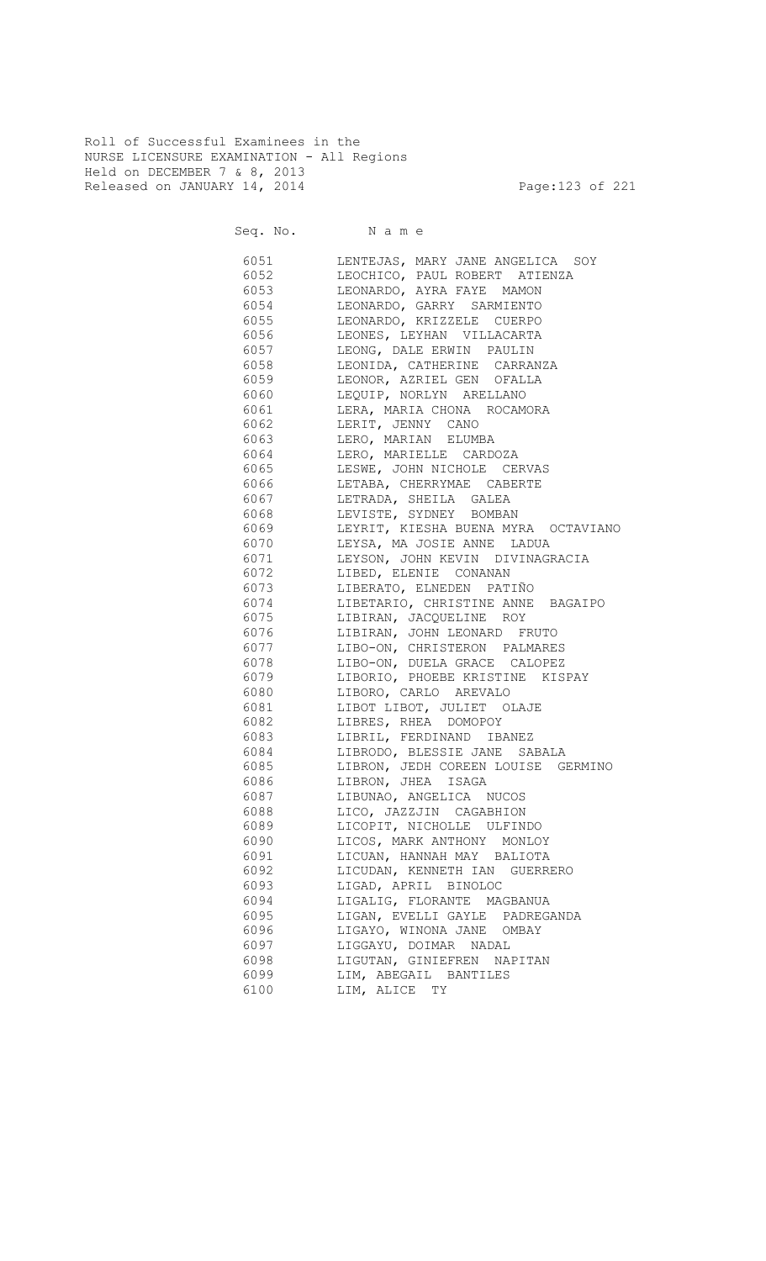Roll of Successful Examinees in the NURSE LICENSURE EXAMINATION - All Regions Held on DECEMBER 7 & 8, 2013 Released on JANUARY 14, 2014 **Page:123 of 221** 

Seq. No. Name

 6051 LENTEJAS, MARY JANE ANGELICA SOY 6052 LEOCHICO, PAUL ROBERT ATIENZA 6053 LEONARDO, AYRA FAYE MAMON 6054 LEONARDO, GARRY SARMIENTO LEONARDO, KRIZZELE CUERPO 6056 LEONES, LEYHAN VILLACARTA 6057 LEONG, DALE ERWIN PAULIN 6058 LEONIDA, CATHERINE CARRANZA 6059 LEONOR, AZRIEL GEN OFALLA 6060 LEQUIP, NORLYN ARELLANO 6061 LERA, MARIA CHONA ROCAMORA 6062 LERIT, JENNY CANO 6063 LERO, MARIAN ELUMBA 6064 LERO, MARIELLE CARDOZA 6065 LESWE, JOHN NICHOLE CERVAS 6066 LETABA, CHERRYMAE CABERTE 6067 LETRADA, SHEILA GALEA LEVISTE, SYDNEY BOMBAN 6069 LEYRIT, KIESHA BUENA MYRA OCTAVIANO 6070 LEYSA, MA JOSIE ANNE LADUA 6071 LEYSON, JOHN KEVIN DIVINAGRACIA 6072 LIBED, ELENIE CONANAN 6073 LIBERATO, ELNEDEN PATIÑO 6074 LIBETARIO, CHRISTINE ANNE BAGAIPO<br>6075 LIBIRAN, JACQUELINE ROY 6075 LIBIRAN, JACQUELINE ROY 6076 LIBIRAN, JOHN LEONARD FRUTO 6077 LIBO-ON, CHRISTERON PALMARES 6078 LIBO-ON, DUELA GRACE CALOPEZ 6079 LIBORIO, PHOEBE KRISTINE KISPAY 6080 LIBORO, CARLO AREVALO 6081 LIBOT LIBOT, JULIET OLAJE 6082 LIBRES, RHEA DOMOPOY 6083 LIBRIL, FERDINAND IBANEZ 6084 LIBRODO, BLESSIE JANE SABALA 6085 LIBRON, JEDH COREEN LOUISE GERMINO 6086 LIBRON, JHEA ISAGA 6087 LIBUNAO, ANGELICA NUCOS 6088 LICO, JAZZJIN CAGABHION 6089 LICOPIT, NICHOLLE ULFINDO 6090 LICOS, MARK ANTHONY MONLOY 6091 LICUAN, HANNAH MAY BALIOTA 6092 LICUDAN, KENNETH IAN GUERRERO 6093 LIGAD, APRIL BINOLOC 6094 LIGALIG, FLORANTE MAGBANUA 6095 LIGAN, EVELLI GAYLE PADREGANDA 6096 LIGAYO, WINONA JANE OMBAY 6097 LIGGAYU, DOIMAR NADAL 6098 LIGUTAN, GINIEFREN NAPITAN 6099 LIM, ABEGAIL BANTILES 6100 LIM, ALICE TY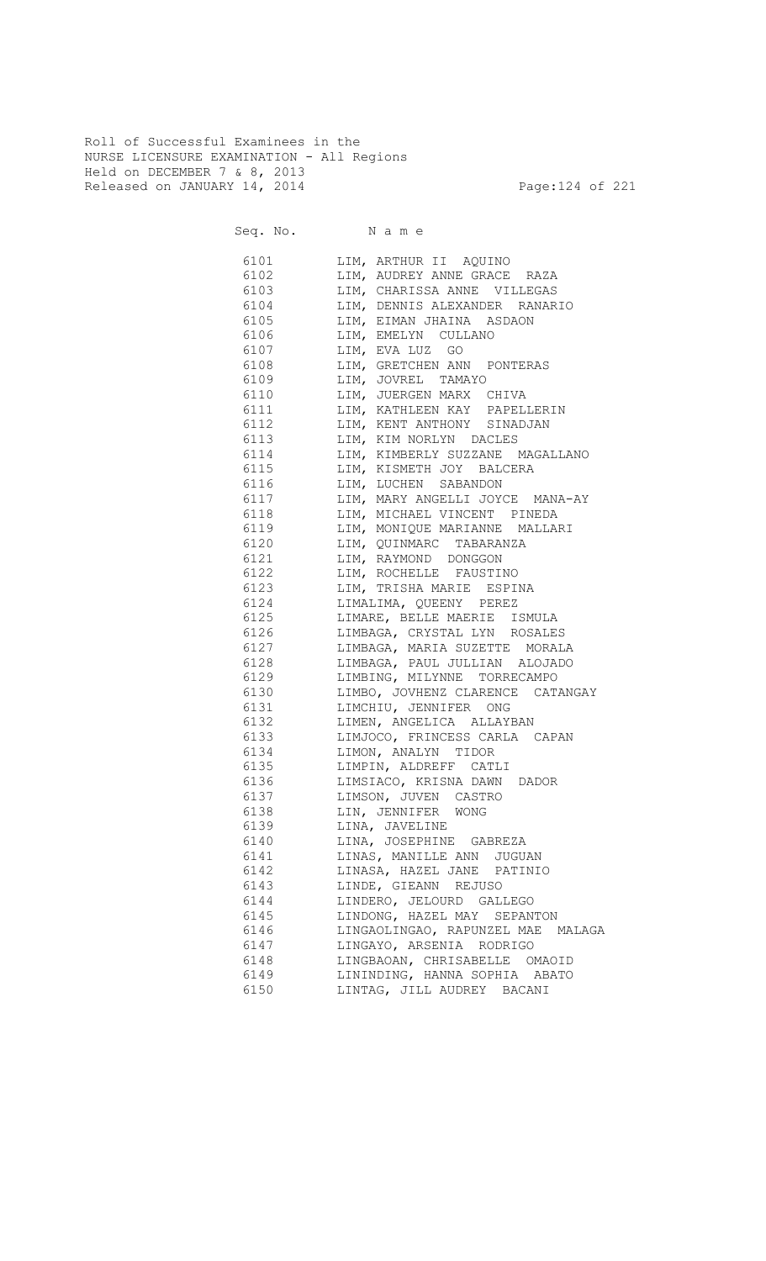Roll of Successful Examinees in the NURSE LICENSURE EXAMINATION - All Regions Held on DECEMBER 7 & 8, 2013 Released on JANUARY 14, 2014 **Page:124 of 221** 

|              | Seq. No. Name                                             |
|--------------|-----------------------------------------------------------|
| 6101         | LIM, ARTHUR II AQUINO                                     |
| 6102         | LIM, AUDREY ANNE GRACE RAZA                               |
| 6103         | LIM, CHARISSA ANNE VILLEGAS                               |
| 6104         | LIM, DENNIS ALEXANDER RANARIO                             |
| 6105         | LIM, EIMAN JHAINA ASDAON                                  |
| 6106         | LIM, EMELYN CULLANO                                       |
| 6107         | LIM, EVA LUZ GO                                           |
| 6108         | LIM, GRETCHEN ANN PONTERAS                                |
| 6109         | LIM, JOVREL TAMAYO                                        |
| 6110         | LIM, JUERGEN MARX CHIVA                                   |
| 6111         | LIM, KATHLEEN KAY PAPELLERIN                              |
| 6112         | LIM, KENT ANTHONY SINADJAN                                |
| 6113         | LIM, KIM NORLYN DACLES                                    |
| 6114         | LIM, KIMBERLY SUZZANE MAGALLANO                           |
| 6115         | LIM, KISMETH JOY BALCERA                                  |
| 6116         | LIM, LUCHEN SABANDON                                      |
| 6117         | LIM, MARY ANGELLI JOYCE MANA-AY                           |
| 6118         | LIM, MICHAEL VINCENT PINEDA                               |
| 6119         | LIM, MONIQUE MARIANNE MALLARI                             |
| 6120         | LIM, QUINMARC TABARANZA                                   |
| 6121         | LIM, RAYMOND DONGGON                                      |
| 6122         | LIM, ROCHELLE FAUSTINO                                    |
| 6123         | LIM, TRISHA MARIE ESPINA                                  |
| 6124         | LIMALIMA, QUEENY PEREZ                                    |
| 6125         | LIMARE, BELLE MAERIE ISMULA                               |
| 6126         | LIMBAGA, CRYSTAL LYN ROSALES                              |
| 6127         | LIMBAGA, MARIA SUZETTE MORALA                             |
| 6128         | LIMBAGA, PAUL JULLIAN ALOJADO                             |
| 6129         | LIMBING, MILYNNE TORRECAMPO                               |
| 6130         | LIMBO, JOVHENZ CLARENCE CATANGAY                          |
| 6131         | LIMCHIU, JENNIFER ONG                                     |
| 6132         | LIMEN, ANGELICA ALLAYBAN                                  |
| 6133         | LIMJOCO, FRINCESS CARLA CAPAN                             |
| 6134         | LIMON, ANALYN TIDOR                                       |
| 6135 — 13    | LIMPIN, ALDREFF CATLI                                     |
| 6136         | LIMSIACO, KRISNA DAWN DADOR                               |
| 6137         | LIMSON, JUVEN CASTRO                                      |
| 6138         | LIN, JENNIFER WONG                                        |
| 6139         | LINA, JAVELINE                                            |
| 6140         | LINA, JOSEPHINE GABREZA                                   |
| 6141         | LINAS, MANILLE ANN JUGUAN                                 |
| 6142         | LINASA, HAZEL JANE PATINIO                                |
| 6143         | LINDE, GIEANN REJUSO                                      |
| 6144         | LINDERO, JELOURD GALLEGO                                  |
| 6145<br>6146 | LINDONG, HAZEL MAY SEPANTON<br>LINGAOLINGAO, RAPUNZEL MAE |
| 6147         | MALAGA<br>LINGAYO, ARSENIA RODRIGO                        |
| 6148         | LINGBAOAN, CHRISABELLE OMAOID                             |
| 6149         | LININDING, HANNA SOPHIA ABATO                             |
| 6150         | LINTAG, JILL AUDREY BACANI                                |
|              |                                                           |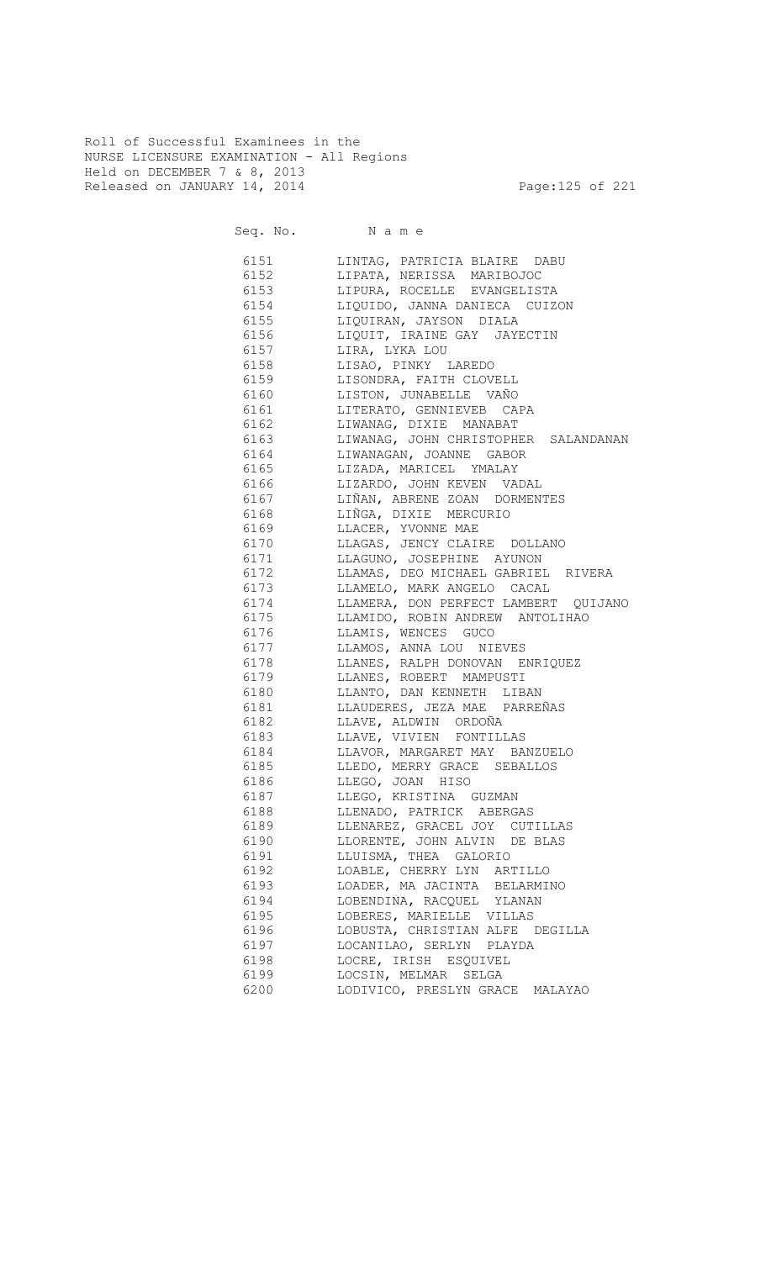Roll of Successful Examinees in the NURSE LICENSURE EXAMINATION - All Regions Held on DECEMBER 7 & 8, 2013 Released on JANUARY 14, 2014 **Page:125 of 221** 

Seq. No. Name

 6151 LINTAG, PATRICIA BLAIRE DABU 6152 LIPATA, NERISSA MARIBOJOC 6153 LIPURA, ROCELLE EVANGELISTA 6154 LIQUIDO, JANNA DANIECA CUIZON 6155 LIQUIRAN, JAYSON DIALA 6156 LIQUIT, IRAINE GAY JAYECTIN 6157 LIRA, LYKA LOU 6158 LISAO, PINKY LAREDO 6159 LISONDRA, FAITH CLOVELL 6160 LISTON, JUNABELLE VAÑO 6161 LITERATO, GENNIEVEB CAPA 6162 LIWANAG, DIXIE MANABAT 6163 LIWANAG, JOHN CHRISTOPHER SALANDANAN 6164 LIWANAGAN, JOANNE GABOR 6165 LIZADA, MARICEL YMALAY 6166 LIZARDO, JOHN KEVEN VADAL 6167 LIÑAN, ABRENE ZOAN DORMENTES 6168 LIÑGA, DIXIE MERCURIO 6169 LLACER, YVONNE MAE<br>6170 LLAGAS, JENCY CLAIP LLAGAS, JENCY CLAIRE DOLLANO 6171 LLAGUNO, JOSEPHINE AYUNON 6172 LLAMAS, DEO MICHAEL GABRIEL RIVERA 6173 LLAMELO, MARK ANGELO CACAL<br>6174 LLAMERA, DON PERFECT LAMBERT 6174 LLAMERA, DON PERFECT LAMBERT QUIJANO<br>6175 LLAMIDO, ROBIN ANDREW ANTOLIHAO LLAMIDO, ROBIN ANDREW ANTOLIHAO 6176 LLAMIS, WENCES GUCO 6177 LLAMOS, ANNA LOU NIEVES 6178 LLANES, RALPH DONOVAN ENRIQUEZ 6179 LLANES, ROBERT MAMPUSTI 6180 LLANTO, DAN KENNETH LIBAN 6181 LLAUDERES, JEZA MAE PARREÑAS 6182 LLAVE, ALDWIN ORDOÑA 6183 LLAVE, VIVIEN FONTILLAS 6184 LLAVOR, MARGARET MAY BANZUELO 6185 LLEDO, MERRY GRACE SEBALLOS 6186 LLEGO, JOAN HISO 6187 LLEGO, KRISTINA GUZMAN 6188 LLENADO, PATRICK ABERGAS 6189 LLENAREZ, GRACEL JOY CUTILLAS 6190 LLORENTE, JOHN ALVIN DE BLAS 6191 LLUISMA, THEA GALORIO 6192 LOABLE, CHERRY LYN ARTILLO 6193 LOADER, MA JACINTA BELARMINO 6194 LOBENDINA, RACQUEL YLANAN 6195 LOBERES, MARIELLE VILLAS 6196 LOBUSTA, CHRISTIAN ALFE DEGILLA 6197 LOCANILAO, SERLYN PLAYDA 6198 LOCRE, IRISH ESQUIVEL 6199 LOCSIN, MELMAR SELGA 6200 LODIVICO, PRESLYN GRACE MALAYAO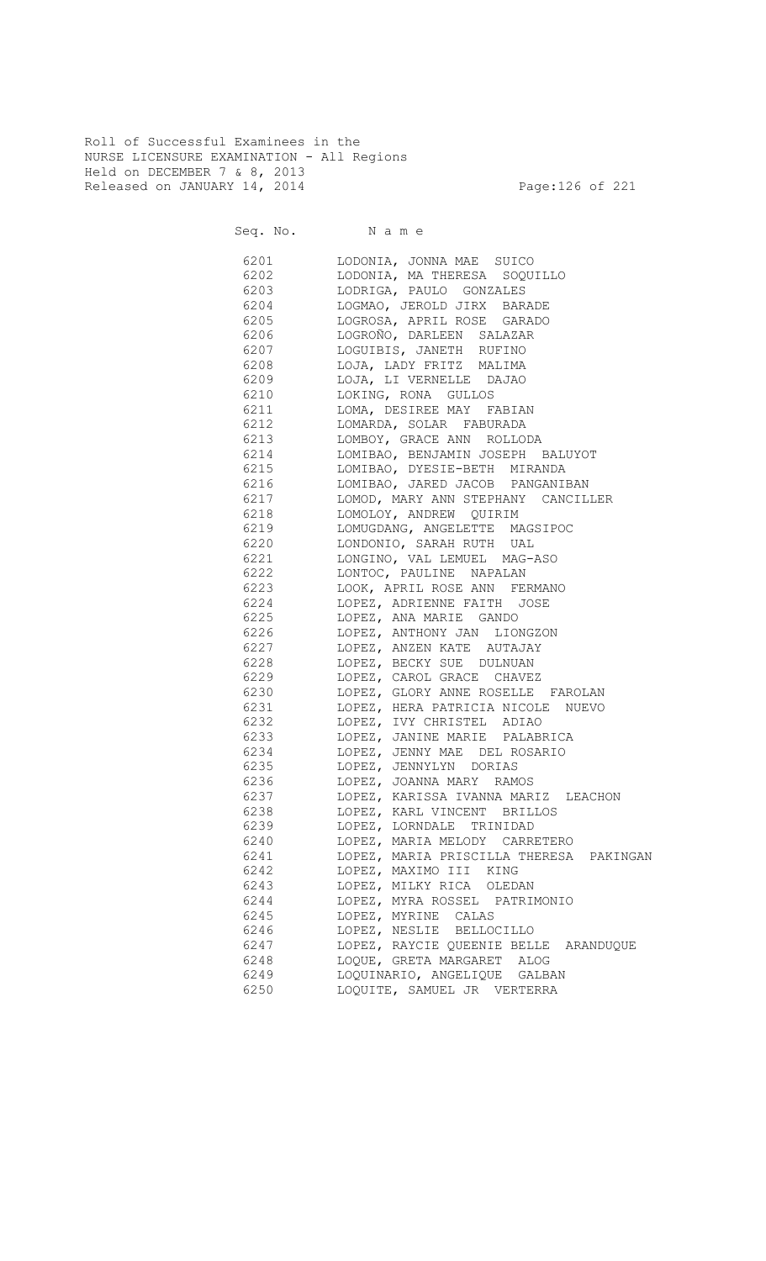Roll of Successful Examinees in the NURSE LICENSURE EXAMINATION - All Regions Held on DECEMBER 7 & 8, 2013 Released on JANUARY 14, 2014 **Page:126 of 221** 

Seq. No. Name 6201 LODONIA, JONNA MAE SUICO 6202 LODONIA, MA THERESA SOQUILLO 6203 LODRIGA, PAULO GONZALES 6204 LOGMAO, JEROLD JIRX BARADE 6205 LOGROSA, APRIL ROSE GARADO 6206 LOGROÑO, DARLEEN SALAZAR 6207 LOGUIBIS, JANETH RUFINO 6208 LOJA, LADY FRITZ MALIMA 6209 LOJA, LI VERNELLE DAJAO 6210 LOKING, RONA GULLOS<br>6211 LOMA, DESIREE MAY F. LOMA, DESIREE MAY FABIAN 6212 LOMARDA, SOLAR FABURADA 6213 LOMBOY, GRACE ANN ROLLODA 6214 LOMIBAO, BENJAMIN JOSEPH BALUYOT 6215 LOMIBAO, DYESIE-BETH MIRANDA 6216 LOMIBAO, JARED JACOB PANGANIBAN 6217 LOMOD, MARY ANN STEPHANY CANCILLER LOMOLOY, ANDREW QUIRIM 6219 LOMUGDANG, ANGELETTE MAGSIPOC 6220 LONDONIO, SARAH RUTH UAL 6221 LONGINO, VAL LEMUEL MAG-ASO 6222 LONTOC, PAULINE NAPALAN 6223 LOOK, APRIL ROSE ANN FERMANO 6224 LOPEZ, ADRIENNE FAITH JOSE 6225 LOPEZ, ANA MARIE GANDO 6226 LOPEZ, ANTHONY JAN LIONGZON 6227 LOPEZ, ANZEN KATE AUTAJAY 6228 LOPEZ, BECKY SUE DULNUAN 6229 LOPEZ, CAROL GRACE CHAVEZ 6230 LOPEZ, GLORY ANNE ROSELLE FAROLAN 6231 LOPEZ, HERA PATRICIA NICOLE NUEVO 6232 LOPEZ, IVY CHRISTEL ADIAO 6233 LOPEZ, JANINE MARIE PALABRICA 6234 LOPEZ, JENNY MAE DEL ROSARIO 6235 LOPEZ, JENNYLYN DORIAS 6236 LOPEZ, JOANNA MARY RAMOS 6237 LOPEZ, KARISSA IVANNA MARIZ LEACHON 6238 LOPEZ, KARL VINCENT BRILLOS 6239 LOPEZ, LORNDALE TRINIDAD 6240 LOPEZ, MARIA MELODY CARRETERO 6241 LOPEZ, MARIA PRISCILLA THERESA PAKINGAN 6242 LOPEZ, MAXIMO III KING 6243 LOPEZ, MILKY RICA OLEDAN 6244 LOPEZ, MYRA ROSSEL PATRIMONIO 6245 LOPEZ, MYRINE CALAS 6246 LOPEZ, NESLIE BELLOCILLO 6247 LOPEZ, RAYCIE QUEENIE BELLE ARANDUQUE 6248 LOQUE, GRETA MARGARET ALOG 6249 LOQUINARIO, ANGELIQUE GALBAN 6250 LOQUITE, SAMUEL JR VERTERRA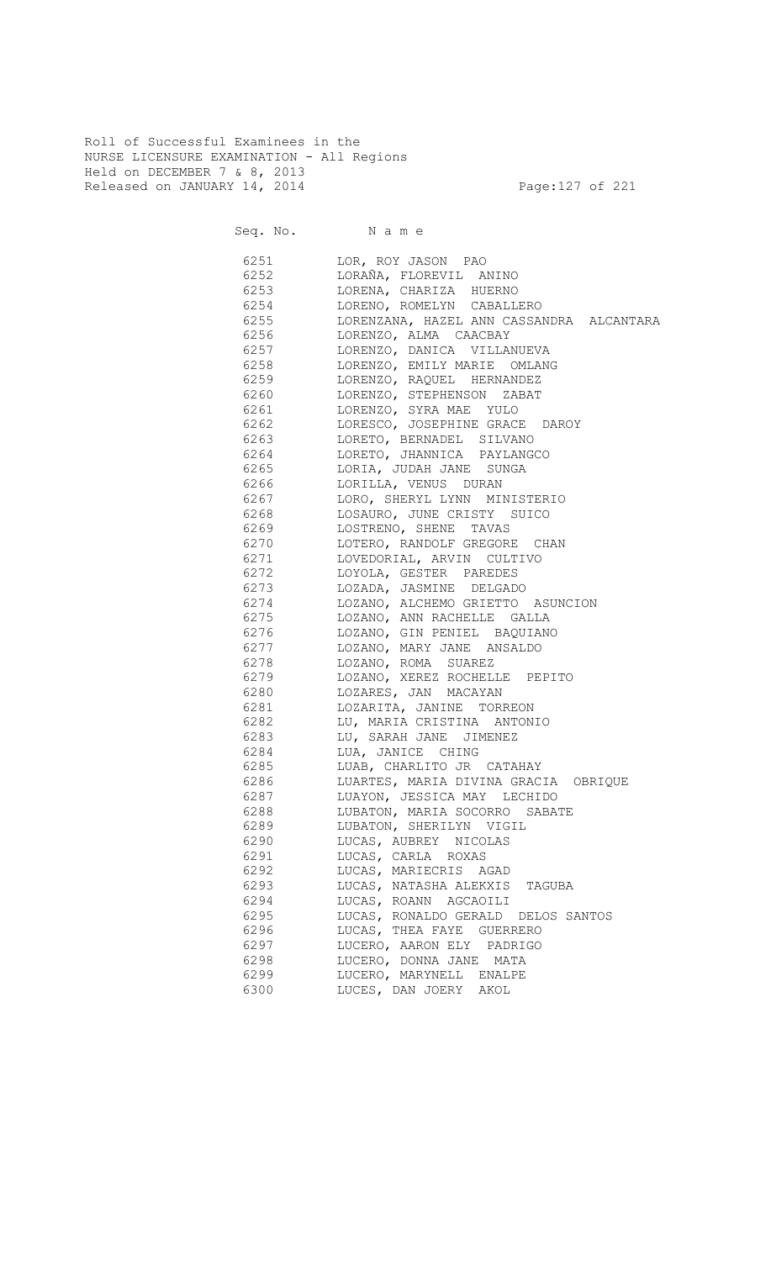Roll of Successful Examinees in the NURSE LICENSURE EXAMINATION - All Regions Held on DECEMBER 7 & 8, 2013 Released on JANUARY 14, 2014 **Page:127 of 221** 

Seq. No. Name

 6251 LOR, ROY JASON PAO 6252 LORAÑA, FLOREVIL ANINO 6253 LORENA, CHARIZA HUERNO 6254 LORENO, ROMELYN CABALLERO<br>6255 LORENZANA, HAZEL ANN CASSAI 6255 LORENZANA, HAZEL ANN CASSANDRA ALCANTARA 6256 LORENZO, ALMA CAACBAY 6257 LORENZO, DANICA VILLANUEVA 6258 LORENZO, EMILY MARIE OMLANG 6259 LORENZO, RAQUEL HERNANDEZ 6260 LORENZO, STEPHENSON ZABAT 6261 LORENZO, SYRA MAE YULO 6262 LORESCO, JOSEPHINE GRACE DAROY 6263 LORETO, BERNADEL SILVANO 6264 LORETO, JHANNICA PAYLANGCO 6265 LORIA, JUDAH JANE SUNGA 6266 LORILLA, VENUS DURAN 6267 LORO, SHERYL LYNN MINISTERIO LOSAURO, JUNE CRISTY SUICO 6269 LOSTRENO, SHENE TAVAS 6270 LOTERO, RANDOLF GREGORE CHAN 6271 LOVEDORIAL, ARVIN CULTIVO 6272 LOYOLA, GESTER PAREDES 6273 LOZADA, JASMINE DELGADO 6274 LOZANO, ALCHEMO GRIETTO ASUNCION<br>6275 LOZANO, ANN RACHELLE GALLA LOZANO, ANN RACHELLE GALLA 6276 LOZANO, GIN PENIEL BAQUIANO 6277 LOZANO, MARY JANE ANSALDO 6278 LOZANO, ROMA SUAREZ 6279 LOZANO, XEREZ ROCHELLE PEPITO 6280 LOZARES, JAN MACAYAN 6281 LOZARITA, JANINE TORREON 6282 LU, MARIA CRISTINA ANTONIO 6283 LU, SARAH JANE JIMENEZ 6284 LUA, JANICE CHING 6285 LUAB, CHARLITO JR CATAHAY 6286 LUARTES, MARIA DIVINA GRACIA OBRIQUE 6287 LUAYON, JESSICA MAY LECHIDO 6288 LUBATON, MARIA SOCORRO SABATE 6289 LUBATON, SHERILYN VIGIL 6290 LUCAS, AUBREY NICOLAS 6291 LUCAS, CARLA ROXAS 6292 LUCAS, MARIECRIS AGAD 6293 LUCAS, NATASHA ALEKXIS TAGUBA 6294 LUCAS, ROANN AGCAOILI 6295 LUCAS, RONALDO GERALD DELOS SANTOS 6296 LUCAS, THEA FAYE GUERRERO 6297 LUCERO, AARON ELY PADRIGO 6298 LUCERO, DONNA JANE MATA 6299 LUCERO, MARYNELL ENALPE 6300 LUCES, DAN JOERY AKOL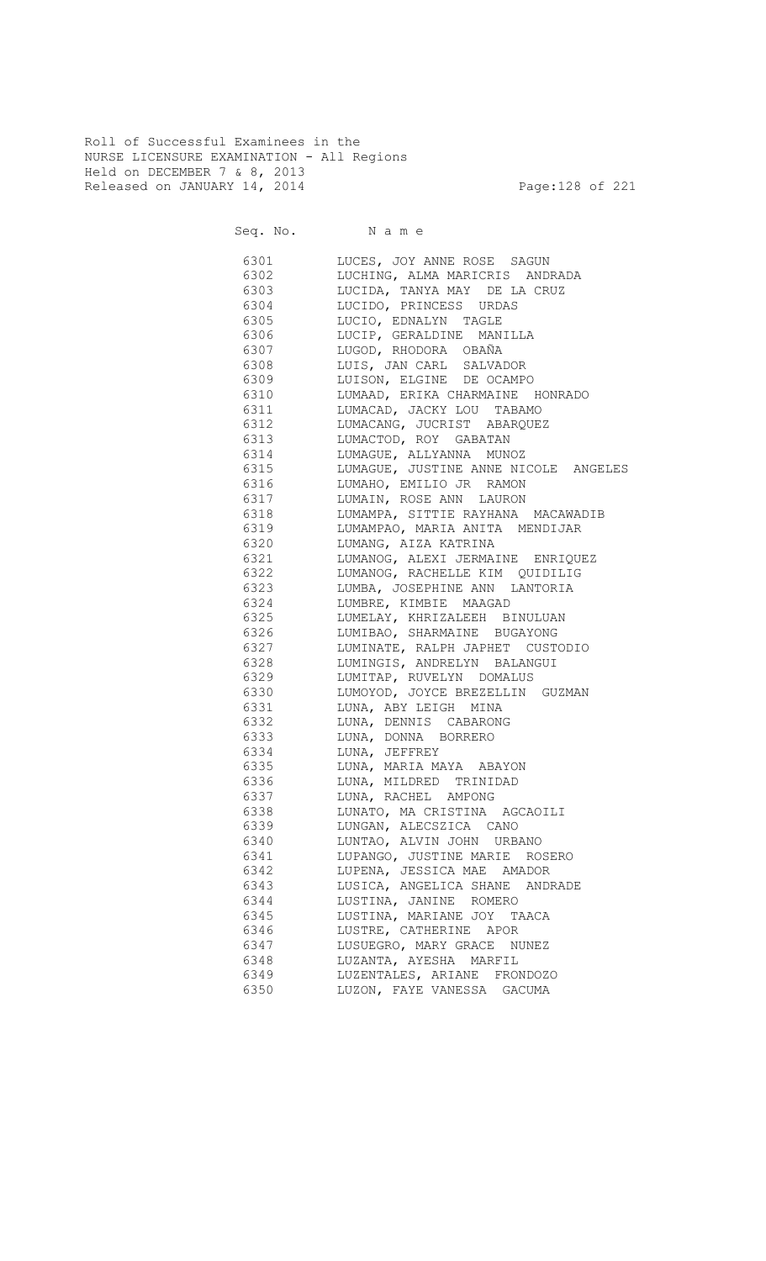Roll of Successful Examinees in the NURSE LICENSURE EXAMINATION - All Regions Held on DECEMBER 7 & 8, 2013 Released on JANUARY 14, 2014 **Page:128 of 221** 

Seq. No. Name 6301 LUCES, JOY ANNE ROSE SAGUN 6302 LUCHING, ALMA MARICRIS ANDRADA 6303 LUCIDA, TANYA MAY DE LA CRUZ 6304 LUCIDO, PRINCESS URDAS<br>6305 LUCIO, EDNALYN TAGLE LUCIO, EDNALYN TAGLE 6306 LUCIP, GERALDINE MANILLA 6307 LUGOD, RHODORA OBAÑA 6308 LUIS, JAN CARL SALVADOR 6309 LUISON, ELGINE DE OCAMPO 6310 LUMAAD, ERIKA CHARMAINE HONRADO 6311 LUMACAD, JACKY LOU TABAMO 6312 LUMACANG, JUCRIST ABARQUEZ 6313 LUMACTOD, ROY GABATAN 6314 LUMAGUE, ALLYANNA MUNOZ 6315 LUMAGUE, JUSTINE ANNE NICOLE ANGELES 6316 LUMAHO, EMILIO JR RAMON 6317 LUMAIN, ROSE ANN LAURON LUMAMPA, SITTIE RAYHANA MACAWADIB 6319 LUMAMPAO, MARIA ANITA MENDIJAR 6320 LUMANG, AIZA KATRINA 6321 LUMANOG, ALEXI JERMAINE ENRIQUEZ 6322 LUMANOG, RACHELLE KIM QUIDILIG 6323 LUMBA, JOSEPHINE ANN LANTORIA 6324 LUMBRE, KIMBIE MAAGAD 6325 LUMELAY, KHRIZALEEH BINULUAN 6326 LUMIBAO, SHARMAINE BUGAYONG 6327 LUMINATE, RALPH JAPHET CUSTODIO 6328 LUMINGIS, ANDRELYN BALANGUI 6329 LUMITAP, RUVELYN DOMALUS 6330 LUMOYOD, JOYCE BREZELLIN GUZMAN 6331 LUNA, ABY LEIGH MINA 6332 LUNA, DENNIS CABARONG 6333 LUNA, DONNA BORRERO 6334 LUNA, JEFFREY 6335 LUNA, MARIA MAYA ABAYON 6336 LUNA, MILDRED TRINIDAD 6337 LUNA, RACHEL AMPONG 6338 LUNATO, MA CRISTINA AGCAOILI 6339 LUNGAN, ALECSZICA CANO 6340 LUNTAO, ALVIN JOHN URBANO 6341 LUPANGO, JUSTINE MARIE ROSERO 6342 LUPENA, JESSICA MAE AMADOR 6343 LUSICA, ANGELICA SHANE ANDRADE 6344 LUSTINA, JANINE ROMERO 6345 LUSTINA, MARIANE JOY TAACA 6346 LUSTRE, CATHERINE APOR 6347 LUSUEGRO, MARY GRACE NUNEZ 6348 LUZANTA, AYESHA MARFIL

> 6349 LUZENTALES, ARIANE FRONDOZO 6350 LUZON, FAYE VANESSA GACUMA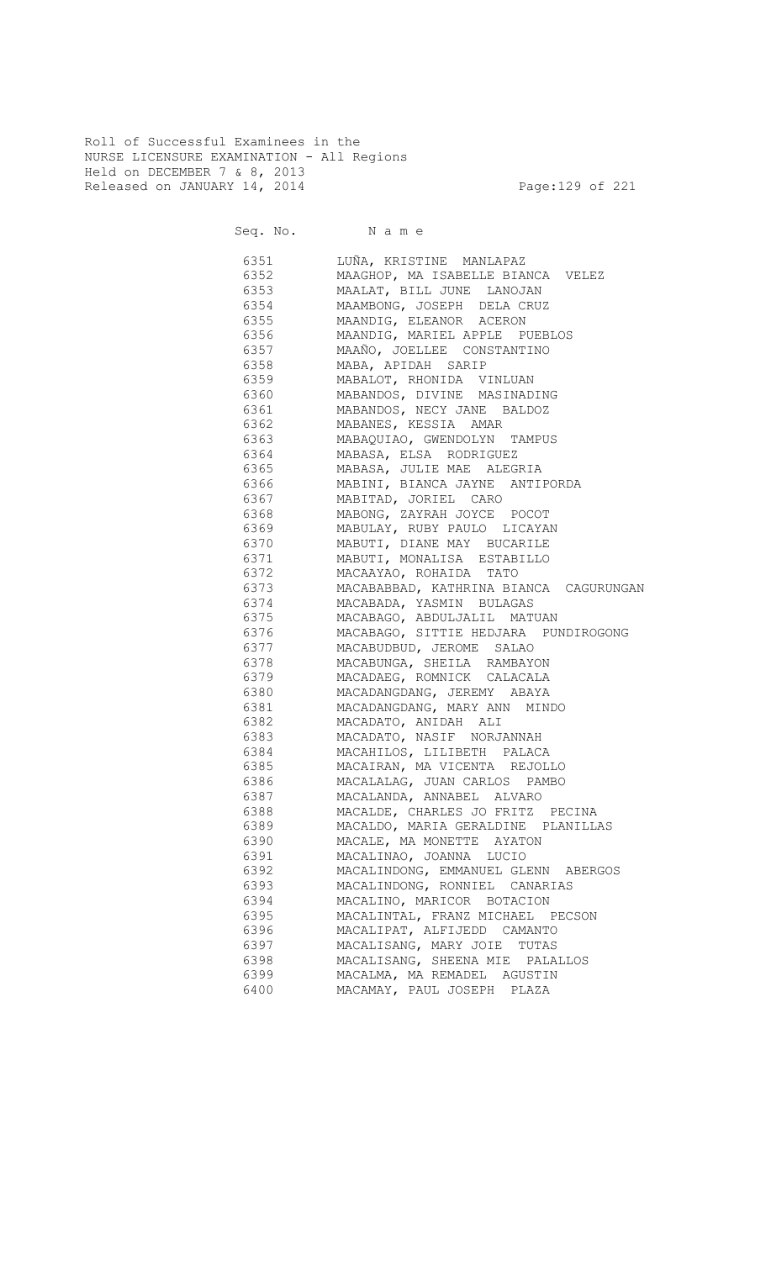Roll of Successful Examinees in the NURSE LICENSURE EXAMINATION - All Regions Held on DECEMBER 7 & 8, 2013 Released on JANUARY 14, 2014 **Page:129 of 221** 

Seq. No. Name

 6351 LUÑA, KRISTINE MANLAPAZ 6352 MAAGHOP, MA ISABELLE BIANCA VELEZ 6353 MAALAT, BILL JUNE LANOJAN 6354 MAAMBONG, JOSEPH DELA CRUZ 6355 MAANDIG, ELEANOR ACERON 6356 MAANDIG, MARIEL APPLE PUEBLOS 6357 MAAÑO, JOELLEE CONSTANTINO 6358 MABA, APIDAH SARIP 6359 MABALOT, RHONIDA VINLUAN 6360 MABANDOS, DIVINE MASINADING 6361 MABANDOS, NECY JANE BALDOZ 6362 MABANES, KESSIA AMAR 6363 MABAQUIAO, GWENDOLYN TAMPUS 6364 MABASA, ELSA RODRIGUEZ 6365 MABASA, JULIE MAE ALEGRIA 6366 MABINI, BIANCA JAYNE ANTIPORDA 6367 MABITAD, JORIEL CARO MABONG, ZAYRAH JOYCE POCOT 6369 MABULAY, RUBY PAULO LICAYAN 6370 MABUTI, DIANE MAY BUCARILE 6371 MABUTI, MONALISA ESTABILLO<br>6372 MACAAYAO, ROHAIDA TATO 6372 MACAAYAO, ROHAIDA TATO 6373 MACABABBAD, KATHRINA BIANCA CAGURUNGAN 6374 MACABADA, YASMIN BULAGAS 6375 MACABAGO, ABDULJALIL MATUAN 6376 MACABAGO, SITTIE HEDJARA PUNDIROGONG 6377 MACABUDBUD, JEROME SALAO 6378 MACABUNGA, SHEILA RAMBAYON 6379 MACADAEG, ROMNICK CALACALA 6380 MACADANGDANG, JEREMY ABAYA 6381 MACADANGDANG, MARY ANN MINDO 6382 MACADATO, ANIDAH ALI 6383 MACADATO, NASIF NORJANNAH 6384 MACAHILOS, LILIBETH PALACA 6385 MACAIRAN, MA VICENTA REJOLLO 6386 MACALALAG, JUAN CARLOS PAMBO 6387 MACALANDA, ANNABEL ALVARO 6388 MACALDE, CHARLES JO FRITZ PECINA 6389 MACALDO, MARIA GERALDINE PLANILLAS 6390 MACALE, MA MONETTE AYATON 6391 MACALINAO, JOANNA LUCIO 6392 MACALINDONG, EMMANUEL GLENN ABERGOS 6393 MACALINDONG, RONNIEL CANARIAS 6394 MACALINO, MARICOR BOTACION 6395 MACALINTAL, FRANZ MICHAEL PECSON 6396 MACALIPAT, ALFIJEDD CAMANTO 6397 MACALISANG, MARY JOIE TUTAS 6398 MACALISANG, SHEENA MIE PALALLOS 6399 MACALMA, MA REMADEL AGUSTIN 6400 MACAMAY, PAUL JOSEPH PLAZA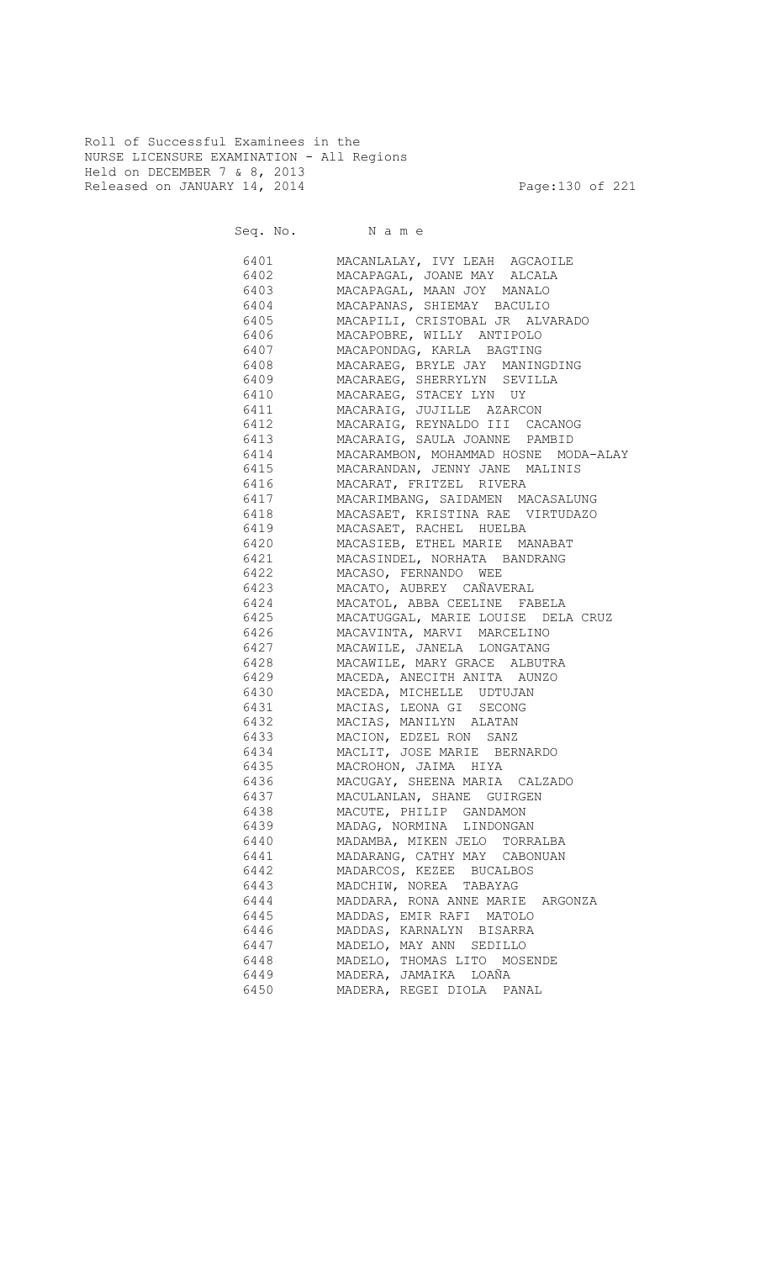Roll of Successful Examinees in the NURSE LICENSURE EXAMINATION - All Regions Held on DECEMBER 7 & 8, 2013 Released on JANUARY 14, 2014 **Page:130 of 221** 

Seq. No. Name

 6401 MACANLALAY, IVY LEAH AGCAOILE 6402 MACAPAGAL, JOANE MAY ALCALA 6403 MACAPAGAL, MAAN JOY MANALO 6404 MACAPANAS, SHIEMAY BACULIO 6405 MACAPILI, CRISTOBAL JR ALVARADO 6406 MACAPOBRE, WILLY ANTIPOLO 6407 MACAPONDAG, KARLA BAGTING 6408 MACARAEG, BRYLE JAY MANINGDING 6409 MACARAEG, SHERRYLYN SEVILLA 6410 MACARAEG, STACEY LYN UY 6411 MACARAIG, JUJILLE AZARCON 6412 MACARAIG, REYNALDO III CACANOG 6413 MACARAIG, SAULA JOANNE PAMBID 6414 MACARAMBON, MOHAMMAD HOSNE MODA-ALAY 6415 MACARANDAN, JENNY JANE MALINIS 6416 MACARAT, FRITZEL RIVERA 6417 MACARIMBANG, SAIDAMEN MACASALUNG<br>6418 MACASAET, KRISTINA RAE VIRTUDAZO 6418 MACASAET, KRISTINA RAE VIRTUDAZO 6419 MACASAET, RACHEL HUELBA 6420 MACASIEB, ETHEL MARIE MANABAT 6421 MACASINDEL, NORHATA BANDRANG 6422 MACASO, FERNANDO WEE 6423 MACATO, AUBREY CAÑAVERAL 6424 MACATOL, ABBA CEELINE FABELA 6425 MACATUGGAL, MARIE LOUISE DELA CRUZ 6426 MACAVINTA, MARVI MARCELINO 6427 MACAWILE, JANELA LONGATANG 6428 MACAWILE, MARY GRACE ALBUTRA 6429 MACEDA, ANECITH ANITA AUNZO 6430 MACEDA, MICHELLE UDTUJAN 6431 MACIAS, LEONA GI SECONG 6432 MACIAS, MANILYN ALATAN 6433 MACION, EDZEL RON SANZ 6434 MACLIT, JOSE MARIE BERNARDO 6435 MACROHON, JAIMA HIYA 6436 MACUGAY, SHEENA MARIA CALZADO 6437 MACULANLAN, SHANE GUIRGEN 6438 MACUTE, PHILIP GANDAMON 6439 MADAG, NORMINA LINDONGAN 6440 MADAMBA, MIKEN JELO TORRALBA 6441 MADARANG, CATHY MAY CABONUAN 6442 MADARCOS, KEZEE BUCALBOS 6443 MADCHIW, NOREA TABAYAG 6444 MADDARA, RONA ANNE MARIE ARGONZA 6445 MADDAS, EMIR RAFI MATOLO 6446 MADDAS, KARNALYN BISARRA 6447 MADELO, MAY ANN SEDILLO 6448 MADELO, THOMAS LITO MOSENDE 6449 MADERA, JAMAIKA LOAÑA 6450 MADERA, REGEI DIOLA PANAL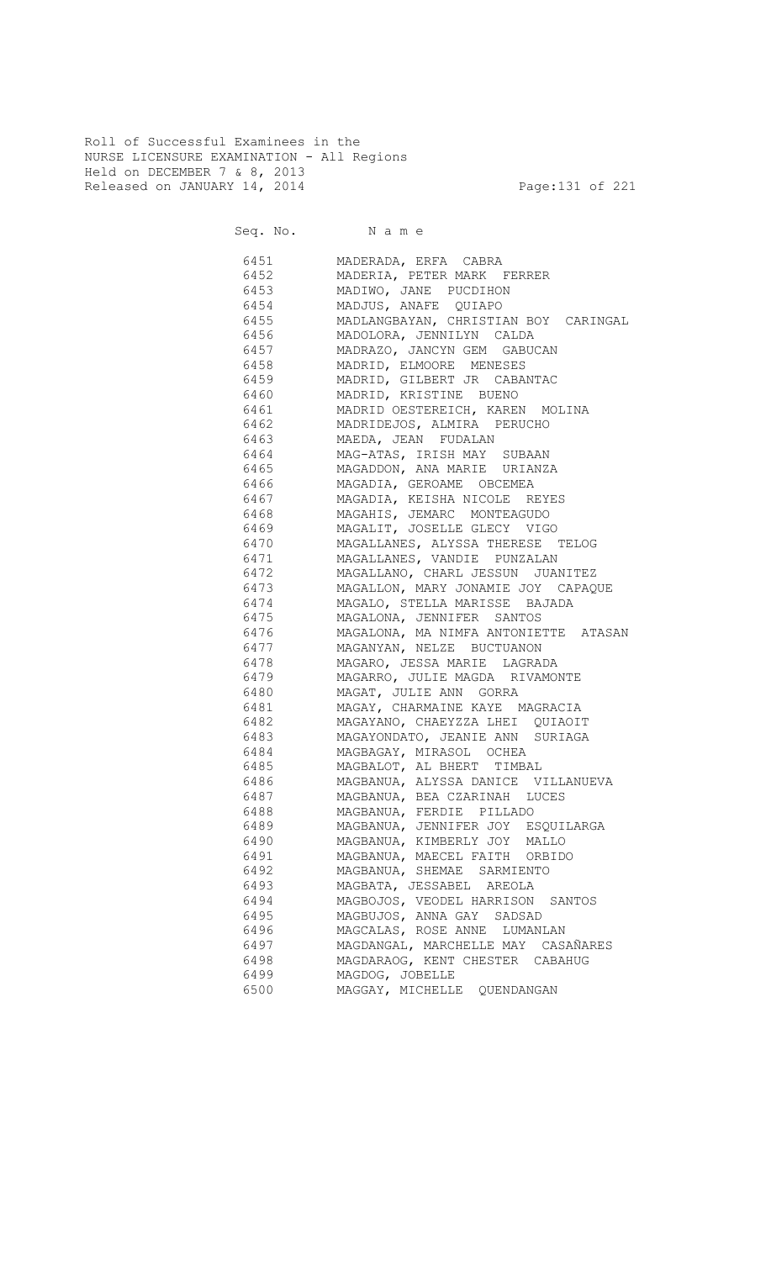Roll of Successful Examinees in the NURSE LICENSURE EXAMINATION - All Regions Held on DECEMBER 7 & 8, 2013 Released on JANUARY 14, 2014 **Page:131 of 221** 

Seq. No. Name

 6451 MADERADA, ERFA CABRA 6452 MADERIA, PETER MARK FERRER 6453 MADIWO, JANE PUCDIHON 6454 MADJUS, ANAFE QUIAPO 6455 MADLANGBAYAN, CHRISTIAN BOY CARINGAL 6456 MADOLORA, JENNILYN CALDA 6457 MADRAZO, JANCYN GEM GABUCAN 6458 MADRID, ELMOORE MENESES 6459 MADRID, GILBERT JR CABANTAC 6460 MADRID, KRISTINE BUENO 6461 MADRID OESTEREICH, KAREN MOLINA 6462 MADRIDEJOS, ALMIRA PERUCHO 6463 MAEDA, JEAN FUDALAN 6464 MAG-ATAS, IRISH MAY SUBAAN 6465 MAGADDON, ANA MARIE URIANZA 6466 MAGADIA, GEROAME OBCEMEA 6467 MAGADIA, KEISHA NICOLE REYES 6468 MAGAHIS, JEMARC MONTEAGUDO 6469 MAGALIT, JOSELLE GLECY VIGO 6470 MAGALLANES, ALYSSA THERESE TELOG 6471 MAGALLANES, VANDIE PUNZALAN 6472 MAGALLANO, CHARL JESSUN JUANITEZ 6473 MAGALLON, MARY JONAMIE JOY CAPAQUE 6474 MAGALO, STELLA MARISSE BAJADA<br>6475 MAGALONA, JENNIFER SANTOS MAGALONA, JENNIFER SANTOS 6476 MAGALONA, MA NIMFA ANTONIETTE ATASAN 6477 MAGANYAN, NELZE BUCTUANON 6478 MAGARO, JESSA MARIE LAGRADA 6479 MAGARRO, JULIE MAGDA RIVAMONTE 6480 MAGAT, JULIE ANN GORRA 6481 MAGAY, CHARMAINE KAYE MAGRACIA 6482 MAGAYANO, CHAEYZZA LHEI QUIAOIT 6483 MAGAYONDATO, JEANIE ANN SURIAGA 6484 MAGBAGAY, MIRASOL OCHEA 6485 MAGBALOT, AL BHERT TIMBAL 6486 MAGBANUA, ALYSSA DANICE VILLANUEVA 6487 MAGBANUA, BEA CZARINAH LUCES 6488 MAGBANUA, FERDIE PILLADO 6489 MAGBANUA, JENNIFER JOY ESQUILARGA 6490 MAGBANUA, KIMBERLY JOY MALLO 6491 MAGBANUA, MAECEL FAITH ORBIDO 6492 MAGBANUA, SHEMAE SARMIENTO 6493 MAGBATA, JESSABEL AREOLA 6494 MAGBOJOS, VEODEL HARRISON SANTOS 6495 MAGBUJOS, ANNA GAY SADSAD 6496 MAGCALAS, ROSE ANNE LUMANLAN 6497 MAGDANGAL, MARCHELLE MAY CASAÑARES 6498 MAGDARAOG, KENT CHESTER CABAHUG 6499 MAGDOG, JOBELLE 6500 MAGGAY, MICHELLE QUENDANGAN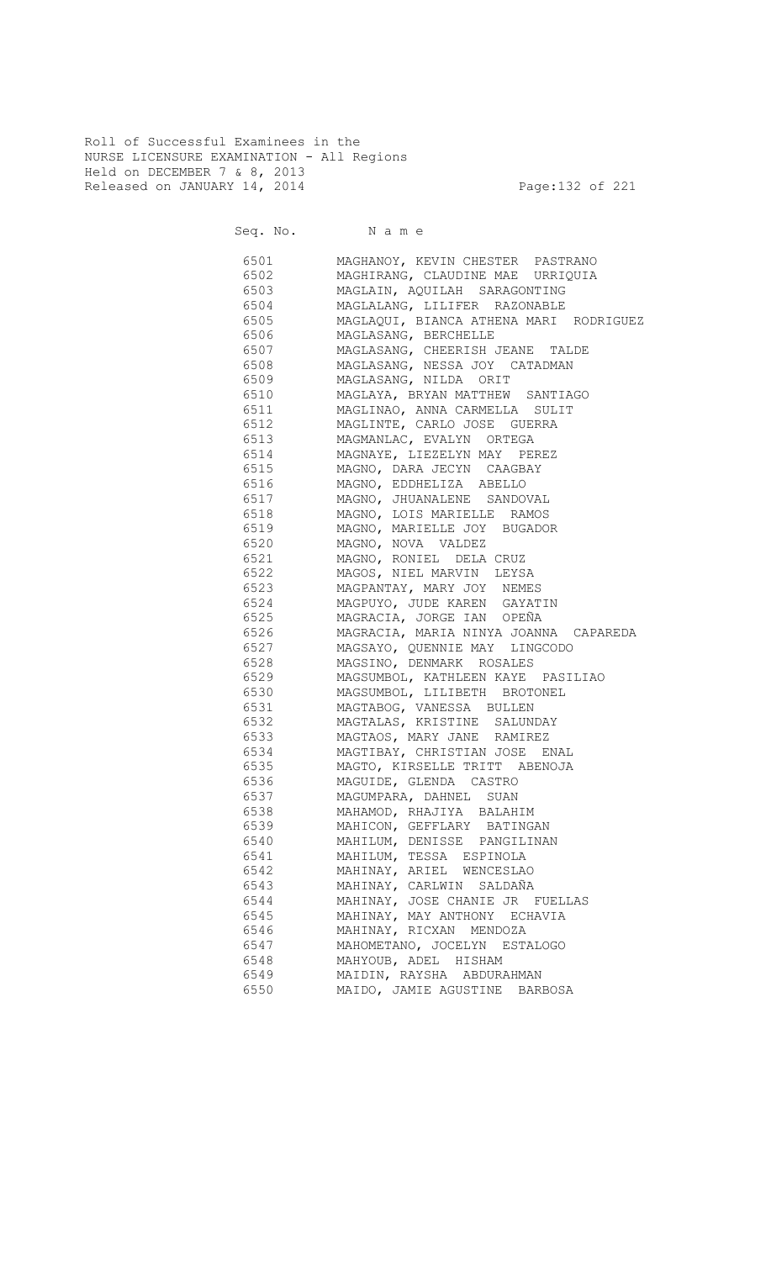Roll of Successful Examinees in the NURSE LICENSURE EXAMINATION - All Regions Held on DECEMBER 7 & 8, 2013 Released on JANUARY 14, 2014 **Page:132 of 221** 

Seq. No. Name

 6501 MAGHANOY, KEVIN CHESTER PASTRANO 6502 MAGHIRANG, CLAUDINE MAE URRIQUIA 6503 MAGLAIN, AQUILAH SARAGONTING 6504 MAGLALANG, LILIFER RAZONABLE<br>6505 MAGLAQUI, BIANCA ATHENA MARI MAGLAQUI, BIANCA ATHENA MARI RODRIGUEZ 6506 MAGLASANG, BERCHELLE 6507 MAGLASANG, CHEERISH JEANE TALDE 6508 MAGLASANG, NESSA JOY CATADMAN 6509 MAGLASANG, NILDA ORIT 6510 MAGLAYA, BRYAN MATTHEW SANTIAGO 6511 MAGLINAO, ANNA CARMELLA SULIT 6512 MAGLINTE, CARLO JOSE GUERRA 6513 MAGMANLAC, EVALYN ORTEGA 6514 MAGNAYE, LIEZELYN MAY PEREZ 6515 MAGNO, DARA JECYN CAAGBAY 6516 MAGNO, EDDHELIZA ABELLO 6517 MAGNO, JHUANALENE SANDOVAL<br>6518 MAGNO, LOIS MARIELLE RAMOS MAGNO, LOIS MARIELLE RAMOS 6519 MAGNO, MARIELLE JOY BUGADOR 6520 MAGNO, NOVA VALDEZ 6521 MAGNO, RONIEL DELA CRUZ 6522 MAGOS, NIEL MARVIN LEYSA 6523 MAGPANTAY, MARY JOY NEMES 6524 MAGPUYO, JUDE KAREN GAYATIN 6525 MAGRACIA, JORGE IAN OPEÑA 6526 MAGRACIA, MARIA NINYA JOANNA CAPAREDA 6527 MAGSAYO, QUENNIE MAY LINGCODO 6528 MAGSINO, DENMARK ROSALES 6529 MAGSUMBOL, KATHLEEN KAYE PASILIAO 6530 MAGSUMBOL, LILIBETH BROTONEL 6531 MAGTABOG, VANESSA BULLEN 6532 MAGTALAS, KRISTINE SALUNDAY 6533 MAGTAOS, MARY JANE RAMIREZ 6534 MAGTIBAY, CHRISTIAN JOSE ENAL 6535 MAGTO, KIRSELLE TRITT ABENOJA 6536 MAGUIDE, GLENDA CASTRO 6537 MAGUMPARA, DAHNEL SUAN 6538 MAHAMOD, RHAJIYA BALAHIM 6539 MAHICON, GEFFLARY BATINGAN 6540 MAHILUM, DENISSE PANGILINAN 6541 MAHILUM, TESSA ESPINOLA 6542 MAHINAY, ARIEL WENCESLAO 6543 MAHINAY, CARLWIN SALDAÑA 6544 MAHINAY, JOSE CHANIE JR FUELLAS 6545 MAHINAY, MAY ANTHONY ECHAVIA 6546 MAHINAY, RICXAN MENDOZA 6547 MAHOMETANO, JOCELYN ESTALOGO 6548 MAHYOUB, ADEL HISHAM 6549 MAIDIN, RAYSHA ABDURAHMAN 6550 MAIDO, JAMIE AGUSTINE BARBOSA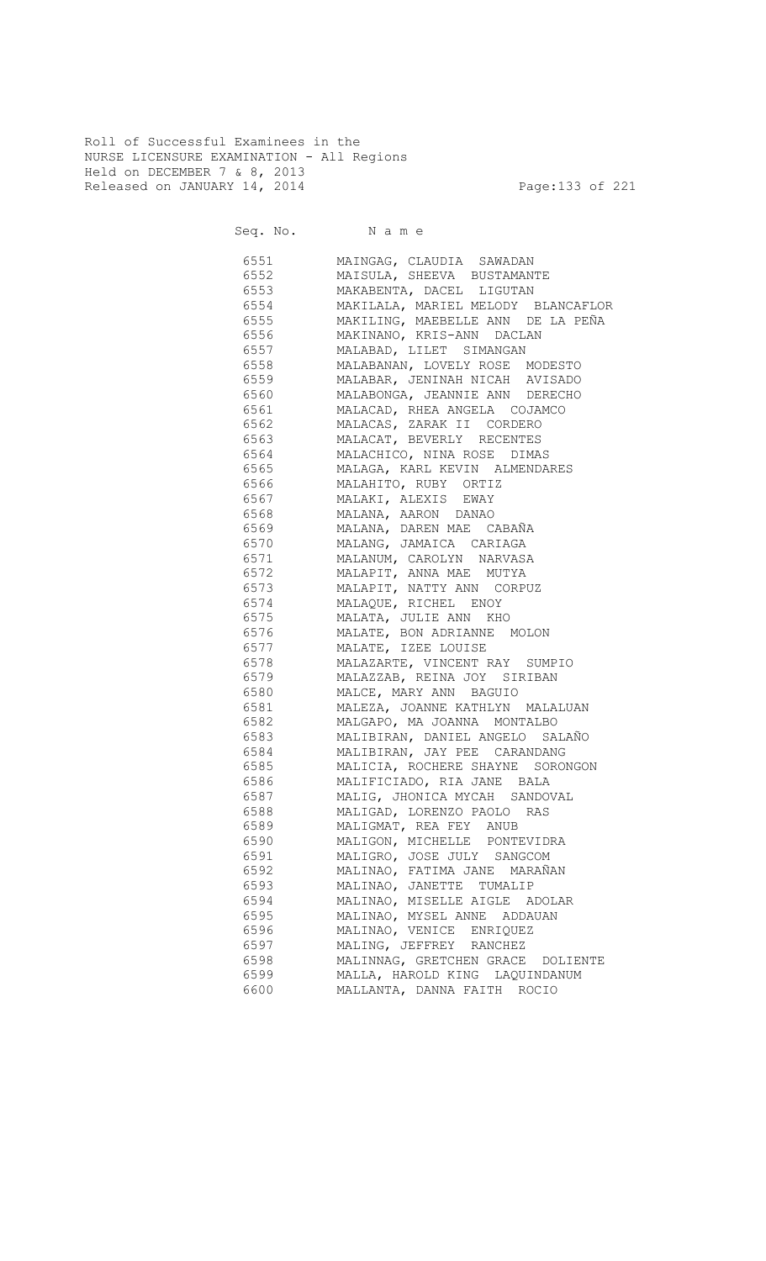Roll of Successful Examinees in the NURSE LICENSURE EXAMINATION - All Regions Held on DECEMBER 7 & 8, 2013 Released on JANUARY 14, 2014 **Page:133 of 221** 

Seq. No. Name

 6551 MAINGAG, CLAUDIA SAWADAN 6552 MAISULA, SHEEVA BUSTAMANTE 6553 MAKABENTA, DACEL LIGUTAN 6554 MAKILALA, MARIEL MELODY BLANCAFLOR 6555 MAKILING, MAEBELLE ANN DE LA PEÑA 6556 MAKINANO, KRIS-ANN DACLAN 6557 MALABAD, LILET SIMANGAN 6558 MALABANAN, LOVELY ROSE MODESTO 6559 MALABAR, JENINAH NICAH AVISADO 6560 MALABONGA, JEANNIE ANN DERECHO 6561 MALACAD, RHEA ANGELA COJAMCO 6562 MALACAS, ZARAK II CORDERO 6563 MALACAT, BEVERLY RECENTES 6564 MALACHICO, NINA ROSE DIMAS 6565 MALAGA, KARL KEVIN ALMENDARES 6566 MALAHITO, RUBY ORTIZ 6567 MALAKI, ALEXIS EWAY 6568 MALANA, AARON DANAO 6569 MALANA, DAREN MAE CABAÑA 6570 MALANG, JAMAICA CARIAGA 6571 MALANUM, CAROLYN NARVASA 6572 MALAPIT, ANNA MAE MUTYA 6573 MALAPIT, NATTY ANN CORPUZ 6574 MALAQUE, RICHEL ENOY<br>6575 MALATA, JULIE ANN KHO MALATA, JULIE ANN KHO 6576 MALATE, BON ADRIANNE MOLON 6577 MALATE, IZEE LOUISE 6578 MALAZARTE, VINCENT RAY SUMPIO 6579 MALAZZAB, REINA JOY SIRIBAN 6580 MALCE, MARY ANN BAGUIO 6581 MALEZA, JOANNE KATHLYN MALALUAN 6582 MALGAPO, MA JOANNA MONTALBO 6583 MALIBIRAN, DANIEL ANGELO SALAÑO 6584 MALIBIRAN, JAY PEE CARANDANG 6585 MALICIA, ROCHERE SHAYNE SORONGON 6586 MALIFICIADO, RIA JANE BALA 6587 MALIG, JHONICA MYCAH SANDOVAL 6588 MALIGAD, LORENZO PAOLO RAS 6589 MALIGMAT, REA FEY ANUB 6590 MALIGON, MICHELLE PONTEVIDRA 6591 MALIGRO, JOSE JULY SANGCOM 6592 MALINAO, FATIMA JANE MARAÑAN 6593 MALINAO, JANETTE TUMALIP 6594 MALINAO, MISELLE AIGLE ADOLAR 6595 MALINAO, MYSEL ANNE ADDAUAN 6596 MALINAO, VENICE ENRIQUEZ 6597 MALING, JEFFREY RANCHEZ 6598 MALINNAG, GRETCHEN GRACE DOLIENTE 6599 MALLA, HAROLD KING LAQUINDANUM 6600 MALLANTA, DANNA FAITH ROCIO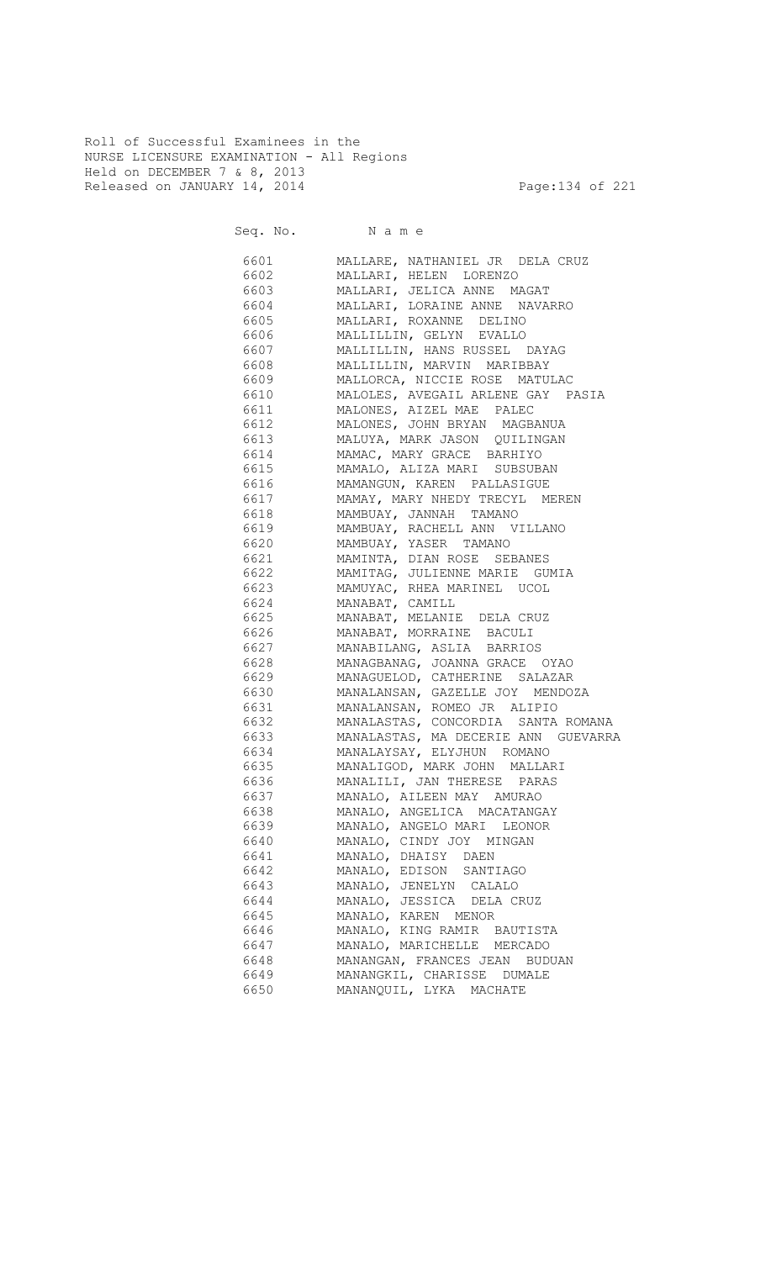Roll of Successful Examinees in the NURSE LICENSURE EXAMINATION - All Regions Held on DECEMBER 7 & 8, 2013 Released on JANUARY 14, 2014 **Page:134 of 221** 

Seq. No. Name

 6601 MALLARE, NATHANIEL JR DELA CRUZ 6602 MALLARI, HELEN LORENZO 6603 MALLARI, JELICA ANNE MAGAT 6604 MALLARI, LORAINE ANNE NAVARRO 6605 MALLARI, ROXANNE DELINO 6606 MALLILLIN, GELYN EVALLO 6607 MALLILLIN, HANS RUSSEL DAYAG 6608 MALLILLIN, MARVIN MARIBBAY 6609 MALLORCA, NICCIE ROSE MATULAC 6610 MALOLES, AVEGAIL ARLENE GAY PASIA 6611 MALONES, AIZEL MAE PALEC 6612 MALONES, JOHN BRYAN MAGBANUA 6613 MALUYA, MARK JASON QUILINGAN 6614 MAMAC, MARY GRACE BARHIYO 6615 MAMALO, ALIZA MARI SUBSUBAN 6616 MAMANGUN, KAREN PALLASIGUE 6617 MAMAY, MARY NHEDY TRECYL MEREN 6618 MAMBUAY, JANNAH TAMANO 6619 MAMBUAY, RACHELL ANN VILLANO 6620 MAMBUAY, YASER TAMANO 6621 MAMINTA, DIAN ROSE SEBANES 6622 MAMITAG, JULIENNE MARIE GUMIA 6623 MAMUYAC, RHEA MARINEL UCOL 6624 MANABAT, CAMILL 6625 MANABAT, MELANIE DELA CRUZ 6626 MANABAT, MORRAINE BACULI 6627 MANABILANG, ASLIA BARRIOS ed.<br>6628 MANAGBANAG, JOANNA GRACE OYAO 6629 MANAGUELOD, CATHERINE SALAZAR 6630 MANALANSAN, GAZELLE JOY MENDOZA 6631 MANALANSAN, ROMEO JR ALIPIO 6632 MANALASTAS, CONCORDIA SANTA ROMANA 6633 MANALASTAS, MA DECERIE ANN GUEVARRA 6634 MANALAYSAY, ELYJHUN ROMANO 6635 MANALIGOD, MARK JOHN MALLARI 6636 MANALILI, JAN THERESE PARAS 6637 MANALO, AILEEN MAY AMURAO 6638 MANALO, ANGELICA MACATANGAY 6639 MANALO, ANGELO MARI LEONOR 6640 MANALO, CINDY JOY MINGAN 6641 MANALO, DHAISY DAEN 6642 MANALO, EDISON SANTIAGO 6643 MANALO, JENELYN CALALO 6644 MANALO, JESSICA DELA CRUZ 6645 MANALO, KAREN MENOR 6646 MANALO, KING RAMIR BAUTISTA 6647 MANALO, MARICHELLE MERCADO 6648 MANANGAN, FRANCES JEAN BUDUAN 6649 MANANGKIL, CHARISSE DUMALE 6650 MANANQUIL, LYKA MACHATE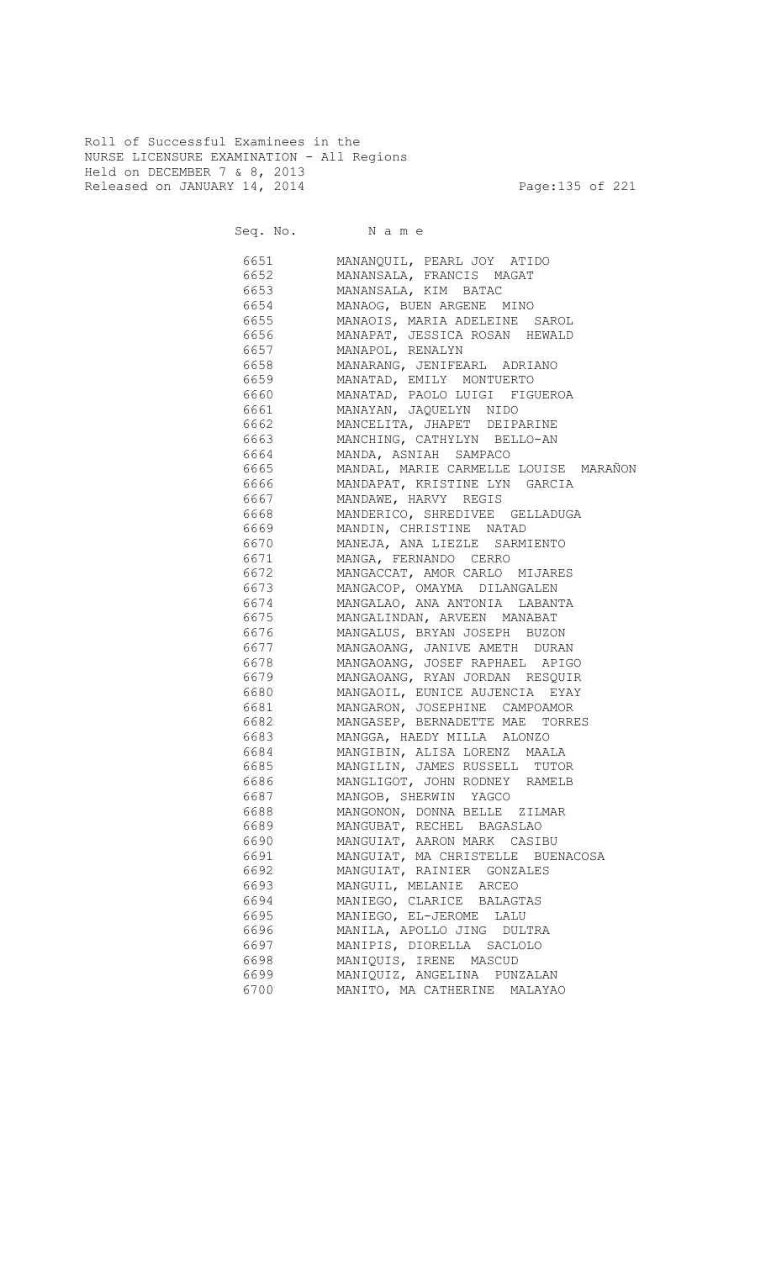Roll of Successful Examinees in the NURSE LICENSURE EXAMINATION - All Regions Held on DECEMBER 7 & 8, 2013 Released on JANUARY 14, 2014 **Page:135 of 221** 

Seq. No. Name 6651 MANANQUIL, PEARL JOY ATIDO 6652 MANANSALA, FRANCIS MAGAT 6653 MANANSALA, KIM BATAC 6654 MANAOG, BUEN ARGENE MINO MANAOIS, MARIA ADELEINE SAROL 6656 MANAPAT, JESSICA ROSAN HEWALD 6657 MANAPOL, RENALYN 6658 MANARANG, JENIFEARL ADRIANO 6659 MANATAD, EMILY MONTUERTO 6660 MANATAD, PAOLO LUIGI FIGUEROA 6661 MANAYAN, JAQUELYN NIDO 6662 MANCELITA, JHAPET DEIPARINE 6663 MANCHING, CATHYLYN BELLO-AN 6664 MANDA, ASNIAH SAMPACO 6665 MANDAL, MARIE CARMELLE LOUISE MARAÑON 6666 MANDAPAT, KRISTINE LYN GARCIA 6667 MANDAWE, HARVY REGIS<br>6668 MANDERICO, SHREDIVEE MANDERICO, SHREDIVEE GELLADUGA 6669 MANDIN, CHRISTINE NATAD 6670 MANEJA, ANA LIEZLE SARMIENTO 6671 MANGA, FERNANDO CERRO 6672 MANGACCAT, AMOR CARLO MIJARES 6673 MANGACOP, OMAYMA DILANGALEN 6674 MANGALAO, ANA ANTONIA LABANTA 6675 MANGALINDAN, ARVEEN MANABAT 6676 MANGALUS, BRYAN JOSEPH BUZON 6677 MANGAOANG, JANIVE AMETH DURAN 6678 MANGAOANG, JOSEF RAPHAEL APIGO 6679 MANGAOANG, RYAN JORDAN RESQUIR 6680 MANGAOIL, EUNICE AUJENCIA EYAY 6681 MANGARON, JOSEPHINE CAMPOAMOR 6682 MANGASEP, BERNADETTE MAE TORRES 6683 MANGGA, HAEDY MILLA ALONZO 6684 MANGIBIN, ALISA LORENZ MAALA 6685 MANGILIN, JAMES RUSSELL TUTOR 6686 MANGLIGOT, JOHN RODNEY RAMELB 6687 MANGOB, SHERWIN YAGCO 6688 MANGONON, DONNA BELLE ZILMAR 6689 MANGUBAT, RECHEL BAGASLAO 6690 MANGUIAT, AARON MARK CASIBU 6691 MANGUIAT, MA CHRISTELLE BUENACOSA 6692 MANGUIAT, RAINIER GONZALES 6693 MANGUIL, MELANIE ARCEO 6694 MANIEGO, CLARICE BALAGTAS 6695 MANIEGO, EL-JEROME LALU

 6696 MANILA, APOLLO JING DULTRA 6697 MANIPIS, DIORELLA SACLOLO 6698 MANIQUIS, IRENE MASCUD 6699 MANIQUIZ, ANGELINA PUNZALAN 6700 MANITO, MA CATHERINE MALAYAO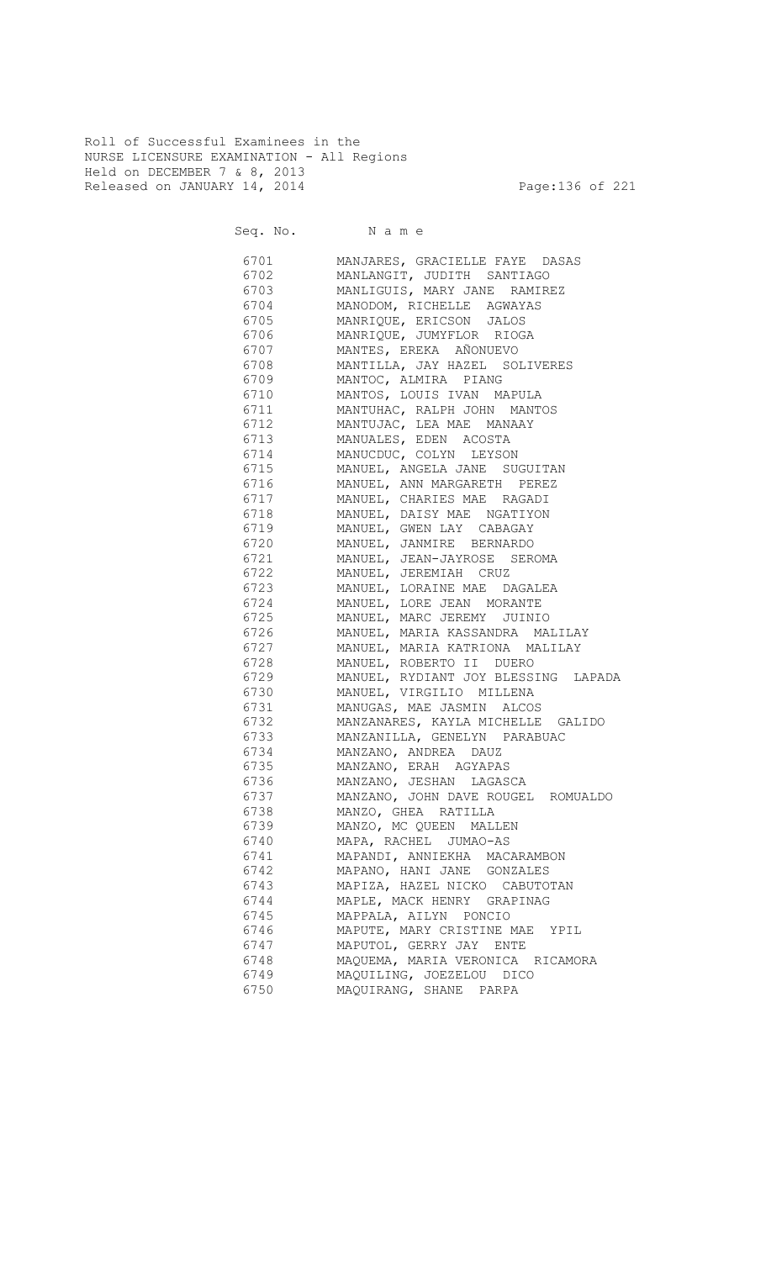Roll of Successful Examinees in the NURSE LICENSURE EXAMINATION - All Regions Held on DECEMBER 7 & 8, 2013 Released on JANUARY 14, 2014 **Page:136 of 221** 

Seq. No. Name

 6701 MANJARES, GRACIELLE FAYE DASAS 6702 MANLANGIT, JUDITH SANTIAGO 6703 MANLIGUIS, MARY JANE RAMIREZ 6704 MANODOM, RICHELLE AGWAYAS<br>6705 MANRIQUE, ERICSON JALOS 6705 MANRIQUE, ERICSON JALOS 6706 MANRIQUE, JUMYFLOR RIOGA 6707 MANTES, EREKA AÑONUEVO 6708 MANTILLA, JAY HAZEL SOLIVERES 6709 MANTOC, ALMIRA PIANG 6710 MANTOS, LOUIS IVAN MAPULA 6711 MANTUHAC, RALPH JOHN MANTOS 6712 MANTUJAC, LEA MAE MANAAY 6713 MANUALES, EDEN ACOSTA 6714 MANUCDUC, COLYN LEYSON 6715 MANUEL, ANGELA JANE SUGUITAN 6716 MANUEL, ANN MARGARETH PEREZ 6717 MANUEL, CHARIES MAE RAGADI 6718 MANUEL, DAISY MAE NGATIYON 6719 MANUEL, GWEN LAY CABAGAY 6720 MANUEL, JANMIRE BERNARDO 6721 MANUEL, JEAN-JAYROSE SEROMA 6722 MANUEL, JEREMIAH CRUZ 6723 MANUEL, LORAINE MAE DAGALEA er<br>1972 - MANUEL, LORE JEAN MORANTE<br>19725 - MANUEL, MARC JEREMY JUINI MANUEL, MARC JEREMY JUINIO 6726 MANUEL, MARIA KASSANDRA MALILAY 6727 MANUEL, MARIA KATRIONA MALILAY 6728 MANUEL, ROBERTO II DUERO 6729 MANUEL, RYDIANT JOY BLESSING LAPADA 6730 MANUEL, VIRGILIO MILLENA 6731 MANUGAS, MAE JASMIN ALCOS 6732 MANZANARES, KAYLA MICHELLE GALIDO MANZANILLA, GENELYN PARABUAC 6734 MANZANO, ANDREA DAUZ 6735 MANZANO, ERAH AGYAPAS 6736 MANZANO, JESHAN LAGASCA 6737 MANZANO, JOHN DAVE ROUGEL ROMUALDO 6738 MANZO, GHEA RATILLA 6739 MANZO, MC QUEEN MALLEN 6740 MAPA, RACHEL JUMAO-AS 6741 MAPANDI, ANNIEKHA MACARAMBON 6742 MAPANO, HANI JANE GONZALES 6743 MAPIZA, HAZEL NICKO CABUTOTAN 6744 MAPLE, MACK HENRY GRAPINAG 6745 MAPPALA, AILYN PONCIO MAPUTE, MARY CRISTINE MAE YPIL 6747 MAPUTOL, GERRY JAY ENTE 6748 MAQUEMA, MARIA VERONICA RICAMORA 6749 MAQUILING, JOEZELOU DICO MAQUIRANG, SHANE PARPA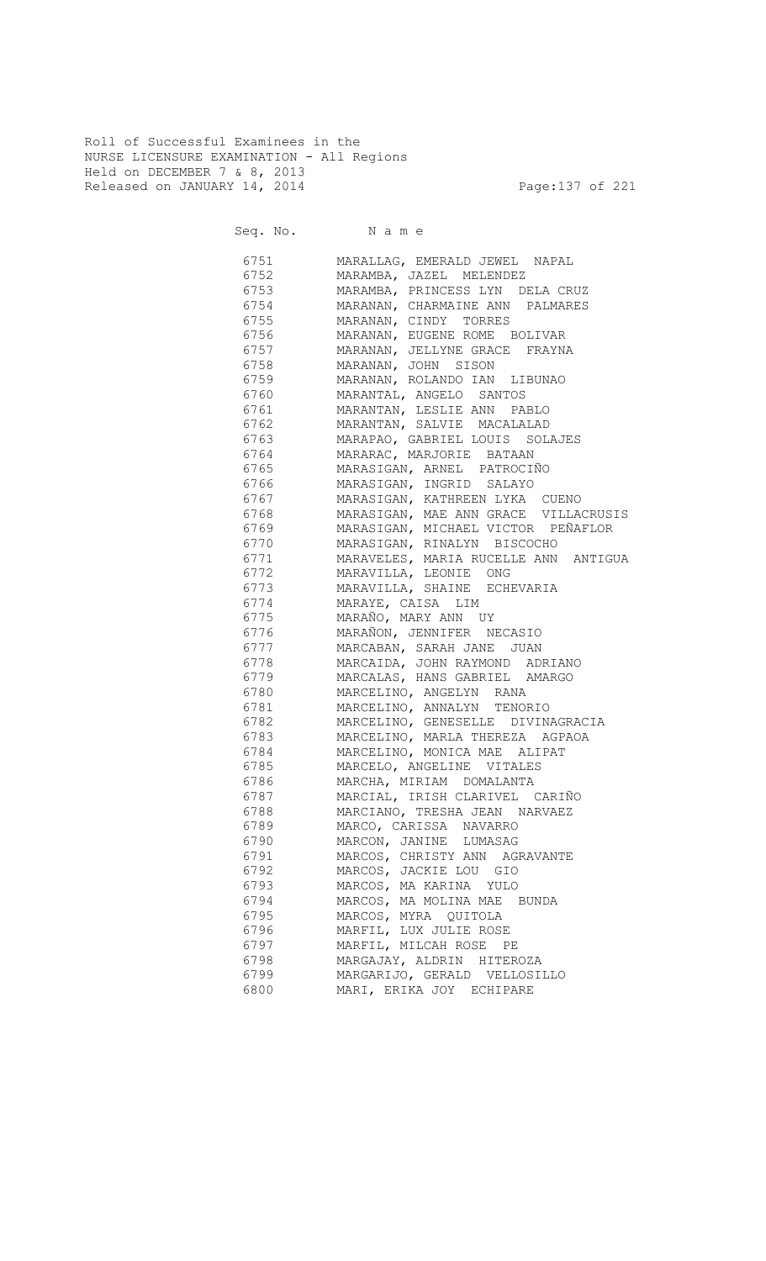Roll of Successful Examinees in the NURSE LICENSURE EXAMINATION - All Regions Held on DECEMBER 7 & 8, 2013 Released on JANUARY 14, 2014 **Page:137** of 221

Seq. No. Name

| 6751 679 | MARALLAG, EMERALD JEWEL NAPAL               |
|----------|---------------------------------------------|
|          | 6752 MARAMBA, JAZEL MELENDEZ                |
|          | 6753 MARAMBA, PRINCESS LYN DELA CRUZ        |
|          | 6754 MARANAN, CHARMAINE ANN PALMARES        |
|          | 6755 MARANAN, CINDY TORRES                  |
|          | 6756 MARANAN, EUGENE ROME BOLIVAR           |
|          | 6757 MARANAN, JELLYNE GRACE FRAYNA          |
|          | 6758 MARANAN, JOHN SISON                    |
|          | 6759 MARANAN, ROLANDO IAN LIBUNAO           |
|          | 6760 MARANTAL, ANGELO SANTOS                |
|          | 6761 MARANTAN, LESLIE ANN PABLO             |
|          | 6762 MARANTAN, SALVIE MACALALAD             |
|          | 6763 MARAPAO, GABRIEL LOUIS SOLAJES         |
|          | 6764 MARARAC, MARJORIE BATAAN               |
|          | 6765     MARASIGAN, ARNEL PATROCIÑO         |
| 6766     | MARASIGAN, INGRID SALAYO                    |
| 6767     | MARASIGAN, KATHREEN LYKA CUENO              |
| 6768     | MARASIGAN, MAE ANN GRACE VILLACRUSIS        |
|          | 6769     MARASIGAN, MICHAEL VICTOR PEÑAFLOR |
| 6770     | MARASIGAN, RINALYN BISCOCHO                 |
| 6771     | MARAVELES, MARIA RUCELLE ANN ANTIGUA        |
| 6772     | MARAVILLA, LEONIE ONG                       |
| 6773     | MARAVILLA, SHAINE ECHEVARIA                 |
| 6774     | MARAYE, CAISA LIM                           |
| 6775     | MARAÑO, MARY ANN UY                         |
| 6776     | MARAÑON, JENNIFER NECASIO                   |
| 6777     | MARCABAN, SARAH JANE JUAN                   |
| 6778     | MARCAIDA, JOHN RAYMOND ADRIANO              |
| 6779     | MARCALAS, HANS GABRIEL AMARGO               |
| 6780     | MARCELINO, ANGELYN RANA                     |
| 6781     | MARCELINO, ANNALYN TENORIO                  |
| 6782     | MARCELINO, GENESELLE DIVINAGRACIA           |
| 6783     | MARCELINO, MARLA THEREZA AGPAOA             |
| 6784     | MARCELINO, MONICA MAE ALIPAT                |
| 6785     | MARCELO, ANGELINE VITALES                   |
| 6786     | MARCHA, MIRIAM DOMALANTA                    |
| 6787     | MARCIAL, IRISH CLARIVEL CARIÑO              |
| 6788     | MARCIANO, TRESHA JEAN NARVAEZ               |
| 6789     | MARCO, CARISSA NAVARRO                      |
| 6790     | MARCON, JANINE LUMASAG                      |
| 6791     | MARCOS, CHRISTY ANN AGRAVANTE               |
| 6792     | MARCOS, JACKIE LOU GIO                      |
| 6793     | MARCOS, MA KARINA YULO                      |
| 6794     | MARCOS, MA MOLINA MAE BUNDA                 |
| 6795     | MARCOS, MYRA QUITOLA                        |
| 6796     | MARFIL, LUX JULIE ROSE                      |
| 6797     | MARFIL, MILCAH ROSE PE                      |
| 6798     | MARGAJAY, ALDRIN HITEROZA                   |
| 6799     | MARGARIJO, GERALD VELLOSILLO                |
| 6800     | MARI, ERIKA JOY ECHIPARE                    |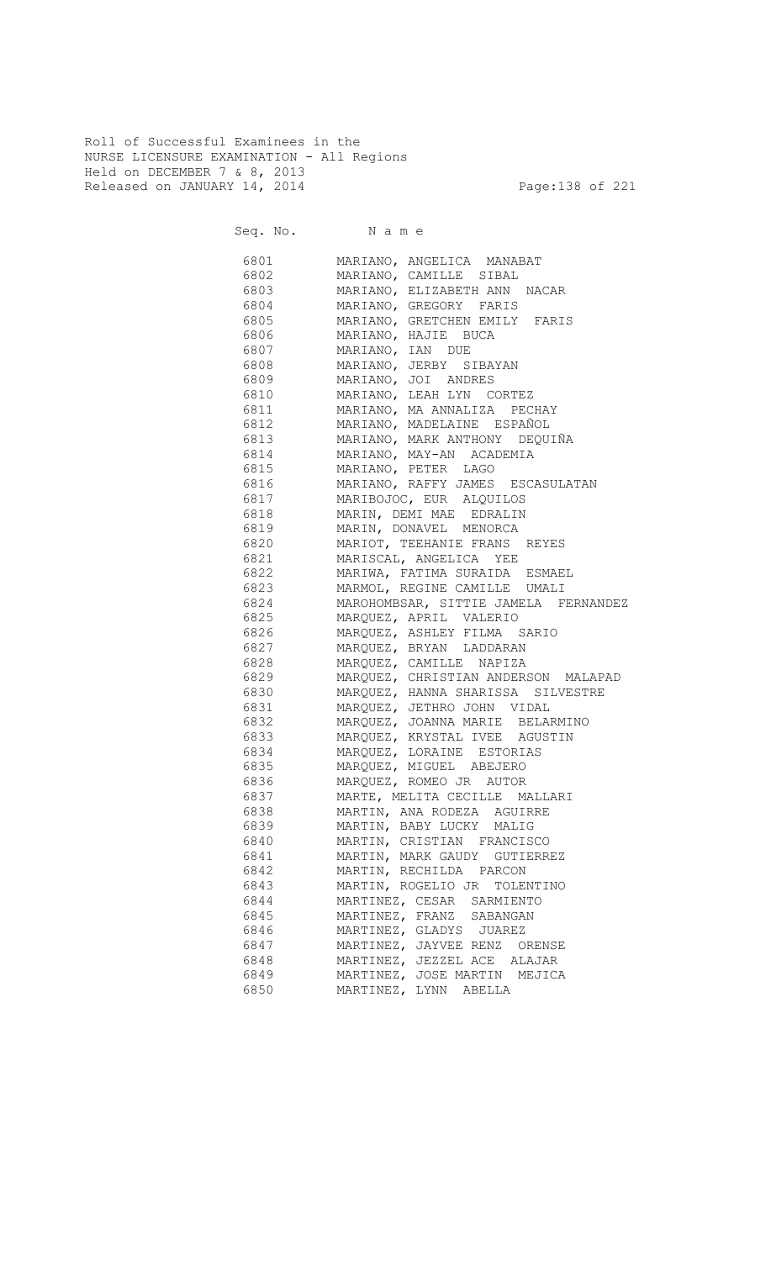Roll of Successful Examinees in the NURSE LICENSURE EXAMINATION - All Regions Held on DECEMBER 7 & 8, 2013 Released on JANUARY 14, 2014 **Page:138 of 221** 

|          | Seq. No. Name                                                                                                                                                                                                                                          |
|----------|--------------------------------------------------------------------------------------------------------------------------------------------------------------------------------------------------------------------------------------------------------|
|          | 6801 MARIANO, ANGELICA MANABAT                                                                                                                                                                                                                         |
| 6802     | MARIANO, CAMILLE SIBAL                                                                                                                                                                                                                                 |
| 6803     | MARIANO, ELIZABETH ANN NACAR                                                                                                                                                                                                                           |
| 6804     | MARIANO, GREGORY FARIS                                                                                                                                                                                                                                 |
| 6805     | MARIANO, GRETCHEN EMILY FARIS                                                                                                                                                                                                                          |
| 6806     | MARIANO, HAJIE BUCA                                                                                                                                                                                                                                    |
| 6807     |                                                                                                                                                                                                                                                        |
| 6808     |                                                                                                                                                                                                                                                        |
| 6809     |                                                                                                                                                                                                                                                        |
| 6810     |                                                                                                                                                                                                                                                        |
| 6811     | MARIANO, IAN DUE<br>MARIANO, JERBY SIBAYAN<br>MARIANO, JOI ANDRES<br>MARIANO, LEAH LYN CORTEZ<br>MARIANO, MA ANNALIZA PECHAY<br>MARIANO, MADELAINE ESPAÑOL<br>MARIANO, MARK ANTHONY DEQUIÑA<br>MARIANO, MARK ANTHONY DEQUIÑA<br>MARIANO, MAY-AN ACADEM |
| 6812     |                                                                                                                                                                                                                                                        |
| 6813     |                                                                                                                                                                                                                                                        |
| 6814     |                                                                                                                                                                                                                                                        |
| 6815     | MARIANO, PETER LAGO                                                                                                                                                                                                                                    |
| 6816     | --<br>MARIANO, RAFFY JAMES ESCASULATAN                                                                                                                                                                                                                 |
| 6817     | MARIBOJOC, EUR ALQUILOS                                                                                                                                                                                                                                |
| 6818     | MARIN, DEMI MAE EDRALIN                                                                                                                                                                                                                                |
| 6819     | MARIN, DONAVEL MENORCA                                                                                                                                                                                                                                 |
| 6820     | MARIOT, TEEHANIE FRANS REYES                                                                                                                                                                                                                           |
| 6821     | MARISCAL, ANGELICA YEE                                                                                                                                                                                                                                 |
| 6822     | MARIWA, FATIMA SURAIDA ESMAEL                                                                                                                                                                                                                          |
|          | 6823 MARMOL, REGINE CAMILLE UMALI                                                                                                                                                                                                                      |
|          | 6824 MAROHOMBSAR, SITTIE JAMELA FERNANDEZ                                                                                                                                                                                                              |
|          | 6825 MARQUEZ, APRIL VALERIO                                                                                                                                                                                                                            |
|          | 6826 MARQUEZ, ASHLEY FILMA SARIO                                                                                                                                                                                                                       |
|          | 6827 MARQUEZ, BRYAN LADDARAN                                                                                                                                                                                                                           |
|          | 6828 MARQUEZ, CAMILLE NAPIZA                                                                                                                                                                                                                           |
|          | 6829 MARQUEZ, CHRISTIAN ANDERSON MALAPAD                                                                                                                                                                                                               |
|          | 6830 MARQUEZ, HANNA SHARISSA SILVESTRE                                                                                                                                                                                                                 |
|          | 6831 MARQUEZ, JETHRO JOHN VIDAL                                                                                                                                                                                                                        |
|          | 6832 MARQUEZ, JOANNA MARIE BELARMINO                                                                                                                                                                                                                   |
|          | 6833 MARQUEZ, KRYSTAL IVEE AGUSTIN                                                                                                                                                                                                                     |
|          | 6834 MARQUEZ, LORAINE ESTORIAS                                                                                                                                                                                                                         |
|          | 6835 MARQUEZ, MIGUEL ABEJERO                                                                                                                                                                                                                           |
| 6836 100 | MARQUEZ, ROMEO JR AUTOR                                                                                                                                                                                                                                |
| 6837     | MARTE, MELITA CECILLE MALLARI                                                                                                                                                                                                                          |
| 6838     | MARTIN, ANA RODEZA AGUIRRE                                                                                                                                                                                                                             |
| 6839     | MARTIN, BABY LUCKY MALIG                                                                                                                                                                                                                               |
| 6840     | MARTIN, CRISTIAN FRANCISCO                                                                                                                                                                                                                             |
| 6841     | MARTIN, MARK GAUDY GUTIERREZ                                                                                                                                                                                                                           |
| 6842     | MARTIN, RECHILDA PARCON                                                                                                                                                                                                                                |
| 6843     | MARTIN, ROGELIO JR TOLENTINO                                                                                                                                                                                                                           |
| 6844     | MARTINEZ, CESAR SARMIENTO                                                                                                                                                                                                                              |
| 6845     | MARTINEZ, FRANZ SABANGAN                                                                                                                                                                                                                               |
| 6846     | MARTINEZ, GLADYS JUAREZ                                                                                                                                                                                                                                |
| 6847     | MARTINEZ, JAYVEE RENZ ORENSE                                                                                                                                                                                                                           |
| 6848     | MARTINEZ, JEZZEL ACE ALAJAR                                                                                                                                                                                                                            |
| 6849     | MARTINEZ, JOSE MARTIN MEJICA                                                                                                                                                                                                                           |
| 6850     | MARTINEZ, LYNN ABELLA                                                                                                                                                                                                                                  |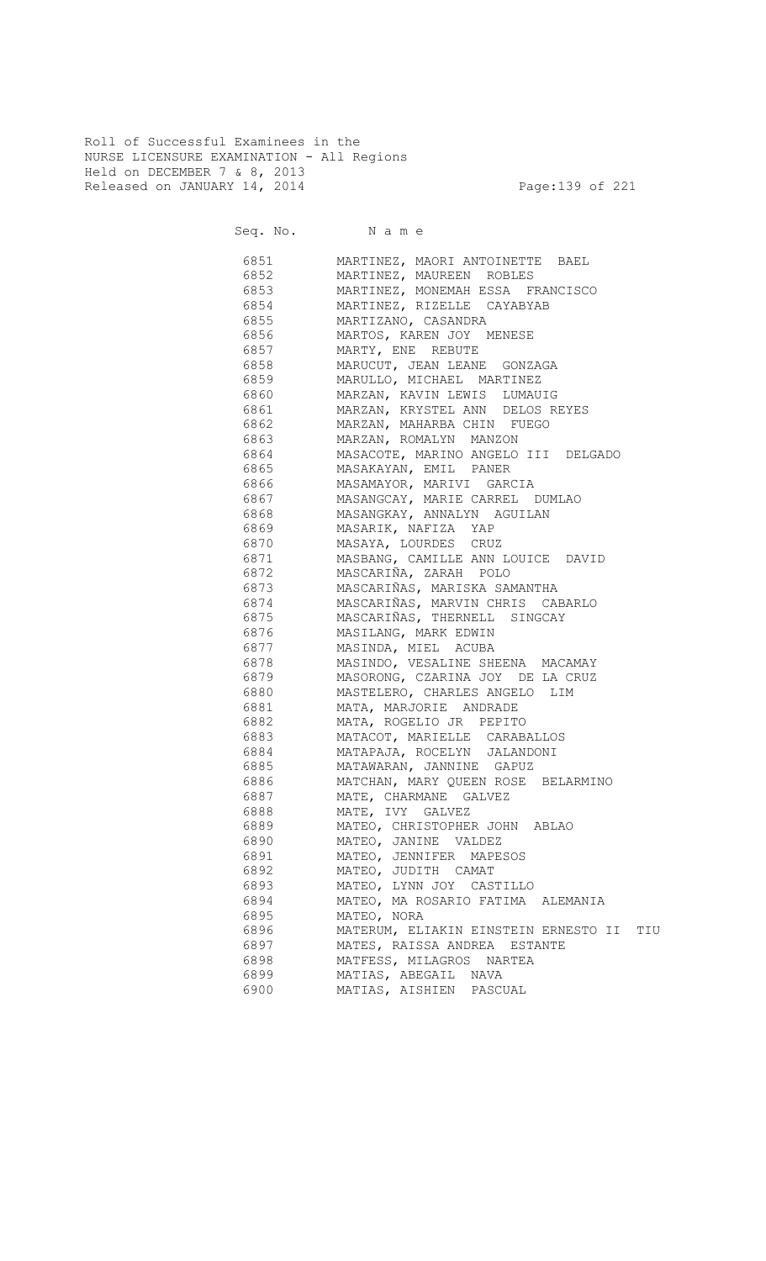Roll of Successful Examinees in the NURSE LICENSURE EXAMINATION - All Regions Held on DECEMBER 7 & 8, 2013 Released on JANUARY 14, 2014 **Page:139 of 221** 

Seq. No. Name

 6851 MARTINEZ, MAORI ANTOINETTE BAEL 6852 MARTINEZ, MAUREEN ROBLES 6853 MARTINEZ, MONEMAH ESSA FRANCISCO 6854 MARTINEZ, RIZELLE CAYABYAB 6855 MARTIZANO, CASANDRA 6856 MARTOS, KAREN JOY MENESE 6857 MARTY, ENE REBUTE 6858 MARUCUT, JEAN LEANE GONZAGA 6859 MARULLO, MICHAEL MARTINEZ 6860 MARZAN, KAVIN LEWIS LUMAUIG 6861 MARZAN, KRYSTEL ANN DELOS REYES 6862 MARZAN, MAHARBA CHIN FUEGO 6863 MARZAN, ROMALYN MANZON 6864 MASACOTE, MARINO ANGELO III DELGADO 6865 MASAKAYAN, EMIL PANER 6866 MASAMAYOR, MARIVI GARCIA 6867 MASANGCAY, MARIE CARREL DUMLAO 6868 MASANGKAY, ANNALYN AGUILAN 6869 MASARIK, NAFIZA YAP 6870 MASAYA, LOURDES CRUZ 6871 MASBANG, CAMILLE ANN LOUICE DAVID 6872 MASCARIÑA, ZARAH POLO 6873 MASCARIÑAS, MARISKA SAMANTHA 6874 MASCARIÑAS, MARVIN CHRIS CABARLO<br>6875 MASCARIÑAS, THERNELL SINGCAY MASCARIÑAS, THERNELL SINGCAY 6876 MASILANG, MARK EDWIN 6877 MASINDA, MIEL ACUBA 6878 MASINDO, VESALINE SHEENA MACAMAY 6879 MASORONG, CZARINA JOY DE LA CRUZ 6880 MASTELERO, CHARLES ANGELO LIM 6881 MATA, MARJORIE ANDRADE 6882 MATA, ROGELIO JR PEPITO 6883 MATACOT, MARIELLE CARABALLOS 6884 MATAPAJA, ROCELYN JALANDONI 6885 MATAWARAN, JANNINE GAPUZ 6886 MATCHAN, MARY QUEEN ROSE BELARMINO 6887 MATE, CHARMANE GALVEZ 6888 MATE, IVY GALVEZ 6889 MATEO, CHRISTOPHER JOHN ABLAO 6890 MATEO, JANINE VALDEZ 6891 MATEO, JENNIFER MAPESOS 6892 MATEO, JUDITH CAMAT 6893 MATEO, LYNN JOY CASTILLO 6894 MATEO, MA ROSARIO FATIMA ALEMANIA 6895 MATEO, NORA 6896 MATERUM, ELIAKIN EINSTEIN ERNESTO II TIU 6897 MATES, RAISSA ANDREA ESTANTE 6898 MATFESS, MILAGROS NARTEA 6899 MATIAS, ABEGAIL NAVA 6900 MATIAS, AISHIEN PASCUAL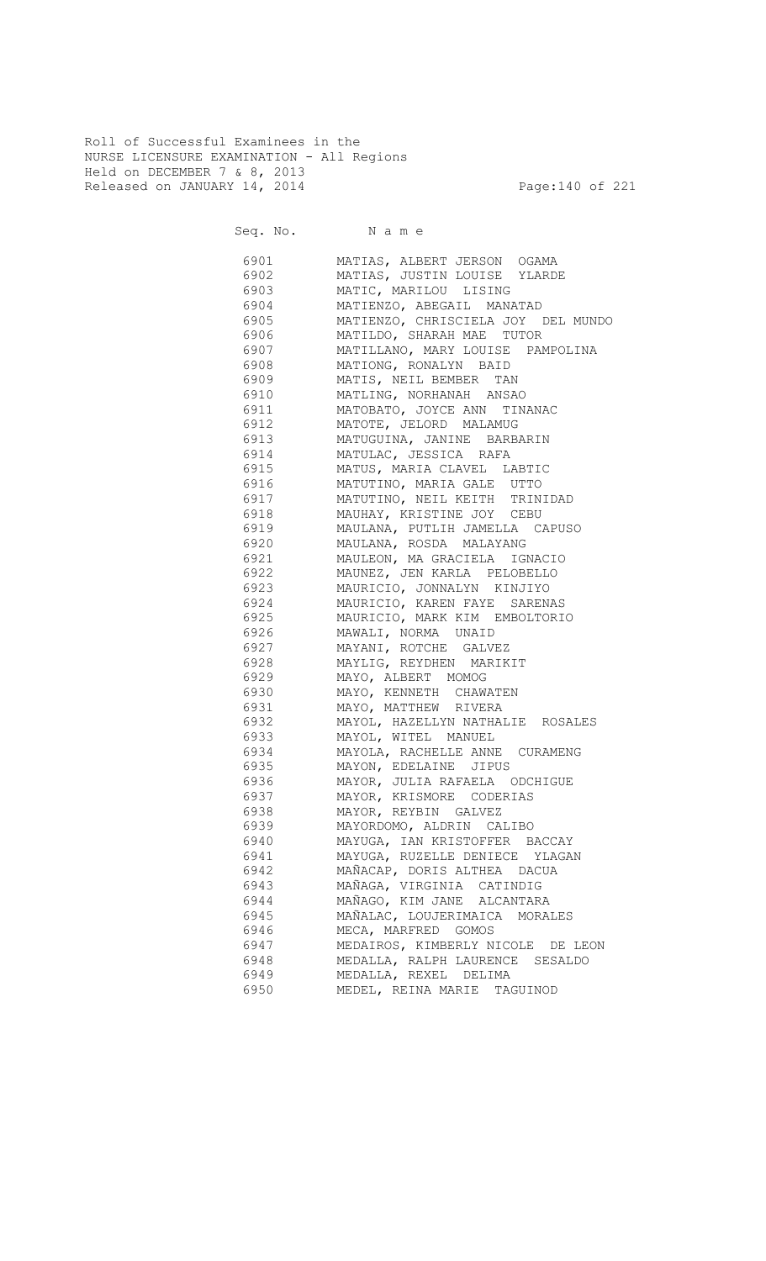Roll of Successful Examinees in the NURSE LICENSURE EXAMINATION - All Regions Held on DECEMBER 7 & 8, 2013 Released on JANUARY 14, 2014 **Page:140 of 221** 

Seq. No. Name

 6901 MATIAS, ALBERT JERSON OGAMA 6902 MATIAS, JUSTIN LOUISE YLARDE 6903 MATIC, MARILOU LISING 6904 MATIENZO, ABEGAIL MANATAD 6905 MATIENZO, CHRISCIELA JOY DEL MUNDO 6906 MATILDO, SHARAH MAE TUTOR 6907 MATILLANO, MARY LOUISE PAMPOLINA 6908 MATIONG, RONALYN BAID 6909 MATIS, NEIL BEMBER TAN 6910 MATLING, NORHANAH ANSAO 6911 MATOBATO, JOYCE ANN TINANAC 6912 MATOTE, JELORD MALAMUG 6913 MATUGUINA, JANINE BARBARIN 6914 MATULAC, JESSICA RAFA 6915 MATUS, MARIA CLAVEL LABTIC 6916 MATUTINO, MARIA GALE UTTO 6917 MATUTINO, NEIL KEITH TRINIDAD MAUHAY, KRISTINE JOY CEBU 6919 MAULANA, PUTLIH JAMELLA CAPUSO 6920 MAULANA, ROSDA MALAYANG 6921 MAULEON, MA GRACIELA IGNACIO 6922 MAUNEZ, JEN KARLA PELOBELLO 6923 MAURICIO, JONNALYN KINJIYO 6924 MAURICIO, KAREN FAYE SARENAS 6925 MAURICIO, MARK KIM EMBOLTORIO 6926 MAWALI, NORMA UNAID 6927 MAYANI, ROTCHE GALVEZ 6928 MAYLIG, REYDHEN MARIKIT 6929 MAYO, ALBERT MOMOG 6930 MAYO, KENNETH CHAWATEN 6931 MAYO, MATTHEW RIVERA 6932 MAYOL, HAZELLYN NATHALIE ROSALES 6933 MAYOL, WITEL MANUEL 6934 MAYOLA, RACHELLE ANNE CURAMENG 6935 MAYON, EDELAINE JIPUS 6936 MAYOR, JULIA RAFAELA ODCHIGUE 6937 MAYOR, KRISMORE CODERIAS 6938 MAYOR, REYBIN GALVEZ 6939 MAYORDOMO, ALDRIN CALIBO 6940 MAYUGA, IAN KRISTOFFER BACCAY 6941 MAYUGA, RUZELLE DENIECE YLAGAN 6942 MAÑACAP, DORIS ALTHEA DACUA 6943 MAÑAGA, VIRGINIA CATINDIG 6944 MAÑAGO, KIM JANE ALCANTARA 6945 MAÑALAC, LOUJERIMAICA MORALES 6946 MECA, MARFRED GOMOS 6947 MEDAIROS, KIMBERLY NICOLE DE LEON 6948 MEDALLA, RALPH LAURENCE SESALDO 6949 MEDALLA, REXEL DELIMA 6950 MEDEL, REINA MARIE TAGUINOD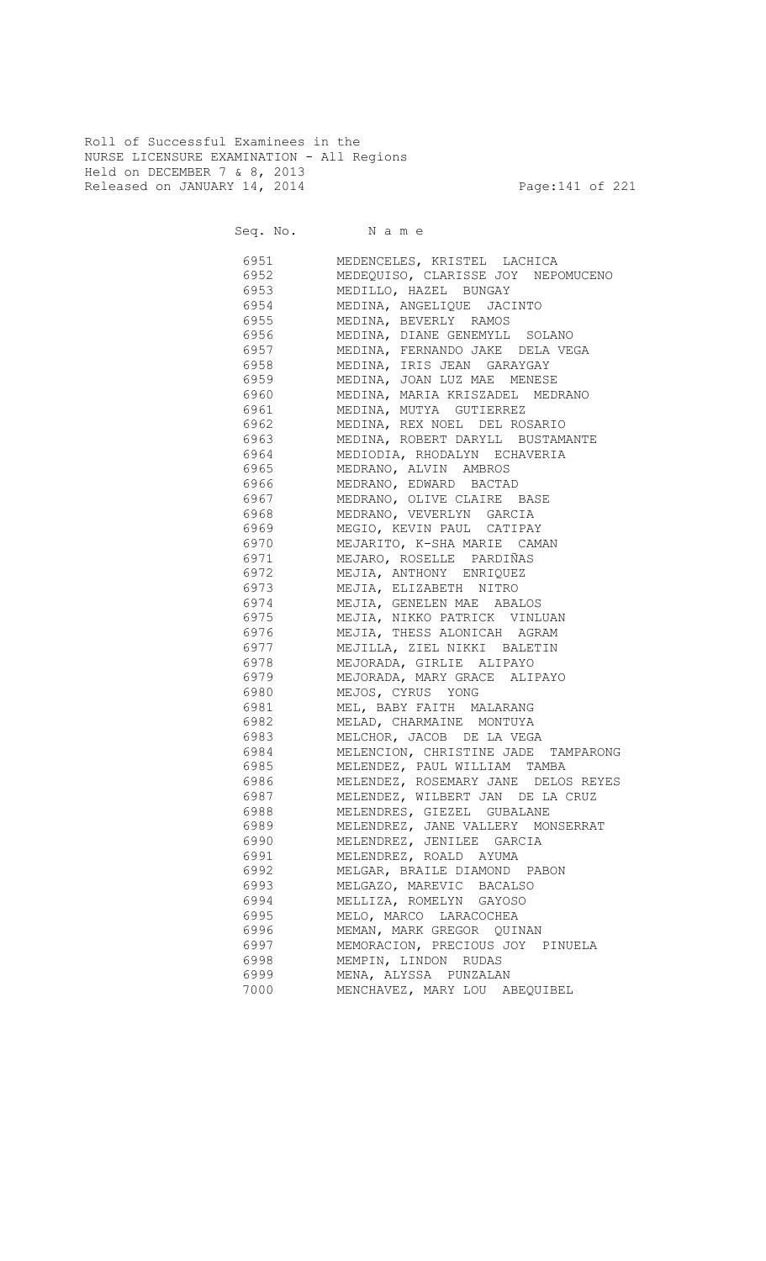Roll of Successful Examinees in the NURSE LICENSURE EXAMINATION - All Regions Held on DECEMBER 7 & 8, 2013 Released on JANUARY 14, 2014 **Page:141** of 221

Seq. No. Name

 6951 MEDENCELES, KRISTEL LACHICA 6952 MEDEQUISO, CLARISSE JOY NEPOMUCENO 6953 MEDILLO, HAZEL BUNGAY 6954 MEDINA, ANGELIQUE JACINTO MEDINA, BEVERLY RAMOS 6956 MEDINA, DIANE GENEMYLL SOLANO 6957 MEDINA, FERNANDO JAKE DELA VEGA 6958 MEDINA, IRIS JEAN GARAYGAY 6959 MEDINA, JOAN LUZ MAE MENESE 6960 MEDINA, MARIA KRISZADEL MEDRANO 6961 MEDINA, MUTYA GUTIERREZ 6962 MEDINA, REX NOEL DEL ROSARIO 6963 MEDINA, ROBERT DARYLL BUSTAMANTE 6964 MEDIODIA, RHODALYN ECHAVERIA 6965 MEDRANO, ALVIN AMBROS 6966 MEDRANO, EDWARD BACTAD 6967 MEDRANO, OLIVE CLAIRE BASE 6968 MEDRANO, VEVERLYN GARCIA 6969 MEGIO, KEVIN PAUL CATIPAY 6970 MEJARITO, K-SHA MARIE CAMAN 6971 MEJARO, ROSELLE PARDIÑAS 6972 MEJIA, ANTHONY ENRIQUEZ 6973 MEJIA, ELIZABETH NITRO 6974 MEJIA, GENELEN MAE ABALOS<br>6975 MEJIA, NIKKO PATRICK VINL MEJIA, NIKKO PATRICK VINLUAN 6976 MEJIA, THESS ALONICAH AGRAM 6977 MEJILLA, ZIEL NIKKI BALETIN 6978 MEJORADA, GIRLIE ALIPAYO 6979 MEJORADA, MARY GRACE ALIPAYO 6980 MEJOS, CYRUS YONG 6981 MEL, BABY FAITH MALARANG 6982 MELAD, CHARMAINE MONTUYA 6983 MELCHOR, JACOB DE LA VEGA 6984 MELENCION, CHRISTINE JADE TAMPARONG 6985 MELENDEZ, PAUL WILLIAM TAMBA 6986 MELENDEZ, ROSEMARY JANE DELOS REYES 6987 MELENDEZ, WILBERT JAN DE LA CRUZ 6988 MELENDRES, GIEZEL GUBALANE 6989 MELENDREZ, JANE VALLERY MONSERRAT 6990 MELENDREZ, JENILEE GARCIA 6991 MELENDREZ, ROALD AYUMA 6992 MELGAR, BRAILE DIAMOND PABON 6993 MELGAZO, MAREVIC BACALSO 6994 MELLIZA, ROMELYN GAYOSO 6995 MELO, MARCO LARACOCHEA 6996 MEMAN, MARK GREGOR QUINAN 6997 MEMORACION, PRECIOUS JOY PINUELA 6998 MEMPIN, LINDON RUDAS 6999 MENA, ALYSSA PUNZALAN 7000 MENCHAVEZ, MARY LOU ABEQUIBEL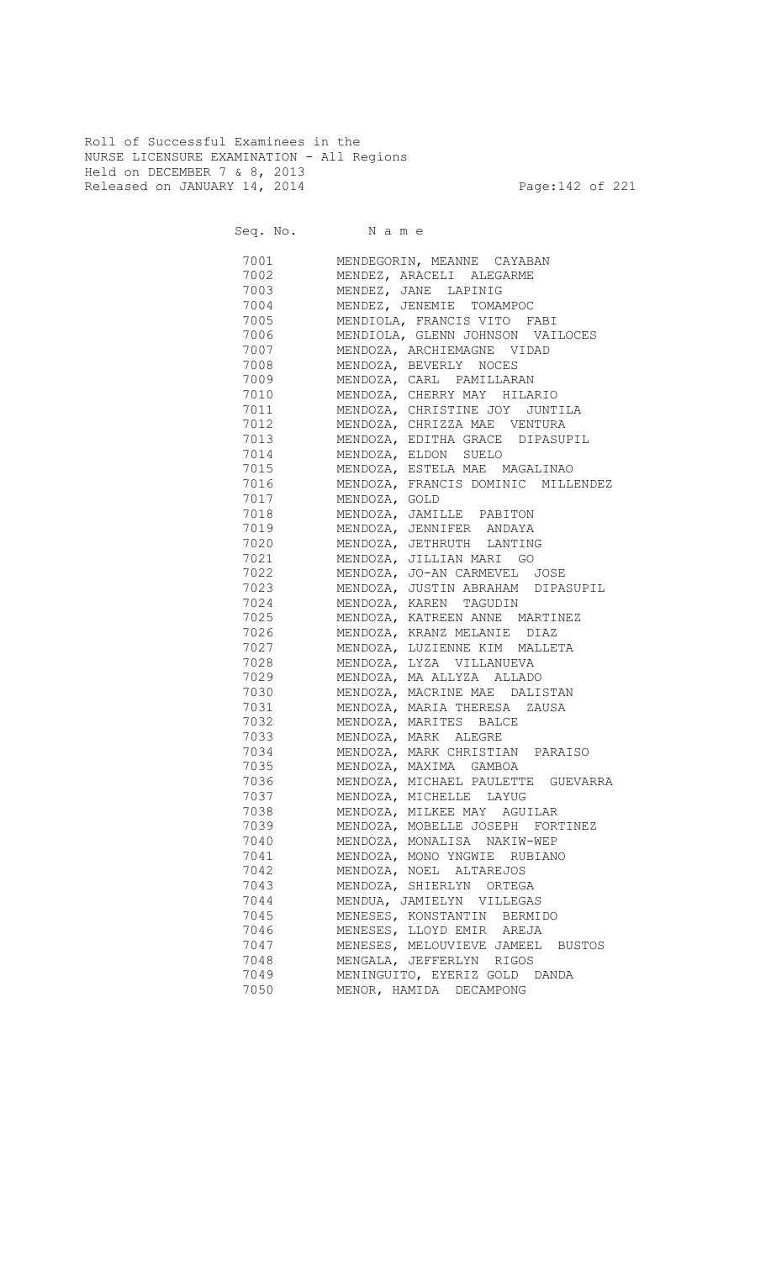Roll of Successful Examinees in the NURSE LICENSURE EXAMINATION - All Regions Held on DECEMBER 7 & 8, 2013 Released on JANUARY 14, 2014 **Page:142 of 221** 

Seq. No. Name

| 7001     | MENDEGORIN, MEANNE CAYABAN              |
|----------|-----------------------------------------|
| 7002     | MENDEZ, ARACELI ALEGARME                |
| 7003     | MENDEZ, JANE LAPINIG                    |
| 7004     | MENDEZ, JENEMIE TOMAMPOC                |
| 7005     | MENDIOLA, FRANCIS VITO FABI             |
| 7006     | MENDIOLA, GLENN JOHNSON VAILOCES        |
| 7007     | MENDOZA, ARCHIEMAGNE VIDAD              |
| 7008 700 | MENDOZA, BEVERLY NOCES                  |
|          | 7009 MENDOZA, CARL PAMILLARAN           |
|          | 7010 MENDOZA, CHERRY MAY HILARIO        |
|          | 7011 MENDOZA, CHRISTINE JOY JUNTILA     |
|          | 7012 MENDOZA, CHRIZZA MAE VENTURA       |
|          | 7013 MENDOZA, EDITHA GRACE DIPASUPIL    |
|          | 7014 MENDOZA, ELDON SUELO               |
|          | 7015 MENDOZA, ESTELA MAE MAGALINAO      |
|          | 7016 MENDOZA, FRANCIS DOMINIC MILLENDEZ |
| 7017     | MENDOZA, GOLD                           |
| 7018     | MENDOZA, JAMILLE PABITON                |
| 7019     | MENDOZA, JENNIFER ANDAYA                |
| 7020     | MENDOZA, JETHRUTH LANTING               |
|          | 7021 MENDOZA, JILLIAN MARI GO           |
|          | 7022 MENDOZA, JO-AN CARMEVEL JOSE       |
|          | 7023 MENDOZA, JUSTIN ABRAHAM DIPASUPIL  |
|          | 7024 MENDOZA, KAREN TAGUDIN             |
|          | 7025 MENDOZA, KATREEN ANNE MARTINEZ     |
|          | 7026 MENDOZA, KRANZ MELANIE DIAZ        |
|          | 7027 MENDOZA, LUZIENNE KIM MALLETA      |
|          | 7028 MENDOZA, LYZA VILLANUEVA           |
|          | 7029 MENDOZA, MA ALLYZA ALLADO          |
|          | 7030 MENDOZA, MACRINE MAE DALISTAN      |
| 7031     | MENDOZA, MARIA THERESA ZAUSA            |
| 7032     | MENDOZA, MARITES BALCE                  |
| 7033     | MENDOZA, MARK ALEGRE                    |
| 7034     | MENDOZA, MARK CHRISTIAN PARAISO         |
| 7035     | MENDOZA, MAXIMA GAMBOA                  |
| 7036     | MENDOZA, MICHAEL PAULETTE GUEVARRA      |
| 7037     | MENDOZA, MICHELLE LAYUG                 |
| 7038     | MENDOZA, MILKEE MAY AGUILAR             |
| 7039     | MENDOZA, MOBELLE JOSEPH FORTINEZ        |
| 7040     | MENDOZA, MONALISA NAKIW-WEP             |
| 7041     | MENDOZA, MONO YNGWIE RUBIANO            |
| 7042     | MENDOZA, NOEL ALTAREJOS                 |
| 7043     | MENDOZA, SHIERLYN ORTEGA                |
| 7044     | MENDUA, JAMIELYN VILLEGAS               |
| 7045     | MENESES, KONSTANTIN BERMIDO             |
| 7046     | MENESES, LLOYD EMIR AREJA               |
| 7047     | MENESES, MELOUVIEVE JAMEEL<br>BUSTOS    |
| 7048     | MENGALA, JEFFERLYN RIGOS                |
| 7049     | MENINGUITO, EYERIZ GOLD DANDA           |
| 7050     | MENOR, HAMIDA DECAMPONG                 |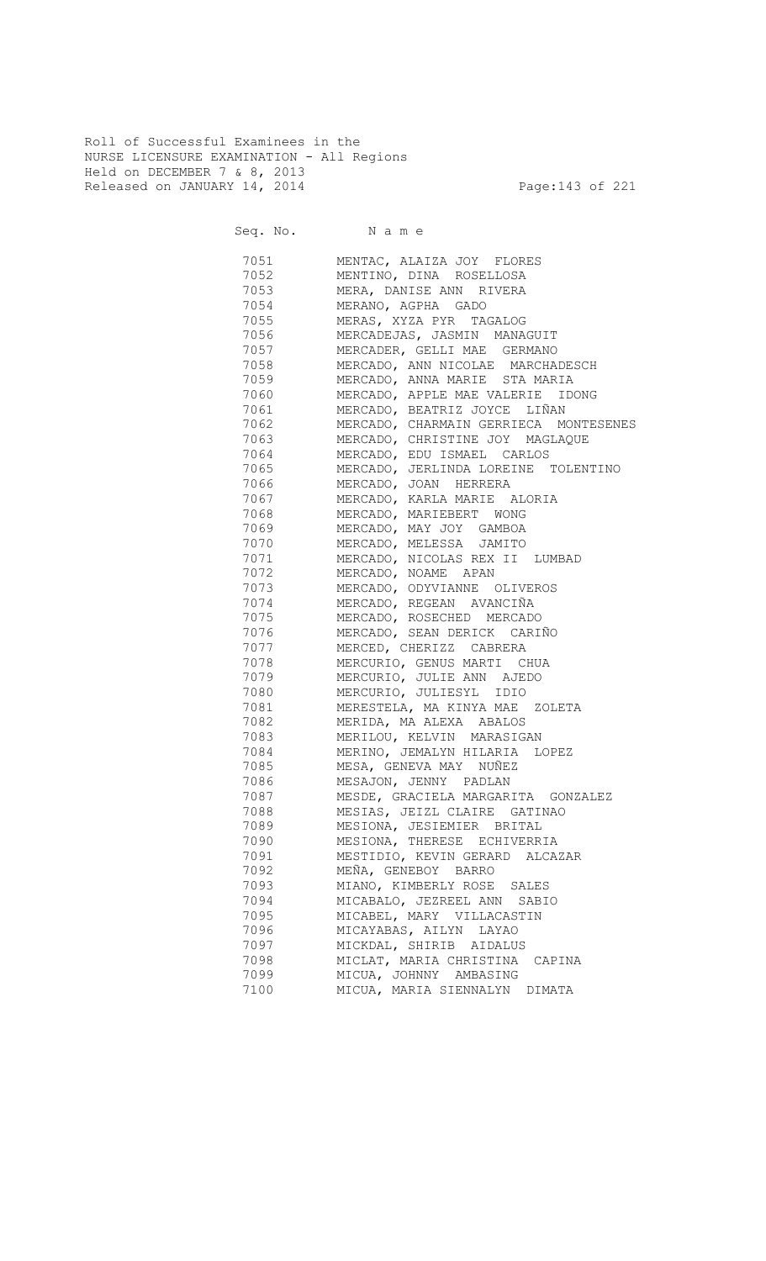Roll of Successful Examinees in the NURSE LICENSURE EXAMINATION - All Regions Held on DECEMBER 7 & 8, 2013 Released on JANUARY 14, 2014 **Page:143 of 221** 

Seq. No. Name

 7051 MENTAC, ALAIZA JOY FLORES 7052 MENTINO, DINA ROSELLOSA 7053 MERA, DANISE ANN RIVERA 7054 MERANO, AGPHA GADO MERAS, XYZA PYR TAGALOG 7056 MERCADEJAS, JASMIN MANAGUIT 7057 MERCADER, GELLI MAE GERMANO 7058 MERCADO, ANN NICOLAE MARCHADESCH 7059 MERCADO, ANNA MARIE STA MARIA 7060 MERCADO, APPLE MAE VALERIE IDONG 7061 MERCADO, BEATRIZ JOYCE LIÑAN 7062 MERCADO, CHARMAIN GERRIECA MONTESENES 7063 MERCADO, CHRISTINE JOY MAGLAQUE 7064 MERCADO, EDU ISMAEL CARLOS 7065 MERCADO, JERLINDA LOREINE TOLENTINO 7066 MERCADO, JOAN HERRERA 7067 MERCADO, KARLA MARIE ALORIA<br>7068 MERCADO, MARIEBERT WONG 7068 MERCADO, MARIEBERT WONG 7069 MERCADO, MAY JOY GAMBOA 7070 MERCADO, MELESSA JAMITO 7071 MERCADO, NICOLAS REX II LUMBAD 7072 MERCADO, NOAME APAN 7073 MERCADO, ODYVIANNE OLIVEROS **7074** MERCADO, REGEAN AVANCIÑA<br>7075 MERCADO, ROSECHED MERCADO MERCADO, ROSECHED MERCADO 7076 MERCADO, SEAN DERICK CARIÑO 7077 MERCED, CHERIZZ CABRERA 7078 MERCURIO, GENUS MARTI CHUA<br>7079 MERCURIO, JULIE ANN AJEDO MERCURIO, JULIE ANN AJEDO 7080 MERCURIO, JULIESYL IDIO 7081 MERESTELA, MA KINYA MAE ZOLETA 7082 MERIDA, MA ALEXA ABALOS MERILOU, KELVIN MARASIGAN 7084 MERINO, JEMALYN HILARIA LOPEZ 7085 MESA, GENEVA MAY NUÑEZ 7086 MESAJON, JENNY PADLAN 7087 MESDE, GRACIELA MARGARITA GONZALEZ 7088 MESIAS, JEIZL CLAIRE GATINAO 7089 MESIONA, JESIEMIER BRITAL 7090 MESIONA, THERESE ECHIVERRIA 7091 MESTIDIO, KEVIN GERARD ALCAZAR 7092 MEÑA, GENEBOY BARRO 7093 MIANO, KIMBERLY ROSE SALES 7094 MICABALO, JEZREEL ANN SABIO 7095 MICABEL, MARY VILLACASTIN<br>7096 MICAYABAS, AILYN LAYAO MICAYABAS, AILYN LAYAO 7097 MICKDAL, SHIRIB AIDALUS 7098 MICLAT, MARIA CHRISTINA CAPINA 7099 MICUA, JOHNNY AMBASING 7100 MICUA, MARIA SIENNALYN DIMATA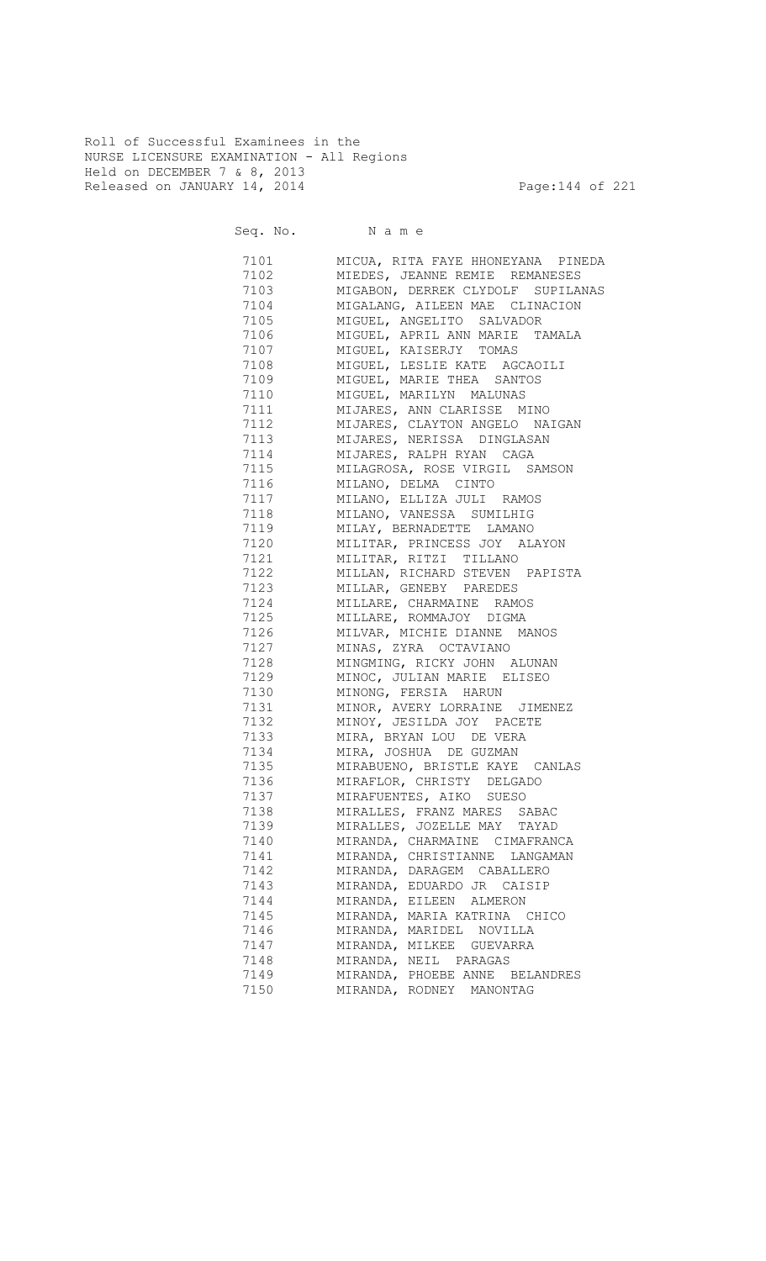Roll of Successful Examinees in the NURSE LICENSURE EXAMINATION - All Regions Held on DECEMBER 7 & 8, 2013 Released on JANUARY 14, 2014 **Page:144 of 221** 

Seq. No. Name

| 7101 | MICUA, RITA FAYE HHONEYANA PINEDA                              |
|------|----------------------------------------------------------------|
| 7102 | MIEDES, JEANNE REMIE REMANESES                                 |
| 7103 | MIGABON, DERREK CLYDOLF SUPILANAS                              |
| 7104 | MIGALANG, AILEEN MAE CLINACION                                 |
| 7105 | MIGUEL, ANGELITO SALVADOR                                      |
| 7106 | MIGUEL, APRIL ANN MARIE TAMALA                                 |
| 7107 | MIGUEL, KAISERJY TOMAS                                         |
| 7108 | MIGUEL, LESLIE KATE AGCAOILI                                   |
| 7109 | MIGUEL, MARIE THEA SANTOS                                      |
| 7110 | MIGUEL, MARILYN MALUNAS                                        |
| 7111 | MIJARES, ANN CLARISSE MINO                                     |
| 7112 | MIJARES, CLAYTON ANGELO NAIGAN                                 |
| 7113 | MIJARES, NERISSA DINGLASAN                                     |
| 7114 | MIJARES, RALPH RYAN CAGA                                       |
| 7115 | MILAGROSA, ROSE VIRGIL SAMSON                                  |
| 7116 | MILANO, DELMA CINTO                                            |
| 7117 | MILANO, ELLIZA JULI RAMOS                                      |
| 7118 | MILANO, VANESSA SUMILHIG                                       |
| 7119 | MILAY, BERNADETTE LAMANO                                       |
| 7120 | MILITAR, PRINCESS JOY ALAYON                                   |
| 7121 | MILITAR, RITZI TILLANO                                         |
| 7122 | MILLAN, RICHARD STEVEN PAPISTA                                 |
| 7123 | MILLAR, GENEBY PAREDES                                         |
| 7124 | MILLARE, CHARMAINE RAMOS                                       |
| 7125 | MILLARE, ROMMAJOY DIGMA                                        |
| 7126 | MILVAR, MICHIE DIANNE MANOS                                    |
| 7127 | MINAS, ZYRA OCTAVIANO                                          |
| 7128 | MINGMING, RICKY JOHN ALUNAN                                    |
| 7129 | MINOC, JULIAN MARIE ELISEO                                     |
| 7130 | MINONG, FERSIA HARUN                                           |
| 7131 | MINOR, AVERY LORRAINE JIMENEZ                                  |
| 7132 | MINOY, JESILDA JOY PACETE                                      |
| 7133 | MIRA, BRYAN LOU DE VERA                                        |
| 7134 | MIRA, JOSHUA DE GUZMAN                                         |
| 7135 |                                                                |
| 7136 | MIRABUENO, BRISTLE KAYE CANLAS<br>MIRAFLOR, CHRISTY DELGADO    |
| 7137 | MIRAFUENTES, AIKO SUESO                                        |
| 7138 | MIRALLES, FRANZ MARES<br>SABAC                                 |
| 7139 | MIRALLES, JOZELLE MAY                                          |
|      | TAYAD                                                          |
| 7140 | MIRANDA, CHARMAINE CIMAFRANCA<br>MIRANDA, CHRISTIANNE LANGAMAN |
| 7141 |                                                                |
| 7142 | MIRANDA, DARAGEM CABALLERO                                     |
| 7143 | MIRANDA, EDUARDO JR CAISIP                                     |
| 7144 | MIRANDA, EILEEN ALMERON                                        |
| 7145 | MIRANDA, MARIA KATRINA CHICO                                   |
| 7146 | MIRANDA, MARIDEL NOVILLA                                       |
| 7147 | MIRANDA, MILKEE GUEVARRA                                       |
| 7148 | MIRANDA, NEIL PARAGAS                                          |
| 7149 | MIRANDA, PHOEBE ANNE BELANDRES                                 |
| 7150 | MIRANDA, RODNEY<br>MANONTAG                                    |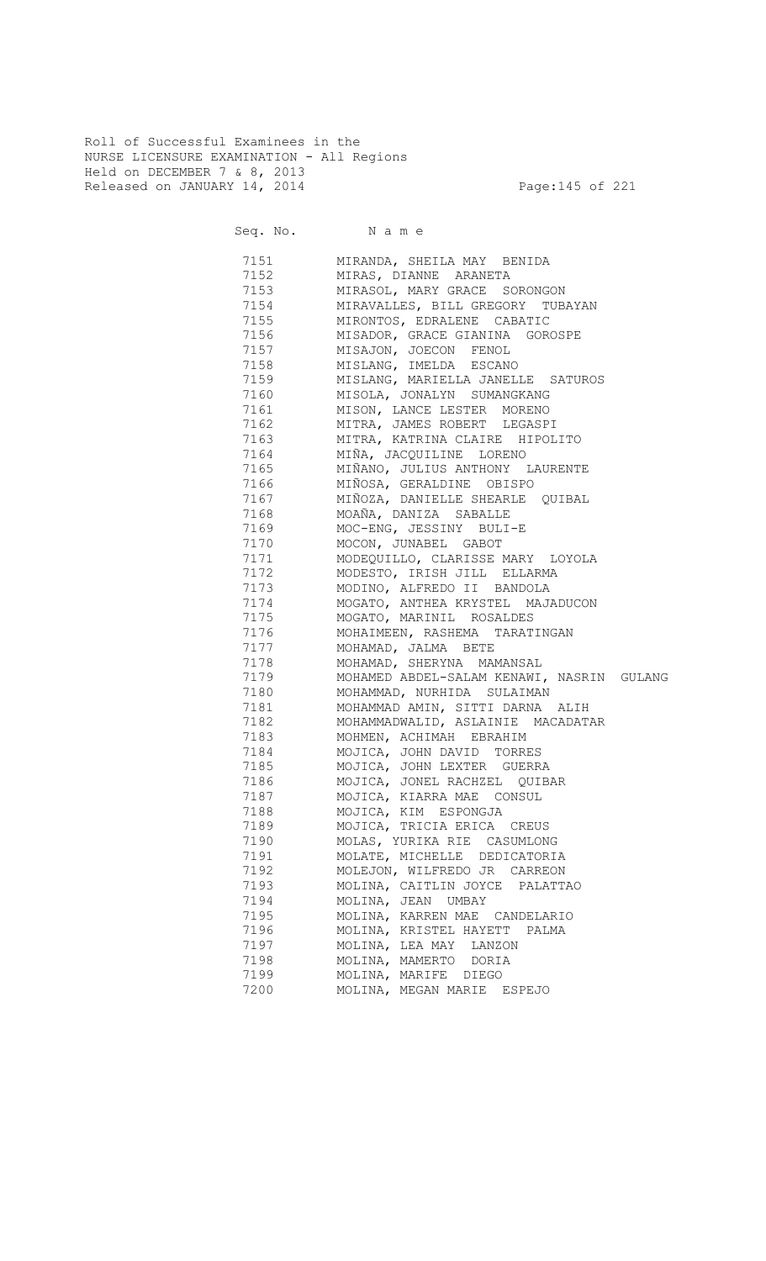Roll of Successful Examinees in the NURSE LICENSURE EXAMINATION - All Regions Held on DECEMBER 7 & 8, 2013 Released on JANUARY 14, 2014 **Page:145 of 221** 

Seq. No. Name 7151 MIRANDA, SHEILA MAY BENIDA 7152 MIRAS, DIANNE ARANETA 7153 MIRASOL, MARY GRACE SORONGON 7154 MIRAVALLES, BILL GREGORY TUBAYAN MIRONTOS, EDRALENE CABATIC 7156 MISADOR, GRACE GIANINA GOROSPE 7157 MISAJON, JOECON FENOL 7158 MISLANG, IMELDA ESCANO 7159 MISLANG, MARIELLA JANELLE SATUROS 7160 MISOLA, JONALYN SUMANGKANG<br>7161 MISON, LANCE LESTER MORENO MISON, LANCE LESTER MORENO 7162 MITRA, JAMES ROBERT LEGASPI 7163 MITRA, KATRINA CLAIRE HIPOLITO 7164 MIÑA, JACQUILINE LORENO 7165 MIÑANO, JULIUS ANTHONY LAURENTE 7166 MIÑOSA, GERALDINE OBISPO 7167 MIÑOZA, DANIELLE SHEARLE QUIBAL 7168 MOAÑA, DANIZA SABALLE 7169 MOC-ENG, JESSINY BULI-E<br>7170 MOCON, JUNABEL GABOT 7170 MOCON, JUNABEL GABOT 7171 MODEQUILLO, CLARISSE MARY LOYOLA 7172 MODESTO, IRISH JILL ELLARMA 7173 MODINO, ALFREDO II BANDOLA 7174 MOGATO, ANTHEA KRYSTEL MAJADUCON<br>7175 MOGATO, MARINIL ROSALDES 7175 MOGATO, MARINIL ROSALDES 7176 MOHAIMEEN, RASHEMA TARATINGAN 7177 MOHAMAD, JALMA BETE 7178 MOHAMAD, SHERYNA MAMANSAL 7179 MOHAMED ABDEL-SALAM KENAWI, NASRIN GULANG 7180 MOHAMMAD, NURHIDA SULAIMAN 7181 MOHAMMAD AMIN, SITTI DARNA ALIH 7182 MOHAMMADWALID, ASLAINIE MACADATAR 7183 MOHMEN, ACHIMAH EBRAHIM 7184 MOJICA, JOHN DAVID TORRES 7185 MOJICA, JOHN LEXTER GUERRA 7186 MOJICA, JONEL RACHZEL QUIBAR 7187 MOJICA, KIARRA MAE CONSUL 7188 MOJICA, KIM ESPONGJA 7189 MOJICA, TRICIA ERICA CREUS 7190 MOLAS, YURIKA RIE CASUMLONG 7191 MOLATE, MICHELLE DEDICATORIA 7192 MOLEJON, WILFREDO JR CARREON 7193 MOLINA, CAITLIN JOYCE PALATTAO 7194 MOLINA, JEAN UMBAY 7195 MOLINA, KARREN MAE CANDELARIO 7196 MOLINA, KRISTEL HAYETT PALMA 7197 MOLINA, LEA MAY LANZON 7198 MOLINA, MAMERTO DORIA 7199 MOLINA, MARIFE DIEGO 7200 MOLINA, MEGAN MARIE ESPEJO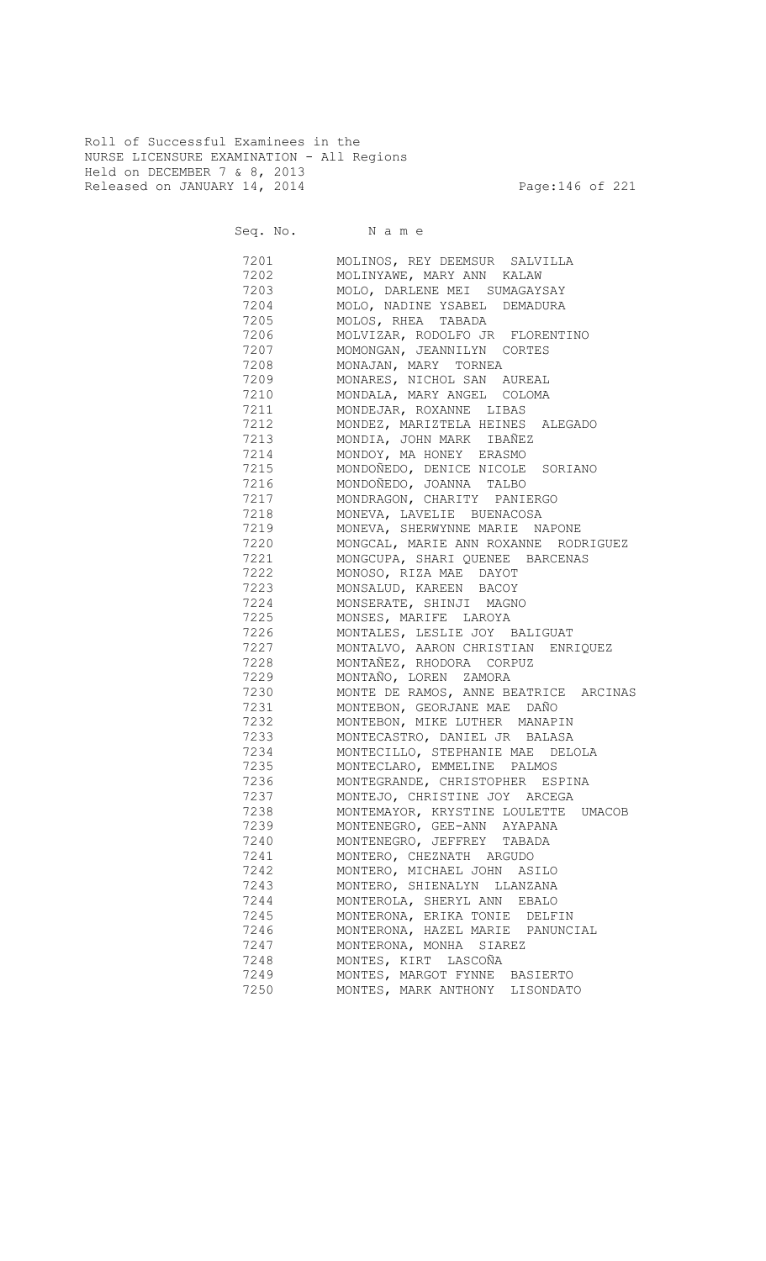Roll of Successful Examinees in the NURSE LICENSURE EXAMINATION - All Regions Held on DECEMBER 7 & 8, 2013 Released on JANUARY 14, 2014 **Page:146 of 221** 

Seq. No. Name

 7201 MOLINOS, REY DEEMSUR SALVILLA 7202 MOLINYAWE, MARY ANN KALAW 7203 MOLO, DARLENE MEI SUMAGAYSAY 7204 MOLO, NADINE YSABEL DEMADURA MOLOS, RHEA TABADA 7206 MOLVIZAR, RODOLFO JR FLORENTINO 7207 MOMONGAN, JEANNILYN CORTES 7208 MONAJAN, MARY TORNEA 7209 MONARES, NICHOL SAN AUREAL 7210 MONDALA, MARY ANGEL COLOMA 7211 MONDEJAR, ROXANNE LIBAS 7212 MONDEZ, MARIZTELA HEINES ALEGADO 7213 MONDIA, JOHN MARK IBAÑEZ 7214 MONDOY, MA HONEY ERASMO 7215 MONDOÑEDO, DENICE NICOLE SORIANO 7216 MONDOÑEDO, JOANNA TALBO 7217 MONDRAGON, CHARITY PANIERGO MONEVA, LAVELIE BUENACOSA 7219 MONEVA, SHERWYNNE MARIE NAPONE MONGCAL, MARIE ANN ROXANNE RODRIGUEZ 7221 MONGCUPA, SHARI QUENEE BARCENAS 7222 MONOSO, RIZA MAE DAYOT 7223 MONSALUD, KAREEN BACOY 7224 MONSERATE, SHINJI MAGNO MONSES, MARIFE LAROYA 7226 MONTALES, LESLIE JOY BALIGUAT 7227 MONTALVO, AARON CHRISTIAN ENRIQUEZ 7228 MONTAÑEZ, RHODORA CORPUZ 7229 MONTAÑO, LOREN ZAMORA 7230 MONTE DE RAMOS, ANNE BEATRICE ARCINAS 7231 MONTEBON, GEORJANE MAE DAÑO 7232 MONTEBON, MIKE LUTHER MANAPIN 7233 MONTECASTRO, DANIEL JR BALASA 7234 MONTECILLO, STEPHANIE MAE DELOLA 7235 MONTECLARO, EMMELINE PALMOS 7236 MONTEGRANDE, CHRISTOPHER ESPINA 7237 MONTEJO, CHRISTINE JOY ARCEGA<br>7238 MONTEMAYOR, KRYSTINE LOULETTE MONTEMAYOR, KRYSTINE LOULETTE UMACOB 7239 MONTENEGRO, GEE-ANN AYAPANA 7240 MONTENEGRO, JEFFREY TABADA 7241 MONTERO, CHEZNATH ARGUDO 7242 MONTERO, MICHAEL JOHN ASILO 7243 MONTERO, SHIENALYN LLANZANA 7244 MONTEROLA, SHERYL ANN EBALO 7245 MONTERONA, ERIKA TONIE DELFIN 7246 MONTERONA, HAZEL MARIE PANUNCIAL 7247 MONTERONA, MONHA SIAREZ 7248 MONTES, KIRT LASCOÑA 7249 MONTES, MARGOT FYNNE BASIERTO 7250 MONTES, MARK ANTHONY LISONDATO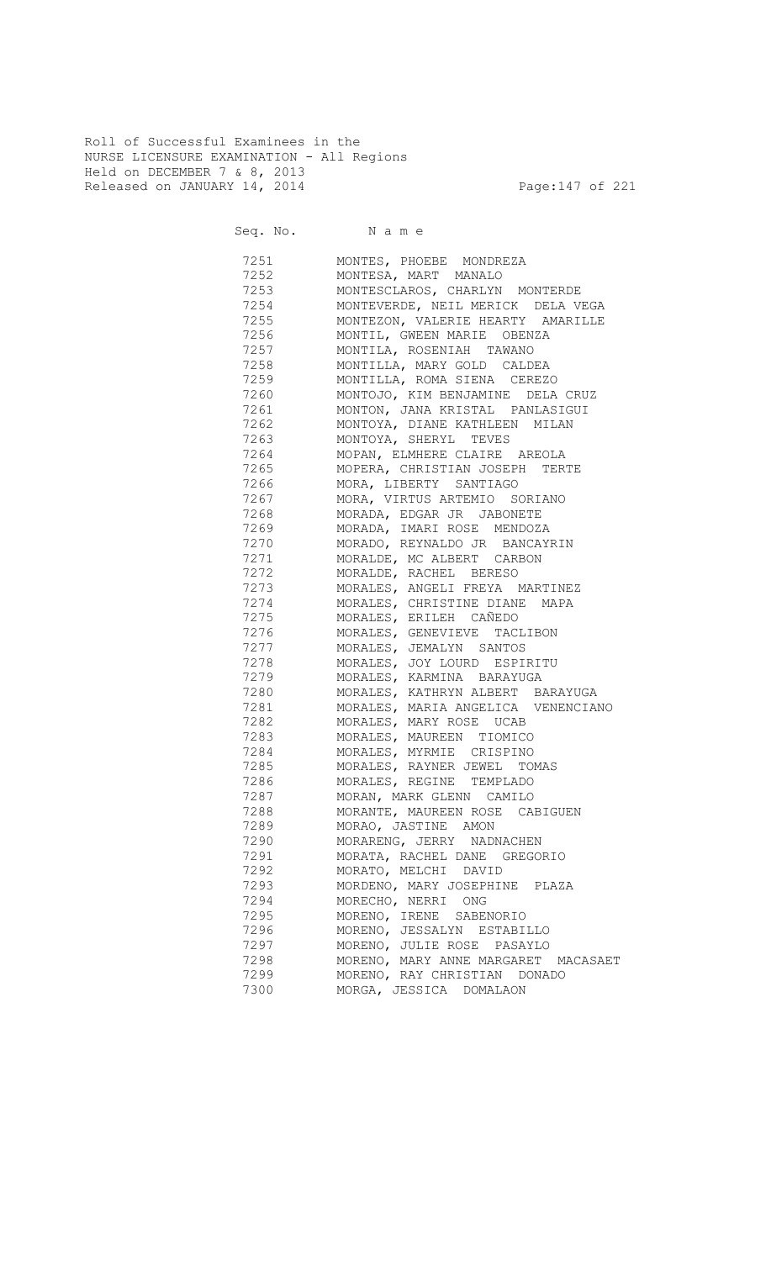Roll of Successful Examinees in the NURSE LICENSURE EXAMINATION - All Regions Held on DECEMBER 7 & 8, 2013 Released on JANUARY 14, 2014 **Page:147 of 221** 

Seq. No. Name

 7251 MONTES, PHOEBE MONDREZA 7252 MONTESA, MART MANALO 7253 MONTESCLAROS, CHARLYN MONTERDE 7254 MONTEVERDE, NEIL MERICK DELA VEGA 7255 MONTEZON, VALERIE HEARTY AMARILLE 7256 MONTIL, GWEEN MARIE OBENZA 7257 MONTILA, ROSENIAH TAWANO 7258 MONTILLA, MARY GOLD CALDEA 7259 MONTILLA, ROMA SIENA CEREZO 7260 MONTOJO, KIM BENJAMINE DELA CRUZ<br>7261 MONTON, JANA KRISTAL PANLASIGUI MONTON, JANA KRISTAL PANLASIGUI 7262 MONTOYA, DIANE KATHLEEN MILAN 7263 MONTOYA, SHERYL TEVES 7264 MOPAN, ELMHERE CLAIRE AREOLA 7265 MOPERA, CHRISTIAN JOSEPH TERTE 7266 MORA, LIBERTY SANTIAGO 7267 MORA, VIRTUS ARTEMIO SORIANO 7268 MORADA, EDGAR JR JABONETE 7269 MORADA, IMARI ROSE MENDOZA 7270 MORADO, REYNALDO JR BANCAYRIN 7271 MORALDE, MC ALBERT CARBON 7272 MORALDE, RACHEL BERESO 7273 MORALES, ANGELI FREYA MARTINEZ 7274 MORALES, CHRISTINE DIANE MAPA<br>7275 MORALES, ERILEH CAÑEDO 7275 MORALES, ERILEH CAÑEDO 7276 MORALES, GENEVIEVE TACLIBON 7277 MORALES, JEMALYN SANTOS 7278 MORALES, JOY LOURD ESPIRITU 7279 MORALES, KARMINA BARAYUGA 7280 MORALES, KATHRYN ALBERT BARAYUGA 7281 MORALES, MARIA ANGELICA VENENCIANO 7282 MORALES, MARY ROSE UCAB 7283 MORALES, MAUREEN TIOMICO 7284 MORALES, MYRMIE CRISPINO 7285 MORALES, RAYNER JEWEL TOMAS 7286 MORALES, REGINE TEMPLADO 7287 MORAN, MARK GLENN CAMILO 7288 MORANTE, MAUREEN ROSE CABIGUEN 7289 MORAO, JASTINE AMON 7290 MORARENG, JERRY NADNACHEN 7291 MORATA, RACHEL DANE GREGORIO 7292 MORATO, MELCHI DAVID 7293 MORDENO, MARY JOSEPHINE PLAZA 7294 MORECHO, NERRI ONG 7295 MORENO, IRENE SABENORIO<br>7296 MORENO, JESSALYN ESTABI MORENO, JESSALYN ESTABILLO 7297 MORENO, JULIE ROSE PASAYLO 7298 MORENO, MARY ANNE MARGARET MACASAET 7299 MORENO, RAY CHRISTIAN DONADO 7300 MORGA, JESSICA DOMALAON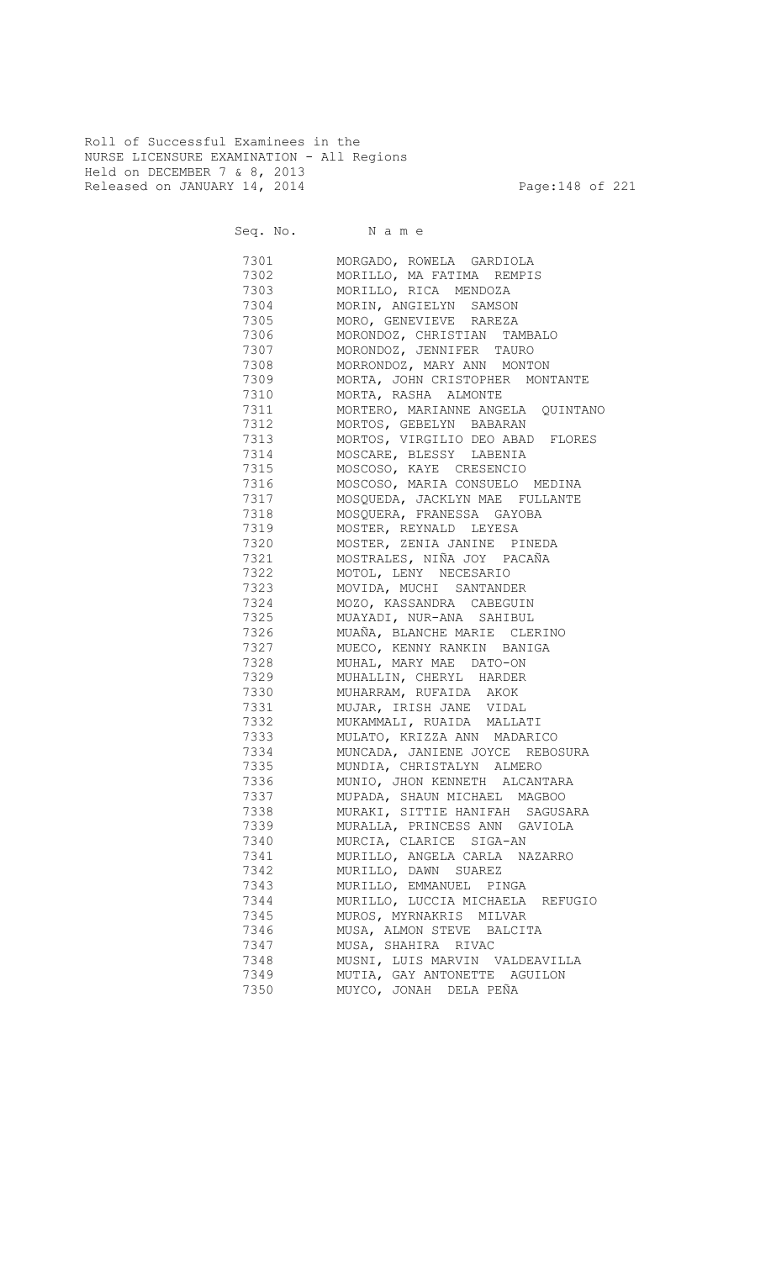Roll of Successful Examinees in the NURSE LICENSURE EXAMINATION - All Regions Held on DECEMBER 7 & 8, 2013 Released on JANUARY 14, 2014 **Page:148 of 221** 

Seq. No. Name

 7301 MORGADO, ROWELA GARDIOLA 7302 MORILLO, MA FATIMA REMPIS 7303 MORILLO, RICA MENDOZA 7304 MORIN, ANGIELYN SAMSON 7305 MORO, GENEVIEVE RAREZA 7306 MORONDOZ, CHRISTIAN TAMBALO 7307 MORONDOZ, JENNIFER TAURO 7308 MORRONDOZ, MARY ANN MONTON<br>7309 MORTA, JOHN CRISTOPHER MON' 7309 MORTA, JOHN CRISTOPHER MONTANTE 7310 MORTA, RASHA ALMONTE 7311 MORTERO, MARIANNE ANGELA QUINTANO 7312 MORTOS, GEBELYN BABARAN 7313 MORTOS, VIRGILIO DEO ABAD FLORES 7314 MOSCARE, BLESSY LABENIA 7315 MOSCOSO, KAYE CRESENCIO 7316 MOSCOSO, MARIA CONSUELO MEDINA 7317 MOSQUEDA, JACKLYN MAE FULLANTE 7318 MOSQUERA, FRANESSA GAYOBA 7319 MOSTER, REYNALD LEYESA<br>7320 MOSTER, ZENIA JANINE P 7320 MOSTER, ZENIA JANINE PINEDA 7321 MOSTRALES, NIÑA JOY PACAÑA 7322 MOTOL, LENY NECESARIO 7323 MOVIDA, MUCHI SANTANDER 7324 MOZO, KASSANDRA CABEGUIN<br>7325 MUAYADI, NUR-ANA SAHIBUL 7325 MUAYADI, NUR-ANA SAHIBUL 7326 MUAÑA, BLANCHE MARIE CLERINO 7327 MUECO, KENNY RANKIN BANIGA 7328 MUHAL, MARY MAE DATO-ON 7329 MUHALLIN, CHERYL HARDER 7330 MUHARRAM, RUFAIDA AKOK 7331 MUJAR, IRISH JANE VIDAL 7332 MUKAMMALI, RUAIDA MALLATI 7333 MULATO, KRIZZA ANN MADARICO 7334 MUNCADA, JANIENE JOYCE REBOSURA 7335 MUNDIA, CHRISTALYN ALMERO 7336 MUNIO, JHON KENNETH ALCANTARA 7337 MUPADA, SHAUN MICHAEL MAGBOO 7338 MURAKI, SITTIE HANIFAH SAGUSARA 7339 MURALLA, PRINCESS ANN GAVIOLA 7340 MURCIA, CLARICE SIGA-AN 7341 MURILLO, ANGELA CARLA NAZARRO 7342 MURILLO, DAWN SUAREZ 7343 MURILLO, EMMANUEL PINGA 7344 MURILLO, LUCCIA MICHAELA REFUGIO 7345 MUROS, MYRNAKRIS MILVAR<br>7346 MUSA, ALMON STEVE BALCIT MUSA, ALMON STEVE BALCITA 7347 MUSA, SHAHIRA RIVAC 7348 MUSNI, LUIS MARVIN VALDEAVILLA 7349 MUTIA, GAY ANTONETTE AGUILON 7350 MUYCO, JONAH DELA PEÑA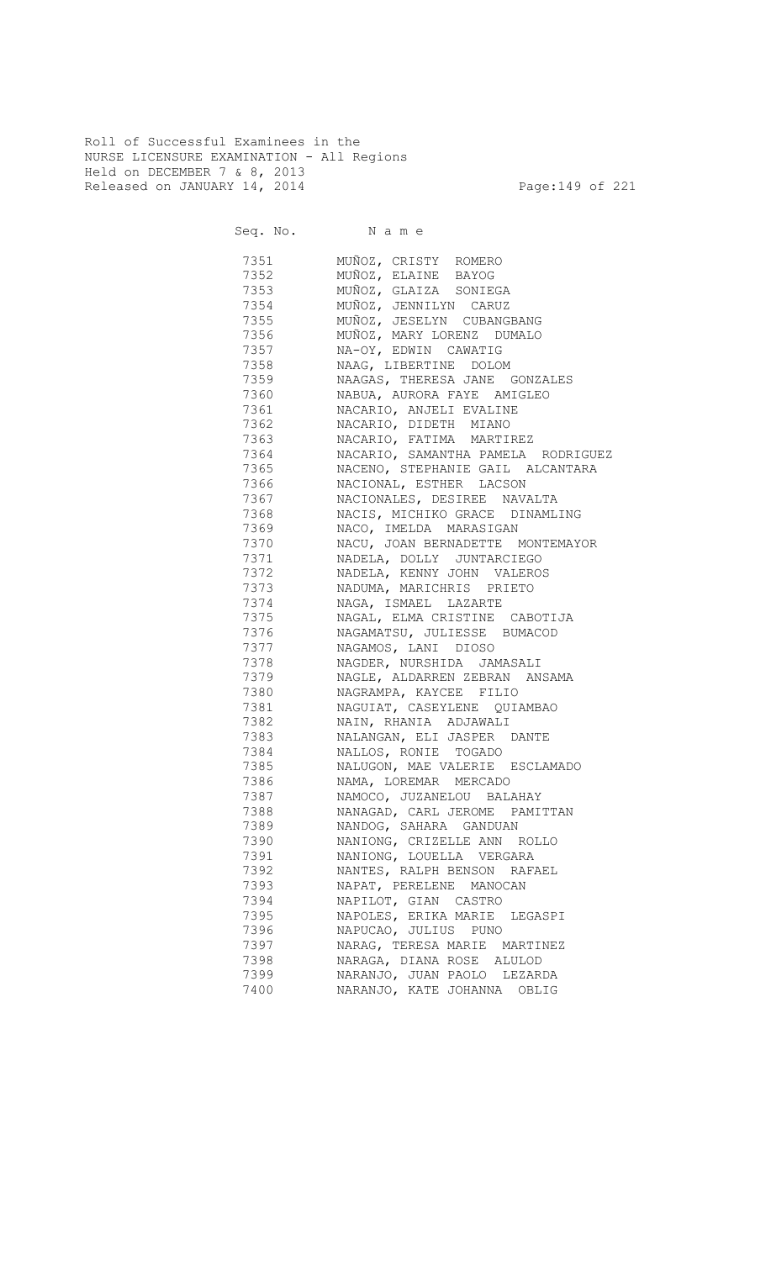Roll of Successful Examinees in the NURSE LICENSURE EXAMINATION - All Regions Held on DECEMBER 7 & 8, 2013 Released on JANUARY 14, 2014 **Page:149 of 221** 

| 7351    | MUÑOZ, CRISTY ROMERO               |
|---------|------------------------------------|
| 7352    | MUÑOZ, ELAINE BAYOG                |
| 7353    | MUÑOZ, GLAIZA SONIEGA              |
| 7354    | MUÑOZ, JENNILYN CARUZ              |
| 7355    | MUÑOZ, JESELYN CUBANGBANG          |
| 7356    | MUÑOZ, MARY LORENZ DUMALO          |
| 7357    | NA-OY, EDWIN CAWATIG               |
| 7358    | NAAG, LIBERTINE DOLOM              |
| 7359    | NAAGAS, THERESA JANE GONZALES      |
| 7360    | NABUA, AURORA FAYE AMIGLEO         |
|         | NACARIO, ANJELI EVALINE            |
| 7362    | NACARIO, DIDETH MIANO              |
| 7363    | NACARIO, FATIMA MARTIREZ           |
| 7364    | NACARIO, SAMANTHA PAMELA RODRIGUEZ |
| 7365 11 | NACENO, STEPHANIE GAIL ALCANTARA   |
| 7366    | NACIONAL, ESTHER LACSON            |
| 7367    | NACIONALES, DESIREE NAVALTA        |
| 7368    | NACIS, MICHIKO GRACE DINAMLING     |
| 7369    | NACO, IMELDA MARASIGAN             |
| 7370    | NACU, JOAN BERNADETTE MONTEMAYOR   |
| 7371    | NADELA, DOLLY JUNTARCIEGO          |
| 7372    | NADELA, KENNY JOHN VALEROS         |
| 7373    | NADUMA, MARICHRIS PRIETO           |
| 7374    | NAGA, ISMAEL LAZARTE               |
| 7375    | NAGAL, ELMA CRISTINE CABOTIJA      |
| 7376    | NAGAMATSU, JULIESSE BUMACOD        |
| 7377    | NAGAMOS, LANI DIOSO                |
| 7378    | NAGDER, NURSHIDA JAMASALI          |
| 7379    | NAGLE, ALDARREN ZEBRAN ANSAMA      |
| 7380    | NAGRAMPA, KAYCEE FILIO             |
| 7381    | NAGUIAT, CASEYLENE QUIAMBAO        |
| 7382    | NAIN, RHANIA ADJAWALI              |
| 7383    | NALANGAN, ELI JASPER DANTE         |
| 7384    | NALLOS, RONIE TOGADO               |
| 7385    | NALUGON, MAE VALERIE ESCLAMADO     |
| 7386    | NAMA, LOREMAR MERCADO              |
| 7387    | NAMOCO, JUZANELOU BALAHAY          |
| 7388    | NANAGAD, CARL JEROME PAMITTAN      |
| 7389    | NANDOG, SAHARA GANDUAN             |
| 7390    | NANIONG, CRIZELLE ANN ROLLO        |
| 7391    | NANIONG, LOUELLA VERGARA           |
| 7392    | NANTES, RALPH BENSON RAFAEL        |
| 7393    | NAPAT, PERELENE MANOCAN            |
|         |                                    |
| 7394    | NAPILOT, GIAN CASTRO               |
| 7395    | NAPOLES, ERIKA MARIE LEGASPI       |
| 7396    | NAPUCAO, JULIUS PUNO               |
| 7397    | NARAG, TERESA MARIE MARTINEZ       |
| 7398    | NARAGA, DIANA ROSE ALULOD          |
| 7399    | NARANJO, JUAN PAOLO LEZARDA        |
| 7400    | NARANJO, KATE JOHANNA OBLIG        |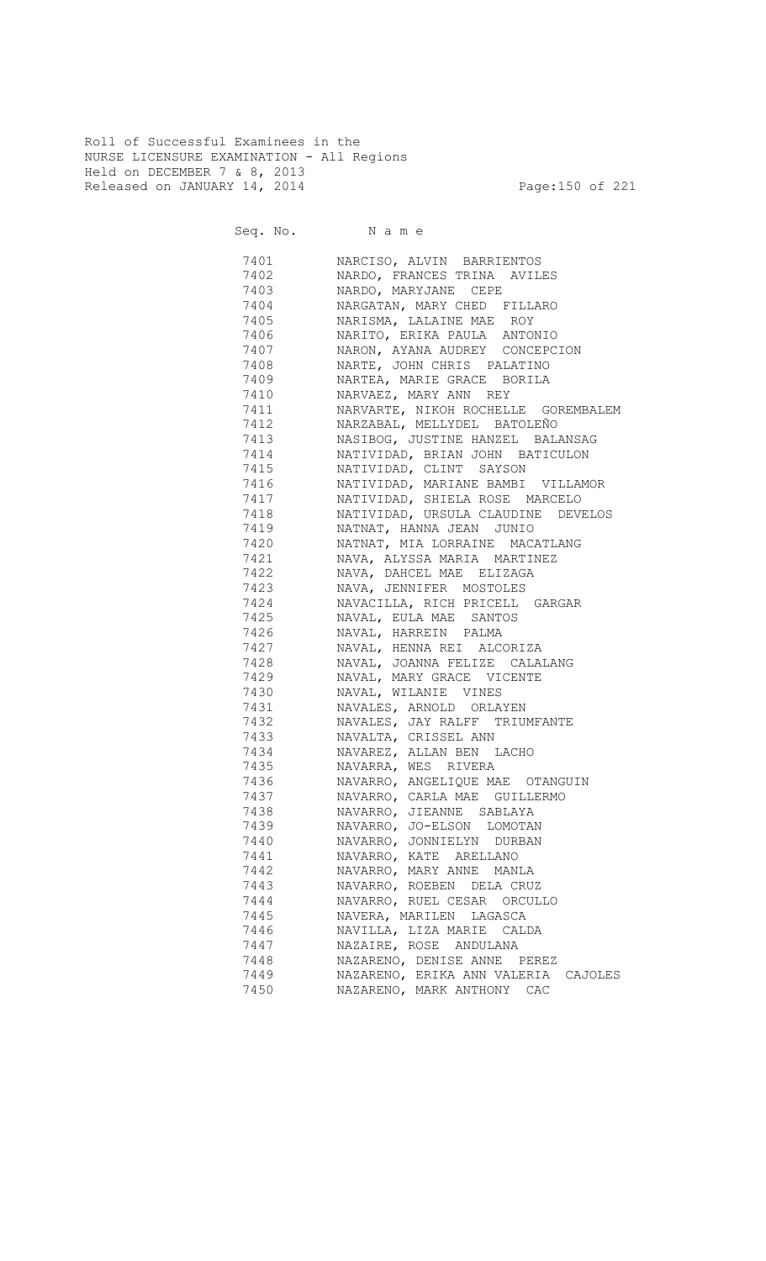Roll of Successful Examinees in the NURSE LICENSURE EXAMINATION - All Regions Held on DECEMBER 7 & 8, 2013 Released on JANUARY 14, 2014 **Page:150 of 221** 

Seq. No. Name 7401 NARCISO, ALVIN BARRIENTOS 7402 NARDO, FRANCES TRINA AVILES 7403 NARDO, MARYJANE CEPE 7404 NARGATAN, MARY CHED FILLARO NARISMA, LALAINE MAE ROY 7406 NARITO, ERIKA PAULA ANTONIO 7407 NARON, AYANA AUDREY CONCEPCION 7408 NARTE, JOHN CHRIS PALATINO 7409 NARTEA, MARIE GRACE BORILA 7410 NARVAEZ, MARY ANN REY NARVARTE, NIKOH ROCHELLE GOREMBALEM 7412 NARZABAL, MELLYDEL BATOLEÑO 7413 NASIBOG, JUSTINE HANZEL BALANSAG 7414 NATIVIDAD, BRIAN JOHN BATICULON 7415 NATIVIDAD, CLINT SAYSON 7416 NATIVIDAD, MARIANE BAMBI VILLAMOR 7417 NATIVIDAD, SHIELA ROSE MARCELO NATIVIDAD, URSULA CLAUDINE DEVELOS 7419 NATNAT, HANNA JEAN JUNIO NATNAT, MIA LORRAINE MACATLANG 7421 NAVA, ALYSSA MARIA MARTINEZ 7422 NAVA, DAHCEL MAE ELIZAGA 7423 NAVA, JENNIFER MOSTOLES 7424 NAVACILLA, RICH PRICELL GARGAR NAVAL, EULA MAE SANTOS 7426 NAVAL, HARREIN PALMA 7427 NAVAL, HENNA REI ALCORIZA 7428 NAVAL, JOANNA FELIZE CALALANG 7429 NAVAL, MARY GRACE VICENTE 7430 NAVAL, WILANIE VINES 7431 NAVALES, ARNOLD ORLAYEN 7432 NAVALES, JAY RALFF TRIUMFANTE NAVALTA, CRISSEL ANN 7434 NAVAREZ, ALLAN BEN LACHO 7435 NAVARRA, WES RIVERA 7436 NAVARRO, ANGELIQUE MAE OTANGUIN 7437 NAVARRO, CARLA MAE GUILLERMO 7438 NAVARRO, JIEANNE SABLAYA 7439 NAVARRO, JO-ELSON LOMOTAN 7440 NAVARRO, JONNIELYN DURBAN 7441 NAVARRO, KATE ARELLANO 7442 NAVARRO, MARY ANNE MANLA 7443 NAVARRO, ROEBEN DELA CRUZ 7444 NAVARRO, RUEL CESAR ORCULLO 7445 NAVERA, MARILEN LAGASCA NAVILLA, LIZA MARIE CALDA 7447 NAZAIRE, ROSE ANDULANA 7448 NAZARENO, DENISE ANNE PEREZ 7449 NAZARENO, ERIKA ANN VALERIA CAJOLES 7450 NAZARENO, MARK ANTHONY CAC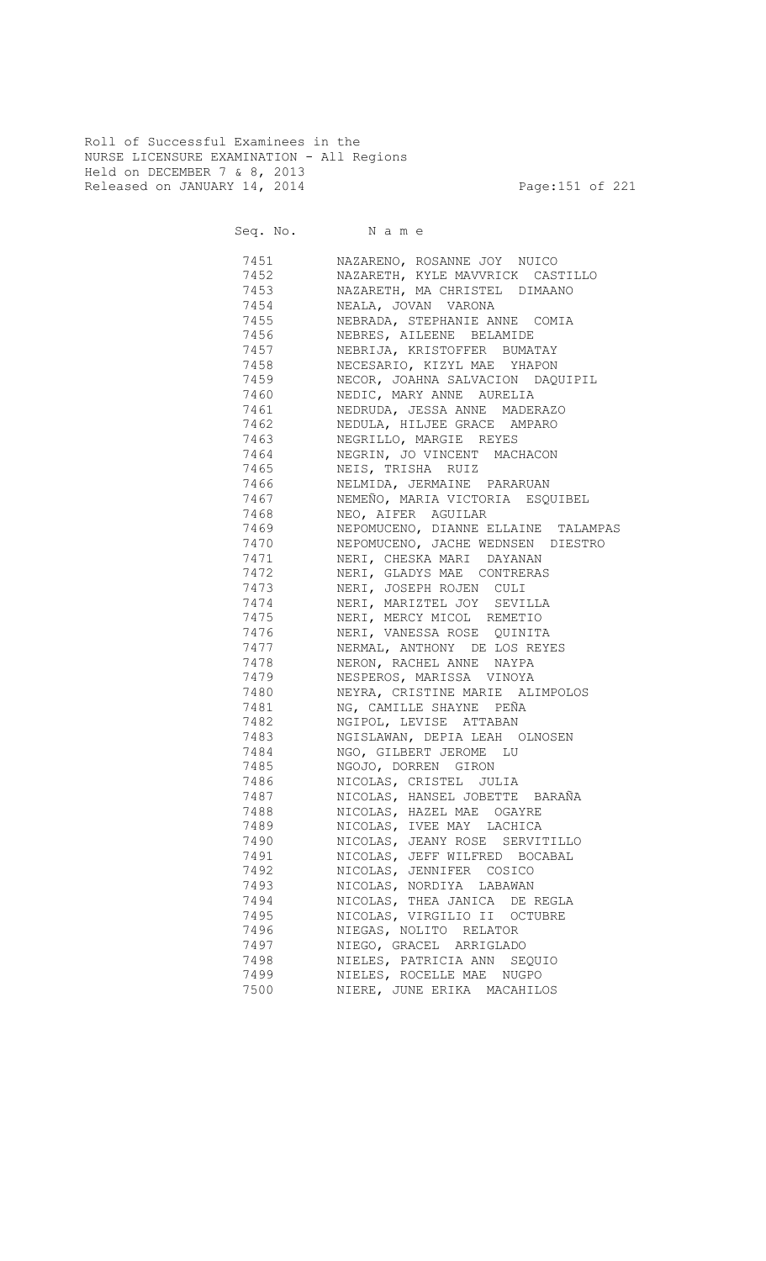Roll of Successful Examinees in the NURSE LICENSURE EXAMINATION - All Regions Held on DECEMBER 7 & 8, 2013 Released on JANUARY 14, 2014 **Page:151 of 221** 

Seq. No. Name

 7451 NAZARENO, ROSANNE JOY NUICO 7452 NAZARETH, KYLE MAVVRICK CASTILLO 7453 NAZARETH, MA CHRISTEL DIMAANO 7454 NEALA, JOVAN VARONA NEBRADA, STEPHANIE ANNE COMIA 7456 NEBRES, AILEENE BELAMIDE 7457 NEBRIJA, KRISTOFFER BUMATAY 7458 NECESARIO, KIZYL MAE YHAPON NECOR, JOAHNA SALVACION DAQUIPIL 7460 NEDIC, MARY ANNE AURELIA NEDRUDA, JESSA ANNE MADERAZO 7462 NEDULA, HILJEE GRACE AMPARO 7463 NEGRILLO, MARGIE REYES 7464 NEGRIN, JO VINCENT MACHACON 7465 NEIS, TRISHA RUIZ 7466 NELMIDA, JERMAINE PARARUAN 7467 NEMEÑO, MARIA VICTORIA ESQUIBEL<br>7468 NEO, AIFER AGUILAR 7468 NEO, AIFER AGUILAR 7469 NEPOMUCENO, DIANNE ELLAINE TALAMPAS 7470 NEPOMUCENO, JACHE WEDNSEN DIESTRO 7471 NERI, CHESKA MARI DAYANAN 7472 NERI, GLADYS MAE CONTRERAS 7473 NERI, JOSEPH ROJEN CULI TATA NERI, MARIZTEL JOY SEVILLA<br>7475 NERI, MERCY MICOL REMETIO NERI, MERCY MICOL REMETIO 7476 NERI, VANESSA ROSE QUINITA 7477 NERMAL, ANTHONY DE LOS REYES 7478 NERON, RACHEL ANNE NAYPA 7479 NESPEROS, MARISSA VINOYA 7480 NEYRA, CRISTINE MARIE ALIMPOLOS 7481 NG, CAMILLE SHAYNE PEÑA 7482 NGIPOL, LEVISE ATTABAN 7483 NGISLAWAN, DEPIA LEAH OLNOSEN 7484 NGO, GILBERT JEROME LU 7485 NGOJO, DORREN GIRON 7486 NICOLAS, CRISTEL JULIA 7487 NICOLAS, HANSEL JOBETTE BARAÑA 7488 NICOLAS, HAZEL MAE OGAYRE 7489 NICOLAS, IVEE MAY LACHICA 7490 NICOLAS, JEANY ROSE SERVITILLO 7491 NICOLAS, JEFF WILFRED BOCABAL 7492 NICOLAS, JENNIFER COSICO 7493 NICOLAS, NORDIYA LABAWAN 7494 NICOLAS, THEA JANICA DE REGLA 7495 NICOLAS, VIRGILIO II OCTUBRE 7496 NIEGAS, NOLITO RELATOR 7497 NIEGO, GRACEL ARRIGLADO 7498 NIELES, PATRICIA ANN SEQUIO 7499 NIELES, ROCELLE MAE NUGPO 7500 NIERE, JUNE ERIKA MACAHILOS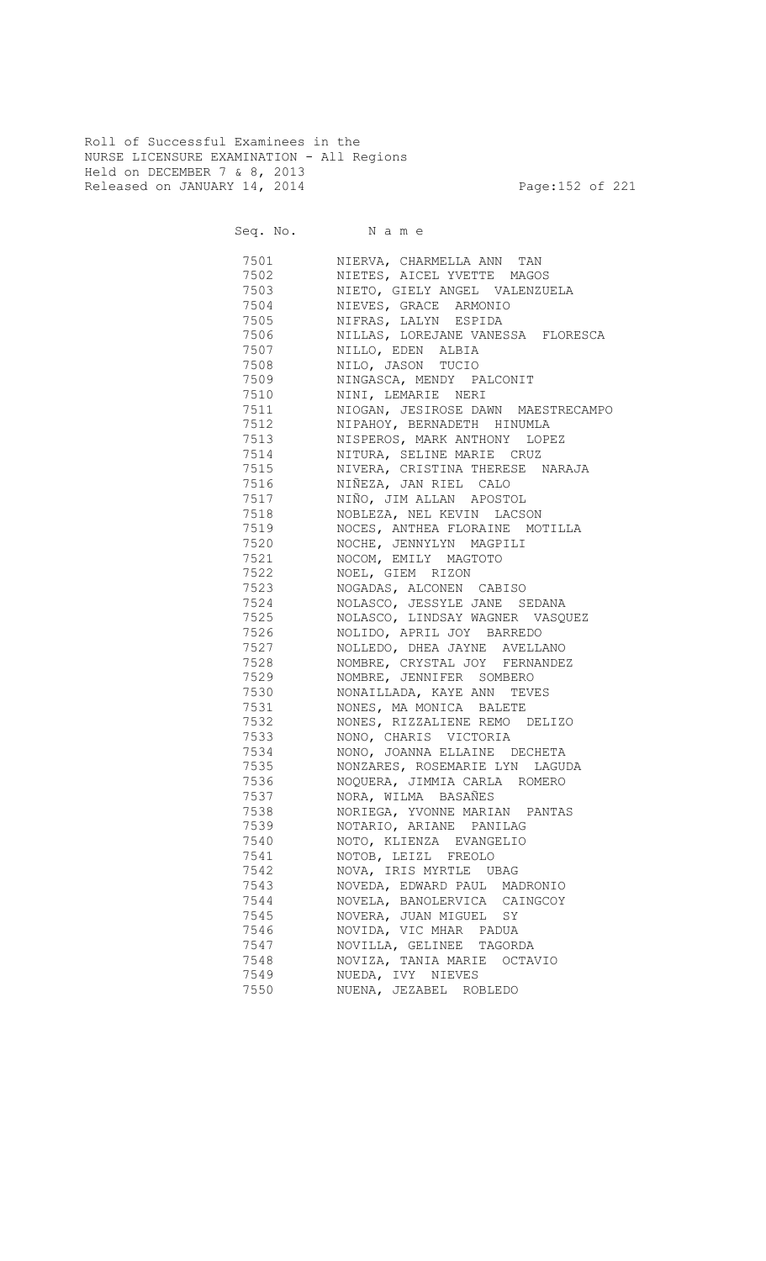Roll of Successful Examinees in the NURSE LICENSURE EXAMINATION - All Regions Held on DECEMBER 7 & 8, 2013 Released on JANUARY 14, 2014 **Page:152 of 221** 

| 7501     | NIERVA, CHARMELLA ANN TAN          |
|----------|------------------------------------|
| 7502     | NIETES, AICEL YVETTE MAGOS         |
| 7503     | NIETO, GIELY ANGEL VALENZUELA      |
| 7504     | NIEVES, GRACE ARMONIO              |
| 7505     | NIFRAS, LALYN ESPIDA               |
| 7506     | NILLAS, LOREJANE VANESSA FLORESCA  |
| 7507     | NILLO, EDEN ALBIA                  |
| 7508     | NILO, JASON TUCIO                  |
| 7509     | NINGASCA, MENDY PALCONIT           |
|          |                                    |
| 7510     | NINI, LEMARIE NERI                 |
| 7511     | NIOGAN, JESIROSE DAWN MAESTRECAMPO |
| 7512     | NIPAHOY, BERNADETH HINUMLA         |
| 7513     | NISPEROS, MARK ANTHONY LOPEZ       |
| 7514     | NITURA, SELINE MARIE CRUZ          |
| 7515     | NIVERA, CRISTINA THERESE NARAJA    |
| 7516     | NIÑEZA, JAN RIEL CALO              |
| 7517     | NIÑO, JIM ALLAN APOSTOL            |
| 7518     | NOBLEZA, NEL KEVIN LACSON          |
| 7519     | NOCES, ANTHEA FLORAINE MOTILLA     |
| 7520     | NOCHE, JENNYLYN MAGPILI            |
| 7521     | NOCOM, EMILY MAGTOTO               |
| 7522     | NOEL, GIEM RIZON                   |
| 7523     | NOGADAS, ALCONEN CABISO            |
| 7524     | NOLASCO, JESSYLE JANE SEDANA       |
| 7525     | NOLASCO, LINDSAY WAGNER VASQUEZ    |
| 7526     | NOLIDO, APRIL JOY BARREDO          |
| 7527     | NOLLEDO, DHEA JAYNE AVELLANO       |
| 7528     | NOMBRE, CRYSTAL JOY FERNANDEZ      |
| 7529     | NOMBRE, JENNIFER SOMBERO           |
| 7530     | NONAILLADA, KAYE ANN TEVES         |
| 7531     | NONES, MA MONICA BALETE            |
| 7532     | NONES, RIZZALIENE REMO DELIZO      |
| 7533     | NONO, CHARIS VICTORIA              |
| 7534     | NONO, JOANNA ELLAINE DECHETA       |
| 7535     | NONZARES, ROSEMARIE LYN LAGUDA     |
| 7536 758 | NOQUERA, JIMMIA CARLA ROMERO       |
| 7537     | NORA, WILMA BASAÑES                |
| 7538     | NORIEGA, YVONNE MARIAN PANTAS      |
| 7539     | NOTARIO, ARIANE PANILAG            |
| 7540     | NOTO, KLIENZA EVANGELIO            |
| 7541     | NOTOB, LEIZL FREOLO                |
| 7542     | NOVA, IRIS MYRTLE UBAG             |
| 7543     | NOVEDA, EDWARD PAUL MADRONIO       |
| 7544     | NOVELA, BANOLERVICA CAINGCOY       |
| 7545     | NOVERA, JUAN MIGUEL SY             |
| 7546     | NOVIDA, VIC MHAR PADUA             |
| 7547     | NOVILLA, GELINEE TAGORDA           |
| 7548     | NOVIZA, TANIA MARIE OCTAVIO        |
| 7549     | NUEDA, IVY NIEVES                  |
| 7550     | NUENA, JEZABEL ROBLEDO             |
|          |                                    |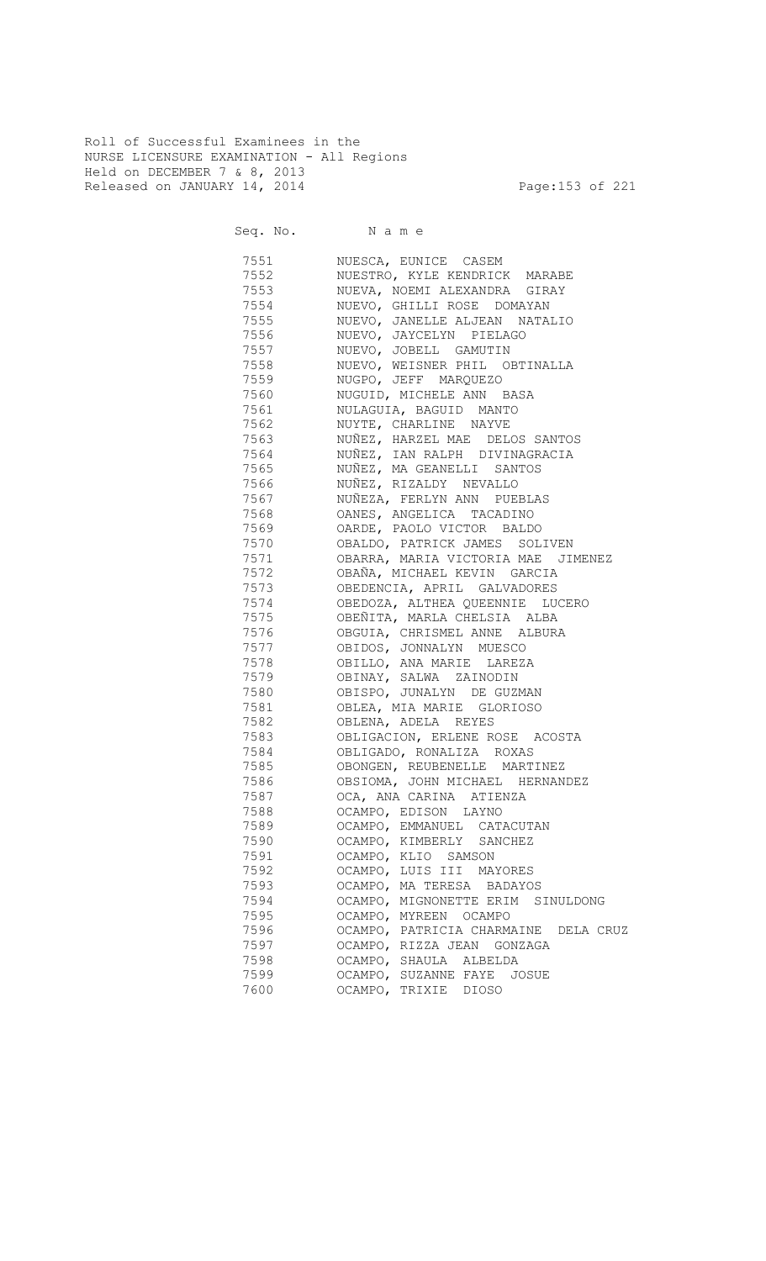Roll of Successful Examinees in the NURSE LICENSURE EXAMINATION - All Regions Held on DECEMBER 7 & 8, 2013 Released on JANUARY 14, 2014 **Page:153 of 221** 

| 7551 | NUESCA, EUNICE CASEM                 |
|------|--------------------------------------|
| 7552 | NUESTRO, KYLE KENDRICK MARABE        |
| 7553 | NUEVA, NOEMI ALEXANDRA GIRAY         |
| 7554 | NUEVO, GHILLI ROSE DOMAYAN           |
| 7555 | NUEVO, JANELLE ALJEAN NATALIO        |
| 7556 | NUEVO, JAYCELYN PIELAGO              |
| 7557 | NUEVO, JOBELL GAMUTIN                |
| 7558 | NUEVO, WEISNER PHIL OBTINALLA        |
| 7559 | NUGPO, JEFF MARQUEZO                 |
| 7560 | NUGUID, MICHELE ANN BASA             |
| 7561 | NULAGUIA, BAGUID MANTO               |
| 7562 | NUYTE, CHARLINE NAYVE                |
| 7563 | NUÑEZ, HARZEL MAE DELOS SANTOS       |
| 7564 | NUÑEZ, IAN RALPH DIVINAGRACIA        |
| 7565 | NUÑEZ, MA GEANELLI SANTOS            |
| 7566 | NUÑEZ, RIZALDY NEVALLO               |
| 7567 | NUÑEZA, FERLYN ANN PUEBLAS           |
| 7568 | OANES, ANGELICA TACADINO             |
| 7569 | OARDE, PAOLO VICTOR BALDO            |
| 7570 | OBALDO, PATRICK JAMES SOLIVEN        |
| 7571 | OBARRA, MARIA VICTORIA MAE JIMENEZ   |
| 7572 | OBAÑA, MICHAEL KEVIN GARCIA          |
| 7573 | OBEDENCIA, APRIL GALVADORES          |
| 7574 | OBEDOZA, ALTHEA QUEENNIE LUCERO      |
| 7575 | OBEÑITA, MARLA CHELSIA ALBA          |
| 7576 | OBGUIA, CHRISMEL ANNE ALBURA         |
| 7577 | OBIDOS, JONNALYN MUESCO              |
| 7578 | OBILLO, ANA MARIE LAREZA             |
| 7579 | OBINAY, SALWA ZAINODIN               |
| 7580 | OBISPO, JUNALYN DE GUZMAN            |
| 7581 | OBLEA, MIA MARIE GLORIOSO            |
| 7582 | OBLENA, ADELA REYES                  |
| 7583 | OBLIGACION, ERLENE ROSE ACOSTA       |
| 7584 | OBLIGADO, RONALIZA ROXAS             |
| 7585 | OBONGEN, REUBENELLE MARTINEZ         |
| 7586 | OBSIOMA, JOHN MICHAEL HERNANDEZ      |
| 7587 | OCA, ANA CARINA ATIENZA              |
| 7588 | OCAMPO, EDISON LAYNO                 |
| 7589 | OCAMPO, EMMANUEL CATACUTAN           |
| 7590 | OCAMPO, KIMBERLY<br>SANCHEZ          |
| 7591 | OCAMPO, KLIO<br>SAMSON               |
| 7592 | OCAMPO, LUIS III MAYORES             |
| 7593 | OCAMPO, MA TERESA BADAYOS            |
| 7594 | OCAMPO, MIGNONETTE ERIM<br>SINULDONG |
| 7595 | OCAMPO, MYREEN OCAMPO                |
| 7596 | OCAMPO, PATRICIA CHARMAINE DELA CRUZ |
| 7597 | OCAMPO, RIZZA JEAN GONZAGA           |
| 7598 | OCAMPO, SHAULA ALBELDA               |
| 7599 |                                      |
|      | OCAMPO, SUZANNE FAYE<br>JOSUE        |
| 7600 | OCAMPO, TRIXIE DIOSO                 |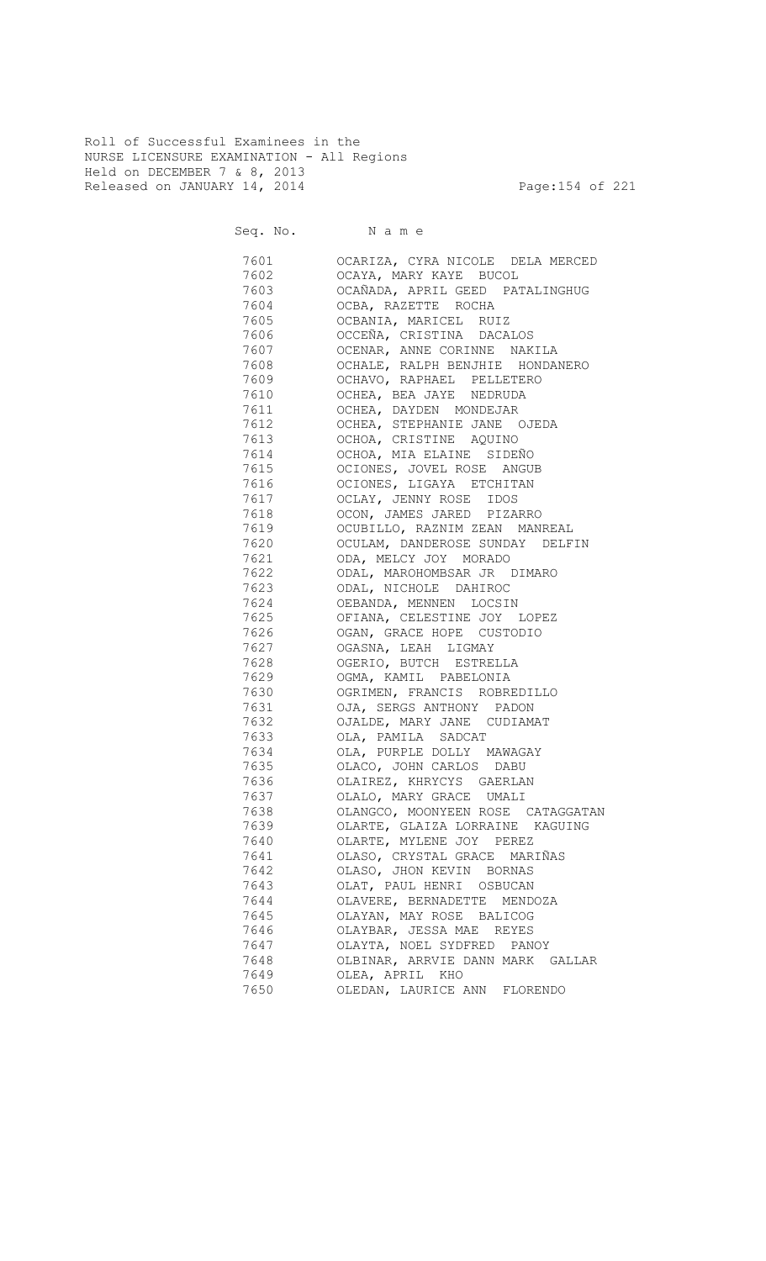Roll of Successful Examinees in the NURSE LICENSURE EXAMINATION - All Regions Held on DECEMBER 7 & 8, 2013 Released on JANUARY 14, 2014 **Page:154 of 221** 

Seq. No. Name

 7601 OCARIZA, CYRA NICOLE DELA MERCED 7602 OCAYA, MARY KAYE BUCOL 7603 OCAÑADA, APRIL GEED PATALINGHUG 7604 OCBA, RAZETTE ROCHA 7605 OCBANIA, MARICEL RUIZ 7606 OCCEÑA, CRISTINA DACALOS 7607 OCENAR, ANNE CORINNE NAKILA 7608 OCHALE, RALPH BENJHIE HONDANERO 7609 OCHAVO, RAPHAEL PELLETERO 7610 OCHEA, BEA JAYE NEDRUDA 7611 OCHEA, DAYDEN MONDEJAR 7612 OCHEA, STEPHANIE JANE OJEDA 7613 OCHOA, CRISTINE AQUINO 7614 OCHOA, MIA ELAINE SIDEÑO 7615 OCIONES, JOVEL ROSE ANGUB 7616 OCIONES, LIGAYA ETCHITAN 7617 OCLAY, JENNY ROSE IDOS OCON, JAMES JARED PIZARRO 7619 OCUBILLO, RAZNIM ZEAN MANREAL OCULAM, DANDEROSE SUNDAY DELFIN 7621 ODA, MELCY JOY MORADO 7622 ODAL, MAROHOMBSAR JR DIMARO 7623 ODAL, NICHOLE DAHIROC 7624 OEBANDA, MENNEN LOCSIN<br>7625 OFIANA, CELESTINE JOY OFIANA, CELESTINE JOY LOPEZ 7626 OGAN, GRACE HOPE CUSTODIO 7627 OGASNA, LEAH LIGMAY 7628 OGERIO, BUTCH ESTRELLA 7629 OGMA, KAMIL PABELONIA 7630 OGRIMEN, FRANCIS ROBREDILLO 7631 OJA, SERGS ANTHONY PADON 7632 OJALDE, MARY JANE CUDIAMAT OLA, PAMILA SADCAT 7634 OLA, PURPLE DOLLY MAWAGAY 7635 OLACO, JOHN CARLOS DABU 7636 OLAIREZ, KHRYCYS GAERLAN 7637 OLALO, MARY GRACE UMALI 7638 OLANGCO, MOONYEEN ROSE CATAGGATAN 7639 OLARTE, GLAIZA LORRAINE KAGUING 7640 OLARTE, MYLENE JOY PEREZ 7641 OLASO, CRYSTAL GRACE MARIÑAS 7642 OLASO, JHON KEVIN BORNAS 7643 OLAT, PAUL HENRI OSBUCAN 7644 OLAVERE, BERNADETTE MENDOZA 7645 OLAYAN, MAY ROSE BALICOG OLAYBAR, JESSA MAE REYES 7647 OLAYTA, NOEL SYDFRED PANOY 7648 OLBINAR, ARRVIE DANN MARK GALLAR 7649 OLEA, APRIL KHO 7650 OLEDAN, LAURICE ANN FLORENDO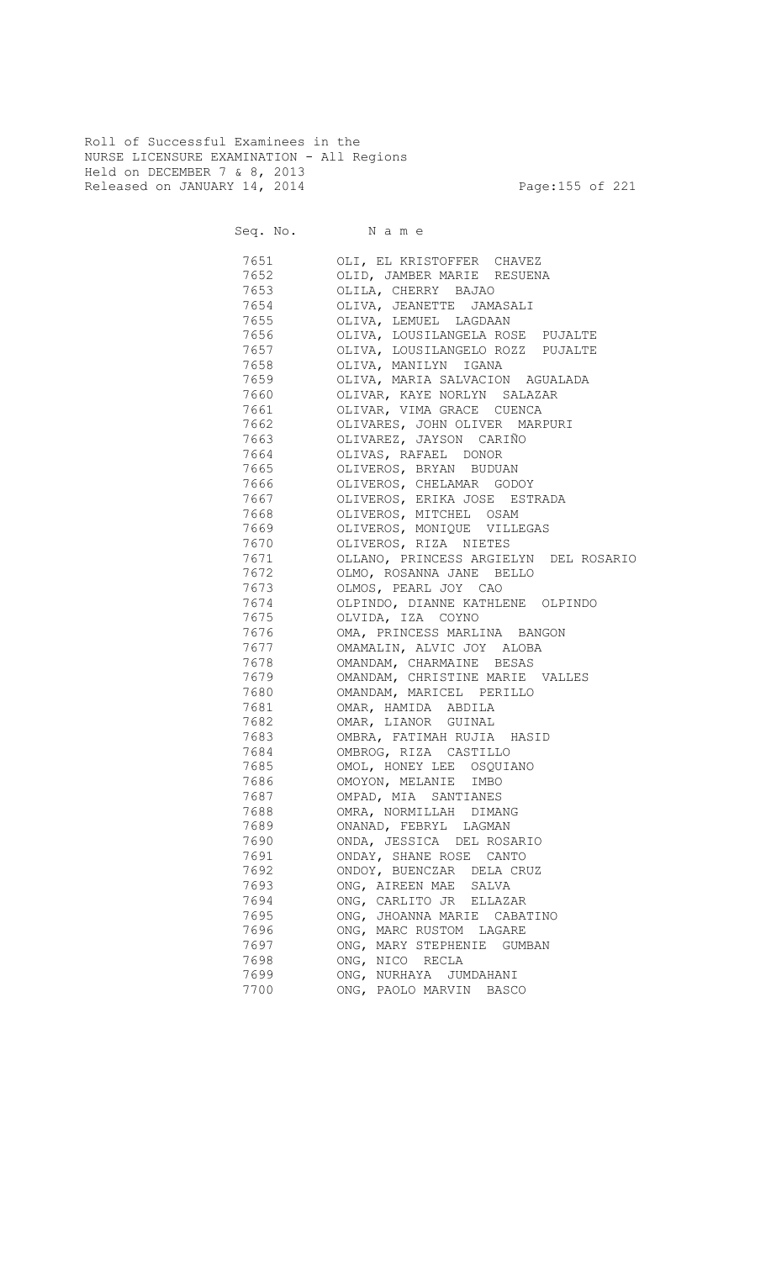Roll of Successful Examinees in the NURSE LICENSURE EXAMINATION - All Regions Held on DECEMBER 7 & 8, 2013 Released on JANUARY 14, 2014 **Page:155 of 221** 

Seq. No. Name 7651 OLI, EL KRISTOFFER CHAVEZ 7652 OLID, JAMBER MARIE RESUENA 7653 OLILA, CHERRY BAJAO 7654 OLIVA, JEANETTE JAMASALI 7655 OLIVA, LEMUEL LAGDAAN 7656 OLIVA, LOUSILANGELA ROSE PUJALTE 7657 OLIVA, LOUSILANGELO ROZZ PUJALTE 7658 OLIVA, MANILYN IGANA OLIVA, MARIA SALVACION AGUALADA 7660 OLIVAR, KAYE NORLYN SALAZAR 7661 OLIVAR, VIMA GRACE CUENCA 7662 OLIVARES, JOHN OLIVER MARPURI 7663 OLIVAREZ, JAYSON CARIÑO 7664 OLIVAS, RAFAEL DONOR 7665 OLIVEROS, BRYAN BUDUAN 7666 OLIVEROS, CHELAMAR GODOY 7667 OLIVEROS, ERIKA JOSE ESTRADA 7668 OLIVEROS, MITCHEL OSAM 7669 OLIVEROS, MONIQUE VILLEGAS 7670 OLIVEROS, RIZA NIETES 7671 OLLANO, PRINCESS ARGIELYN DEL ROSARIO 7672 OLMO, ROSANNA JANE BELLO 7673 OLMOS, PEARL JOY CAO 7674 OLPINDO, DIANNE KATHLENE OLPINDO OLVIDA, IZA COYNO 7676 OMA, PRINCESS MARLINA BANGON

| 7677 — 17    | OMAMALIN, ALVIC JOY ALOBA       |
|--------------|---------------------------------|
| 7678 3       | OMANDAM, CHARMAINE BESAS        |
| 7679 — 17    | OMANDAM, CHRISTINE MARIE VALLES |
| 7680 7680    | OMANDAM, MARICEL PERILLO        |
| 7681 7681 12 | OMAR, HAMIDA ABDILA             |
|              | 7682 OMAR, LIANOR GUINAL        |
|              | 7683 OMBRA, FATIMAH RUJIA HASID |
| 7684 768     | OMBROG, RIZA CASTILLO           |
|              | 7685 OMOL, HONEY LEE OSQUIANO   |
|              | 7686 OMOYON, MELANIE IMBO       |
| 7687 — 1768  | OMPAD, MIA SANTIANES            |
|              | 7688 OMRA, NORMILLAH DIMANG     |
|              | 7689 ONANAD, FEBRYL LAGMAN      |
|              | 7690 ONDA, JESSICA DEL ROSARIO  |
|              | 7691 ONDAY, SHANE ROSE CANTO    |
| 7692 769     | ONDOY, BUENCZAR DELA CRUZ       |
| 7693         | ONG, AIREEN MAE SALVA           |
|              | 7694 ONG, CARLITO JR ELLAZAR    |
| 7695 — 1769  | ONG, JHOANNA MARIE CABATINO     |
|              | 7696 ONG, MARC RUSTOM LAGARE    |
|              | 7697 ONG, MARY STEPHENIE GUMBAN |
|              | ONG, NICO RECLA                 |
| 7699         | ONG, NURHAYA JUMDAHANI          |

7700 ONG, PAOLO MARVIN BASCO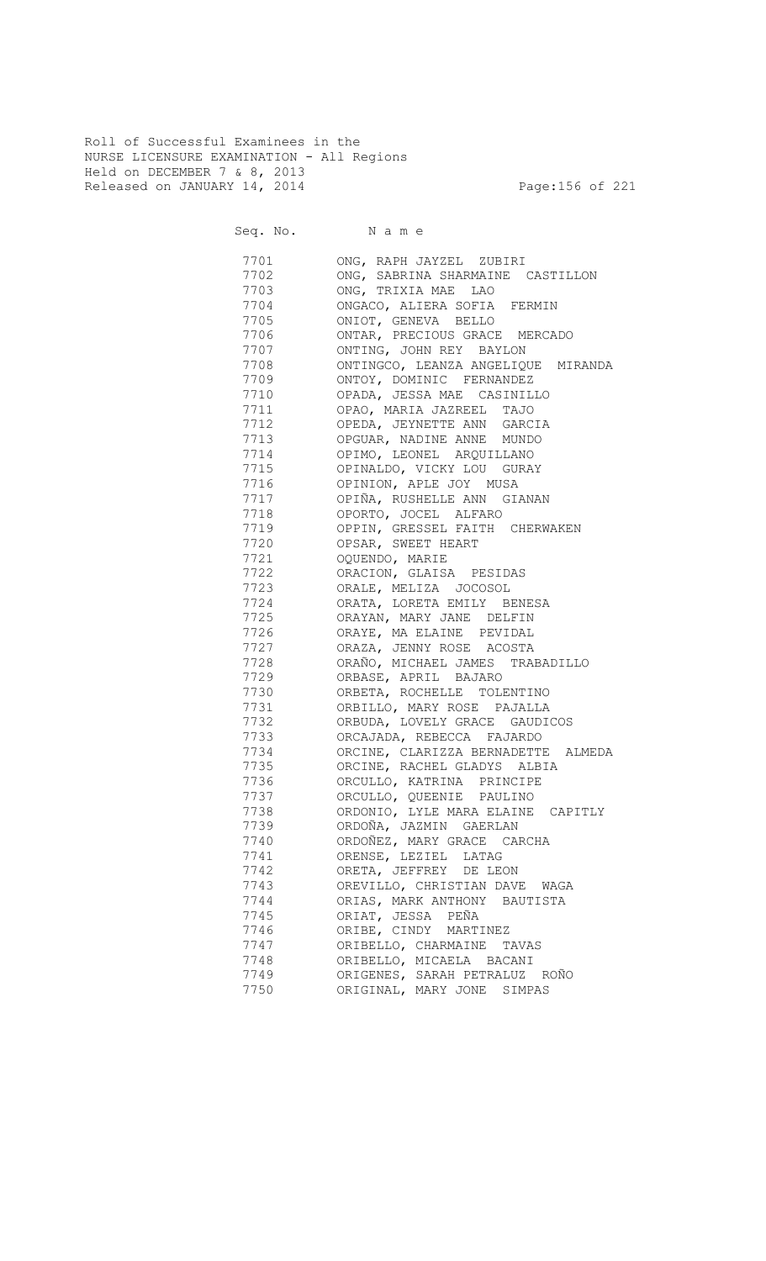Roll of Successful Examinees in the NURSE LICENSURE EXAMINATION - All Regions Held on DECEMBER 7 & 8, 2013 Released on JANUARY 14, 2014 **Page:156 of 221** 

Seq. No. Name

 7701 ONG, RAPH JAYZEL ZUBIRI 7702 ONG, SABRINA SHARMAINE CASTILLON 7703 ONG, TRIXIA MAE LAO 7704 ONGACO, ALIERA SOFIA FERMIN<br>7705 ONIOT, GENEVA BELLO 7705 ONIOT, GENEVA BELLO 7706 ONTAR, PRECIOUS GRACE MERCADO 7707 ONTING, JOHN REY BAYLON 7708 ONTINGCO, LEANZA ANGELIQUE MIRANDA ONTOY, DOMINIC FERNANDEZ 7710 OPADA, JESSA MAE CASINILLO 7711 OPAO, MARIA JAZREEL TAJO<br>7712 OPEDA, JEYNETTE ANN GARC OPEDA, JEYNETTE ANN GARCIA 7713 OPGUAR, NADINE ANNE MUNDO 7714 OPIMO, LEONEL ARQUILLANO 7715 OPINALDO, VICKY LOU GURAY 7716 OPINION, APLE JOY MUSA 7717 OPIÑA, RUSHELLE ANN GIANAN OPORTO, JOCEL ALFARO 7719 OPPIN, GRESSEL FAITH CHERWAKEN OPSAR, SWEET HEART 7721 OQUENDO, MARIE 7722 ORACION, GLAISA PESIDAS 7723 ORALE, MELIZA JOCOSOL 7724 ORATA, LORETA EMILY BENESA ORAYAN, MARY JANE DELFIN 7726 ORAYE, MA ELAINE PEVIDAL 7727 ORAZA, JENNY ROSE ACOSTA 7728 ORAÑO, MICHAEL JAMES TRABADILLO 7729 ORBASE, APRIL BAJARO 7730 ORBETA, ROCHELLE TOLENTINO 7731 ORBILLO, MARY ROSE PAJALLA 7732 ORBUDA, LOVELY GRACE GAUDICOS ORCAJADA, REBECCA FAJARDO 7734 ORCINE, CLARIZZA BERNADETTE ALMEDA 7735 ORCINE, RACHEL GLADYS ALBIA 7736 ORCULLO, KATRINA PRINCIPE 7737 ORCULLO, QUEENIE PAULINO 7738 ORDONIO, LYLE MARA ELAINE CAPITLY 7739 ORDOÑA, JAZMIN GAERLAN 7740 ORDOÑEZ, MARY GRACE CARCHA 7741 ORENSE, LEZIEL LATAG 7742 ORETA, JEFFREY DE LEON 7743 OREVILLO, CHRISTIAN DAVE WAGA 7744 ORIAS, MARK ANTHONY BAUTISTA 7745 ORIAT, JESSA PEÑA ORIBE, CINDY MARTINEZ 7747 ORIBELLO, CHARMAINE TAVAS ORIBELLO, MICAELA BACANI 7749 ORIGENES, SARAH PETRALUZ ROÑO 7750 ORIGINAL, MARY JONE SIMPAS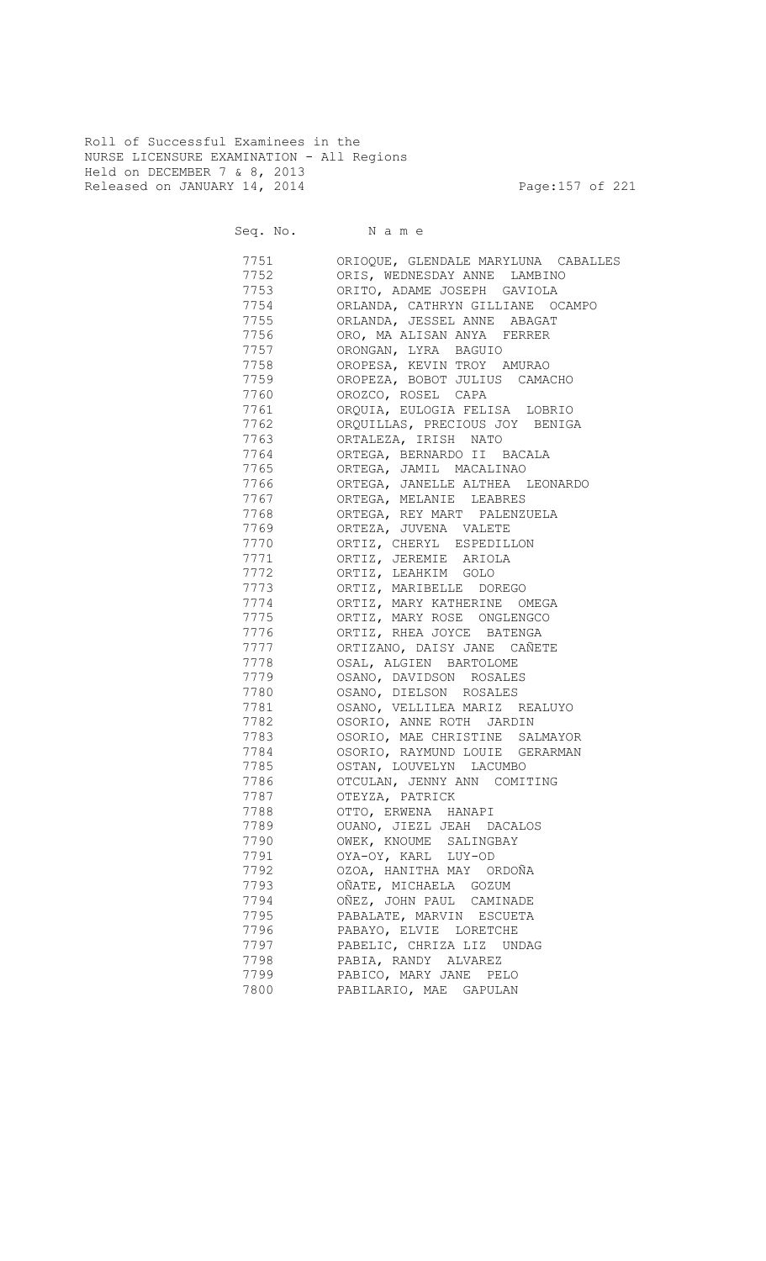Roll of Successful Examinees in the NURSE LICENSURE EXAMINATION - All Regions Held on DECEMBER 7 & 8, 2013 Released on JANUARY 14, 2014 **Page:157** of 221

| 7751    | ORIOQUE, GLENDALE MARYLUNA CABALLES |
|---------|-------------------------------------|
| 7752    | ORIS, WEDNESDAY ANNE LAMBINO        |
| 7753    | ORITO, ADAME JOSEPH GAVIOLA         |
| 7754    | ORLANDA, CATHRYN GILLIANE OCAMPO    |
| 7755    | ORLANDA, JESSEL ANNE ABAGAT         |
| 7756    | ORO, MA ALISAN ANYA FERRER          |
| 7757    | ORONGAN, LYRA BAGUIO                |
| 7758    | OROPESA, KEVIN TROY AMURAO          |
| 7759    | OROPEZA, BOBOT JULIUS CAMACHO       |
| 7760 77 | OROZCO, ROSEL CAPA                  |
| 7761    | ORQUIA, EULOGIA FELISA LOBRIO       |
| 7762    | ORQUILLAS, PRECIOUS JOY BENIGA      |
| 7763    | ORTALEZA, IRISH NATO                |
| 7764    | ORTEGA, BERNARDO II BACALA          |
| 7765 77 | ORTEGA, JAMIL MACALINAO             |
| 7766 77 | ORTEGA, JANELLE ALTHEA LEONARDO     |
| 7767    | ORTEGA, MELANIE LEABRES             |
| 7768    | ORTEGA, REY MART PALENZUELA         |
| 7769    | ORTEZA, JUVENA VALETE               |
| 7770    | ORTIZ, CHERYL ESPEDILLON            |
| 7771    | ORTIZ, JEREMIE ARIOLA               |
| 7772    | ORTIZ, LEAHKIM GOLO                 |
| 7773    | ORTIZ, MARIBELLE DOREGO             |
| 7774    | ORTIZ, MARY KATHERINE OMEGA         |
| 7775    | ORTIZ, MARY ROSE ONGLENGCO          |
| 7776    | ORTIZ, RHEA JOYCE BATENGA           |
| 7777    | ORTIZANO, DAISY JANE CAÑETE         |
| 7778    | OSAL, ALGIEN BARTOLOME              |
| 7779    | OSANO, DAVIDSON ROSALES             |
| 7780    | OSANO, DIELSON ROSALES              |
| 7781    | OSANO, VELLILEA MARIZ REALUYO       |
| 7782    | OSORIO, ANNE ROTH JARDIN            |
| 7783    | OSORIO, MAE CHRISTINE SALMAYOR      |
| 7784    | OSORIO, RAYMUND LOUIE GERARMAN      |
| 7785    | OSTAN, LOUVELYN LACUMBO             |
| 7786    | OTCULAN, JENNY ANN COMITING         |
| 7787    | OTEYZA, PATRICK                     |
| 7788    | OTTO, ERWENA HANAPI                 |
| 7789    | OUANO, JIEZL JEAH DACALOS           |
| 7790    | OWEK, KNOUME SALINGBAY              |
| 7791    | OYA-OY, KARL LUY-OD                 |
| 7792    | OZOA, HANITHA MAY ORDOÑA            |
| 7793    | OÑATE, MICHAELA GOZUM               |
| 7794    | OÑEZ, JOHN PAUL CAMINADE            |
| 7795    | PABALATE, MARVIN ESCUETA            |
| 7796    | PABAYO, ELVIE LORETCHE              |
| 7797    | PABELIC, CHRIZA LIZ UNDAG           |
| 7798    | PABIA, RANDY ALVAREZ                |
| 7799    | PABICO, MARY JANE PELO              |
| 7800    | PABILARIO, MAE GAPULAN              |
|         |                                     |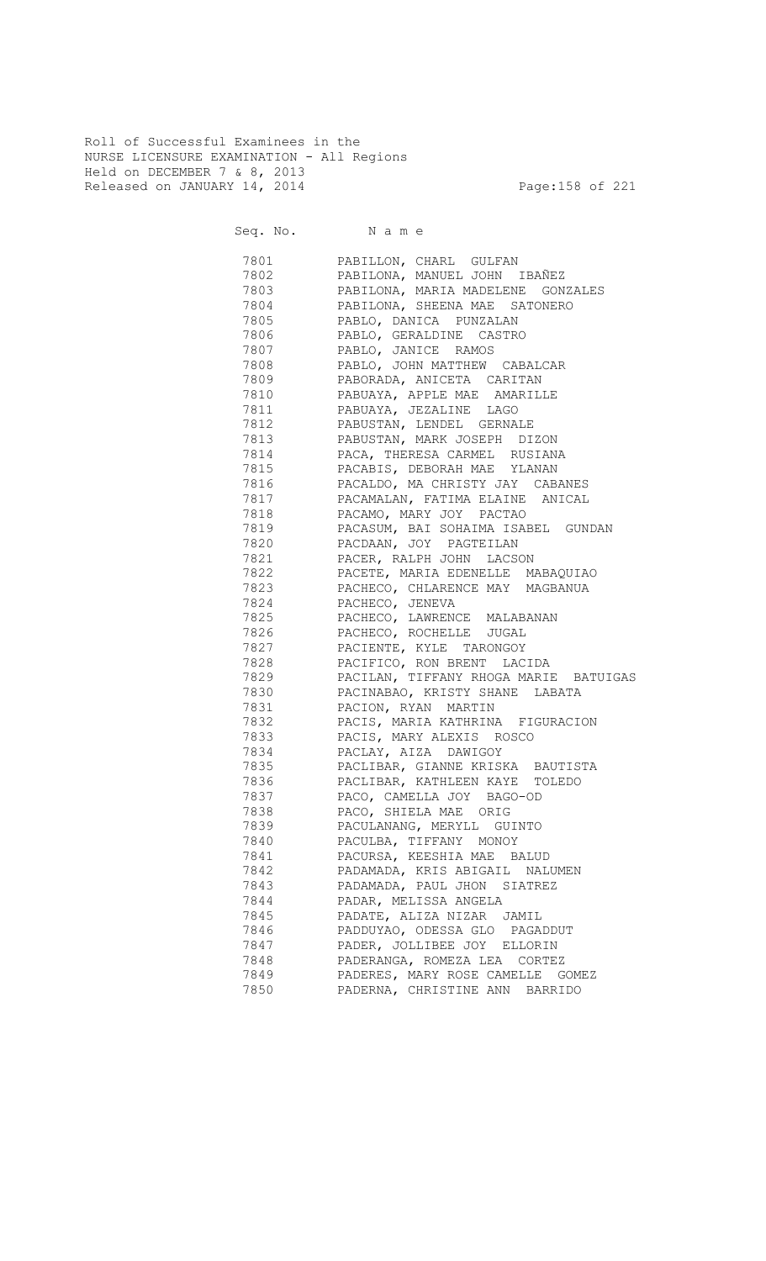Roll of Successful Examinees in the NURSE LICENSURE EXAMINATION - All Regions Held on DECEMBER 7 & 8, 2013 Released on JANUARY 14, 2014 **Page:158 of 221** 

Seq. No. Name

 7801 PABILLON, CHARL GULFAN 7802 PABILONA, MANUEL JOHN IBAÑEZ 7803 PABILONA, MARIA MADELENE GONZALES 7804 PABILONA, SHEENA MAE SATONERO PABLO, DANICA PUNZALAN 7806 PABLO, GERALDINE CASTRO 7807 PABLO, JANICE RAMOS 7808 PABLO, JOHN MATTHEW CABALCAR 7809 PABORADA, ANICETA CARITAN 7810 PABUAYA, APPLE MAE AMARILLE PABUAYA, JEZALINE LAGO 7812 PABUSTAN, LENDEL GERNALE 7813 PABUSTAN, MARK JOSEPH DIZON 7814 PACA, THERESA CARMEL RUSIANA 7815 PACABIS, DEBORAH MAE YLANAN 7816 PACALDO, MA CHRISTY JAY CABANES 7817 PACAMALAN, FATIMA ELAINE ANICAL PACAMO, MARY JOY PACTAO 7819 PACASUM, BAI SOHAIMA ISABEL GUNDAN PACDAAN, JOY PAGTEILAN 7821 PACER, RALPH JOHN LACSON 7822 PACETE, MARIA EDENELLE MABAQUIAO 7823 PACHECO, CHLARENCE MAY MAGBANUA 7824 PACHECO, JENEVA 7825 PACHECO, LAWRENCE MALABANAN 7826 PACHECO, ROCHELLE JUGAL 7827 PACIENTE, KYLE TARONGOY 7828 PACIFICO, RON BRENT LACIDA 7829 PACILAN, TIFFANY RHOGA MARIE BATUIGAS 7830 PACINABAO, KRISTY SHANE LABATA 7831 PACION, RYAN MARTIN 7832 PACIS, MARIA KATHRINA FIGURACION 7833 PACIS, MARY ALEXIS ROSCO 7834 PACLAY, AIZA DAWIGOY 7835 PACLIBAR, GIANNE KRISKA BAUTISTA 7836 PACLIBAR, KATHLEEN KAYE TOLEDO 7837 PACO, CAMELLA JOY BAGO-OD 7838 PACO, SHIELA MAE ORIG 7839 PACULANANG, MERYLL GUINTO 7840 PACULBA, TIFFANY MONOY 7841 PACURSA, KEESHIA MAE BALUD 7842 PADAMADA, KRIS ABIGAIL NALUMEN 7843 PADAMADA, PAUL JHON SIATREZ 7844 PADAR, MELISSA ANGELA 7845 PADATE, ALIZA NIZAR JAMIL 7846 PADDUYAO, ODESSA GLO PAGADDUT 7847 PADER, JOLLIBEE JOY ELLORIN 7848 PADERANGA, ROMEZA LEA CORTEZ 7849 PADERES, MARY ROSE CAMELLE GOMEZ 7850 PADERNA, CHRISTINE ANN BARRIDO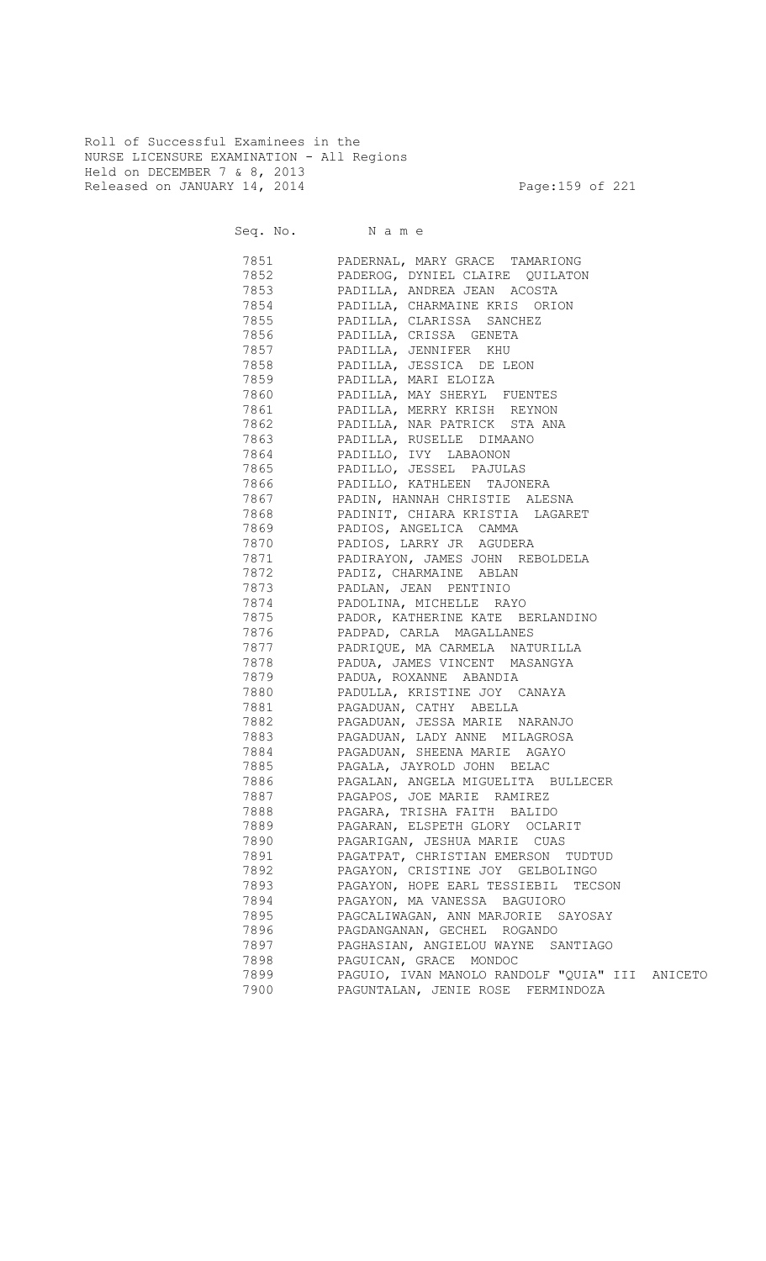Roll of Successful Examinees in the NURSE LICENSURE EXAMINATION - All Regions Held on DECEMBER 7 & 8, 2013 Released on JANUARY 14, 2014 **Page:159 of 221** 

|      | 7851 PADERNAL, MARY GRACE TAMARIONG            |
|------|------------------------------------------------|
| 7852 | PADEROG, DYNIEL CLAIRE QUILATON                |
| 7853 | PADILLA, ANDREA JEAN ACOSTA                    |
| 7854 | PADILLA, CHARMAINE KRIS ORION                  |
| 7855 | PADILLA, CLARISSA SANCHEZ                      |
|      | 7856 PADILLA, CRISSA GENETA                    |
|      | 7857 PADILLA, JENNIFER KHU                     |
|      | 7858 PADILLA, JESSICA DE LEON                  |
|      | 7859 PADILLA, MARI ELOIZA                      |
|      | 7860 PADILLA, MAY SHERYL FUENTES               |
|      | 7861 PADILLA, MERRY KRISH REYNON               |
|      | 7862 PADILLA, NAR PATRICK STA ANA              |
|      | 7863 PADILLA, RUSELLE DIMAANO                  |
|      | 7864 PADILLO, IVY LABAONON                     |
|      | 7865 PADILLO, JESSEL PAJULAS                   |
|      | 7866 PADILLO, KATHLEEN TAJONERA                |
|      | 7867 PADIN, HANNAH CHRISTIE ALESNA             |
|      | 7868 PADINIT, CHIARA KRISTIA LAGARET           |
|      | 7869 PADIOS, ANGELICA CAMMA                    |
|      | 7870 PADIOS, LARRY JR AGUDERA                  |
|      | 7871 PADIRAYON, JAMES JOHN REBOLDELA           |
|      | 7872 PADIZ, CHARMAINE ABLAN                    |
|      | 7873 PADLAN, JEAN PENTINIO                     |
|      | 7874 PADOLINA, MICHELLE RAYO                   |
|      | 7875 PADOR, KATHERINE KATE BERLANDINO          |
|      | 7876 PADPAD, CARLA MAGALLANES                  |
|      | 7877 PADRIQUE, MA CARMELA NATURILLA            |
|      | 7878 PADUA, JAMES VINCENT MASANGYA             |
|      | 7879 PADUA, ROXANNE ABANDIA                    |
|      | 7880 PADULLA, KRISTINE JOY CANAYA              |
|      | 7881 PAGADUAN, CATHY ABELLA                    |
|      | 7882 PAGADUAN, JESSA MARIE NARANJO             |
|      | 7883 PAGADUAN, LADY ANNE MILAGROSA             |
|      | 7884 PAGADUAN, SHEENA MARIE AGAYO              |
|      | 7885 PAGALA, JAYROLD JOHN BELAC                |
| 7886 | PAGALAN, ANGELA MIGUELITA BULLECER             |
| 7887 | PAGAPOS, JOE MARIE RAMIREZ                     |
| 7888 | PAGARA, TRISHA FAITH BALIDO                    |
| 7889 | PAGARAN, ELSPETH GLORY OCLARIT                 |
| 7890 | PAGARIGAN, JESHUA MARIE CUAS                   |
| 7891 | PAGATPAT, CHRISTIAN EMERSON TUDTUD             |
| 7892 | PAGAYON, CRISTINE JOY GELBOLINGO               |
| 7893 | PAGAYON, HOPE EARL TESSIEBIL TECSON            |
| 7894 | PAGAYON, MA VANESSA BAGUIORO                   |
| 7895 | PAGCALIWAGAN, ANN MARJORIE SAYOSAY             |
| 7896 | PAGDANGANAN, GECHEL ROGANDO                    |
| 7897 | PAGHASIAN, ANGIELOU WAYNE SANTIAGO             |
| 7898 | PAGUICAN, GRACE MONDOC                         |
| 7899 | PAGUIO, IVAN MANOLO RANDOLF "QUIA" III ANICETO |
| 7900 | PAGUNTALAN, JENIE ROSE FERMINDOZA              |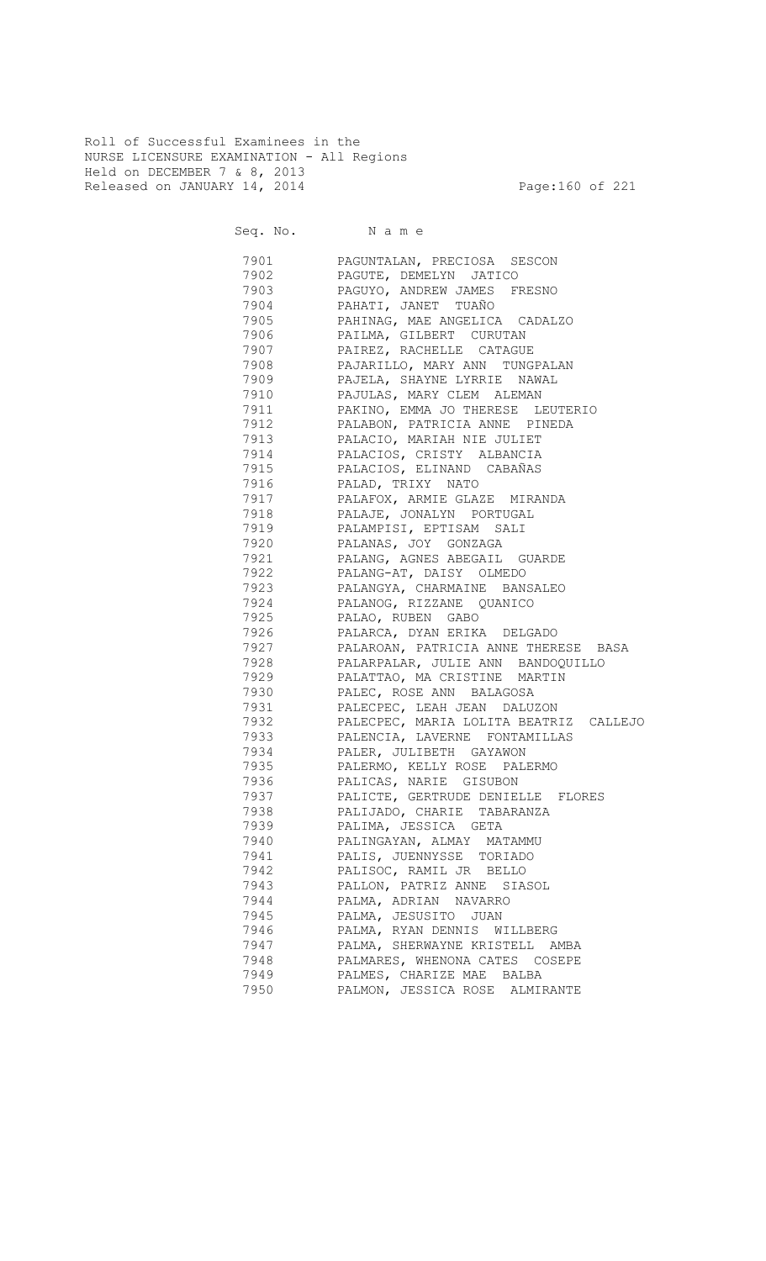Roll of Successful Examinees in the NURSE LICENSURE EXAMINATION - All Regions Held on DECEMBER 7 & 8, 2013 Released on JANUARY 14, 2014 **Page:160** of 221

Seq. No. Name 7901 PAGUNTALAN, PRECIOSA SESCON 7902 PAGUTE, DEMELYN JATICO 7903 PAGUYO, ANDREW JAMES FRESNO 7904 PAHATI, JANET TUAÑO 7905 PAHINAG, MAE ANGELICA CADALZO

| 7906      | PAILMA, GILBERT CURUTAN                |
|-----------|----------------------------------------|
| 7907      | PAIREZ, RACHELLE CATAGUE               |
| 7908      | PAJARILLO, MARY ANN TUNGPALAN          |
| 7909      | PAJELA, SHAYNE LYRRIE NAWAL            |
| 7910      | PAJULAS, MARY CLEM ALEMAN              |
| 7911      | PAKINO, EMMA JO THERESE LEUTERIO       |
| 7912      | PALABON, PATRICIA ANNE PINEDA          |
| 7913      | PALACIO, MARIAH NIE JULIET             |
| 7914      | PALACIOS, CRISTY ALBANCIA              |
| 7915      | PALACIOS, ELINAND CABAÑAS              |
| 7916      | PALAD, TRIXY NATO                      |
| 7917      | PALAFOX, ARMIE GLAZE MIRANDA           |
| 7918      | PALAJE, JONALYN PORTUGAL               |
| 7919      | PALAMPISI, EPTISAM SALI                |
| 7920      | PALANAS, JOY GONZAGA                   |
| 7921      | PALANG, AGNES ABEGAIL GUARDE           |
| 7922      | PALANG-AT, DAISY OLMEDO                |
| 7923      | PALANGYA, CHARMAINE BANSALEO           |
| 7924      | PALANOG, RIZZANE QUANICO               |
| 7925 792  | PALAO, RUBEN GABO                      |
| 7926      | PALARCA, DYAN ERIKA DELGADO            |
| 7927      | PALAROAN, PATRICIA ANNE THERESE BASA   |
| 7928 30   | PALARPALAR, JULIE ANN BANDOQUILLO      |
| 7929 7920 | PALATTAO, MA CRISTINE MARTIN           |
| 7930 794  | PALEC, ROSE ANN BALAGOSA               |
| 7931      | PALECPEC, LEAH JEAN DALUZON            |
| 7932      | PALECPEC, MARIA LOLITA BEATRIZ CALLEJO |
| 7933      | PALENCIA, LAVERNE FONTAMILLAS          |
| 7934      | PALER, JULIBETH GAYAWON                |
| 7935      | PALERMO, KELLY ROSE PALERMO            |
| 7936      | PALICAS, NARIE GISUBON                 |
| 7937      | PALICTE, GERTRUDE DENIELLE FLORES      |
| 7938      | PALIJADO, CHARIE TABARANZA             |
| 7939      | PALIMA, JESSICA GETA                   |
| 7940      | PALINGAYAN, ALMAY MATAMMU              |
| 7941      | PALIS, JUENNYSSE TORIADO               |
| 7942      | PALISOC, RAMIL JR BELLO                |
| 7943      | PALLON, PATRIZ ANNE SIASOL             |
| 7944      | PALMA, ADRIAN NAVARRO                  |
| 7945      | PALMA, JESUSITO JUAN                   |
| 7946      | PALMA, RYAN DENNIS WILLBERG            |
| 7947      | PALMA, SHERWAYNE KRISTELL AMBA         |
| 7948      | PALMARES, WHENONA CATES COSEPE         |
| 7949      | PALMES, CHARIZE MAE BALBA              |
| 7950      | PALMON, JESSICA ROSE ALMIRANTE         |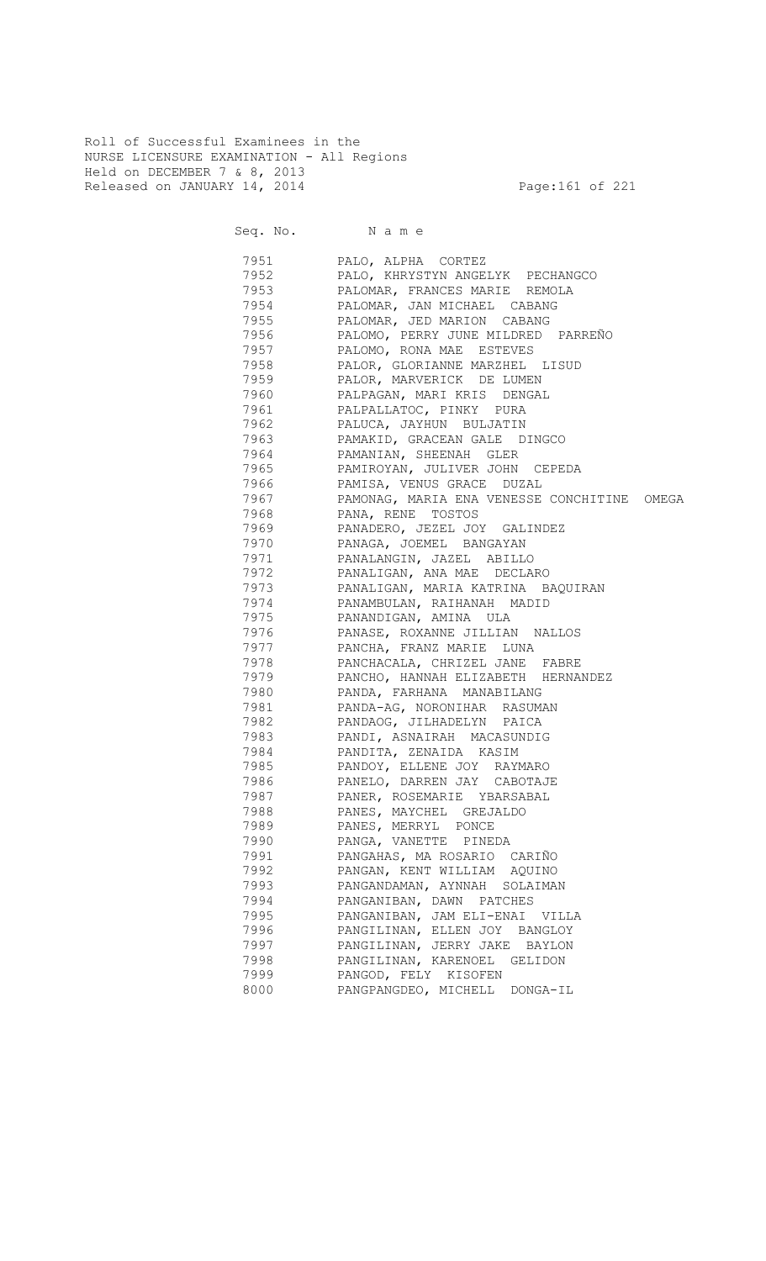Roll of Successful Examinees in the NURSE LICENSURE EXAMINATION - All Regions Held on DECEMBER 7 & 8, 2013 Released on JANUARY 14, 2014 **Page:161 of 221** 

Seq. No. Name

 7951 PALO, ALPHA CORTEZ 7952 PALO, KHRYSTYN ANGELYK PECHANGCO 7953 PALOMAR, FRANCES MARIE REMOLA 7954 PALOMAR, JAN MICHAEL CABANG PALOMAR, JED MARION CABANG 7956 PALOMO, PERRY JUNE MILDRED PARREÑO 7957 PALOMO, RONA MAE ESTEVES 7958 PALOR, GLORIANNE MARZHEL LISUD 7959 PALOR, MARVERICK DE LUMEN 7960 PALPAGAN, MARI KRIS DENGAL 7961 PALPALLATOC, PINKY PURA 7962 PALUCA, JAYHUN BULJATIN 7963 PAMAKID, GRACEAN GALE DINGCO 7964 PAMANIAN, SHEENAH GLER 7965 PAMIROYAN, JULIVER JOHN CEPEDA 7966 PAMISA, VENUS GRACE DUZAL 7967 PAMONAG, MARIA ENA VENESSE CONCHITINE OMEGA PANA, RENE TOSTOS 7969 PANADERO, JEZEL JOY GALINDEZ PANAGA, JOEMEL BANGAYAN 7971 PANALANGIN, JAZEL ABILLO 7972 PANALIGAN, ANA MAE DECLARO 7973 PANALIGAN, MARIA KATRINA BAQUIRAN 7974 PANAMBULAN, RAIHANAH MADID<br>7975 PANANDIGAN, AMINA ULA PANANDIGAN, AMINA ULA 7976 PANASE, ROXANNE JILLIAN NALLOS 7977 PANCHA, FRANZ MARIE LUNA 7978 PANCHACALA, CHRIZEL JANE FABRE 7979 PANCHO, HANNAH ELIZABETH HERNANDEZ 7980 PANDA, FARHANA MANABILANG 7981 PANDA-AG, NORONIHAR RASUMAN 7982 PANDAOG, JILHADELYN PAICA PANDI, ASNAIRAH MACASUNDIG 7984 PANDITA, ZENAIDA KASIM 7985 PANDOY, ELLENE JOY RAYMARO 7986 PANELO, DARREN JAY CABOTAJE 7987 PANER, ROSEMARIE YBARSABAL 7988 PANES, MAYCHEL GREJALDO 7989 PANES, MERRYL PONCE 7990 PANGA, VANETTE PINEDA 7991 PANGAHAS, MA ROSARIO CARIÑO 7992 PANGAN, KENT WILLIAM AQUINO 7993 PANGANDAMAN, AYNNAH SOLAIMAN 7994 PANGANIBAN, DAWN PATCHES 7995 PANGANIBAN, JAM ELI-ENAI VILLA PANGILINAN, ELLEN JOY BANGLOY 7997 PANGILINAN, JERRY JAKE BAYLON 7998 PANGILINAN, KARENOEL GELIDON 7999 PANGOD, FELY KISOFEN 8000 PANGPANGDEO, MICHELL DONGA-IL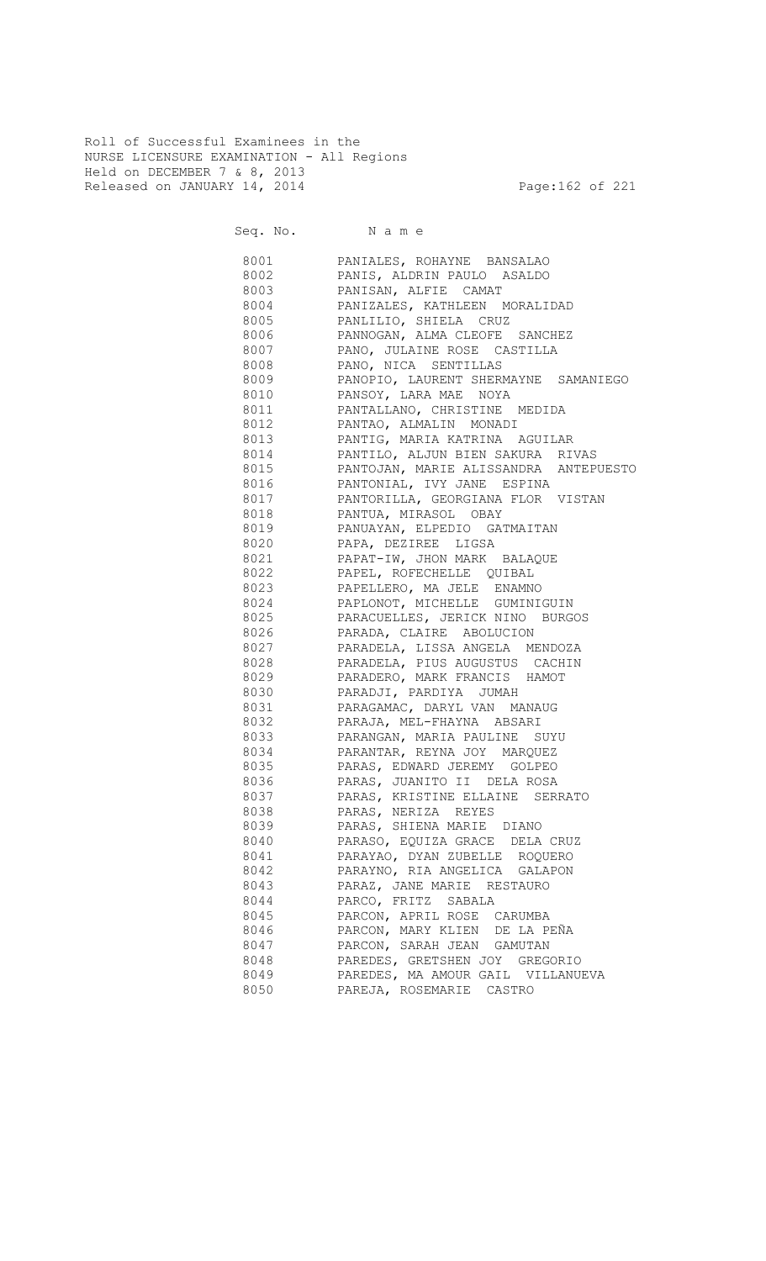Roll of Successful Examinees in the NURSE LICENSURE EXAMINATION - All Regions Held on DECEMBER 7 & 8, 2013 Released on JANUARY 14, 2014 **Page:162 of 221** 

Seq. No. Name 8001 PANIALES, ROHAYNE BANSALAO 8002 PANIS, ALDRIN PAULO ASALDO 8003 PANISAN, ALFIE CAMAT 8004 PANIZALES, KATHLEEN MORALIDAD PANLILIO, SHIELA CRUZ 8006 PANNOGAN, ALMA CLEOFE SANCHEZ 8007 PANO, JULAINE ROSE CASTILLA 8008 PANO, NICA SENTILLAS 8009 PANOPIO, LAURENT SHERMAYNE SAMANIEGO 8010 PANSOY, LARA MAE NOYA 8011 PANTALLANO, CHRISTINE MEDIDA 8012 PANTAO, ALMALIN MONADI 8013 PANTIG, MARIA KATRINA AGUILAR 8014 PANTILO, ALJUN BIEN SAKURA RIVAS 8015 PANTOJAN, MARIE ALISSANDRA ANTEPUESTO 8016 PANTONIAL, IVY JANE ESPINA 8017 PANTORILLA, GEORGIANA FLOR VISTAN PANTUA, MIRASOL OBAY 8019 PANUAYAN, ELPEDIO GATMAITAN 8020 PAPA, DEZIREE LIGSA 8021 PAPAT-IW, JHON MARK BALAQUE 8022 PAPEL, ROFECHELLE QUIBAL 8023 PAPELLERO, MA JELE ENAMNO 8024 PAPLONOT, MICHELLE GUMINIGUIN 8025 PARACUELLES, JERICK NINO BURGOS 8026 PARADA, CLAIRE ABOLUCION 8027 PARADELA, LISSA ANGELA MENDOZA 8028 PARADELA, PIUS AUGUSTUS CACHIN 8029 PARADERO, MARK FRANCIS HAMOT 8030 PARADJI, PARDIYA JUMAH 8031 PARAGAMAC, DARYL VAN MANAUG 8032 PARAJA, MEL-FHAYNA ABSARI 8033 PARANGAN, MARIA PAULINE SUYU 8034 PARANTAR, REYNA JOY MARQUEZ 8035 PARAS, EDWARD JEREMY GOLPEO 8036 PARAS, JUANITO II DELA ROSA 8037 PARAS, KRISTINE ELLAINE SERRATO 8038 PARAS, NERIZA REYES 8039 PARAS, SHIENA MARIE DIANO 8040 PARASO, EQUIZA GRACE DELA CRUZ 8041 PARAYAO, DYAN ZUBELLE ROQUERO 8042 PARAYNO, RIA ANGELICA GALAPON 8043 PARAZ, JANE MARIE RESTAURO 8044 PARCO, FRITZ SABALA 8045 PARCON, APRIL ROSE CARUMBA 8046 PARCON, MARY KLIEN DE LA PEÑA 8047 PARCON, SARAH JEAN GAMUTAN 8048 PAREDES, GRETSHEN JOY GREGORIO 8049 PAREDES, MA AMOUR GAIL VILLANUEVA 8050 PAREJA, ROSEMARIE CASTRO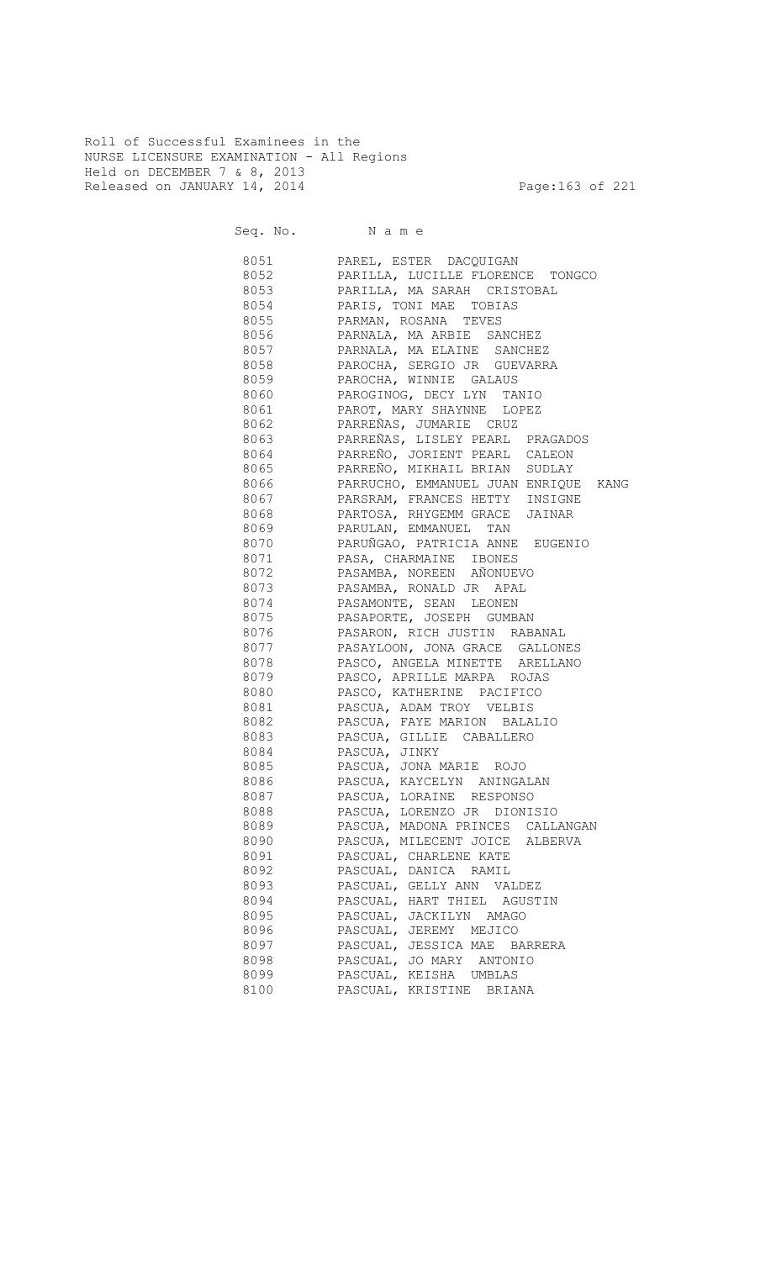Roll of Successful Examinees in the NURSE LICENSURE EXAMINATION - All Regions Held on DECEMBER 7 & 8, 2013 Released on JANUARY 14, 2014 **Page:163 of 221** 

Seq. No. Name

 8051 PAREL, ESTER DACQUIGAN 8052 PARILLA, LUCILLE FLORENCE TONGCO 8053 PARILLA, MA SARAH CRISTOBAL 8054 PARIS, TONI MAE TOBIAS PARMAN, ROSANA TEVES 8056 PARNALA, MA ARBIE SANCHEZ 8057 PARNALA, MA ELAINE SANCHEZ 8058 PAROCHA, SERGIO JR GUEVARRA 8059 PAROCHA, WINNIE GALAUS 8060 PAROGINOG, DECY LYN TANIO 8061 PAROT, MARY SHAYNNE LOPEZ 8062 PARREÑAS, JUMARIE CRUZ 8063 PARREÑAS, LISLEY PEARL PRAGADOS 8064 PARREÑO, JORIENT PEARL CALEON 8065 PARREÑO, MIKHAIL BRIAN SUDLAY 8066 PARRUCHO, EMMANUEL JUAN ENRIQUE KANG 8067 PARSRAM, FRANCES HETTY INSIGNE 8068 PARTOSA, RHYGEMM GRACE JAINAR 8069 PARULAN, EMMANUEL TAN 8070 PARUÑGAO, PATRICIA ANNE EUGENIO 8071 PASA, CHARMAINE IBONES 8072 PASAMBA, NOREEN AÑONUEVO 8073 PASAMBA, RONALD JR APAL 8074 PASAMONTE, SEAN LEONEN 8075 PASAPORTE, JOSEPH GUMBAN 8076 PASARON, RICH JUSTIN RABANAL **8077** PASAYLOON, JONA GRACE GALLONES 8078 PASCO, ANGELA MINETTE ARELLANO 8079 PASCO, APRILLE MARPA ROJAS 8080 PASCO, KATHERINE PACIFICO 8081 PASCUA, ADAM TROY VELBIS 8082 PASCUA, FAYE MARION BALALIO 8083 PASCUA, GILLIE CABALLERO 8084 PASCUA, JINKY 8085 PASCUA, JONA MARIE ROJO 8086 PASCUA, KAYCELYN ANINGALAN 8087 PASCUA, LORAINE RESPONSO 8088 PASCUA, LORENZO JR DIONISIO 8089 PASCUA, MADONA PRINCES CALLANGAN 8090 PASCUA, MILECENT JOICE ALBERVA 8091 PASCUAL, CHARLENE KATE 8092 PASCUAL, DANICA RAMIL 8093 PASCUAL, GELLY ANN VALDEZ 8094 PASCUAL, HART THIEL AGUSTIN 8095 PASCUAL, JACKILYN AMAGO 8096 PASCUAL, JEREMY MEJICO 8097 PASCUAL, JESSICA MAE BARRERA 8098 PASCUAL, JO MARY ANTONIO 8099 PASCUAL, KEISHA UMBLAS 8100 PASCUAL, KRISTINE BRIANA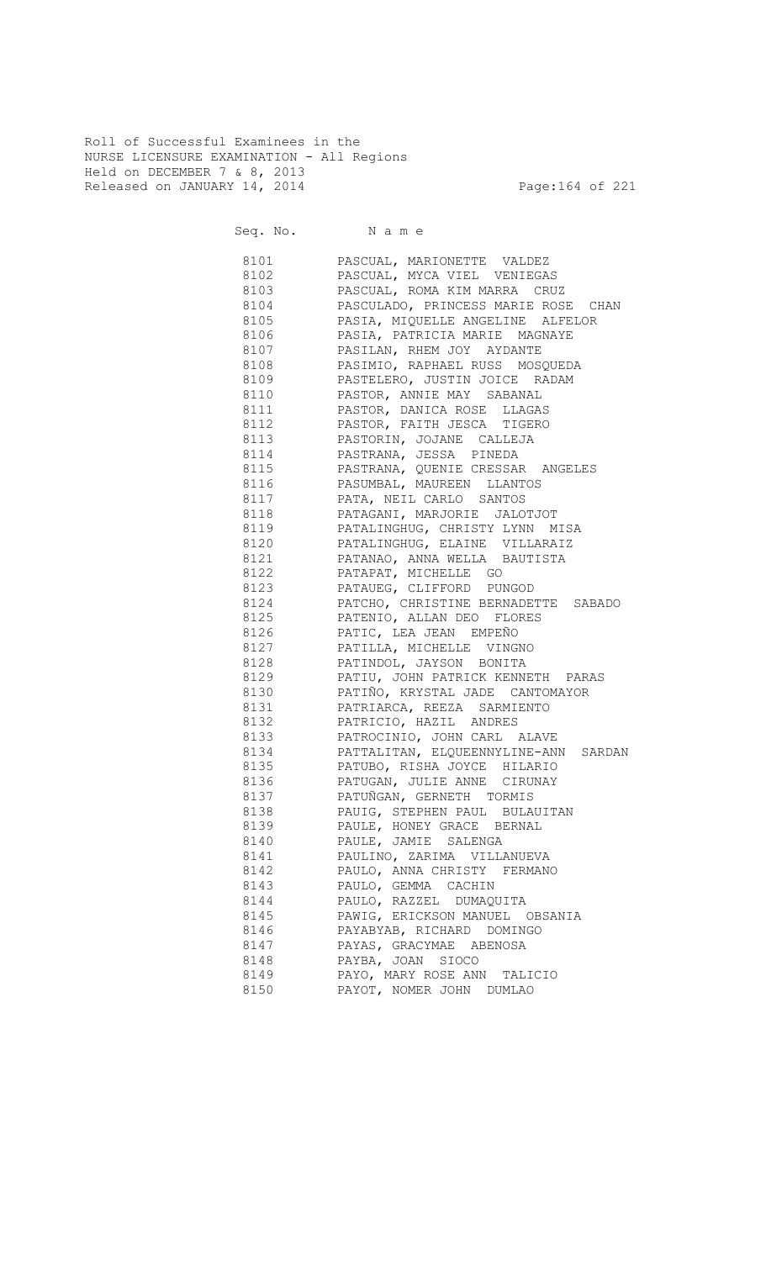Roll of Successful Examinees in the NURSE LICENSURE EXAMINATION - All Regions Held on DECEMBER 7 & 8, 2013 Released on JANUARY 14, 2014 **Page:164 of 221** 

Seq. No. Name

 8101 PASCUAL, MARIONETTE VALDEZ 8102 PASCUAL, MYCA VIEL VENIEGAS 8103 PASCUAL, ROMA KIM MARRA CRUZ 8104 PASCULADO, PRINCESS MARIE ROSE CHAN PASIA, MIQUELLE ANGELINE ALFELOR 8106 PASIA, PATRICIA MARIE MAGNAYE 8107 PASILAN, RHEM JOY AYDANTE 8108 PASIMIO, RAPHAEL RUSS MOSQUEDA 8109 PASTELERO, JUSTIN JOICE RADAM 8110 PASTOR, ANNIE MAY SABANAL 8111 PASTOR, DANICA ROSE LLAGAS 8112 PASTOR, FAITH JESCA TIGERO 8113 PASTORIN, JOJANE CALLEJA 8114 PASTRANA, JESSA PINEDA 8115 PASTRANA, QUENIE CRESSAR ANGELES 8116 PASUMBAL, MAUREEN LLANTOS 8117 PATA, NEIL CARLO SANTOS 8118 PATAGANI, MARJORIE JALOTJOT 8119 PATALINGHUG, CHRISTY LYNN MISA 8120 PATALINGHUG, ELAINE VILLARAIZ 8121 PATANAO, ANNA WELLA BAUTISTA 8122 PATAPAT, MICHELLE GO 8123 PATAUEG, CLIFFORD PUNGOD 8124 PATCHO, CHRISTINE BERNADETTE SABADO 8125 PATENIO, ALLAN DEO FLORES 8126 PATIC, LEA JEAN EMPEÑO 8127 PATILLA, MICHELLE VINGNO 8128 PATINDOL, JAYSON BONITA 8129 PATIU, JOHN PATRICK KENNETH PARAS 8130 PATIÑO, KRYSTAL JADE CANTOMAYOR 8131 PATRIARCA, REEZA SARMIENTO 8132 PATRICIO, HAZIL ANDRES 8133 PATROCINIO, JOHN CARL ALAVE 8134 PATTALITAN, ELQUEENNYLINE-ANN SARDAN 8135 PATUBO, RISHA JOYCE HILARIO 8136 PATUGAN, JULIE ANNE CIRUNAY 8137 PATUÑGAN, GERNETH TORMIS 8138 PAUIG, STEPHEN PAUL BULAUITAN 8139 PAULE, HONEY GRACE BERNAL 8140 PAULE, JAMIE SALENGA 8141 PAULINO, ZARIMA VILLANUEVA 8142 PAULO, ANNA CHRISTY FERMANO 8143 PAULO, GEMMA CACHIN 8144 PAULO, RAZZEL DUMAQUITA 8145 PAWIG, ERICKSON MANUEL OBSANIA 8146 PAYABYAB, RICHARD DOMINGO 8147 PAYAS, GRACYMAE ABENOSA 8148 PAYBA, JOAN SIOCO 8149 PAYO, MARY ROSE ANN TALICIO 8150 PAYOT, NOMER JOHN DUMLAO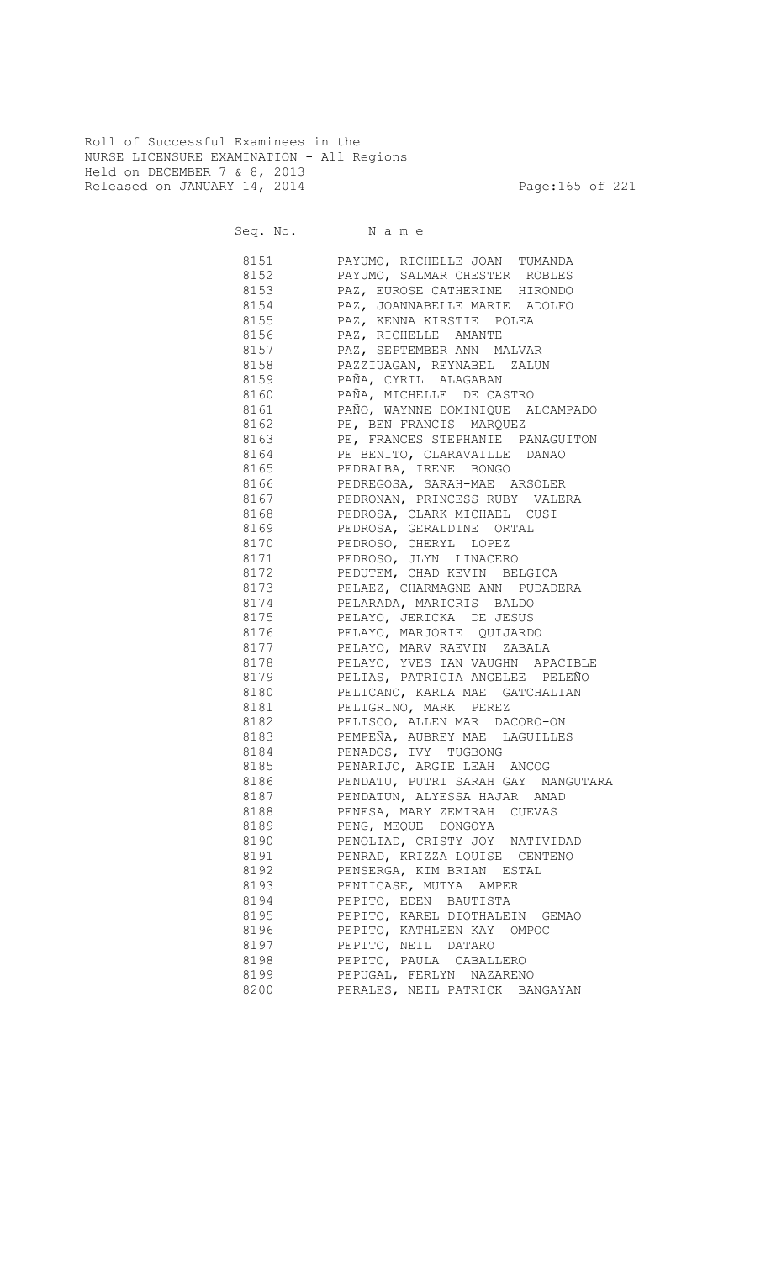Roll of Successful Examinees in the NURSE LICENSURE EXAMINATION - All Regions Held on DECEMBER 7 & 8, 2013 Released on JANUARY 14, 2014 **Page:165 of 221** 

| 8151      | PAYUMO, RICHELLE JOAN TUMANDA                           |
|-----------|---------------------------------------------------------|
| 8152      | PAYUMO, SALMAR CHESTER ROBLES                           |
| 8153      | PAZ, EUROSE CATHERINE HIRONDO                           |
| 8154      | PAZ, JOANNABELLE MARIE ADOLFO                           |
| 8155      | PAZ, KENNA KIRSTIE POLEA                                |
| 8156      | PAZ, RICHELLE AMANTE                                    |
| 8157      |                                                         |
| 8158      | PAZ, SEPTEMBER ANN MALVAR<br>PAZZIUAGAN, REYNABEL ZALUN |
| 8159      | .<br>PAÑA, CYRIL ALAGABAN                               |
| 8160      | PAÑA, MICHELLE DE CASTRO                                |
| 8161      | PAÑO, WAYNNE DOMINIQUE ALCAMPADO                        |
| 8162      | PE, BEN FRANCIS MARQUEZ                                 |
| 8163      | PE, FRANCES STEPHANIE PANAGUITON                        |
| 8164      | PE BENITO, CLARAVAILLE DANAO                            |
|           | 8165 PEDRALBA, IRENE BONGO                              |
|           | 8166 PEDREGOSA, SARAH-MAE ARSOLER                       |
|           | 8167 PEDRONAN, PRINCESS RUBY VALERA                     |
|           | 8168 PEDROSA, CLARK MICHAEL CUSI                        |
|           | 8169 PEDROSA, GERALDINE ORTAL                           |
|           | 8170 PEDROSO, CHERYL LOPEZ                              |
| 8171      | PEDROSO, JLYN LINACERO                                  |
|           | 8172 PEDUTEM, CHAD KEVIN BELGICA                        |
|           | 8173 PELAEZ, CHARMAGNE ANN PUDADERA                     |
|           |                                                         |
|           | 8174 PELARADA, MARICRIS BALDO                           |
|           | 8175 PELAYO, JERICKA DE JESUS                           |
|           | 8176 PELAYO, MARJORIE QUIJARDO                          |
|           | 8177 PELAYO, MARV RAEVIN ZABALA                         |
|           | 8178 PELAYO, YVES IAN VAUGHN APACIBLE                   |
|           | 8179 PELIAS, PATRICIA ANGELEE PELEÑO                    |
|           | 8180 PELICANO, KARLA MAE GATCHALIAN                     |
|           | 8181 PELIGRINO, MARK PEREZ                              |
|           | 8182 PELISCO, ALLEN MAR DACORO-ON                       |
|           | PEMPEÑA, AUBREY MAE LAGUILLES                           |
| 8184      | PENADOS, IVY TUGBONG                                    |
| 8185      | PENARIJO, ARGIE LEAH ANCOG                              |
| 8186 1819 | PENDATU, PUTRI SARAH GAY MANGUTARA                      |
|           | 8187 PENDATUN, ALYESSA HAJAR AMAD                       |
| 8188      | PENESA, MARY ZEMIRAH CUEVAS                             |
| 8189      | PENG, MEQUE DONGOYA                                     |
| 8190      | PENOLIAD, CRISTY JOY NATIVIDAD                          |
| 8191      | PENRAD, KRIZZA LOUISE CENTENO                           |
| 8192      | PENSERGA, KIM BRIAN ESTAL                               |
| 8193      | PENTICASE, MUTYA AMPER                                  |
| 8194      | PEPITO, EDEN BAUTISTA                                   |
| 8195      | PEPITO, KAREL DIOTHALEIN GEMAO                          |
| 8196      | PEPITO, KATHLEEN KAY OMPOC                              |
| 8197      | PEPITO, NEIL DATARO                                     |
| 8198      | PEPITO, PAULA CABALLERO                                 |
| 8199      | PEPUGAL, FERLYN NAZARENO                                |
| 8200      | PERALES, NEIL PATRICK BANGAYAN                          |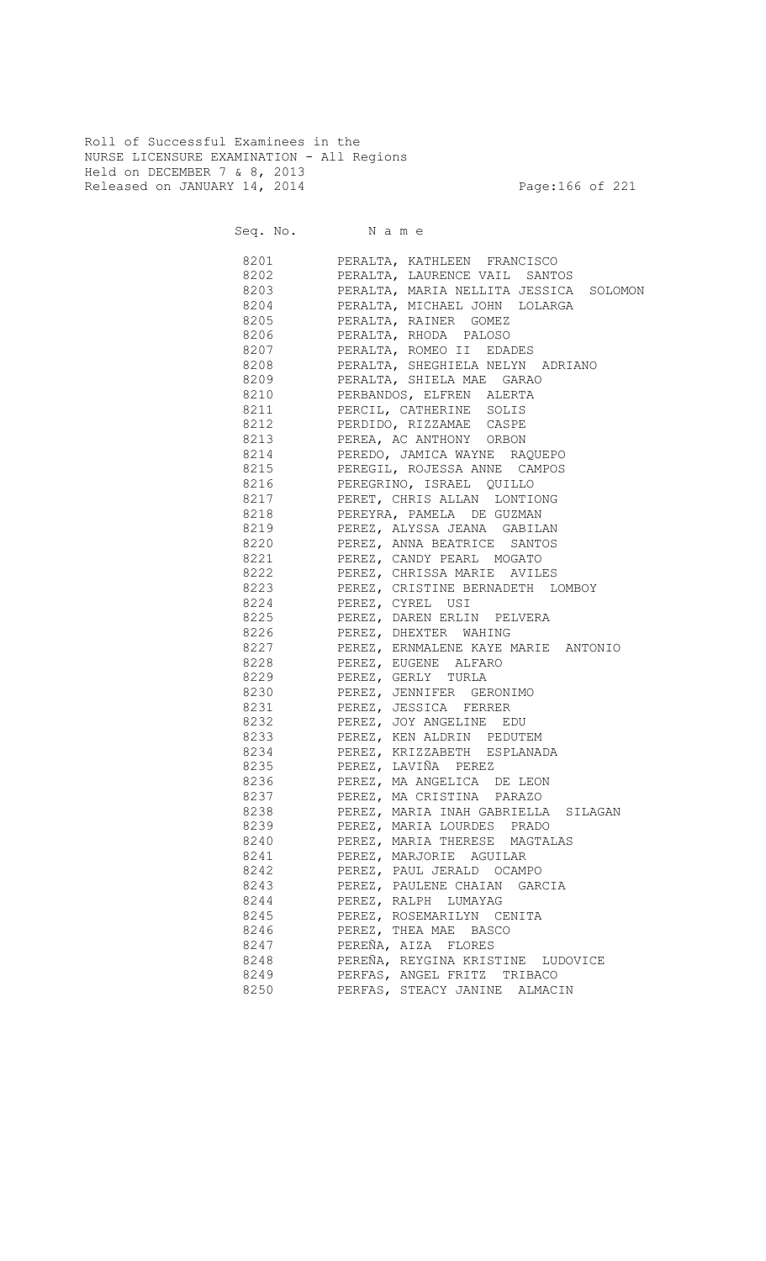Roll of Successful Examinees in the NURSE LICENSURE EXAMINATION - All Regions Held on DECEMBER 7 & 8, 2013 Released on JANUARY 14, 2014 **Page:166 of 221** 

| 8201 720 | PERALTA, KATHLEEN FRANCISCO                 |
|----------|---------------------------------------------|
|          | 8202 PERALTA, LAURENCE VAIL SANTOS          |
|          | 8203 PERALTA, MARIA NELLITA JESSICA SOLOMON |
|          | 8204 PERALTA, MICHAEL JOHN LOLARGA          |
|          | 8205 PERALTA, RAINER GOMEZ                  |
|          | 8206 PERALTA, RHODA PALOSO                  |
|          | 8207 PERALTA, ROMEO II EDADES               |
|          | 8208 PERALTA, SHEGHIELA NELYN ADRIANO       |
|          | 8209 PERALTA, SHIELA MAE GARAO              |
|          | 8210 PERBANDOS, ELFREN ALERTA               |
| 8211     | PERCIL, CATHERINE SOLIS                     |
|          | 8212 PERDIDO, RIZZAMAE CASPE                |
|          | 8213 PEREA, AC ANTHONY ORBON                |
|          | 8214 PEREDO, JAMICA WAYNE RAQUEPO           |
|          | 8215 PEREGIL, ROJESSA ANNE CAMPOS           |
|          | 8216 PEREGRINO, ISRAEL QUILLO               |
|          | 8217 PERET, CHRIS ALLAN LONTIONG            |
|          | 8218 PEREYRA, PAMELA DE GUZMAN              |
|          | 8219 PEREZ, ALYSSA JEANA GABILAN            |
|          | 8220 PEREZ, ANNA BEATRICE SANTOS            |
|          | 8221 PEREZ, CANDY PEARL MOGATO              |
|          |                                             |
|          | 8222 PEREZ, CHRISSA MARIE AVILES            |
|          | 8223 PEREZ, CRISTINE BERNADETH LOMBOY       |
|          | 8224 PEREZ, CYREL USI                       |
|          | 8225 PEREZ, DAREN ERLIN PELVERA             |
|          | 8226 PEREZ, DHEXTER WAHING                  |
|          | 8227 PEREZ, ERNMALENE KAYE MARIE ANTONIO    |
| 8228     | PEREZ, EUGENE ALFARO                        |
|          | 8229 PEREZ, GERLY TURLA                     |
| 8230     | PEREZ, JENNIFER GERONIMO                    |
| 8231     | PEREZ, JESSICA FERRER                       |
| 8232     | PEREZ, JOY ANGELINE EDU                     |
| 8233     | PEREZ, KEN ALDRIN PEDUTEM                   |
| 8234     | PEREZ, KRIZZABETH ESPLANADA                 |
| 8235     | PEREZ, LAVIÑA PEREZ                         |
| 8236     | PEREZ, MA ANGELICA DE LEON                  |
| 8237     | PEREZ, MA CRISTINA PARAZO                   |
| 8238     | PEREZ, MARIA INAH GABRIELLA SILAGAN         |
| 8239     | PEREZ, MARIA LOURDES PRADO                  |
| 8240     | PEREZ, MARIA THERESE MAGTALAS               |
| 8241     | PEREZ, MARJORIE AGUILAR                     |
| 8242     | PEREZ, PAUL JERALD OCAMPO                   |
| 8243     | PEREZ, PAULENE CHAIAN GARCIA                |
| 8244     | PEREZ, RALPH LUMAYAG                        |
| 8245     | PEREZ, ROSEMARILYN CENITA                   |
| 8246     | PEREZ, THEA MAE BASCO                       |
| 8247     | PEREÑA, AIZA FLORES                         |
| 8248     | PEREÑA, REYGINA KRISTINE LUDOVICE           |
| 8249     | PERFAS, ANGEL FRITZ TRIBACO                 |
| 8250     | PERFAS, STEACY JANINE ALMACIN               |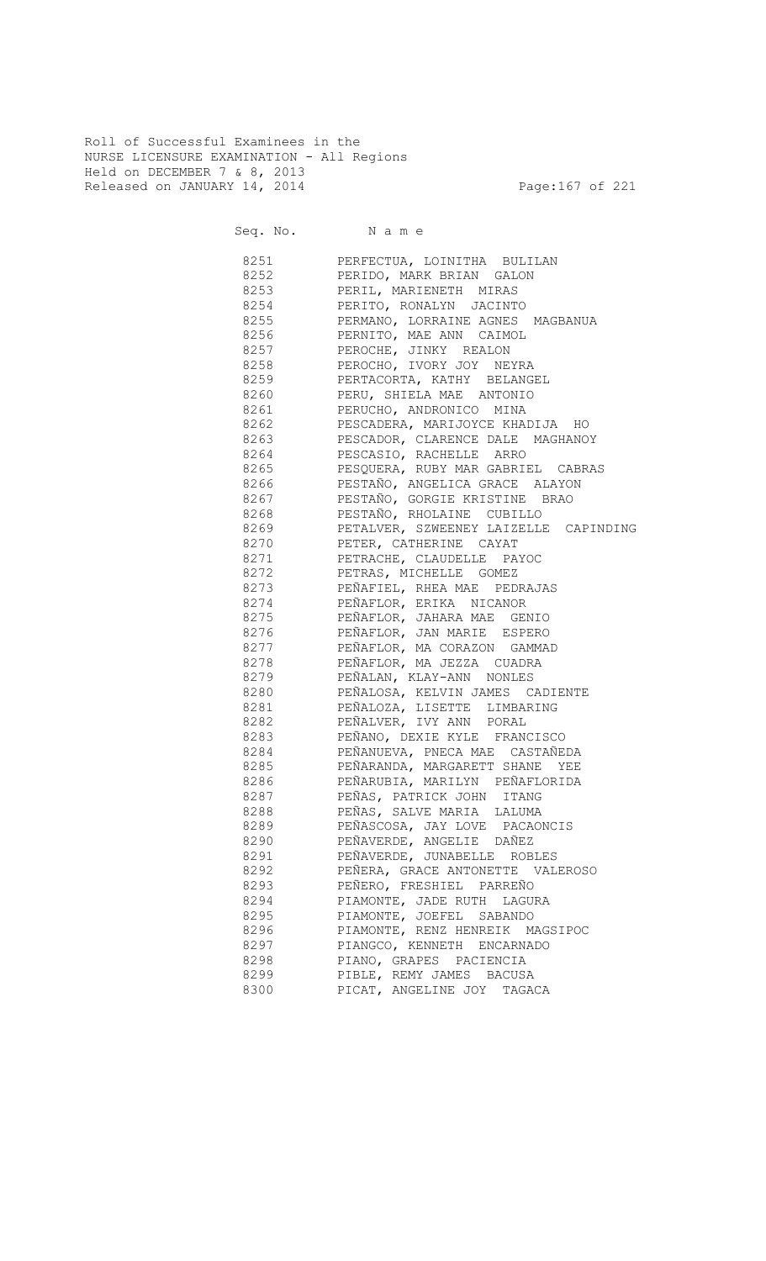Roll of Successful Examinees in the NURSE LICENSURE EXAMINATION - All Regions Held on DECEMBER 7 & 8, 2013 Released on JANUARY 14, 2014 **Page:167 of 221** 

Seq. No. Name

 8251 PERFECTUA, LOINITHA BULILAN 8252 PERIDO, MARK BRIAN GALON 8253 PERIL, MARIENETH MIRAS 8254 PERITO, RONALYN JACINTO 8255 PERMANO, LORRAINE AGNES MAGBANUA 8256 PERNITO, MAE ANN CAIMOL 8257 PEROCHE, JINKY REALON 8258 PEROCHO, IVORY JOY NEYRA 8259 PERTACORTA, KATHY BELANGEL 8260 PERU, SHIELA MAE ANTONIO 8261 PERUCHO, ANDRONICO MINA 8262 PESCADERA, MARIJOYCE KHADIJA HO 8263 PESCADOR, CLARENCE DALE MAGHANOY 8264 PESCASIO, RACHELLE ARRO 8265 PESQUERA, RUBY MAR GABRIEL CABRAS 8266 PESTAÑO, ANGELICA GRACE ALAYON 8267 PESTAÑO, GORGIE KRISTINE BRAO PESTAÑO, RHOLAINE CUBILLO 8269 PETALVER, SZWEENEY LAIZELLE CAPINDING 8270 PETER, CATHERINE CAYAT 8271 PETRACHE, CLAUDELLE PAYOC 8272 PETRAS, MICHELLE GOMEZ 8273 PEÑAFIEL, RHEA MAE PEDRAJAS 8274 PEÑAFLOR, ERIKA NICANOR 8275 PEÑAFLOR, JAHARA MAE GENIO 8276 PEÑAFLOR, JAN MARIE ESPERO 8277 PEÑAFLOR, MA CORAZON GAMMAD 8278 PEÑAFLOR, MA JEZZA CUADRA 8279 PEÑALAN, KLAY-ANN NONLES 8280 PEÑALOSA, KELVIN JAMES CADIENTE 8281 PEÑALOZA, LISETTE LIMBARING 8282 PEÑALVER, IVY ANN PORAL 8283 PEÑANO, DEXIE KYLE FRANCISCO 8284 PEÑANUEVA, PNECA MAE CASTAÑEDA 8285 PEÑARANDA, MARGARETT SHANE YEE 8286 PEÑARUBIA, MARILYN PEÑAFLORIDA 8287 PEÑAS, PATRICK JOHN ITANG 8288 PEÑAS, SALVE MARIA LALUMA 8289 PEÑASCOSA, JAY LOVE PACAONCIS 8290 PEÑAVERDE, ANGELIE DAÑEZ 8291 PEÑAVERDE, JUNABELLE ROBLES 8292 PEÑERA, GRACE ANTONETTE VALEROSO 8293 PEÑERO, FRESHIEL PARREÑO 8294 PIAMONTE, JADE RUTH LAGURA 8295 PIAMONTE, JOEFEL SABANDO 8296 PIAMONTE, RENZ HENREIK MAGSIPOC 8297 PIANGCO, KENNETH ENCARNADO 8298 PIANO, GRAPES PACIENCIA 8299 PIBLE, REMY JAMES BACUSA 8300 PICAT, ANGELINE JOY TAGACA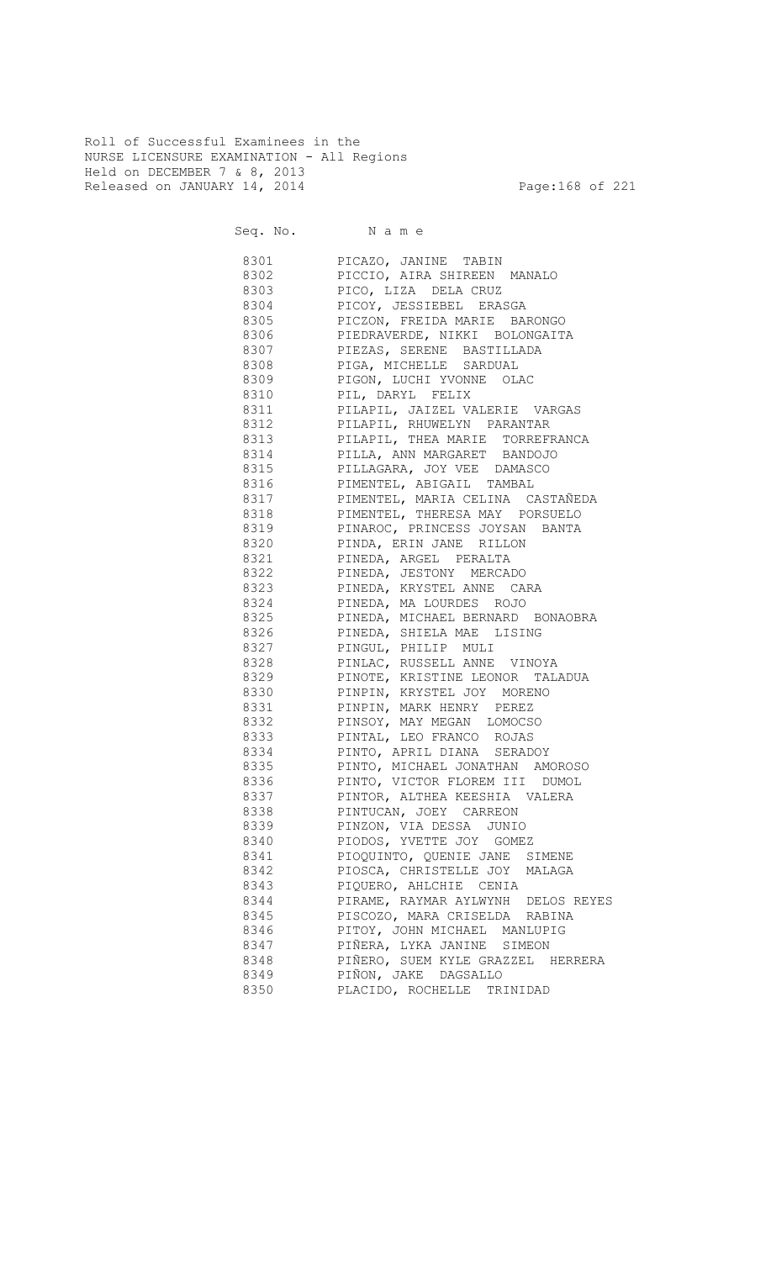Roll of Successful Examinees in the NURSE LICENSURE EXAMINATION - All Regions Held on DECEMBER 7 & 8, 2013 Released on JANUARY 14, 2014 **Page:168 of 221** 

| 8301     | PICAZO, JANINE TABIN                  |
|----------|---------------------------------------|
| 8302     | PICCIO, AIRA SHIREEN MANALO           |
| 8303     | PICO, LIZA DELA CRUZ                  |
| 8304     | PICOY, JESSIEBEL ERASGA               |
| 8305     | PICZON, FREIDA MARIE BARONGO          |
| 8306     | PIEDRAVERDE, NIKKI BOLONGAITA         |
| 8307     | PIEZAS, SERENE BASTILLADA             |
| 8308     | PIGA, MICHELLE SARDUAL                |
| 8309     | PIGON, LUCHI YVONNE OLAC              |
|          |                                       |
| 8310     | PIL, DARYL FELIX                      |
| 8311     | PILAPIL, JAIZEL VALERIE VARGAS        |
| 8312     | PILAPIL, RHUWELYN PARANTAR            |
| 8313     | PILAPIL, THEA MARIE TORREFRANCA       |
| 8314     | PILLA, ANN MARGARET BANDOJO           |
|          | 8315 PILLAGARA, JOY VEE DAMASCO       |
|          | 8316 PIMENTEL, ABIGAIL TAMBAL         |
|          | 8317 PIMENTEL, MARIA CELINA CASTAÑEDA |
|          | 8318 PIMENTEL, THERESA MAY PORSUELO   |
|          | 8319 PINAROC, PRINCESS JOYSAN BANTA   |
|          | 8320 PINDA, ERIN JANE RILLON          |
| 8321     | PINEDA, ARGEL PERALTA                 |
|          | 8322 PINEDA, JESTONY MERCADO          |
|          | 8323 PINEDA, KRYSTEL ANNE CARA        |
|          | 8324 PINEDA, MA LOURDES ROJO          |
|          | 8325 PINEDA, MICHAEL BERNARD BONAOBRA |
|          | 8326 PINEDA, SHIELA MAE LISING        |
|          | 8327 PINGUL, PHILIP MULI              |
|          | 8328 PINLAC, RUSSELL ANNE VINOYA      |
|          | 8329 PINOTE, KRISTINE LEONOR TALADUA  |
|          |                                       |
|          | 8330 PINPIN, KRYSTEL JOY MORENO       |
|          | 8331 PINPIN, MARK HENRY PEREZ         |
|          | 8332 PINSOY, MAY MEGAN LOMOCSO        |
|          | 8333 PINTAL, LEO FRANCO ROJAS         |
|          | 8334 PINTO, APRIL DIANA SERADOY       |
|          | 8335 PINTO, MICHAEL JONATHAN AMOROSO  |
|          | 8336 PINTO, VICTOR FLOREM III DUMOL   |
| 8337 834 | PINTOR, ALTHEA KEESHIA VALERA         |
| 8338     | PINTUCAN, JOEY CARREON                |
| 8339     | PINZON, VIA DESSA JUNIO               |
| 8340     | PIODOS, YVETTE JOY GOMEZ              |
| 8341     | PIOQUINTO, QUENIE JANE SIMENE         |
| 8342     | PIOSCA, CHRISTELLE JOY MALAGA         |
| 8343     | PIQUERO, AHLCHIE CENIA                |
| 8344     | PIRAME, RAYMAR AYLWYNH DELOS REYES    |
| 8345     | PISCOZO, MARA CRISELDA RABINA         |
| 8346     | PITOY, JOHN MICHAEL MANLUPIG          |
| 8347     | PIÑERA, LYKA JANINE SIMEON            |
| 8348     | PIÑERO, SUEM KYLE GRAZZEL HERRERA     |
| 8349     | PIÑON, JAKE DAGSALLO                  |
|          |                                       |
| 8350     | PLACIDO, ROCHELLE TRINIDAD            |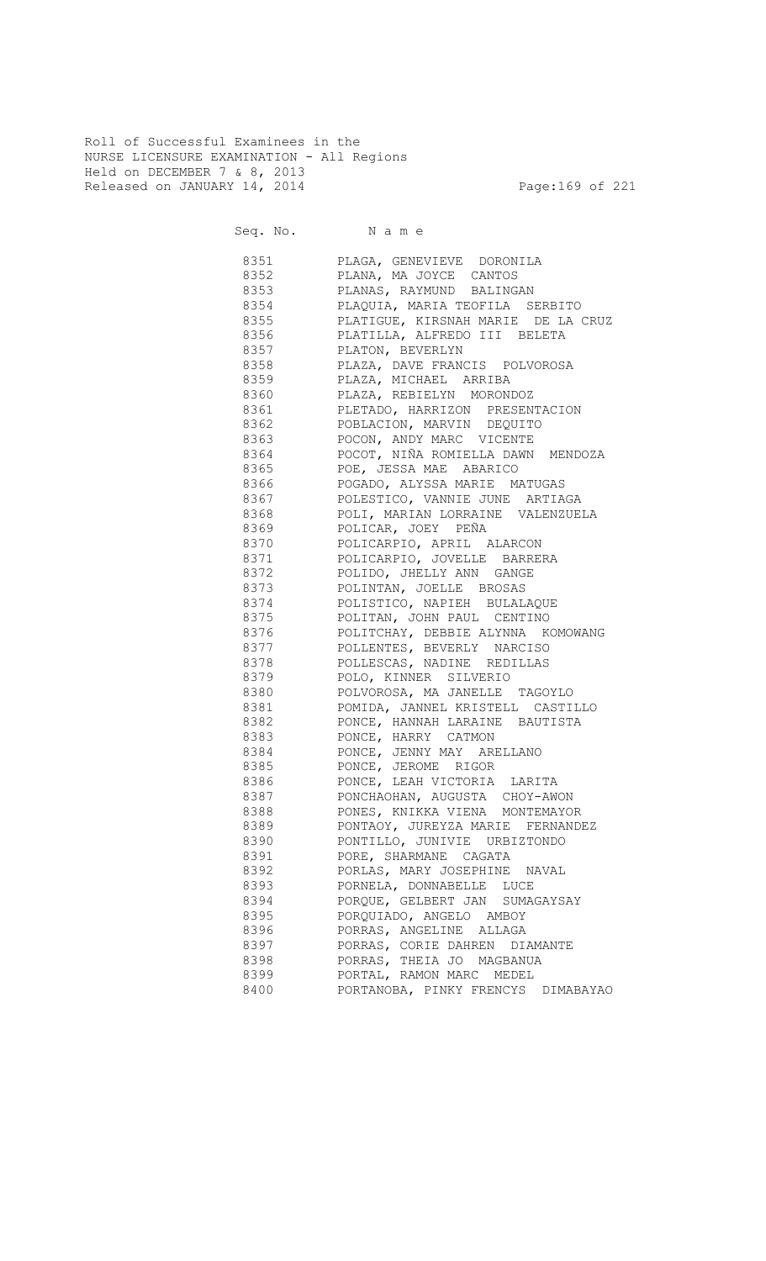Roll of Successful Examinees in the NURSE LICENSURE EXAMINATION - All Regions Held on DECEMBER 7 & 8, 2013 Released on JANUARY 14, 2014 **Page:169 of 221** 

Seq. No. Name

 8351 PLAGA, GENEVIEVE DORONILA 8352 PLANA, MA JOYCE CANTOS 8353 PLANAS, RAYMUND BALINGAN 8354 PLAQUIA, MARIA TEOFILA SERBITO 8355 PLATIGUE, KIRSNAH MARIE DE LA CRUZ 8356 PLATILLA, ALFREDO III BELETA 8357 PLATON, BEVERLYN 8358 PLAZA, DAVE FRANCIS POLVOROSA 8359 PLAZA, MICHAEL ARRIBA 8360 PLAZA, REBIELYN MORONDOZ 8361 PLETADO, HARRIZON PRESENTACION 8362 POBLACION, MARVIN DEQUITO 8363 POCON, ANDY MARC VICENTE 8364 POCOT, NIÑA ROMIELLA DAWN MENDOZA 8365 POE, JESSA MAE ABARICO 8366 POGADO, ALYSSA MARIE MATUGAS 8367 POLESTICO, VANNIE JUNE ARTIAGA 8368 POLI, MARIAN LORRAINE VALENZUELA 8369 POLICAR, JOEY PEÑA 8370 POLICARPIO, APRIL ALARCON 8371 POLICARPIO, JOVELLE BARRERA 8372 POLIDO, JHELLY ANN GANGE 8373 POLINTAN, JOELLE BROSAS 8374 POLISTICO, NAPIEH BULALAQUE<br>8375 POLITAN, JOHN PAUL CENTINO 8375 POLITAN, JOHN PAUL CENTINO 8376 POLITCHAY, DEBBIE ALYNNA KOMOWANG 8377 POLLENTES, BEVERLY NARCISO 8378 POLLESCAS, NADINE REDILLAS 8379 POLO, KINNER SILVERIO 8380 POLVOROSA, MA JANELLE TAGOYLO 8381 POMIDA, JANNEL KRISTELL CASTILLO 8382 PONCE, HANNAH LARAINE BAUTISTA 8383 PONCE, HARRY CATMON 8384 PONCE, JENNY MAY ARELLANO 8385 PONCE, JEROME RIGOR 8386 PONCE, LEAH VICTORIA LARITA 8387 PONCHAOHAN, AUGUSTA CHOY-AWON 8388 PONES, KNIKKA VIENA MONTEMAYOR 8389 PONTAOY, JUREYZA MARIE FERNANDEZ 8390 PONTILLO, JUNIVIE URBIZTONDO 8391 PORE, SHARMANE CAGATA 8392 PORLAS, MARY JOSEPHINE NAVAL 8393 PORNELA, DONNABELLE LUCE 8394 PORQUE, GELBERT JAN SUMAGAYSAY 8395 PORQUIADO, ANGELO AMBOY 8396 PORRAS, ANGELINE ALLAGA 8397 PORRAS, CORIE DAHREN DIAMANTE 8398 PORRAS, THEIA JO MAGBANUA 8399 PORTAL, RAMON MARC MEDEL 8400 PORTANOBA, PINKY FRENCYS DIMABAYAO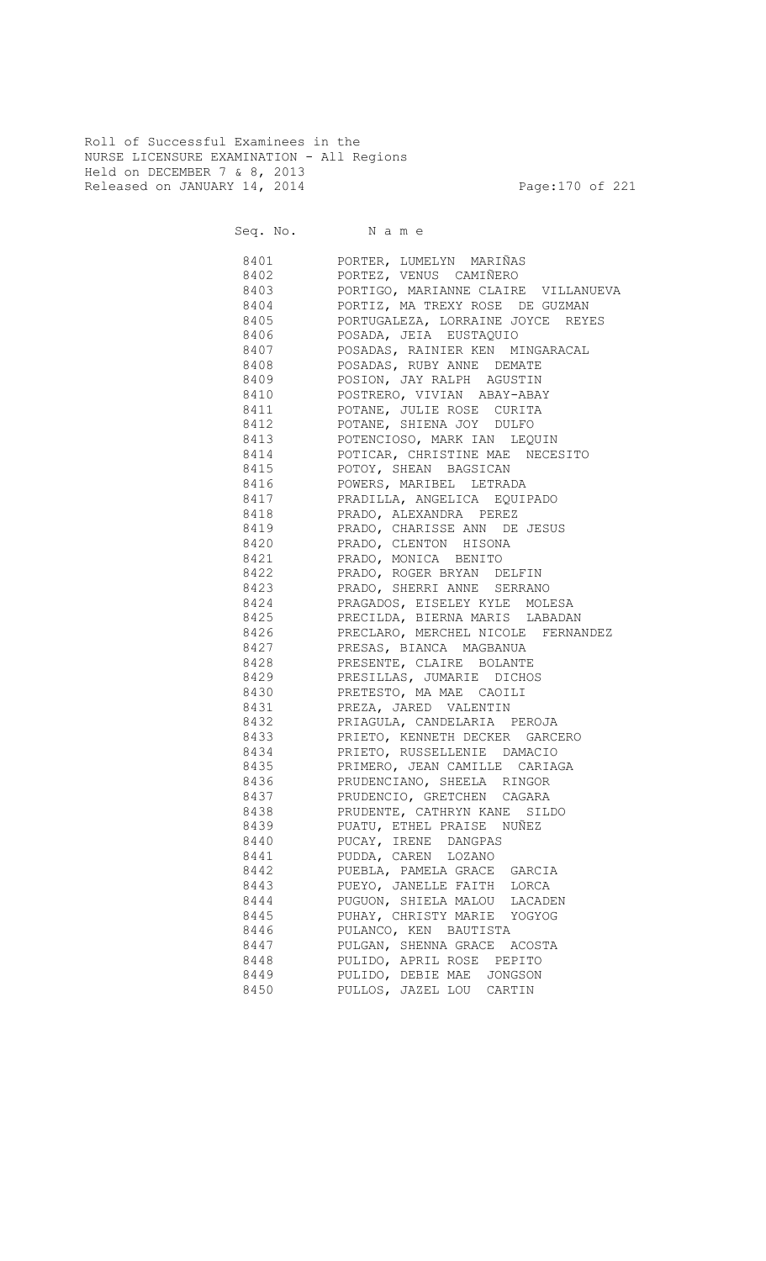Roll of Successful Examinees in the NURSE LICENSURE EXAMINATION - All Regions Held on DECEMBER 7 & 8, 2013 Released on JANUARY 14, 2014 **Page:170 of 221** 

Seq. No. Name

 8401 PORTER, LUMELYN MARIÑAS 8402 PORTEZ, VENUS CAMIÑERO 8403 PORTIGO, MARIANNE CLAIRE VILLANUEVA 8404 PORTIZ, MA TREXY ROSE DE GUZMAN PORTUGALEZA, LORRAINE JOYCE REYES 8406 POSADA, JEIA EUSTAQUIO 8407 POSADAS, RAINIER KEN MINGARACAL 8408 POSADAS, RUBY ANNE DEMATE 8409 POSION, JAY RALPH AGUSTIN 8410 POSTRERO, VIVIAN ABAY-ABAY 8411 POTANE, JULIE ROSE CURITA 8412 POTANE, SHIENA JOY DULFO 8413 POTENCIOSO, MARK IAN LEQUIN 8414 POTICAR, CHRISTINE MAE NECESITO 8415 POTOY, SHEAN BAGSICAN 8416 POWERS, MARIBEL LETRADA 8417 PRADILLA, ANGELICA EQUIPADO 8418 PRADO, ALEXANDRA PEREZ 8419 PRADO, CHARISSE ANN DE JESUS 8420 PRADO, CLENTON HISONA 8421 PRADO, MONICA BENITO 8422 PRADO, ROGER BRYAN DELFIN 8423 PRADO, SHERRI ANNE SERRANO 8424 PRAGADOS, EISELEY KYLE MOLESA 8425 PRECILDA, BIERNA MARIS LABADAN 8426 PRECLARO, MERCHEL NICOLE FERNANDEZ 8427 PRESAS, BIANCA MAGBANUA 8428 PRESENTE, CLAIRE BOLANTE 8429 PRESILLAS, JUMARIE DICHOS 8430 PRETESTO, MA MAE CAOILI 8431 PREZA, JARED VALENTIN 8432 PRIAGULA, CANDELARIA PEROJA 8433 PRIETO, KENNETH DECKER GARCERO 8434 PRIETO, RUSSELLENIE DAMACIO 8435 PRIMERO, JEAN CAMILLE CARIAGA 8436 PRUDENCIANO, SHEELA RINGOR 8437 PRUDENCIO, GRETCHEN CAGARA 8438 PRUDENTE, CATHRYN KANE SILDO 8439 PUATU, ETHEL PRAISE NUÑEZ 8440 PUCAY, IRENE DANGPAS 8441 PUDDA, CAREN LOZANO 8442 PUEBLA, PAMELA GRACE GARCIA 8443 PUEYO, JANELLE FAITH LORCA 8444 PUGUON, SHIELA MALOU LACADEN 8445 PUHAY, CHRISTY MARIE YOGYOG 8446 PULANCO, KEN BAUTISTA 8447 PULGAN, SHENNA GRACE ACOSTA 8448 PULIDO, APRIL ROSE PEPITO 8449 PULIDO, DEBIE MAE JONGSON 8450 PULLOS, JAZEL LOU CARTIN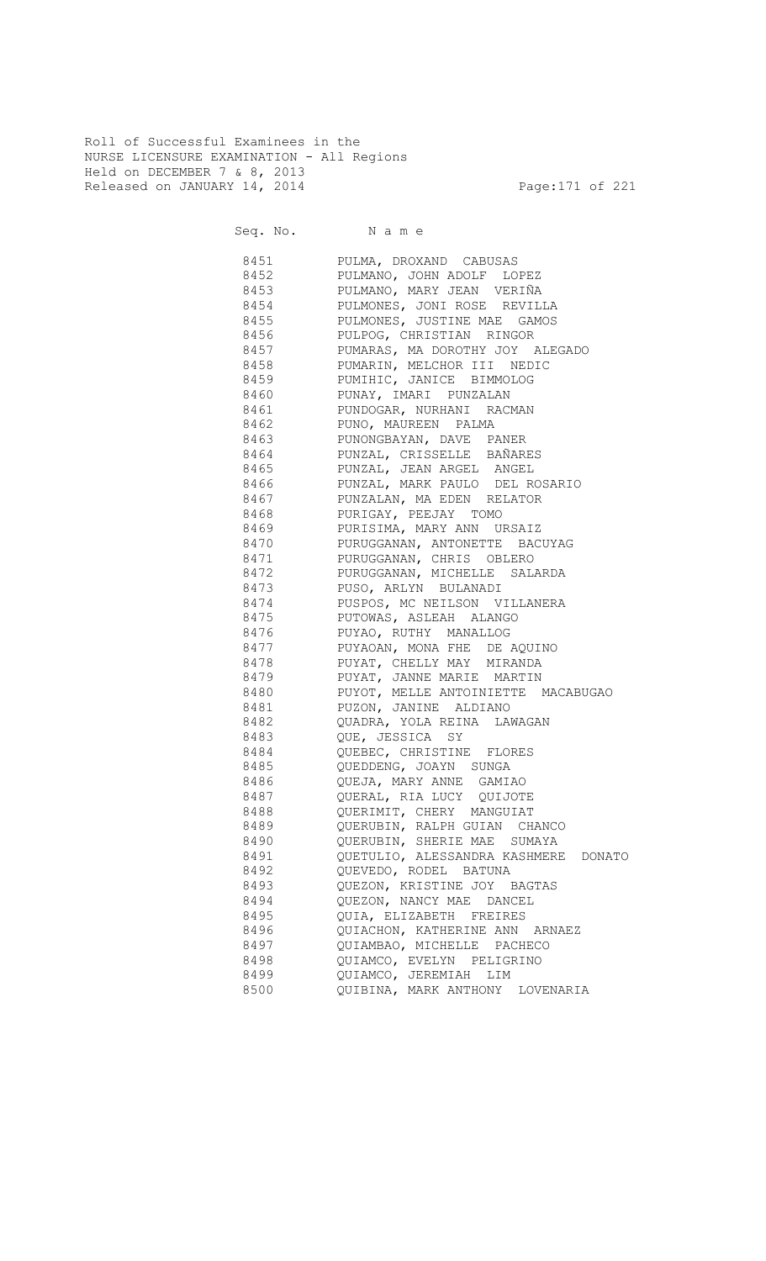Roll of Successful Examinees in the NURSE LICENSURE EXAMINATION - All Regions Held on DECEMBER 7 & 8, 2013 Released on JANUARY 14, 2014 **Page:171 of 221** 

Seq. No. Name 8451 PULMA, DROXAND CABUSAS 8452 PULMANO, JOHN ADOLF LOPEZ 8453 PULMANO, MARY JEAN VERIÑA 8454 PULMONES, JONI ROSE REVILLA<br>8455 PULMONES, JUSTINE MAE GAMOS PULMONES, JUSTINE MAE GAMOS 8456 PULPOG, CHRISTIAN RINGOR 8457 PUMARAS, MA DOROTHY JOY ALEGADO 8458 PUMARIN, MELCHOR III NEDIC 8459 PUMIHIC, JANICE BIMMOLOG 8460 PUNAY, IMARI PUNZALAN 8461 PUNDOGAR, NURHANI RACMAN 8462 PUNO, MAUREEN PALMA 8463 PUNONGBAYAN, DAVE PANER 8464 PUNZAL, CRISSELLE BAÑARES 8465 PUNZAL, JEAN ARGEL ANGEL 8466 PUNZAL, MARK PAULO DEL ROSARIO 8467 PUNZALAN, MA EDEN RELATOR<br>8468 PURIGAY, PEEJAY TOMO PURIGAY, PEEJAY TOMO 8469 PURISIMA, MARY ANN URSAIZ 8470 PURUGGANAN, ANTONETTE BACUYAG 8471 PURUGGANAN, CHRIS OBLERO 8472 PURUGGANAN, MICHELLE SALARDA 8473 PUSO, ARLYN BULANADI 8474 PUSPOS, MC NEILSON VILLANERA<br>8475 PUTOWAS, ASLEAH ALANGO 8475 PUTOWAS, ASLEAH ALANGO 8476 PUYAO, RUTHY MANALLOG 8477 PUYAOAN, MONA FHE DE AQUINO 8478 PUYAT, CHELLY MAY MIRANDA 8479 PUYAT, JANNE MARIE MARTIN 8480 PUYOT, MELLE ANTOINIETTE MACABUGAO 8481 PUZON, JANINE ALDIANO 8482 QUADRA, YOLA REINA LAWAGAN 8483 QUE, JESSICA SY 8484 QUEBEC, CHRISTINE FLORES 8485 QUEDDENG, JOAYN SUNGA 8486 QUEJA, MARY ANNE GAMIAO 8487 QUERAL, RIA LUCY QUIJOTE 8488 QUERIMIT, CHERY MANGUIAT 8489 QUERUBIN, RALPH GUIAN CHANCO 8490 QUERUBIN, SHERIE MAE SUMAYA 8491 QUETULIO, ALESSANDRA KASHMERE DONATO 8492 QUEVEDO, RODEL BATUNA 8493 QUEZON, KRISTINE JOY BAGTAS 8494 QUEZON, NANCY MAE DANCEL 8495 QUIA, ELIZABETH FREIRES

> 8496 QUIACHON, KATHERINE ANN ARNAEZ 8497 QUIAMBAO, MICHELLE PACHECO 8498 QUIAMCO, EVELYN PELIGRINO

8499 QUIAMCO, JEREMIAH LIM

8500 QUIBINA, MARK ANTHONY LOVENARIA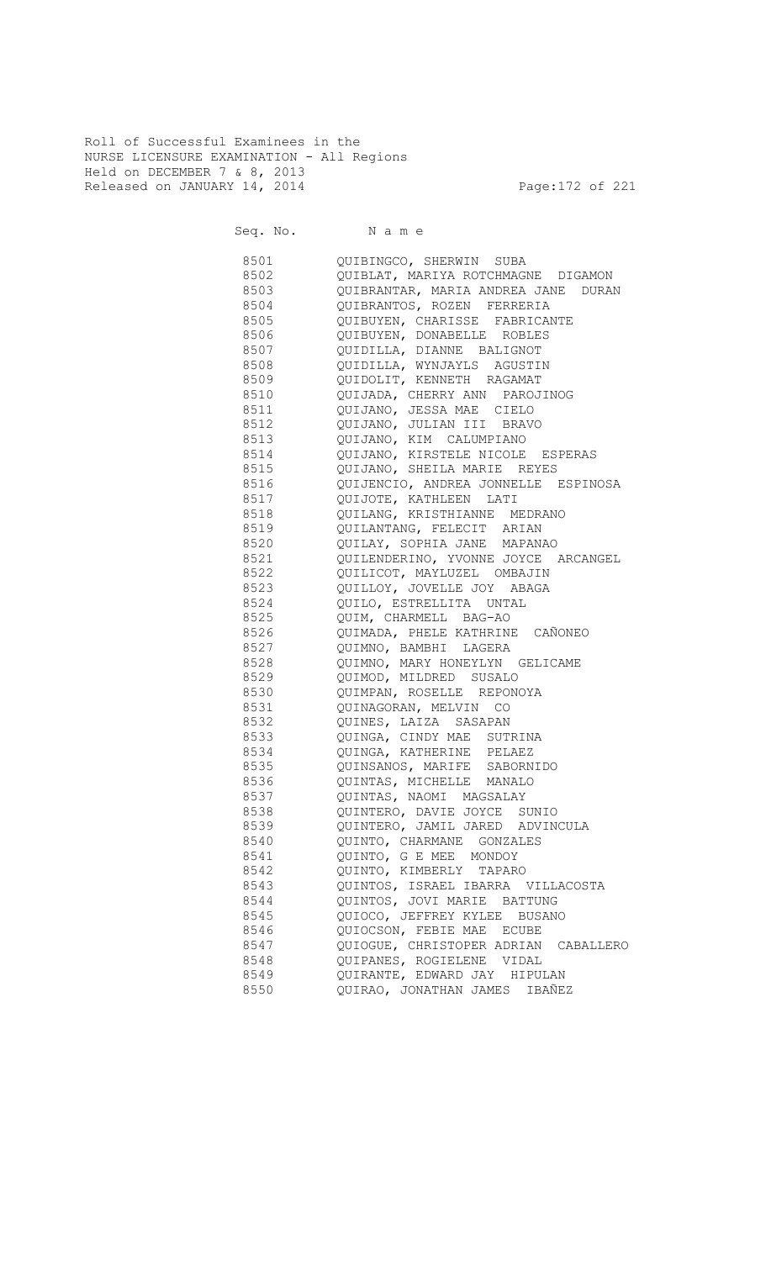Roll of Successful Examinees in the NURSE LICENSURE EXAMINATION - All Regions Held on DECEMBER 7 & 8, 2013 Released on JANUARY 14, 2014 **Page:172 of 221** 

Seq. No. Name

 8501 QUIBINGCO, SHERWIN SUBA 8502 QUIBLAT, MARIYA ROTCHMAGNE DIGAMON 8503 QUIBRANTAR, MARIA ANDREA JANE DURAN 8504 QUIBRANTOS, ROZEN FERRERIA QUIBUYEN, CHARISSE FABRICANTE 8506 QUIBUYEN, DONABELLE ROBLES 8507 QUIDILLA, DIANNE BALIGNOT 8508 QUIDILLA, WYNJAYLS AGUSTIN 8509 QUIDOLIT, KENNETH RAGAMAT 8510 QUIJADA, CHERRY ANN PAROJINOG 8511 QUIJANO, JESSA MAE CIELO 8512 QUIJANO, JULIAN III BRAVO 8513 QUIJANO, KIM CALUMPIANO 8514 QUIJANO, KIRSTELE NICOLE ESPERAS 8515 QUIJANO, SHEILA MARIE REYES 8516 QUIJENCIO, ANDREA JONNELLE ESPINOSA 8517 QUIJOTE, KATHLEEN LATI QUILANG, KRISTHIANNE MEDRANO 8519 QUILANTANG, FELECIT ARIAN 8520 QUILAY, SOPHIA JANE MAPANAO 8521 QUILENDERINO, YVONNE JOYCE ARCANGEL 8522 QUILICOT, MAYLUZEL OMBAJIN 8523 QUILLOY, JOVELLE JOY ABAGA 8524 QUILO, ESTRELLITA UNTAL 8525 QUIM, CHARMELL BAG-AO 8526 QUIMADA, PHELE KATHRINE CAÑONEO 8527 QUIMNO, BAMBHI LAGERA 8528 QUIMNO, MARY HONEYLYN GELICAME 8529 QUIMOD, MILDRED SUSALO 8530 QUIMPAN, ROSELLE REPONOYA 8531 QUINAGORAN, MELVIN CO 8532 QUINES, LAIZA SASAPAN 8533 QUINGA, CINDY MAE SUTRINA 8534 QUINGA, KATHERINE PELAEZ 8535 QUINSANOS, MARIFE SABORNIDO 8536 QUINTAS, MICHELLE MANALO 8537 QUINTAS, NAOMI MAGSALAY 8538 QUINTERO, DAVIE JOYCE SUNIO 8539 QUINTERO, JAMIL JARED ADVINCULA 8540 QUINTO, CHARMANE GONZALES 8541 QUINTO, G E MEE MONDOY 8542 QUINTO, KIMBERLY TAPARO 8543 QUINTOS, ISRAEL IBARRA VILLACOSTA 8544 QUINTOS, JOVI MARIE BATTUNG 8545 QUIOCO, JEFFREY KYLEE BUSANO 8546 QUIOCSON, FEBIE MAE ECUBE 8547 QUIOGUE, CHRISTOPER ADRIAN CABALLERO 8548 QUIPANES, ROGIELENE VIDAL 8549 QUIRANTE, EDWARD JAY HIPULAN 8550 QUIRAO, JONATHAN JAMES IBAÑEZ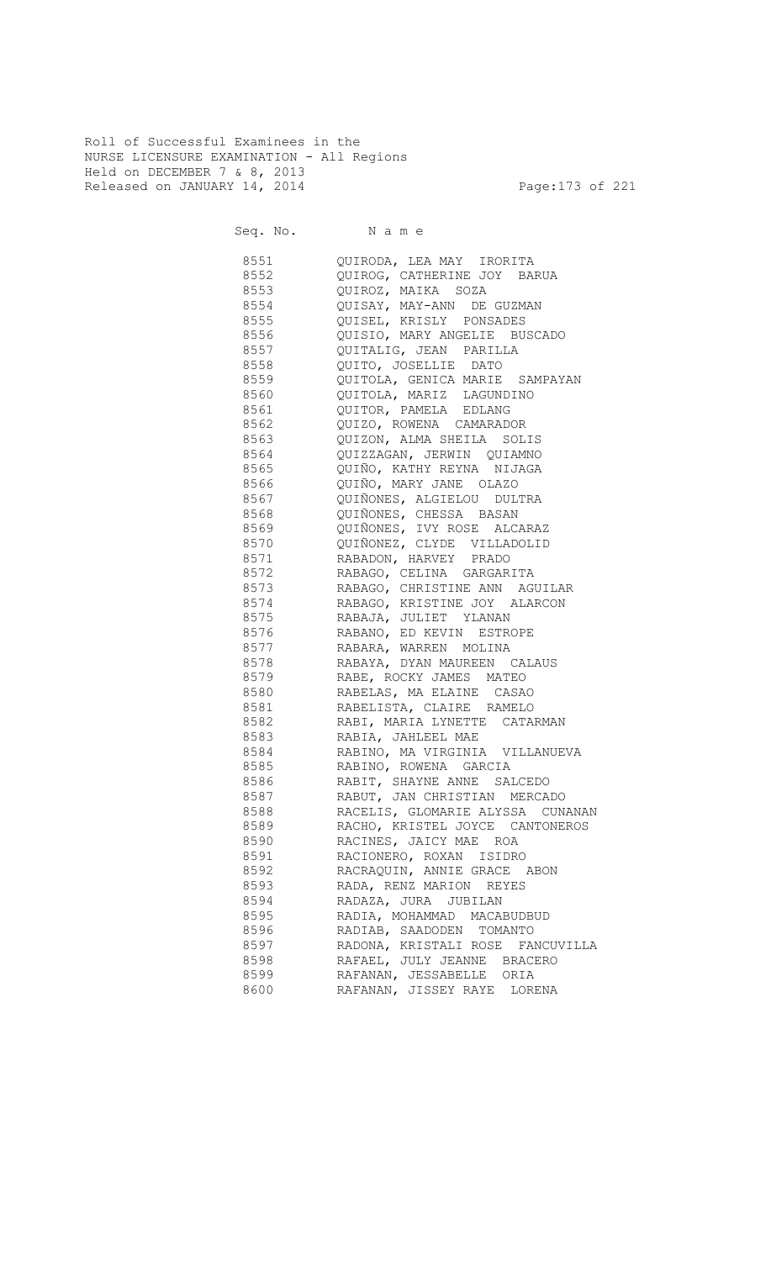Roll of Successful Examinees in the NURSE LICENSURE EXAMINATION - All Regions Held on DECEMBER 7 & 8, 2013 Released on JANUARY 14, 2014 **Page:173** of 221

| 8551 | QUIRODA, LEA MAY IRORITA            |
|------|-------------------------------------|
| 8552 | QUIROG, CATHERINE JOY BARUA         |
| 8553 | QUIROZ, MAIKA SOZA                  |
| 8554 | QUISAY, MAY-ANN DE GUZMAN           |
| 8555 | QUISEL, KRISLY PONSADES             |
| 8556 | QUISIO, MARY ANGELIE BUSCADO        |
| 8557 | QUITALIG, JEAN PARILLA              |
| 8558 | QUITO, JOSELLIE DATO                |
| 8559 | QUITOLA, GENICA MARIE SAMPAYAN      |
| 8560 | QUITOLA, MARIZ LAGUNDINO            |
| 8561 | QUITOR, PAMELA EDLANG               |
| 8562 | QUIZO, ROWENA CAMARADOR             |
| 8563 | QUIZON, ALMA SHEILA SOLIS           |
| 8564 | QUIZZAGAN, JERWIN QUIAMNO           |
| 8565 | QUIÑO, KATHY REYNA NIJAGA           |
| 8566 | QUIÑO, MARY JANE OLAZO              |
| 8567 | QUIÑONES, ALGIELOU DULTRA           |
| 8568 | QUIÑONES, CHESSA BASAN              |
| 8569 | QUIÑONES, IVY ROSE ALCARAZ          |
| 8570 | QUIÑONEZ, CLYDE VILLADOLID          |
| 8571 | RABADON, HARVEY PRADO               |
| 8572 | RABAGO, CELINA GARGARITA            |
| 8573 | RABAGO, CHRISTINE ANN AGUILAR       |
| 8574 | RABAGO, KRISTINE JOY ALARCON        |
| 8575 | RABAJA, JULIET YLANAN               |
| 8576 | RABANO, ED KEVIN ESTROPE            |
| 8577 | RABARA, WARREN MOLINA               |
| 8578 | RABAYA, DYAN MAUREEN CALAUS         |
|      | 8579 RABE, ROCKY JAMES MATEO        |
|      | 8580 RABELAS, MA ELAINE CASAO       |
|      | 8581 RABELISTA, CLAIRE RAMELO       |
|      | 8582 RABI, MARIA LYNETTE CATARMAN   |
|      | 8583 RABIA, JAHLEEL MAE             |
|      | 8584 RABINO, MA VIRGINIA VILLANUEVA |
|      | 8585 RABINO, ROWENA GARCIA          |
|      | 8586 RABIT, SHAYNE ANNE SALCEDO     |
| 8587 | RABUT, JAN CHRISTIAN MERCADO        |
| 8588 | RACELIS, GLOMARIE ALYSSA CUNANAN    |
| 8589 | RACHO, KRISTEL JOYCE CANTONEROS     |
| 8590 | RACINES, JAICY MAE ROA              |
| 8591 | RACIONERO, ROXAN ISIDRO             |
| 8592 | RACRAQUIN, ANNIE GRACE ABON         |
|      |                                     |
| 8593 | RADA, RENZ MARION REYES             |
| 8594 | RADAZA, JURA JUBILAN                |
| 8595 | RADIA, MOHAMMAD MACABUDBUD          |
| 8596 | RADIAB, SAADODEN TOMANTO            |
| 8597 | RADONA, KRISTALI ROSE FANCUVILLA    |
| 8598 | RAFAEL, JULY JEANNE BRACERO         |
| 8599 | RAFANAN, JESSABELLE ORIA            |
| 8600 | RAFANAN, JISSEY RAYE LORENA         |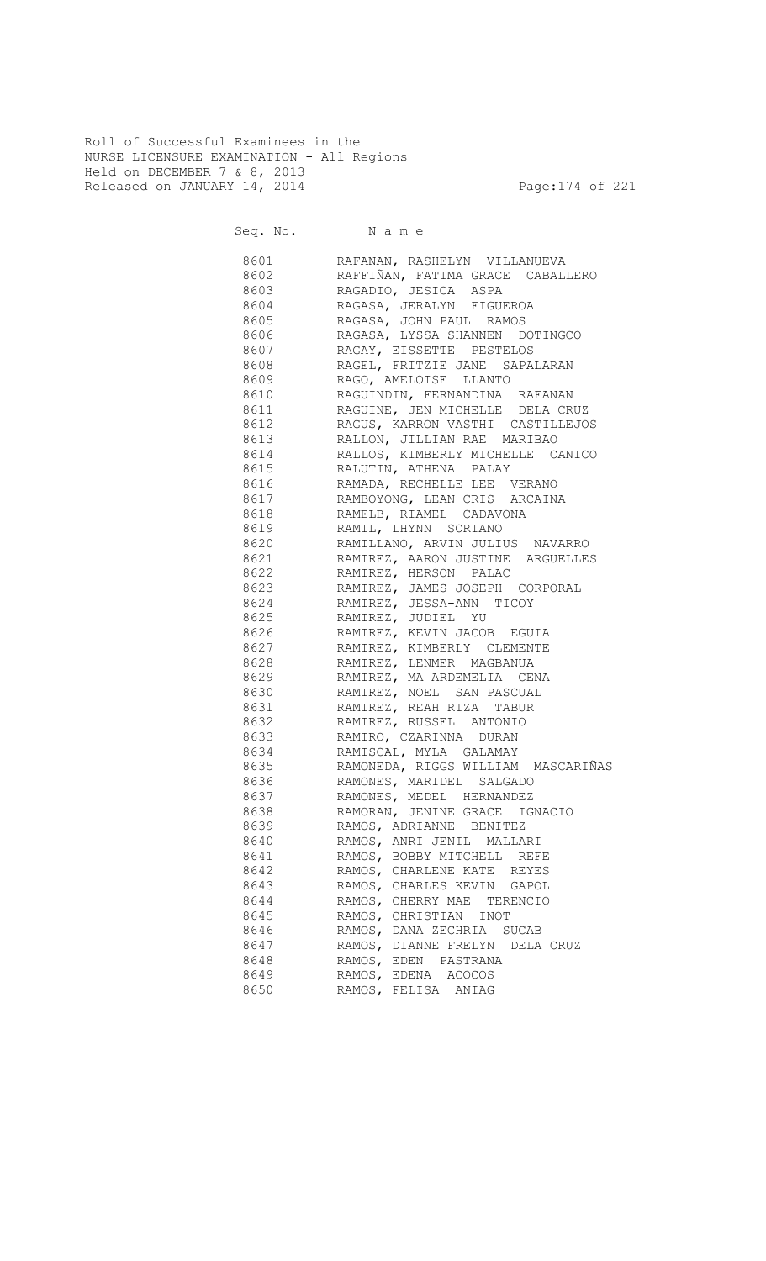Roll of Successful Examinees in the NURSE LICENSURE EXAMINATION - All Regions Held on DECEMBER 7 & 8, 2013 Released on JANUARY 14, 2014 **Page:174 of 221** 

Seq. No. Name 8601 RAFANAN, RASHELYN VILLANUEVA 8602 RAFFIÑAN, FATIMA GRACE CABALLERO 8603 RAGADIO, JESICA ASPA 8604 RAGASA, JERALYN FIGUEROA RAGASA, JOHN PAUL RAMOS 8606 RAGASA, LYSSA SHANNEN DOTINGCO 8607 RAGAY, EISSETTE PESTELOS 8608 RAGEL, FRITZIE JANE SAPALARAN 8609 RAGO, AMELOISE LLANTO 8610 RAGUINDIN, FERNANDINA RAFANAN 8611 RAGUINE, JEN MICHELLE DELA CRUZ 8612 RAGUS, KARRON VASTHI CASTILLEJOS 8613 RALLON, JILLIAN RAE MARIBAO 8614 RALLOS, KIMBERLY MICHELLE CANICO 8615 RALUTIN, ATHENA PALAY 8616 RAMADA, RECHELLE LEE VERANO 8617 RAMBOYONG, LEAN CRIS ARCAINA RAMELB, RIAMEL CADAVONA 8619 RAMIL, LHYNN SORIANO 8620 RAMILLANO, ARVIN JULIUS NAVARRO 8621 RAMIREZ, AARON JUSTINE ARGUELLES 8622 RAMIREZ, HERSON PALAC 8623 RAMIREZ, JAMES JOSEPH CORPORAL 8624 RAMIREZ, JESSA-ANN TICOY 8625 RAMIREZ, JUDIEL YU 8626 RAMIREZ, KEVIN JACOB EGUIA 8627 RAMIREZ, KIMBERLY CLEMENTE 8628 RAMIREZ, LENMER MAGBANUA 8629 RAMIREZ, MA ARDEMELIA CENA 8630 RAMIREZ, NOEL SAN PASCUAL 8631 RAMIREZ, REAH RIZA TABUR 8632 RAMIREZ, RUSSEL ANTONIO 8633 RAMIRO, CZARINNA DURAN 8634 RAMISCAL, MYLA GALAMAY 8635 RAMONEDA, RIGGS WILLIAM MASCARIÑAS 8636 RAMONES, MARIDEL SALGADO 8637 RAMONES, MEDEL HERNANDEZ 8638 RAMORAN, JENINE GRACE IGNACIO 8639 RAMOS, ADRIANNE BENITEZ 8640 RAMOS, ANRI JENIL MALLARI 8641 RAMOS, BOBBY MITCHELL REFE 8642 RAMOS, CHARLENE KATE REYES 8643 RAMOS, CHARLES KEVIN GAPOL 8644 RAMOS, CHERRY MAE TERENCIO 8645 RAMOS, CHRISTIAN INOT 8646 RAMOS, DANA ZECHRIA SUCAB 8647 RAMOS, DIANNE FRELYN DELA CRUZ 8648 RAMOS, EDEN PASTRANA 8649 RAMOS, EDENA ACOCOS 8650 RAMOS, FELISA ANIAG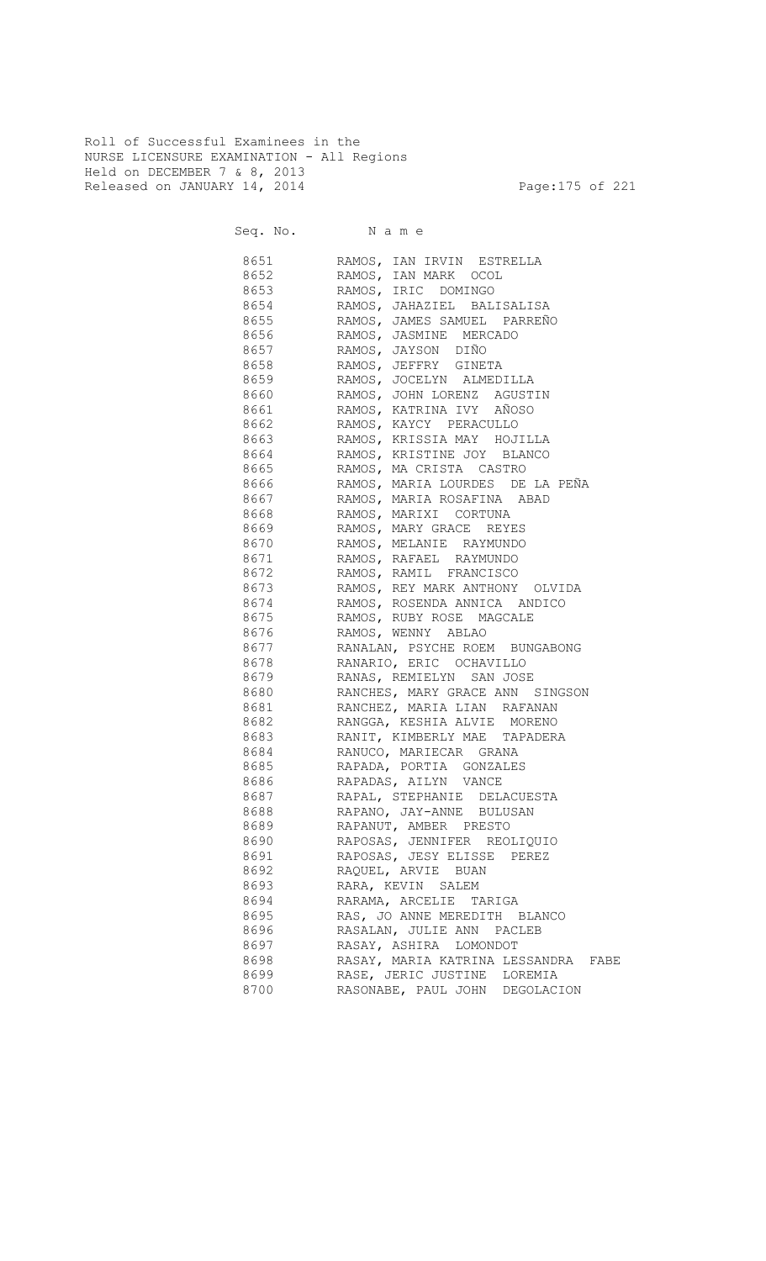Roll of Successful Examinees in the NURSE LICENSURE EXAMINATION - All Regions Held on DECEMBER 7 & 8, 2013 Released on JANUARY 14, 2014 **Page:175 of 221** 

| 8651 300 | RAMOS, IAN IRVIN ESTRELLA                               |
|----------|---------------------------------------------------------|
| 8652     | RAMOS, IAN MARK OCOL                                    |
| 8653     | RAMOS, IRIC DOMINGO                                     |
| 8654     | RAMOS, JAHAZIEL BALISALISA                              |
| 8655     | RAMOS, JAMES SAMUEL PARREÑO                             |
| 8656     | RAMOS, JASMINE MERCADO                                  |
| 8657     | RAMOS, JAYSON DIÑO                                      |
| 8658     | RAMOS, JEFFRY GINETA                                    |
| 8659     | RAMOS, JOCELYN ALMEDILLA                                |
|          | 8660 RAMOS, JOHN LORENZ AGUSTIN                         |
|          | 8661 RAMOS, KATRINA IVY AÑOSO                           |
|          | 8662 RAMOS, KAYCY PERACULLO                             |
|          | 8663 RAMOS, KRISSIA MAY HOJILLA                         |
|          | 8664 RAMOS, KRISTINE JOY BLANCO                         |
|          | 8665 RAMOS, MA CRISTA CASTRO                            |
|          | 8666                RAMOS,  MARIA LOURDES   DE LA  PEÑA |
|          | 8667 RAMOS, MARIA ROSAFINA ABAD                         |
|          | 8668 RAMOS, MARIXI CORTUNA                              |
|          | 8669 RAMOS, MARY GRACE REYES                            |
|          | 8670 RAMOS, MELANIE RAYMUNDO                            |
|          | 8671 RAMOS, RAFAEL RAYMUNDO                             |
|          | 8672 RAMOS, RAMIL FRANCISCO                             |
|          | 8673 RAMOS, REY MARK ANTHONY OLVIDA                     |
|          |                                                         |
|          | 8675 RAMOS, RUBY ROSE MAGCALE                           |
|          |                                                         |
| 8677     | RANALAN, PSYCHE ROEM BUNGABONG                          |
| 8678     | RANARIO, ERIC OCHAVILLO                                 |
|          |                                                         |
| 8680     | RANCHES, MARY GRACE ANN SINGSON                         |
|          | 8681 RANCHEZ, MARIA LIAN RAFANAN                        |
|          | 8682 RANGGA, KESHIA ALVIE MORENO                        |
|          | 8683 RANIT, KIMBERLY MAE TAPADERA                       |
|          | 8684 RANUCO, MARIECAR GRANA                             |
|          | 8685 RAPADA, PORTIA GONZALES                            |
| 8686     | RAPADAS, AILYN VANCE                                    |
| 8687     | RAPAL, STEPHANIE<br>DELACUESTA                          |
| 8688     | RAPANO, JAY-ANNE BULUSAN                                |
| 8689     | RAPANUT, AMBER PRESTO                                   |
| 8690     | RAPOSAS, JENNIFER REOLIQUIO                             |
| 8691     | RAPOSAS, JESY ELISSE<br>PEREZ                           |
| 8692     | RAQUEL, ARVIE BUAN                                      |
| 8693     | RARA, KEVIN SALEM                                       |
| 8694     | RARAMA, ARCELIE TARIGA                                  |
| 8695     | RAS, JO ANNE MEREDITH BLANCO                            |
| 8696     | RASALAN, JULIE ANN PACLEB                               |
| 8697     | RASAY, ASHIRA LOMONDOT                                  |
| 8698     | RASAY, MARIA KATRINA LESSANDRA<br>FABE                  |
| 8699     | RASE, JERIC JUSTINE LOREMIA                             |
| 8700     | RASONABE, PAUL JOHN DEGOLACION                          |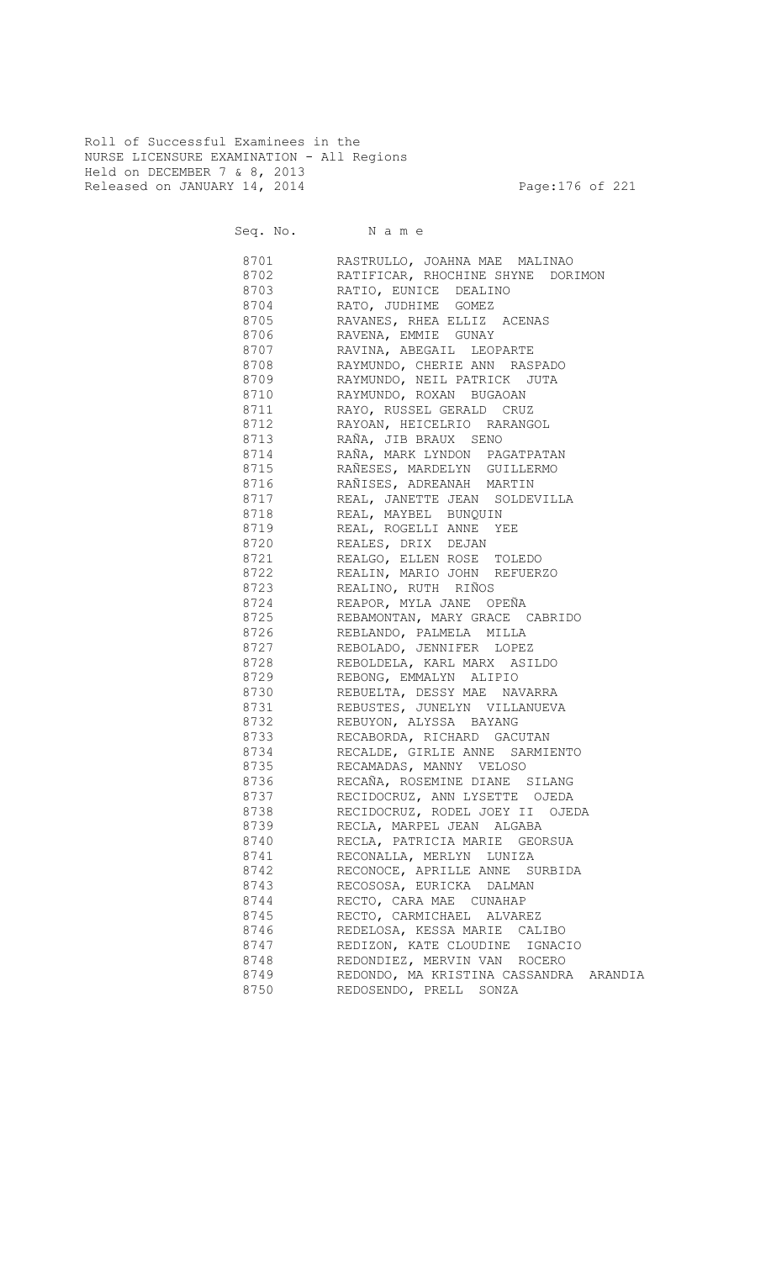Roll of Successful Examinees in the NURSE LICENSURE EXAMINATION - All Regions Held on DECEMBER 7 & 8, 2013 Released on JANUARY 14, 2014 **Page:176 of 221** 

Seq. No. Name 8701 RASTRULLO, JOAHNA MAE MALINAO 8702 RATIFICAR, RHOCHINE SHYNE DORIMON 8703 RATIO, EUNICE DEALINO 8704 RATO, JUDHIME GOMEZ RAVANES, RHEA ELLIZ ACENAS 8706 RAVENA, EMMIE GUNAY 8707 RAVINA, ABEGAIL LEOPARTE 8708 RAYMUNDO, CHERIE ANN RASPADO 8709 RAYMUNDO, NEIL PATRICK JUTA 8710 RAYMUNDO, ROXAN BUGAOAN 8711 RAYO, RUSSEL GERALD CRUZ 8712 RAYOAN, HEICELRIO RARANGOL 8713 RAÑA, JIB BRAUX SENO 8714 RAÑA, MARK LYNDON PAGATPATAN 8715 RAÑESES, MARDELYN GUILLERMO 8716 RAÑISES, ADREANAH MARTIN 8717 REAL, JANETTE JEAN SOLDEVILLA 8718 REAL, MAYBEL BUNQUIN 8719 REAL, ROGELLI ANNE YEE 8720 REALES, DRIX DEJAN 8721 REALGO, ELLEN ROSE TOLEDO 8722 REALIN, MARIO JOHN REFUERZO 8723 REALINO, RUTH RIÑOS 8724 REAPOR, MYLA JANE OPEÑA<br>8725 REBAMONTAN, MARY GRACE ( REBAMONTAN, MARY GRACE CABRIDO 8726 REBLANDO, PALMELA MILLA 8727 REBOLADO, JENNIFER LOPEZ 8728 REBOLDELA, KARL MARX ASILDO 8729 REBONG, EMMALYN ALIPIO 8730 REBUELTA, DESSY MAE NAVARRA 8731 REBUSTES, JUNELYN VILLANUEVA 8732 REBUYON, ALYSSA BAYANG<br>8733 RECABORDA, RICHARD GACI RECABORDA, RICHARD GACUTAN 8734 RECALDE, GIRLIE ANNE SARMIENTO 8735 RECAMADAS, MANNY VELOSO 8736 RECAÑA, ROSEMINE DIANE SILANG 8737 RECIDOCRUZ, ANN LYSETTE OJEDA<br>8738 RECIDOCRUZ, RODEL JOEY II OJE RECIDOCRUZ, RODEL JOEY II OJEDA 8739 RECLA, MARPEL JEAN ALGABA 8740 RECLA, PATRICIA MARIE GEORSUA 8741 RECONALLA, MERLYN LUNIZA 8742 RECONOCE, APRILLE ANNE SURBIDA 8743 RECOSOSA, EURICKA DALMAN 8744 RECTO, CARA MAE CUNAHAP 8745 RECTO, CARMICHAEL ALVAREZ<br>8746 REDELOSA, KESSA MARIE CAL REDELOSA, KESSA MARIE CALIBO 8747 REDIZON, KATE CLOUDINE IGNACIO 8748 REDONDIEZ, MERVIN VAN ROCERO 8749 REDONDO, MA KRISTINA CASSANDRA ARANDIA<br>8750 REDOSENDO, PRELL SONZA REDOSENDO, PRELL SONZA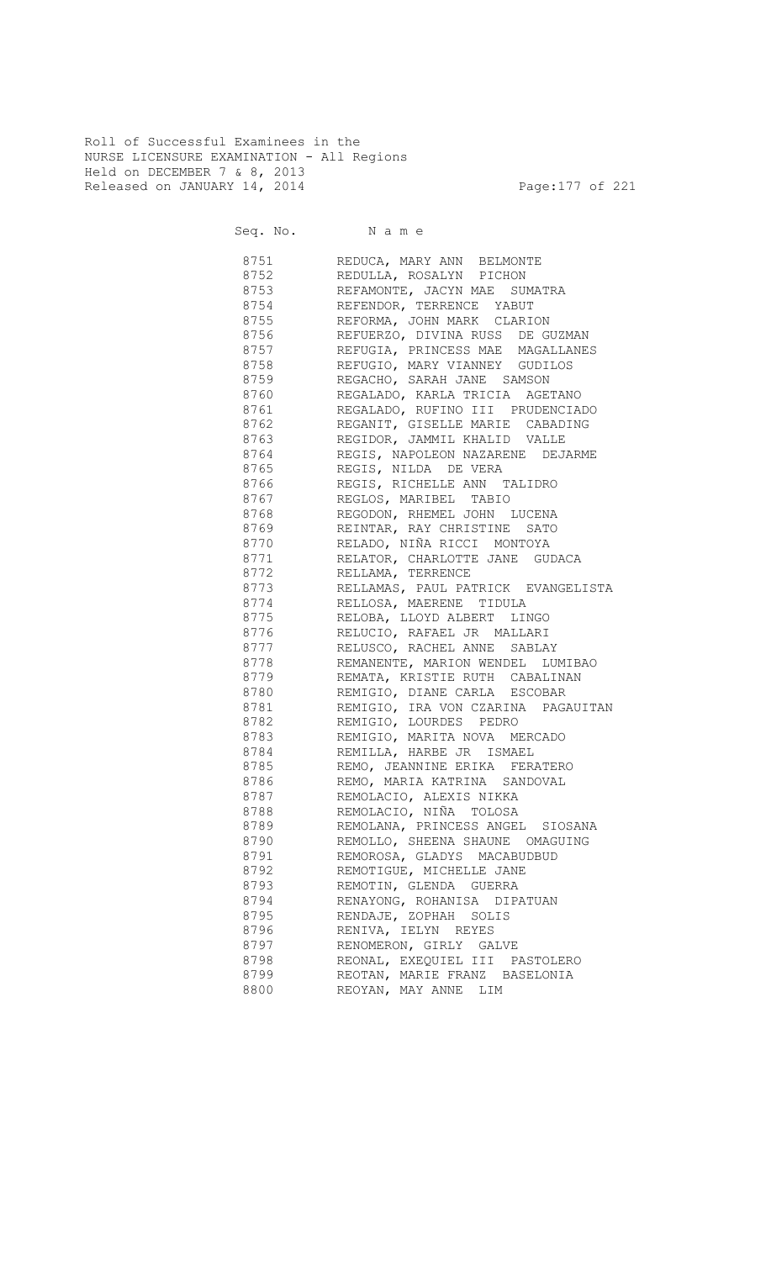Roll of Successful Examinees in the NURSE LICENSURE EXAMINATION - All Regions Held on DECEMBER 7 & 8, 2013 Released on JANUARY 14, 2014 **Page:177** of 221

Seq. No. Name 8751 REDUCA, MARY ANN BELMONTE 8752 REDULLA, ROSALYN PICHON 8753 REFAMONTE, JACYN MAE SUMATRA 8754 REFENDOR, TERRENCE YABUT REFORMA, JOHN MARK CLARION 8756 REFUERZO, DIVINA RUSS DE GUZMAN 8757 REFUGIA, PRINCESS MAE MAGALLANES 8758 REFUGIO, MARY VIANNEY GUDILOS 8759 REGACHO, SARAH JANE SAMSON 8760 REGALADO, KARLA TRICIA AGETANO<br>8761 REGALADO, RUFINO III PRUDENCIA 8761 REGALADO, RUFINO III PRUDENCIADO<br>8762 REGANIT, GISELLE MARIE CABADING REGANIT, GISELLE MARIE CABADING 8763 REGIDOR, JAMMIL KHALID VALLE 8764 REGIS, NAPOLEON NAZARENE DEJARME 8765 REGIS, NILDA DE VERA 8766 REGIS, RICHELLE ANN TALIDRO 8767 REGLOS, MARIBEL TABIO 8768 REGODON, RHEMEL JOHN LUCENA 8769 REINTAR, RAY CHRISTINE SATO 8770 RELADO, NIÑA RICCI MONTOYA 8771 RELATOR, CHARLOTTE JANE GUDACA 8772 RELLAMA, TERRENCE 8773 RELLAMAS, PAUL PATRICK EVANGELISTA<br>8774 RELLOSA, MAERENE TIDULA 8774 RELLOSA, MAERENE TIDULA<br>8775 RELOBA, LLOYD ALBERT LIN RELOBA, LLOYD ALBERT LINGO 8776 RELUCIO, RAFAEL JR MALLARI 8777 RELUSCO, RACHEL ANNE SABLAY 8778 REMANENTE, MARION WENDEL LUMIBAO REMATA, KRISTIE RUTH CABALINAN 8780 REMIGIO, DIANE CARLA ESCOBAR 8781 REMIGIO, IRA VON CZARINA PAGAUITAN 8782 REMIGIO, LOURDES PEDRO 8783 REMIGIO, MARITA NOVA MERCADO 8784 REMILLA, HARBE JR ISMAEL 8785 REMO, JEANNINE ERIKA FERATERO 8786 REMO, MARIA KATRINA SANDOVAL 8787 REMOLACIO, ALEXIS NIKKA REMOLACIO, NIÑA TOLOSA 8789 REMOLANA, PRINCESS ANGEL SIOSANA 8790 REMOLLO, SHEENA SHAUNE OMAGUING 8791 REMOROSA, GLADYS MACABUDBUD 8792 REMOTIGUE, MICHELLE JANE 8793 REMOTIN, GLENDA GUERRA 8794 RENAYONG, ROHANISA DIPATUAN

8795 RENDAJE, ZOPHAH SOLIS<br>8796 RENIVA, IELYN REYES RENIVA, IELYN REYES 8797 RENOMERON, GIRLY GALVE 8798 REONAL, EXEQUIEL III PASTOLERO 8799 REOTAN, MARIE FRANZ BASELONIA 8800 REOYAN, MAY ANNE LIM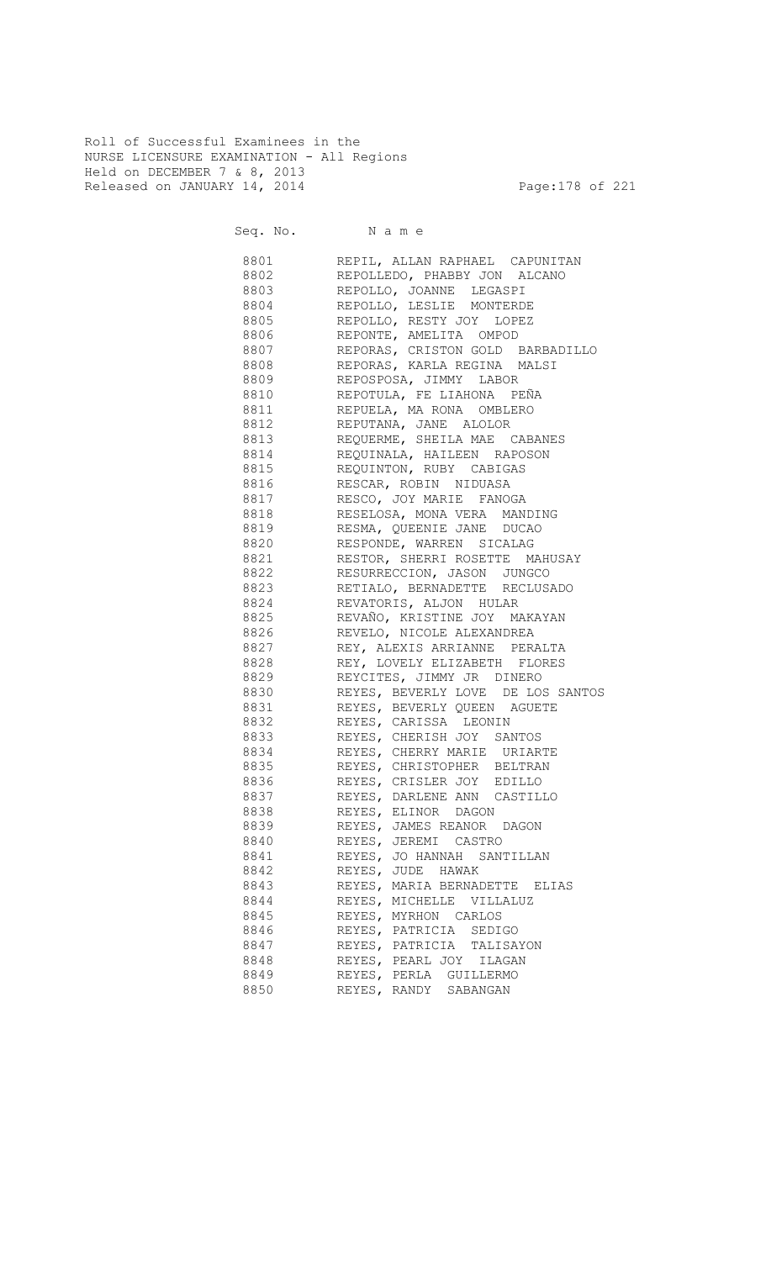Roll of Successful Examinees in the NURSE LICENSURE EXAMINATION - All Regions Held on DECEMBER 7 & 8, 2013 Released on JANUARY 14, 2014 **Page:178 of 221** 

Seq. No. Name

 8801 REPIL, ALLAN RAPHAEL CAPUNITAN 8802 REPOLLEDO, PHABBY JON ALCANO 8803 REPOLLO, JOANNE LEGASPI 8804 REPOLLO, LESLIE MONTERDE<br>8805 REPOLLO, RESTY JOY LOPEZ 8805 REPOLLO, RESTY JOY LOPEZ 8806 REPONTE, AMELITA OMPOD 8807 REPORAS, CRISTON GOLD BARBADILLO 8808 REPORAS, KARLA REGINA MALSI 8809 REPOSPOSA, JIMMY LABOR 8810 REPOTULA, FE LIAHONA PEÑA 8811 REPUELA, MA RONA OMBLERO 8812 REPUTANA, JANE ALOLOR 8813 REQUERME, SHEILA MAE CABANES 8814 REQUINALA, HAILEEN RAPOSON **8815** REQUINTON, RUBY CABIGAS 8816 RESCAR, ROBIN NIDUASA 8817 RESCO, JOY MARIE FANOGA RESELOSA, MONA VERA MANDING 8819 RESMA, QUEENIE JANE DUCAO 8820 RESPONDE, WARREN SICALAG 8821 RESTOR, SHERRI ROSETTE MAHUSAY 8822 RESURRECCION, JASON JUNGCO 8823 RETIALO, BERNADETTE RECLUSADO 8824 REVATORIS, ALJON HULAR 8825 REVAÑO, KRISTINE JOY MAKAYAN 8826 REVELO, NICOLE ALEXANDREA 8827 REY, ALEXIS ARRIANNE PERALTA 8828 REY, LOVELY ELIZABETH FLORES 8829 REYCITES, JIMMY JR DINERO 8830 REYES, BEVERLY LOVE DE LOS SANTOS 8831 REYES, BEVERLY QUEEN AGUETE **8832** REYES, CARISSA LEONIN 8833 REYES, CHERISH JOY SANTOS 8834 REYES, CHERRY MARIE URIARTE 8835 REYES, CHRISTOPHER BELTRAN 8836 REYES, CRISLER JOY EDILLO 8837 REYES, DARLENE ANN CASTILLO 8838 REYES, ELINOR DAGON 8839 REYES, JAMES REANOR DAGON 8840 REYES, JEREMI CASTRO 8841 REYES, JO HANNAH SANTILLAN 8842 REYES, JUDE HAWAK 8843 REYES, MARIA BERNADETTE ELIAS 8844 REYES, MICHELLE VILLALUZ 8845 REYES, MYRHON CARLOS 8846 REYES, PATRICIA SEDIGO 8847 REYES, PATRICIA TALISAYON 8848 REYES, PEARL JOY ILAGAN 8849 REYES, PERLA GUILLERMO 8850 REYES, RANDY SABANGAN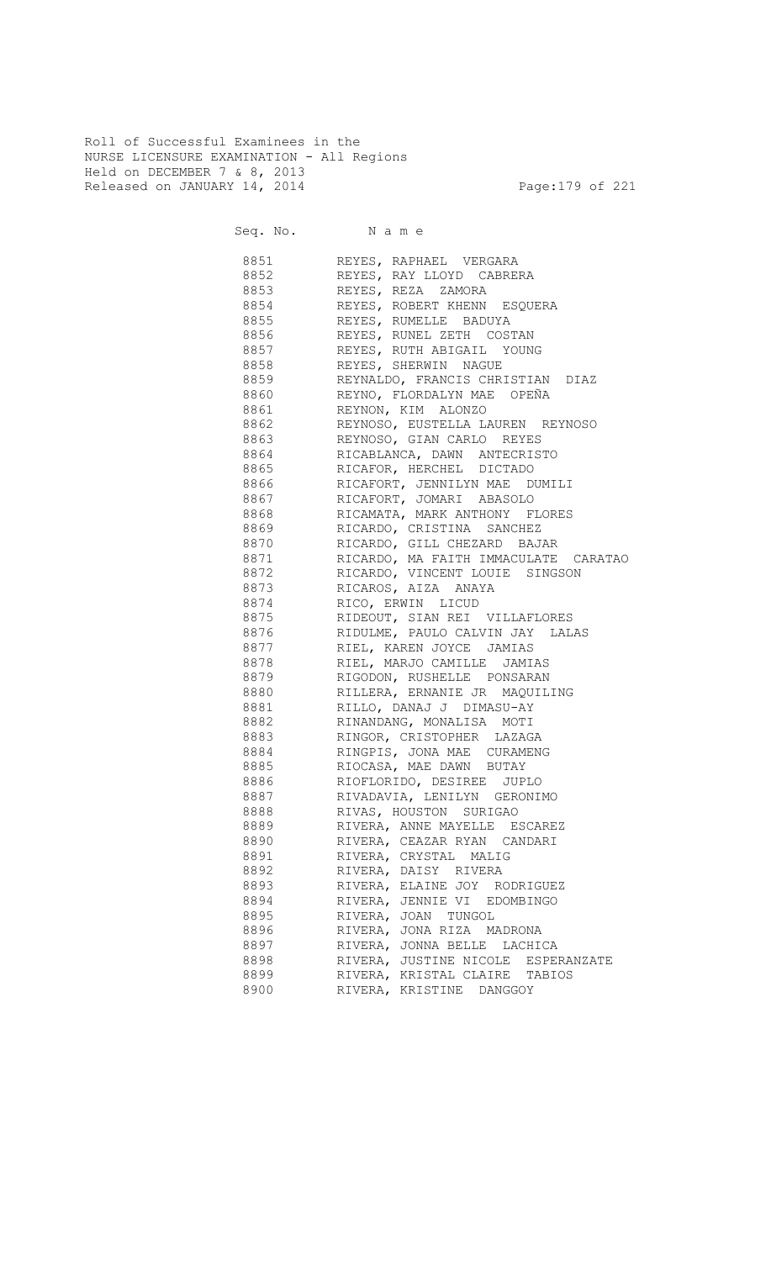Roll of Successful Examinees in the NURSE LICENSURE EXAMINATION - All Regions Held on DECEMBER 7 & 8, 2013 Released on JANUARY 14, 2014 **Page:179 of 221** 

Seq. No. Name 8851 REYES, RAPHAEL VERGARA 8852 REYES, RAY LLOYD CABRERA 8853 REYES, REZA ZAMORA 8854 REYES, ROBERT KHENN ESQUERA **8855** REYES, RUMELLE BADUYA 8856 REYES, RUNEL ZETH COSTAN 8857 REYES, RUTH ABIGAIL YOUNG 8858 REYES, SHERWIN NAGUE 8859 REYNALDO, FRANCIS CHRISTIAN DIAZ 8860 REYNO, FLORDALYN MAE OPEÑA eccce<br>8861 REYNON, KIM ALONZO<br>8862 REYNOSO, EUSTELLA LA REYNOSO, EUSTELLA LAUREN REYNOSO 8863 REYNOSO, GIAN CARLO REYES 8864 RICABLANCA, DAWN ANTECRISTO **8865** RICAFOR, HERCHEL DICTADO 8866 RICAFORT, JENNILYN MAE DUMILI 8867 RICAFORT, JOMARI ABASOLO RICAMATA, MARK ANTHONY FLORES 8869 RICARDO, CRISTINA SANCHEZ<br>8870 RICARDO, GILL CHEZARD BAJ RICARDO, GILL CHEZARD BAJAR 8871 RICARDO, MA FAITH IMMACULATE CARATAO **8872** RICARDO, VINCENT LOUIE SINGSON 8873 RICAROS, AIZA ANAYA 8874 RICO, ERWIN LICUD<br>8875 RIDEOUT, SIAN REI 8875 RIDEOUT, SIAN REI VILLAFLORES 8876 RIDULME, PAULO CALVIN JAY LALAS

| 8877 — 100 | RIEL, KAREN JOYCE JAMIAS           |
|------------|------------------------------------|
| 8878 — 100 | RIEL, MARJO CAMILLE JAMIAS         |
| 8879 — 100 | RIGODON, RUSHELLE PONSARAN         |
| 8880       | RILLERA, ERNANIE JR MAQUILING      |
| 8881       | RILLO, DANAJ J DIMASU-AY           |
| 8882       | RINANDANG, MONALISA MOTI           |
|            | 8883 RINGOR, CRISTOPHER LAZAGA     |
|            | RINGPIS, JONA MAE CURAMENG         |
|            | 8885 RIOCASA, MAE DAWN BUTAY       |
|            | 8886 RIOFLORIDO, DESIREE JUPLO     |
|            | 8887 RIVADAVIA, LENILYN GERONIMO   |
|            | 8888 RIVAS, HOUSTON SURIGAO        |
|            | 8889 RIVERA, ANNE MAYELLE ESCAREZ  |
|            | 8890 RIVERA, CEAZAR RYAN CANDARI   |
|            | 8891 RIVERA, CRYSTAL MALIG         |
| 8892       | RIVERA, DAISY RIVERA               |
|            | 8893 RIVERA, ELAINE JOY RODRIGUEZ  |
|            | 8894 RIVERA, JENNIE VI EDOMBINGO   |
|            | RIVERA, JOAN TUNGOL                |
| 8896 1880  | RIVERA, JONA RIZA MADRONA          |
|            | 8897 RIVERA, JONNA BELLE LACHICA   |
| 8898 88    | RIVERA, JUSTINE NICOLE ESPERANZATE |
|            | RIVERA, KRISTAL CLAIRE TABIOS      |

8900 RIVERA, KRISTINE DANGGOY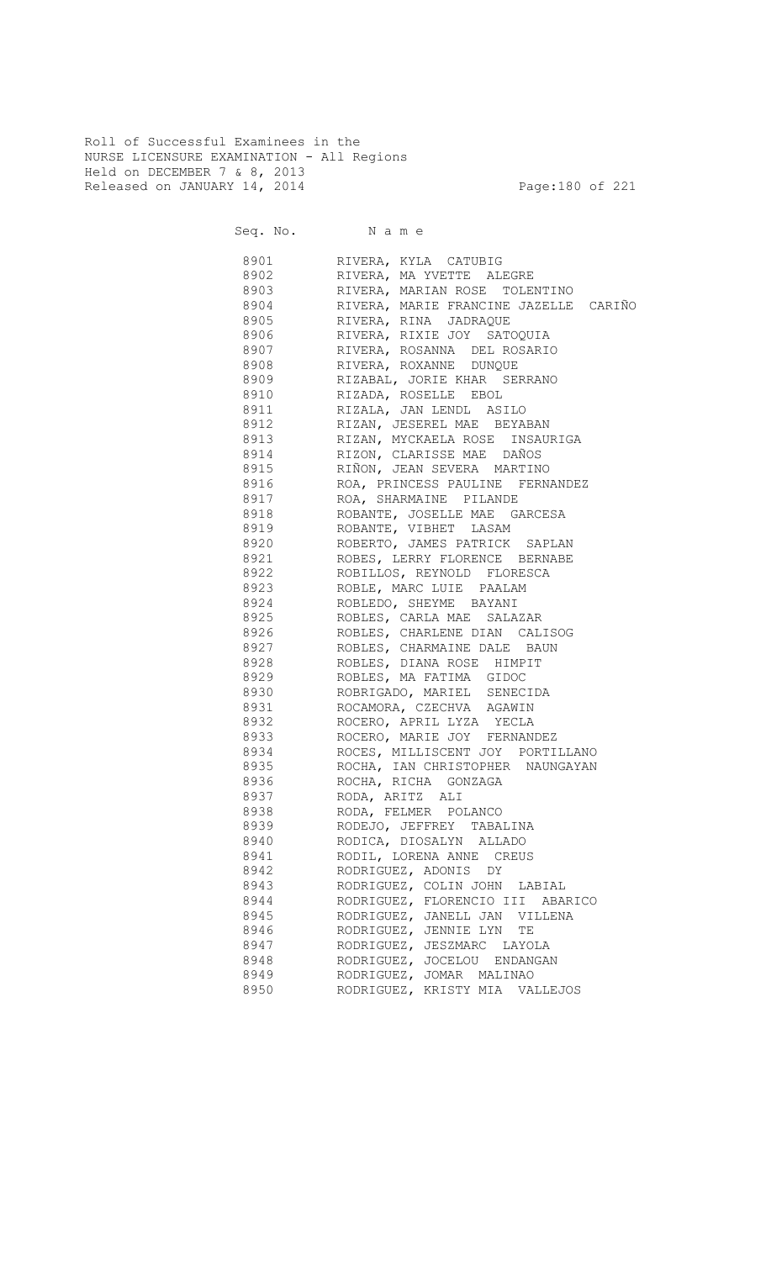Roll of Successful Examinees in the NURSE LICENSURE EXAMINATION - All Regions Held on DECEMBER 7 & 8, 2013 Released on JANUARY 14, 2014 **Page:180** of 221

| 8901 | RIVERA, KYLA CATUBIG                  |
|------|---------------------------------------|
| 8902 | RIVERA, MA YVETTE ALEGRE              |
| 8903 | RIVERA, MARIAN ROSE TOLENTINO         |
| 8904 | RIVERA, MARIE FRANCINE JAZELLE CARIÑO |
| 8905 | RIVERA, RINA JADRAQUE                 |
| 8906 | RIVERA, RIXIE JOY SATOQUIA            |
| 8907 | RIVERA, ROSANNA DEL ROSARIO           |
| 8908 | RIVERA, ROXANNE DUNQUE                |
| 8909 | RIZABAL, JORIE KHAR SERRANO           |
| 8910 | RIZADA, ROSELLE EBOL                  |
| 8911 | RIZALA, JAN LENDL ASILO               |
| 8912 | RIZAN, JESEREL MAE BEYABAN            |
| 8913 | RIZAN, MYCKAELA ROSE INSAURIGA        |
| 8914 | RIZON, CLARISSE MAE DAÑOS             |
| 8915 | RIÑON, JEAN SEVERA MARTINO            |
| 8916 | ROA, PRINCESS PAULINE FERNANDEZ       |
| 8917 | ROA, SHARMAINE PILANDE                |
| 8918 | ROBANTE, JOSELLE MAE GARCESA          |
| 8919 | ROBANTE, VIBHET LASAM                 |
| 8920 | ROBERTO, JAMES PATRICK SAPLAN         |
| 8921 | ROBES, LERRY FLORENCE BERNABE         |
| 8922 | ROBILLOS, REYNOLD FLORESCA            |
| 8923 | ROBLE, MARC LUIE PAALAM               |
| 8924 | ROBLEDO, SHEYME BAYANI                |
| 8925 | ROBLES, CARLA MAE SALAZAR             |
| 8926 | ROBLES, CHARLENE DIAN CALISOG         |
| 8927 | ROBLES, CHARMAINE DALE BAUN           |
| 8928 | ROBLES, DIANA ROSE HIMPIT             |
| 8929 | ROBLES, MA FATIMA GIDOC               |
| 8930 | ROBRIGADO, MARIEL SENECIDA            |
| 8931 | ROCAMORA, CZECHVA AGAWIN              |
| 8932 | ROCERO, APRIL LYZA YECLA              |
| 8933 | ROCERO, MARIE JOY FERNANDEZ           |
| 8934 | ROCES, MILLISCENT JOY PORTILLANO      |
| 8935 | ROCHA, IAN CHRISTOPHER NAUNGAYAN      |
| 8936 | ROCHA, RICHA GONZAGA                  |
| 8937 | RODA, ARITZ ALI                       |
| 8938 | RODA, FELMER POLANCO                  |
| 8939 | RODEJO, JEFFREY TABALINA              |
| 8940 | RODICA, DIOSALYN ALLADO               |
| 8941 | RODIL, LORENA ANNE CREUS              |
| 8942 | RODRIGUEZ, ADONIS DY                  |
| 8943 | RODRIGUEZ, COLIN JOHN LABIAL          |
| 8944 | RODRIGUEZ, FLORENCIO III ABARICO      |
| 8945 | RODRIGUEZ, JANELL JAN VILLENA         |
| 8946 | RODRIGUEZ, JENNIE LYN<br>TΕ           |
| 8947 | RODRIGUEZ, JESZMARC LAYOLA            |
| 8948 | RODRIGUEZ, JOCELOU ENDANGAN           |
| 8949 | RODRIGUEZ, JOMAR MALINAO              |
| 8950 | RODRIGUEZ, KRISTY MIA VALLEJOS        |
|      |                                       |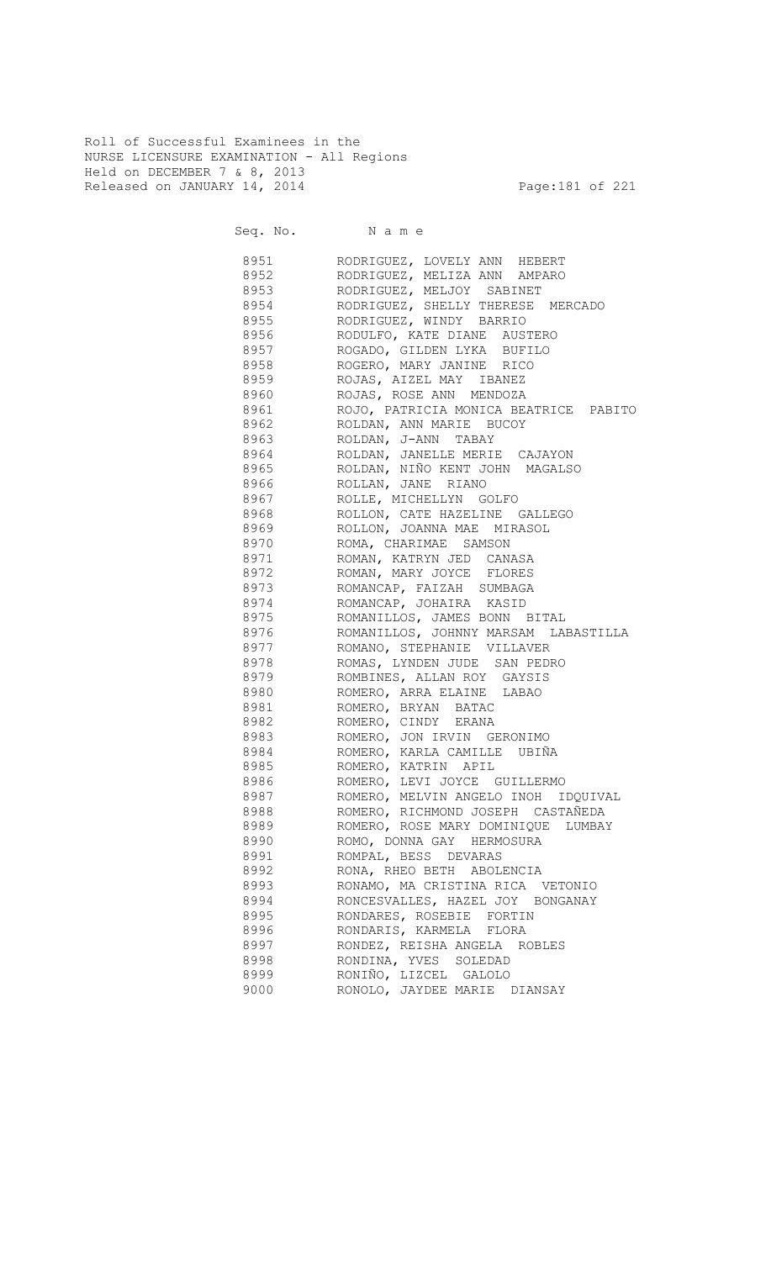Roll of Successful Examinees in the NURSE LICENSURE EXAMINATION - All Regions Held on DECEMBER 7 & 8, 2013 Released on JANUARY 14, 2014 **Page:181 of 221** 

Seq. No. Name

8951 RODRIGUEZ, LOVELY ANN HEBERT 8952 RODRIGUEZ, MELIZA ANN AMPARO 8953 RODRIGUEZ, MELJOY SABINET 8954 RODRIGUEZ, SHELLY THERESE MERCADO<br>8955 RODRIGUEZ, WINDY BARRIO 8955 RODRIGUEZ, WINDY BARRIO 8956 RODULFO, KATE DIANE AUSTERO 8957 ROGADO, GILDEN LYKA BUFILO 8958 ROGERO, MARY JANINE RICO 8959 ROJAS, AIZEL MAY IBANEZ 8960 ROJAS, ROSE ANN MENDOZA 8961 ROJO, PATRICIA MONICA BEATRICE PABITO 8962 ROLDAN, ANN MARIE BUCOY 8963 ROLDAN, J-ANN TABAY 8964 ROLDAN, JANELLE MERIE CAJAYON 8965 ROLDAN, NIÑO KENT JOHN MAGALSO 8966 ROLLAN, JANE RIANO 8967 ROLLE, MICHELLYN GOLFO ROLLON, CATE HAZELINE GALLEGO 8969 ROLLON, JOANNA MAE MIRASOL<br>8970 ROMA, CHARIMAE SAMSON ROMA, CHARIMAE SAMSON 8971 ROMAN, KATRYN JED CANASA 8972 ROMAN, MARY JOYCE FLORES 8973 ROMANCAP, FAIZAH SUMBAGA 8974 ROMANCAP, JOHAIRA KASID<br>8975 ROMANILLOS, JAMES BONN B ROMANILLOS, JAMES BONN BITAL 8976 ROMANILLOS, JOHNNY MARSAM LABASTILLA 8977 ROMANO, STEPHANIE VILLAVER 8978 ROMAS, LYNDEN JUDE SAN PEDRO 8979 ROMBINES, ALLAN ROY GAYSIS 8980 ROMERO, ARRA ELAINE LABAO 8981 ROMERO, BRYAN BATAC 8982 ROMERO, CINDY ERANA 8983 ROMERO, JON IRVIN GERONIMO 8984 ROMERO, KARLA CAMILLE UBIÑA 8985 ROMERO, KATRIN APIL 8986 ROMERO, LEVI JOYCE GUILLERMO 8987 ROMERO, MELVIN ANGELO INOH IDQUIVAL 8988 ROMERO, RICHMOND JOSEPH CASTAÑEDA 8989 ROMERO, ROSE MARY DOMINIQUE LUMBAY 8990 ROMO, DONNA GAY HERMOSURA 8991 ROMPAL, BESS DEVARAS 8992 RONA, RHEO BETH ABOLENCIA 8993 RONAMO, MA CRISTINA RICA VETONIO 8994 RONCESVALLES, HAZEL JOY BONGANAY 8995 RONDARES, ROSEBIE FORTIN 8996 RONDARIS, KARMELA FLORA 8997 RONDEZ, REISHA ANGELA ROBLES 8998 RONDINA, YVES SOLEDAD 8999 RONIÑO, LIZCEL GALOLO 9000 RONOLO, JAYDEE MARIE DIANSAY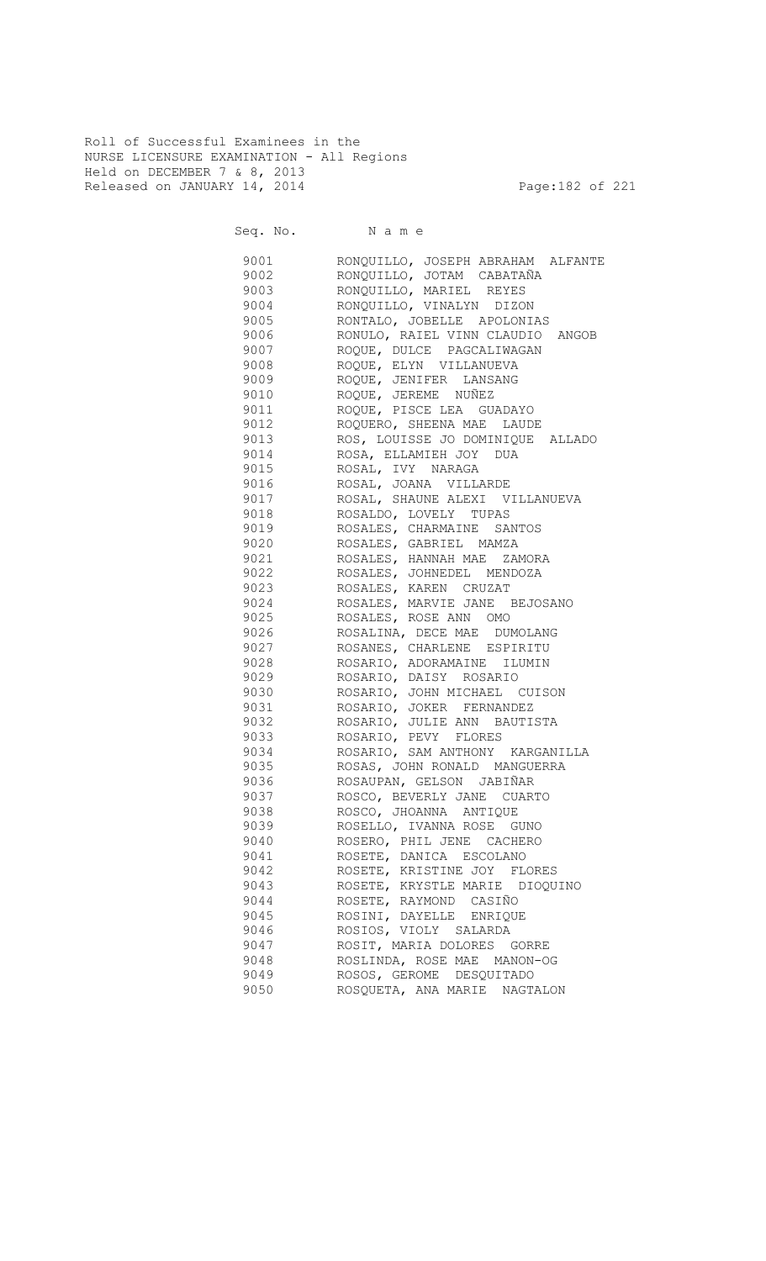Roll of Successful Examinees in the NURSE LICENSURE EXAMINATION - All Regions Held on DECEMBER 7 & 8, 2013 Released on JANUARY 14, 2014 **Page:182 of 221** 

Seq. No. Name

 9001 RONQUILLO, JOSEPH ABRAHAM ALFANTE 9002 RONQUILLO, JOTAM CABATAÑA 9003 RONQUILLO, MARIEL REYES 9004 RONQUILLO, VINALYN DIZON RONTALO, JOBELLE APOLONIAS 9006 RONULO, RAIEL VINN CLAUDIO ANGOB 9007 ROQUE, DULCE PAGCALIWAGAN 9008 ROQUE, ELYN VILLANUEVA 9009 ROQUE, JENIFER LANSANG 9010 ROQUE, JEREME NUÑEZ 9011 ROQUE, PISCE LEA GUADAYO 9012 ROQUERO, SHEENA MAE LAUDE<br>9013 ROS, LOUISSE JO DOMINIOUE ROS, LOUISSE JO DOMINIQUE ALLADO 9014 ROSA, ELLAMIEH JOY DUA 9015 ROSAL, IVY NARAGA 9016 ROSAL, JOANA VILLARDE 9017 ROSAL, SHAUNE ALEXI VILLANUEVA ROSALDO, LOVELY TUPAS 9019 ROSALES, CHARMAINE SANTOS 9020 ROSALES, GABRIEL MAMZA 9021 ROSALES, HANNAH MAE ZAMORA 9022 ROSALES, JOHNEDEL MENDOZA 9023 ROSALES, KAREN CRUZAT 9024 ROSALES, MARVIE JANE BEJOSANO<br>9025 ROSALES, ROSE ANN OMO 9025 ROSALES, ROSE ANN OMO 9026 ROSALINA, DECE MAE DUMOLANG 9027 ROSANES, CHARLENE ESPIRITU 9028 ROSARIO, ADORAMAINE ILUMIN 9029 ROSARIO, DAISY ROSARIO 9030 ROSARIO, JOHN MICHAEL CUISON 9031 ROSARIO, JOKER FERNANDEZ 9032 ROSARIO, JULIE ANN BAUTISTA 9033 ROSARIO, PEVY FLORES 9034 ROSARIO, SAM ANTHONY KARGANILLA 9035 ROSAS, JOHN RONALD MANGUERRA 9036 ROSAUPAN, GELSON JABIÑAR 9037 ROSCO, BEVERLY JANE CUARTO 9038 ROSCO, JHOANNA ANTIQUE 9039 ROSELLO, IVANNA ROSE GUNO 9040 ROSERO, PHIL JENE CACHERO 9041 ROSETE, DANICA ESCOLANO 9042 ROSETE, KRISTINE JOY FLORES 9043 ROSETE, KRYSTLE MARIE DIOQUINO 9044 ROSETE, RAYMOND CASIÑO 9045 ROSINI, DAYELLE ENRIQUE 9046 ROSIOS, VIOLY SALARDA 9047 ROSIT, MARIA DOLORES GORRE 9048 ROSLINDA, ROSE MAE MANON-OG 9049 ROSOS, GEROME DESQUITADO 9050 ROSQUETA, ANA MARIE NAGTALON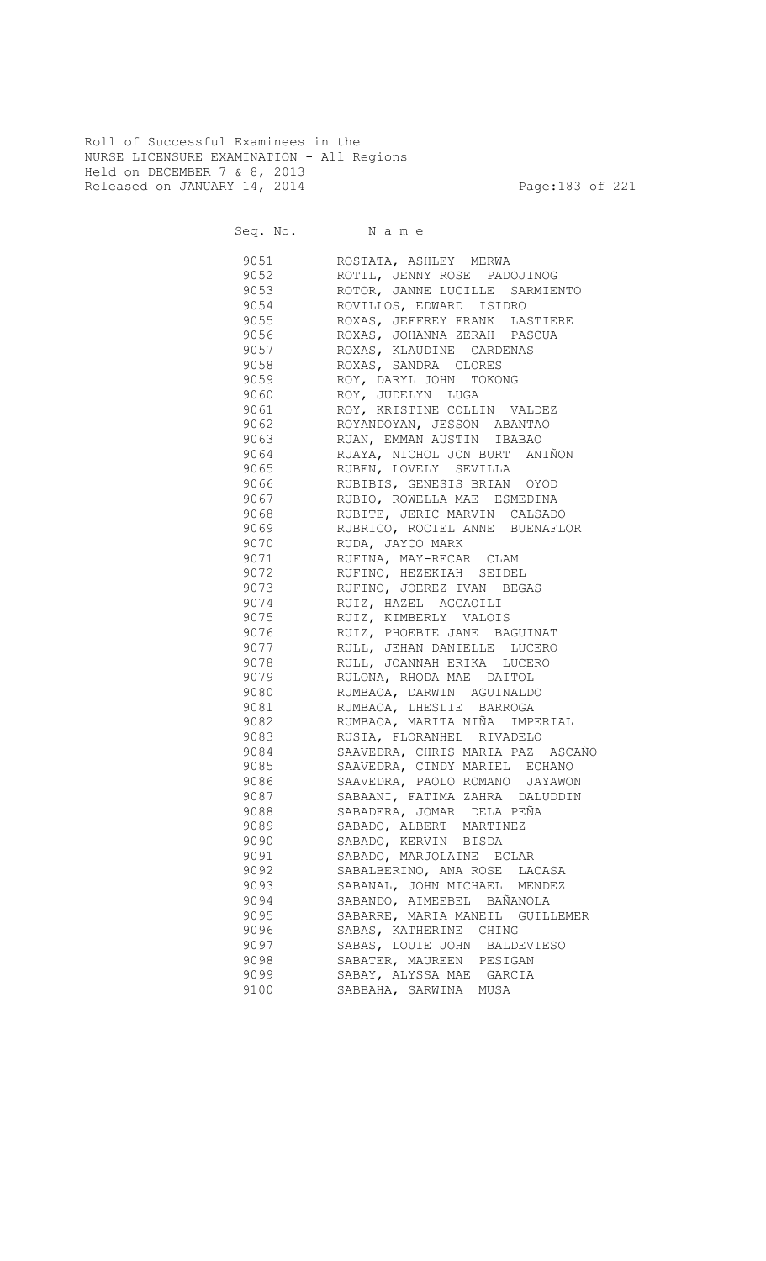Roll of Successful Examinees in the NURSE LICENSURE EXAMINATION - All Regions Held on DECEMBER 7 & 8, 2013 Released on JANUARY 14, 2014 **Page:183 of 221** 

Seq. No. Name

 9051 ROSTATA, ASHLEY MERWA 9052 ROTIL, JENNY ROSE PADOJINOG 9053 ROTOR, JANNE LUCILLE SARMIENTO 9054 ROVILLOS, EDWARD ISIDRO ROXAS, JEFFREY FRANK LASTIERE 9056 ROXAS, JOHANNA ZERAH PASCUA 9057 ROXAS, KLAUDINE CARDENAS 9058 ROXAS, SANDRA CLORES<br>9059 ROY, DARYL JOHN TOKO 9059 ROY, DARYL JOHN TOKONG 9060 ROY, JUDELYN LUGA 9061 ROY, KRISTINE COLLIN VALDEZ 9062 ROYANDOYAN, JESSON ABANTAO 9063 RUAN, EMMAN AUSTIN IBABAO 9064 RUAYA, NICHOL JON BURT ANIÑON 9065 RUBEN, LOVELY SEVILLA 9066 RUBIBIS, GENESIS BRIAN OYOD 9067 RUBIO, ROWELLA MAE ESMEDINA 9068 RUBITE, JERIC MARVIN CALSADO 9069 RUBRICO, ROCIEL ANNE BUENAFLOR 9070 RUDA, JAYCO MARK 9071 RUFINA, MAY-RECAR CLAM 9072 RUFINO, HEZEKIAH SEIDEL 9073 RUFINO, JOEREZ IVAN BEGAS 9074 RUIZ, HAZEL AGCAOILI<br>9075 RUIZ, KIMBERLY VALOIS RUIZ, KIMBERLY VALOIS 9076 RUIZ, PHOEBIE JANE BAGUINAT 9077 RULL, JEHAN DANIELLE LUCERO 9078 RULL, JOANNAH ERIKA LUCERO 9079 RULONA, RHODA MAE DAITOL 9080 RUMBAOA, DARWIN AGUINALDO 9081 RUMBAOA, LHESLIE BARROGA 9082 RUMBAOA, MARITA NIÑA IMPERIAL 9083 RUSIA, FLORANHEL RIVADELO 9084 SAAVEDRA, CHRIS MARIA PAZ ASCAÑO 9085 SAAVEDRA, CINDY MARIEL ECHANO 9086 SAAVEDRA, PAOLO ROMANO JAYAWON 9087 SABAANI, FATIMA ZAHRA DALUDDIN 9088 SABADERA, JOMAR DELA PEÑA 9089 SABADO, ALBERT MARTINEZ 9090 SABADO, KERVIN BISDA 9091 SABADO, MARJOLAINE ECLAR 9092 SABALBERINO, ANA ROSE LACASA 9093 SABANAL, JOHN MICHAEL MENDEZ 9094 SABANDO, AIMEEBEL BAÑANOLA 9095 SABARRE, MARIA MANEIL GUILLEMER 9096 SABAS, KATHERINE CHING 9097 SABAS, LOUIE JOHN BALDEVIESO 9098 SABATER, MAUREEN PESIGAN 9099 SABAY, ALYSSA MAE GARCIA SABBAHA, SARWINA MUSA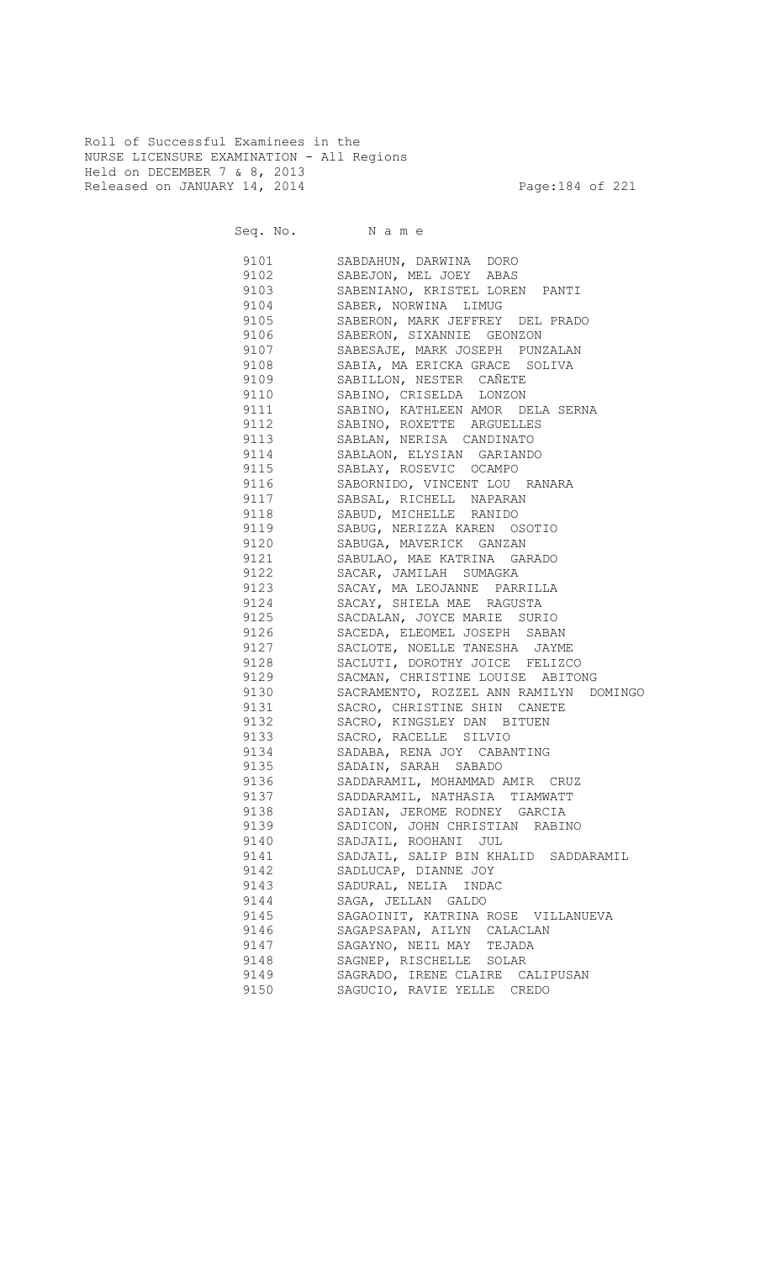Roll of Successful Examinees in the NURSE LICENSURE EXAMINATION - All Regions Held on DECEMBER 7 & 8, 2013 Released on JANUARY 14, 2014 **Page:184 of 221** 

Seq. No. Name 9101 SABDAHUN, DARWINA DORO 9102 SABEJON, MEL JOEY ABAS 9103 SABENIANO, KRISTEL LOREN PANTI 9104 SABER, NORWINA LIMUG<br>9105 SABERON, MARK JEFFREY 9105 SABERON, MARK JEFFREY DEL PRADO 9106 SABERON, SIXANNIE GEONZON 9107 SABESAJE, MARK JOSEPH PUNZALAN 9108 SABIA, MA ERICKA GRACE SOLIVA 9109 SABILLON, NESTER CAÑETE 9110 SABINO, CRISELDA LONZON 9111 SABINO, KATHLEEN AMOR DELA SERNA<br>9112 SABINO, ROXETTE ARGUELLES SABINO, ROXETTE ARGUELLES 9113 SABLAN, NERISA CANDINATO 9114 SABLAON, ELYSIAN GARIANDO 9115 SABLAY, ROSEVIC OCAMPO 9116 SABORNIDO, VINCENT LOU RANARA 9117 SABSAL, RICHELL NAPARAN 9118 SABUD, MICHELLE RANIDO 9119 SABUG, NERIZZA KAREN OSOTIO 9120 SABUGA, MAVERICK GANZAN 9121 SABULAO, MAE KATRINA GARADO 9122 SACAR, JAMILAH SUMAGKA 9123 SACAY, MA LEOJANNE PARRILLA 9124 SACAY, SHIELA MAE RAGUSTA<br>9125 SACDALAN, JOYCE MARIE SURI SACDALAN, JOYCE MARIE SURIO 9126 SACEDA, ELEOMEL JOSEPH SABAN 9127 SACLOTE, NOELLE TANESHA JAYME 9131 SACRO, CHRISTINE SHIN CANETE

| 9128       | SACLUTI, DOROTHY JOICE FELIZCO         |
|------------|----------------------------------------|
| 9129       | SACMAN, CHRISTINE LOUISE ABITONG       |
| 9130       | SACRAMENTO, ROZZEL ANN RAMILYN DOMINGO |
| 9131       | SACRO, CHRISTINE SHIN CANETE           |
| 9132       | SACRO, KINGSLEY DAN BITUEN             |
| 9133       | SACRO, RACELLE SILVIO                  |
| 9134       | SADABA, RENA JOY CABANTING             |
| 9135       | SADAIN, SARAH SABADO                   |
| 9136       | SADDARAMIL, MOHAMMAD AMIR CRUZ         |
| 9137 — 100 | SADDARAMIL, NATHASIA TIAMWATT          |
| 9138       | SADIAN, JEROME RODNEY GARCIA           |
| 9139       | SADICON, JOHN CHRISTIAN RABINO         |
| 9140       | SADJAIL, ROOHANI JUL                   |
| 9141 — 102 | SADJAIL, SALIP BIN KHALID SADDARAMIL   |
| 9142       | SADLUCAP, DIANNE JOY                   |
| 9143       | SADURAL, NELIA INDAC                   |
| 9144       | SAGA, JELLAN GALDO                     |
| 9145       | SAGAOINIT, KATRINA ROSE VILLANUEVA     |
| 9146       | SAGAPSAPAN, AILYN CALACLAN             |
| 9147       | SAGAYNO, NEIL MAY TEJADA               |
| 9148       | SAGNEP, RISCHELLE SOLAR                |
| 9149       | SAGRADO, IRENE CLAIRE CALIPUSAN        |
| 9150       | SAGUCIO, RAVIE YELLE CREDO             |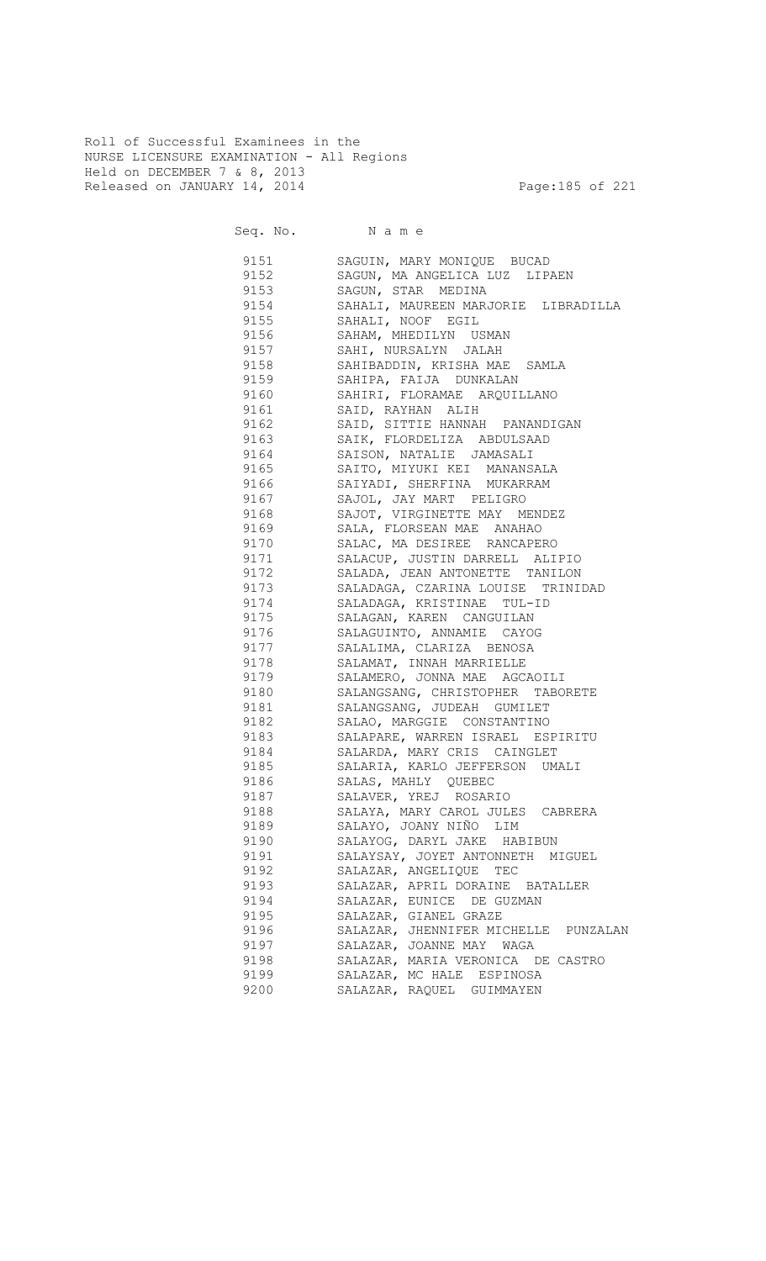Roll of Successful Examinees in the NURSE LICENSURE EXAMINATION - All Regions Held on DECEMBER 7 & 8, 2013 Released on JANUARY 14, 2014 **Page:185 of 221** 

| 9151    | SAGUIN, MARY MONIQUE BUCAD           |
|---------|--------------------------------------|
| 9152    | SAGUN, MA ANGELICA LUZ LIPAEN        |
| 9153    | SAGUN, STAR MEDINA                   |
| 9154    | SAHALI, MAUREEN MARJORIE LIBRADILLA  |
| 9155    | SAHALI, NOOF EGIL                    |
| 9156    | SAHAM, MHEDILYN USMAN                |
| 9157    | SAHI, NURSALYN JALAH                 |
| 9158    | SAHIBADDIN, KRISHA MAE SAMLA         |
| 9159    | SAHIPA, FAIJA DUNKALAN               |
| 9160    | SAHIRI, FLORAMAE ARQUILLANO          |
| 9161    | SAID, RAYHAN ALIH                    |
| 9162    | SAID, SITTIE HANNAH PANANDIGAN       |
| 9163    | SAIK, FLORDELIZA ABDULSAAD           |
| 9164    | SAISON, NATALIE JAMASALI             |
| 9165    | SAITO, MIYUKI KEI MANANSALA          |
| 9166    | SAIYADI, SHERFINA MUKARRAM           |
| 9167    | SAJOL, JAY MART PELIGRO              |
| 9168    | SAJOT, VIRGINETTE MAY MENDEZ         |
| 9169    | SALA, FLORSEAN MAE ANAHAO            |
| 9170    | SALAC, MA DESIREE RANCAPERO          |
| 9171    | SALACUP, JUSTIN DARRELL ALIPIO       |
| 9172    | SALADA, JEAN ANTONETTE TANILON       |
| 9173    | SALADAGA, CZARINA LOUISE TRINIDAD    |
| 9174    | SALADAGA, KRISTINAE TUL-ID           |
| 9175    | SALAGAN, KAREN CANGUILAN             |
| 9176    | SALAGUINTO, ANNAMIE CAYOG            |
| 9177    | SALALIMA, CLARIZA BENOSA             |
| 9178    | SALAMAT, INNAH MARRIELLE             |
| 9179    | SALAMERO, JONNA MAE AGCAOILI         |
| 9180    | SALANGSANG, CHRISTOPHER TABORETE     |
| 9181    | SALANGSANG, JUDEAH GUMILET           |
| 9182    | SALAO, MARGGIE CONSTANTINO           |
| 9183    | SALAPARE, WARREN ISRAEL ESPIRITU     |
| 9184    | SALARDA, MARY CRIS CAINGLET          |
| 9185 11 | SALARIA, KARLO JEFFERSON UMALI       |
|         | 9186 SALAS, MAHLY QUEBEC             |
| 9187    | SALAVER, YREJ ROSARIO                |
| 9188    | SALAYA, MARY CAROL JULES CABRERA     |
| 9189    | SALAYO, JOANY NIÑO LIM               |
| 9190    | SALAYOG, DARYL JAKE HABIBUN          |
| 9191    | SALAYSAY, JOYET ANTONNETH MIGUEL     |
| 9192    | SALAZAR, ANGELIQUE TEC               |
| 9193    | SALAZAR, APRIL DORAINE BATALLER      |
| 9194    | SALAZAR, EUNICE DE GUZMAN            |
| 9195    | SALAZAR, GIANEL GRAZE                |
| 9196    | SALAZAR, JHENNIFER MICHELLE PUNZALAN |
| 9197    | SALAZAR, JOANNE MAY WAGA             |
| 9198    | SALAZAR, MARIA VERONICA DE CASTRO    |
| 9199    | SALAZAR, MC HALE ESPINOSA            |
| 9200    | SALAZAR, RAQUEL GUIMMAYEN            |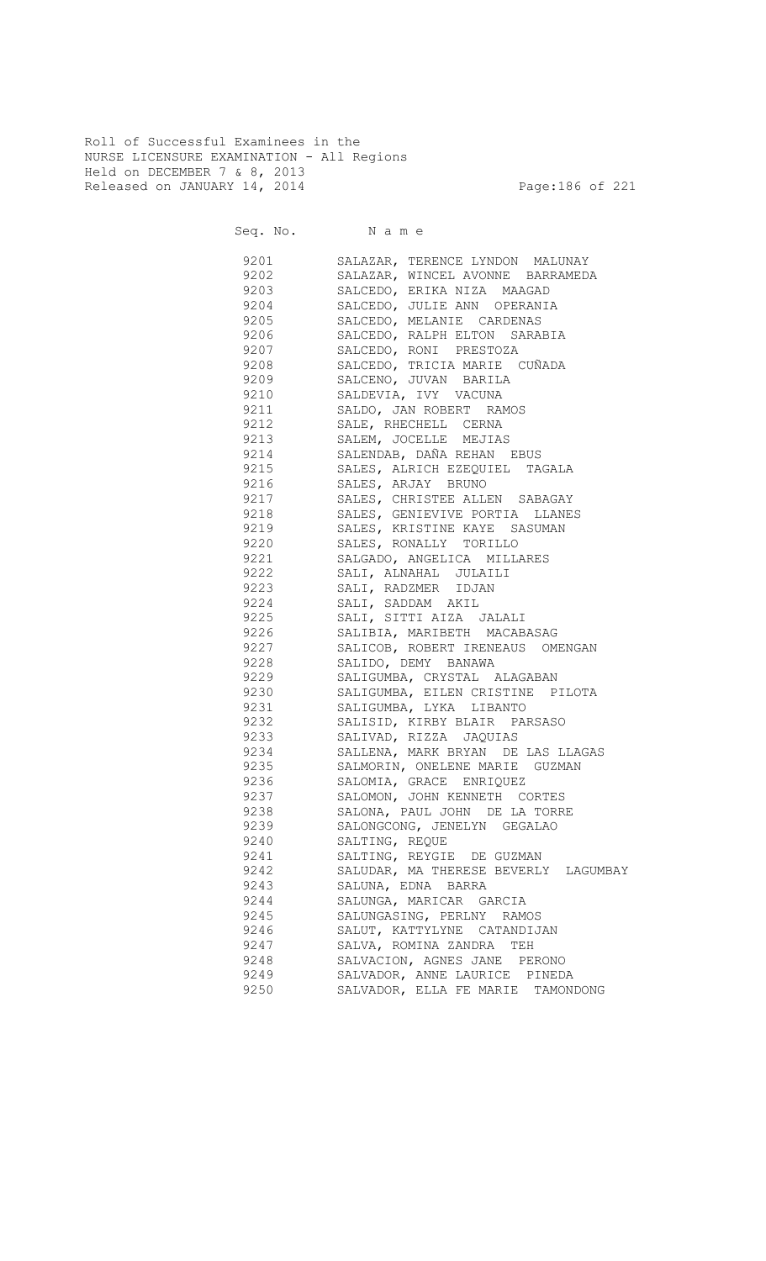Roll of Successful Examinees in the NURSE LICENSURE EXAMINATION - All Regions Held on DECEMBER 7 & 8, 2013 Released on JANUARY 14, 2014 **Page:186 of 221** 

| 9201 | SALAZAR, TERENCE LYNDON MALUNAY         |
|------|-----------------------------------------|
| 9202 | SALAZAR, WINCEL AVONNE BARRAMEDA        |
| 9203 | SALCEDO, ERIKA NIZA MAAGAD              |
|      | 9204 SALCEDO, JULIE ANN OPERANIA        |
|      | 9205 SALCEDO, MELANIE CARDENAS          |
| 9206 | SALCEDO, RALPH ELTON SARABIA            |
| 9207 | SALCEDO, RONI PRESTOZA                  |
| 9208 | SALCEDO, TRICIA MARIE CUÑADA            |
| 9209 | SALCENO, JUVAN BARILA                   |
| 9210 | SALDEVIA, IVY VACUNA                    |
| 9211 | SALDO, JAN ROBERT RAMOS                 |
| 9212 | SALE, RHECHELL CERNA                    |
|      | SALEM, JOCELLE MEJIAS                   |
| 9213 |                                         |
| 9214 | SALENDAB, DAÑA REHAN EBUS               |
| 9215 | SALES, ALRICH EZEQUIEL TAGALA           |
| 9216 | SALES, ARJAY BRUNO                      |
| 9217 | SALES, CHRISTEE ALLEN SABAGAY           |
| 9218 | SALES, GENIEVIVE PORTIA LLANES          |
| 9219 | SALES, KRISTINE KAYE SASUMAN            |
| 9220 | SALES, RONALLY TORILLO                  |
| 9221 | SALGADO, ANGELICA MILLARES              |
| 9222 | SALI, ALNAHAL JULAILI                   |
| 9223 | SALI, RADZMER IDJAN                     |
| 9224 | SALI, SADDAM AKIL                       |
| 9225 | SALI, SITTI AIZA JALALI                 |
| 9226 | SALIBIA, MARIBETH MACABASAG             |
| 9227 | SALICOB, ROBERT IRENEAUS OMENGAN        |
| 9228 | SALIDO, DEMY BANAWA                     |
| 9229 | SALIGUMBA, CRYSTAL ALAGABAN             |
| 9230 | SALIGUMBA, EILEN CRISTINE PILOTA        |
| 9231 | SALIGUMBA, LYKA LIBANTO                 |
| 9232 | SALISID, KIRBY BLAIR PARSASO            |
| 9233 | SALIVAD, RIZZA JAQUIAS                  |
| 9234 | SALLENA, MARK BRYAN DE LAS LLAGAS       |
| 9235 | SALMORIN, ONELENE MARIE GUZMAN          |
|      | 9236 SALOMIA, GRACE ENRIQUEZ            |
|      |                                         |
| 9237 | SALOMON, JOHN KENNETH CORTES            |
| 9238 | SALONA, PAUL JOHN DE LA TORRE           |
| 9239 | SALONGCONG, JENELYN GEGALAO             |
| 9240 | SALTING, REOUE                          |
| 9241 | SALTING, REYGIE DE GUZMAN               |
| 9242 | SALUDAR, MA THERESE BEVERLY<br>LAGUMBAY |
| 9243 | SALUNA, EDNA BARRA                      |
| 9244 | SALUNGA, MARICAR GARCIA                 |
| 9245 | SALUNGASING, PERLNY RAMOS               |
| 9246 | SALUT, KATTYLYNE CATANDIJAN             |
| 9247 | SALVA, ROMINA ZANDRA<br>TEH             |
| 9248 | SALVACION, AGNES JANE PERONO            |
| 9249 | SALVADOR, ANNE LAURICE PINEDA           |
| 9250 | SALVADOR, ELLA FE MARIE<br>TAMONDONG    |
|      |                                         |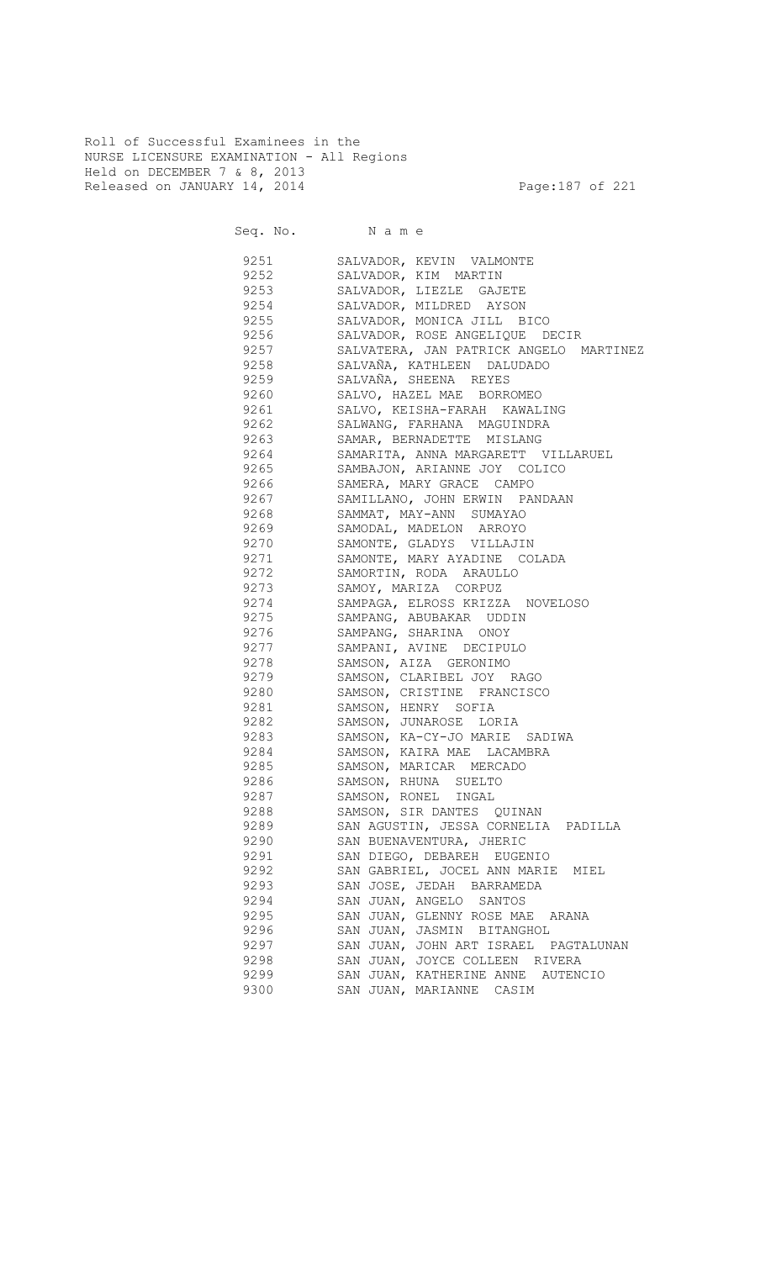Roll of Successful Examinees in the NURSE LICENSURE EXAMINATION - All Regions Held on DECEMBER 7 & 8, 2013 Released on JANUARY 14, 2014 **Page:187** of 221

|      | Seq. No. Name                          |
|------|----------------------------------------|
| 9251 | SALVADOR, KEVIN VALMONTE               |
| 9252 | SALVADOR, KIM MARTIN                   |
| 9253 | SALVADOR, LIEZLE GAJETE                |
| 9254 | SALVADOR, MILDRED AYSON                |
| 9255 | SALVADOR, MONICA JILL BICO             |
| 9256 | SALVADOR, ROSE ANGELIQUE DECIR         |
| 9257 | SALVATERA, JAN PATRICK ANGELO MARTINEZ |
| 9258 | SALVAÑA, KATHLEEN DALUDADO             |
| 9259 | SALVAÑA, SHEENA REYES                  |
| 9260 | SALVO, HAZEL MAE BORROMEO              |
| 9261 | SALVO, KEISHA-FARAH KAWALING           |
| 9262 | SALWANG, FARHANA MAGUINDRA             |
| 9263 | SAMAR, BERNADETTE MISLANG              |
| 9264 | SAMARITA, ANNA MARGARETT VILLARUEL     |
| 9265 | SAMBAJON, ARIANNE JOY COLICO           |
| 9266 | SAMERA, MARY GRACE CAMPO               |
| 9267 | SAMILLANO, JOHN ERWIN PANDAAN          |
| 9268 | SAMMAT, MAY-ANN SUMAYAO                |
| 9269 | SAMODAL, MADELON ARROYO                |
| 9270 | SAMONTE, GLADYS VILLAJIN               |
| 9271 | SAMONTE, MARY AYADINE COLADA           |
| 9272 | SAMORTIN, RODA ARAULLO                 |
| 9273 | SAMOY, MARIZA CORPUZ                   |
| 9274 | SAMPAGA, ELROSS KRIZZA NOVELOSO        |
| 9275 | SAMPANG, ABUBAKAR UDDIN                |
| 9276 | SAMPANG, SHARINA ONOY                  |
| 9277 | SAMPANI, AVINE DECIPULO                |
| 9278 | SAMSON, AIZA GERONIMO                  |
| 9279 | SAMSON, CLARIBEL JOY RAGO              |
| 9280 | SAMSON, CRISTINE FRANCISCO             |
| 9281 | SAMSON, HENRY SOFIA                    |
| 9282 | SAMSON, JUNAROSE LORIA                 |
| 9283 | SAMSON, KA-CY-JO MARIE SADIWA          |
| 9284 | SAMSON, KAIRA MAE LACAMBRA             |
| 9285 | SAMSON, MARICAR MERCADO                |
| 9286 | SAMSON, RHUNA SUELTO                   |
| 9287 | SAMSON, RONEL INGAL                    |
| 9288 | SAMSON, SIR DANTES QUINAN              |
| 9289 | SAN AGUSTIN, JESSA CORNELIA PADILLA    |
| 9290 | SAN BUENAVENTURA, JHERIC               |
| 9291 | SAN DIEGO, DEBAREH EUGENIO             |
| 9292 | SAN GABRIEL, JOCEL ANN MARIE MIEL      |
| 9293 | SAN JOSE, JEDAH BARRAMEDA              |
| 9294 | SAN JUAN, ANGELO SANTOS                |
| 9295 | SAN JUAN, GLENNY ROSE MAE ARANA        |
| 9296 | SAN JUAN, JASMIN BITANGHOL             |
| 9297 | SAN JUAN, JOHN ART ISRAEL PAGTALUNAN   |
| 9298 | SAN JUAN, JOYCE COLLEEN RIVERA         |
| 9299 | SAN JUAN, KATHERINE ANNE AUTENCIO      |
| 9300 | SAN JUAN, MARIANNE CASIM               |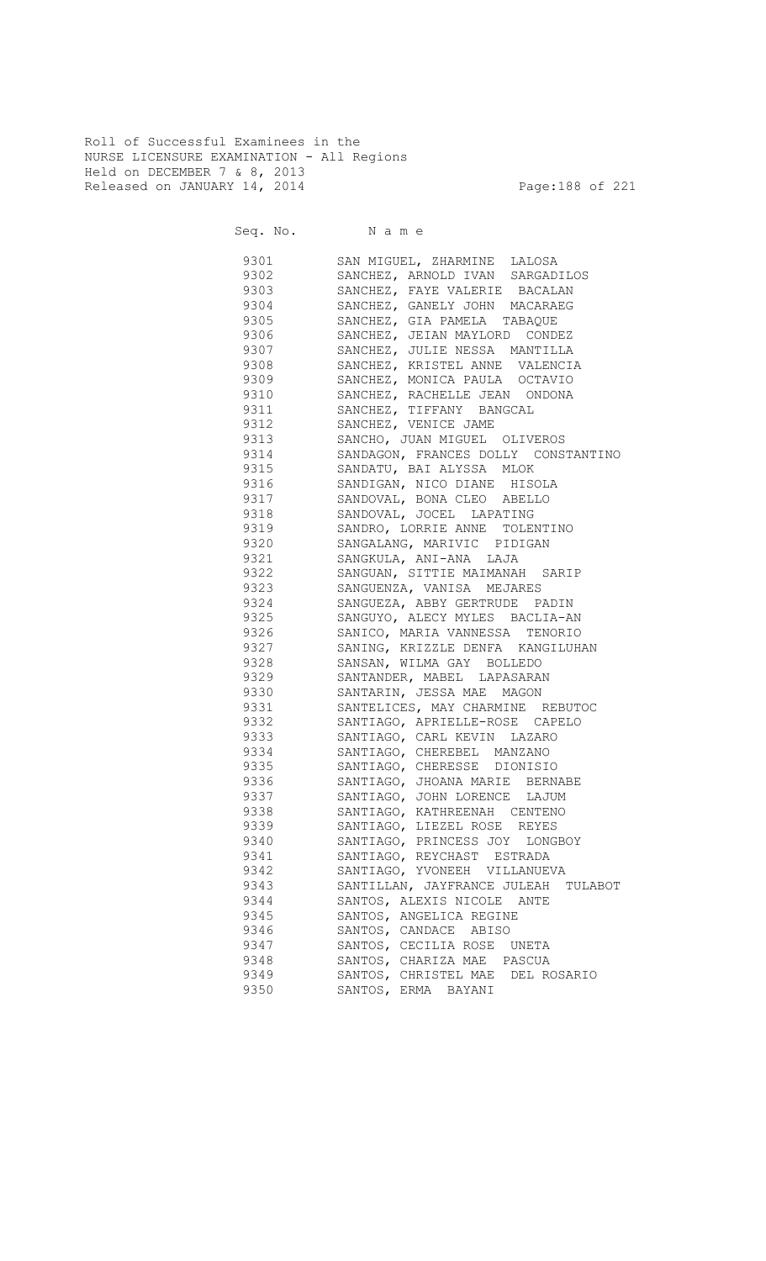Roll of Successful Examinees in the NURSE LICENSURE EXAMINATION - All Regions Held on DECEMBER 7 & 8, 2013 Released on JANUARY 14, 2014 **Page:188** of 221

| 9301     | SAN MIGUEL, ZHARMINE LALOSA         |
|----------|-------------------------------------|
| 9302     | SANCHEZ, ARNOLD IVAN SARGADILOS     |
| 9303     | SANCHEZ, FAYE VALERIE BACALAN       |
| 9304     | SANCHEZ, GANELY JOHN MACARAEG       |
| 9305     | SANCHEZ, GIA PAMELA TABAQUE         |
| 9306     | SANCHEZ, JEIAN MAYLORD CONDEZ       |
| 9307     | SANCHEZ, JULIE NESSA MANTILLA       |
| 9308     | SANCHEZ, KRISTEL ANNE VALENCIA      |
| 9309     | SANCHEZ, MONICA PAULA OCTAVIO       |
| 9310     | SANCHEZ, RACHELLE JEAN ONDONA       |
| 9311     | SANCHEZ, TIFFANY BANGCAL            |
| 9312     | SANCHEZ, VENICE JAME                |
| 9313     | SANCHO, JUAN MIGUEL OLIVEROS        |
| 9314     | SANDAGON, FRANCES DOLLY CONSTANTINO |
| 9315     | SANDATU, BAI ALYSSA MLOK            |
| 9316 7   | SANDIGAN, NICO DIANE HISOLA         |
| 9317     | SANDOVAL, BONA CLEO ABELLO          |
| 9318     | SANDOVAL, JOCEL LAPATING            |
| 9319     | SANDRO, LORRIE ANNE TOLENTINO       |
| 9320     | SANGALANG, MARIVIC PIDIGAN          |
| 9321 000 | SANGKULA, ANI-ANA LAJA              |
| 9322     | SANGUAN, SITTIE MAIMANAH SARIP      |
| 9323     | SANGUENZA, VANISA MEJARES           |
| 9324     | SANGUEZA, ABBY GERTRUDE PADIN       |
| 9325     | SANGUYO, ALECY MYLES BACLIA-AN      |
| 9326     | SANICO, MARIA VANNESSA TENORIO      |
| 9327     | SANING, KRIZZLE DENFA KANGILUHAN    |
| 9328     | SANSAN, WILMA GAY BOLLEDO           |
| 9329     | SANTANDER, MABEL LAPASARAN          |
| 9330     | SANTARIN, JESSA MAE MAGON           |
| 9331     | SANTELICES, MAY CHARMINE REBUTOC    |
| 9332     | SANTIAGO, APRIELLE-ROSE CAPELO      |
| 9333     | SANTIAGO, CARL KEVIN LAZARO         |
| 9334     | SANTIAGO, CHEREBEL MANZANO          |
| 9335     | SANTIAGO, CHERESSE DIONISIO         |
| 9336     | SANTIAGO, JHOANA MARIE BERNABE      |
| 9337     | SANTIAGO, JOHN LORENCE LAJUM        |
| 9338     | SANTIAGO, KATHREENAH CENTENO        |
| 9339     | SANTIAGO, LIEZEL ROSE REYES         |
| 9340     | SANTIAGO, PRINCESS JOY LONGBOY      |
| 9341     | SANTIAGO, REYCHAST ESTRADA          |
| 9342     | SANTIAGO, YVONEEH VILLANUEVA        |
| 9343     | SANTILLAN, JAYFRANCE JULEAH TULABOT |
| 9344     | SANTOS, ALEXIS NICOLE ANTE          |
| 9345     | SANTOS, ANGELICA REGINE             |
| 9346     | SANTOS, CANDACE ABISO               |
| 9347     | SANTOS, CECILIA ROSE UNETA          |
| 9348     | SANTOS, CHARIZA MAE PASCUA          |
| 9349     | SANTOS, CHRISTEL MAE DEL ROSARIO    |
| 9350     | SANTOS, ERMA BAYANI                 |
|          |                                     |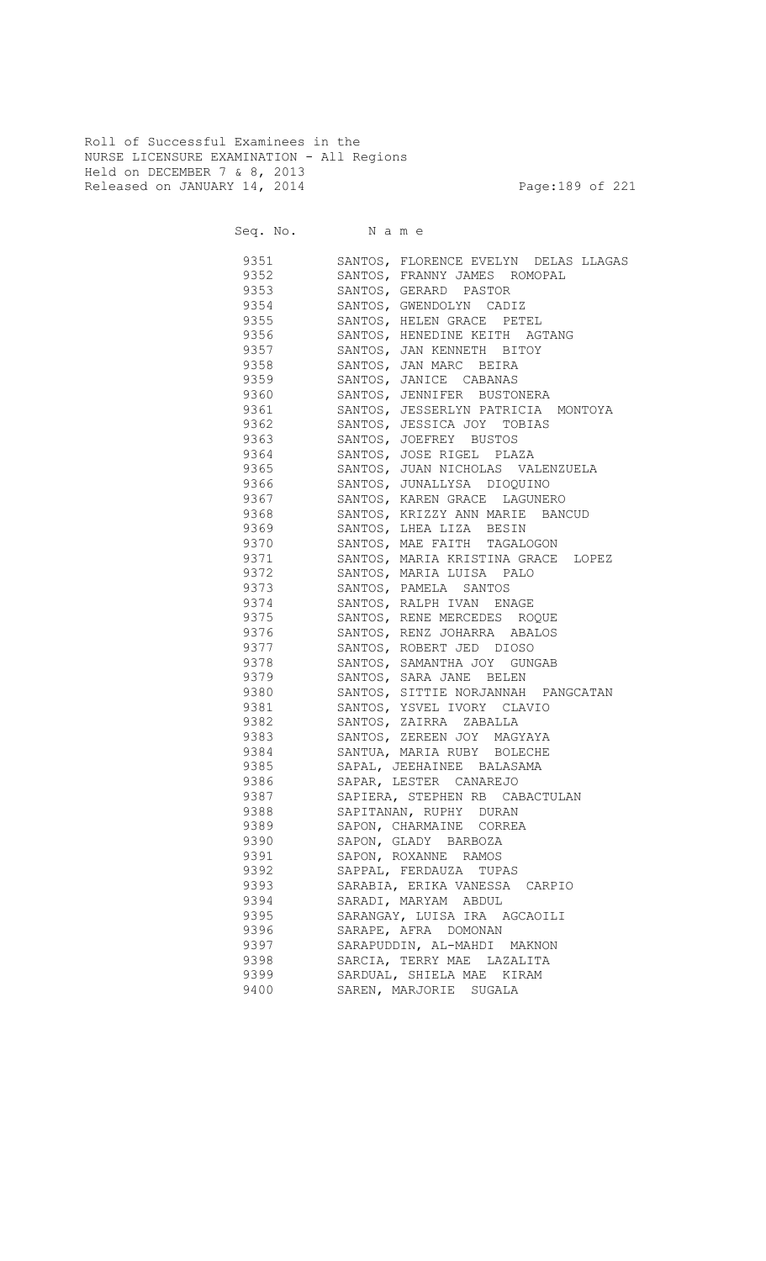Roll of Successful Examinees in the NURSE LICENSURE EXAMINATION - All Regions Held on DECEMBER 7 & 8, 2013 Released on JANUARY 14, 2014 **Page:189 of 221** 

| 9351 | SANTOS, FLORENCE EVELYN DELAS LLAGAS |
|------|--------------------------------------|
| 9352 | SANTOS, FRANNY JAMES ROMOPAL         |
| 9353 | SANTOS, GERARD PASTOR                |
| 9354 | SANTOS, GWENDOLYN CADIZ              |
| 9355 | SANTOS, HELEN GRACE PETEL            |
| 9356 | SANTOS, HENEDINE KEITH AGTANG        |
| 9357 | SANTOS, JAN KENNETH BITOY            |
| 9358 | SANTOS, JAN MARC BEIRA               |
| 9359 | SANTOS, JANICE CABANAS               |
| 9360 | SANTOS, JENNIFER BUSTONERA           |
| 9361 | SANTOS, JESSERLYN PATRICIA MONTOYA   |
| 9362 | SANTOS, JESSICA JOY TOBIAS           |
| 9363 | SANTOS, JOEFREY BUSTOS               |
| 9364 | SANTOS, JOSE RIGEL PLAZA             |
| 9365 | SANTOS, JUAN NICHOLAS VALENZUELA     |
| 9366 | SANTOS, JUNALLYSA DIOQUINO           |
| 9367 | SANTOS, KAREN GRACE LAGUNERO         |
| 9368 | SANTOS, KRIZZY ANN MARIE BANCUD      |
| 9369 | SANTOS, LHEA LIZA BESIN              |
| 9370 | SANTOS, MAE FAITH TAGALOGON          |
| 9371 | SANTOS, MARIA KRISTINA GRACE LOPEZ   |
| 9372 | SANTOS, MARIA LUISA PALO             |
| 9373 | SANTOS, PAMELA SANTOS                |
| 9374 | SANTOS, RALPH IVAN ENAGE             |
| 9375 | SANTOS, RENE MERCEDES ROQUE          |
| 9376 | SANTOS, RENZ JOHARRA ABALOS          |
| 9377 | SANTOS, ROBERT JED DIOSO             |
| 9378 | SANTOS, SAMANTHA JOY GUNGAB          |
| 9379 | SANTOS, SARA JANE BELEN              |
| 9380 | SANTOS, SITTIE NORJANNAH PANGCATAN   |
| 9381 | SANTOS, YSVEL IVORY CLAVIO           |
| 9382 | SANTOS, ZAIRRA ZABALLA               |
| 9383 | SANTOS, ZEREEN JOY MAGYAYA           |
| 9384 | SANTUA, MARIA RUBY BOLECHE           |
| 9385 | SAPAL, JEEHAINEE BALASAMA            |
| 9386 | SAPAR, LESTER CANAREJO               |
| 9387 | SAPIERA, STEPHEN RB CABACTULAN       |
| 9388 | SAPITANAN, RUPHY DURAN               |
| 9389 | SAPON, CHARMAINE CORREA              |
| 9390 | SAPON, GLADY BARBOZA                 |
| 9391 | SAPON, ROXANNE RAMOS                 |
| 9392 | SAPPAL, FERDAUZA TUPAS               |
| 9393 | SARABIA, ERIKA VANESSA CARPIO        |
| 9394 | SARADI, MARYAM ABDUL                 |
| 9395 | SARANGAY, LUISA IRA AGCAOILI         |
| 9396 | SARAPE, AFRA DOMONAN                 |
| 9397 | SARAPUDDIN, AL-MAHDI MAKNON          |
| 9398 | SARCIA, TERRY MAE LAZALITA           |
| 9399 |                                      |
|      | SARDUAL, SHIELA MAE KIRAM            |
| 9400 | SAREN, MARJORIE SUGALA               |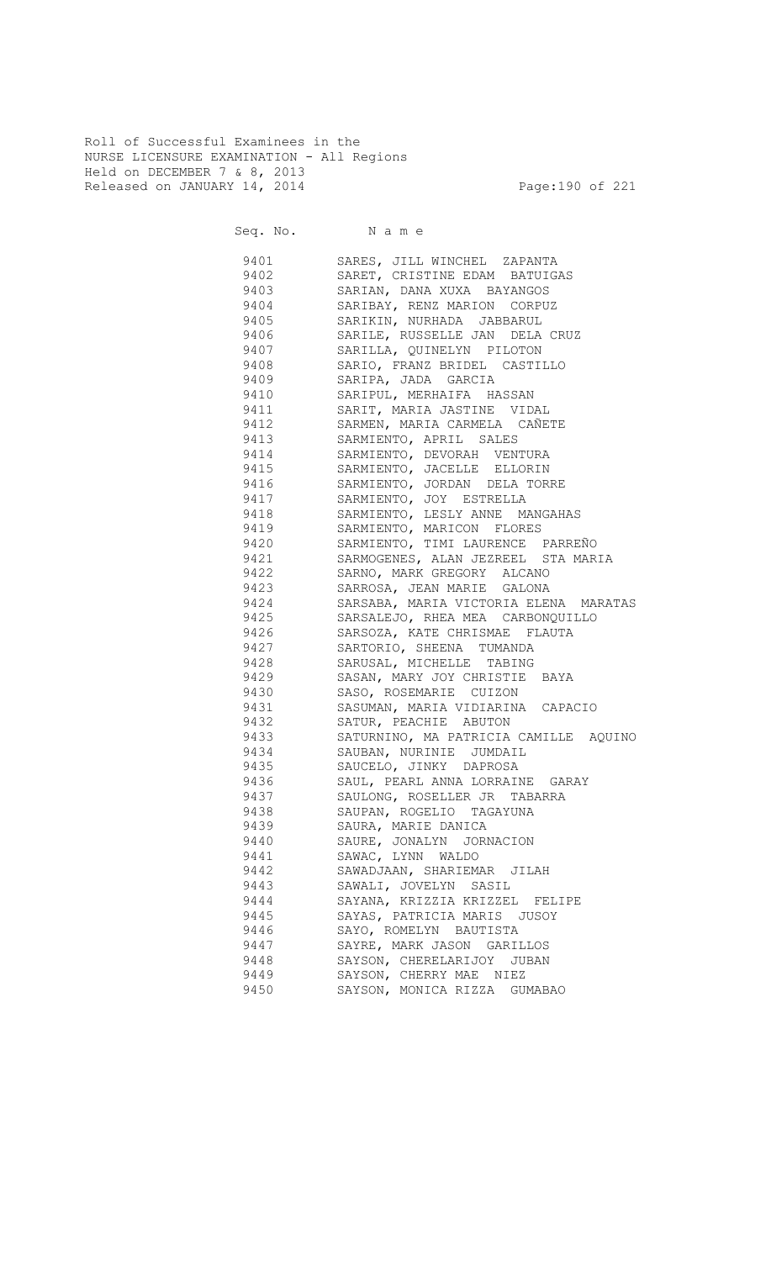Roll of Successful Examinees in the NURSE LICENSURE EXAMINATION - All Regions Held on DECEMBER 7 & 8, 2013 Released on JANUARY 14, 2014 **Page:190** of 221

| 9401 | SARES, JILL WINCHEL ZAPANTA           |
|------|---------------------------------------|
| 9402 | SARET, CRISTINE EDAM BATUIGAS         |
| 9403 | SARIAN, DANA XUXA BAYANGOS            |
| 9404 | SARIBAY, RENZ MARION CORPUZ           |
| 9405 | SARIKIN, NURHADA JABBARUL             |
| 9406 | SARILE, RUSSELLE JAN DELA CRUZ        |
| 9407 | SARILLA, QUINELYN PILOTON             |
| 9408 | SARIO, FRANZ BRIDEL CASTILLO          |
| 9409 | SARIPA, JADA GARCIA                   |
| 9410 | SARIPUL, MERHAIFA HASSAN              |
| 9411 | SARIT, MARIA JASTINE VIDAL            |
| 9412 | SARMEN, MARIA CARMELA CAÑETE          |
| 9413 | SARMIENTO, APRIL SALES                |
| 9414 | SARMIENTO, DEVORAH VENTURA            |
| 9415 | SARMIENTO, JACELLE ELLORIN            |
| 9416 | SARMIENTO, JORDAN DELA TORRE          |
| 9417 | SARMIENTO, JOY ESTRELLA               |
| 9418 | SARMIENTO, LESLY ANNE MANGAHAS        |
| 9419 | SARMIENTO, MARICON FLORES             |
| 9420 | SARMIENTO, TIMI LAURENCE PARREÑO      |
| 9421 | SARMOGENES, ALAN JEZREEL STA MARIA    |
| 9422 | SARNO, MARK GREGORY ALCANO            |
| 9423 | SARROSA, JEAN MARIE GALONA            |
| 9424 | SARSABA, MARIA VICTORIA ELENA MARATAS |
|      | 9425 SARSALEJO, RHEA MEA CARBONQUILLO |
| 9426 | SARSOZA, KATE CHRISMAE FLAUTA         |
| 9427 | SARTORIO, SHEENA TUMANDA              |
| 9428 | SARUSAL, MICHELLE TABING              |
|      | 9429 SASAN, MARY JOY CHRISTIE BAYA    |
| 9430 | SASO, ROSEMARIE CUIZON                |
| 9431 | SASUMAN, MARIA VIDIARINA CAPACIO      |
| 9432 | SATUR, PEACHIE ABUTON                 |
| 9433 | SATURNINO, MA PATRICIA CAMILLE AQUINO |
| 9434 | SAUBAN, NURINIE JUMDAIL               |
| 9435 | SAUCELO, JINKY DAPROSA                |
| 9436 | SAUL, PEARL ANNA LORRAINE GARAY       |
| 9437 | SAULONG, ROSELLER JR TABARRA          |
| 9438 | SAUPAN, ROGELIO TAGAYUNA              |
| 9439 | SAURA, MARIE DANICA                   |
| 9440 | SAURE, JONALYN JORNACION              |
| 9441 | SAWAC, LYNN WALDO                     |
| 9442 | SAWADJAAN, SHARIEMAR JILAH            |
| 9443 | SAWALI, JOVELYN SASIL                 |
| 9444 | SAYANA, KRIZZIA KRIZZEL FELIPE        |
| 9445 | SAYAS, PATRICIA MARIS JUSOY           |
| 9446 | SAYO, ROMELYN BAUTISTA                |
| 9447 | SAYRE, MARK JASON GARILLOS            |
| 9448 | SAYSON, CHERELARIJOY JUBAN            |
| 9449 | SAYSON, CHERRY MAE NIEZ               |
| 9450 | SAYSON, MONICA RIZZA GUMABAO          |
|      |                                       |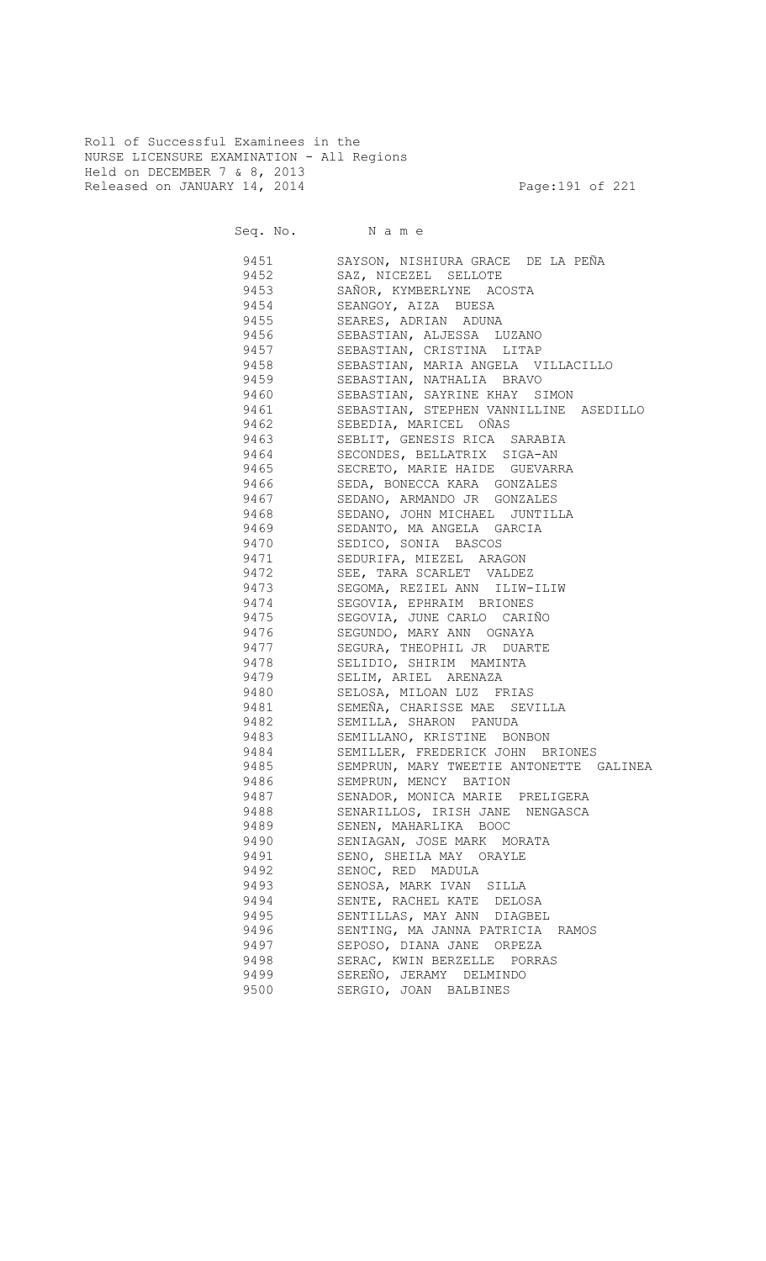Roll of Successful Examinees in the NURSE LICENSURE EXAMINATION - All Regions Held on DECEMBER 7 & 8, 2013 Released on JANUARY 14, 2014 **Page:191 of 221** 

Seq. No. Name

 9451 SAYSON, NISHIURA GRACE DE LA PEÑA 9452 SAZ, NICEZEL SELLOTE 9453 SAÑOR, KYMBERLYNE ACOSTA 9454 SEANGOY, AIZA BUESA SEARES, ADRIAN ADUNA 9456 SEBASTIAN, ALJESSA LUZANO 9457 SEBASTIAN, CRISTINA LITAP 9458 SEBASTIAN, MARIA ANGELA VILLACILLO 9459 SEBASTIAN, NATHALIA BRAVO 9460 SEBASTIAN, SAYRINE KHAY SIMON 9461 SEBASTIAN, STEPHEN VANNILLINE ASEDILLO 9462 SEBEDIA, MARICEL OÑAS 9463 SEBLIT, GENESIS RICA SARABIA 9464 SECONDES, BELLATRIX SIGA-AN 9465 SECRETO, MARIE HAIDE GUEVARRA 9466 SEDA, BONECCA KARA GONZALES 9467 SEDANO, ARMANDO JR GONZALES SEDANO, JOHN MICHAEL JUNTILLA 9469 SEDANTO, MA ANGELA GARCIA<br>9470 SEDICO, SONIA BASCOS SEDICO, SONIA BASCOS 9471 SEDURIFA, MIEZEL ARAGON 9472 SEE, TARA SCARLET VALDEZ 9473 SEGOMA, REZIEL ANN ILIW-ILIW 9474 SEGOVIA, EPHRAIM BRIONES<br>9475 SEGOVIA, JUNE CARLO CARI SEGOVIA, JUNE CARLO CARIÑO 9476 SEGUNDO, MARY ANN OGNAYA 9477 SEGURA, THEOPHIL JR DUARTE 9478 SELIDIO, SHIRIM MAMINTA 9479 SELIM, ARIEL ARENAZA 9480 SELOSA, MILOAN LUZ FRIAS 9481 SEMEÑA, CHARISSE MAE SEVILLA 9482 SEMILLA, SHARON PANUDA 9483 SEMILLANO, KRISTINE BONBON 9484 SEMILLER, FREDERICK JOHN BRIONES 9485 SEMPRUN, MARY TWEETIE ANTONETTE GALINEA 9486 SEMPRUN, MENCY BATION 9487 SENADOR, MONICA MARIE PRELIGERA 9488 SENARILLOS, IRISH JANE NENGASCA 9489 SENEN, MAHARLIKA BOOC 9490 SENIAGAN, JOSE MARK MORATA 9491 SENO, SHEILA MAY ORAYLE 9492 SENOC, RED MADULA 9493 SENOSA, MARK IVAN SILLA 9494 SENTE, RACHEL KATE DELOSA 9495 SENTILLAS, MAY ANN DIAGBEL 9496 SENTING, MA JANNA PATRICIA RAMOS 9497 SEPOSO, DIANA JANE ORPEZA 9498 SERAC, KWIN BERZELLE PORRAS 9499 SEREÑO, JERAMY DELMINDO 9500 SERGIO, JOAN BALBINES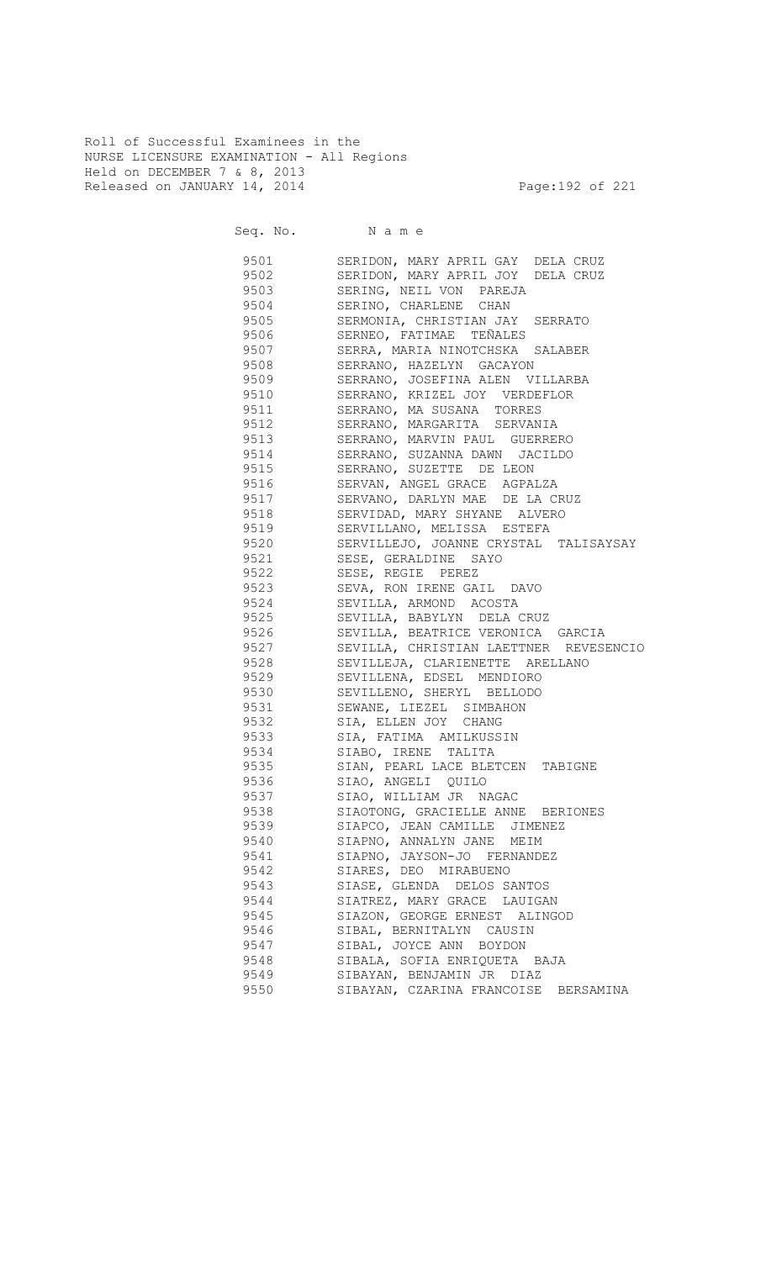Roll of Successful Examinees in the NURSE LICENSURE EXAMINATION - All Regions Held on DECEMBER 7 & 8, 2013 Released on JANUARY 14, 2014 **Page:192 of 221** 

Seq. No. Name 9501 SERIDON, MARY APRIL GAY DELA CRUZ 9502 SERIDON, MARY APRIL JOY DELA CRUZ 9503 SERING, NEIL VON PAREJA 9504 SERINO, CHARLENE CHAN<br>9505 SERMONIA, CHRISTIAN JAY SERMONIA, CHRISTIAN JAY SERRATO 9506 SERNEO, FATIMAE TEÑALES 9507 SERRA, MARIA NINOTCHSKA SALABER 9508 SERRANO, HAZELYN GACAYON 9509 SERRANO, JOSEFINA ALEN VILLARBA 9510 SERRANO, KRIZEL JOY VERDEFLOR 9511 SERRANO, MA SUSANA TORRES 9512 SERRANO, MARGARITA SERVANIA 9513 SERRANO, MARVIN PAUL GUERRERO 9514 SERRANO, SUZANNA DAWN JACILDO 9515 SERRANO, SUZETTE DE LEON 9516 SERVAN, ANGEL GRACE AGPALZA 9517 SERVANO, DARLYN MAE DE LA CRUZ SERVIDAD, MARY SHYANE ALVERO 9519 SERVILLANO, MELISSA ESTEFA 9520 SERVILLEJO, JOANNE CRYSTAL TALISAYSAY 9521 SESE, GERALDINE SAYO 9522 SESE, REGIE PEREZ 9523 SEVA, RON IRENE GAIL DAVO 9524 SEVILLA, ARMOND ACOSTA 9525 SEVILLA, BABYLYN DELA CRUZ 9526 SEVILLA, BEATRICE VERONICA GARCIA 9527 SEVILLA, CHRISTIAN LAETTNER REVESENCIO 9528 SEVILLEJA, CLARIENETTE ARELLANO 9529 SEVILLENA, EDSEL MENDIORO 9530 SEVILLENO, SHERYL BELLODO 9531 SEWANE, LIEZEL SIMBAHON 9532 SIA, ELLEN JOY CHANG 9533 SIA, FATIMA AMILKUSSIN 9534 SIABO, IRENE TALITA 9535 SIAN, PEARL LACE BLETCEN TABIGNE 9536 SIAO, ANGELI QUILO 9537 SIAO, WILLIAM JR NAGAC 9538 SIAOTONG, GRACIELLE ANNE BERIONES 9539 SIAPCO, JEAN CAMILLE JIMENEZ 9540 SIAPNO, ANNALYN JANE MEIM 9541 SIAPNO, JAYSON-JO FERNANDEZ 9542 SIARES, DEO MIRABUENO 9543 SIASE, GLENDA DELOS SANTOS 9544 SIATREZ, MARY GRACE LAUIGAN 9545 SIAZON, GEORGE ERNEST ALINGOD<br>9546 SIBAL, BERNITALYN CAUSIN SIBAL, BERNITALYN CAUSIN 9547 SIBAL, JOYCE ANN BOYDON 9548 SIBALA, SOFIA ENRIQUETA BAJA 9549 SIBAYAN, BENJAMIN JR DIAZ 9550 SIBAYAN, CZARINA FRANCOISE BERSAMINA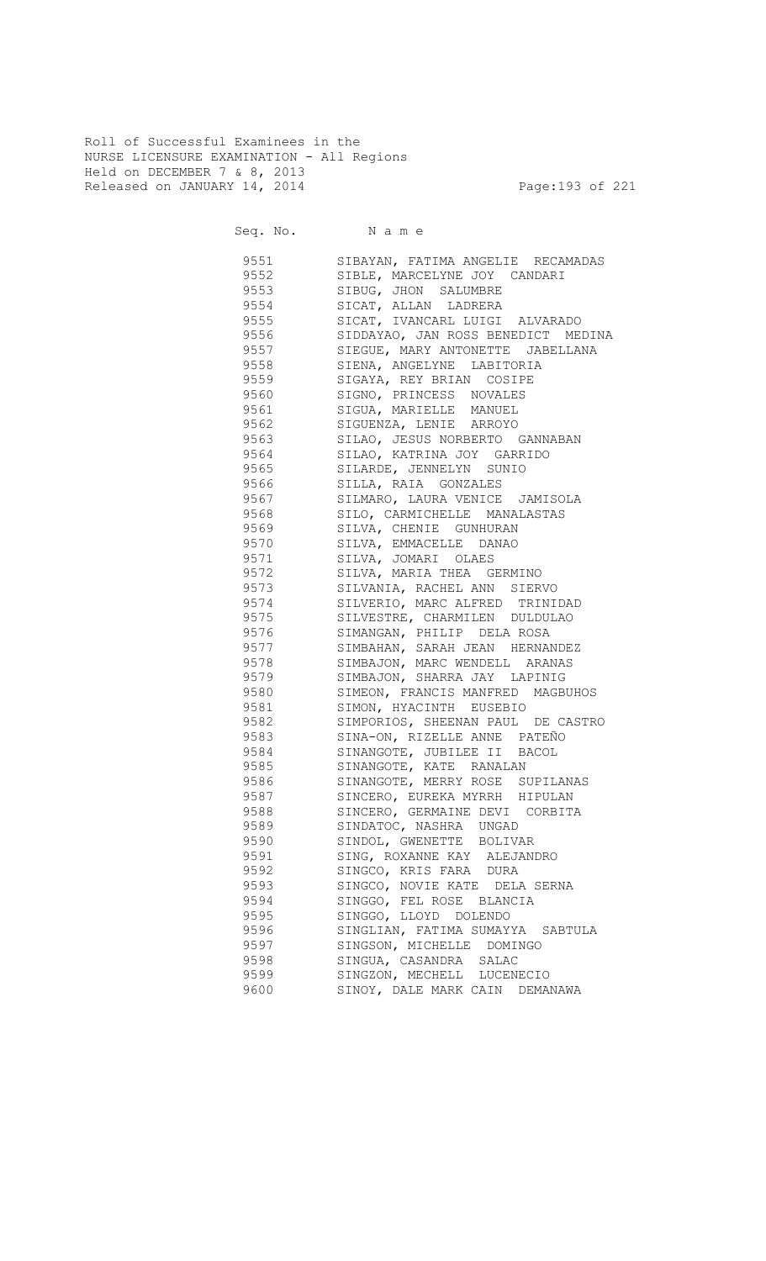Roll of Successful Examinees in the NURSE LICENSURE EXAMINATION - All Regions Held on DECEMBER 7 & 8, 2013 Released on JANUARY 14, 2014 **Page:193 of 221** 

Seq. No. Name

 9551 SIBAYAN, FATIMA ANGELIE RECAMADAS 9552 SIBLE, MARCELYNE JOY CANDARI 9553 SIBUG, JHON SALUMBRE 9554 SICAT, ALLAN LADRERA SICAT, IVANCARL LUIGI ALVARADO 9556 SIDDAYAO, JAN ROSS BENEDICT MEDINA 9557 SIEGUE, MARY ANTONETTE JABELLANA 9558 SIENA, ANGELYNE LABITORIA 9559 SIGAYA, REY BRIAN COSIPE 9560 SIGNO, PRINCESS NOVALES 9561 SIGUA, MARIELLE MANUEL 9562 SIGUENZA, LENIE ARROYO 9563 SILAO, JESUS NORBERTO GANNABAN 9564 SILAO, KATRINA JOY GARRIDO 9565 SILARDE, JENNELYN SUNIO 9566 SILLA, RAIA GONZALES 9567 SILMARO, LAURA VENICE JAMISOLA SILO, CARMICHELLE MANALASTAS 9569 SILVA, CHENIE GUNHURAN SILVA, EMMACELLE DANAO 9571 SILVA, JOMARI OLAES 9572 SILVA, MARIA THEA GERMINO 9573 SILVANIA, RACHEL ANN SIERVO 9574 SILVERIO, MARC ALFRED TRINIDAD<br>9575 SILVESTRE, CHARMILEN DULDULAO SILVESTRE, CHARMILEN DULDULAO 9576 SIMANGAN, PHILIP DELA ROSA 9577 SIMBAHAN, SARAH JEAN HERNANDEZ 9578 SIMBAJON, MARC WENDELL ARANAS 9579 SIMBAJON, SHARRA JAY LAPINIG 9580 SIMEON, FRANCIS MANFRED MAGBUHOS 9581 SIMON, HYACINTH EUSEBIO 9582 SIMPORIOS, SHEENAN PAUL DE CASTRO 9583 SINA-ON, RIZELLE ANNE PATEÑO 9584 SINANGOTE, JUBILEE II BACOL 9585 SINANGOTE, KATE RANALAN 9586 SINANGOTE, MERRY ROSE SUPILANAS 9587 SINCERO, EUREKA MYRRH HIPULAN 9588 SINCERO, GERMAINE DEVI CORBITA 9589 SINDATOC, NASHRA UNGAD 9590 SINDOL, GWENETTE BOLIVAR 9591 SING, ROXANNE KAY ALEJANDRO 9592 SINGCO, KRIS FARA DURA 9593 SINGCO, NOVIE KATE DELA SERNA 9594 SINGGO, FEL ROSE BLANCIA 9595 SINGGO, LLOYD DOLENDO 9596 SINGLIAN, FATIMA SUMAYYA SABTULA 9597 SINGSON, MICHELLE DOMINGO 9598 SINGUA, CASANDRA SALAC 9599 SINGZON, MECHELL LUCENECIO 9600 SINOY, DALE MARK CAIN DEMANAWA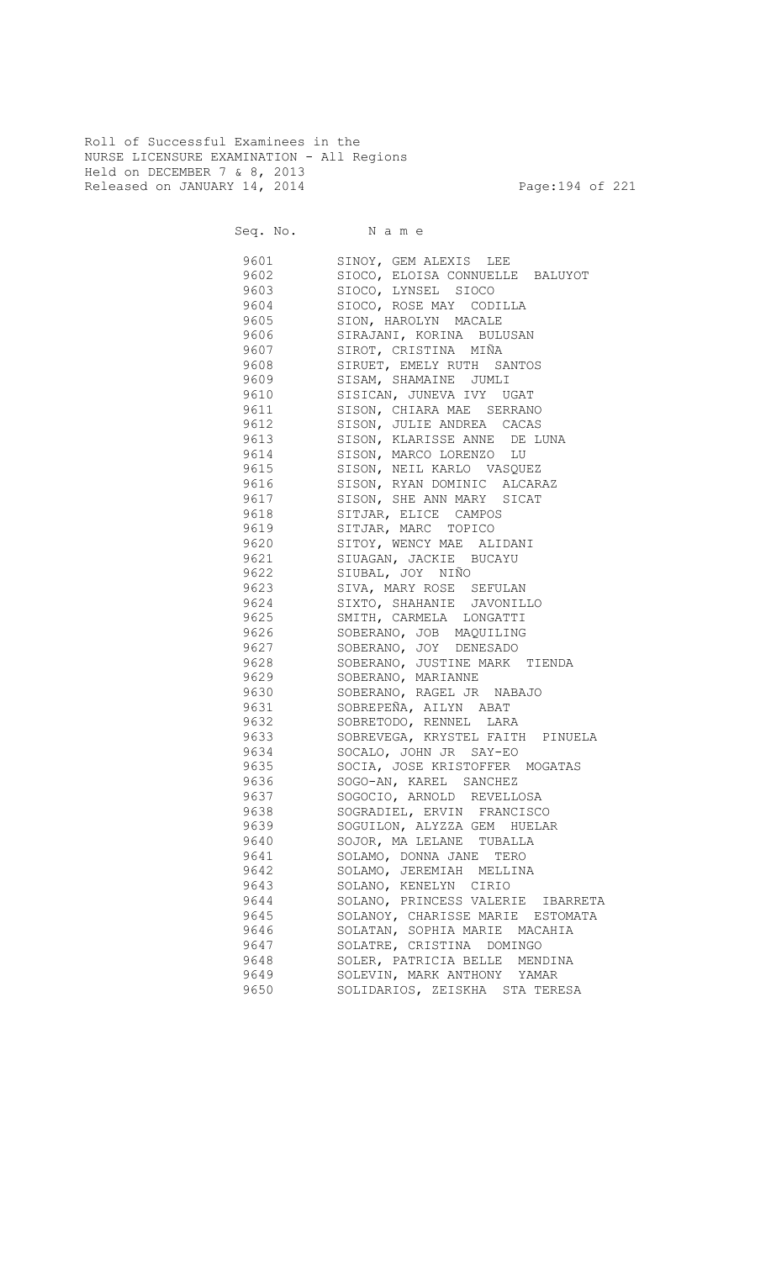Roll of Successful Examinees in the NURSE LICENSURE EXAMINATION - All Regions Held on DECEMBER 7 & 8, 2013 Released on JANUARY 14, 2014 **Page:194 of 221** 

Seq. No. Name

 9601 SINOY, GEM ALEXIS LEE 9602 SIOCO, ELOISA CONNUELLE BALUYOT 9603 SIOCO, LYNSEL SIOCO 9604 SIOCO, ROSE MAY CODILLA<br>9605 SION, HAROLYN MACALE SION, HAROLYN MACALE 9606 SIRAJANI, KORINA BULUSAN 9607 SIROT, CRISTINA MIÑA 9608 SIRUET, EMELY RUTH SANTOS 9609 SISAM, SHAMAINE JUMLI 9610 SISICAN, JUNEVA IVY UGAT 9611 SISON, CHIARA MAE SERRANO 9612 SISON, JULIE ANDREA CACAS 9613 SISON, KLARISSE ANNE DE LUNA 9614 SISON, MARCO LORENZO LU 9615 SISON, NEIL KARLO VASQUEZ 9616 SISON, RYAN DOMINIC ALCARAZ 9617 SISON, SHE ANN MARY SICAT<br>9618 SITJAR, ELICE CAMPOS SITJAR, ELICE CAMPOS 9619 SITJAR, MARC TOPICO 9620 SITOY, WENCY MAE ALIDANI 9621 SIUAGAN, JACKIE BUCAYU 9622 SIUBAL, JOY NIÑO 9623 SIVA, MARY ROSE SEFULAN 9624 SIXTO, SHAHANIE JAVONILLO 9625 SMITH, CARMELA LONGATTI 9626 SOBERANO, JOB MAQUILING 9627 SOBERANO, JOY DENESADO 9628 SOBERANO, JUSTINE MARK TIENDA 9629 SOBERANO, MARIANNE 9630 SOBERANO, RAGEL JR NABAJO 9631 SOBREPEÑA, AILYN ABAT 9632 SOBRETODO, RENNEL LARA 9633 SOBREVEGA, KRYSTEL FAITH PINUELA 9634 SOCALO, JOHN JR SAY-EO 9635 SOCIA, JOSE KRISTOFFER MOGATAS 9636 SOGO-AN, KAREL SANCHEZ 9637 SOGOCIO, ARNOLD REVELLOSA 9638 SOGRADIEL, ERVIN FRANCISCO 9639 SOGUILON, ALYZZA GEM HUELAR 9640 SOJOR, MA LELANE TUBALLA 9641 SOLAMO, DONNA JANE TERO 9642 SOLAMO, JEREMIAH MELLINA 9643 SOLANO, KENELYN CIRIO 9644 SOLANO, PRINCESS VALERIE IBARRETA 9645 SOLANOY, CHARISSE MARIE ESTOMATA 9646 SOLATAN, SOPHIA MARIE MACAHIA 9647 SOLATRE, CRISTINA DOMINGO 9648 SOLER, PATRICIA BELLE MENDINA 9649 SOLEVIN, MARK ANTHONY YAMAR 9650 SOLIDARIOS, ZEISKHA STA TERESA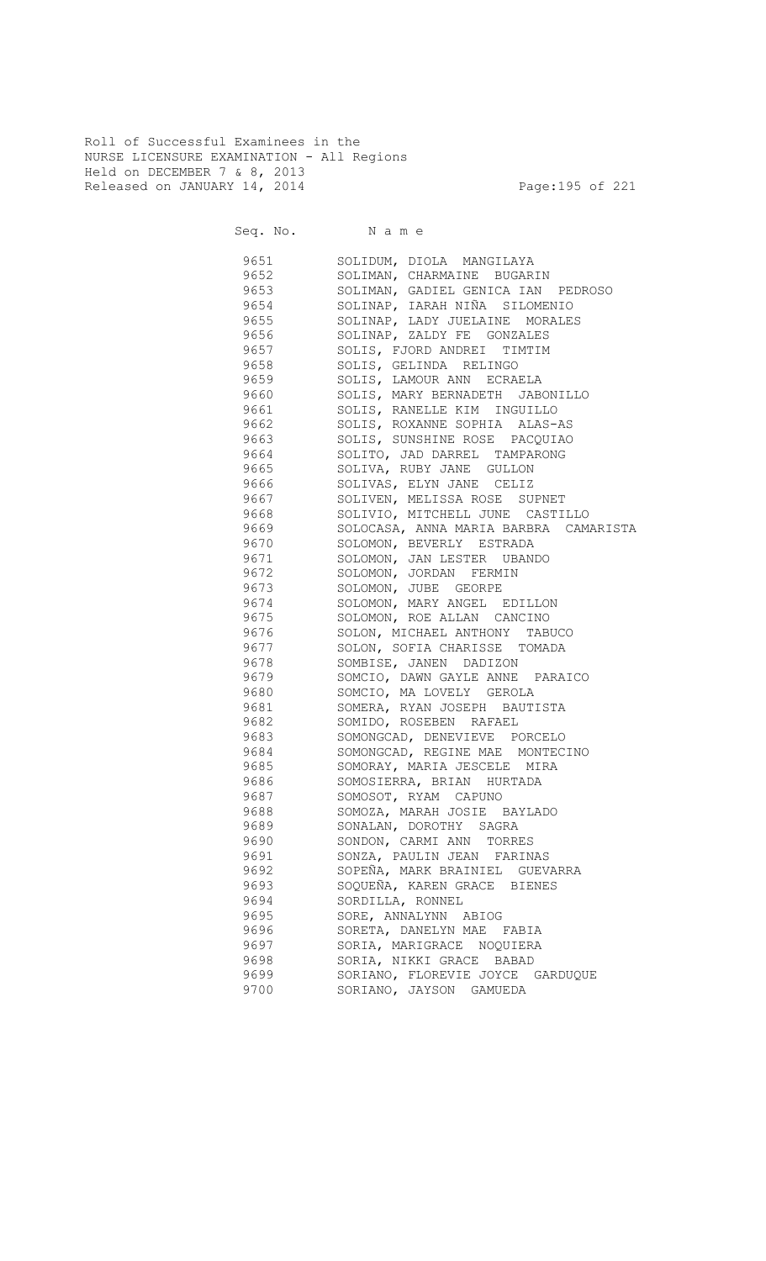Roll of Successful Examinees in the NURSE LICENSURE EXAMINATION - All Regions Held on DECEMBER 7 & 8, 2013 Released on JANUARY 14, 2014 **Page:195 of 221** 

Seq. No. Name

 9651 SOLIDUM, DIOLA MANGILAYA 9652 SOLIMAN, CHARMAINE BUGARIN 9653 SOLIMAN, GADIEL GENICA IAN PEDROSO 9654 SOLINAP, IARAH NIÑA SILOMENIO 9655 SOLINAP, LADY JUELAINE MORALES 9656 SOLINAP, ZALDY FE GONZALES 9657 SOLIS, FJORD ANDREI TIMTIM 9658 SOLIS, GELINDA RELINGO 9659 SOLIS, LAMOUR ANN ECRAELA 9660 SOLIS, MARY BERNADETH JABONILLO 9661 SOLIS, RANELLE KIM INGUILLO 9662 SOLIS, ROXANNE SOPHIA ALAS-AS 9663 SOLIS, SUNSHINE ROSE PACQUIAO 9664 SOLITO, JAD DARREL TAMPARONG 9665 SOLIVA, RUBY JANE GULLON 9666 SOLIVAS, ELYN JANE CELIZ 9667 SOLIVEN, MELISSA ROSE SUPNET SOLIVIO, MITCHELL JUNE CASTILLO 9669 SOLOCASA, ANNA MARIA BARBRA CAMARISTA 9670 SOLOMON, BEVERLY ESTRADA 9671 SOLOMON, JAN LESTER UBANDO 9672 SOLOMON, JORDAN FERMIN 9673 SOLOMON, JUBE GEORPE 9674 SOLOMON, MARY ANGEL EDILLON<br>9675 SOLOMON, ROE ALLAN CANCINO SOLOMON, ROE ALLAN CANCINO 9676 SOLON, MICHAEL ANTHONY TABUCO 9677 SOLON, SOFIA CHARISSE TOMADA 9678 SOMBISE, JANEN DADIZON 9679 SOMCIO, DAWN GAYLE ANNE PARAICO 9680 SOMCIO, MA LOVELY GEROLA 9681 SOMERA, RYAN JOSEPH BAUTISTA 9682 SOMIDO, ROSEBEN RAFAEL 9683 SOMONGCAD, DENEVIEVE PORCELO 9684 SOMONGCAD, REGINE MAE MONTECINO 9685 SOMORAY, MARIA JESCELE MIRA 9686 SOMOSIERRA, BRIAN HURTADA 9687 SOMOSOT, RYAM CAPUNO 9688 SOMOZA, MARAH JOSIE BAYLADO 9689 SONALAN, DOROTHY SAGRA 9690 SONDON, CARMI ANN TORRES 9691 SONZA, PAULIN JEAN FARINAS 9692 SOPEÑA, MARK BRAINIEL GUEVARRA 9693 SOQUEÑA, KAREN GRACE BIENES 9694 SORDILLA, RONNEL 9695 SORE, ANNALYNN ABIOG 9696 SORETA, DANELYN MAE FABIA 9697 SORIA, MARIGRACE NOQUIERA 9698 SORIA, NIKKI GRACE BABAD 9699 SORIANO, FLOREVIE JOYCE GARDUQUE 9700 SORIANO, JAYSON GAMUEDA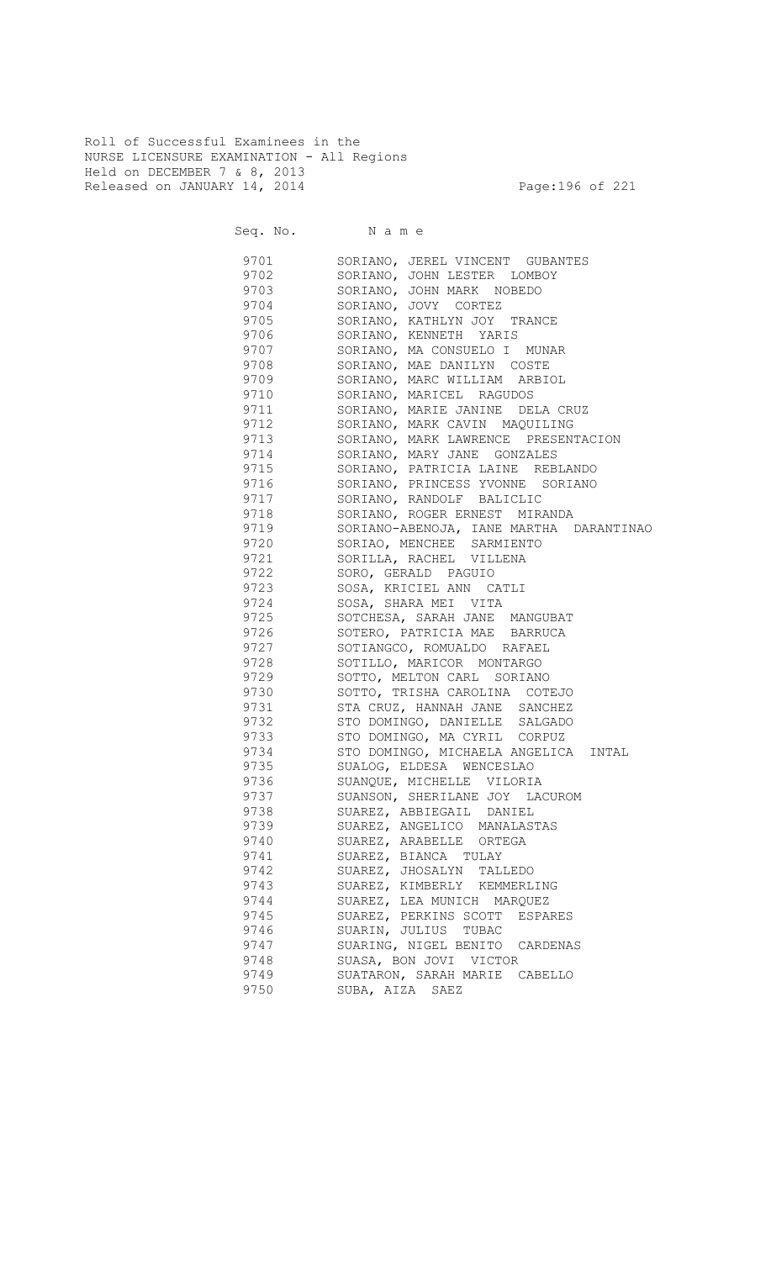Roll of Successful Examinees in the NURSE LICENSURE EXAMINATION - All Regions Held on DECEMBER 7 & 8, 2013 Released on JANUARY 14, 2014 **Page:196 of 221** 

|      | Seq. No. Name                           |
|------|-----------------------------------------|
| 9701 | SORIANO, JEREL VINCENT GUBANTES         |
| 9702 | SORIANO, JOHN LESTER LOMBOY             |
| 9703 | SORIANO, JOHN MARK NOBEDO               |
| 9704 | SORIANO, JOVY CORTEZ                    |
| 9705 | SORIANO, KATHLYN JOY TRANCE             |
| 9706 | SORIANO, KENNETH YARIS                  |
| 9707 | SORIANO, MA CONSUELO I MUNAR            |
| 9708 | SORIANO, MAE DANILYN COSTE              |
| 9709 | SORIANO, MARC WILLIAM ARBIOL            |
| 9710 | SORIANO, MARICEL RAGUDOS                |
| 9711 | SORIANO, MARIE JANINE DELA CRUZ         |
| 9712 | SORIANO, MARK CAVIN MAQUILING           |
| 9713 | SORIANO, MARK LAWRENCE PRESENTACION     |
| 9714 | SORIANO, MARY JANE GONZALES             |
| 9715 | SORIANO, PATRICIA LAINE REBLANDO        |
| 9716 | SORIANO, PRINCESS YVONNE SORIANO        |
| 9717 | SORIANO, RANDOLF BALICLIC               |
| 9718 | SORIANO, ROGER ERNEST MIRANDA           |
| 9719 | SORIANO-ABENOJA, IANE MARTHA DARANTINAO |
| 9720 | SORIAO, MENCHEE SARMIENTO               |
| 9721 | SORILLA, RACHEL VILLENA                 |
| 9722 | SORO, GERALD PAGUIO                     |
| 9723 | SOSA, KRICIEL ANN CATLI                 |
| 9724 | SOSA, SHARA MEI VITA                    |
| 9725 | SOTCHESA, SARAH JANE MANGUBAT           |
| 9726 | SOTERO, PATRICIA MAE BARRUCA            |
| 9727 | SOTIANGCO, ROMUALDO RAFAEL              |
| 9728 | SOTILLO, MARICOR MONTARGO               |
| 9729 | SOTTO, MELTON CARL SORIANO              |
| 9730 | SOTTO, TRISHA CAROLINA COTEJO           |
| 9731 | STA CRUZ, HANNAH JANE SANCHEZ           |
| 9732 | STO DOMINGO, DANIELLE SALGADO           |
| 9733 | STO DOMINGO, MA CYRIL CORPUZ            |
| 9734 | STO DOMINGO, MICHAELA ANGELICA INTAL    |
| 9735 | SUALOG, ELDESA WENCESLAO                |
| 9736 | SUANQUE, MICHELLE VILORIA               |
| 9737 | SUANSON, SHERILANE JOY LACUROM          |
| 9738 | SUAREZ, ABBIEGAIL DANIEL                |
| 9739 | SUAREZ, ANGELICO MANALASTAS             |
| 9740 | SUAREZ, ARABELLE ORTEGA                 |
| 9741 | SUAREZ, BIANCA TULAY                    |
| 9742 | SUAREZ, JHOSALYN TALLEDO                |
| 9743 | SUAREZ, KIMBERLY KEMMERLING             |
| 9744 | SUAREZ, LEA MUNICH MARQUEZ              |
| 9745 | SUAREZ, PERKINS SCOTT ESPARES           |
| 9746 | SUARIN, JULIUS TUBAC                    |
| 9747 | SUARING, NIGEL BENITO CARDENAS          |
| 9748 | SUASA, BON JOVI VICTOR                  |
| 9749 | SUATARON, SARAH MARIE CABELLO           |
| 9750 | SUBA, AIZA SAEZ                         |
|      |                                         |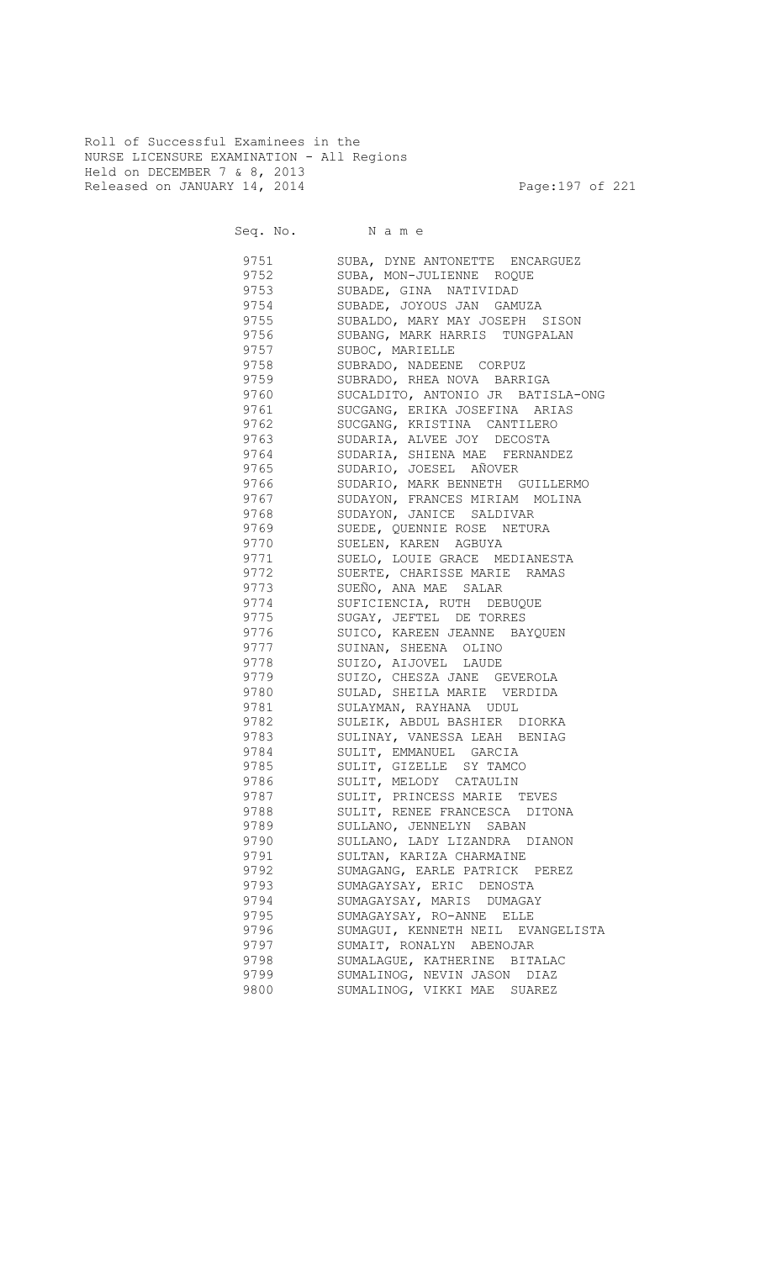Roll of Successful Examinees in the NURSE LICENSURE EXAMINATION - All Regions Held on DECEMBER 7 & 8, 2013 Released on JANUARY 14, 2014 **Page:197 of 221** 

Seq. No. Name

9751 SUBA, DYNE ANTONETTE ENCARGUEZ 9752 SUBA, MON-JULIENNE ROQUE 9753 SUBADE, GINA NATIVIDAD 9754 SUBADE, JOYOUS JAN GAMUZA SUBALDO, MARY MAY JOSEPH SISON 9756 SUBANG, MARK HARRIS TUNGPALAN 9757 SUBOC, MARIELLE 9758 SUBRADO, NADEENE CORPUZ SUBRADO, RHEA NOVA BARRIGA 9760 SUCALDITO, ANTONIO JR BATISLA-ONG 9761 SUCGANG, ERIKA JOSEFINA ARIAS 9762 SUCGANG, KRISTINA CANTILERO 9763 SUDARIA, ALVEE JOY DECOSTA 9764 SUDARIA, SHIENA MAE FERNANDEZ 9765 SUDARIO, JOESEL AÑOVER 9766 SUDARIO, MARK BENNETH GUILLERMO 9767 SUDAYON, FRANCES MIRIAM MOLINA SUDAYON, JANICE SALDIVAR 9769 SUEDE, QUENNIE ROSE NETURA SUELEN, KAREN AGBUYA 9771 SUELO, LOUIE GRACE MEDIANESTA SUERTE, CHARISSE MARIE RAMAS 9773 SUEÑO, ANA MAE SALAR 9774 SUFICIENCIA, RUTH DEBUQUE<br>9775 SUGAY, JEFTEL DE TORRES SUGAY, JEFTEL DE TORRES 9776 SUICO, KAREEN JEANNE BAYQUEN 9777 SUINAN, SHEENA OLINO 9778 SUIZO, AIJOVEL LAUDE 9779 SUIZO, CHESZA JANE GEVEROLA 9780 SULAD, SHEILA MARIE VERDIDA 9781 SULAYMAN, RAYHANA UDUL 9782 SULEIK, ABDUL BASHIER DIORKA 9783 SULINAY, VANESSA LEAH BENIAG 9784 SULIT, EMMANUEL GARCIA 9785 SULIT, GIZELLE SY TAMCO 9786 SULIT, MELODY CATAULIN 9787 SULIT, PRINCESS MARIE TEVES 9788 SULIT, RENEE FRANCESCA DITONA 9789 SULLANO, JENNELYN SABAN 9790 SULLANO, LADY LIZANDRA DIANON 9791 SULTAN, KARIZA CHARMAINE 9792 SUMAGANG, EARLE PATRICK PEREZ 9793 SUMAGAYSAY, ERIC DENOSTA 9794 SUMAGAYSAY, MARIS DUMAGAY 9795 SUMAGAYSAY, RO-ANNE ELLE<br>9796 SUMAGUI, KENNETH NEIL EV. SUMAGUI, KENNETH NEIL EVANGELISTA 9797 SUMAIT, RONALYN ABENOJAR 9798 SUMALAGUE, KATHERINE BITALAC 9799 SUMALINOG, NEVIN JASON DIAZ 9800 SUMALINOG, VIKKI MAE SUAREZ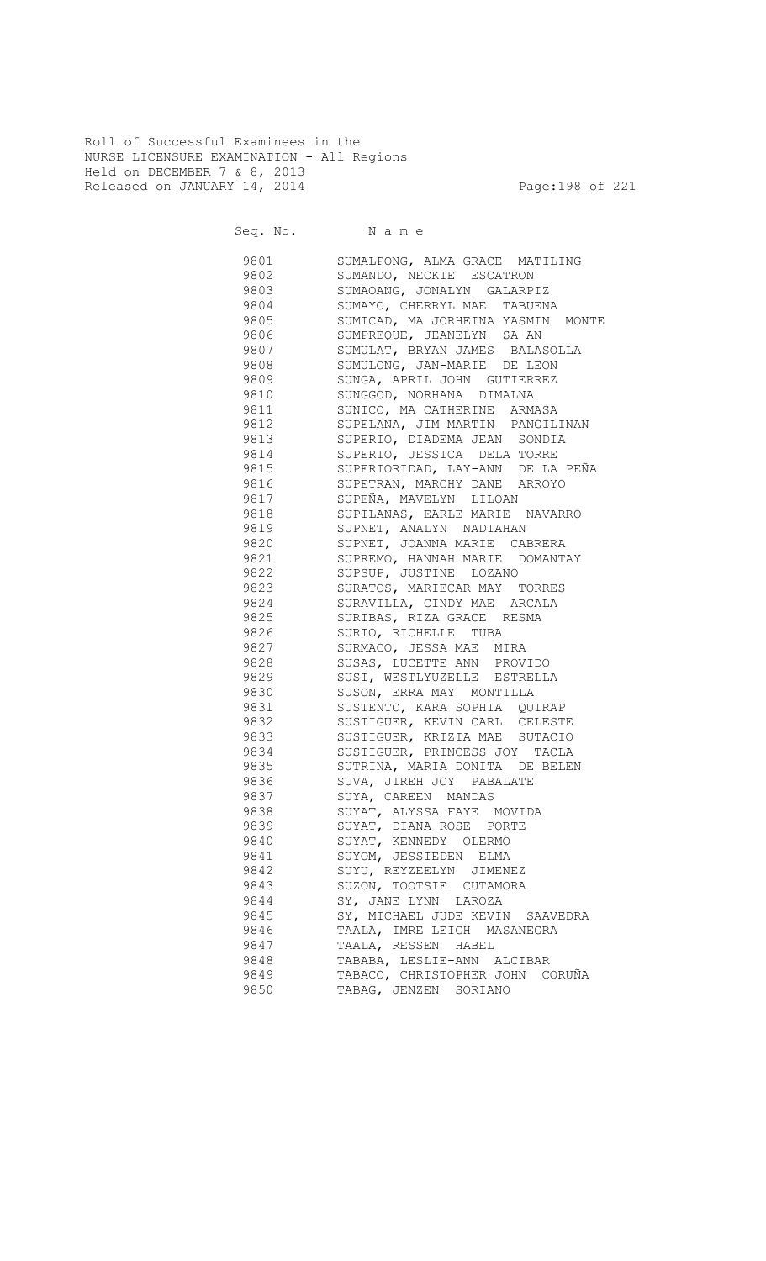Roll of Successful Examinees in the NURSE LICENSURE EXAMINATION - All Regions Held on DECEMBER 7 & 8, 2013 Released on JANUARY 14, 2014 **Page:198 of 221** 

Seq. No. Name

 9801 SUMALPONG, ALMA GRACE MATILING 9802 SUMANDO, NECKIE ESCATRON 9803 SUMAOANG, JONALYN GALARPIZ 9804 SUMAYO, CHERRYL MAE TABUENA<br>9805 SUMICAD, MA JORHEINA YASMIN SUMICAD, MA JORHEINA YASMIN MONTE 9806 SUMPREQUE, JEANELYN SA-AN 9807 SUMULAT, BRYAN JAMES BALASOLLA 9808 SUMULONG, JAN-MARIE DE LEON<br>9809 SUNGA, APRIL JOHN GUTIERREZ SUNGA, APRIL JOHN GUTIERREZ 9810 SUNGGOD, NORHANA DIMALNA 9811 SUNICO, MA CATHERINE ARMASA 9812 SUPELANA, JIM MARTIN PANGILINAN 9813 SUPERIO, DIADEMA JEAN SONDIA 9814 SUPERIO, JESSICA DELA TORRE 9815 SUPERIORIDAD, LAY-ANN DE LA PEÑA 9816 SUPETRAN, MARCHY DANE ARROYO 9817 SUPEÑA, MAVELYN LILOAN SUPILANAS, EARLE MARIE NAVARRO 9819 SUPNET, ANALYN NADIAHAN 9820 SUPNET, JOANNA MARIE CABRERA 9821 SUPREMO, HANNAH MARIE DOMANTAY 9822 SUPSUP, JUSTINE LOZANO 9823 SURATOS, MARIECAR MAY TORRES 9824 SURAVILLA, CINDY MAE ARCALA 9825 SURIBAS, RIZA GRACE RESMA 9826 SURIO, RICHELLE TUBA **9827** SURMACO, JESSA MAE MIRA 9828 SUSAS, LUCETTE ANN PROVIDO 9829 SUSI, WESTLYUZELLE ESTRELLA 9830 SUSON, ERRA MAY MONTILLA 9831 SUSTENTO, KARA SOPHIA QUIRAP 9832 SUSTIGUER, KEVIN CARL CELESTE 9833 SUSTIGUER, KRIZIA MAE SUTACIO 9834 SUSTIGUER, PRINCESS JOY TACLA 9835 SUTRINA, MARIA DONITA DE BELEN 9836 SUVA, JIREH JOY PABALATE 9837 SUYA, CAREEN MANDAS 9838 SUYAT, ALYSSA FAYE MOVIDA 9839 SUYAT, DIANA ROSE PORTE 9840 SUYAT, KENNEDY OLERMO 9841 SUYOM, JESSIEDEN ELMA 9842 SUYU, REYZEELYN JIMENEZ 9843 SUZON, TOOTSIE CUTAMORA 9844 SY, JANE LYNN LAROZA 9845 SY, MICHAEL JUDE KEVIN SAAVEDRA 9846 TAALA, IMRE LEIGH MASANEGRA 9847 TAALA, RESSEN HABEL 9848 TABABA, LESLIE-ANN ALCIBAR 9849 TABACO, CHRISTOPHER JOHN CORUÑA 9850 TABAG, JENZEN SORIANO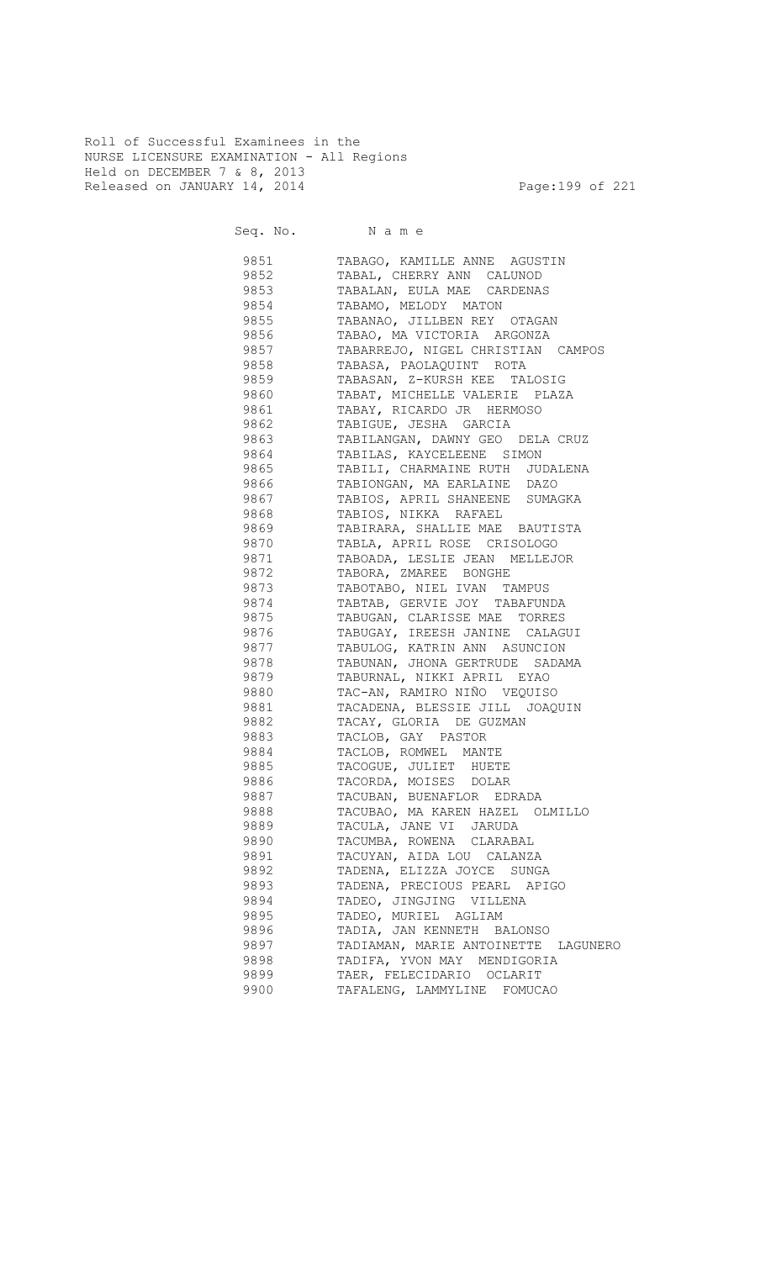Roll of Successful Examinees in the NURSE LICENSURE EXAMINATION - All Regions Held on DECEMBER 7 & 8, 2013 Released on JANUARY 14, 2014 **Page:199 of 221** 

9851 TABAGO, KAMILLE ANNE AGUSTIN<br>9852 TABAL, CHERRY ANN CALUNOD 9852 TABAL, CHERRY ANN CALUNOD 9853 TABALAN, EULA MAE CARDENAS 9854 TABAMO, MELODY MATON<br>9855 TABANAO, JILLBEN REY 9855 TABANAO, JILLBEN REY OTAGAN<br>9856 TABAO, MA VICTORIA ARGONZA TABAO, MA VICTORIA ARGONZA

| 9857 | TABARREJO, NIGEL CHRISTIAN CAMPOS      |
|------|----------------------------------------|
| 9858 | TABASA, PAOLAQUINT ROTA                |
| 9859 | TABASAN, Z-KURSH KEE TALOSIG           |
| 9860 | TABAT, MICHELLE VALERIE PLAZA          |
| 9861 | TABAY, RICARDO JR HERMOSO              |
| 9862 | TABIGUE, JESHA GARCIA                  |
| 9863 | TABILANGAN, DAWNY GEO DELA CRUZ        |
| 9864 | TABILAS, KAYCELEENE SIMON              |
| 9865 | TABILI, CHARMAINE RUTH JUDALENA        |
| 9866 | TABIONGAN, MA EARLAINE DAZO            |
| 9867 | TABIOS, APRIL SHANEENE SUMAGKA         |
| 9868 | TABIOS, NIKKA RAFAEL                   |
| 9869 | TABIRARA, SHALLIE MAE BAUTISTA         |
| 9870 | TABLA, APRIL ROSE CRISOLOGO            |
| 9871 | TABOADA, LESLIE JEAN MELLEJOR          |
| 9872 | TABORA, ZMAREE BONGHE                  |
| 9873 | TABOTABO, NIEL IVAN TAMPUS             |
| 9874 | TABTAB, GERVIE JOY TABAFUNDA           |
| 9875 | TABUGAN, CLARISSE MAE TORRES           |
| 9876 | TABUGAY, IREESH JANINE CALAGUI         |
| 9877 | TABULOG, KATRIN ANN ASUNCION           |
| 9878 | TABUNAN, JHONA GERTRUDE SADAMA         |
| 9879 | TABURNAL, NIKKI APRIL EYAO             |
| 9880 | TAC-AN, RAMIRO NIÑO VEQUISO            |
| 9881 | TACADENA, BLESSIE JILL JOAQUIN         |
| 9882 | TACAY, GLORIA DE GUZMAN                |
| 9883 | TACLOB, GAY PASTOR                     |
|      | TACLOB, ROMWEL MANTE                   |
| 9884 |                                        |
| 9885 | TACOGUE, JULIET HUETE                  |
| 9886 | TACORDA, MOISES DOLAR                  |
| 9887 | TACUBAN, BUENAFLOR EDRADA              |
| 9888 | TACUBAO, MA KAREN HAZEL OLMILLO        |
| 9889 | TACULA, JANE VI JARUDA                 |
| 9890 | TACUMBA, ROWENA CLARABAL               |
| 9891 | TACUYAN, AIDA LOU CALANZA              |
| 9892 | TADENA, ELIZZA JOYCE SUNGA             |
| 9893 | TADENA, PRECIOUS PEARL APIGO           |
| 9894 | TADEO, JINGJING VILLENA                |
| 9895 | TADEO, MURIEL AGLIAM                   |
| 9896 | TADIA, JAN KENNETH BALONSO             |
| 9897 | TADIAMAN, MARIE ANTOINETTE<br>LAGUNERO |
| 9898 | TADIFA, YVON MAY MENDIGORIA            |
| 9899 | TAER, FELECIDARIO OCLARIT              |
| 9900 | TAFALENG, LAMMYLINE<br>FOMUCAO         |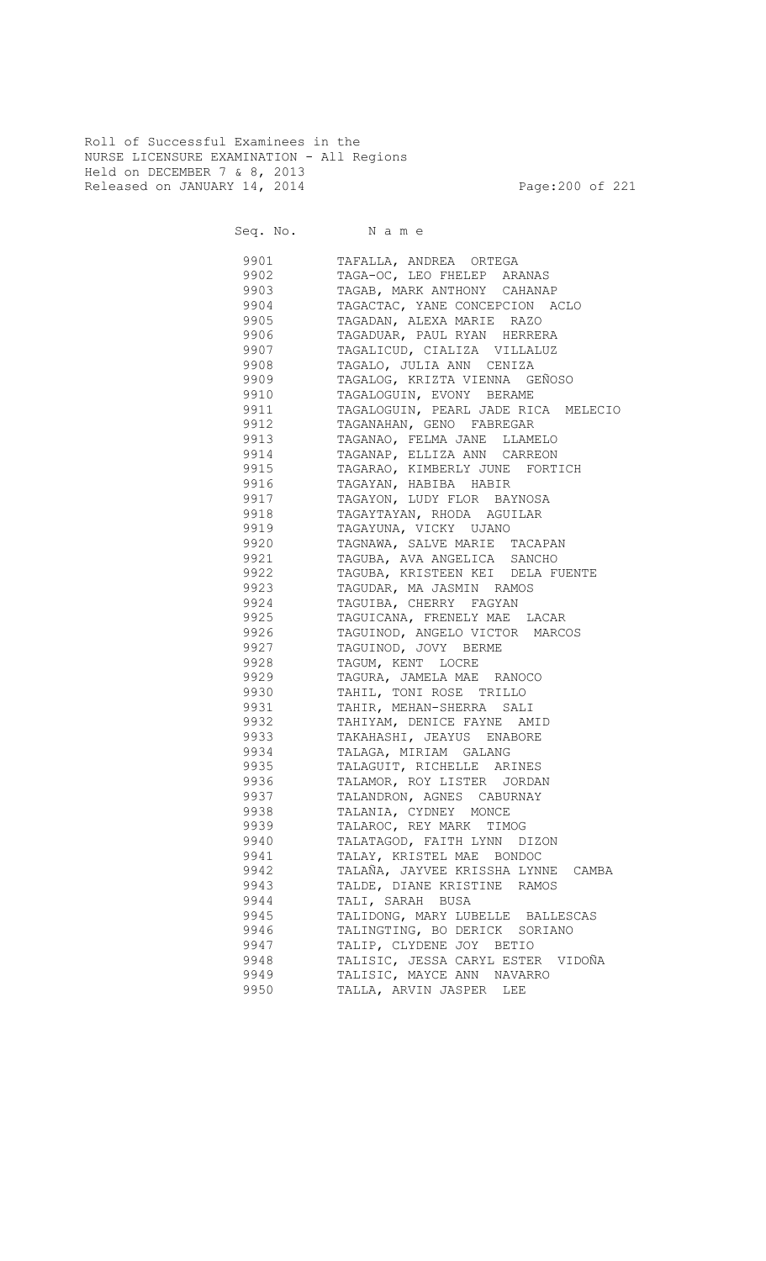Roll of Successful Examinees in the NURSE LICENSURE EXAMINATION - All Regions Held on DECEMBER 7 & 8, 2013 Released on JANUARY 14, 2014 **Page:200 of 221** 

Seq. No. Name

 9901 TAFALLA, ANDREA ORTEGA 9902 TAGA-OC, LEO FHELEP ARANAS 9903 TAGAB, MARK ANTHONY CAHANAP 9904 TAGACTAC, YANE CONCEPCION ACLO<br>9905 TAGADAN, ALEXA MARIE RAZO TAGADAN, ALEXA MARIE RAZO 9906 TAGADUAR, PAUL RYAN HERRERA 9907 TAGALICUD, CIALIZA VILLALUZ 9908 TAGALO, JULIA ANN CENIZA 9909 TAGALOG, KRIZTA VIENNA GEÑOSO 9910 TAGALOGUIN, EVONY BERAME 9911 TAGALOGUIN, PEARL JADE RICA MELECIO 9912 TAGANAHAN, GENO FABREGAR 9913 TAGANAO, FELMA JANE LLAMELO 9914 TAGANAP, ELLIZA ANN CARREON 9915 TAGARAO, KIMBERLY JUNE FORTICH 9916 TAGAYAN, HABIBA HABIR 9917 TAGAYON, LUDY FLOR BAYNOSA TAGAYTAYAN, RHODA AGUILAR 9919 TAGAYUNA, VICKY UJANO 9920 TAGNAWA, SALVE MARIE TACAPAN 9921 TAGUBA, AVA ANGELICA SANCHO 9922 TAGUBA, KRISTEEN KEI DELA FUENTE 9923 TAGUDAR, MA JASMIN RAMOS 9924 TAGUIBA, CHERRY FAGYAN 9925 TAGUICANA, FRENELY MAE LACAR 9926 TAGUINOD, ANGELO VICTOR MARCOS 9927 TAGUINOD, JOVY BERME 9928 TAGUM, KENT LOCRE 9929 TAGURA, JAMELA MAE RANOCO 9930 TAHIL, TONI ROSE TRILLO 9931 TAHIR, MEHAN-SHERRA SALI 9932 TAHIYAM, DENICE FAYNE AMID 9933 TAKAHASHI, JEAYUS ENABORE 9934 TALAGA, MIRIAM GALANG 9935 TALAGUIT, RICHELLE ARINES 9936 TALAMOR, ROY LISTER JORDAN 9937 TALANDRON, AGNES CABURNAY 9938 TALANIA, CYDNEY MONCE 9939 TALAROC, REY MARK TIMOG 9940 TALATAGOD, FAITH LYNN DIZON 9941 TALAY, KRISTEL MAE BONDOC 9942 TALAÑA, JAYVEE KRISSHA LYNNE CAMBA 9943 TALDE, DIANE KRISTINE RAMOS 9944 TALI, SARAH BUSA 9945 TALIDONG, MARY LUBELLE BALLESCAS 9946 TALINGTING, BO DERICK SORIANO 9947 TALIP, CLYDENE JOY BETIO 9948 TALISIC, JESSA CARYL ESTER VIDOÑA 9949 TALISIC, MAYCE ANN NAVARRO 9950 TALLA, ARVIN JASPER LEE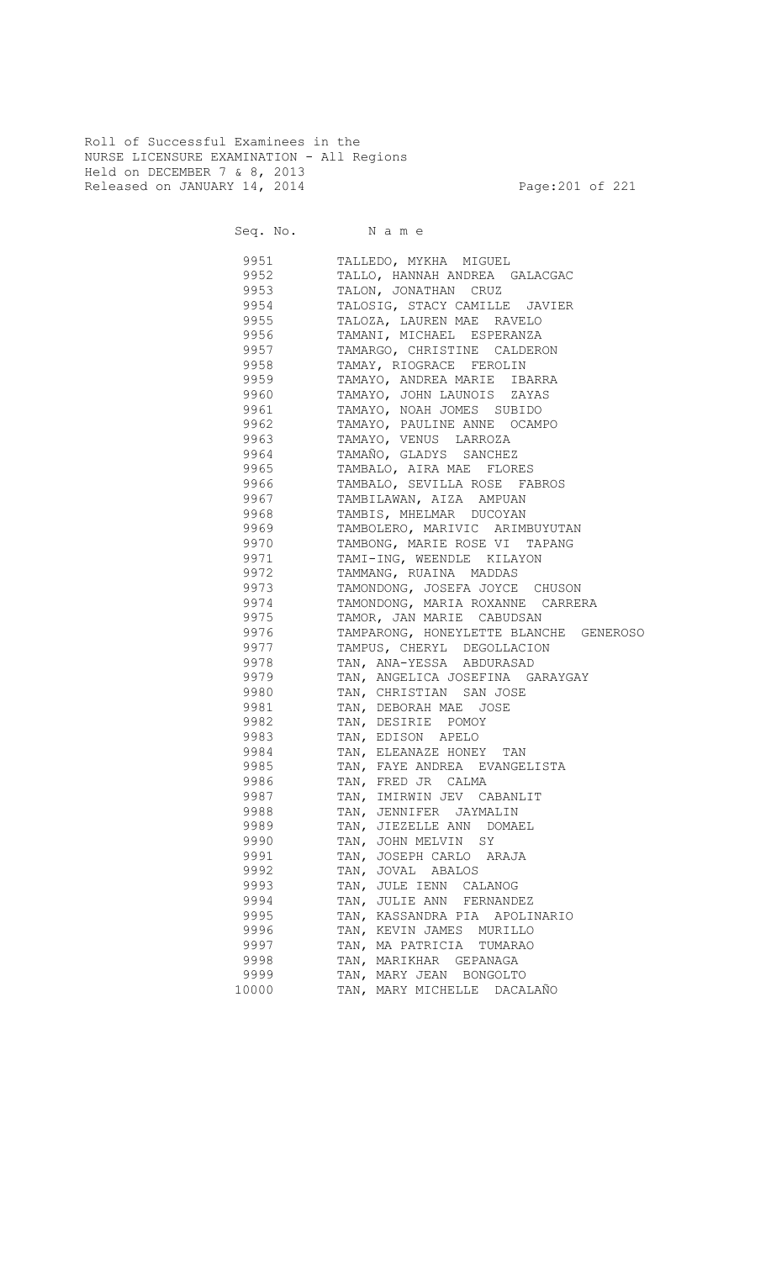Roll of Successful Examinees in the NURSE LICENSURE EXAMINATION - All Regions Held on DECEMBER 7 & 8, 2013 Released on JANUARY 14, 2014 **Page:201 of 221** 

Seq. No. Name

 9951 TALLEDO, MYKHA MIGUEL 9952 TALLO, HANNAH ANDREA GALACGAC 9953 TALON, JONATHAN CRUZ 9954 TALOSIG, STACY CAMILLE JAVIER 9955 TALOZA, LAUREN MAE RAVELO 9956 TAMANI, MICHAEL ESPERANZA 9957 TAMARGO, CHRISTINE CALDERON 9958 TAMAY, RIOGRACE FEROLIN 9959 TAMAYO, ANDREA MARIE IBARRA 9960 TAMAYO, JOHN LAUNOIS ZAYAS 9961 TAMAYO, NOAH JOMES SUBIDO 9962 TAMAYO, PAULINE ANNE OCAMPO 9963 TAMAYO, VENUS LARROZA 9964 TAMAÑO, GLADYS SANCHEZ 9965 TAMBALO, AIRA MAE FLORES 9966 TAMBALO, SEVILLA ROSE FABROS 9967 TAMBILAWAN, AIZA AMPUAN TAMBIS, MHELMAR DUCOYAN 9969 TAMBOLERO, MARIVIC ARIMBUYUTAN 9970 TAMBONG, MARIE ROSE VI TAPANG 9971 TAMI-ING, WEENDLE KILAYON 9972 TAMMANG, RUAINA MADDAS 9973 TAMONDONG, JOSEFA JOYCE CHUSON 9974 TAMONDONG, MARIA ROXANNE CARRERA<br>9975 TAMOR, JAN MARIE CABUDSAN TAMOR, JAN MARIE CABUDSAN 9976 TAMPARONG, HONEYLETTE BLANCHE GENEROSO 9977 TAMPUS, CHERYL DEGOLLACION 9978 TAN, ANA-YESSA ABDURASAD 9979 TAN, ANGELICA JOSEFINA GARAYGAY 9980 TAN, CHRISTIAN SAN JOSE 9981 TAN, DEBORAH MAE JOSE 9982 TAN, DESIRIE POMOY 9983 TAN, EDISON APELO 9984 TAN, ELEANAZE HONEY TAN 9985 TAN, FAYE ANDREA EVANGELISTA 9986 TAN, FRED JR CALMA 9987 TAN, IMIRWIN JEV CABANLIT 9988 TAN, JENNIFER JAYMALIN 9989 TAN, JIEZELLE ANN DOMAEL 9990 TAN, JOHN MELVIN SY 9991 TAN, JOSEPH CARLO ARAJA 9992 TAN, JOVAL ABALOS 9993 TAN, JULE IENN CALANOG 9994 TAN, JULIE ANN FERNANDEZ 9995 TAN, KASSANDRA PIA APOLINARIO 9996 TAN, KEVIN JAMES MURILLO 9997 TAN, MA PATRICIA TUMARAO 9998 TAN, MARIKHAR GEPANAGA 9999 TAN, MARY JEAN BONGOLTO 10000 TAN, MARY MICHELLE DACALAÑO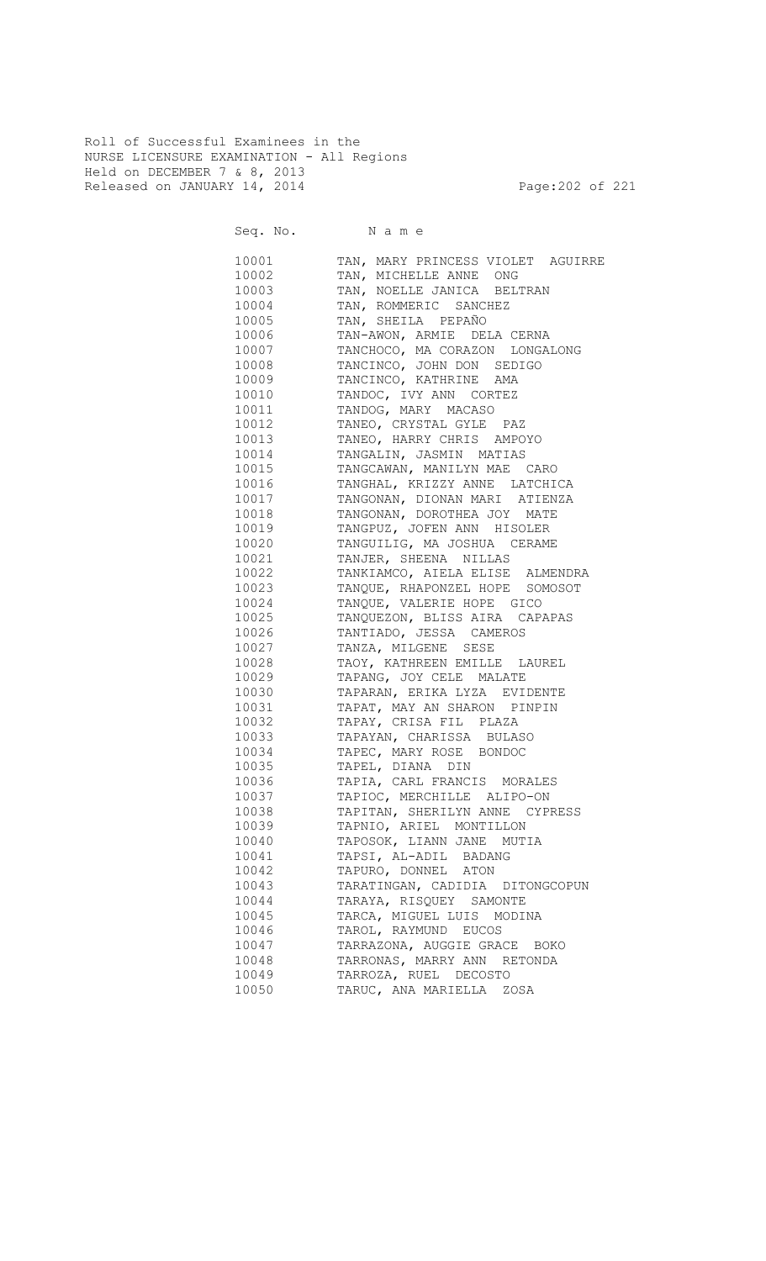Roll of Successful Examinees in the NURSE LICENSURE EXAMINATION - All Regions Held on DECEMBER 7 & 8, 2013 Released on JANUARY 14, 2014 **Page:202** of 221

| TAN, MARY PRINCESS VIOLET AGUIRRE<br>10001<br>10002<br>TAN, MICHELLE ANNE ONG<br>10003<br>TAN, NOELLE JANICA BELTRAN<br>TAN, ROMMERIC SANCHEZ<br>10004<br>TAN, SHEILA PEPAÑO<br>10005<br>10006<br>TAN-AWON, ARMIE DELA CERNA<br>TANCHOCO, MA CORAZON LONGALONG<br>10007<br>10008<br>TANCINCO, JOHN DON SEDIGO<br>10009<br>TANCINCO, KATHRINE AMA<br>10010<br>TANDOC, IVY ANN CORTEZ<br>10011<br>TANDOG, MARY MACASO<br>10012<br>TANEO, CRYSTAL GYLE PAZ<br>10013<br>TANEO, HARRY CHRIS AMPOYO<br>10014<br>TANGALIN, JASMIN MATIAS<br>TANGCAWAN, MANILYN MAE CARO<br>10015<br>TANGHAL, KRIZZY ANNE LATCHICA<br>10016<br>10017<br>TANGONAN, DIONAN MARI ATIENZA<br>TANGONAN, DOROTHEA JOY MATE<br>10018<br>TANGPUZ, JOFEN ANN HISOLER<br>10019<br>10020<br>TANGUILIG, MA JOSHUA CERAME<br>TANJER, SHEENA NILLAS<br>10021<br>TANKIAMCO, AIELA ELISE ALMENDRA<br>10022<br>TANQUE, RHAPONZEL HOPE SOMOSOT<br>10023<br>TANQUE, VALERIE HOPE GICO<br>10024<br>10025<br>TANQUEZON, BLISS AIRA CAPAPAS<br>TANTIADO, JESSA CAMEROS<br>10026<br>10027<br>TANZA, MILGENE SESE<br>10028<br>TAOY, KATHREEN EMILLE LAUREL<br>TAPANG, JOY CELE MALATE<br>10029<br>TAPARAN, ERIKA LYZA EVIDENTE<br>10030<br>TAPAT, MAY AN SHARON PINPIN<br>10031<br>TAPAY, CRISA FIL PLAZA<br>10032<br>TAPAYAN, CHARISSA BULASO<br>10033<br>TAPEC, MARY ROSE BONDOC<br>10034<br>TAPEL, DIANA DIN<br>10035<br>TAPIA, CARL FRANCIS MORALES<br>10036<br>TAPIOC, MERCHILLE ALIPO-ON<br>10037<br>10038<br>TAPITAN, SHERILYN ANNE CYPRESS<br>10039<br>TAPNIO, ARIEL MONTILLON<br>10040<br>TAPOSOK, LIANN JANE MUTIA<br>10041<br>TAPSI, AL-ADIL BADANG<br>10042<br>TAPURO, DONNEL ATON<br>10043<br>TARATINGAN, CADIDIA DITONGCOPUN<br>10044<br>TARAYA, RISQUEY SAMONTE<br>10045<br>TARCA, MIGUEL LUIS MODINA<br>TAROL, RAYMUND EUCOS<br>10046<br>10047<br>TARRAZONA, AUGGIE GRACE BOKO<br>10048<br>TARRONAS, MARRY ANN RETONDA<br>10049<br>TARROZA, RUEL DECOSTO<br>TARUC, ANA MARIELLA ZOSA<br>10050 | Seq. No. Name |  |
|---------------------------------------------------------------------------------------------------------------------------------------------------------------------------------------------------------------------------------------------------------------------------------------------------------------------------------------------------------------------------------------------------------------------------------------------------------------------------------------------------------------------------------------------------------------------------------------------------------------------------------------------------------------------------------------------------------------------------------------------------------------------------------------------------------------------------------------------------------------------------------------------------------------------------------------------------------------------------------------------------------------------------------------------------------------------------------------------------------------------------------------------------------------------------------------------------------------------------------------------------------------------------------------------------------------------------------------------------------------------------------------------------------------------------------------------------------------------------------------------------------------------------------------------------------------------------------------------------------------------------------------------------------------------------------------------------------------------------------------------------------------------------------------------------------------------------------------------------------------------------------------------------------------------------------------------------------------|---------------|--|
|                                                                                                                                                                                                                                                                                                                                                                                                                                                                                                                                                                                                                                                                                                                                                                                                                                                                                                                                                                                                                                                                                                                                                                                                                                                                                                                                                                                                                                                                                                                                                                                                                                                                                                                                                                                                                                                                                                                                                               |               |  |
|                                                                                                                                                                                                                                                                                                                                                                                                                                                                                                                                                                                                                                                                                                                                                                                                                                                                                                                                                                                                                                                                                                                                                                                                                                                                                                                                                                                                                                                                                                                                                                                                                                                                                                                                                                                                                                                                                                                                                               |               |  |
|                                                                                                                                                                                                                                                                                                                                                                                                                                                                                                                                                                                                                                                                                                                                                                                                                                                                                                                                                                                                                                                                                                                                                                                                                                                                                                                                                                                                                                                                                                                                                                                                                                                                                                                                                                                                                                                                                                                                                               |               |  |
|                                                                                                                                                                                                                                                                                                                                                                                                                                                                                                                                                                                                                                                                                                                                                                                                                                                                                                                                                                                                                                                                                                                                                                                                                                                                                                                                                                                                                                                                                                                                                                                                                                                                                                                                                                                                                                                                                                                                                               |               |  |
|                                                                                                                                                                                                                                                                                                                                                                                                                                                                                                                                                                                                                                                                                                                                                                                                                                                                                                                                                                                                                                                                                                                                                                                                                                                                                                                                                                                                                                                                                                                                                                                                                                                                                                                                                                                                                                                                                                                                                               |               |  |
|                                                                                                                                                                                                                                                                                                                                                                                                                                                                                                                                                                                                                                                                                                                                                                                                                                                                                                                                                                                                                                                                                                                                                                                                                                                                                                                                                                                                                                                                                                                                                                                                                                                                                                                                                                                                                                                                                                                                                               |               |  |
|                                                                                                                                                                                                                                                                                                                                                                                                                                                                                                                                                                                                                                                                                                                                                                                                                                                                                                                                                                                                                                                                                                                                                                                                                                                                                                                                                                                                                                                                                                                                                                                                                                                                                                                                                                                                                                                                                                                                                               |               |  |
|                                                                                                                                                                                                                                                                                                                                                                                                                                                                                                                                                                                                                                                                                                                                                                                                                                                                                                                                                                                                                                                                                                                                                                                                                                                                                                                                                                                                                                                                                                                                                                                                                                                                                                                                                                                                                                                                                                                                                               |               |  |
|                                                                                                                                                                                                                                                                                                                                                                                                                                                                                                                                                                                                                                                                                                                                                                                                                                                                                                                                                                                                                                                                                                                                                                                                                                                                                                                                                                                                                                                                                                                                                                                                                                                                                                                                                                                                                                                                                                                                                               |               |  |
|                                                                                                                                                                                                                                                                                                                                                                                                                                                                                                                                                                                                                                                                                                                                                                                                                                                                                                                                                                                                                                                                                                                                                                                                                                                                                                                                                                                                                                                                                                                                                                                                                                                                                                                                                                                                                                                                                                                                                               |               |  |
|                                                                                                                                                                                                                                                                                                                                                                                                                                                                                                                                                                                                                                                                                                                                                                                                                                                                                                                                                                                                                                                                                                                                                                                                                                                                                                                                                                                                                                                                                                                                                                                                                                                                                                                                                                                                                                                                                                                                                               |               |  |
|                                                                                                                                                                                                                                                                                                                                                                                                                                                                                                                                                                                                                                                                                                                                                                                                                                                                                                                                                                                                                                                                                                                                                                                                                                                                                                                                                                                                                                                                                                                                                                                                                                                                                                                                                                                                                                                                                                                                                               |               |  |
|                                                                                                                                                                                                                                                                                                                                                                                                                                                                                                                                                                                                                                                                                                                                                                                                                                                                                                                                                                                                                                                                                                                                                                                                                                                                                                                                                                                                                                                                                                                                                                                                                                                                                                                                                                                                                                                                                                                                                               |               |  |
|                                                                                                                                                                                                                                                                                                                                                                                                                                                                                                                                                                                                                                                                                                                                                                                                                                                                                                                                                                                                                                                                                                                                                                                                                                                                                                                                                                                                                                                                                                                                                                                                                                                                                                                                                                                                                                                                                                                                                               |               |  |
|                                                                                                                                                                                                                                                                                                                                                                                                                                                                                                                                                                                                                                                                                                                                                                                                                                                                                                                                                                                                                                                                                                                                                                                                                                                                                                                                                                                                                                                                                                                                                                                                                                                                                                                                                                                                                                                                                                                                                               |               |  |
|                                                                                                                                                                                                                                                                                                                                                                                                                                                                                                                                                                                                                                                                                                                                                                                                                                                                                                                                                                                                                                                                                                                                                                                                                                                                                                                                                                                                                                                                                                                                                                                                                                                                                                                                                                                                                                                                                                                                                               |               |  |
|                                                                                                                                                                                                                                                                                                                                                                                                                                                                                                                                                                                                                                                                                                                                                                                                                                                                                                                                                                                                                                                                                                                                                                                                                                                                                                                                                                                                                                                                                                                                                                                                                                                                                                                                                                                                                                                                                                                                                               |               |  |
|                                                                                                                                                                                                                                                                                                                                                                                                                                                                                                                                                                                                                                                                                                                                                                                                                                                                                                                                                                                                                                                                                                                                                                                                                                                                                                                                                                                                                                                                                                                                                                                                                                                                                                                                                                                                                                                                                                                                                               |               |  |
|                                                                                                                                                                                                                                                                                                                                                                                                                                                                                                                                                                                                                                                                                                                                                                                                                                                                                                                                                                                                                                                                                                                                                                                                                                                                                                                                                                                                                                                                                                                                                                                                                                                                                                                                                                                                                                                                                                                                                               |               |  |
|                                                                                                                                                                                                                                                                                                                                                                                                                                                                                                                                                                                                                                                                                                                                                                                                                                                                                                                                                                                                                                                                                                                                                                                                                                                                                                                                                                                                                                                                                                                                                                                                                                                                                                                                                                                                                                                                                                                                                               |               |  |
|                                                                                                                                                                                                                                                                                                                                                                                                                                                                                                                                                                                                                                                                                                                                                                                                                                                                                                                                                                                                                                                                                                                                                                                                                                                                                                                                                                                                                                                                                                                                                                                                                                                                                                                                                                                                                                                                                                                                                               |               |  |
|                                                                                                                                                                                                                                                                                                                                                                                                                                                                                                                                                                                                                                                                                                                                                                                                                                                                                                                                                                                                                                                                                                                                                                                                                                                                                                                                                                                                                                                                                                                                                                                                                                                                                                                                                                                                                                                                                                                                                               |               |  |
|                                                                                                                                                                                                                                                                                                                                                                                                                                                                                                                                                                                                                                                                                                                                                                                                                                                                                                                                                                                                                                                                                                                                                                                                                                                                                                                                                                                                                                                                                                                                                                                                                                                                                                                                                                                                                                                                                                                                                               |               |  |
|                                                                                                                                                                                                                                                                                                                                                                                                                                                                                                                                                                                                                                                                                                                                                                                                                                                                                                                                                                                                                                                                                                                                                                                                                                                                                                                                                                                                                                                                                                                                                                                                                                                                                                                                                                                                                                                                                                                                                               |               |  |
|                                                                                                                                                                                                                                                                                                                                                                                                                                                                                                                                                                                                                                                                                                                                                                                                                                                                                                                                                                                                                                                                                                                                                                                                                                                                                                                                                                                                                                                                                                                                                                                                                                                                                                                                                                                                                                                                                                                                                               |               |  |
|                                                                                                                                                                                                                                                                                                                                                                                                                                                                                                                                                                                                                                                                                                                                                                                                                                                                                                                                                                                                                                                                                                                                                                                                                                                                                                                                                                                                                                                                                                                                                                                                                                                                                                                                                                                                                                                                                                                                                               |               |  |
|                                                                                                                                                                                                                                                                                                                                                                                                                                                                                                                                                                                                                                                                                                                                                                                                                                                                                                                                                                                                                                                                                                                                                                                                                                                                                                                                                                                                                                                                                                                                                                                                                                                                                                                                                                                                                                                                                                                                                               |               |  |
|                                                                                                                                                                                                                                                                                                                                                                                                                                                                                                                                                                                                                                                                                                                                                                                                                                                                                                                                                                                                                                                                                                                                                                                                                                                                                                                                                                                                                                                                                                                                                                                                                                                                                                                                                                                                                                                                                                                                                               |               |  |
|                                                                                                                                                                                                                                                                                                                                                                                                                                                                                                                                                                                                                                                                                                                                                                                                                                                                                                                                                                                                                                                                                                                                                                                                                                                                                                                                                                                                                                                                                                                                                                                                                                                                                                                                                                                                                                                                                                                                                               |               |  |
|                                                                                                                                                                                                                                                                                                                                                                                                                                                                                                                                                                                                                                                                                                                                                                                                                                                                                                                                                                                                                                                                                                                                                                                                                                                                                                                                                                                                                                                                                                                                                                                                                                                                                                                                                                                                                                                                                                                                                               |               |  |
|                                                                                                                                                                                                                                                                                                                                                                                                                                                                                                                                                                                                                                                                                                                                                                                                                                                                                                                                                                                                                                                                                                                                                                                                                                                                                                                                                                                                                                                                                                                                                                                                                                                                                                                                                                                                                                                                                                                                                               |               |  |
|                                                                                                                                                                                                                                                                                                                                                                                                                                                                                                                                                                                                                                                                                                                                                                                                                                                                                                                                                                                                                                                                                                                                                                                                                                                                                                                                                                                                                                                                                                                                                                                                                                                                                                                                                                                                                                                                                                                                                               |               |  |
|                                                                                                                                                                                                                                                                                                                                                                                                                                                                                                                                                                                                                                                                                                                                                                                                                                                                                                                                                                                                                                                                                                                                                                                                                                                                                                                                                                                                                                                                                                                                                                                                                                                                                                                                                                                                                                                                                                                                                               |               |  |
|                                                                                                                                                                                                                                                                                                                                                                                                                                                                                                                                                                                                                                                                                                                                                                                                                                                                                                                                                                                                                                                                                                                                                                                                                                                                                                                                                                                                                                                                                                                                                                                                                                                                                                                                                                                                                                                                                                                                                               |               |  |
|                                                                                                                                                                                                                                                                                                                                                                                                                                                                                                                                                                                                                                                                                                                                                                                                                                                                                                                                                                                                                                                                                                                                                                                                                                                                                                                                                                                                                                                                                                                                                                                                                                                                                                                                                                                                                                                                                                                                                               |               |  |
|                                                                                                                                                                                                                                                                                                                                                                                                                                                                                                                                                                                                                                                                                                                                                                                                                                                                                                                                                                                                                                                                                                                                                                                                                                                                                                                                                                                                                                                                                                                                                                                                                                                                                                                                                                                                                                                                                                                                                               |               |  |
|                                                                                                                                                                                                                                                                                                                                                                                                                                                                                                                                                                                                                                                                                                                                                                                                                                                                                                                                                                                                                                                                                                                                                                                                                                                                                                                                                                                                                                                                                                                                                                                                                                                                                                                                                                                                                                                                                                                                                               |               |  |
|                                                                                                                                                                                                                                                                                                                                                                                                                                                                                                                                                                                                                                                                                                                                                                                                                                                                                                                                                                                                                                                                                                                                                                                                                                                                                                                                                                                                                                                                                                                                                                                                                                                                                                                                                                                                                                                                                                                                                               |               |  |
|                                                                                                                                                                                                                                                                                                                                                                                                                                                                                                                                                                                                                                                                                                                                                                                                                                                                                                                                                                                                                                                                                                                                                                                                                                                                                                                                                                                                                                                                                                                                                                                                                                                                                                                                                                                                                                                                                                                                                               |               |  |
|                                                                                                                                                                                                                                                                                                                                                                                                                                                                                                                                                                                                                                                                                                                                                                                                                                                                                                                                                                                                                                                                                                                                                                                                                                                                                                                                                                                                                                                                                                                                                                                                                                                                                                                                                                                                                                                                                                                                                               |               |  |
|                                                                                                                                                                                                                                                                                                                                                                                                                                                                                                                                                                                                                                                                                                                                                                                                                                                                                                                                                                                                                                                                                                                                                                                                                                                                                                                                                                                                                                                                                                                                                                                                                                                                                                                                                                                                                                                                                                                                                               |               |  |
|                                                                                                                                                                                                                                                                                                                                                                                                                                                                                                                                                                                                                                                                                                                                                                                                                                                                                                                                                                                                                                                                                                                                                                                                                                                                                                                                                                                                                                                                                                                                                                                                                                                                                                                                                                                                                                                                                                                                                               |               |  |
|                                                                                                                                                                                                                                                                                                                                                                                                                                                                                                                                                                                                                                                                                                                                                                                                                                                                                                                                                                                                                                                                                                                                                                                                                                                                                                                                                                                                                                                                                                                                                                                                                                                                                                                                                                                                                                                                                                                                                               |               |  |
|                                                                                                                                                                                                                                                                                                                                                                                                                                                                                                                                                                                                                                                                                                                                                                                                                                                                                                                                                                                                                                                                                                                                                                                                                                                                                                                                                                                                                                                                                                                                                                                                                                                                                                                                                                                                                                                                                                                                                               |               |  |
|                                                                                                                                                                                                                                                                                                                                                                                                                                                                                                                                                                                                                                                                                                                                                                                                                                                                                                                                                                                                                                                                                                                                                                                                                                                                                                                                                                                                                                                                                                                                                                                                                                                                                                                                                                                                                                                                                                                                                               |               |  |
|                                                                                                                                                                                                                                                                                                                                                                                                                                                                                                                                                                                                                                                                                                                                                                                                                                                                                                                                                                                                                                                                                                                                                                                                                                                                                                                                                                                                                                                                                                                                                                                                                                                                                                                                                                                                                                                                                                                                                               |               |  |
|                                                                                                                                                                                                                                                                                                                                                                                                                                                                                                                                                                                                                                                                                                                                                                                                                                                                                                                                                                                                                                                                                                                                                                                                                                                                                                                                                                                                                                                                                                                                                                                                                                                                                                                                                                                                                                                                                                                                                               |               |  |
|                                                                                                                                                                                                                                                                                                                                                                                                                                                                                                                                                                                                                                                                                                                                                                                                                                                                                                                                                                                                                                                                                                                                                                                                                                                                                                                                                                                                                                                                                                                                                                                                                                                                                                                                                                                                                                                                                                                                                               |               |  |
|                                                                                                                                                                                                                                                                                                                                                                                                                                                                                                                                                                                                                                                                                                                                                                                                                                                                                                                                                                                                                                                                                                                                                                                                                                                                                                                                                                                                                                                                                                                                                                                                                                                                                                                                                                                                                                                                                                                                                               |               |  |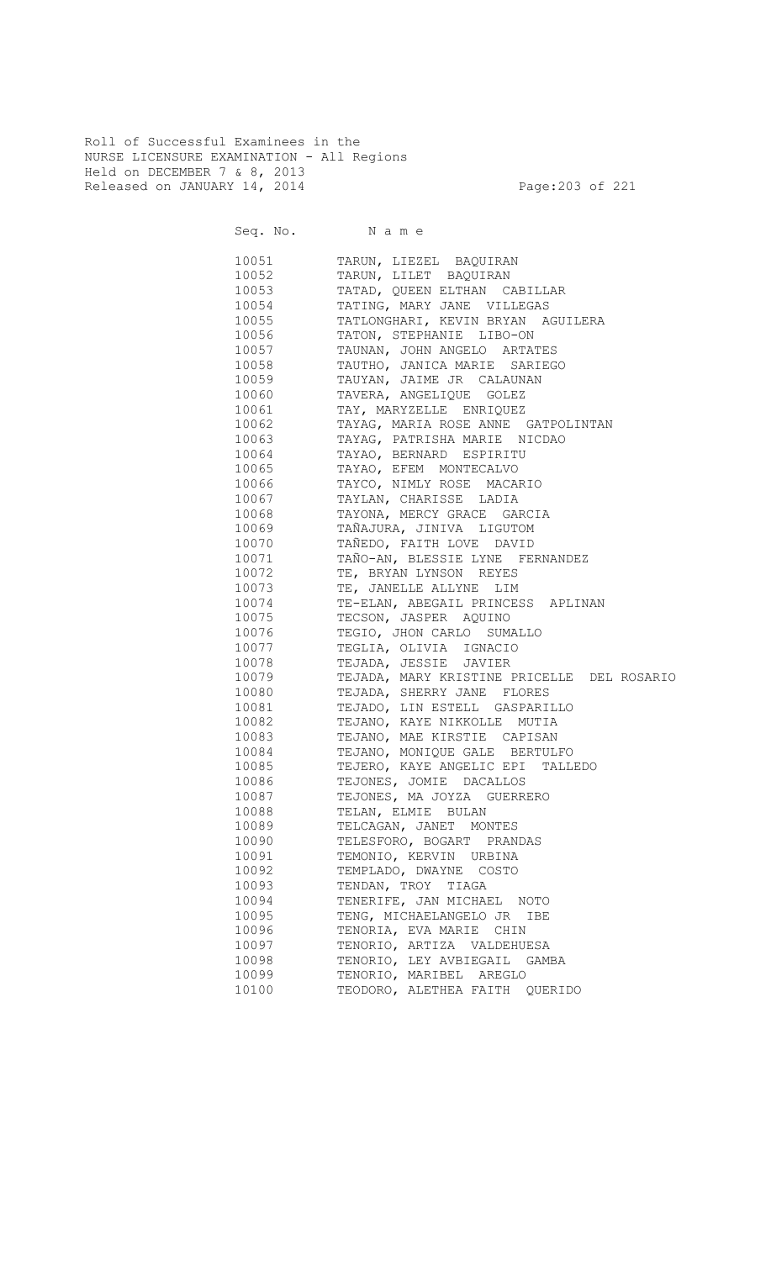Roll of Successful Examinees in the NURSE LICENSURE EXAMINATION - All Regions Held on DECEMBER 7 & 8, 2013 Released on JANUARY 14, 2014 **Page:203 of 221** 

Seq. No. Name

 10051 TARUN, LIEZEL BAQUIRAN 10052 TARUN, LILET BAQUIRAN 10053 TATAD, QUEEN ELTHAN CABILLAR 10054 TATING, MARY JANE VILLEGAS<br>10055 TATLONGHARI, KEVIN BRYAN A TATLONGHARI, KEVIN BRYAN AGUILERA 10056 TATON, STEPHANIE LIBO-ON 10057 TAUNAN, JOHN ANGELO ARTATES 10058 TAUTHO, JANICA MARIE SARIEGO<br>10059 TAUYAN, JAIME JR CALAUNAN 10059 TAUYAN, JAIME JR CALAUNAN 10060 TAVERA, ANGELIQUE GOLEZ 10061 TAY, MARYZELLE ENRIQUEZ 10062 TAYAG, MARIA ROSE ANNE GATPOLINTAN 10063 TAYAG, PATRISHA MARIE NICDAO 10064 TAYAO, BERNARD ESPIRITU 10065 TAYAO, EFEM MONTECALVO 10066 TAYCO, NIMLY ROSE MACARIO 10067 TAYLAN, CHARISSE LADIA TAYONA, MERCY GRACE GARCIA 10069 TAÑAJURA, JINIVA LIGUTOM 10070 TAÑEDO, FAITH LOVE DAVID 10071 TAÑO-AN, BLESSIE LYNE FERNANDEZ 10072 TE, BRYAN LYNSON REYES 10073 TE, JANELLE ALLYNE LIM 10074 TE-ELAN, ABEGAIL PRINCESS APLINAN<br>10075 TECSON, JASPER AQUINO TECSON, JASPER AQUINO 10076 TEGIO, JHON CARLO SUMALLO 10077 TEGLIA, OLIVIA IGNACIO 10078 TEJADA, JESSIE JAVIER 10079 TEJADA, MARY KRISTINE PRICELLE DEL ROSARIO 10080 TEJADA, SHERRY JANE FLORES 10081 TEJADO, LIN ESTELL GASPARILLO 10082 TEJANO, KAYE NIKKOLLE MUTIA 10083 TEJANO, MAE KIRSTIE CAPISAN 10084 TEJANO, MONIQUE GALE BERTULFO 10085 TEJERO, KAYE ANGELIC EPI TALLEDO 10086 TEJONES, JOMIE DACALLOS 10087 TEJONES, MA JOYZA GUERRERO 10088 TELAN, ELMIE BULAN 10089 TELCAGAN, JANET MONTES 10090 TELESFORO, BOGART PRANDAS 10091 TEMONIO, KERVIN URBINA 10092 TEMPLADO, DWAYNE COSTO 10093 TENDAN, TROY TIAGA 10094 TENERIFE, JAN MICHAEL NOTO 10095 TENG, MICHAELANGELO JR IBE 10096 TENORIA, EVA MARIE CHIN 10097 TENORIO, ARTIZA VALDEHUESA 10098 TENORIO, LEY AVBIEGAIL GAMBA 10099 TENORIO, MARIBEL AREGLO 10100 TEODORO, ALETHEA FAITH QUERIDO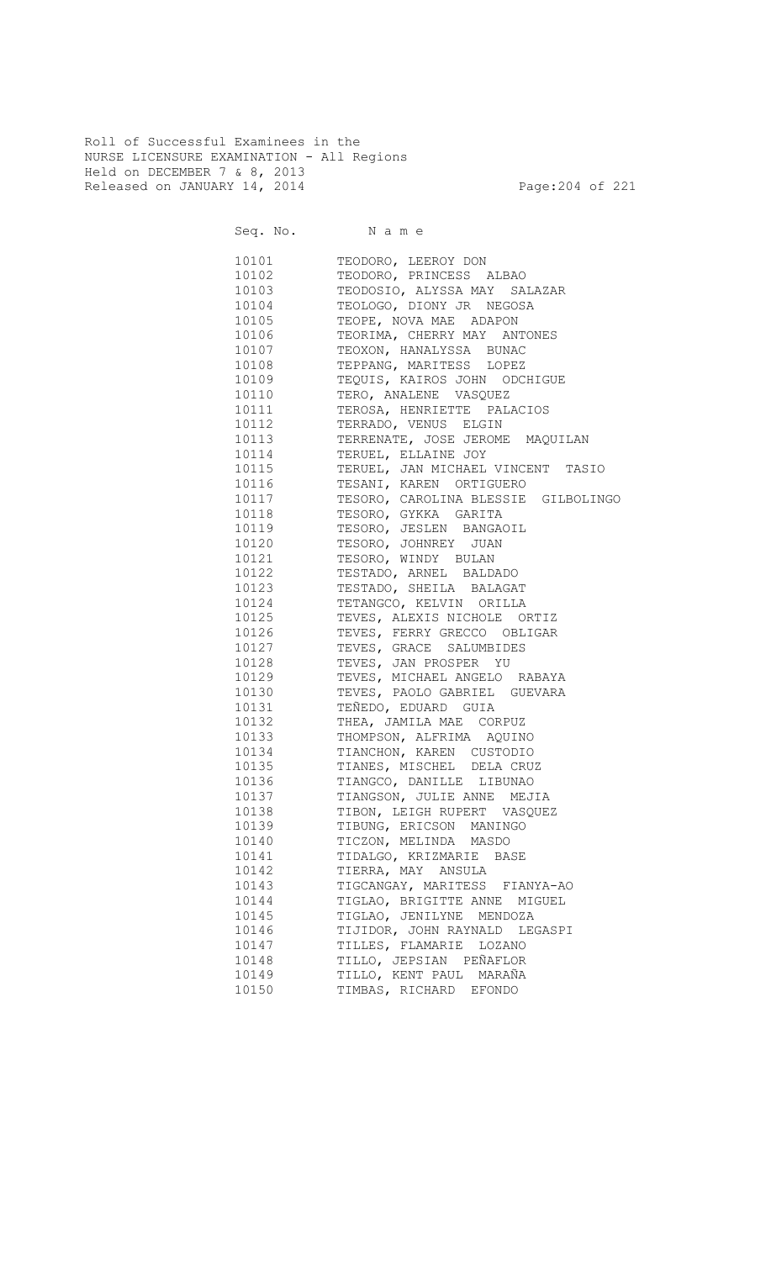Roll of Successful Examinees in the NURSE LICENSURE EXAMINATION - All Regions Held on DECEMBER 7 & 8, 2013 Released on JANUARY 14, 2014 **Page:204 of 221** 

Seq. No. Name 10101 TEODORO, LEEROY DON 10102 TEODORO, PRINCESS ALBAO 10103 TEODOSIO, ALYSSA MAY SALAZAR 10104 TEOLOGO, DIONY JR NEGOSA<br>10105 TEOPE, NOVA MAE ADAPON TEOPE, NOVA MAE ADAPON 10106 TEORIMA, CHERRY MAY ANTONES 10107 TEOXON, HANALYSSA BUNAC 10108 TEPPANG, MARITESS LOPEZ<br>10109 TEOUIS, KAIROS JOHN ODC TEQUIS, KAIROS JOHN ODCHIGUE 10110 TERO, ANALENE VASQUEZ 10111 TEROSA, HENRIETTE PALACIOS 10112 TERRADO, VENUS ELGIN 10113 TERRENATE, JOSE JEROME MAQUILAN 10114 TERUEL, ELLAINE JOY 10115 TERUEL, JAN MICHAEL VINCENT TASIO 10116 TESANI, KAREN ORTIGUERO 10117 TESORO, CAROLINA BLESSIE GILBOLINGO TESORO, GYKKA GARITA 10119 TESORO, JESLEN BANGAOIL 10120 TESORO, JOHNREY JUAN 10121 TESORO, WINDY BULAN 10122 TESTADO, ARNEL BALDADO 10123 TESTADO, SHEILA BALAGAT 10124 TETANGCO, KELVIN ORILLA<br>10125 TEVES, ALEXIS NICHOLE OI TEVES, ALEXIS NICHOLE ORTIZ 10126 TEVES, FERRY GRECCO OBLIGAR 10127 TEVES, GRACE SALUMBIDES 10128 TEVES, JAN PROSPER YU 10129 TEVES, MICHAEL ANGELO RABAYA 10130 TEVES, PAOLO GABRIEL GUEVARA 10131 TEÑEDO, EDUARD GUIA 10132 THEA, JAMILA MAE CORPUZ 10133 THOMPSON, ALFRIMA AQUINO 10134 TIANCHON, KAREN CUSTODIO 10135 TIANES, MISCHEL DELA CRUZ 10136 TIANGCO, DANILLE LIBUNAO 10137 TIANGSON, JULIE ANNE MEJIA 10138 TIBON, LEIGH RUPERT VASQUEZ 10139 TIBUNG, ERICSON MANINGO 10140 TICZON, MELINDA MASDO 10141 TIDALGO, KRIZMARIE BASE 10142 TIERRA, MAY ANSULA 10143 TIGCANGAY, MARITESS FIANYA-AO 10144 TIGLAO, BRIGITTE ANNE MIGUEL 10145 TIGLAO, JENILYNE MENDOZA 10146 TIJIDOR, JOHN RAYNALD LEGASPI 10147 TILLES, FLAMARIE LOZANO 10148 TILLO, JEPSIAN PEÑAFLOR 10149 TILLO, KENT PAUL MARAÑA 10150 TIMBAS, RICHARD EFONDO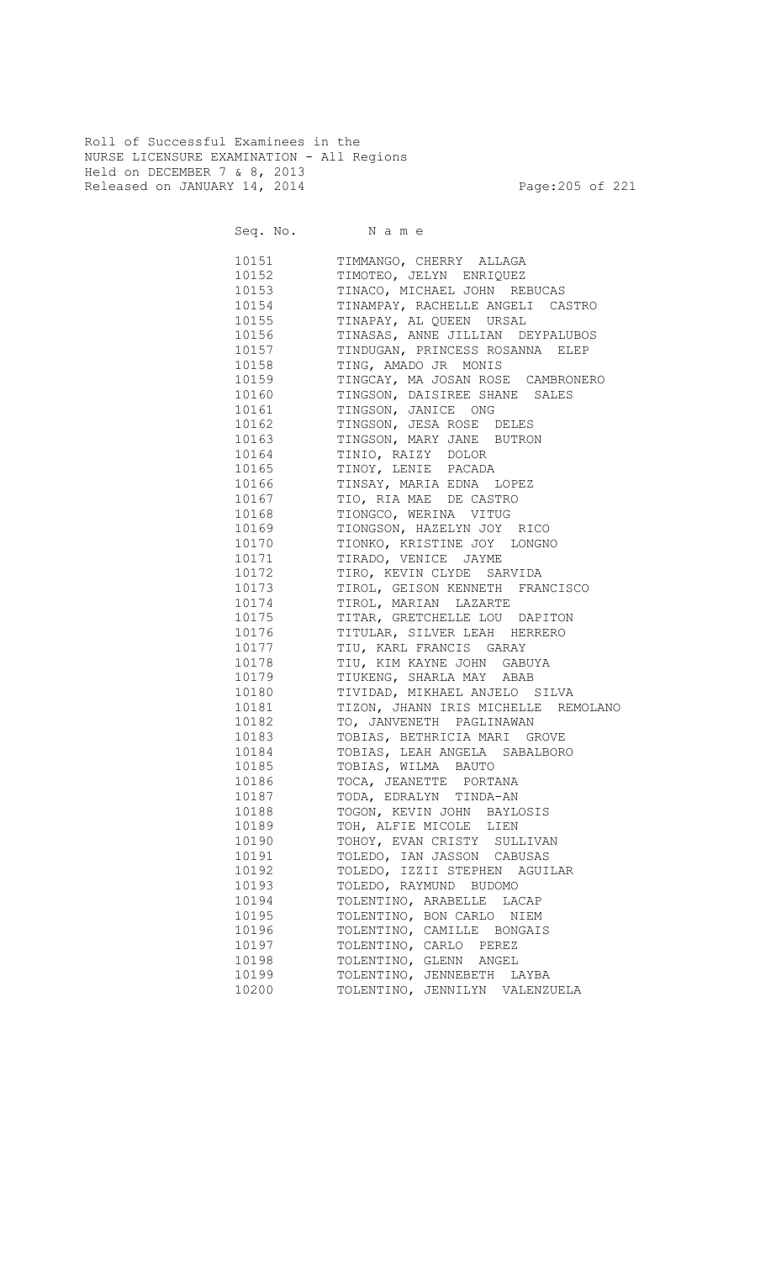Roll of Successful Examinees in the NURSE LICENSURE EXAMINATION - All Regions Held on DECEMBER 7 & 8, 2013 Released on JANUARY 14, 2014 **Page:205 of 221** 

Seq. No. Name 10151 TIMMANGO, CHERRY ALLAGA 10152 TIMOTEO, JELYN ENRIQUEZ 10153 TINACO, MICHAEL JOHN REBUCAS 10154 TINAMPAY, RACHELLE ANGELI CASTRO<br>10155 TINAPAY, AL QUEEN URSAL 10155 TINAPAY, AL QUEEN URSAL 10156 TINASAS, ANNE JILLIAN DEYPALUBOS 10157 TINDUGAN, PRINCESS ROSANNA ELEP 10158 TING, AMADO JR MONIS 10159 TINGCAY, MA JOSAN ROSE CAMBRONERO 10160 TINGSON, DAISIREE SHANE SALES 10161 TINGSON, JANICE ONG 10162 TINGSON, JESA ROSE DELES 10163 TINGSON, MARY JANE BUTRON 10164 TINIO, RAIZY DOLOR 10165 TINOY, LENIE PACADA 10166 TINSAY, MARIA EDNA LOPEZ 10167 TIO, RIA MAE DE CASTRO<br>10168 TIONGCO, WERINA VITUG TIONGCO, WERINA VITUG 10169 TIONGSON, HAZELYN JOY RICO 10170 TIONKO, KRISTINE JOY LONGNO 10171 TIRADO, VENICE JAYME 10172 TIRO, KEVIN CLYDE SARVIDA 10173 TIROL, GEISON KENNETH FRANCISCO<br>10174 TIROL, MARIAN LAZARTE 10174 TIROL, MARIAN LAZARTE<br>10175 TITAR, GRETCHELLE LOU TITAR, GRETCHELLE LOU DAPITON 10176 TITULAR, SILVER LEAH HERRERO 10177 TIU, KARL FRANCIS GARAY 10178 TIU, KIM KAYNE JOHN GABUYA 10179 TIUKENG, SHARLA MAY ABAB 10180 TIVIDAD, MIKHAEL ANJELO SILVA 10181 TIZON, JHANN IRIS MICHELLE REMOLANO 10182 TO, JANVENETH PAGLINAWAN 10183 TOBIAS, BETHRICIA MARI GROVE 10184 TOBIAS, LEAH ANGELA SABALBORO 10185 TOBIAS, WILMA BAUTO 10186 TOCA, JEANETTE PORTANA 10187 TODA, EDRALYN TINDA-AN 10188 TOGON, KEVIN JOHN BAYLOSIS 10189 TOH, ALFIE MICOLE LIEN 10190 TOHOY, EVAN CRISTY SULLIVAN 10191 TOLEDO, IAN JASSON CABUSAS 10192 TOLEDO, IZZII STEPHEN AGUILAR 10193 TOLEDO, RAYMUND BUDOMO 10194 TOLENTINO, ARABELLE LACAP 10195 TOLENTINO, BON CARLO NIEM 10196 TOLENTINO, CAMILLE BONGAIS 10197 TOLENTINO, CARLO PEREZ<br>10198 TOLENTINO, GLENN ANGEL TOLENTINO, GLENN ANGEL 10199 TOLENTINO, JENNEBETH LAYBA 10200 TOLENTINO, JENNILYN VALENZUELA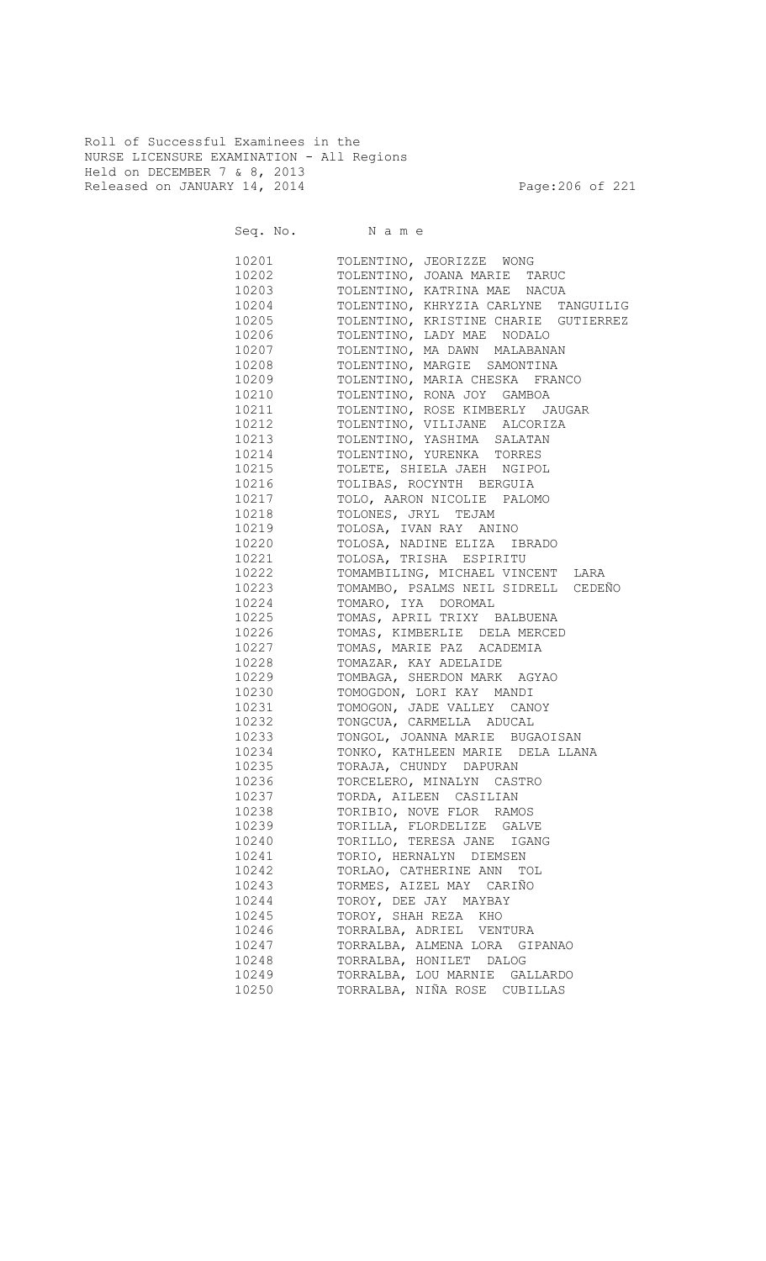Roll of Successful Examinees in the NURSE LICENSURE EXAMINATION - All Regions Held on DECEMBER 7 & 8, 2013 Released on JANUARY 14, 2014 **Page:206 of 221** 

| Seq. No. Name |                                      |
|---------------|--------------------------------------|
| 10201         | TOLENTINO, JEORIZZE WONG             |
| 10202         | TOLENTINO, JOANA MARIE TARUC         |
| 10203         | TOLENTINO, KATRINA MAE NACUA         |
| 10204         | TOLENTINO, KHRYZIA CARLYNE TANGUILIG |
| 10205         | TOLENTINO, KRISTINE CHARIE GUTIERREZ |
| 10206         | TOLENTINO, LADY MAE NODALO           |
| 10207         | TOLENTINO, MA DAWN MALABANAN         |
| 10208         | TOLENTINO, MARGIE SAMONTINA          |
| 10209         | TOLENTINO, MARIA CHESKA FRANCO       |
| 10210         | TOLENTINO, RONA JOY GAMBOA           |
| 10211         | TOLENTINO, ROSE KIMBERLY JAUGAR      |
| 10212         | TOLENTINO, VILIJANE ALCORIZA         |
| 10213         | TOLENTINO, YASHIMA SALATAN           |
| 10214         | TOLENTINO, YURENKA TORRES            |
| 10215         | TOLETE, SHIELA JAEH NGIPOL           |
| 10216         | TOLIBAS, ROCYNTH BERGUIA             |
| 10217         | TOLO, AARON NICOLIE PALOMO           |
| 10218         | TOLONES, JRYL TEJAM                  |
| 10219         | TOLOSA, IVAN RAY ANINO               |
| 10220         | TOLOSA, NADINE ELIZA IBRADO          |
| 10221         | TOLOSA, TRISHA ESPIRITU              |
| 10222         | TOMAMBILING, MICHAEL VINCENT LARA    |
| 10223         | TOMAMBO, PSALMS NEIL SIDRELL CEDEÑO  |
| 10224         | TOMARO, IYA DOROMAL                  |
| 10225         | TOMAS, APRIL TRIXY BALBUENA          |
| 10226         | TOMAS, KIMBERLIE DELA MERCED         |
| 10227         | TOMAS, MARIE PAZ ACADEMIA            |
| 10228         | TOMAZAR, KAY ADELAIDE                |
| 10229         | TOMBAGA, SHERDON MARK AGYAO          |
| 10230         | TOMOGDON, LORI KAY MANDI             |
| 10231         | TOMOGON, JADE VALLEY CANOY           |
| 10232         | TONGCUA, CARMELLA ADUCAL             |
| 10233         | TONGOL, JOANNA MARIE BUGAOISAN       |
| 10234         | TONKO, KATHLEEN MARIE DELA LLANA     |
| 10235         | TORAJA, CHUNDY DAPURAN               |
| 10236         | TORCELERO, MINALYN CASTRO            |
| 10237         | TORDA, AILEEN CASILIAN               |
| 10238         | TORIBIO, NOVE FLOR RAMOS             |
| 10239         | TORILLA, FLORDELIZE GALVE            |
| 10240         | TORILLO, TERESA JANE IGANG           |
| 10241         | TORIO, HERNALYN DIEMSEN              |
| 10242         | TORLAO, CATHERINE ANN TOL            |
| 10243         | TORMES, AIZEL MAY CARIÑO             |
| 10244         | TOROY, DEE JAY MAYBAY                |
| 10245         | TOROY, SHAH REZA KHO                 |
| 10246         | TORRALBA, ADRIEL VENTURA             |
| 10247         | TORRALBA, ALMENA LORA GIPANAO        |
| 10248         | TORRALBA, HONILET DALOG              |
| 10249         | TORRALBA, LOU MARNIE GALLARDO        |
| 10250         | TORRALBA, NIÑA ROSE CUBILLAS         |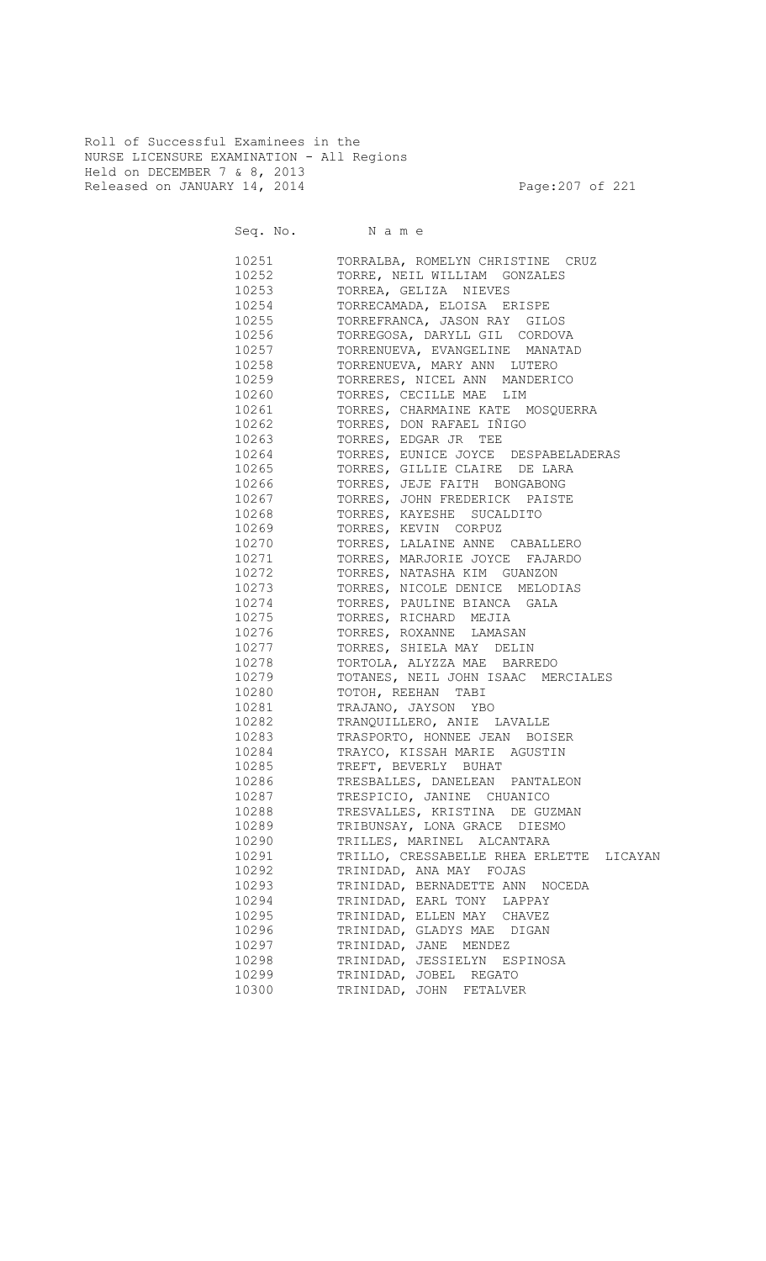Roll of Successful Examinees in the NURSE LICENSURE EXAMINATION - All Regions Held on DECEMBER 7 & 8, 2013 Released on JANUARY 14, 2014 **Page:207** of 221

|       | Seq. No. Name                            |
|-------|------------------------------------------|
| 10251 | TORRALBA, ROMELYN CHRISTINE CRUZ         |
| 10252 | TORRE, NEIL WILLIAM GONZALES             |
| 10253 | TORREA, GELIZA NIEVES                    |
| 10254 | TORRECAMADA, ELOISA ERISPE               |
| 10255 | TORREFRANCA, JASON RAY GILOS             |
| 10256 | TORREGOSA, DARYLL GIL CORDOVA            |
| 10257 | TORRENUEVA, EVANGELINE MANATAD           |
| 10258 | TORRENUEVA, MARY ANN LUTERO              |
| 10259 | TORRERES, NICEL ANN MANDERICO            |
| 10260 | TORRES, CECILLE MAE LIM                  |
| 10261 | TORRES, CHARMAINE KATE MOSQUERRA         |
| 10262 | TORRES, DON RAFAEL IÑIGO                 |
| 10263 | TORRES, EDGAR JR TEE                     |
| 10264 | TORRES, EUNICE JOYCE DESPABELADERAS      |
| 10265 | TORRES, GILLIE CLAIRE DE LARA            |
| 10266 | TORRES, JEJE FAITH BONGABONG             |
| 10267 | TORRES, JOHN FREDERICK PAISTE            |
| 10268 | TORRES, KAYESHE SUCALDITO                |
| 10269 | TORRES, KEVIN CORPUZ                     |
| 10270 | TORRES, LALAINE ANNE CABALLERO           |
| 10271 | TORRES, MARJORIE JOYCE FAJARDO           |
| 10272 | TORRES, NATASHA KIM GUANZON              |
| 10273 | TORRES, NICOLE DENICE MELODIAS           |
| 10274 | TORRES, PAULINE BIANCA GALA              |
| 10275 | TORRES, RICHARD MEJIA                    |
| 10276 | TORRES, ROXANNE LAMASAN                  |
| 10277 | TORRES, SHIELA MAY DELIN                 |
| 10278 | TORTOLA, ALYZZA MAE BARREDO              |
| 10279 | TOTANES, NEIL JOHN ISAAC MERCIALES       |
| 10280 | TOTOH, REEHAN TABI                       |
| 10281 | TRAJANO, JAYSON YBO                      |
| 10282 | TRANQUILLERO, ANIE LAVALLE               |
| 10283 | TRASPORTO, HONNEE JEAN BOISER            |
| 10284 | TRAYCO, KISSAH MARIE AGUSTIN             |
| 10285 | TREFT, BEVERLY BUHAT                     |
| 10286 | TRESBALLES, DANELEAN PANTALEON           |
| 10287 | TRESPICIO, JANINE CHUANICO               |
| 10288 | TRESVALLES, KRISTINA DE GUZMAN           |
| 10289 | TRIBUNSAY, LONA GRACE DIESMO             |
| 10290 | TRILLES, MARINEL ALCANTARA               |
| 10291 | TRILLO, CRESSABELLE RHEA ERLETTE LICAYAN |
| 10292 | TRINIDAD, ANA MAY FOJAS                  |
| 10293 | TRINIDAD, BERNADETTE ANN NOCEDA          |
| 10294 | TRINIDAD, EARL TONY LAPPAY               |
| 10295 | TRINIDAD, ELLEN MAY CHAVEZ               |
| 10296 | TRINIDAD, GLADYS MAE DIGAN               |
| 10297 | TRINIDAD, JANE MENDEZ                    |
| 10298 | TRINIDAD, JESSIELYN ESPINOSA             |
| 10299 | TRINIDAD, JOBEL REGATO                   |
| 10300 | TRINIDAD, JOHN FETALVER                  |
|       |                                          |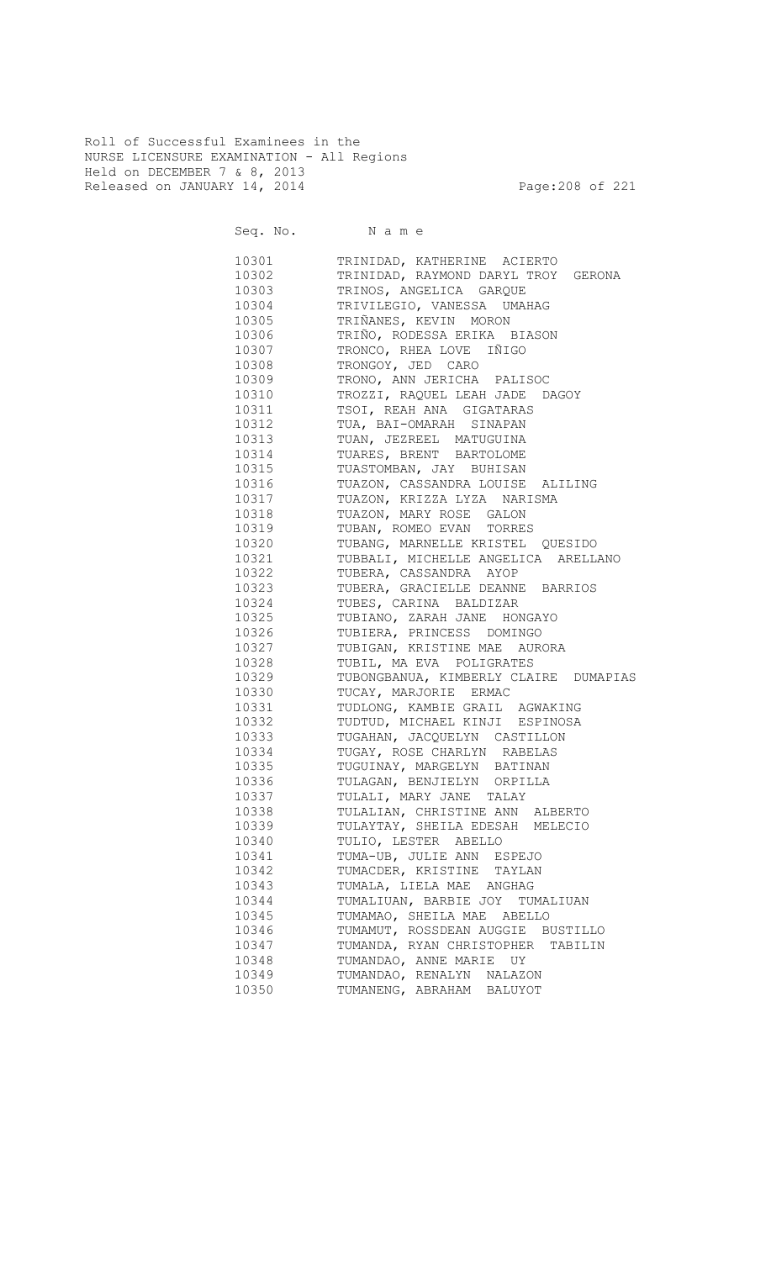Roll of Successful Examinees in the NURSE LICENSURE EXAMINATION - All Regions Held on DECEMBER 7 & 8, 2013 Released on JANUARY 14, 2014 **Page:208 of 221** 

Seq. No. Name 10301 TRINIDAD, KATHERINE ACIERTO 10302 TRINIDAD, RAYMOND DARYL TROY GERONA 10303 TRINOS, ANGELICA GARQUE 10304 TRIVILEGIO, VANESSA UMAHAG<br>10305 TRIÑANES, KEVIN MORON TRIÑANES, KEVIN MORON 10306 TRIÑO, RODESSA ERIKA BIASON 10307 TRONCO, RHEA LOVE IÑIGO 10308 TRONGOY, JED CARO 10309 TRONO, ANN JERICHA PALISOC 10310 TROZZI, RAQUEL LEAH JADE DAGOY 10311 TSOI, REAH ANA GIGATARAS 10312 TUA, BAI-OMARAH SINAPAN 10313 TUAN, JEZREEL MATUGUINA 10314 TUARES, BRENT BARTOLOME 10315 TUASTOMBAN, JAY BUHISAN 10316 TUAZON, CASSANDRA LOUISE ALILING 10317 TUAZON, KRIZZA LYZA NARISMA<br>10318 TUAZON, MARY ROSE GALON TUAZON, MARY ROSE GALON 10319 TUBAN, ROMEO EVAN TORRES 10320 TUBANG, MARNELLE KRISTEL QUESIDO 10321 TUBBALI, MICHELLE ANGELICA ARELLANO 10322 TUBERA, CASSANDRA AYOP 10323 TUBERA, GRACIELLE DEANNE BARRIOS 10324 TUBES, CARINA BALDIZAR 10325 TUBIANO, ZARAH JANE HONGAYO 10326 TUBIERA, PRINCESS DOMINGO 10327 TUBIGAN, KRISTINE MAE AURORA 10328 TUBIL, MA EVA POLIGRATES 10329 TUBONGBANUA, KIMBERLY CLAIRE DUMAPIAS 10330 TUCAY, MARJORIE ERMAC 10331 TUDLONG, KAMBIE GRAIL AGWAKING 10332 TUDTUD, MICHAEL KINJI ESPINOSA 10333 TUGAHAN, JACQUELYN CASTILLON 10334 TUGAY, ROSE CHARLYN RABELAS 10335 TUGUINAY, MARGELYN BATINAN 10336 TULAGAN, BENJIELYN ORPILLA 10337 TULALI, MARY JANE TALAY 10338 TULALIAN, CHRISTINE ANN ALBERTO 10339 TULAYTAY, SHEILA EDESAH MELECIO 10340 TULIO, LESTER ABELLO 10341 TUMA-UB, JULIE ANN ESPEJO 10342 TUMACDER, KRISTINE TAYLAN 10343 TUMALA, LIELA MAE ANGHAG 10344 TUMALIUAN, BARBIE JOY TUMALIUAN 10345 TUMAMAO, SHEILA MAE ABELLO 10346 TUMAMUT, ROSSDEAN AUGGIE BUSTILLO 10347 TUMANDA, RYAN CHRISTOPHER TABILIN 10348 TUMANDAO, ANNE MARIE UY 10349 TUMANDAO, RENALYN NALAZON 10350 TUMANENG, ABRAHAM BALUYOT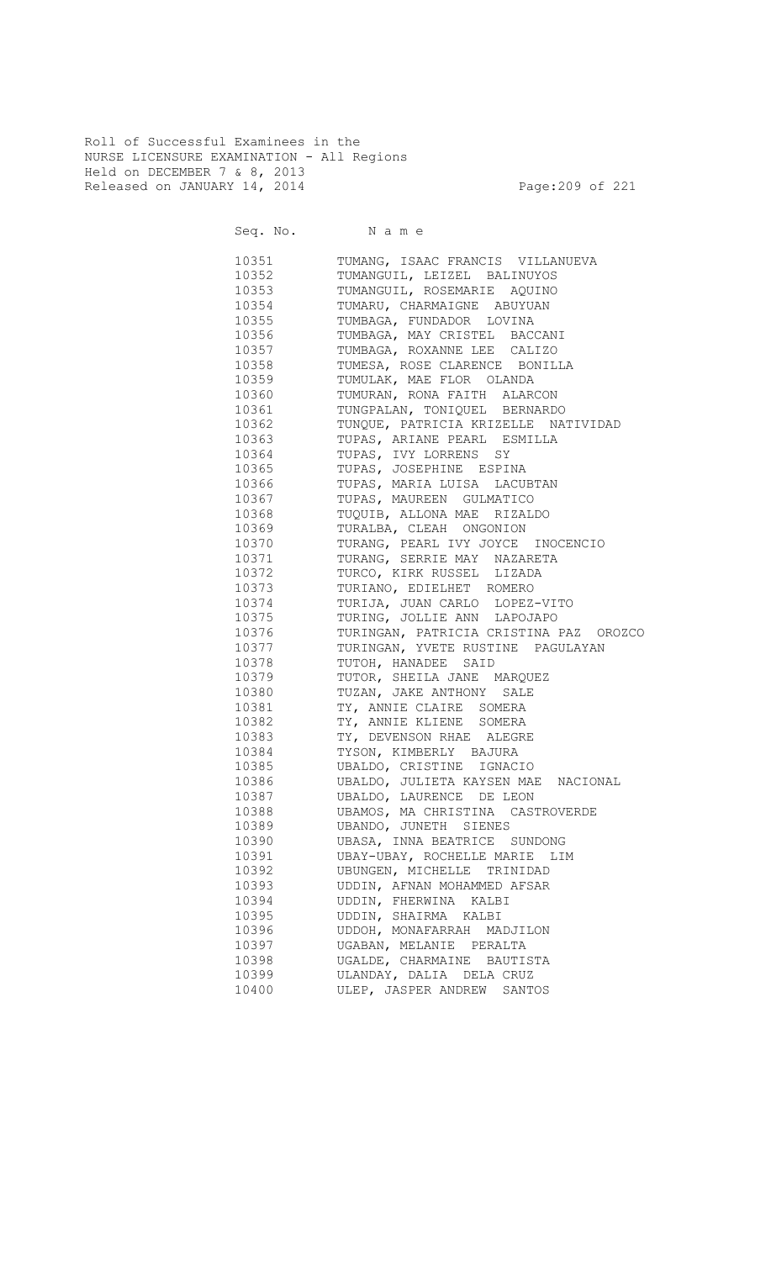Roll of Successful Examinees in the NURSE LICENSURE EXAMINATION - All Regions Held on DECEMBER 7 & 8, 2013 Released on JANUARY 14, 2014 **Page:209 of 221** 

Seq. No. Name 10351 TUMANG, ISAAC FRANCIS VILLANUEVA 10352 TUMANGUIL, LEIZEL BALINUYOS 10353 TUMANGUIL, ROSEMARIE AQUINO 10354 TUMARU, CHARMAIGNE ABUYUAN<br>10355 TUMBAGA, FUNDADOR LOVINA TUMBAGA, FUNDADOR LOVINA 10356 TUMBAGA, MAY CRISTEL BACCANI 10357 TUMBAGA, ROXANNE LEE CALIZO 10358 TUMESA, ROSE CLARENCE BONILLA 10359 TUMULAK, MAE FLOR OLANDA 10360 TUMURAN, RONA FAITH ALARCON 10361 TUNGPALAN, TONIQUEL BERNARDO 10362 TUNQUE, PATRICIA KRIZELLE NATIVIDAD 10363 TUPAS, ARIANE PEARL ESMILLA 10364 TUPAS, IVY LORRENS SY 10365 TUPAS, JOSEPHINE ESPINA 10366 TUPAS, MARIA LUISA LACUBTAN 10367 TUPAS, MAUREEN GULMATICO<br>10368 TUQUIB, ALLONA MAE RIZAL 10368 TUQUIB, ALLONA MAE RIZALDO 10369 TURALBA, CLEAH ONGONION 10370 TURANG, PEARL IVY JOYCE INOCENCIO 10371 TURANG, SERRIE MAY NAZARETA 10372 TURCO, KIRK RUSSEL LIZADA 10373 TURIANO, EDIELHET ROMERO 10374 TURIJA, JUAN CARLO LOPEZ-VITO<br>10375 TURING, JOLLIE ANN LAPOJAPO TURING, JOLLIE ANN LAPOJAPO 10376 TURINGAN, PATRICIA CRISTINA PAZ OROZCO 10377 TURINGAN, YVETE RUSTINE PAGULAYAN 10378 TUTOH, HANADEE SAID 10379 TUTOR, SHEILA JANE MARQUEZ 10380 TUZAN, JAKE ANTHONY SALE 10381 TY, ANNIE CLAIRE SOMERA 10382 TY, ANNIE KLIENE SOMERA 10383 TY, DEVENSON RHAE ALEGRE 10384 TYSON, KIMBERLY BAJURA 10385 UBALDO, CRISTINE IGNACIO 10386 UBALDO, JULIETA KAYSEN MAE NACIONAL 10387 UBALDO, LAURENCE DE LEON 10388 UBAMOS, MA CHRISTINA CASTROVERDE 10389 UBANDO, JUNETH SIENES 10390 UBASA, INNA BEATRICE SUNDONG 10391 UBAY-UBAY, ROCHELLE MARIE LIM 10392 UBUNGEN, MICHELLE TRINIDAD 10393 UDDIN, AFNAN MOHAMMED AFSAR 10394 UDDIN, FHERWINA KALBI 10395 UDDIN, SHAIRMA KALBI 10396 UDDOH, MONAFARRAH MADJILON 10397 UGABAN, MELANIE PERALTA 10398 UGALDE, CHARMAINE BAUTISTA 10399 ULANDAY, DALIA DELA CRUZ 10400 ULEP, JASPER ANDREW SANTOS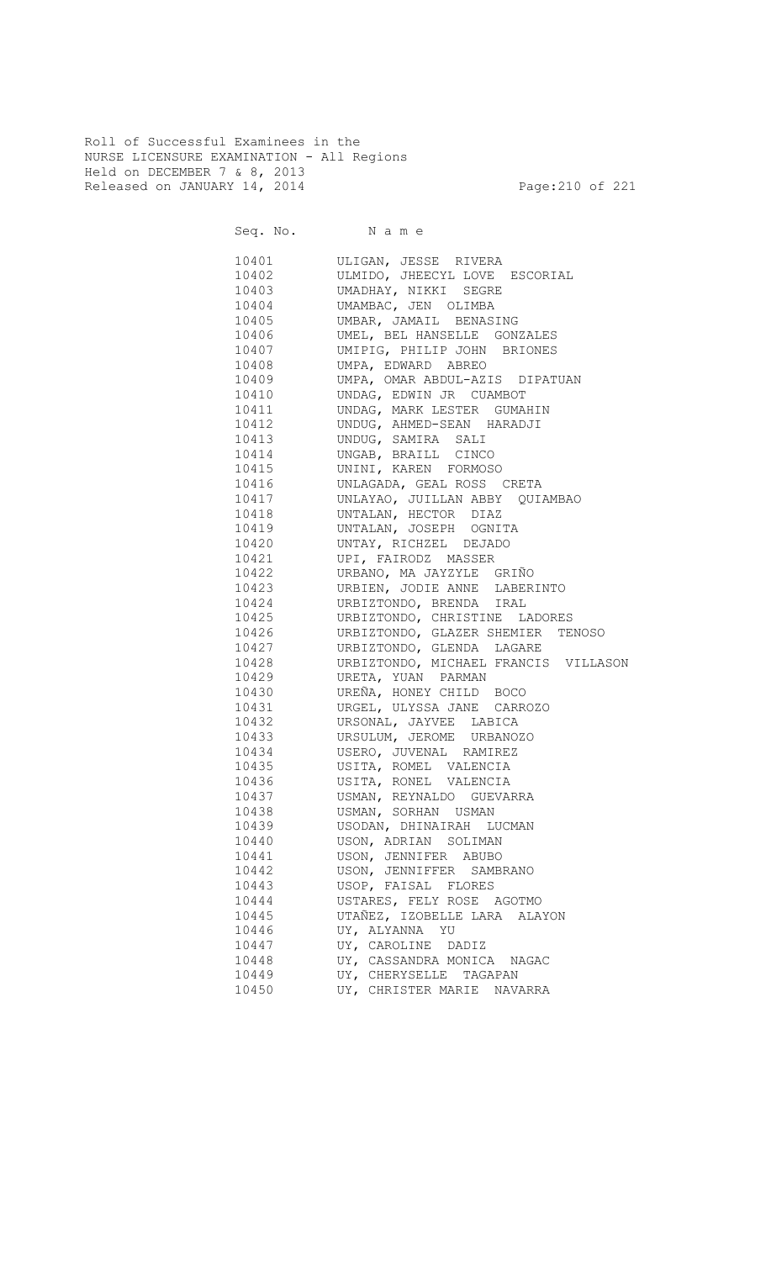Roll of Successful Examinees in the NURSE LICENSURE EXAMINATION - All Regions Held on DECEMBER 7 & 8, 2013 Released on JANUARY 14, 2014 **Page:210 of 221** 

Seq. No. Name 10401 ULIGAN, JESSE RIVERA 10402 ULMIDO, JHEECYL LOVE ESCORIAL 10403 UMADHAY, NIKKI SEGRE 10404 UMAMBAC, JEN OLIMBA<br>10405 UMBAR, JAMAIL BENAS UMBAR, JAMAIL BENASING 10406 UMEL, BEL HANSELLE GONZALES 10407 UMIPIG, PHILIP JOHN BRIONES 10408 UMPA, EDWARD ABREO<br>10409 UMPA, OMAR ABDUL-AZI UMPA, OMAR ABDUL-AZIS DIPATUAN 10410 UNDAG, EDWIN JR CUAMBOT 10411 UNDAG, MARK LESTER GUMAHIN 10412 UNDUG, AHMED-SEAN HARADJI 10413 UNDUG, SAMIRA SALI 10414 UNGAB, BRAILL CINCO 10415 UNINI, KAREN FORMOSO 10416 UNLAGADA, GEAL ROSS CRETA 10417 UNLAYAO, JUILLAN ABBY QUIAMBAO 10418 UNTALAN, HECTOR DIAZ 10419 UNTALAN, JOSEPH OGNITA 10420 UNTAY, RICHZEL DEJADO 10421 UPI, FAIRODZ MASSER 10422 URBANO, MA JAYZYLE GRIÑO 10423 URBIEN, JODIE ANNE LABERINTO 10424 URBIZTONDO, BRENDA IRAL<br>10425 URBIZTONDO, CHRISTINE LA URBIZTONDO, CHRISTINE LADORES 10426 URBIZTONDO, GLAZER SHEMIER TENOSO 10427 URBIZTONDO, GLENDA LAGARE 10428 URBIZTONDO, MICHAEL FRANCIS VILLASON 10429 URETA, YUAN PARMAN 10430 UREÑA, HONEY CHILD BOCO 10431 URGEL, ULYSSA JANE CARROZO 10432 URSONAL, JAYVEE LABICA 10433 URSULUM, JEROME URBANOZO 10434 USERO, JUVENAL RAMIREZ 10435 USITA, ROMEL VALENCIA 10436 USITA, RONEL VALENCIA 10437 USMAN, REYNALDO GUEVARRA 10438 USMAN, SORHAN USMAN 10439 USODAN, DHINAIRAH LUCMAN 10440 USON, ADRIAN SOLIMAN 10441 USON, JENNIFER ABUBO 10442 USON, JENNIFFER SAMBRANO 10443 USOP, FAISAL FLORES 10444 USTARES, FELY ROSE AGOTMO 10445 UTAÑEZ, IZOBELLE LARA ALAYON 10446 UY, ALYANNA YU 10447 UY, CAROLINE DADIZ 10448 UY, CASSANDRA MONICA NAGAC 10449 UY, CHERYSELLE TAGAPAN 10450 UY, CHRISTER MARIE NAVARRA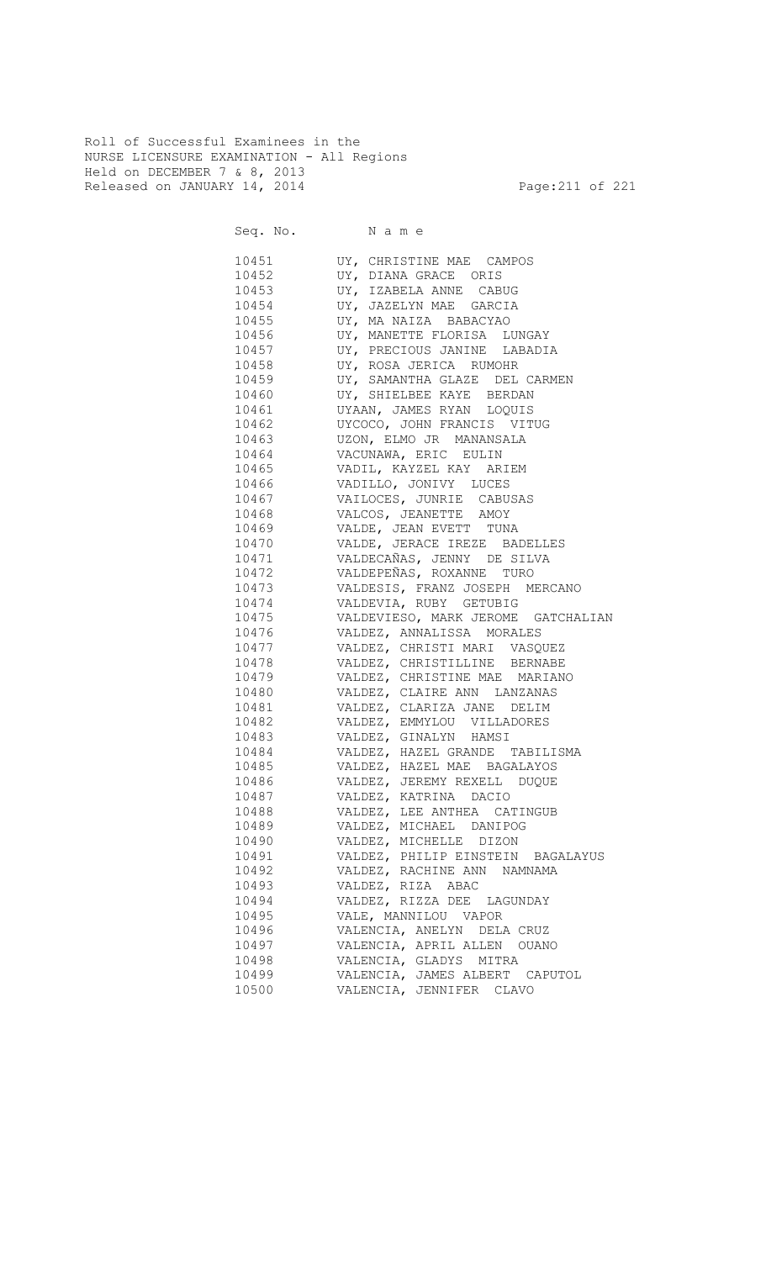Roll of Successful Examinees in the NURSE LICENSURE EXAMINATION - All Regions Held on DECEMBER 7 & 8, 2013 Released on JANUARY 14, 2014 **Page:211 of 221** 

Seq. No. Name 10451 UY, CHRISTINE MAE CAMPOS 10452 UY, DIANA GRACE ORIS 10453 UY, IZABELA ANNE CABUG 10454 UY, JAZELYN MAE GARCIA<br>10455 UY, MA NAIZA BABACYAO UY, MA NAIZA BABACYAO 10456 UY, MANETTE FLORISA LUNGAY 10457 UY, PRECIOUS JANINE LABADIA 10458 UY, ROSA JERICA RUMOHR 10459 UY, SAMANTHA GLAZE DEL CARMEN 10460 UY, SHIELBEE KAYE BERDAN 10461 UYAAN, JAMES RYAN LOQUIS 10462 UYCOCO, JOHN FRANCIS VITUG 10463 UZON, ELMO JR MANANSALA 10464 VACUNAWA, ERIC EULIN 10465 VADIL, KAYZEL KAY ARIEM 10466 VADILLO, JONIVY LUCES 10467 VAILOCES, JUNRIE CABUSAS VALCOS, JEANETTE AMOY 10469 VALDE, JEAN EVETT TUNA 10470 VALDE, JERACE IREZE BADELLES 10471 VALDECAÑAS, JENNY DE SILVA 10472 VALDEPEÑAS, ROXANNE TURO 10473 VALDESIS, FRANZ JOSEPH MERCANO 10474 VALDEVIA, RUBY GETUBIG 10475 VALDEVIESO, MARK JEROME GATCHALIAN 10476 VALDEZ, ANNALISSA MORALES 10477 VALDEZ, CHRISTI MARI VASQUEZ 10478 VALDEZ, CHRISTILLINE BERNABE 10479 VALDEZ, CHRISTINE MAE MARIANO 10480 VALDEZ, CLAIRE ANN LANZANAS 10481 VALDEZ, CLARIZA JANE DELIM 10482 VALDEZ, EMMYLOU VILLADORES 10483 VALDEZ, GINALYN HAMSI 10484 VALDEZ, HAZEL GRANDE TABILISMA 10485 VALDEZ, HAZEL MAE BAGALAYOS 10486 VALDEZ, JEREMY REXELL DUQUE 10487 VALDEZ, KATRINA DACIO 10488 VALDEZ, LEE ANTHEA CATINGUB 10489 VALDEZ, MICHAEL DANIPOG 10490 VALDEZ, MICHELLE DIZON 10491 VALDEZ, PHILIP EINSTEIN BAGALAYUS 10492 VALDEZ, RACHINE ANN NAMNAMA 10493 VALDEZ, RIZA ABAC 10494 VALDEZ, RIZZA DEE LAGUNDAY 10495 VALE, MANNILOU VAPOR 10496 VALENCIA, ANELYN DELA CRUZ 10497 VALENCIA, APRIL ALLEN OUANO 10498 VALENCIA, GLADYS MITRA 10499 VALENCIA, JAMES ALBERT CAPUTOL 10500 VALENCIA, JENNIFER CLAVO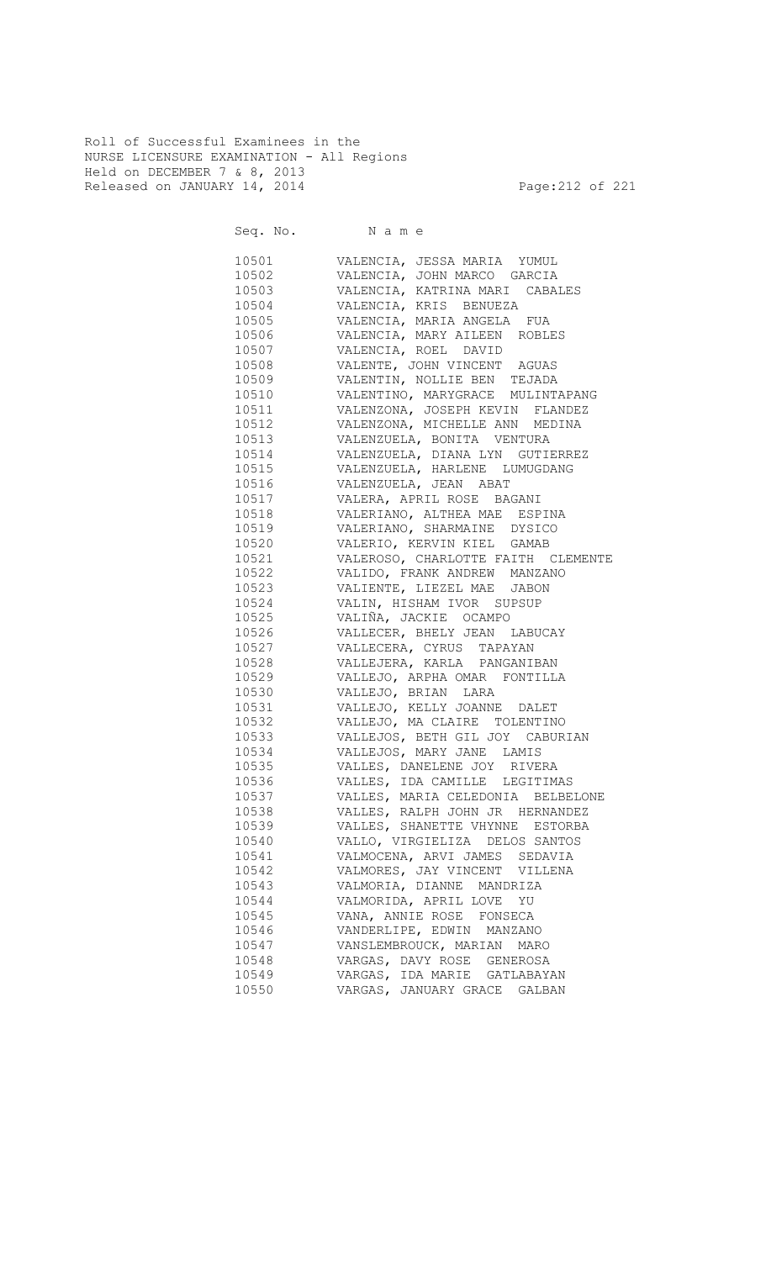Roll of Successful Examinees in the NURSE LICENSURE EXAMINATION - All Regions Held on DECEMBER 7 & 8, 2013 Released on JANUARY 14, 2014 **Page:212 of 221** 

|                | 10501 VALENCIA, JESSA MARIA YUMUL  |
|----------------|------------------------------------|
| 10502          | VALENCIA, JOHN MARCO GARCIA        |
| 10503          | VALENCIA, KATRINA MARI CABALES     |
| 10504          | VALENCIA, KRIS BENUEZA             |
| 10505          | VALENCIA, MARIA ANGELA FUA         |
| 10506          | VALENCIA, MARY AILEEN ROBLES       |
| 10507          | VALENCIA, ROEL DAVID               |
| 10508          | VALENTE, JOHN VINCENT AGUAS        |
| 10509          | VALENTIN, NOLLIE BEN TEJADA        |
| 10510          | VALENTINO, MARYGRACE MULINTAPANG   |
| 10511          | VALENZONA, JOSEPH KEVIN FLANDEZ    |
| 10512          | VALENZONA, MICHELLE ANN MEDINA     |
| 10513          | VALENZUELA, BONITA VENTURA         |
| 10514          | VALENZUELA, DIANA LYN GUTIERREZ    |
| 10515          | VALENZUELA, HARLENE LUMUGDANG      |
| 10516          | VALENZUELA, JEAN ABAT              |
| 10517          | VALERA, APRIL ROSE BAGANI          |
| 10518          | VALERIANO, ALTHEA MAE ESPINA       |
| 10519          | VALERIANO, SHARMAINE DYSICO        |
| 10520          | VALERIO, KERVIN KIEL GAMAB         |
| 10521          | VALEROSO, CHARLOTTE FAITH CLEMENTE |
| 10522          | VALIDO, FRANK ANDREW MANZANO       |
| 10523          | VALIENTE, LIEZEL MAE JABON         |
| 10524          | VALIN, HISHAM IVOR SUPSUP          |
| 10525          | VALIÑA, JACKIE OCAMPO              |
| 10526          | VALLECER, BHELY JEAN LABUCAY       |
| 10527          |                                    |
| 10528          | VALLECERA, CYRUS TAPAYAN           |
| 10529          | VALLEJERA, KARLA PANGANIBAN        |
|                | VALLEJO, ARPHA OMAR FONTILLA       |
| 10530<br>10531 | VALLEJO, BRIAN LARA                |
|                | VALLEJO, KELLY JOANNE DALET        |
| 10532          | VALLEJO, MA CLAIRE TOLENTINO       |
| 10533          | VALLEJOS, BETH GIL JOY CABURIAN    |
| 10534          | VALLEJOS, MARY JANE LAMIS          |
| 10535          | VALLES, DANELENE JOY RIVERA        |
| 10536          | VALLES, IDA CAMILLE LEGITIMAS      |
| 10537          | VALLES, MARIA CELEDONIA BELBELONE  |
| 10538          | VALLES, RALPH JOHN JR HERNANDEZ    |
| 10539          | VALLES, SHANETTE VHYNNE ESTORBA    |
| 10540          | VALLO, VIRGIELIZA DELOS SANTOS     |
| 10541          | VALMOCENA, ARVI JAMES SEDAVIA      |
| 10542          | VALMORES, JAY VINCENT VILLENA      |
| 10543          | VALMORIA, DIANNE MANDRIZA          |
| 10544          | VALMORIDA, APRIL LOVE YU           |
| 10545          | VANA, ANNIE ROSE FONSECA           |
| 10546          | VANDERLIPE, EDWIN MANZANO          |
| 10547          | VANSLEMBROUCK, MARIAN MARO         |
| 10548          | VARGAS, DAVY ROSE GENEROSA         |
| 10549          | VARGAS, IDA MARIE GATLABAYAN       |
| 10550          | VARGAS, JANUARY GRACE GALBAN       |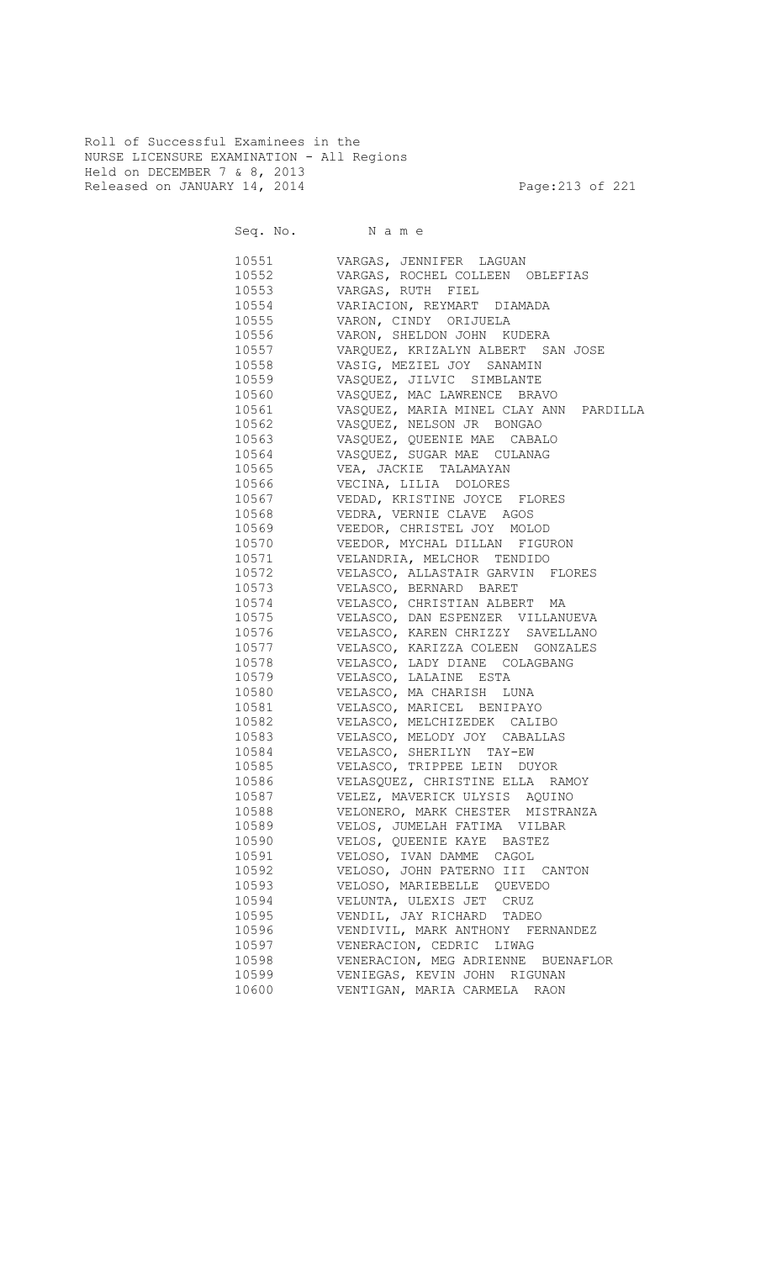Roll of Successful Examinees in the NURSE LICENSURE EXAMINATION - All Regions Held on DECEMBER 7 & 8, 2013 Released on JANUARY 14, 2014 **Page:213 of 221** 

Seq. No. Name

 10551 VARGAS, JENNIFER LAGUAN 10552 VARGAS, ROCHEL COLLEEN OBLEFIAS 10553 VARGAS, RUTH FIEL 10554 VARIACION, REYMART DIAMADA 10555 VARON, CINDY ORIJUELA 10556 VARON, SHELDON JOHN KUDERA 10557 VARQUEZ, KRIZALYN ALBERT SAN JOSE 10558 VASIG, MEZIEL JOY SANAMIN 10559 VASQUEZ, JILVIC SIMBLANTE 10560 VASQUEZ, MAC LAWRENCE BRAVO 10561 VASQUEZ, MARIA MINEL CLAY ANN PARDILLA 10562 VASQUEZ, NELSON JR BONGAO 10563 VASQUEZ, QUEENIE MAE CABALO 10564 VASQUEZ, SUGAR MAE CULANAG 10565 VEA, JACKIE TALAMAYAN 10566 VECINA, LILIA DOLORES 10567 VEDAD, KRISTINE JOYCE FLORES VEDRA, VERNIE CLAVE AGOS 10569 VEEDOR, CHRISTEL JOY MOLOD 10570 VEEDOR, MYCHAL DILLAN FIGURON 10571 VELANDRIA, MELCHOR TENDIDO 10572 VELASCO, ALLASTAIR GARVIN FLORES 10573 VELASCO, BERNARD BARET 10574 VELASCO, CHRISTIAN ALBERT MA VELASCO, DAN ESPENZER VILLANUEVA 10576 VELASCO, KAREN CHRIZZY SAVELLANO 10577 VELASCO, KARIZZA COLEEN GONZALES 10578 VELASCO, LADY DIANE COLAGBANG 10579 VELASCO, LALAINE ESTA 10580 VELASCO, MA CHARISH LUNA 10581 VELASCO, MARICEL BENIPAYO 10582 VELASCO, MELCHIZEDEK CALIBO 10583 VELASCO, MELODY JOY CABALLAS 10584 VELASCO, SHERILYN TAY-EW 10585 VELASCO, TRIPPEE LEIN DUYOR 10586 VELASQUEZ, CHRISTINE ELLA RAMOY 10587 VELEZ, MAVERICK ULYSIS AQUINO 10588 VELONERO, MARK CHESTER MISTRANZA 10589 VELOS, JUMELAH FATIMA VILBAR 10590 VELOS, QUEENIE KAYE BASTEZ 10591 VELOSO, IVAN DAMME CAGOL 10592 VELOSO, JOHN PATERNO III CANTON 10593 VELOSO, MARIEBELLE QUEVEDO 10594 VELUNTA, ULEXIS JET CRUZ 10595 VENDIL, JAY RICHARD TADEO 10596 VENDIVIL, MARK ANTHONY FERNANDEZ 10597 VENERACION, CEDRIC LIWAG 10598 VENERACION, MEG ADRIENNE BUENAFLOR 10599 VENIEGAS, KEVIN JOHN RIGUNAN 10600 VENTIGAN, MARIA CARMELA RAON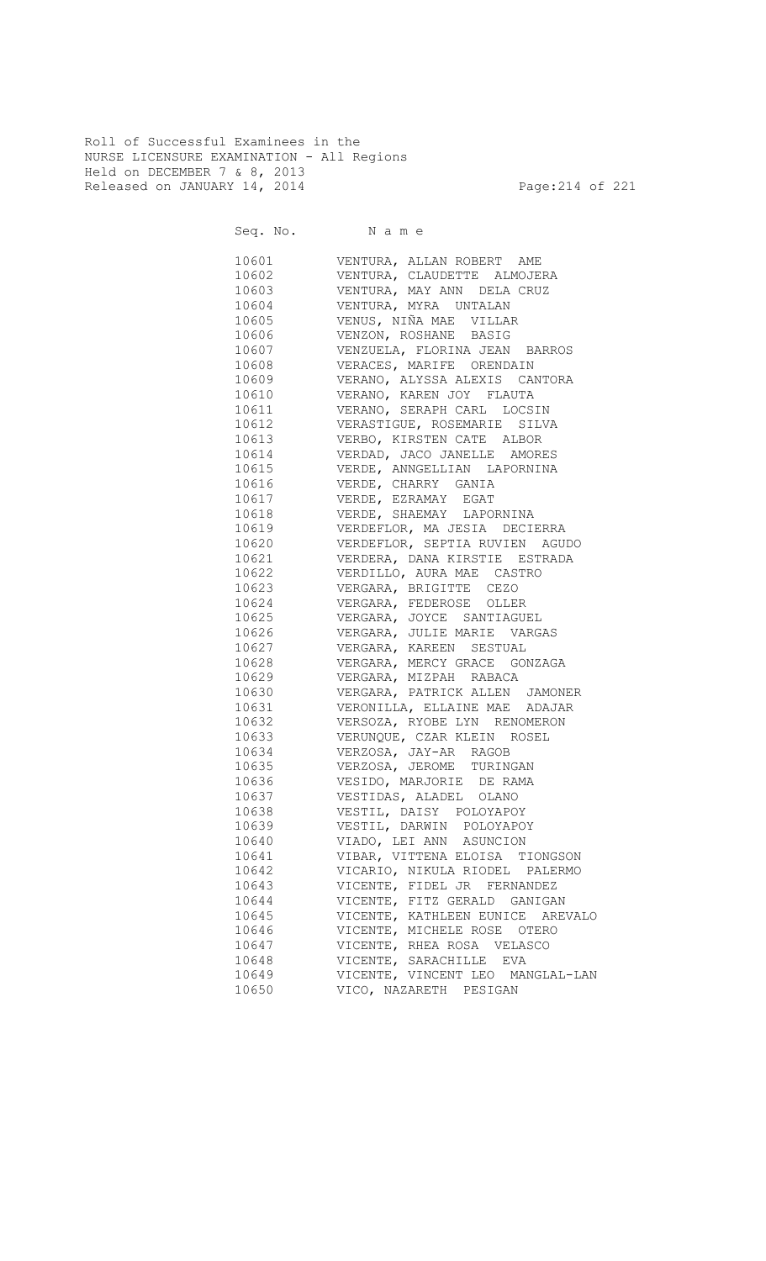Roll of Successful Examinees in the NURSE LICENSURE EXAMINATION - All Regions Held on DECEMBER 7 & 8, 2013 Released on JANUARY 14, 2014 **Page:214 of 221** 

Seq. No. Name 10601 VENTURA, ALLAN ROBERT AME 10602 VENTURA, CLAUDETTE ALMOJERA 10603 VENTURA, MAY ANN DELA CRUZ 10604 VENTURA, MYRA UNTALAN VENUS, NIÑA MAE VILLAR 10606 VENZON, ROSHANE BASIG 10607 VENZUELA, FLORINA JEAN BARROS 10608 VERACES, MARIFE ORENDAIN 10609 VERANO, ALYSSA ALEXIS CANTORA 10610 VERANO, KAREN JOY FLAUTA 10611 VERANO, SERAPH CARL LOCSIN 10612 VERASTIGUE, ROSEMARIE SILVA 10613 VERBO, KIRSTEN CATE ALBOR 10614 VERDAD, JACO JANELLE AMORES 10615 VERDE, ANNGELLIAN LAPORNINA 10616 VERDE, CHARRY GANIA 10617 VERDE, EZRAMAY EGAT VERDE, SHAEMAY LAPORNINA 10619 VERDEFLOR, MA JESIA DECIERRA 10620 VERDEFLOR, SEPTIA RUVIEN AGUDO 10621 VERDERA, DANA KIRSTIE ESTRADA 10622 VERDILLO, AURA MAE CASTRO 10623 VERGARA, BRIGITTE CEZO 10624 VERGARA, FEDEROSE OLLER<br>10625 VERGARA, JOYCE SANTIAGUI VERGARA, JOYCE SANTIAGUEL 10626 VERGARA, JULIE MARIE VARGAS 10627 VERGARA, KAREEN SESTUAL 10628 VERGARA, MERCY GRACE GONZAGA 10629 VERGARA, MIZPAH RABACA 10630 VERGARA, PATRICK ALLEN JAMONER 10631 VERONILLA, ELLAINE MAE ADAJAR 10632 VERSOZA, RYOBE LYN RENOMERON 10633 VERUNQUE, CZAR KLEIN ROSEL 10634 VERZOSA, JAY-AR RAGOB 10635 VERZOSA, JEROME TURINGAN 10636 VESIDO, MARJORIE DE RAMA 10637 VESTIDAS, ALADEL OLANO 10638 VESTIL, DAISY POLOYAPOY 10639 VESTIL, DARWIN POLOYAPOY 10640 VIADO, LEI ANN ASUNCION 10641 VIBAR, VITTENA ELOISA TIONGSON 10642 VICARIO, NIKULA RIODEL PALERMO 10643 VICENTE, FIDEL JR FERNANDEZ 10644 VICENTE, FITZ GERALD GANIGAN 10645 VICENTE, KATHLEEN EUNICE AREVALO 10646 VICENTE, MICHELE ROSE OTERO 10647 VICENTE, RHEA ROSA VELASCO 10648 VICENTE, SARACHILLE EVA 10649 VICENTE, VINCENT LEO MANGLAL-LAN 10650 VICO, NAZARETH PESIGAN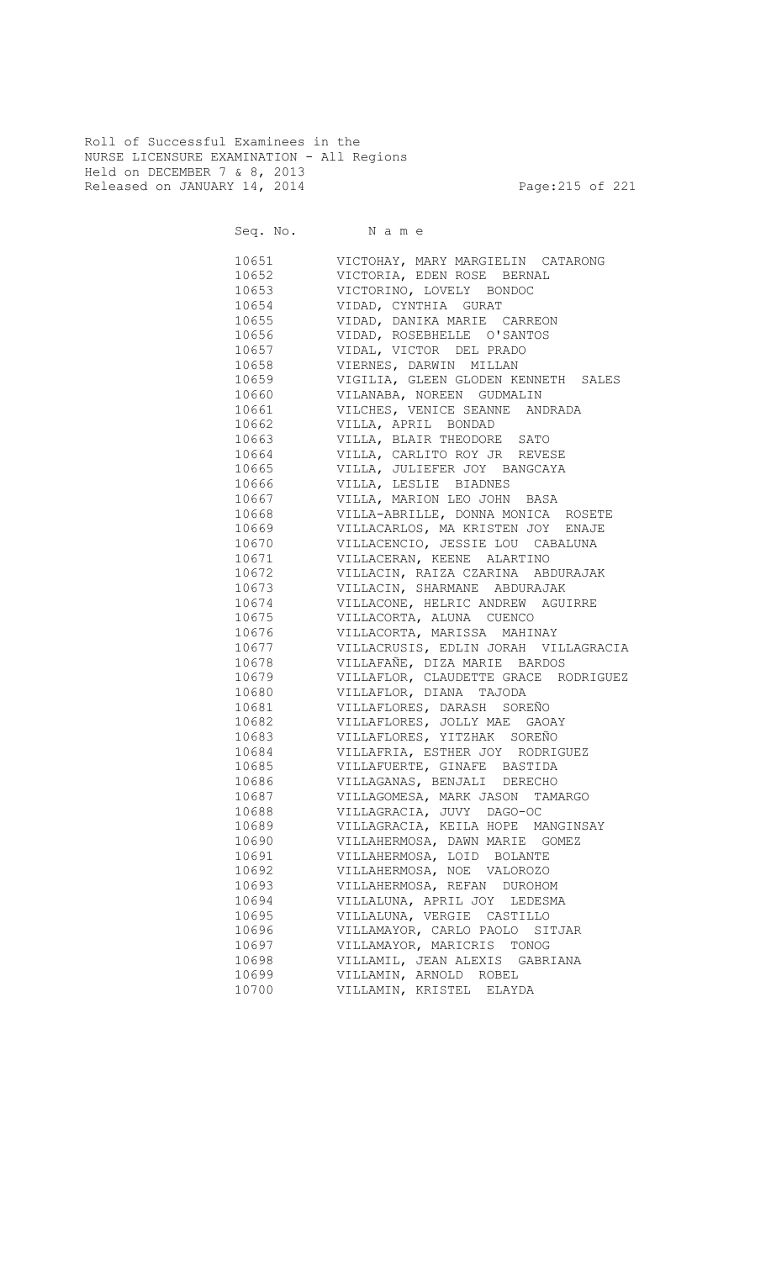Roll of Successful Examinees in the NURSE LICENSURE EXAMINATION - All Regions Held on DECEMBER 7 & 8, 2013 Released on JANUARY 14, 2014 **Page:215 of 221** 

Seq. No. Name 10651 VICTOHAY, MARY MARGIELIN CATARONG 10652 VICTORIA, EDEN ROSE BERNAL 10653 VICTORINO, LOVELY BONDOC 10654 VIDAD, CYNTHIA GURAT 10655 VIDAD, DANIKA MARIE CARREON 10656 VIDAD, ROSEBHELLE O'SANTOS 10657 VIDAL, VICTOR DEL PRADO 10658 VIERNES, DARWIN MILLAN 10659 VIGILIA, GLEEN GLODEN KENNETH SALES 10660 VILANABA, NOREEN GUDMALIN 10661 VILCHES, VENICE SEANNE ANDRADA 10662 VILLA, APRIL BONDAD 10663 VILLA, BLAIR THEODORE SATO 10664 VILLA, CARLITO ROY JR REVESE 10665 VILLA, JULIEFER JOY BANGCAYA 10666 VILLA, LESLIE BIADNES 10667 VILLA, MARION LEO JOHN BASA VILLA-ABRILLE, DONNA MONICA ROSETE 10669 VILLACARLOS, MA KRISTEN JOY ENAJE 10670 VILLACENCIO, JESSIE LOU CABALUNA 10671 VILLACERAN, KEENE ALARTINO 10672 VILLACIN, RAIZA CZARINA ABDURAJAK 10673 VILLACIN, SHARMANE ABDURAJAK 10674 VILLACONE, HELRIC ANDREW AGUIRRE<br>10675 VILLACORTA, ALUNA CUENCO VILLACORTA, ALUNA CUENCO 10676 VILLACORTA, MARISSA MAHINAY 10677 VILLACRUSIS, EDLIN JORAH VILLAGRACIA 10678 VILLAFAÑE, DIZA MARIE BARDOS 10679 VILLAFLOR, CLAUDETTE GRACE RODRIGUEZ 10680 VILLAFLOR, DIANA TAJODA 10681 VILLAFLORES, DARASH SOREÑO 10682 VILLAFLORES, JOLLY MAE GAOAY 10683 VILLAFLORES, YITZHAK SOREÑO 10684 VILLAFRIA, ESTHER JOY RODRIGUEZ 10685 VILLAFUERTE, GINAFE BASTIDA 10686 VILLAGANAS, BENJALI DERECHO 10687 VILLAGOMESA, MARK JASON TAMARGO 10688 VILLAGRACIA, JUVY DAGO-OC 10689 VILLAGRACIA, KEILA HOPE MANGINSAY 10690 VILLAHERMOSA, DAWN MARIE GOMEZ 10691 VILLAHERMOSA, LOID BOLANTE 10692 VILLAHERMOSA, NOE VALOROZO 10693 VILLAHERMOSA, REFAN DUROHOM 10694 VILLALUNA, APRIL JOY LEDESMA 10695 VILLALUNA, VERGIE CASTILLO 10696 VILLAMAYOR, CARLO PAOLO SITJAR 10697 VILLAMAYOR, MARICRIS TONOG 10698 VILLAMIL, JEAN ALEXIS GABRIANA 10699 VILLAMIN, ARNOLD ROBEL 10700 VILLAMIN, KRISTEL ELAYDA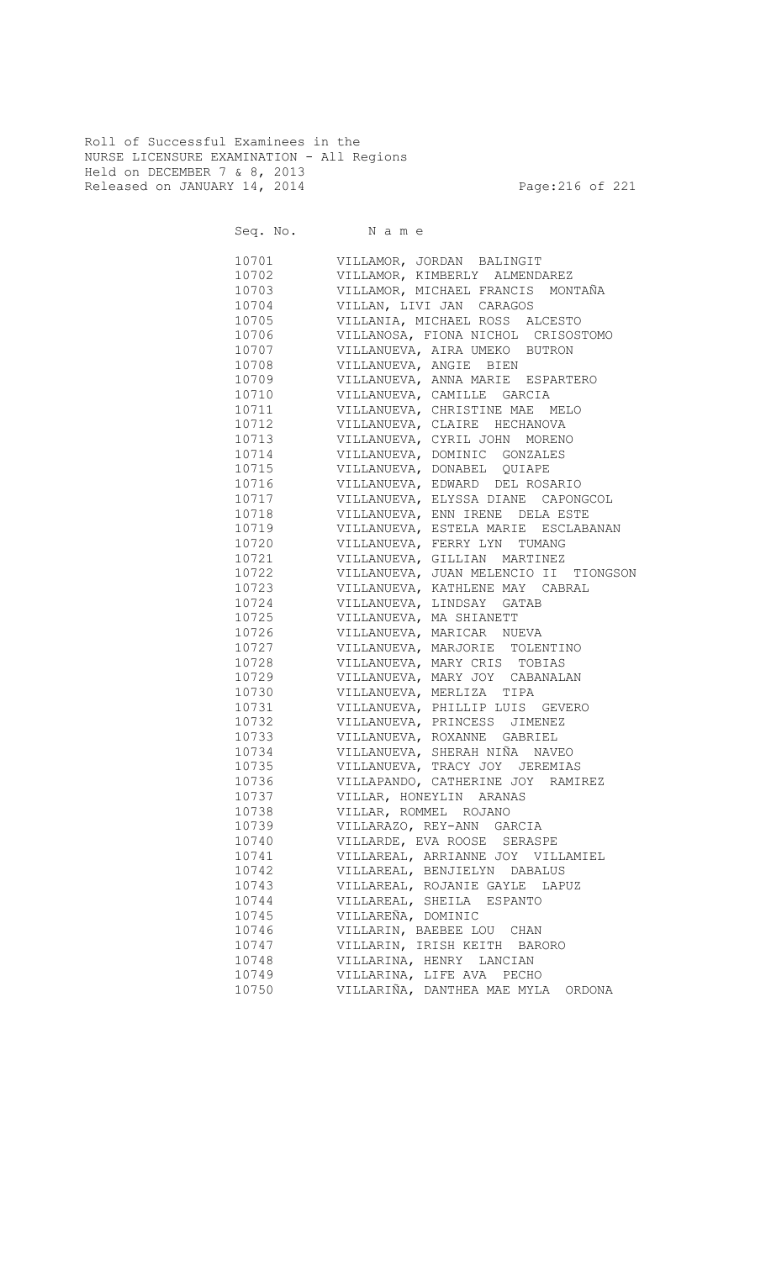Roll of Successful Examinees in the NURSE LICENSURE EXAMINATION - All Regions Held on DECEMBER 7 & 8, 2013 Released on JANUARY 14, 2014 **Page:216 of 221** 

| Seq. No. | Name                                     |
|----------|------------------------------------------|
| 10701    | VILLAMOR, JORDAN BALINGIT                |
| 10702    | VILLAMOR, KIMBERLY ALMENDAREZ            |
| 10703    | VILLAMOR, MICHAEL FRANCIS MONTAÑA        |
| 10704    | VILLAN, LIVI JAN CARAGOS                 |
| 10705    | VILLANIA, MICHAEL ROSS ALCESTO           |
| 10706    | VILLANOSA, FIONA NICHOL CRISOSTOMO       |
| 10707    | VILLANUEVA, AIRA UMEKO BUTRON            |
| 10708    | VILLANUEVA, ANGIE BIEN                   |
| 10709    | VILLANUEVA, ANNA MARIE ESPARTERO         |
| 10710    | VILLANUEVA, CAMILLE GARCIA               |
| 10711    | VILLANUEVA, CHRISTINE MAE MELO           |
| 10712    | VILLANUEVA, CLAIRE HECHANOVA             |
| 10713    | VILLANUEVA, CYRIL JOHN MORENO            |
| 10714    | VILLANUEVA, DOMINIC GONZALES             |
| 10715    | VILLANUEVA, DONABEL QUIAPE               |
| 10716    | VILLANUEVA, EDWARD DEL ROSARIO           |
| 10717    | VILLANUEVA, ELYSSA DIANE CAPONGCOL       |
| 10718    | VILLANUEVA, ENN IRENE DELA ESTE          |
| 10719    | VILLANUEVA, ESTELA MARIE ESCLABANAN      |
| 10720    | VILLANUEVA, FERRY LYN TUMANG             |
| 10721    | VILLANUEVA, GILLIAN MARTINEZ             |
| 10722    | VILLANUEVA, JUAN MELENCIO II<br>TIONGSON |
| 10723    | VILLANUEVA, KATHLENE MAY CABRAL          |
| 10724    | VILLANUEVA, LINDSAY GATAB                |
| 10725    | VILLANUEVA, MA SHIANETT                  |
| 10726    | VILLANUEVA, MARICAR NUEVA                |
| 10727    | VILLANUEVA, MARJORIE TOLENTINO           |
| 10728    | VILLANUEVA, MARY CRIS TOBIAS             |
| 10729    | VILLANUEVA, MARY JOY CABANALAN           |
| 10730    | VILLANUEVA, MERLIZA TIPA                 |
| 10731    | VILLANUEVA, PHILLIP LUIS GEVERO          |
| 10732    | VILLANUEVA, PRINCESS JIMENEZ             |
| 10733    | VILLANUEVA, ROXANNE GABRIEL              |
| 10734    | VILLANUEVA, SHERAH NIÑA NAVEO            |
| 10735    | VILLANUEVA, TRACY JOY JEREMIAS           |
| 10736    | VILLAPANDO, CATHERINE JOY RAMIREZ        |
| 10737    | VILLAR, HONEYLIN ARANAS                  |
| 10738    | VILLAR, ROMMEL ROJANO                    |
| 10739    | VILLARAZO, REY-ANN GARCIA                |
| 10740    | VILLARDE, EVA ROOSE SERASPE              |
| 10741    | VILLAREAL, ARRIANNE JOY VILLAMIEL        |
| 10742    | VILLAREAL, BENJIELYN DABALUS             |
| 10743    | VILLAREAL, ROJANIE GAYLE LAPUZ           |
| 10744    | VILLAREAL, SHEILA ESPANTO                |
| 10745    | VILLAREÑA, DOMINIC                       |
| 10746    | VILLARIN, BAEBEE LOU CHAN                |
| 10747    | VILLARIN, IRISH KEITH BARORO             |
| 10748    | VILLARINA, HENRY LANCIAN                 |
| 10749    | VILLARINA, LIFE AVA PECHO                |
|          | VILLARIÑA, DANTHEA MAE MYLA ORDONA       |
| 10750    |                                          |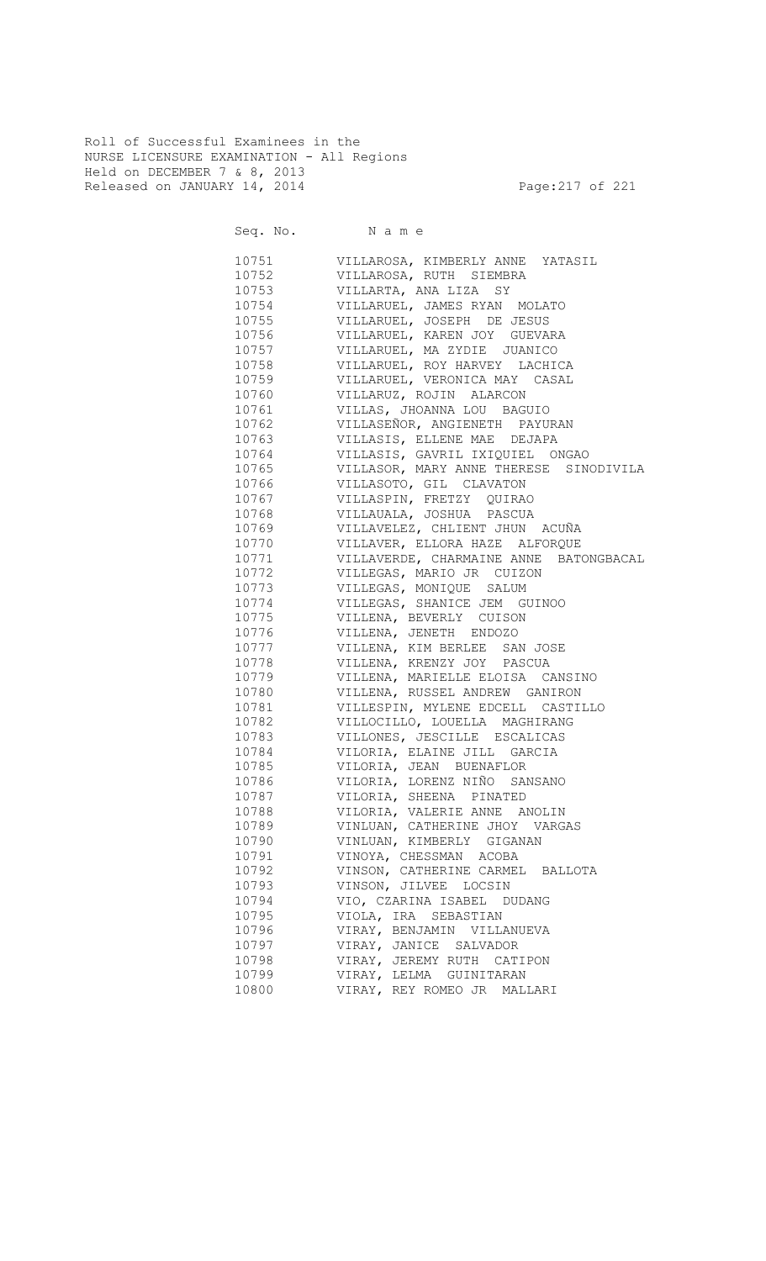Roll of Successful Examinees in the NURSE LICENSURE EXAMINATION - All Regions Held on DECEMBER 7 & 8, 2013 Released on JANUARY 14, 2014 **Page:217** of 221

|       | Seq. No. Name                          |
|-------|----------------------------------------|
| 10751 | VILLAROSA, KIMBERLY ANNE YATASIL       |
| 10752 | VILLAROSA, RUTH SIEMBRA                |
| 10753 | VILLARTA, ANA LIZA SY                  |
| 10754 | VILLARUEL, JAMES RYAN MOLATO           |
| 10755 | VILLARUEL, JOSEPH DE JESUS             |
| 10756 | VILLARUEL, KAREN JOY GUEVARA           |
| 10757 | VILLARUEL, MA ZYDIE JUANICO            |
| 10758 | VILLARUEL, ROY HARVEY LACHICA          |
| 10759 | VILLARUEL, VERONICA MAY CASAL          |
| 10760 | VILLARUZ, ROJIN ALARCON                |
| 10761 | VILLAS, JHOANNA LOU BAGUIO             |
| 10762 | VILLASEÑOR, ANGIENETH PAYURAN          |
| 10763 | VILLASIS, ELLENE MAE DEJAPA            |
| 10764 | VILLASIS, GAVRIL IXIQUIEL ONGAO        |
| 10765 | VILLASOR, MARY ANNE THERESE SINODIVILA |
| 10766 | VILLASOTO, GIL CLAVATON                |
| 10767 | VILLASPIN, FRETZY QUIRAO               |
| 10768 | VILLAUALA, JOSHUA PASCUA               |
| 10769 | VILLAVELEZ, CHLIENT JHUN ACUÑA         |
| 10770 | VILLAVER, ELLORA HAZE ALFORQUE         |
| 10771 | VILLAVERDE, CHARMAINE ANNE BATONGBACAL |
| 10772 | VILLEGAS, MARIO JR CUIZON              |
| 10773 | VILLEGAS, MONIQUE SALUM                |
| 10774 | VILLEGAS, SHANICE JEM GUINOO           |
| 10775 | VILLENA, BEVERLY CUISON                |
| 10776 | VILLENA, JENETH ENDOZO                 |
| 10777 | VILLENA, KIM BERLEE SAN JOSE           |
| 10778 | VILLENA, KRENZY JOY PASCUA             |
| 10779 | VILLENA, MARIELLE ELOISA CANSINO       |
| 10780 | VILLENA, RUSSEL ANDREW GANIRON         |
| 10781 | VILLESPIN, MYLENE EDCELL CASTILLO      |
| 10782 | VILLOCILLO, LOUELLA MAGHIRANG          |
| 10783 | VILLONES, JESCILLE ESCALICAS           |
| 10784 | VILORIA, ELAINE JILL GARCIA            |
| 10785 | VILORIA, JEAN BUENAFLOR                |
| 10786 | VILORIA, LORENZ NIÑO SANSANO           |
| 10787 | VILORIA, SHEENA PINATED                |
| 10788 | VILORIA, VALERIE ANNE ANOLIN           |
| 10789 | VINLUAN, CATHERINE JHOY VARGAS         |
| 10790 | VINLUAN, KIMBERLY GIGANAN              |
| 10791 | VINOYA, CHESSMAN ACOBA                 |
| 10792 | VINSON, CATHERINE CARMEL BALLOTA       |
| 10793 | VINSON, JILVEE LOCSIN                  |
| 10794 | VIO, CZARINA ISABEL DUDANG             |
| 10795 | VIOLA, IRA SEBASTIAN                   |
| 10796 | VIRAY, BENJAMIN VILLANUEVA             |
| 10797 | VIRAY, JANICE SALVADOR                 |
| 10798 | VIRAY, JEREMY RUTH CATIPON             |
| 10799 | VIRAY, LELMA GUINITARAN                |
| 10800 | VIRAY, REY ROMEO JR MALLARI            |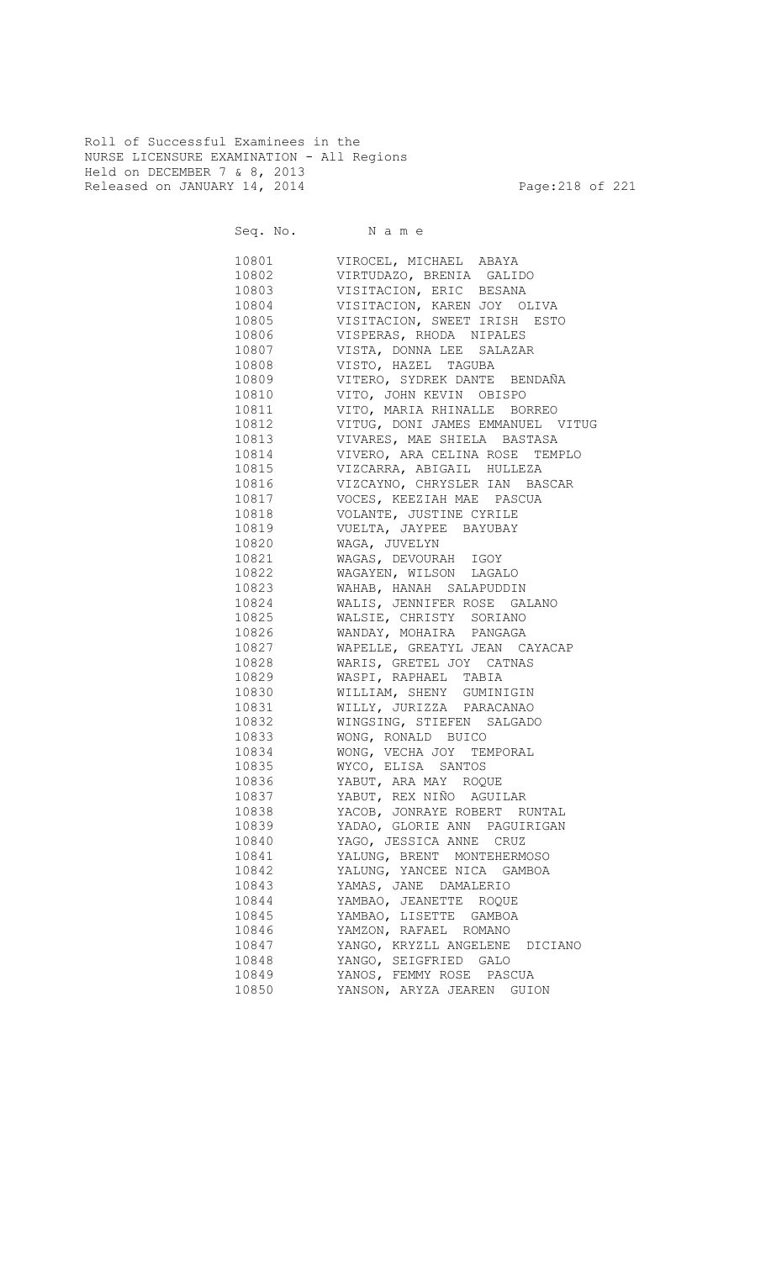Roll of Successful Examinees in the NURSE LICENSURE EXAMINATION - All Regions Held on DECEMBER 7 & 8, 2013 Released on JANUARY 14, 2014 **Page:218 of 221** 

Seq. No. Name 10801 VIROCEL, MICHAEL ABAYA 10802 VIRTUDAZO, BRENIA GALIDO 10803 VISITACION, ERIC BESANA 10804 VISITACION, KAREN JOY OLIVA VISITACION, SWEET IRISH ESTO 10806 VISPERAS, RHODA NIPALES<br>10807 VISTA, DONNA LEE SALAZAI VISTA, DONNA LEE SALAZAR 10808 VISTO, HAZEL TAGUBA<br>10809 VITERO, SYDREK DANTE VITERO, SYDREK DANTE BENDAÑA 10810 VITO, JOHN KEVIN OBISPO 10811 VITO, MARIA RHINALLE BORREO 10812 VITUG, DONI JAMES EMMANUEL VITUG 10813 VIVARES, MAE SHIELA BASTASA 10814 VIVERO, ARA CELINA ROSE TEMPLO 10815 VIZCARRA, ABIGAIL HULLEZA<br>10816 VIZCAYNO, CHRYSLER IAN BAS VIZCAYNO, CHRYSLER IAN BASCAR 10817 VOCES, KEEZIAH MAE PASCUA<br>10818 VOLANTE, JUSTINE CYRILE VOLANTE, JUSTINE CYRILE

| 10819 | VUELTA, JAYPEE BAYUBAY           |
|-------|----------------------------------|
| 10820 | WAGA, JUVELYN                    |
| 10821 | WAGAS, DEVOURAH IGOY             |
| 10822 | WAGAYEN, WILSON LAGALO           |
| 10823 | WAHAB, HANAH SALAPUDDIN          |
| 10824 | WALIS, JENNIFER ROSE GALANO      |
| 10825 | WALSIE, CHRISTY SORIANO          |
| 10826 | WANDAY, MOHAIRA PANGAGA          |
| 10827 | WAPELLE, GREATYL JEAN CAYACAP    |
| 10828 | WARIS, GRETEL JOY CATNAS         |
| 10829 | WASPI, RAPHAEL TABIA             |
| 10830 | WILLIAM, SHENY GUMINIGIN         |
| 10831 | WILLY, JURIZZA PARACANAO         |
| 10832 | WINGSING, STIEFEN SALGADO        |
| 10833 | WONG, RONALD BUICO               |
| 10834 | WONG, VECHA JOY TEMPORAL         |
| 10835 | WYCO, ELISA SANTOS               |
|       | 10836 YABUT, ARA MAY ROQUE       |
|       | 10837 YABUT, REX NIÑO AGUILAR    |
| 10838 | YACOB, JONRAYE ROBERT RUNTAL     |
| 10839 | YADAO, GLORIE ANN PAGUIRIGAN     |
| 10840 | YAGO, JESSICA ANNE CRUZ          |
| 10841 | YALUNG, BRENT MONTEHERMOSO       |
|       | 10842 YALUNG, YANCEE NICA GAMBOA |
| 10843 | YAMAS, JANE DAMALERIO            |
| 10844 | YAMBAO, JEANETTE ROQUE           |
| 10845 | YAMBAO, LISETTE GAMBOA           |
| 10846 | YAMZON, RAFAEL ROMANO            |
| 10847 | YANGO, KRYZLL ANGELENE DICIANO   |
| 10848 | YANGO, SEIGFRIED GALO            |
| 10849 | YANOS, FEMMY ROSE PASCUA         |
| 10850 | YANSON, ARYZA JEAREN GUION       |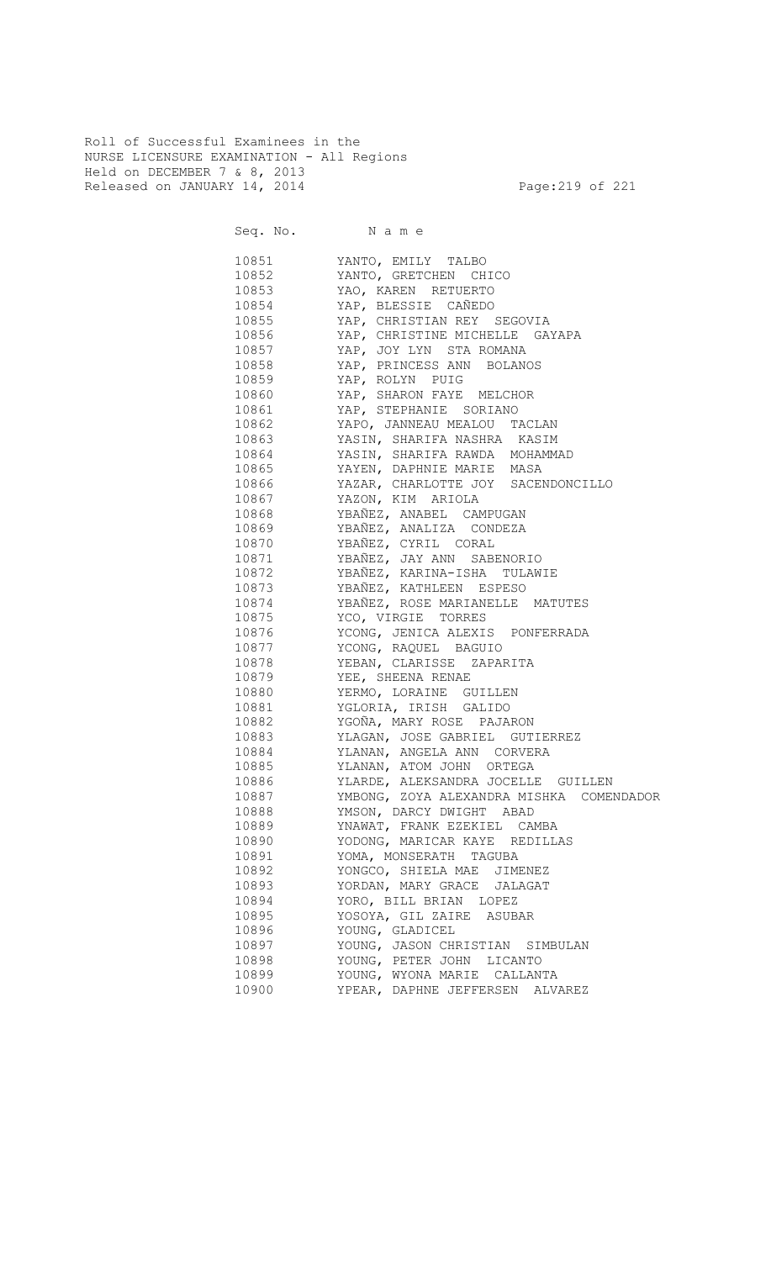Roll of Successful Examinees in the NURSE LICENSURE EXAMINATION - All Regions Held on DECEMBER 7 & 8, 2013 Released on JANUARY 14, 2014 **Page:219 of 221** 

Seq. No. Name 10851 YANTO, EMILY TALBO 10852 YANTO, GRETCHEN CHICO 10853 YAO, KAREN RETUERTO 10854 YAP, BLESSIE CAÑEDO<br>10855 YAP, CHRISTIAN REY YAP, CHRISTIAN REY SEGOVIA 10856 YAP, CHRISTINE MICHELLE GAYAPA 10857 YAP, JOY LYN STA ROMANA 10858 YAP, PRINCESS ANN BOLANOS 10859 YAP, ROLYN PUIG 10860 YAP, SHARON FAYE MELCHOR 10861 YAP, STEPHANIE SORIANO 10862 YAPO, JANNEAU MEALOU TACLAN 10863 YASIN, SHARIFA NASHRA KASIM 10864 YASIN, SHARIFA RAWDA MOHAMMAD 10865 YAYEN, DAPHNIE MARIE MASA 10866 YAZAR, CHARLOTTE JOY SACENDONCILLO 10867 YAZON, KIM ARIOLA 10868 YBAÑEZ, ANABEL CAMPUGAN 10869 YBAÑEZ, ANALIZA CONDEZA 10870 YBAÑEZ, CYRIL CORAL 10871 YBAÑEZ, JAY ANN SABENORIO 10872 YBAÑEZ, KARINA-ISHA TULAWIE 10873 YBAÑEZ, KATHLEEN ESPESO 10874 YBAÑEZ, ROSE MARIANELLE MATUTES<br>10875 YCO, VIRGIE TORRES YCO, VIRGIE TORRES 10876 YCONG, JENICA ALEXIS PONFERRADA 10877 YCONG, RAQUEL BAGUIO 10878 YEBAN, CLARISSE ZAPARITA 10879 YEE, SHEENA RENAE 10880 YERMO, LORAINE GUILLEN 10881 YGLORIA, IRISH GALIDO 10882 YGOÑA, MARY ROSE PAJARON 10883 YLAGAN, JOSE GABRIEL GUTIERREZ 10884 YLANAN, ANGELA ANN CORVERA 10885 YLANAN, ATOM JOHN ORTEGA 10886 YLARDE, ALEKSANDRA JOCELLE GUILLEN 10887 YMBONG, ZOYA ALEXANDRA MISHKA COMENDADOR 10888 YMSON, DARCY DWIGHT ABAD 10889 YNAWAT, FRANK EZEKIEL CAMBA 10890 YODONG, MARICAR KAYE REDILLAS 10891 YOMA, MONSERATH TAGUBA 10892 YONGCO, SHIELA MAE JIMENEZ 10893 YORDAN, MARY GRACE JALAGAT 10894 YORO, BILL BRIAN LOPEZ 10895 YOSOYA, GIL ZAIRE ASUBAR 10896 YOUNG, GLADICEL 10897 YOUNG, JASON CHRISTIAN SIMBULAN 10898 YOUNG, PETER JOHN LICANTO 10899 YOUNG, WYONA MARIE CALLANTA 10900 YPEAR, DAPHNE JEFFERSEN ALVAREZ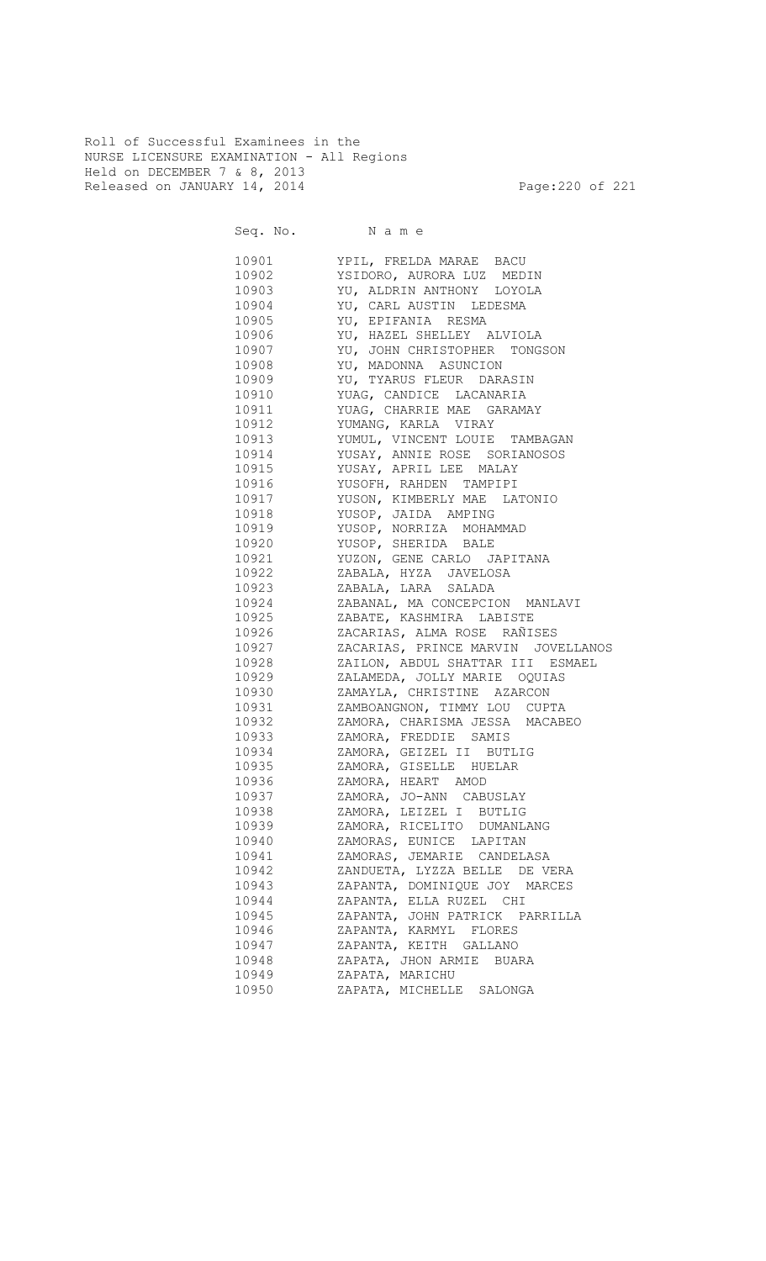Roll of Successful Examinees in the NURSE LICENSURE EXAMINATION - All Regions Held on DECEMBER 7 & 8, 2013 Released on JANUARY 14, 2014 **Page:220 of 221** 

Seq. No. Name 10901 YPIL, FRELDA MARAE BACU 10902 YSIDORO, AURORA LUZ MEDIN 10903 YU, ALDRIN ANTHONY LOYOLA 10904 YU, CARL AUSTIN LEDESMA<br>10905 YU, EPIFANIA RESMA YU, EPIFANIA RESMA 10906 YU, HAZEL SHELLEY ALVIOLA 10907 YU, JOHN CHRISTOPHER TONGSON 10908 YU, MADONNA ASUNCION 10909 YU, TYARUS FLEUR DARASIN 10910 YUAG, CANDICE LACANARIA 10911 YUAG, CHARRIE MAE GARAMAY 10912 YUMANG, KARLA VIRAY 10913 YUMUL, VINCENT LOUIE TAMBAGAN 10914 YUSAY, ANNIE ROSE SORIANOSOS 10915 YUSAY, APRIL LEE MALAY 10916 YUSOFH, RAHDEN TAMPIPI 10917 YUSON, KIMBERLY MAE LATONIO<br>10918 YUSOP, JAIDA AMPING 10918 YUSOP, JAIDA AMPING 10919 YUSOP, NORRIZA MOHAMMAD 10920 YUSOP, SHERIDA BALE 10921 YUZON, GENE CARLO JAPITANA 10922 ZABALA, HYZA JAVELOSA 10923 ZABALA, LARA SALADA 10924 ZABANAL, MA CONCEPCION MANLAVI 10925 ZABATE, KASHMIRA LABISTE 10926 ZACARIAS, ALMA ROSE RAÑISES 10927 ZACARIAS, PRINCE MARVIN JOVELLANOS 10928 ZAILON, ABDUL SHATTAR III ESMAEL 10929 ZALAMEDA, JOLLY MARIE OQUIAS 10930 ZAMAYLA, CHRISTINE AZARCON 10931 ZAMBOANGNON, TIMMY LOU CUPTA 10932 ZAMORA, CHARISMA JESSA MACABEO 10933 ZAMORA, FREDDIE SAMIS 10934 ZAMORA, GEIZEL II BUTLIG 10935 ZAMORA, GISELLE HUELAR 10936 ZAMORA, HEART AMOD 10937 ZAMORA, JO-ANN CABUSLAY 10938 ZAMORA, LEIZEL I BUTLIG 10939 ZAMORA, RICELITO DUMANLANG 10940 ZAMORAS, EUNICE LAPITAN 10941 ZAMORAS, JEMARIE CANDELASA 10942 ZANDUETA, LYZZA BELLE DE VERA 10943 ZAPANTA, DOMINIQUE JOY MARCES 10944 ZAPANTA, ELLA RUZEL CHI 10945 ZAPANTA, JOHN PATRICK PARRILLA 10946 ZAPANTA, KARMYL FLORES 10947 ZAPANTA, KEITH GALLANO 10948 ZAPATA, JHON ARMIE BUARA 10949 ZAPATA, MARICHU 10950 ZAPATA, MICHELLE SALONGA